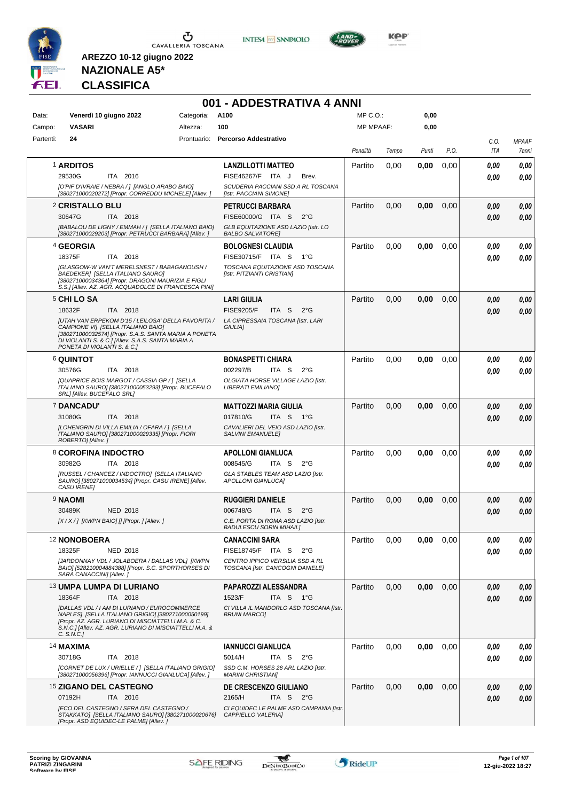





**KOP** 

# **NAZIONALE A5\* CLASSIFICA**

|           |                                                                                                                                                                                                                                       |             | 001 - ADDESTRATIVA 4 ANNI                                             |                  |       |       |      |             |                       |
|-----------|---------------------------------------------------------------------------------------------------------------------------------------------------------------------------------------------------------------------------------------|-------------|-----------------------------------------------------------------------|------------------|-------|-------|------|-------------|-----------------------|
| Data:     | Venerdì 10 giugno 2022                                                                                                                                                                                                                | Categoria:  | A100                                                                  | MP C.O.:         |       | 0,00  |      |             |                       |
| Campo:    | <b>VASARI</b>                                                                                                                                                                                                                         | Altezza:    | 100                                                                   | <b>MP MPAAF:</b> |       | 0,00  |      |             |                       |
| Partenti: | 24                                                                                                                                                                                                                                    | Prontuario: | Percorso Addestrativo                                                 | Penalità         | Tempo | Punti | P.O. | C.O.<br>ITA | <b>MPAAF</b><br>7anni |
|           | 1 ARDITOS                                                                                                                                                                                                                             |             | <b>LANZILLOTTI MATTEO</b>                                             | Partito          | 0,00  | 0.00  | 0,00 | 0.00        | 0.00                  |
|           | 29530G<br>ITA 2016                                                                                                                                                                                                                    |             | <b>FISE46267/F</b><br>ITA J<br>Brev.                                  |                  |       |       |      | 0.00        | 0,00                  |
|           | [O'PIF D'IVRAIE / NEBRA / ] [ANGLO ARABO BAIO]<br>[380271000020272] [Propr. CORREDDU MICHELE] [Allev. ]                                                                                                                               |             | SCUDERIA PACCIANI SSD A RL TOSCANA<br>[Istr. PACCIANI SIMONE]         |                  |       |       |      |             |                       |
|           | <b>2 CRISTALLO BLU</b>                                                                                                                                                                                                                |             | <b>PETRUCCI BARBARA</b>                                               | Partito          | 0,00  | 0,00  | 0,00 | 0.00        | 0,00                  |
|           | 30647G<br>ITA 2018                                                                                                                                                                                                                    |             | FISE60000/G ITA S<br>$2^{\circ}$ G                                    |                  |       |       |      | 0.00        | 0.00                  |
|           | [BABALOU DE LIGNY / EMMAH / ] [SELLA ITALIANO BAIO]<br>[380271000029203] [Propr. PETRUCCI BARBARA] [Allev. ]                                                                                                                          |             | GLB EQUITAZIONE ASD LAZIO [Istr. LO<br><b>BALBO SALVATORE]</b>        |                  |       |       |      |             |                       |
|           | <sup>4</sup> GEORGIA                                                                                                                                                                                                                  |             | <b>BOLOGNESI CLAUDIA</b>                                              | Partito          | 0,00  | 0,00  | 0,00 | 0.00        | 0,00                  |
|           | 18375F<br>ITA 2018                                                                                                                                                                                                                    |             | FISE30715/F ITA S<br>$1^{\circ}G$                                     |                  |       |       |      | 0.00        | 0,00                  |
|           | <b>[GLASGOW-W VAN'T MERELSNEST / BABAGANOUSH /</b><br>BAEDEKER] [SELLA ITALIANO SAURO]<br>[380271000034364] [Propr. DRAGONI MAURIZIA E FIGLI<br>S.S.1 [Allev. AZ. AGR. ACQUADOLCE DI FRANCESCA PINI]                                  |             | TOSCANA EQUITAZIONE ASD TOSCANA<br>[Istr. PITZIANTI CRISTIAN]         |                  |       |       |      |             |                       |
|           | <b>5 CHI LO SA</b>                                                                                                                                                                                                                    |             | <b>LARI GIULIA</b>                                                    | Partito          | 0,00  | 0,00  | 0,00 | 0.00        | 0,00                  |
|           | 18632F<br>ITA 2018                                                                                                                                                                                                                    |             | <b>FISE9205/F</b><br>ITA S<br>$2^{\circ}$ G                           |                  |       |       |      | 0.00        | 0,00                  |
|           | JUTAH VAN ERPEKOM D'15 / LEILOSA' DELLA FAVORITA /<br>CAMPIONE VII ISELLA ITALIANO BAIOI<br>[380271000032574] [Propr. S.A.S. SANTA MARIA A PONETA<br>DI VIOLANTI S. & C.] [Allev. S.A.S. SANTA MARIA A<br>PONETA DI VIOLANTI S. & C.1 |             | LA CIPRESSAIA TOSCANA [Istr. LARI<br><b>GIULIAI</b>                   |                  |       |       |      |             |                       |
|           | <b>6 QUINTOT</b>                                                                                                                                                                                                                      |             | <b>BONASPETTI CHIARA</b>                                              | Partito          | 0,00  | 0,00  | 0,00 | 0.00        | 0,00                  |
|           | 30576G<br>ITA 2018                                                                                                                                                                                                                    |             | 002297/B<br>ITA S<br>$2^{\circ}G$                                     |                  |       |       |      | 0.00        | 0.00                  |
|           | [QUAPRICE BOIS MARGOT / CASSIA GP / ] [SELLA<br>ITALIANO SAURO] [380271000053293] [Propr. BUCEFALO<br>SRL] [Allev. BUCEFALO SRL]                                                                                                      |             | OLGIATA HORSE VILLAGE LAZIO [Istr.<br>LIBERATI EMILIANO]              |                  |       |       |      |             |                       |
|           | 7 DANCADU'                                                                                                                                                                                                                            |             | <b>MATTOZZI MARIA GIULIA</b>                                          | Partito          | 0,00  | 0,00  | 0,00 | 0.00        | 0,00                  |
|           | 31080G<br>ITA 2018                                                                                                                                                                                                                    |             | 017810/G<br>ITA S<br>— 1°G                                            |                  |       |       |      | 0.00        | 0,00                  |
|           | [LOHENGRIN DI VILLA EMILIA / OFARA / ] [SELLA<br>ITALIANO SAURO] [380271000029335] [Propr. FIORI<br>ROBERTO] [Allev.]                                                                                                                 |             | CAVALIERI DEL VEIO ASD LAZIO [Istr.<br><b>SALVINI EMANUELE]</b>       |                  |       |       |      |             |                       |
|           | 8 COROFINA INDOCTRO                                                                                                                                                                                                                   |             | <b>APOLLONI GIANLUCA</b>                                              | Partito          | 0,00  | 0,00  | 0,00 | 0.00        | 0,00                  |
|           | 30982G<br>ITA 2018                                                                                                                                                                                                                    |             | 008545/G<br>ITA S<br>$2^{\circ}$ G                                    |                  |       |       |      | 0.00        | 0,00                  |
|           | [RUSSEL / CHANCEZ / INDOCTRO] [SELLA ITALIANO<br>SAURO] [380271000034534] [Propr. CASU IRENE] [Allev.<br><b>CASU IRENEI</b>                                                                                                           |             | GLA STABLES TEAM ASD LAZIO [Istr.<br>APOLLONI GIANLUCA]               |                  |       |       |      |             |                       |
|           | 9 NAOMI                                                                                                                                                                                                                               |             | <b>RUGGIERI DANIELE</b>                                               | Partito          | 0,00  | 0,00  | 0,00 | 0,00        | 0,00                  |
|           | <b>NED 2018</b><br>30489K                                                                                                                                                                                                             |             | 006748/G<br>ITA S<br>$2^{\circ}$ G                                    |                  |       |       |      | 0.00        | 0,00                  |
|           | [X / X / ] [KWPN BAIO] [] [Propr. ] [Allev. ]                                                                                                                                                                                         |             | C.E. PORTA DI ROMA ASD LAZIO [Istr.<br><b>BADULESCU SORIN MIHAIL]</b> |                  |       |       |      |             |                       |
|           | <sup>12</sup> NONOBOERA                                                                                                                                                                                                               |             | <b>CANACCINI SARA</b>                                                 | Partito          | 0,00  | 0,00  | 0.00 | 0.00        | 0,00                  |
|           | 18325F<br><b>NED 2018</b>                                                                                                                                                                                                             |             | FISE18745/F ITA S<br>$2^{\circ}G$                                     |                  |       |       |      | 0.00        | 0,00                  |
|           | [JARDONNAY VDL / JOLABOERA / DALLAS VDL] [KWPN<br>BAIO] [528210004884388] [Propr. S.C. SPORTHORSES DI<br>SARA CANACCINI] [Allev.]                                                                                                     |             | CENTRO IPPICO VERSILIA SSD A RL<br>TOSCANA [Istr. CANCOGNI DANIELE]   |                  |       |       |      |             |                       |
|           | 13 UMPA LUMPA DI LURIANO                                                                                                                                                                                                              |             | PAPAROZZI ALESSANDRA                                                  | Partito          | 0,00  | 0,00  | 0,00 | 0.00        | 0,00                  |
|           | 18364F<br>ITA 2018                                                                                                                                                                                                                    |             | 1523/F<br>ITA S 1°G                                                   |                  |       |       |      | 0.00        | 0,00                  |
|           | [DALLAS VDL / I AM DI LURIANO / EUROCOMMERCE<br>NAPLES] [SELLA ITALIANO GRIGIO] [380271000050199]<br>[Propr. AZ. AGR. LURIANO DI MISCIATTELLI M.A. & C.<br>S.N.C.] [Allev. AZ. AGR. LURIANO DI MISCIATTELLI M.A. &<br>C. S.N.C.       |             | CI VILLA IL MANDORLO ASD TOSCANA [Istr.<br><b>BRUNI MARCO]</b>        |                  |       |       |      |             |                       |
|           | <b>14 MAXIMA</b>                                                                                                                                                                                                                      |             | <b>IANNUCCI GIANLUCA</b>                                              | Partito          | 0,00  | 0,00  | 0,00 | 0.00        | 0,00                  |
|           | 30718G<br>ITA 2018                                                                                                                                                                                                                    |             | 5014/H<br>ITA S<br>$2^{\circ}$ G                                      |                  |       |       |      | 0.00        | 0,00                  |
|           | [CORNET DE LUX / URIELLE / ] [SELLA ITALIANO GRIGIO]<br>[380271000056396] [Propr. IANNUCCI GIANLUCA] [Allev. ]                                                                                                                        |             | SSD C.M. HORSES 28 ARL LAZIO [Istr.<br><b>MARINI CHRISTIAN]</b>       |                  |       |       |      |             |                       |
|           | <sup>15</sup> ZIGANO DEL CASTEGNO                                                                                                                                                                                                     |             | DE CRESCENZO GIULIANO                                                 | Partito          | 0,00  | 0,00  | 0,00 | 0,00        | 0,00                  |
|           | 07192H<br>ITA 2016                                                                                                                                                                                                                    |             | 2165/H<br>ITA S $2^{\circ}G$                                          |                  |       |       |      | 0.00        | 0,00                  |
|           | IECO DEL CASTEGNO / SERA DEL CASTEGNO /<br>STAKKATO] [SELLA ITALIANO SAURO] [380271000020676]<br>[Propr. ASD EQUIDEC-LE PALME] [Allev.]                                                                                               |             | CI EQUIDEC LE PALME ASD CAMPANIA [Istr.<br>CAPPIELLO VALERIA]         |                  |       |       |      |             |                       |

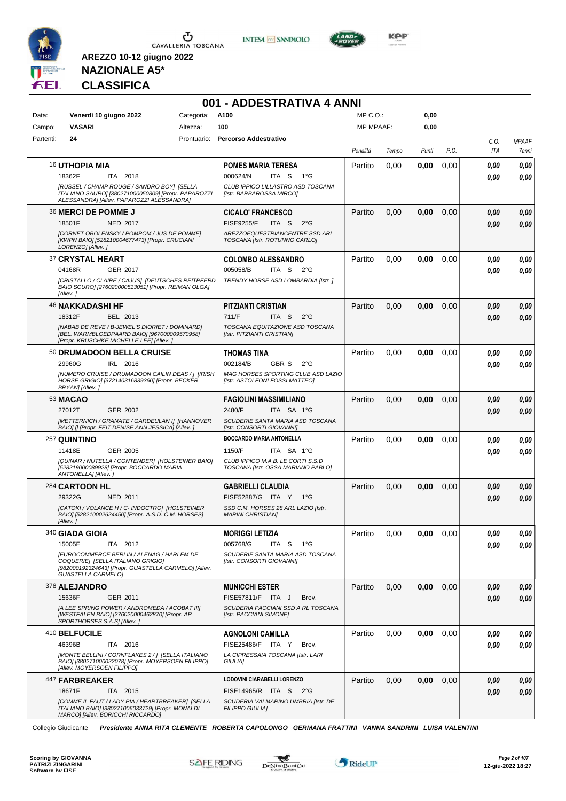





#### **NAZIONALE A5\* CLASSIFICA**

**AREZZO 10-12 giugno 2022**

|           |                                                                                                                                                                            |                 | 001 - ADDESTRATIVA 4 ANNI                                                  |              |       |       |      |             |                       |
|-----------|----------------------------------------------------------------------------------------------------------------------------------------------------------------------------|-----------------|----------------------------------------------------------------------------|--------------|-------|-------|------|-------------|-----------------------|
| Data:     | Venerdì 10 giugno 2022                                                                                                                                                     | Categoria: A100 |                                                                            | $MP C. O.$ : |       | 0,00  |      |             |                       |
| Campo:    | <b>VASARI</b>                                                                                                                                                              | Altezza:        | 100                                                                        | MP MPAAF:    |       | 0,00  |      |             |                       |
| Partenti: | 24                                                                                                                                                                         |                 | Prontuario: Percorso Addestrativo                                          | Penalità     | Tempo | Punti | P.O. | C.0.<br>ITA | <b>MPAAF</b><br>7anni |
|           | <b>16 UTHOPIA MIA</b>                                                                                                                                                      |                 | <b>POMES MARIA TERESA</b>                                                  | Partito      | 0,00  | 0,00  | 0,00 | 0.00        | 0,00                  |
|           | 18362F<br>ITA 2018                                                                                                                                                         |                 | 000624/N<br>ITA S<br>1°G                                                   |              |       |       |      | 0.00        | 0,00                  |
|           | [RUSSEL / CHAMP ROUGE / SANDRO BOY] [SELLA<br>ITALIANO SAURO] [380271000050809] [Propr. PAPAROZZI<br>ALESSANDRA] [Allev. PAPAROZZI ALESSANDRA]                             |                 | CLUB IPPICO LILLASTRO ASD TOSCANA<br>[Istr. BARBAROSSA MIRCO]              |              |       |       |      |             |                       |
|           | 36 MERCI DE POMME J                                                                                                                                                        |                 | <b>CICALO' FRANCESCO</b>                                                   | Partito      | 0,00  | 0,00  | 0,00 | 0,00        | 0,00                  |
|           | 18501F<br><b>NED 2017</b>                                                                                                                                                  |                 | <b>FISE9255/F</b><br>ITA <sub>S</sub><br>$2^{\circ}$ G                     |              |       |       |      | 0.00        | 0,00                  |
|           | [CORNET OBOLENSKY / POMPOM / JUS DE POMME]<br>[KWPN BAIO] [528210004677473] [Propr. CRUCIANI<br>LORENZO] [Allev.]                                                          |                 | AREZZOEQUESTRIANCENTRE SSD ARL<br>TOSCANA [Istr. ROTUNNO CARLO]            |              |       |       |      |             |                       |
|           | 37 CRYSTAL HEART                                                                                                                                                           |                 | <b>COLOMBO ALESSANDRO</b>                                                  | Partito      | 0,00  | 0,00  | 0,00 | 0.00        | 0,00                  |
|           | <b>GER 2017</b><br>04168R                                                                                                                                                  |                 | 005058/B<br>ITA S $2^{\circ}$ G                                            |              |       |       |      | 0.00        | 0.00                  |
|           | [CRISTALLO / CLAIRE / CAJUS] [DEUTSCHES REITPFERD<br>BAIO SCURO] [276020000513051] [Propr. REIMAN OLGA]<br>[Allev. 1                                                       |                 | TRENDY HORSE ASD LOMBARDIA [Istr.]                                         |              |       |       |      |             |                       |
|           | 46 NAKKADASHI HF                                                                                                                                                           |                 | <b>PITZIANTI CRISTIAN</b>                                                  | Partito      | 0.00  | 0,00  | 0,00 | 0,00        | 0,00                  |
|           | 18312F<br>BEL 2013                                                                                                                                                         |                 | 711/F<br>ITA S<br>$2^{\circ}$ G                                            |              |       |       |      | 0.00        | 0,00                  |
|           | [NABAB DE REVE / B-JEWEL'S DIORIET / DOMINARD]<br>[BEL. WARMBLOEDPAARD BAIO] [967000009570958]<br>[Propr. KRUSCHKE MICHELLE LEE] [Allev. ]                                 |                 | TOSCANA EQUITAZIONE ASD TOSCANA<br>[Istr. PITZIANTI CRISTIAN]              |              |       |       |      |             |                       |
|           | 50 DRUMADOON BELLA CRUISE                                                                                                                                                  |                 | <b>THOMAS TINA</b>                                                         | Partito      | 0,00  | 0,00  | 0.00 | 0.00        | 0.00                  |
|           | 29960G<br>IRL 2016                                                                                                                                                         |                 | 002184/B<br>GBR S<br>$2^{\circ}G$                                          |              |       |       |      | 0.00        | 0.00                  |
|           | [NUMERO CRUISE / DRUMADOON CAILIN DEAS / 1 [IRISH<br>HORSE GRIGIO] [372140316839360] [Propr. BECKER<br>BRYAN] [Allev.]                                                     |                 | MAG HORSES SPORTING CLUB ASD LAZIO<br>[Istr. ASTOLFONI FOSSI MATTEO]       |              |       |       |      |             |                       |
|           | <b>53 MACAO</b>                                                                                                                                                            |                 | <b>FAGIOLINI MASSIMILIANO</b>                                              | Partito      | 0.00  | 0,00  | 0,00 | 0,00        | 0,00                  |
|           | GER 2002<br>27012T                                                                                                                                                         |                 | 2480/F<br>ITA SA 1°G                                                       |              |       |       |      | 0,00        | 0,00                  |
|           | [METTERNICH / GRANATE / GARDEULAN I] [HANNOVER<br>BAIO] [] [Propr. FEIT DENISE ANN JESSICA] [Allev. ]                                                                      |                 | SCUDERIE SANTA MARIA ASD TOSCANA<br>[Istr. CONSORTI GIOVANNI]              |              |       |       |      |             |                       |
|           | 257 QUINTINO                                                                                                                                                               |                 | <b>BOCCARDO MARIA ANTONELLA</b>                                            | Partito      | 0,00  | 0,00  | 0,00 | 0.00        | 0,00                  |
|           | 11418E<br>GER 2005                                                                                                                                                         |                 | 1150/F<br>ITA SA 1°G                                                       |              |       |       |      | 0.00        | 0.00                  |
|           | [QUINAR / NUTELLA / CONTENDER] [HOLSTEINER BAIO]<br>[528219000089928] [Propr. BOCCARDO MARIA<br>ANTONELLA] [Allev. ]                                                       |                 | CLUB IPPICO M.A.B. LE CORTI S.S.D<br>TOSCANA [Istr. OSSA MARIANO PABLO]    |              |       |       |      |             |                       |
|           | 284 CARTOON HL                                                                                                                                                             |                 | <b>GABRIELLI CLAUDIA</b>                                                   | Partito      | 0,00  | 0,00  | 0,00 | 0,00        | 0,00                  |
|           | 29322G<br><b>NED 2011</b>                                                                                                                                                  |                 | FISE52887/G ITA Y 1°G                                                      |              |       |       |      | 0.00        | 0.00                  |
|           | [CATOKI / VOLANCE H / C- INDOCTRO] [HOLSTEINER<br>BAIO] [528210002624450] [Propr. A.S.D. C.M. HORSES]<br>[Allev. ]                                                         |                 | SSD C.M. HORSES 28 ARL LAZIO [Istr.<br><b>MARINI CHRISTIANI</b>            |              |       |       |      |             |                       |
|           | 340 GIADA GIOIA                                                                                                                                                            |                 | <b>MORIGGI LETIZIA</b>                                                     | Partito      | 0,00  | 0,00  | 0,00 | 0.00        | 0,00                  |
|           | 15005E<br>ITA 2012                                                                                                                                                         |                 | 005768/G<br>ITA S<br>1°G                                                   |              |       |       |      | 0.00        | 0,00                  |
|           | <b>IEUROCOMMERCE BERLIN / ALENAG / HARLEM DE</b><br>COQUERIE] [SELLA ITALIANO GRIGIO]<br>[982000192324643] [Propr. GUASTELLA CARMELO] [Allev.<br><b>GUASTELLA CARMELO]</b> |                 | SCUDERIE SANTA MARIA ASD TOSCANA<br>[Istr. CONSORTI GIOVANNI]              |              |       |       |      |             |                       |
|           | 378 ALEJANDRO                                                                                                                                                              |                 | <b>MUNICCHI ESTER</b>                                                      | Partito      | 0,00  | 0,00  | 0,00 | 0.00        | 0,00                  |
|           | 15636F<br>GER 2011                                                                                                                                                         |                 | FISE57811/F ITA J<br>Brev.                                                 |              |       |       |      | 0.00        | 0,00                  |
|           | [A LEE SPRING POWER / ANDROMEDA / ACOBAT III]<br>[WESTFALEN BAIO] [276020000462870] [Propr. AP<br>SPORTHORSES S.A.S] [Allev.]                                              |                 | SCUDERIA PACCIANI SSD A RL TOSCANA<br>[Istr. PACCIANI SIMONE]              |              |       |       |      |             |                       |
|           | 410 BELFUCILE                                                                                                                                                              |                 | <b>AGNOLONI CAMILLA</b>                                                    | Partito      | 0,00  | 0,00  | 0,00 | 0,00        | 0,00                  |
|           | 46396B<br>ITA 2016<br>[MONTE BELLINI / CORNFLAKES 2 / ] [SELLA ITALIANO<br>BAIO] [380271000022078] [Propr. MOYERSOEN FILIPPO]                                              |                 | FISE25486/F ITA Y<br>Brev.<br>LA CIPRESSAIA TOSCANA [Istr. LARI<br>GIULIA] |              |       |       |      | 0.00        | 0,00                  |
|           | [Allev. MOYERSOEN FILIPPO]<br>447 FARBREAKER                                                                                                                               |                 | LODOVINI CIARABELLI LORENZO                                                | Partito      | 0,00  | 0,00  | 0,00 | 0,00        | 0,00                  |
|           | 18671F<br>ITA 2015                                                                                                                                                         |                 | FISE14965/R ITA S 2°G                                                      |              |       |       |      | 0.00        | 0,00                  |
|           | [COMME IL FAUT / LADY PIA / HEARTBREAKER] [SELLA<br>ITALIANO BAIO] [380271006033729] [Propr. MONALDI<br>MARCO] [Allev. BORICCHI RICCARDO]                                  |                 | SCUDERIA VALMARINO UMBRIA [Istr. DE<br><b>FILIPPO GIULIA)</b>              |              |       |       |      |             |                       |

Collegio Giudicante *Presidente ANNA RITA CLEMENTE ROBERTA CAPOLONGO GERMANA FRATTINI VANNA SANDRINI LUISA VALENTINI*

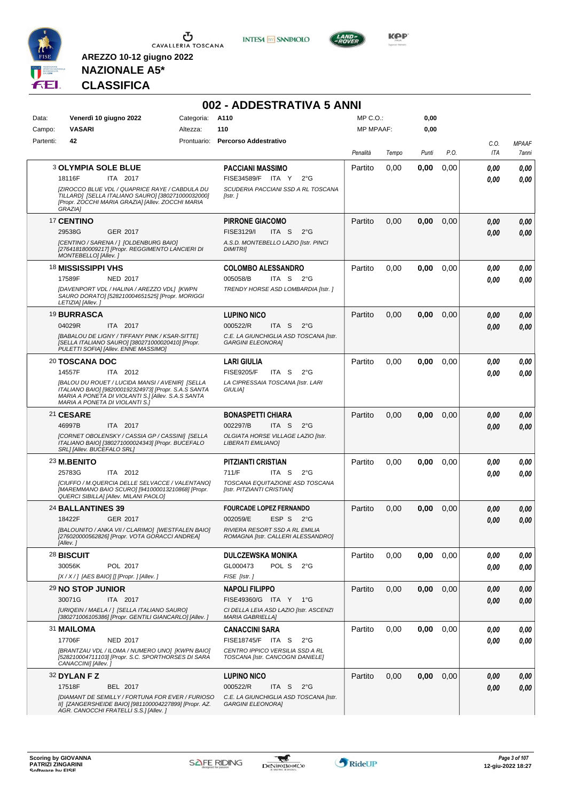

**INTESA M** SANPAOLO



**KOP** 

# **NAZIONALE A5\* CLASSIFICA**

|           |                                                                                                                                                    |            | 002 - ADDESTRATIVA 5 ANNI                                            |                  |       |       |      |                |              |
|-----------|----------------------------------------------------------------------------------------------------------------------------------------------------|------------|----------------------------------------------------------------------|------------------|-------|-------|------|----------------|--------------|
| Data:     | Venerdì 10 giugno 2022                                                                                                                             | Categoria: | A110                                                                 | MP C.O.:         |       | 0,00  |      |                |              |
| Campo:    | <b>VASARI</b>                                                                                                                                      | Altezza:   | 110                                                                  | <b>MP MPAAF:</b> |       | 0,00  |      |                |              |
| Partenti: | 42                                                                                                                                                 |            | Prontuario: Percorso Addestrativo                                    |                  |       |       |      | C.O.           | <b>MPAAF</b> |
|           |                                                                                                                                                    |            |                                                                      | Penalità         | Tempo | Punti | P.O. | ITA            | 7anni        |
|           | <b>3 OLYMPIA SOLE BLUE</b>                                                                                                                         |            | PACCIANI MASSIMO                                                     | Partito          | 0,00  | 0.00  | 0,00 | 0.00           | 0,00         |
|           | 18116F<br>ITA 2017                                                                                                                                 |            | FISE34589/F ITA Y<br>$2^{\circ}$ G                                   |                  |       |       |      | 0.00           | 0.00         |
|           | [ZIROCCO BLUE VDL / QUAPRICE RAYE / CABDULA DU                                                                                                     |            | SCUDERIA PACCIANI SSD A RL TOSCANA                                   |                  |       |       |      |                |              |
|           | TILLARD] [SELLA ITALIANO SAURO] [380271000032000]<br>[Propr. ZOCCHI MARIA GRAZIA] [Allev. ZOCCHI MARIA<br>GRAZIA1                                  |            | [Istr. ]                                                             |                  |       |       |      |                |              |
|           | 17 CENTINO                                                                                                                                         |            | <b>PIRRONE GIACOMO</b>                                               | Partito          | 0,00  | 0,00  | 0,00 | 0,00           | 0,00         |
|           | 29538G<br>GER 2017                                                                                                                                 |            | FISE3129/I<br>ITA S<br>$2^{\circ}G$                                  |                  |       |       |      | 0.00           | 0,00         |
|           | [CENTINO / SARENA / ] [OLDENBURG BAIO]<br>[276418180009217] [Propr. REGGIMENTO LANCIERI DI<br>MONTEBELLO] [Allev.]                                 |            | A.S.D. MONTEBELLO LAZIO [Istr. PINCI<br><b>DIMITRII</b>              |                  |       |       |      |                |              |
|           | 18 MISSISSIPPI VHS                                                                                                                                 |            | <b>COLOMBO ALESSANDRO</b>                                            | Partito          | 0,00  | 0,00  | 0,00 | 0.00           | 0,00         |
|           | 17589F<br><b>NED 2017</b>                                                                                                                          |            | 005058/B<br>ITA S $2^{\circ}$ G                                      |                  |       |       |      | 0.00           | 0,00         |
|           | [DAVENPORT VDL / HALINA / AREZZO VDL] [KWPN                                                                                                        |            | TRENDY HORSE ASD LOMBARDIA [Istr. ]                                  |                  |       |       |      |                |              |
|           | SAURO DORATO] [528210004651525] [Propr. MORIGGI<br>LETIZIA] [Allev.]                                                                               |            |                                                                      |                  |       |       |      |                |              |
|           | 19 BURRASCA                                                                                                                                        |            | <b>LUPINO NICO</b>                                                   | Partito          | 0,00  | 0,00  | 0,00 | 0,00           | 0,00         |
|           | 04029R<br>ITA 2017                                                                                                                                 |            | ITA <sub>S</sub><br>000522/R<br>$2^{\circ}G$                         |                  |       |       |      | 0,00           | 0,00         |
|           | [BABALOU DE LIGNY / TIFFANY PINK / KSAR-SITTE]                                                                                                     |            | C.E. LA GIUNCHIGLIA ASD TOSCANA [Istr.                               |                  |       |       |      |                |              |
|           | [SELLA ITALIANO SAURO] [380271000020410] [Propr.<br>PULETTI SOFIA] [Allev. ENNE MASSIMO]                                                           |            | <b>GARGINI ELEONORAI</b>                                             |                  |       |       |      |                |              |
|           | 20 TOSCANA DOC                                                                                                                                     |            | <b>LARI GIULIA</b>                                                   | Partito          | 0,00  | 0,00  | 0,00 | 0.00           | 0,00         |
|           | 14557F<br>ITA 2012                                                                                                                                 |            | <b>FISE9205/F</b><br>ITA S<br>$2^{\circ}G$                           |                  |       |       |      | 0.00           | 0.00         |
|           | [BALOU DU ROUET / LUCIDA MANSI / AVENIR] [SELLA                                                                                                    |            | LA CIPRESSAIA TOSCANA [Istr. LARI                                    |                  |       |       |      |                |              |
|           | ITALIANO BAIO] [982000192324973] [Propr. S.A.S SANTA<br>MARIA A PONETA DI VIOLANTI S.] [Allev. S.A.S SANTA<br>MARIA A PONETA DI VIOLANTI S.]       |            | <b>GIULIAI</b>                                                       |                  |       |       |      |                |              |
|           | 21 CESARE                                                                                                                                          |            | <b>BONASPETTI CHIARA</b>                                             | Partito          | 0,00  | 0,00  | 0,00 | 0,00           | 0,00         |
|           | 46997B<br>ITA 2017                                                                                                                                 |            | 002297/B<br>ITA S<br>$2^{\circ}G$                                    |                  |       |       |      | 0.00           | 0,00         |
|           | [CORNET OBOLENSKY / CASSIA GP / CASSINI] [SELLA<br>ITALIANO BAIO] [380271000024343] [Propr. BUCEFALO                                               |            | OLGIATA HORSE VILLAGE LAZIO [Istr.<br>LIBERATI EMILIANO]             |                  |       |       |      |                |              |
|           | SRL] [Allev. BUCEFALO SRL]                                                                                                                         |            |                                                                      |                  |       |       |      |                |              |
|           | 23 M.BENITO                                                                                                                                        |            | PITZIANTI CRISTIAN                                                   | Partito          | 0,00  | 0,00  | 0,00 | 0.00           | 0,00         |
|           | 25783G<br>ITA 2012                                                                                                                                 |            | 711/F<br>ITA S<br>$2^{\circ}G$                                       |                  |       |       |      | 0.00           | 0.00         |
|           | ICIUFFO / M.QUERCIA DELLE SELVACCE / VALENTANO]<br>[MAREMMANO BAIO SCURO] [941000013210868] [Propr.                                                |            | TOSCANA EQUITAZIONE ASD TOSCANA<br>[Istr. PITZIANTI CRISTIAN]        |                  |       |       |      |                |              |
|           | QUERCI SIBILLA] [Allev. MILANI PAOLO]                                                                                                              |            |                                                                      |                  |       |       |      |                |              |
|           | 24 BALLANTINES 39                                                                                                                                  |            | <b>FOURCADE LOPEZ FERNANDO</b>                                       | Partito          | 0,00  | 0,00  | 0,00 | 0.00           | 0,00         |
|           | 18422F<br>GER 2017                                                                                                                                 |            | ESP S<br>002059/E<br>$2^{\circ}$ G                                   |                  |       |       |      | $\pmb{0,\!00}$ | $\it 0,00$   |
|           | [BALOUNITO / ANKA VII / CLARIMO] [WESTFALEN BAIO]<br>[276020000562826] [Propr. VOTA GORACCI ANDREA]<br>[Allev.]                                    |            | RIVIERA RESORT SSD A RL EMILIA<br>ROMAGNA [Istr. CALLERI ALESSANDRO] |                  |       |       |      |                |              |
|           | 28 BISCUIT                                                                                                                                         |            | <b>DULCZEWSKA MONIKA</b>                                             | Partito          | 0,00  | 0,00  | 0,00 | 0,00           | 0,00         |
|           | POL 2017<br>30056K                                                                                                                                 |            | GL000473<br>POL S<br>$2^{\circ}G$                                    |                  |       |       |      | 0,00           | 0,00         |
|           | $[X/X/$ ] [AES BAIO] [] [Propr. ] [Allev.]                                                                                                         |            | FISE [Istr.]                                                         |                  |       |       |      |                |              |
|           | 29 NO STOP JUNIOR                                                                                                                                  |            | <b>NAPOLI FILIPPO</b>                                                | Partito          | 0,00  | 0,00  | 0,00 | 0,00           | 0,00         |
|           | 30071G<br>ITA 2017                                                                                                                                 |            | FISE49360/G ITA Y<br>1°G                                             |                  |       |       |      | 0,00           | 0,00         |
|           | [URIQEIN / MAELA / ] [SELLA ITALIANO SAURO]<br>[380271006105386] [Propr. GENTILI GIANCARLO] [Allev.]                                               |            | CI DELLA LEIA ASD LAZIO [Istr. ASCENZI<br><b>MARIA GABRIELLA1</b>    |                  |       |       |      |                |              |
|           | 31 MAILOMA                                                                                                                                         |            | <b>CANACCINI SARA</b>                                                | Partito          | 0,00  | 0,00  | 0,00 | 0,00           | 0,00         |
|           | 17706F<br>NED 2017                                                                                                                                 |            | FISE18745/F ITA S<br>$2^{\circ}$ G                                   |                  |       |       |      | 0,00           | 0,00         |
|           | [BRANTZAU VDL / ILOMA / NUMERO UNO] [KWPN BAIO]<br>[528210004711103] [Propr. S.C. SPORTHORSES DI SARA<br>CANACCINI] [Allev.]                       |            | CENTRO IPPICO VERSILIA SSD A RL<br>TOSCANA [Istr. CANCOGNI DANIELE]  |                  |       |       |      |                |              |
|           | 32 DYLAN F Z                                                                                                                                       |            | <b>LUPINO NICO</b>                                                   | Partito          | 0,00  | 0,00  | 0,00 | 0,00           | 0,00         |
|           | 17518F<br>BEL 2017                                                                                                                                 |            | 000522/R<br>ITA <sub>S</sub><br>$2^{\circ}$ G                        |                  |       |       |      | 0,00           | 0,00         |
|           | [DIAMANT DE SEMILLY / FORTUNA FOR EVER / FURIOSO<br>II] [ZANGERSHEIDE BAIO] [981100004227899] [Propr. AZ.<br>AGR. CANOCCHI FRATELLI S.S.] [Allev.] |            | C.E. LA GIUNCHIGLIA ASD TOSCANA [Istr.<br><b>GARGINI ELEONORA]</b>   |                  |       |       |      |                |              |

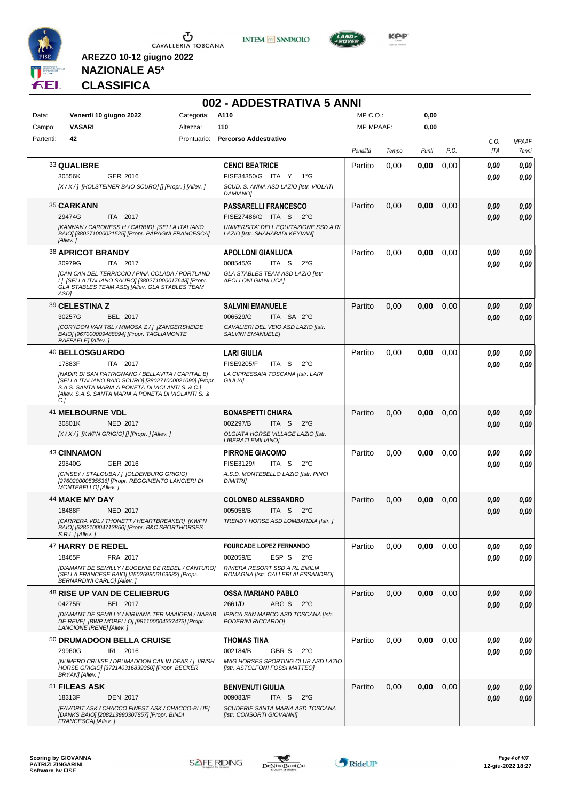





**KOP** 

**NAZIONALE A5\* CLASSIFICA**

|           |                                   |                                                                                                                                                                                                                        |            | 002 - ADDESTRATIVA 5 ANNI                                               |           |       |       |      |      |              |
|-----------|-----------------------------------|------------------------------------------------------------------------------------------------------------------------------------------------------------------------------------------------------------------------|------------|-------------------------------------------------------------------------|-----------|-------|-------|------|------|--------------|
| Data:     |                                   | Venerdì 10 giugno 2022                                                                                                                                                                                                 | Categoria: | A110                                                                    | MP C.O.:  |       | 0,00  |      |      |              |
| Campo:    | <b>VASARI</b>                     |                                                                                                                                                                                                                        | Altezza:   | 110                                                                     | MP MPAAF: |       | 0,00  |      |      |              |
| Partenti: | 42                                |                                                                                                                                                                                                                        |            | Prontuario: Percorso Addestrativo                                       |           |       |       |      | C.O. | <b>MPAAF</b> |
|           |                                   |                                                                                                                                                                                                                        |            |                                                                         | Penalità  | Tempo | Punti | P.O. | ITA  | <b>7anni</b> |
|           | 33 QUALIBRE                       |                                                                                                                                                                                                                        |            | <b>CENCI BEATRICE</b>                                                   | Partito   | 0,00  | 0,00  | 0,00 | 0.00 | 0,00         |
|           | 30556K                            | GER 2016                                                                                                                                                                                                               |            | FISE34350/G ITA Y 1°G                                                   |           |       |       |      | 0.00 | 0.00         |
|           |                                   | [X / X / ] [HOLSTEINER BAIO SCURO] [] [Propr. ] [Allev. ]                                                                                                                                                              |            | SCUD. S. ANNA ASD LAZIO [Istr. VIOLATI<br><b>DAMIANO</b>                |           |       |       |      |      |              |
|           | 35 CARKANN                        |                                                                                                                                                                                                                        |            | PASSARELLI FRANCESCO                                                    | Partito   | 0,00  | 0,00  | 0,00 | 0.00 | 0,00         |
|           | 29474G                            | ITA 2017                                                                                                                                                                                                               |            | FISE27486/G ITA S 2°G                                                   |           |       |       |      | 0,00 | 0,00         |
|           | [Allev.]                          | [KANNAN / CARONESS H / CARBID] [SELLA ITALIANO<br>BAIO] [380271000021525] [Propr. PAPAGNI FRANCESCA]                                                                                                                   |            | UNIVERSITA' DELL'EQUITAZIONE SSD A RL<br>LAZIO [Istr. SHAHABADI KEYVAN] |           |       |       |      |      |              |
|           | <b>38 APRICOT BRANDY</b>          |                                                                                                                                                                                                                        |            | <b>APOLLONI GIANLUCA</b>                                                | Partito   | 0,00  | 0,00  | 0,00 | 0,00 | 0,00         |
|           | 30979G                            | ITA 2017                                                                                                                                                                                                               |            | 008545/G<br>ITA S<br>$2^{\circ}$ G                                      |           |       |       |      | 0.00 | 0,00         |
|           | ASD1                              | ICAN CAN DEL TERRICCIO / PINA COLADA / PORTLAND<br>L] [SELLA ITALIANO SAURO] [380271000017648] [Propr.<br><b>GLA STABLES TEAM ASDI [Alley, GLA STABLES TEAM</b>                                                        |            | GLA STABLES TEAM ASD LAZIO [Istr.<br><b>APOLLONI GIANLUCAI</b>          |           |       |       |      |      |              |
|           | 39 CELESTINA Z                    |                                                                                                                                                                                                                        |            | <b>SALVINI EMANUELE</b>                                                 | Partito   | 0,00  | 0,00  | 0,00 | 0.00 | 0,00         |
|           | 30257G                            | BEL 2017                                                                                                                                                                                                               |            | 006529/G<br>ITA SA 2°G                                                  |           |       |       |      | 0,00 | 0.00         |
|           | RAFFAELE] [Allev. ]               | [CORYDON VAN T&L / MIMOSA Z / ] [ZANGERSHEIDE<br>BAIO] [967000009488094] [Propr. TAGLIAMONTE                                                                                                                           |            | CAVALIERI DEL VEIO ASD LAZIO [Istr.<br><b>SALVINI EMANUELEI</b>         |           |       |       |      |      |              |
|           | <sup>40</sup> BELLOSGUARDO        |                                                                                                                                                                                                                        |            | <b>LARI GIULIA</b>                                                      | Partito   | 0,00  | 0,00  | 0,00 | 0.00 | 0,00         |
|           | 17883F                            | ITA 2017                                                                                                                                                                                                               |            | <b>FISE9205/F</b><br>ITA S<br>$2^{\circ}$ G                             |           |       |       |      | 0.00 | 0,00         |
|           | C.]                               | [NADIR DI SAN PATRIGNANO / BELLAVITA / CAPITAL B]<br>[SELLA ITALIANO BAIO SCURO] [380271000021090] [Propr.<br>S.A.S. SANTA MARIA A PONETA DI VIOLANTI S. & C.I<br>[Allev. S.A.S. SANTA MARIA A PONETA DI VIOLANTI S. & |            | LA CIPRESSAIA TOSCANA [Istr. LARI<br>GIULIA]                            |           |       |       |      |      |              |
|           | 41 MELBOURNE VDL                  |                                                                                                                                                                                                                        |            | <b>BONASPETTI CHIARA</b>                                                | Partito   | 0,00  | 0,00  | 0,00 | 0.00 | 0,00         |
|           | 30801K                            | NED 2017                                                                                                                                                                                                               |            | 002297/B<br>ITA S<br>$2^{\circ}$ G                                      |           |       |       |      | 0.00 | 0,00         |
|           |                                   | [X / X / ] [KWPN GRIGIO] [] [Propr. ] [Allev. ]                                                                                                                                                                        |            | OLGIATA HORSE VILLAGE LAZIO [Istr.<br>LIBERATI EMILIANO]                |           |       |       |      |      |              |
|           | 43 CINNAMON                       |                                                                                                                                                                                                                        |            | <b>PIRRONE GIACOMO</b>                                                  | Partito   | 0,00  | 0,00  | 0,00 | 0.00 | 0,00         |
|           | 29540G                            | GER 2016                                                                                                                                                                                                               |            | FISE3129/I<br>ITA S<br>$2^{\circ}$ G                                    |           |       |       |      | 0.00 | 0.00         |
|           | MONTEBELLO] [Allev.]              | [CINSEY / STALOUBA / ] [OLDENBURG GRIGIO]<br>[276020000535536] [Propr. REGGIMENTO LANCIERI DI                                                                                                                          |            | A.S.D. MONTEBELLO LAZIO [Istr. PINCI<br><b>DIMITRII</b>                 |           |       |       |      |      |              |
|           | <b>44 MAKE MY DAY</b>             |                                                                                                                                                                                                                        |            | <b>COLOMBO ALESSANDRO</b>                                               | Partito   | 0,00  | 0,00  | 0,00 | 0.00 | 0,00         |
|           | 18488F                            | NED 2017                                                                                                                                                                                                               |            | ITA S 2°G<br>005058/B                                                   |           |       |       |      | 0.00 | 0.00         |
|           | $S.R.L.JIAllev.$ ]                | [CARRERA VDL / THONETT / HEARTBREAKER] [KWPN<br>BAIO] [528210004713856] [Propr. B&C SPORTHORSES                                                                                                                        |            | TRENDY HORSE ASD LOMBARDIA [Istr. ]                                     |           |       |       |      |      |              |
|           | <b>47 HARRY DE REDEL</b>          |                                                                                                                                                                                                                        |            | <b>FOURCADE LOPEZ FERNANDO</b>                                          | Partito   | 0,00  | 0,00  | 0.00 | 0,00 | 0,00         |
|           | 18465F                            | FRA 2017                                                                                                                                                                                                               |            | 002059/E<br>ESP S<br>$2^{\circ}G$                                       |           |       |       |      | 0.00 | 0,00         |
|           | <b>BERNARDINI CARLO] [Allev.]</b> | [DIAMANT DE SEMILLY / EUGENIE DE REDEL / CANTURO]<br>[SELLA FRANCESE BAIO] [250259806169682] [Propr.                                                                                                                   |            | RIVIERA RESORT SSD A RL EMILIA<br>ROMAGNA [Istr. CALLERI ALESSANDRO]    |           |       |       |      |      |              |
|           |                                   | <sup>48</sup> RISE UP VAN DE CELIEBRUG                                                                                                                                                                                 |            | <b>OSSA MARIANO PABLO</b>                                               | Partito   | 0,00  | 0,00  | 0,00 | 0,00 | 0,00         |
|           | 04275R                            | BEL 2017                                                                                                                                                                                                               |            | 2661/D<br>ARG S 2°G                                                     |           |       |       |      | 0.00 | 0,00         |
|           | LANCIONE IRENE] [Allev.]          | [DIAMANT DE SEMILLY / NIRVANA TER MAAIGEM / NABAB<br>DE REVE] [BWP MORELLO] [981100004337473] [Propr.                                                                                                                  |            | IPPICA SAN MARCO ASD TOSCANA [Istr.<br>PODERINI RICCARDO]               |           |       |       |      |      |              |
|           |                                   | 50 DRUMADOON BELLA CRUISE                                                                                                                                                                                              |            | <b>THOMAS TINA</b>                                                      | Partito   | 0,00  | 0,00  | 0.00 | 0,00 | 0,00         |
|           | 29960G                            | IRL 2016                                                                                                                                                                                                               |            | 002184/B<br>GBR S<br>$2^{\circ}G$                                       |           |       |       |      | 0.00 | 0,00         |
|           | BRYAN] [Allev.]                   | [NUMERO CRUISE / DRUMADOON CAILIN DEAS / ] [IRISH<br>HORSE GRIGIO] [372140316839360] [Propr. BECKER                                                                                                                    |            | MAG HORSES SPORTING CLUB ASD LAZIO<br>[Istr. ASTOLFONI FOSSI MATTEO]    |           |       |       |      |      |              |
|           | 51 FILEAS ASK                     |                                                                                                                                                                                                                        |            | <b>BENVENUTI GIULIA</b>                                                 | Partito   | 0,00  | 0,00  | 0.00 | 0,00 | 0,00         |
|           | 18313F                            | <b>DEN 2017</b>                                                                                                                                                                                                        |            | 009083/F<br>ITA S<br>$2^{\circ}$ G                                      |           |       |       |      | 0,00 | 0,00         |
|           | FRANCESCA] [Allev.]               | [FAVORIT ASK / CHACCO FINEST ASK / CHACCO-BLUE]<br>[DANKS BAIO] [208213990307857] [Propr. BINDI                                                                                                                        |            | SCUDERIE SANTA MARIA ASD TOSCANA<br>[Istr. CONSORTI GIOVANNI]           |           |       |       |      |      |              |

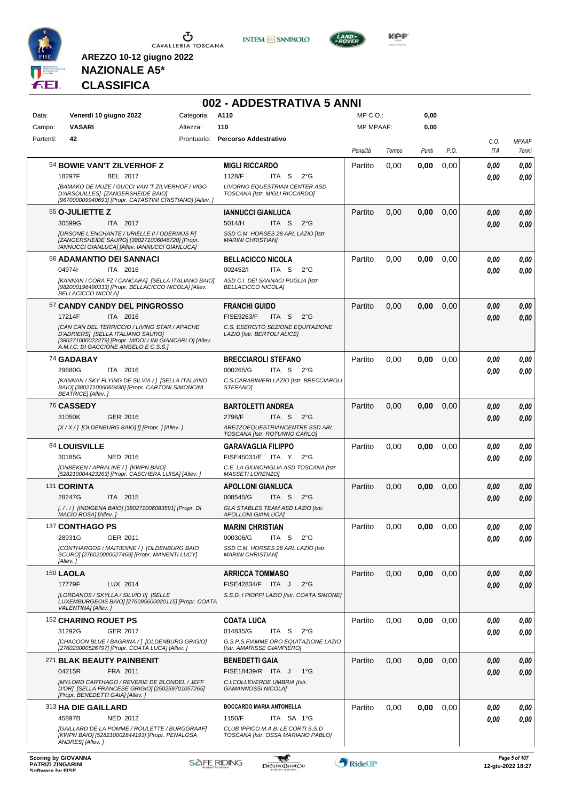





**KOP** 

# **NAZIONALE A5\* CLASSIFICA**

|           |                                                                                                                                                                                       |            | 002 - ADDESTRATIVA 5 ANNI                                                                                           |           |       |       |      |              |                       |
|-----------|---------------------------------------------------------------------------------------------------------------------------------------------------------------------------------------|------------|---------------------------------------------------------------------------------------------------------------------|-----------|-------|-------|------|--------------|-----------------------|
| Data:     | Venerdì 10 giugno 2022                                                                                                                                                                | Categoria: | A110                                                                                                                | MP C.O.:  |       | 0,00  |      |              |                       |
| Campo:    | <b>VASARI</b>                                                                                                                                                                         | Altezza:   | 110                                                                                                                 | MP MPAAF: |       | 0,00  |      |              |                       |
| Partenti: | 42                                                                                                                                                                                    |            | Prontuario: Percorso Addestrativo                                                                                   | Penalità  | Tempo | Punti | P.O. | C.O.<br>ITA  | <b>MPAAF</b><br>7anni |
|           | 54 BOWIE VAN'T ZILVERHOF Z<br><b>BEL 2017</b><br>18297F                                                                                                                               |            | <b>MIGLI RICCARDO</b><br>1128/F<br>ITA S<br>$2^{\circ}G$                                                            | Partito   | 0,00  | 0,00  | 0,00 | 0.00<br>0.00 | 0,00<br>0.00          |
|           | [BAMAKO DE MUZE / GUCCI VAN 'T ZILVERHOF / VIGO<br>D'ARSOUILLES] [ZANGERSHEIDE BAIO]<br>[967000009940693] [Propr. CATASTINI CRISTIANO] [Allev.]                                       |            | LIVORNO EQUESTRIAN CENTER ASD<br>TOSCANA [Istr. MIGLI RICCARDO]                                                     |           |       |       |      |              |                       |
|           | 55 O-JULIETTE Z<br>30599G<br>ITA 2017                                                                                                                                                 |            | <b>IANNUCCI GIANLUCA</b><br>ITA <sub>S</sub><br>$2^{\circ}$ G<br>5014/H                                             | Partito   | 0,00  | 0,00  | 0,00 | 0.00<br>0.00 | 0,00<br>0,00          |
|           | [ORSONE L'ENCHANTE / URIELLE II / ODERMUS R]<br>[ZANGERSHEIDE SAURO] [380271006046720] [Propr.<br>IANNUCCI GIANLUCA] [Allev. IANNUCCI GIANLUCA]                                       |            | SSD C.M. HORSES 28 ARL LAZIO [Istr.<br><b>MARINI CHRISTIANI</b>                                                     |           |       |       |      |              |                       |
|           | 56 ADAMANTIO DEI SANNACI                                                                                                                                                              |            | <b>BELLACICCO NICOLA</b>                                                                                            | Partito   | 0,00  | 0,00  | 0.00 | 0.00         | 0,00                  |
|           | 049741<br>ITA 2016<br>[KANNAN / CORA FZ / CANCARA] [SELLA ITALIANO BAIO]<br>[982000196490333] [Propr. BELLACICCO NICOLAI [Alley.<br><b>BELLACICCO NICOLA]</b>                         |            | 002452/I<br>ITA S<br>$2^{\circ}G$<br>ASD C.I. DEI SANNACI PUGLIA [Istr.<br><b>BELLACICCO NICOLAI</b>                |           |       |       |      | 0.00         | 0.00                  |
|           | 57 CANDY CANDY DEL PINGROSSO                                                                                                                                                          |            | <b>FRANCHI GUIDO</b>                                                                                                | Partito   | 0,00  | 0,00  | 0,00 | 0.00         | 0,00                  |
|           | 17214F<br>ITA 2016                                                                                                                                                                    |            | <b>FISE9263/F</b><br>ITA <sub>S</sub><br>$2^{\circ}G$                                                               |           |       |       |      | 0.00         | 0.00                  |
|           | [CAN CAN DEL TERRICCIO / LIVING STAR / APACHE<br>D'ADRIERSI [SELLA ITALIANO SAURO]<br>[380271000022279] [Propr. MIDOLLINI GIANCARLO] [Allev.<br>A.M.I.C. DI GACCIONE ANGELO E C.S.S.] |            | C.S. ESERCITO SEZIONE EQUITAZIONE<br>LAZIO [Istr. BERTOLI ALICE]                                                    |           |       |       |      |              |                       |
|           | 74 GADABAY                                                                                                                                                                            |            | <b>BRECCIAROLI STEFANO</b>                                                                                          | Partito   | 0,00  | 0,00  | 0,00 | 0.00         | 0,00                  |
|           | 29680G<br>ITA 2016                                                                                                                                                                    |            | 000265/G<br>ITA S<br>$2^{\circ}G$                                                                                   |           |       |       |      | 0.00         | 0.00                  |
|           | [KANNAN / SKY FLYING DE SILVIA /] [SELLA ITALIANO<br>BAIO] [380271006060430] [Propr. CARTONI SIMONCINI<br><b>BEATRICE]</b> [Allev.]                                                   |            | C.S.CARABINIERI LAZIO [Istr. BRECCIAROLI<br><b>STEFANOI</b>                                                         |           |       |       |      |              |                       |
|           | 76 CASSEDY                                                                                                                                                                            |            | <b>BARTOLETTI ANDREA</b>                                                                                            | Partito   | 0,00  | 0,00  | 0,00 | 0.00         | 0,00                  |
|           | GER 2016<br>31050K<br>[X / X / ] [OLDENBURG BAIO] [] [Propr. ] [Allev. ]                                                                                                              |            | 2796/F<br>ITA <sub>S</sub><br>$2^{\circ}$ G<br>AREZZOEQUESTRIANCENTRE SSD ARL<br>TOSCANA [Istr. ROTUNNO CARLO]      |           |       |       |      | 0.00         | 0.00                  |
|           | 84 LOUISVILLE                                                                                                                                                                         |            | <b>GARAVAGLIA FILIPPO</b>                                                                                           | Partito   | 0,00  | 0,00  | 0.00 | 0,00         | 0,00                  |
|           | 30185G<br><b>NED 2016</b><br>[ONBEKEN / APRALINE / ] [KWPN BAIO]<br>[528210004423263] [Propr. CASCHERA LUISA] [Allev.]                                                                |            | FISE45031/E ITA Y<br>$2^{\circ}G$<br>C.E. LA GIUNCHIGLIA ASD TOSCANA [Istr.<br><b>MASSETI LORENZOI</b>              |           |       |       |      | 0.00         | 0,00                  |
|           | 131 CORINTA                                                                                                                                                                           |            | <b>APOLLONI GIANLUCA</b>                                                                                            | Partito   | 0,00  | 0,00  | 0,00 | 0,00         | 0,00                  |
|           | 28247G<br>ITA 2015                                                                                                                                                                    |            | 008545/G<br>ITA S<br>$2^{\circ}G$                                                                                   |           |       |       |      | 0.00         | 0,00                  |
|           | [. / . / ] [INDIGENA BAIO] [380271006083591] [Propr. DI<br>MACIO ROSA] [Allev.]                                                                                                       |            | GLA STABLES TEAM ASD LAZIO [Istr.<br><b>APOLLONI GIANLUCA]</b>                                                      |           |       |       |      |              |                       |
|           | 137 CONTHAGO PS                                                                                                                                                                       |            | <b>MARINI CHRISTIAN</b>                                                                                             | Partito   | 0,00  | 0,00  | 0,00 | 0,00         | 0,00                  |
|           | 28931G<br>GER 2011                                                                                                                                                                    |            | 000306/G<br>ITA S<br>$2^{\circ}$ G                                                                                  |           |       |       |      | 0,00         | 0,00                  |
|           | [CONTHARGOS / MAITIENNE / ] [OLDENBURG BAIO<br>SCURO] [276020000027469] [Propr. MANENTI LUCY]<br>[Allev.]                                                                             |            | SSD C.M. HORSES 28 ARL LAZIO [Istr.<br><b>MARINI CHRISTIANI</b>                                                     |           |       |       |      |              |                       |
|           | <b>150 LAOLA</b>                                                                                                                                                                      |            | <b>ARRICCA TOMMASO</b>                                                                                              | Partito   | 0,00  | 0,00  | 0,00 | 0,00         | 0,00                  |
|           | 17779F<br>LUX 2014                                                                                                                                                                    |            | FISE42834/F ITA J<br>$2^{\circ}$ G                                                                                  |           |       |       |      | 0,00         | 0,00                  |
|           | [LORDANOS / SKYLLA / SILVIO II] [SELLE<br>LUXEMBURGEOIS BAIO] [276095600020115] [Propr. COATA<br>VALENTINA] [Allev.]                                                                  |            | S.S.D. I PIOPPI LAZIO [Istr. COATA SIMONE]                                                                          |           |       |       |      |              |                       |
|           | 152 CHARINO ROUET PS                                                                                                                                                                  |            | <b>COATA LUCA</b>                                                                                                   | Partito   | 0,00  | 0,00  | 0,00 | 0,00         | 0,00                  |
|           | GER 2017<br>31292G<br>[CHACOON BLUE / BAGRINA / ] [OLDENBURG GRIGIO]<br>[276020000526797] [Propr. COATA LUCA] [Allev. ]                                                               |            | 014835/G<br>ITA <sub>S</sub><br>$2^{\circ}$ G<br>G.S.P.S.FIAMME ORO EQUITAZIONE LAZIO<br>[Istr. AMARISSE GIAMPIERO] |           |       |       |      | 0,00         | 0,00                  |
|           | 271 BLAK BEAUTY PAINBENIT                                                                                                                                                             |            | <b>BENEDETTI GAIA</b>                                                                                               | Partito   | 0,00  | 0,00  | 0,00 | 0,00         | 0,00                  |
|           | 04215R<br>FRA 2011<br>[MYLORD CARTHAGO / REVERIE DE BLONDEL / JEFF<br>D'OR] [SELLA FRANCESE GRIGIO] [250259701057265]                                                                 |            | FISE18439/R ITA J<br>$1^{\circ}G$<br>C.I.COLLEVERDE UMBRIA [Istr.<br>GAMANNOSSI NICOLAJ                             |           |       |       |      | 0,00         | 0,00                  |
|           | [Propr. BENEDETTI GAIA] [Allev.]<br>313 HA DIE GAILLARD                                                                                                                               |            | BOCCARDO MARIA ANTONELLA                                                                                            | Partito   | 0,00  | 0,00  | 0,00 | 0.00         | 0,00                  |
|           | 45897B<br><b>NED 2012</b>                                                                                                                                                             |            | 1150/F<br>ITA SA 1°G                                                                                                |           |       |       |      | 0.00         | 0.00                  |
|           | [GAILLARD DE LA POMME / ROULETTE / BURGGRAAF]<br>[KWPN BAIO] [528210002844193] [Propr. PENALOSA<br>ANDRES] [Allev.]                                                                   |            | CLUB IPPICO M.A.B. LE CORTI S.S.D<br>TOSCANA [Istr. OSSA MARIANO PABLO]                                             |           |       |       |      |              |                       |

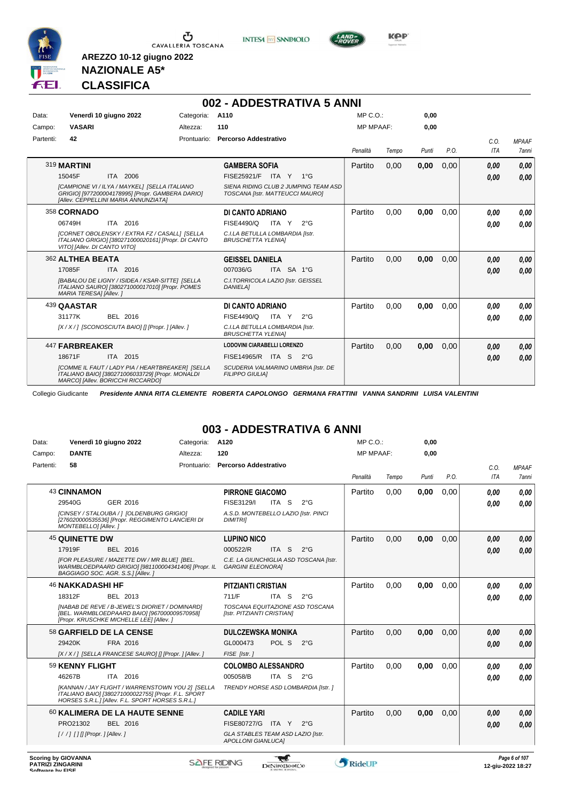





#### **NAZIONALE A5\* CLASSIFICA**

**AREZZO 10-12 giugno 2022**

|           |                              |                                                                                                                                                  |             | 002 - ADDESTRATIVA 5 ANNI                                               |          |                  |       |      |            |              |
|-----------|------------------------------|--------------------------------------------------------------------------------------------------------------------------------------------------|-------------|-------------------------------------------------------------------------|----------|------------------|-------|------|------------|--------------|
| Data:     |                              | Venerdì 10 giugno 2022                                                                                                                           | Categoria:  | A110                                                                    |          | $MP C. O.$ :     | 0,00  |      |            |              |
| Campo:    | <b>VASARI</b>                |                                                                                                                                                  | Altezza:    | 110                                                                     |          | <b>MP MPAAF:</b> | 0,00  |      |            |              |
| Partenti: | 42                           |                                                                                                                                                  | Prontuario: | <b>Percorso Addestrativo</b>                                            |          |                  |       |      | C.O.       | <b>MPAAF</b> |
|           |                              |                                                                                                                                                  |             |                                                                         | Penalità | Tempo            | Punti | P.O. | <b>ITA</b> | 7anni        |
|           | 319 MARTINI                  |                                                                                                                                                  |             | <b>GAMBERA SOFIA</b>                                                    | Partito  | 0.00             | 0,00  | 0.00 | 0.00       | 0,00         |
|           | 15045F                       | ITA 2006                                                                                                                                         |             | FISE25921/F ITA Y 1°G                                                   |          |                  |       |      | 0.00       | 0.00         |
|           |                              | <b>[CAMPIONE VI / ILYA / MAYKEL] [SELLA ITALIANO</b><br>GRIGIO] [977200004178995] [Propr. GAMBERA DARIO]<br>[Allev. CEPPELLINI MARIA ANNUNZIATA] |             | SIENA RIDING CLUB 2 JUMPING TEAM ASD<br>TOSCANA [Istr. MATTEUCCI MAURO] |          |                  |       |      |            |              |
|           | 358 CORNADO                  |                                                                                                                                                  |             | DI CANTO ADRIANO                                                        | Partito  | 0.00             | 0,00  | 0.00 | 0.00       | 0.00         |
|           | 06749H                       | ITA 2016                                                                                                                                         |             | FISE4490/Q<br>ITA Y<br>$2^{\circ}$ G                                    |          |                  |       |      | 0.00       | 0.00         |
|           | VITO] [Allev. DI CANTO VITO] | [CORNET OBOLENSKY / EXTRA FZ / CASALL] [SELLA<br>ITALIANO GRIGIO] [380271000020161] [Propr. DI CANTO                                             |             | C.I.LA BETULLA LOMBARDIA [Istr.<br><b>BRUSCHETTA YLENIA1</b>            |          |                  |       |      |            |              |
|           | 362 ALTHEA BEATA             |                                                                                                                                                  |             | <b>GEISSEL DANIELA</b>                                                  | Partito  | 0,00             | 0,00  | 0,00 | 0.00       | 0.00         |
|           | 17085F                       | ITA 2016                                                                                                                                         |             | 007036/G<br>ITA SA 1°G                                                  |          |                  |       |      | 0.00       | 0.00         |
|           | MARIA TERESA] [Allev.]       | [BABALOU DE LIGNY / ISIDEA / KSAR-SITTE] [SELLA<br>ITALIANO SAURO] [380271000017010] [Propr. POMES                                               |             | C.I. TORRICOLA LAZIO [Istr. GEISSEL<br><b>DANIELA1</b>                  |          |                  |       |      |            |              |
|           | 439 QAASTAR                  |                                                                                                                                                  |             | DI CANTO ADRIANO                                                        | Partito  | 0,00             | 0,00  | 0,00 | 0.00       | 0,00         |
|           | 31177K                       | BEL 2016                                                                                                                                         |             | FISE4490/Q<br>ITA Y<br>$2^{\circ}$ G                                    |          |                  |       |      | 0.00       | 0.00         |
|           |                              | [X/X/] [SCONOSCIUTA BAIO] [] [Propr. ] [Allev. ]                                                                                                 |             | C.I.LA BETULLA LOMBARDIA [Istr.<br><b>BRUSCHETTA YLENIAI</b>            |          |                  |       |      |            |              |
|           | 447 FARBREAKER               |                                                                                                                                                  |             | <b>LODOVINI CIARABELLI LORENZO</b>                                      | Partito  | 0,00             | 0,00  | 0,00 | 0.00       | 0,00         |
|           | 18671F                       | ITA 2015                                                                                                                                         |             | FISE14965/R ITA S<br>$2^{\circ}G$                                       |          |                  |       |      | 0.00       | 0.00         |
|           |                              | [COMME IL FAUT / LADY PIA / HEARTBREAKER] [SELLA<br>ITALIANO BAIO] [380271006033729] [Propr. MONALDI<br>MARCO] [Allev. BORICCHI RICCARDO]        |             | SCUDERIA VALMARINO UMBRIA [Istr. DE<br><b>FILIPPO GIULIAI</b>           |          |                  |       |      |            |              |

Collegio Giudicante *Presidente ANNA RITA CLEMENTE ROBERTA CAPOLONGO GERMANA FRATTINI VANNA SANDRINI LUISA VALENTINI*

#### **003 - ADDESTRATIVA 6 ANNI**

| Data:     | Venerdì 10 giugno 2022                                                                                                                                      | Categoria:  | A120                                                               | MP C.O.: |                  | 0,00  |      |            |              |
|-----------|-------------------------------------------------------------------------------------------------------------------------------------------------------------|-------------|--------------------------------------------------------------------|----------|------------------|-------|------|------------|--------------|
| Campo:    | <b>DANTE</b>                                                                                                                                                | Altezza:    | 120                                                                |          | <b>MP MPAAF:</b> | 0,00  |      |            |              |
| Partenti: | 58                                                                                                                                                          | Prontuario: | <b>Percorso Addestrativo</b>                                       |          |                  |       |      | C.O.       | <b>MPAAF</b> |
|           |                                                                                                                                                             |             |                                                                    | Penalità | Tempo            | Punti | P.O. | <b>ITA</b> | 7anni        |
|           | <b>43 CINNAMON</b>                                                                                                                                          |             | <b>PIRRONE GIACOMO</b>                                             | Partito  | 0.00             | 0,00  | 0,00 | 0,00       | 0.00         |
|           | GER 2016<br>29540G                                                                                                                                          |             | FISE3129/I<br>ITA S<br>$2^{\circ}$ G                               |          |                  |       |      | 0.00       | 0.00         |
|           | [CINSEY / STALOUBA / 1 [OLDENBURG GRIGIO]<br>[276020000535536] [Propr. REGGIMENTO LANCIERI DI<br>MONTEBELLO] [Allev.]                                       |             | A.S.D. MONTEBELLO LAZIO [Istr. PINCI<br><b>DIMITRII</b>            |          |                  |       |      |            |              |
|           | 45 QUINETTE DW                                                                                                                                              |             | <b>LUPINO NICO</b>                                                 | Partito  | 0.00             | 0,00  | 0,00 | 0,00       | 0,00         |
|           | 17919F<br>BEL 2016                                                                                                                                          |             | 000522/R<br>ITA S<br>$2^{\circ}$ G                                 |          |                  |       |      | 0.00       | 0,00         |
|           | [FOR PLEASURE / MAZETTE DW / MR BLUE] [BEL.<br>WARMBLOEDPAARD GRIGIO] [981100004341406] [Propr. IL<br>BAGGIAGO SOC. AGR. S.S.] [Allev.]                     |             | C.E. LA GIUNCHIGLIA ASD TOSCANA [Istr.<br><b>GARGINI ELEONORA]</b> |          |                  |       |      |            |              |
|           | <b>46 NAKKADASHI HF</b>                                                                                                                                     |             | <b>PITZIANTI CRISTIAN</b>                                          | Partito  | 0,00             | 0,00  | 0,00 | 0.00       | 0.00         |
|           | 18312F<br>BEL 2013                                                                                                                                          |             | 711/F<br>ITA S<br>$2^{\circ}$ G                                    |          |                  |       |      | 0,00       | 0.00         |
|           | <b>INABAB DE REVE / B-JEWEL'S DIORIET / DOMINARDI</b><br>[BEL. WARMBLOEDPAARD BAIO] [967000009570958]<br>[Propr. KRUSCHKE MICHELLE LEE] [Allev. ]           |             | TOSCANA EQUITAZIONE ASD TOSCANA<br>[Istr. PITZIANTI CRISTIAN]      |          |                  |       |      |            |              |
|           | 58 GARFIELD DE LA CENSE                                                                                                                                     |             | <b>DULCZEWSKA MONIKA</b>                                           | Partito  | 0.00             | 0,00  | 0.00 | 0,00       | 0,00         |
|           | 29420K<br>FRA 2016                                                                                                                                          |             | GL000473<br>POL S<br>$2^{\circ}G$                                  |          |                  |       |      | 0,00       | 0.00         |
|           | [X / X / ] [SELLA FRANCESE SAURO] [] [Propr. ] [Allev. ]                                                                                                    |             | FISE [Istr.]                                                       |          |                  |       |      |            |              |
|           | 59 KENNY FLIGHT                                                                                                                                             |             | <b>COLOMBO ALESSANDRO</b>                                          | Partito  | 0,00             | 0,00  | 0,00 | 0,00       | 0.00         |
|           | 46267B<br>ITA 2016                                                                                                                                          |             | 005058/B<br>ITA S<br>$2^{\circ}G$                                  |          |                  |       |      | 0,00       | 0,00         |
|           | [KANNAN / JAY FLIGHT / WARRENSTOWN YOU 2] [SELLA<br>ITALIANO BAIO] [380271000022755] [Propr. F.L. SPORT<br>HORSES S.R.L.] [Allev. F.L. SPORT HORSES S.R.L.] |             | TRENDY HORSE ASD LOMBARDIA [Istr. ]                                |          |                  |       |      |            |              |
|           | 60 KALIMERA DE LA HAUTE SENNE                                                                                                                               |             | <b>CADILE YARI</b>                                                 | Partito  | 0.00             | 0,00  | 0,00 | 0,00       | 0,00         |
|           | PRO21302<br>BEL 2016                                                                                                                                        |             | FISE80727/G ITA Y 2°G                                              |          |                  |       |      | 0.00       | 0.00         |
|           |                                                                                                                                                             |             | GLA STABLES TEAM ASD LAZIO [Istr.<br><b>APOLLONI GIANLUCAI</b>     |          |                  |       |      |            |              |
|           |                                                                                                                                                             |             |                                                                    |          |                  |       |      |            |              |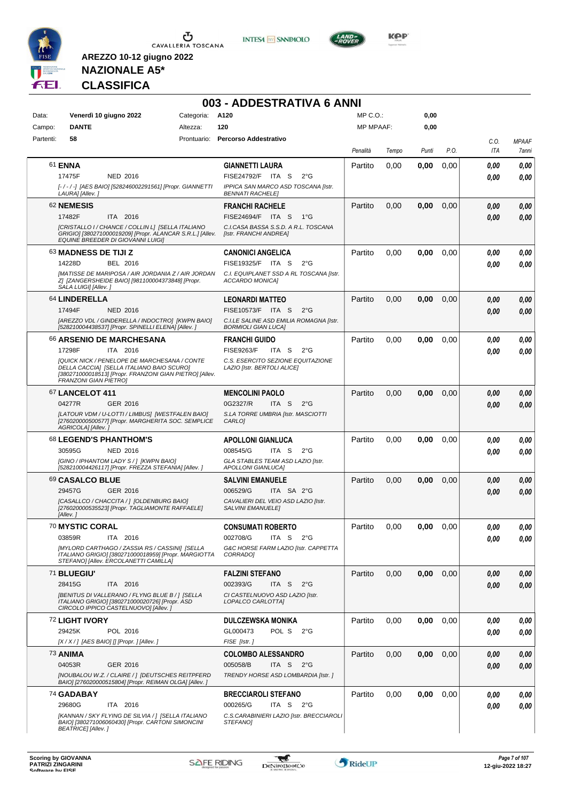





**NAZIONALE A5\* CLASSIFICA**

**AREZZO 10-12 giugno 2022**

#### **003 - ADDESTRATIVA 6 ANNI**

| Data:     | Venerdì 10 giugno 2022                                                                                                                                                                                                                 | Categoria: | A120                                                                                                                                   | MP C.O.:         |       | 0,00  |      |              |                       |
|-----------|----------------------------------------------------------------------------------------------------------------------------------------------------------------------------------------------------------------------------------------|------------|----------------------------------------------------------------------------------------------------------------------------------------|------------------|-------|-------|------|--------------|-----------------------|
| Campo:    | <b>DANTE</b>                                                                                                                                                                                                                           | Altezza:   | 120                                                                                                                                    | <b>MP MPAAF:</b> |       | 0,00  |      |              |                       |
| Partenti: | 58                                                                                                                                                                                                                                     |            | Prontuario: Percorso Addestrativo                                                                                                      | Penalità         | Tempo | Punti | P.O. | C.O.<br>ITA  | <b>MPAAF</b><br>7anni |
|           | 61 ENNA<br>17475F<br><b>NED 2016</b><br>[-/-/-] [AES BAIO] [528246002291561] [Propr. GIANNETTI<br>LAURA] [Allev. ]                                                                                                                     |            | <b>GIANNETTI LAURA</b><br>FISE24792/F ITA S<br>$2^{\circ}$ G<br>IPPICA SAN MARCO ASD TOSCANA [Istr.<br><b>BENNATI RACHELE]</b>         | Partito          | 0,00  | 0,00  | 0,00 | 0.00<br>0.00 | 0,00<br>0,00          |
|           | 62 NEMESIS<br>17482F<br>ITA 2016<br>ICRISTALLO I / CHANCE / COLLIN L] [SELLA ITALIANO<br>GRIGIO] [380271000019209] [Propr. ALANCAR S.R.L.] [Allev.<br>EQUINE BREEDER DI GIOVANNI LUIGI]                                                |            | <b>FRANCHI RACHELE</b><br>FISE24694/F ITA S<br>$1^{\circ}G$<br>C.I.CASA BASSA S.S.D. A R.L. TOSCANA<br>[Istr. FRANCHI ANDREA]          | Partito          | 0,00  | 0,00  | 0,00 | 0,00<br>0,00 | 0,00<br>0,00          |
|           | 63 MADNESS DE TIJI Z<br>14228D<br>BEL 2016<br>[MATISSE DE MARIPOSA / AIR JORDANIA Z / AIR JORDAN<br>Z] [ZANGERSHEIDE BAIO] [981100004373848] [Propr.<br>SALA LUIGI] [Allev. j                                                          |            | <b>CANONICI ANGELICA</b><br>FISE19325/F ITA S<br>$2^{\circ}$ G<br>C.I. EQUIPLANET SSD A RL TOSCANA [Istr.<br>ACCARDO MONICA]           | Partito          | 0,00  | 0,00  | 0,00 | 0,00<br>0.00 | 0,00<br>0,00          |
|           | 64 LINDERELLA<br>17494F<br><b>NED 2016</b><br>[AREZZO VDL / GINDERELLA / INDOCTRO] [KWPN BAIO]<br>[528210004438537] [Propr. SPINELLI ELENA] [Allev. ]                                                                                  |            | <b>LEONARDI MATTEO</b><br>FISE10573/F ITA S<br>$2^{\circ}$ G<br>C.I.LE SALINE ASD EMILIA ROMAGNA [Istr.<br><b>BORMIOLI GIAN LUCAI</b>  | Partito          | 0,00  | 0,00  | 0,00 | 0,00<br>0.00 | 0,00<br>0,00          |
|           | 66 ARSENIO DE MARCHESANA<br>17298F<br>ITA 2016<br>[QUICK NICK / PENELOPE DE MARCHESANA / CONTE<br>DELLA CACCIA] [SELLA ITALIANO BAIO SCURO]<br>[380271000018513] [Propr. FRANZONI GIAN PIETRO] [Allev.<br><b>FRANZONI GIAN PIETRO]</b> |            | <b>FRANCHI GUIDO</b><br><b>FISE9263/F</b><br>ITA S<br>$2^{\circ}G$<br>C.S. ESERCITO SEZIONE EQUITAZIONE<br>LAZIO [Istr. BERTOLI ALICE] | Partito          | 0,00  | 0,00  | 0,00 | 0.00<br>0.00 | 0,00<br>0.00          |
|           | <b>67 LANCELOT 411</b><br>04277R<br>GER 2016<br>[LATOUR VDM / U-LOTTI / LIMBUS] [WESTFALEN BAIO]<br>[276020000500577] [Propr. MARGHERITA SOC. SEMPLICE<br>AGRICOLA] [Allev.]                                                           |            | <b>MENCOLINI PAOLO</b><br>0G2327/R<br>ITA S<br>$2^{\circ}$ G<br>S.LA TORRE UMBRIA [Istr. MASCIOTTI<br>CARLO]                           | Partito          | 0,00  | 0,00  | 0,00 | 0,00<br>0.00 | 0,00<br>0,00          |
|           | 68 LEGEND'S PHANTHOM'S<br>30595G<br><b>NED 2016</b><br>[GINO / IPHANTOM LADY S / ] [KWPN BAIO]<br>[528210004426117] [Propr. FREZZA STEFANIA] [Allev. ]                                                                                 |            | <b>APOLLONI GIANLUCA</b><br>008545/G<br>ITA S<br>$2^{\circ}G$<br>GLA STABLES TEAM ASD LAZIO [Istr.<br><b>APOLLONI GIANLUCA]</b>        | Partito          | 0,00  | 0,00  | 0,00 | 0.00<br>0.00 | 0,00<br>0.00          |
|           | 69 CASALCO BLUE<br>29457G<br>GER 2016<br>[CASALLCO / CHACCITA / ] [OLDENBURG BAIO]<br>[276020000535523] [Propr. TAGLIAMONTE RAFFAELE]<br>[Allev.]                                                                                      |            | <b>SALVINI EMANUELE</b><br>006529/G<br>ITA SA 2°G<br>CAVALIERI DEL VEIO ASD LAZIO [Istr.<br><b>SALVINI EMANUELE]</b>                   | Partito          | 0,00  | 0,00  | 0,00 | 0,00<br>0,00 | 0,00<br>0,00          |
|           | 70 MYSTIC CORAL<br>03859R<br>ITA 2016<br>[MYLORD CARTHAGO / ZASSIA RS / CASSINI] [SELLA<br>ITALIANO GRIGIO] [380271000018959] [Propr. MARGIOTTA<br>STEFANO] [Allev. ERCOLANETTI CAMILLA]                                               |            | <b>CONSUMATI ROBERTO</b><br>002708/G<br>ITA S<br>$2^{\circ}$ G<br>G&C HORSE FARM LAZIO [Istr. CAPPETTA<br>CORRADO]                     | Partito          | 0,00  | 0,00  | 0,00 | 0.00<br>0,00 | 0.00<br>0,00          |
|           | 71 BLUEGIU'<br>28415G<br>ITA 2016<br>[BENITUS DI VALLERANO / FLYNG BLUE B / ] [SELLA<br>ITALIANO GRIGIO] [380271000020726] [Propr. ASD<br>CIRCOLO IPPICO CASTELNUOVOI [Allev.]                                                         |            | <b>FALZINI STEFANO</b><br>002393/G<br>ITA <sub>S</sub><br>$2^{\circ}G$<br>CI CASTELNUOVO ASD LAZIO [Istr.<br>LOPALCO CARLOTTA]         | Partito          | 0,00  | 0,00  | 0,00 | 0,00<br>0.00 | 0,00<br>0,00          |
|           | 72 LIGHT IVORY<br>29425K<br>POL 2016<br>$[X/X/$ ] [AES BAIO] [] [Propr. ] [Allev. ]                                                                                                                                                    |            | <b>DULCZEWSKA MONIKA</b><br>GL000473<br>POL S<br>$2^{\circ}G$<br>FISE [Istr.]                                                          | Partito          | 0,00  | 0,00  | 0,00 | 0.00<br>0,00 | 0,00<br>0,00          |
|           | <b>73 ANIMA</b><br>04053R<br>GER 2016<br>[NOUBALOU W.Z. / CLAIRE / ] [DEUTSCHES REITPFERD<br>BAIO] [276020000515804] [Propr. REIMAN OLGA] [Allev. ]                                                                                    |            | <b>COLOMBO ALESSANDRO</b><br>005058/B<br>ITA S $2^{\circ}G$<br>TRENDY HORSE ASD LOMBARDIA [Istr.]                                      | Partito          | 0,00  | 0,00  | 0,00 | 0.00<br>0.00 | 0,00<br>0,00          |
|           | 74 GADABAY<br>29680G<br>ITA 2016<br>[KANNAN / SKY FLYING DE SILVIA /] [SELLA ITALIANO<br>BAIO] [380271006060430] [Propr. CARTONI SIMONCINI<br><b>BEATRICE]</b> [Allev.]                                                                |            | <b>BRECCIAROLI STEFANO</b><br>000265/G<br>ITA S<br>$2^{\circ}$ G<br>C.S.CARABINIERI LAZIO [Istr. BRECCIAROLI<br>STEFANO]               | Partito          | 0,00  | 0,00  | 0,00 | 0.00<br>0.00 | 0,00<br>0,00          |

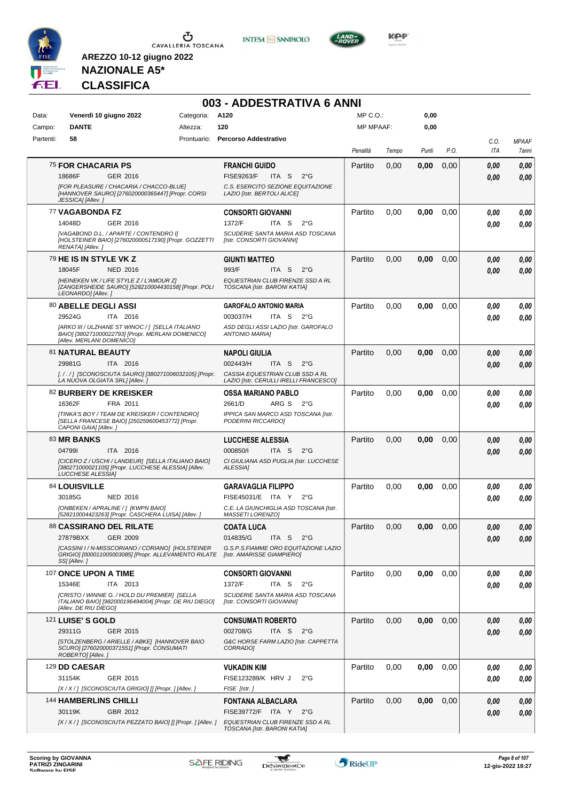

**INTESA M** SANPAOLO



**KOP** 

# **NAZIONALE A5\* CLASSIFICA**

|           |                                                                                                                                       |                 | 003 - ADDESTRATIVA 6 ANNI                                                 |                  |       |       |      |      |              |
|-----------|---------------------------------------------------------------------------------------------------------------------------------------|-----------------|---------------------------------------------------------------------------|------------------|-------|-------|------|------|--------------|
| Data:     | Venerdì 10 giugno 2022                                                                                                                | Categoria: A120 |                                                                           | MP C.O.:         |       | 0,00  |      |      |              |
| Campo:    | <b>DANTE</b>                                                                                                                          | Altezza:        | 120                                                                       | <b>MP MPAAF:</b> |       | 0,00  |      |      |              |
| Partenti: | 58                                                                                                                                    |                 | Prontuario: Percorso Addestrativo                                         |                  |       |       |      | C.O. | <b>MPAAF</b> |
|           |                                                                                                                                       |                 |                                                                           | Penalità         | Tempo | Punti | P.O. | ITA  | 7anni        |
|           | <b>75 FOR CHACARIA PS</b>                                                                                                             |                 | <b>FRANCHI GUIDO</b>                                                      | Partito          | 0.00  | 0,00  | 0,00 | 0,00 | 0,00         |
|           | GER 2016<br>18686F                                                                                                                    |                 | <b>FISE9263/F</b><br>ITA S<br>$2^{\circ}$ G                               |                  |       |       |      | 0.00 | 0,00         |
|           | [FOR PLEASURE / CHACARIA / CHACCO-BLUE]<br>[HANNOVER SAURO] [276020000365447] [Propr. CORSI<br>JESSICA] [Allev.]                      |                 | C.S. ESERCITO SEZIONE EQUITAZIONE<br>LAZIO [Istr. BERTOLI ALICE]          |                  |       |       |      |      |              |
|           | 77 VAGABONDA FZ                                                                                                                       |                 | <b>CONSORTI GIOVANNI</b>                                                  | Partito          | 0,00  | 0,00  | 0,00 | 0.00 | 0,00         |
|           | GER 2016<br>14048D                                                                                                                    |                 | 1372/F<br>ITA <sub>S</sub><br>$2^{\circ}$ G                               |                  |       |       |      | 0.00 | 0,00         |
|           | [VAGABOND D.L. / APARTE / CONTENDRO I]<br>[HOLSTEINER BAIO] [276020000517190] [Propr. GOZZETTI<br>RENATA] [Allev.]                    |                 | SCUDERIE SANTA MARIA ASD TOSCANA<br>[Istr. CONSORTI GIOVANNI]             |                  |       |       |      |      |              |
|           | <sup>79</sup> HE IS IN STYLE VK Z                                                                                                     |                 | <b>GIUNTI MATTEO</b>                                                      | Partito          | 0,00  | 0,00  | 0,00 | 0,00 | 0,00         |
|           | 18045F<br><b>NED 2016</b>                                                                                                             |                 | 993/F<br>ITA S<br>$2^{\circ}$ G                                           |                  |       |       |      | 0.00 | 0.00         |
|           | [HEINEKEN VK / LIFE STYLE Z / L'AMOUR Z]<br>[ZANGERSHEIDE SAURO] [528210004430158] [Propr. POLI<br>LEONARDO] [Allev.]                 |                 | EQUESTRIAN CLUB FIRENZE SSD A RL<br>TOSCANA [Istr. BARONI KATIA]          |                  |       |       |      |      |              |
|           | 80 ABELLE DEGLI ASSI                                                                                                                  |                 | <b>GAROFALO ANTONIO MARIA</b>                                             | Partito          | 0,00  | 0,00  | 0,00 | 0.00 | 0,00         |
|           | 29524G<br>ITA 2016                                                                                                                    |                 | 003037/H<br>ITA S<br>$2^{\circ}G$                                         |                  |       |       |      | 0.00 | 0.00         |
|           | [ARKO III / ULZHANE ST WINOC / ] [SELLA ITALIANO<br>BAIO] [380271000022793] [Propr. MERLANI DOMENICO]<br>[Allev. MERLANI DOMENICO]    |                 | ASD DEGLI ASSI LAZIO [Istr. GAROFALO<br><b>ANTONIO MARIAI</b>             |                  |       |       |      |      |              |
|           | 81 NATURAL BEAUTY                                                                                                                     |                 | <b>NAPOLI GIULIA</b>                                                      | Partito          | 0,00  | 0,00  | 0,00 | 0.00 | 0,00         |
|           | 29981G<br>ITA 2016                                                                                                                    |                 | 002443/H<br>ITA S<br>$2^{\circ}G$                                         |                  |       |       |      | 0.00 | 0.00         |
|           | [././] [SCONOSCIUTA SAURO] [380271006032105] [Propr.<br>LA NUOVA OLGIATA SRL] [Allev.]                                                |                 | CASSIA EQUESTRIAN CLUB SSD A RL<br>LAZIO [Istr. CERULLI IRELLI FRANCESCO] |                  |       |       |      |      |              |
|           | 82 BURBERY DE KREISKER                                                                                                                |                 | <b>OSSA MARIANO PABLO</b>                                                 | Partito          | 0.00  | 0,00  | 0,00 | 0.00 | 0,00         |
|           | 16362F<br>FRA 2011                                                                                                                    |                 | 2661/D<br>ARG S<br>$2^{\circ}$ G                                          |                  |       |       |      | 0.00 | 0.00         |
|           | [TINKA'S BOY / TEAM DE KREISKER / CONTENDRO]<br>[SELLA FRANCESE BAIO] [250259600453772] [Propr.<br>CAPONI GAIA] [Allev.]              |                 | IPPICA SAN MARCO ASD TOSCANA [Istr.<br>PODERINI RICCARDO]                 |                  |       |       |      |      |              |
|           | 83 MR BANKS                                                                                                                           |                 | <b>LUCCHESE ALESSIA</b>                                                   | Partito          | 0.00  | 0,00  | 0,00 | 0,00 | 0,00         |
|           | 047991<br>ITA 2016                                                                                                                    |                 | 000850/l<br>ITA S<br>$2^{\circ}$ G                                        |                  |       |       |      | 0.00 | 0.00         |
|           | [CICERO Z / USCHI / LANDEUR] [SELLA ITALIANO BAIO]<br>[380271000021105] [Propr. LUCCHESE ALESSIA] [Allev.<br><b>LUCCHESE ALESSIA]</b> |                 | CI GIULIANA ASD PUGLIA [Istr. LUCCHESE<br><b>ALESSIA1</b>                 |                  |       |       |      |      |              |
|           | 84 LOUISVILLE                                                                                                                         |                 | <b>GARAVAGLIA FILIPPO</b>                                                 | Partito          | 0,00  | 0,00  | 0,00 | 0,00 | 0,00         |
|           | <b>NED 2016</b><br>30185G                                                                                                             |                 | FISE45031/E ITA Y<br>$2^{\circ}$ G                                        |                  |       |       |      | 0,00 | 0.00         |
|           | [ONBEKEN / APRALINE / ] [KWPN BAIO]<br>[528210004423263] [Propr. CASCHERA LUISA] [Allev. ]                                            |                 | C.E. LA GIUNCHIGLIA ASD TOSCANA [Istr.<br><b>MASSETI LORENZO]</b>         |                  |       |       |      |      |              |
|           | 88 CASSIRANO DEL RILATE                                                                                                               |                 | <b>COATA LUCA</b>                                                         | Partito          | 0,00  | 0,00  | 0,00 | 0,00 | 0,00         |
|           | 27879BXX<br>GER 2009                                                                                                                  |                 | 014835/G<br>ITA S<br>$2^{\circ}$ G                                        |                  |       |       |      | 0,00 | 0,00         |
|           | [CASSINI I / N-MISSCORIANO / CORIANO] [HOLSTEINER<br>GRIGIO] [000011005003085] [Propr. ALLEVAMENTO RILATE<br>SS] [Allev.]             |                 | G.S.P.S.FIAMME ORO EQUITAZIONE LAZIO<br>[Istr. AMARISSE GIAMPIERO]        |                  |       |       |      |      |              |
|           | 107 ONCE UPON A TIME                                                                                                                  |                 | <b>CONSORTI GIOVANNI</b>                                                  | Partito          | 0,00  | 0,00  | 0,00 | 0,00 | 0,00         |
|           | 15346E<br>ITA 2013                                                                                                                    |                 | 1372/F<br>ITA S<br>$2^{\circ}G$                                           |                  |       |       |      | 0,00 | 0,00         |
|           | [CRISTO / WINNIE G. / HOLD DU PREMIER] [SELLA<br>ITALIANO BAIO] [982000196494004] [Propr. DE RIU DIEGO]<br>[Allev. DE RIU DIEGO]      |                 | SCUDERIE SANTA MARIA ASD TOSCANA<br>[Istr. CONSORTI GIOVANNI]             |                  |       |       |      |      |              |
|           | 121 LUISE'S GOLD                                                                                                                      |                 | <b>CONSUMATI ROBERTO</b>                                                  | Partito          | 0.00  | 0,00  | 0,00 | 0,00 | 0,00         |
|           | GER 2015<br>29311G                                                                                                                    |                 | 002708/G<br>ITA S<br>$2^{\circ}G$                                         |                  |       |       |      | 0,00 | 0,00         |
|           | [STOLZENBERG / ARIELLE / ABKE] [HANNOVER BAIO<br>SCURO] [276020000371551] [Propr. CONSUMATI<br>ROBERTO] [Allev.]                      |                 | G&C HORSE FARM LAZIO [Istr. CAPPETTA<br>CORRADOI                          |                  |       |       |      |      |              |
|           | 129 DD CAESAR                                                                                                                         |                 | VUKADIN KIM                                                               | Partito          | 0,00  | 0,00  | 0,00 | 0,00 | 0,00         |
|           | GER 2015<br>31154K                                                                                                                    |                 | FISE123289/K HRV J<br>$2^{\circ}G$                                        |                  |       |       |      | 0.00 | 0,00         |
|           | [X / X / ] [SCONOSCIUTA GRIGIO] [] [Propr. ] [Allev. ]                                                                                |                 | FISE [Istr.]                                                              |                  |       |       |      |      |              |
|           | 144 HAMBERLINS CHILLI                                                                                                                 |                 | FONTANA ALBACLARA                                                         | Partito          | 0,00  | 0,00  | 0,00 | 0,00 | 0,00         |
|           | 30119K<br>GBR 2012<br>[X / X / ] [SCONOSCIUTA PEZZATO BAIO] [] [Propr. ] [Allev. ]                                                    |                 | FISE39772/F ITA Y 2°G<br>EQUESTRIAN CLUB FIRENZE SSD A RL                 |                  |       |       |      | 0,00 | 0,00         |
|           |                                                                                                                                       |                 | TOSCANA [Istr. BARONI KATIA]                                              |                  |       |       |      |      |              |

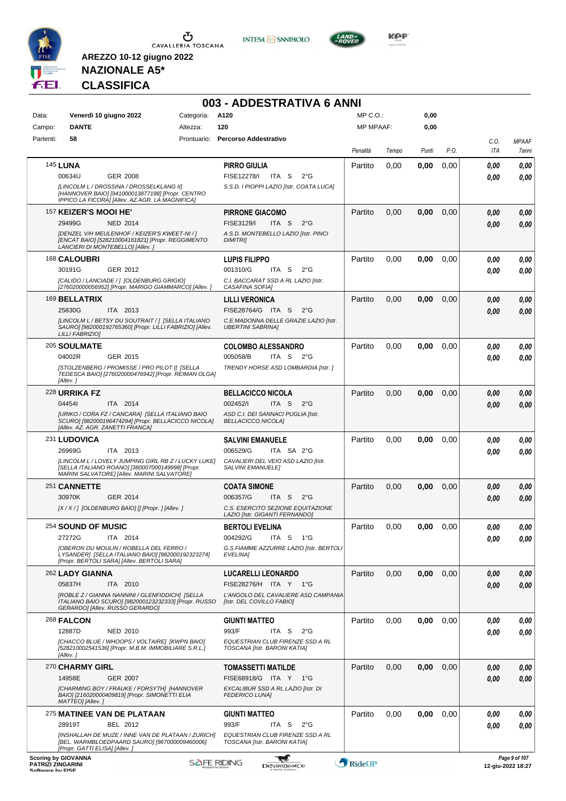

 $\sigma$  cavalleria toscana

**INTESA M** SANPAOLO



**KOP** 

# **NAZIONALE A5\* CLASSIFICA**

|                                              |                               |                                                                                                                                             |                    | 003 - ADDESTRATIVA 6 ANNI                                                            |                  |       |       |      |             |                                    |
|----------------------------------------------|-------------------------------|---------------------------------------------------------------------------------------------------------------------------------------------|--------------------|--------------------------------------------------------------------------------------|------------------|-------|-------|------|-------------|------------------------------------|
| Data:                                        |                               | Venerdì 10 giugno 2022                                                                                                                      | Categoria: A120    |                                                                                      | $MP C. O.$ :     |       | 0,00  |      |             |                                    |
| Campo:                                       | <b>DANTE</b>                  |                                                                                                                                             | Altezza:           | 120                                                                                  | <b>MP MPAAF:</b> |       | 0,00  |      |             |                                    |
| Partenti:                                    | 58                            |                                                                                                                                             |                    | Prontuario: Percorso Addestrativo                                                    | Penalità         | Tempo | Punti | P.O. | C.O.<br>ITA | <b>MPAAF</b><br>7anni              |
|                                              | <b>145 LUNA</b>               |                                                                                                                                             |                    | <b>PIRRO GIULIA</b>                                                                  | Partito          | 0,00  | 0,00  | 0,00 | 0.00        | 0,00                               |
|                                              | 00634U                        | <b>GER 2008</b><br>[LINCOLM L / DROSSINA / DROSSELKLANG II]<br>[HANNOVER BAIO] [941000013877198] [Propr. CENTRO                             |                    | FISE12278/I<br>ITA S<br>$2^{\circ}$ G<br>S.S.D. I PIOPPI LAZIO [Istr. COATA LUCA]    |                  |       |       |      | 0.00        | 0.00                               |
|                                              |                               | IPPICO LA FICORA] [Allev. AZ.AGR. LA MAGNIFICA]                                                                                             |                    |                                                                                      |                  |       |       |      |             |                                    |
|                                              | 157 KEIZER'S MOOI HE'         | <b>NED 2014</b>                                                                                                                             |                    | <b>PIRRONE GIACOMO</b><br>$2^{\circ}$ G                                              | Partito          | 0,00  | 0,00  | 0,00 | 0,00        | 0,00                               |
|                                              | 29499G                        | [DENZEL V/H MEULENHOF / KEIZER'S KWEET-NI / ]<br>[ENCAT BAIO] [528210004161821] [Propr. REGGIMENTO<br>LANCIERI DI MONTEBELLO] [Allev.]      |                    | FISE3129/I<br>ITA S<br>A.S.D. MONTEBELLO LAZIO [Istr. PINCI<br><b>DIMITRII</b>       |                  |       |       |      | 0.00        | 0.00                               |
|                                              | 168 CALOUBRI                  |                                                                                                                                             |                    | <b>LUPIS FILIPPO</b>                                                                 | Partito          | 0,00  | 0,00  | 0,00 | 0.00        | 0,00                               |
|                                              | 30191G                        | GER 2012                                                                                                                                    |                    | 001310/G<br>ITA S<br>$2^{\circ}$ G                                                   |                  |       |       |      | 0.00        | 0.00                               |
|                                              |                               | [CALIDO / LANCIADE / ] [OLDENBURG GRIGIO]<br>[276020000056952] [Propr. MARIGO GIAMMARCO] [Allev. ]                                          |                    | C.I. BACCARAT SSD A RL LAZIO [Istr.<br>CASAFINA SOFIA]                               |                  |       |       |      |             |                                    |
|                                              | 169 BELLATRIX                 |                                                                                                                                             |                    | <b>LILLI VERONICA</b>                                                                | Partito          | 0.00  | 0,00  | 0,00 | 0.00        | 0,00                               |
|                                              | 25830G                        | ITA 2013                                                                                                                                    |                    | FISE28764/G ITA S<br>$2^{\circ}G$                                                    |                  |       |       |      | 0.00        | 0.00                               |
|                                              | <b>LILLI FABRIZIOI</b>        | [LINCOLM L / BETSY DU SOUTRAIT / ] [SELLA ITALIANO<br>SAURO] [982000192765360] [Propr. LILLI FABRIZIO] [Allev.                              |                    | C.E.MADONNA DELLE GRAZIE LAZIO [Istr.<br><b>UBERTINI SABRINA]</b>                    |                  |       |       |      |             |                                    |
|                                              | 205 SOULMATE                  |                                                                                                                                             |                    | <b>COLOMBO ALESSANDRO</b>                                                            | Partito          | 0,00  | 0,00  | 0,00 | 0.00        | 0,00                               |
|                                              | 04002R                        | GER 2015                                                                                                                                    |                    | 005058/B<br>ITA S<br>$2^{\circ}$ G                                                   |                  |       |       |      | 0.00        | 0.00                               |
|                                              | [Allev.]                      | [STOLZENBERG / PROMISSE / PRO PILOT I] [SELLA<br>TEDESCA BAIO] [276020000476942] [Propr. REIMAN OLGA]                                       |                    | TRENDY HORSE ASD LOMBARDIA [Istr.]                                                   |                  |       |       |      |             |                                    |
|                                              | 228 URRIKA FZ                 |                                                                                                                                             |                    | <b>BELLACICCO NICOLA</b>                                                             | Partito          | 0.00  | 0,00  | 0,00 | 0.00        | 0,00                               |
|                                              | 044541                        | ITA 2014                                                                                                                                    |                    | 002452/I<br>ITA S<br>$2^{\circ}$ G                                                   |                  |       |       |      | 0.00        | 0.00                               |
|                                              |                               | [URIKO / CORA FZ / CANCARA] [SELLA ITALIANO BAIO<br>SCURO] [982000196474294] [Propr. BELLACICCO NICOLA]<br>[Allev. AZ. AGR. ZANETTI FRANCA] |                    | ASD C.I. DEI SANNACI PUGLIA [Istr.<br><b>BELLACICCO NICOLAI</b>                      |                  |       |       |      |             |                                    |
|                                              | 231 LUDOVICA                  |                                                                                                                                             |                    | <b>SALVINI EMANUELE</b>                                                              | Partito          | 0,00  | 0,00  | 0.00 | 0,00        | 0,00                               |
|                                              | 26969G                        | ITA 2013<br>[LINCOLM L / LOVELY JUMPING GIRL RB Z / LUCKY LUKE]                                                                             |                    | 006529/G<br>ITA SA 2°G<br>CAVALIERI DEL VEIO ASD LAZIO [Istr.                        |                  |       |       |      | 0.00        | 0.00                               |
|                                              |                               | [SELLA ITALIANO ROANO] [380007000149998] [Propr.<br>MARINI SALVATORE] [Allev. MARINI SALVATORE]                                             |                    | <b>SALVINI EMANUELEI</b>                                                             |                  |       |       |      |             |                                    |
|                                              | 251 CANNETTE                  |                                                                                                                                             |                    | <b>COATA SIMONE</b>                                                                  | Partito          | 0,00  | 0,00  | 0,00 | 0.00        | 0,00                               |
|                                              | 30970K                        | GER 2014                                                                                                                                    |                    | 006357/G<br>ITA S<br>$2^{\circ}$ G                                                   |                  |       |       |      | 0.00        | 0.00                               |
|                                              |                               | [X / X / ] [OLDENBURG BAIO] [] [Propr. ] [Allev. ]                                                                                          |                    | C.S. ESERCITO SEZIONE EQUITAZIONE<br>LAZIO [Istr. GIGANTI FERNANDO]                  |                  |       |       |      |             |                                    |
|                                              | 254 SOUND OF MUSIC            |                                                                                                                                             |                    | <b>BERTOLI EVELINA</b>                                                               | Partito          | 0,00  | 0,00  | 0,00 | 0,00        | 0,00                               |
|                                              | 27272G                        | ITA 2014                                                                                                                                    |                    | 004292/G<br>ITA S<br>1°G                                                             |                  |       |       |      | 0.00        | 0.00                               |
|                                              |                               | [OBERON DU MOULIN / ROBELLA DEL FERRO /<br>LYSANDER] [SELLA ITALIANO BAIO] [982000192323274]<br>[Propr. BERTOLI SARA] [Allev. BERTOLI SARA] |                    | G.S.FIAMME AZZURRE LAZIO [Istr. BERTOLI<br>EVELINA]                                  |                  |       |       |      |             |                                    |
|                                              | 262 LADY GIANNA               |                                                                                                                                             |                    | LUCARELLI LEONARDO                                                                   | Partito          | 0,00  | 0,00  | 0,00 | 0,00        | 0,00                               |
|                                              | 05837H                        | ITA 2010                                                                                                                                    |                    | FISE28276/H ITA Y 1°G                                                                |                  |       |       |      | 0,00        | 0,00                               |
|                                              |                               | [ROBLE Z / GIANNA NANNINI / GLENFIDDICH] [SELLA<br>ITALIANO BAIO SCURO] [982000123232333] [Propr. RUSSO<br>GERARDO] [Allev. RUSSO GERARDO]  |                    | L'ANGOLO DEL CAVALIERE ASD CAMPANIA<br>[Istr. DEL COVILLO FABIO]                     |                  |       |       |      |             |                                    |
|                                              | 268 FALCON                    |                                                                                                                                             |                    | GIUNTI MATTEO                                                                        | Partito          | 0,00  | 0,00  | 0,00 | 0,00        | 0,00                               |
|                                              | 12887D                        | NED 2010                                                                                                                                    |                    | 993/F<br>ITA S<br>$2^{\circ}$ G                                                      |                  |       |       |      | 0.00        | 0,00                               |
|                                              | [Allev.]                      | [CHACCO BLUE / WHOOPS / VOLTAIRE] [KWPN BAIO]<br>[528210002541536] [Propr. M.B.M. IMMOBILIARE S.R.L.]                                       |                    | EQUESTRIAN CLUB FIRENZE SSD A RL<br>TOSCANA [Istr. BARONI KATIA]                     |                  |       |       |      |             |                                    |
|                                              | 270 CHARMY GIRL               |                                                                                                                                             |                    | <b>TOMASSETTI MATILDE</b>                                                            | Partito          | 0,00  | 0,00  | 0,00 | 0,00        | 0,00                               |
|                                              | 14958E<br>MATTEO] [Allev.]    | <b>GER 2007</b><br>[CHARMING BOY / FRAUKE / FORSYTH] [HANNOVER<br>BAIO] [216020000409819] [Propr. SIMONETTI ELIA                            |                    | FISE68918/G ITA Y 1°G<br>EXCALIBUR SSD A RL LAZIO [Istr. DI<br><b>FEDERICO LUNA]</b> |                  |       |       |      | 0.00        | 0,00                               |
|                                              |                               | 275 MATINEE VAN DE PLATAAN                                                                                                                  |                    | GIUNTI MATTEO                                                                        | Partito          | 0,00  | 0,00  | 0,00 | 0,00        | 0,00                               |
|                                              | 28919T                        | BEL 2012                                                                                                                                    |                    | 993/F<br>ITA S<br>$2^{\circ}G$                                                       |                  |       |       |      | 0,00        | 0,00                               |
|                                              | [Propr. GATTI ELISA] [Allev.] | [INSHALLAH DE MUZE / INNE VAN DE PLATAAN / ZURICH]<br>[BEL. WARMBLOEDPAARD SAURO] [967000009460006]                                         |                    | EQUESTRIAN CLUB FIRENZE SSD A RL<br>TOSCANA [Istr. BARONI KATIA]                     |                  |       |       |      |             |                                    |
| <b>PATRIZI ZINGARINI</b><br>Coffware by EICE | <b>Scoring by GIOVANNA</b>    |                                                                                                                                             | <b>SAFE RIDING</b> | 大志<br><b>DeNiroBootCo</b>                                                            | RideUP           |       |       |      |             | Page 9 of 107<br>12-giu-2022 18:27 |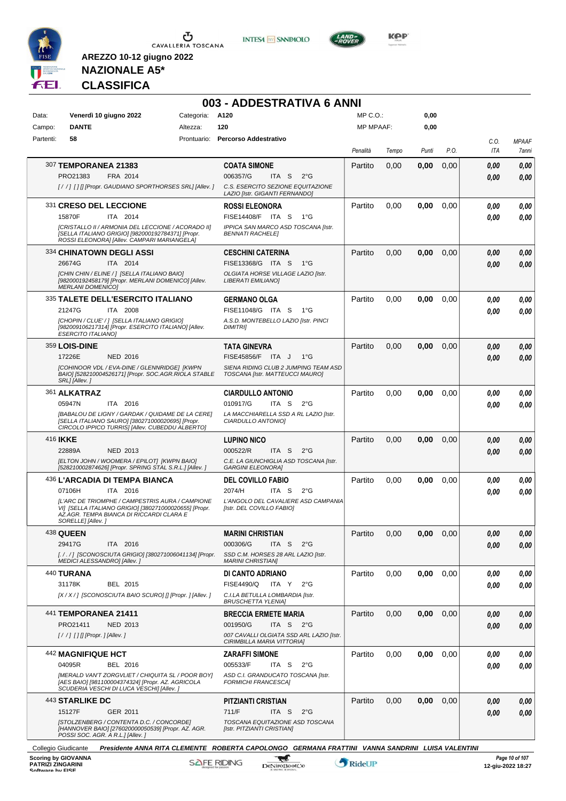

**INTESA M** SANPAOLO



**KOP** 

# **NAZIONALE A5\* CLASSIFICA**

| Campo:<br>Partenti: | <b>DANTE</b>                                                                                                                                           | Altezza:    | 120                                                                          | <b>MP MPAAF:</b> |       | 0,00  |      |              |                       |
|---------------------|--------------------------------------------------------------------------------------------------------------------------------------------------------|-------------|------------------------------------------------------------------------------|------------------|-------|-------|------|--------------|-----------------------|
|                     |                                                                                                                                                        |             |                                                                              |                  |       |       |      |              |                       |
|                     | 58                                                                                                                                                     | Prontuario: | <b>Percorso Addestrativo</b>                                                 | Penalità         | Tempo | Punti | P.O. | C.O.<br>ITA  | <b>MPAAF</b><br>7anni |
|                     |                                                                                                                                                        |             |                                                                              |                  |       |       |      |              | 0,00                  |
|                     | 307 TEMPORANEA 21383<br>PRO21383<br>FRA 2014                                                                                                           |             | <b>COATA SIMONE</b><br>006357/G<br>ITA S<br>$2^{\circ}$ G                    | Partito          | 0,00  | 0,00  | 0,00 | 0,00<br>0.00 |                       |
|                     | [/ /] [] [] [Propr. GAUDIANO SPORTHORSES SRL] [Allev. ]                                                                                                |             | C.S. ESERCITO SEZIONE EQUITAZIONE                                            |                  |       |       |      |              |                       |
|                     | 331 CRESO DEL LECCIONE                                                                                                                                 |             | LAZIO [Istr. GIGANTI FERNANDO]<br><b>ROSSI ELEONORA</b>                      | Partito          | 0,00  | 0,00  | 0,00 | 0,00         |                       |
|                     | 15870F<br>ITA 2014                                                                                                                                     |             | FISE14408/F ITA S<br>1°G                                                     |                  |       |       |      | 0.00         |                       |
|                     | [CRISTALLO II / ARMONIA DEL LECCIONE / ACORADO II]<br>[SELLA ITALIANO GRIGIO] [982000192784371] [Propr.<br>ROSSI ELEONORA] [Allev. CAMPARI MARIANGELA] |             | IPPICA SAN MARCO ASD TOSCANA [Istr.<br><b>BENNATI RACHELE]</b>               |                  |       |       |      |              |                       |
|                     | 334 CHINATOWN DEGLI ASSI                                                                                                                               |             | <b>CESCHINI CATERINA</b>                                                     | Partito          | 0,00  | 0,00  | 0,00 | 0,00         |                       |
|                     | 26674G<br>ITA 2014                                                                                                                                     |             | FISE13368/G ITA S<br>$1^{\circ}G$                                            |                  |       |       |      | 0.00         |                       |
|                     | [CHIN CHIN / ELINE / ] [SELLA ITALIANO BAIO]<br>[982000192458179] [Propr. MERLANI DOMENICO] [Allev.<br><b>MERLANI DOMENICO]</b>                        |             | OLGIATA HORSE VILLAGE LAZIO [Istr.<br><b>LIBERATI EMILIANOI</b>              |                  |       |       |      |              |                       |
|                     | 335 TALETE DELL'ESERCITO ITALIANO                                                                                                                      |             | <b>GERMANO OLGA</b>                                                          | Partito          | 0,00  | 0,00  | 0,00 | 0.00         |                       |
|                     | 21247G<br>ITA 2008                                                                                                                                     |             | FISE11048/G ITA S<br>1°G                                                     |                  |       |       |      | 0.00         |                       |
|                     | [CHOPIN / CLUE' / ] [SELLA ITALIANO GRIGIO]<br>[982009106217314] [Propr. ESERCITO ITALIANO] [Allev.<br><b>ESERCITO ITALIANO]</b>                       |             | A.S.D. MONTEBELLO LAZIO [Istr. PINCI<br><b>DIMITRII</b>                      |                  |       |       |      |              |                       |
|                     | <b>359 LOIS-DINE</b>                                                                                                                                   |             | <b>TATA GINEVRA</b>                                                          | Partito          | 0,00  | 0,00  | 0,00 | 0.00         |                       |
|                     | 17226E<br>NED 2016                                                                                                                                     |             | FISE45856/F ITA J<br>$1^{\circ}G$                                            |                  |       |       |      | 0.00         |                       |
|                     | [COHINOOR VDL / EVA-DINE / GLENNRIDGE] [KWPN<br>BAIO] [528210004526171] [Propr. SOC.AGR.RIOLA STABLE<br>SRL] [Allev.]                                  |             | SIENA RIDING CLUB 2 JUMPING TEAM ASD<br>TOSCANA [Istr. MATTEUCCI MAURO]      |                  |       |       |      |              |                       |
|                     | 361 ALKATRAZ                                                                                                                                           |             | <b>CIARDULLO ANTONIO</b>                                                     | Partito          | 0,00  | 0,00  | 0,00 | 0.00         |                       |
|                     | 05947N<br>ITA 2016<br>[BABALOU DE LIGNY / GARDAK / QUIDAME DE LA CERE]                                                                                 |             | 010917/G<br>ITA S<br>$2^{\circ}G$<br>LA MACCHIARELLA SSD A RL LAZIO [Istr.   |                  |       |       |      | 0.00         |                       |
|                     | [SELLA ITALIANO SAURO] [380271000020695] [Propr.<br>CIRCOLO IPPICO TURRIS] [Allev. CUBEDDU ALBERTO]                                                    |             | CIARDULLO ANTONIO]                                                           |                  |       |       |      |              |                       |
| 416 <b>IKKE</b>     |                                                                                                                                                        |             | <b>LUPINO NICO</b>                                                           | Partito          | 0,00  | 0,00  | 0,00 | 0,00         |                       |
|                     | NED 2013<br>22889A<br>[ELTON JOHN / WOOMERA / EPILOT] [KWPN BAIO]                                                                                      |             | 000522/R<br>ITA S<br>$2^{\circ}$ G<br>C.E. LA GIUNCHIGLIA ASD TOSCANA [Istr. |                  |       |       |      | 0.00         |                       |
|                     | [528210002874626] [Propr. SPRING STAL S.R.L.] [Allev.]                                                                                                 |             | <b>GARGINI ELEONORA]</b>                                                     |                  |       |       |      |              |                       |
|                     | 436 L'ARCADIA DI TEMPA BIANCA<br>07106H<br>ITA 2016                                                                                                    |             | <b>DEL COVILLO FABIO</b><br>2074/H<br>ITA <sub>S</sub><br>$2^{\circ}G$       | Partito          | 0,00  | 0,00  | 0.00 | 0,00         |                       |
|                     | IL'ARC DE TRIOMPHE / CAMPESTRIS AURA / CAMPIONE                                                                                                        |             | L'ANGOLO DEL CAVALIERE ASD CAMPANIA                                          |                  |       |       |      | 0,00         |                       |
|                     | VI] [SELLA ITALIANO GRIGIO] [380271000020655] [Propr.<br>AZ.AGR. TEMPA BIANCA DI RICCARDI CLARA E<br>SORELLE] [Allev.]                                 |             | [Istr. DEL COVILLO FABIO]                                                    |                  |       |       |      |              |                       |
| 438 QUEEN           |                                                                                                                                                        |             | <b>MARINI CHRISTIAN</b>                                                      | Partito          | 0,00  | 0,00  | 0,00 | 0,00         |                       |
|                     | 29417G<br>ITA 2016                                                                                                                                     |             | 000306/G<br>ITA <sub>S</sub><br>$2^{\circ}$ G                                |                  |       |       |      | 0,00         |                       |
|                     | [././] [SCONOSCIUTA GRIGIO] [380271006041134] [Propr.<br>MEDICI ALESSANDRO] [Allev.]                                                                   |             | SSD C.M. HORSES 28 ARL LAZIO [Istr.<br><b>MARINI CHRISTIAN]</b>              |                  |       |       |      |              |                       |
|                     | 440 TURANA                                                                                                                                             |             | DI CANTO ADRIANO                                                             | Partito          | 0,00  | 0,00  | 0,00 | 0.00         |                       |
|                     | 31178K<br>BEL 2015                                                                                                                                     |             | FISE4490/Q<br>ITA Y<br>$2^{\circ}G$                                          |                  |       |       |      | 0.00         |                       |
|                     | [X / X / ] [SCONOSCIUTA BAIO SCURO] [] [Propr. ] [Allev. ]                                                                                             |             | C.I.LA BETULLA LOMBARDIA [Istr.<br><b>BRUSCHETTA YLENIA]</b>                 |                  |       |       |      |              |                       |
|                     | 441 TEMPORANEA 21411                                                                                                                                   |             | <b>BRECCIA ERMETE MARIA</b>                                                  | Partito          | 0,00  | 0,00  | 0,00 | 0,00         |                       |
|                     | PRO21411<br><b>NED 2013</b>                                                                                                                            |             | 001950/G<br>ITA S $2^{\circ}G$                                               |                  |       |       |      | 0,00         |                       |
|                     | [/ /] [] [] [Propr. ] [Allev. ]                                                                                                                        |             | 007 CAVALLI OLGIATA SSD ARL LAZIO [Istr.<br>CIRIMBILLA MARIA VITTORIA]       |                  |       |       |      |              |                       |
|                     | 442 MAGNIFIQUE HCT                                                                                                                                     |             | <b>ZARAFFI SIMONE</b>                                                        | Partito          | 0,00  | 0,00  | 0,00 | 0.00         |                       |
|                     | 04095R<br>BEL 2016                                                                                                                                     |             | 005533/F<br>ITA S<br>$2^{\circ}$ G                                           |                  |       |       |      | 0.00         |                       |
|                     | [MERALD VAN'T ZORGVLIET / CHIQUITA SL / POOR BOY]<br>[AES BAIO] [981100004374324] [Propr. AZ. AGRICOLA<br>SCUDERIA VESCHI DI LUCA VESCHI] [Allev.]     |             | ASD C.I. GRANDUCATO TOSCANA [Istr.<br>FORMICHI FRANCESCAJ                    |                  |       |       |      |              |                       |
|                     | <b>443 STARLIKE DC</b>                                                                                                                                 |             | PITZIANTI CRISTIAN                                                           | Partito          | 0,00  | 0,00  | 0,00 | 0,00         |                       |
|                     | 15127F<br>GER 2011<br>[STOLZENBERG / CONTENTA D.C. / CONCORDE]                                                                                         |             | 711/F<br>ITA S<br>2°G<br>TOSCANA EQUITAZIONE ASD TOSCANA                     |                  |       |       |      | 0,00         |                       |
|                     | [HANNOVER BAIO] [276020000050539] [Propr. AZ. AGR.<br>POSSI SOC. AGR. A R.L.] [Allev.]                                                                 |             | [Istr. PITZIANTI CRISTIAN]                                                   |                  |       |       |      |              |                       |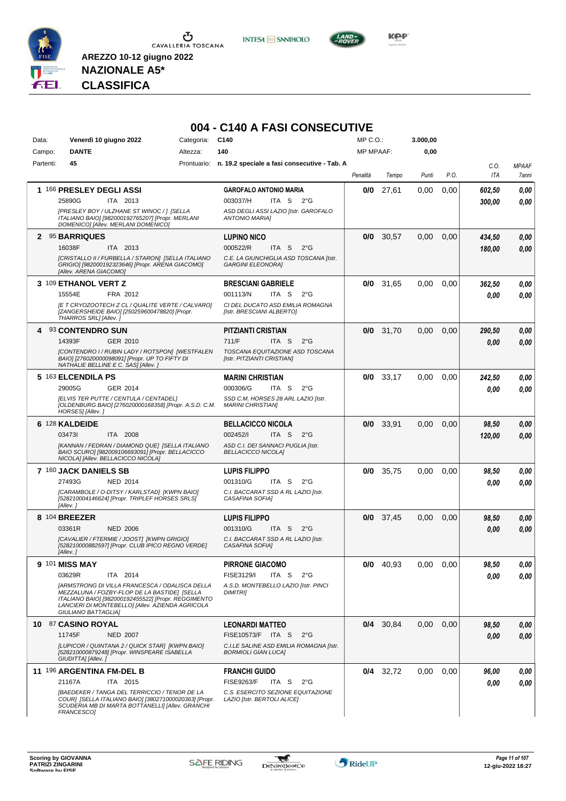

**INTESA** M SANPAOLO



**NAZIONALE A5\* CLASSIFICA**

| Data:<br>Campo: | Venerdì 10 giugno 2022<br><b>DANTE</b>                                                                                                                                                                                                                                   | Categoria:<br>Altezza: | C <sub>140</sub><br>140                                                                                                                   | MP C.O.:<br><b>MP MPAAF:</b> |             | 3.000,00<br>0,00 |      |                    |                       |
|-----------------|--------------------------------------------------------------------------------------------------------------------------------------------------------------------------------------------------------------------------------------------------------------------------|------------------------|-------------------------------------------------------------------------------------------------------------------------------------------|------------------------------|-------------|------------------|------|--------------------|-----------------------|
| Partenti:       | 45                                                                                                                                                                                                                                                                       |                        | Prontuario: n. 19.2 speciale a fasi consecutive - Tab. A                                                                                  |                              |             |                  |      |                    |                       |
|                 |                                                                                                                                                                                                                                                                          |                        |                                                                                                                                           | Penalità                     | Tempo       | Punti            | P.O. | C.O.<br><b>ITA</b> | <b>MPAAF</b><br>7anni |
|                 | 1 166 PRESLEY DEGLI ASSI<br>25890G<br><b>ITA 2013</b><br>[PRESLEY BOY / ULZHANE ST WINOC / 1 [SELLA<br>ITALIANO BAIO] [982000192765207] [Propr. MERLANI<br>DOMENICO] [Allev. MERLANI DOMENICO]                                                                           |                        | <b>GAROFALO ANTONIO MARIA</b><br>003037/H<br>ITA S<br>$2^{\circ}G$<br>ASD DEGLI ASSI LAZIO [Istr. GAROFALO<br><b>ANTONIO MARIA]</b>       | 0/0                          | 27,61       | 0,00             | 0,00 | 602,50<br>300.00   | 0.00<br>0.00          |
|                 | 2 95 BARRIQUES<br>16038F<br>ITA 2013<br>ICRISTALLO II / FURBELLA / STARON] [SELLA ITALIANO<br>GRIGIO] [982000192323646] [Propr. ARENA GIACOMO]<br>[Allev. ARENA GIACOMO]                                                                                                 |                        | <b>LUPINO NICO</b><br>000522/R<br>ITA <sub>S</sub><br>$2^{\circ}$ G<br>C.E. LA GIUNCHIGLIA ASD TOSCANA [Istr.<br><b>GARGINI ELEONORA]</b> | 0/0                          | 30,57       | 0,00             | 0,00 | 434,50<br>180,00   | 0,00<br>0,00          |
|                 | 3 109 ETHANOL VERT Z<br>15554E<br>FRA 2012<br>[E T CRYOZOOTECH Z CL / QUALITE VERTE / CALVARO]<br>[ZANGERSHEIDE BAIO] [250259600478820] [Propr.<br>THARROS SRL] [Allev.]                                                                                                 |                        | <b>BRESCIANI GABRIELE</b><br>001113/N<br>ITA S<br>$2^{\circ}$ G<br>CI DEL DUCATO ASD EMILIA ROMAGNA<br>[Istr. BRESCIANI ALBERTO]          | 0/0                          | 31,65       | 0,00             | 0,00 | 362,50<br>0.00     | 0,00<br>0.00          |
|                 | 4 93 CONTENDRO SUN<br>14393F<br>GER 2010<br>[CONTENDRO I / RUBIN LADY / ROTSPON] [WESTFALEN<br>BAIOI [276020000098091] [Propr. UP TO FIFTY DI<br>NATHALIE BELLINE E C. SAS] [Allev. ]                                                                                    |                        | PITZIANTI CRISTIAN<br>711/F<br>ITA S<br>$2^{\circ}$ G<br>TOSCANA EQUITAZIONE ASD TOSCANA<br>[Istr. PITZIANTI CRISTIAN]                    |                              | $0/0$ 31,70 | 0,00             | 0,00 | 290,50<br>0,00     | 0,00<br>0.00          |
|                 | 5 163 ELCENDILA PS<br>29005G<br>GER 2014<br>[ELVIS TER PUTTE / CENTULA / CENTADEL]<br>[OLDENBURG BAIO] [276020000168358] [Propr. A.S.D. C.M.<br>HORSES] [Allev.]                                                                                                         |                        | <b>MARINI CHRISTIAN</b><br>000306/G<br>ITA S<br>$2^{\circ}G$<br>SSD C.M. HORSES 28 ARL LAZIO [Istr.<br><b>MARINI CHRISTIAN]</b>           | 0/0                          | 33,17       | 0,00             | 0,00 | 242,50<br>0.00     | 0.00<br>0.00          |
|                 | 6 128 KALDEIDE<br>034731<br>ITA 2008<br>[KANNAN / FEDRAN / DIAMOND QUE] [SELLA ITALIANO<br>BAIO SCURO] [982009106693091] [Propr. BELLACICCO<br>NICOLA] [Allev. BELLACICCO NICOLA]                                                                                        |                        | <b>BELLACICCO NICOLA</b><br>002452/I<br>ITA S<br>$2^{\circ}$ G<br>ASD C.I. DEI SANNACI PUGLIA [Istr.<br><b>BELLACICCO NICOLA]</b>         | 0/0                          | 33,91       | 0,00             | 0.00 | 98,50<br>120,00    | 0,00<br>0.00          |
|                 | 7 160 JACK DANIELS SB<br>27493G<br><b>NED 2014</b><br>[CARAMBOLE / O-DITSY / KARLSTAD] [KWPN BAIO]<br>[528210004146624] [Propr. TRIPLEF HORSES SRLS]<br>[Allev.]                                                                                                         |                        | <b>LUPIS FILIPPO</b><br>001310/G<br>ITA S<br>$2^{\circ}G$<br>C.I. BACCARAT SSD A RL LAZIO [Istr.<br>CASAFINA SOFIAI                       | 0/0                          | 35,75       | 0,00             | 0,00 | 98,50<br>0.00      | 0,00<br>0.00          |
|                 | 8 104 BREEZER<br>03361R<br><b>NED 2006</b><br>[CAVALIER / FTERMIE / JOOST] [KWPN GRIGIO]<br>[528210000882597] [Propr. CLUB IPICO REGNO VERDE]<br>[Allev.]                                                                                                                |                        | <b>LUPIS FILIPPO</b><br>001310/G<br>ITA S<br>$2^{\circ}$ G<br>C.I. BACCARAT SSD A RL LAZIO [Istr.<br><b>CASAFINA SOFIAI</b>               | 0/0                          | 37,45       | 0,00             | 0,00 | 98,50<br>0.00      | 0,00<br>0.00          |
|                 | 9 101 MISS MAY<br>03629R<br>ITA 2014<br>[ARMSTRONG DI VILLA FRANCESCA / ODALISCA DELLA<br>MEZZALUNA / FOZBY-FLOP DE LA BASTIDE] [SELLA<br>ITALIANO BAIO] [982000192455522] [Propr. REGGIMENTO<br>LANCIERI DI MONTEBELLO] [Allev. AZIENDA AGRICOLA<br>GIULIANO BATTAGLIA] |                        | <b>PIRRONE GIACOMO</b><br>FISE3129/I<br>ITA S<br>$2^{\circ}G$<br>A.S.D. MONTEBELLO LAZIO [Istr. PINCI<br><b>DIMITRII</b>                  |                              | $0/0$ 40,93 | 0,00             | 0.00 | 98,50<br>0,00      | 0,00<br>0,00          |
|                 | 10 87 CASINO ROYAL<br>11745F<br><b>NED 2007</b><br>[LUPICOR / QUINTANA 2 / QUICK STAR] [KWPN BAIO]<br>[528210000879248] [Propr. WINSPEARE ISABELLA<br>GIUDITTA] [Allev.]                                                                                                 |                        | <b>LEONARDI MATTEO</b><br>FISE10573/F ITA S<br>$2^{\circ}$ G<br>C.I.LE SALINE ASD EMILIA ROMAGNA [Istr.<br><b>BORMIOLI GIAN LUCA]</b>     |                              | $0/4$ 30,84 | 0,00             | 0,00 | 98,50<br>0,00      | 0,00<br>0,00          |
|                 | 11 196 ARGENTINA FM-DEL B<br>ITA 2015<br>21167A<br>[BAEDEKER / TANGA DEL TERRICCIO / TENOR DE LA<br>COUR] [SELLA ITALIANO BAIO] [380271000020363] [Propr.<br>SCUDERIA MB DI MARTA BOTTANELLI] [Allev. GRANCHI<br>FRANCESCO]                                              |                        | <b>FRANCHI GUIDO</b><br><b>FISE9263/F</b><br>ITA S<br>$2^{\circ}$ G<br>C.S. ESERCITO SEZIONE EQUITAZIONE<br>LAZIO [Istr. BERTOLI ALICE]   |                              | $0/4$ 32,72 | 0,00             | 0,00 | 96,00<br>0.00      | 0,00<br>0,00          |

# **004 - C140 A FASI CONSECUTIVE**

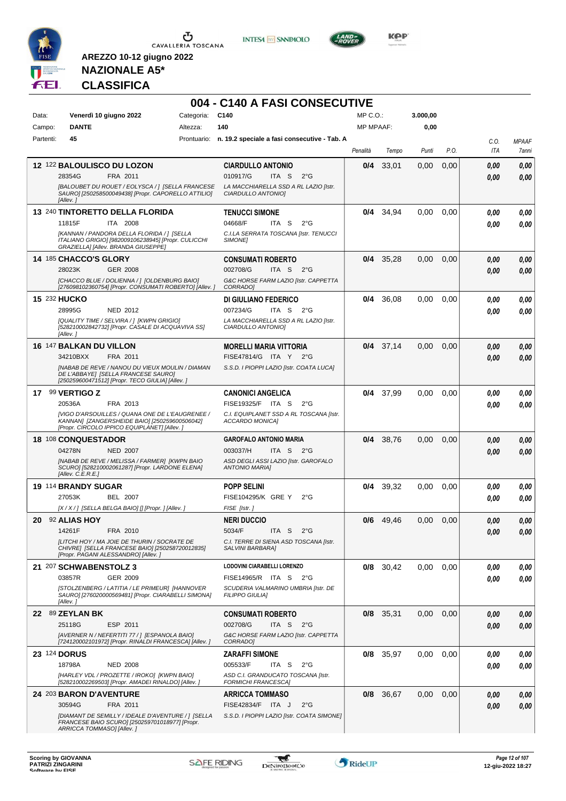





**KOP** 

# **NAZIONALE A5\* CLASSIFICA**

|           |                                                                                                                                                  |            | 004 - C140 A FASI CONSECUTIVE                                    |                  |             |          |      |      |              |
|-----------|--------------------------------------------------------------------------------------------------------------------------------------------------|------------|------------------------------------------------------------------|------------------|-------------|----------|------|------|--------------|
| Data:     | Venerdì 10 giugno 2022                                                                                                                           | Categoria: | C140                                                             | $MP C. O.$ :     |             | 3.000,00 |      |      |              |
| Campo:    | <b>DANTE</b>                                                                                                                                     | Altezza:   | 140                                                              | <b>MP MPAAF:</b> |             | 0,00     |      |      |              |
| Partenti: | 45                                                                                                                                               |            | Prontuario: n. 19.2 speciale a fasi consecutive - Tab. A         |                  |             |          |      | C.O. | <b>MPAAF</b> |
|           |                                                                                                                                                  |            |                                                                  | Penalità         | Tempo       | Punti    | P.O. | ITA  | 7anni        |
|           | 12 122 BALOULISCO DU LOZON                                                                                                                       |            | <b>CIARDULLO ANTONIO</b>                                         | 0/4              | 33,01       | 0,00     | 0,00 | 0.00 | 0,00         |
|           | 28354G<br>FRA 2011                                                                                                                               |            | 010917/G<br>ITA S<br>$2^{\circ}$ G                               |                  |             |          |      | 0.00 | 0,00         |
|           | [BALOUBET DU ROUET / EOLYSCA / ] [SELLA FRANCESE<br>SAURO] [250258500049438] [Propr. CAPORELLO ATTILIO]<br>[Allev.]                              |            | LA MACCHIARELLA SSD A RL LAZIO [Istr.<br>CIARDULLO ANTONIO]      |                  |             |          |      |      |              |
|           | 13 240 TINTORETTO DELLA FLORIDA                                                                                                                  |            | <b>TENUCCI SIMONE</b>                                            | 0/4              | 34,94       | 0.00     | 0,00 | 0,00 | 0,00         |
|           | 11815F<br>ITA 2008                                                                                                                               |            | 04668/F<br>ITA S<br>$2^{\circ}$ G                                |                  |             |          |      | 0.00 | 0,00         |
|           | [KANNAN / PANDORA DELLA FLORIDA / ] [SELLA<br>ITALIANO GRIGIO] [982009106238945] [Propr. CULICCHI<br>GRAZIELLA] [Allev. BRANDA GIUSEPPE]         |            | C.I.LA SERRATA TOSCANA [Istr. TENUCCI<br>SIMONE]                 |                  |             |          |      |      |              |
|           | <b>14 185 CHACCO'S GLORY</b>                                                                                                                     |            | <b>CONSUMATI ROBERTO</b>                                         | 0/4              | 35,28       | 0,00     | 0,00 | 0,00 | 0,00         |
|           | 28023K<br><b>GER 2008</b>                                                                                                                        |            | 002708/G<br>ITA S<br>$2^{\circ}G$                                |                  |             |          |      | 0,00 | 0,00         |
|           | [CHACCO BLUE / DOLIENNA / ] [OLDENBURG BAIO]<br>[276098102360754] [Propr. CONSUMATI ROBERTO] [Allev.]                                            |            | G&C HORSE FARM LAZIO [Istr. CAPPETTA<br>CORRADO]                 |                  |             |          |      |      |              |
|           | 15 232 HUCKO                                                                                                                                     |            | DI GIULIANO FEDERICO                                             | 0/4              | 36,08       | 0,00     | 0,00 | 0,00 | 0,00         |
|           | 28995G<br>NED 2012                                                                                                                               |            | 007234/G<br>ITA S<br>$2^{\circ}G$                                |                  |             |          |      | 0.00 | 0.00         |
|           | [QUALITY TIME / SELVIRA / ] [KWPN GRIGIO]<br>[528210002842732] [Propr. CASALE DI ACQUAVIVA SS]<br>[Allev.]                                       |            | LA MACCHIARELLA SSD A RL LAZIO [Istr.<br>CIARDULLO ANTONIO]      |                  |             |          |      |      |              |
|           | 16 147 BALKAN DU VILLON                                                                                                                          |            | <b>MORELLI MARIA VITTORIA</b>                                    |                  | $0/4$ 37,14 | 0,00     | 0,00 | 0,00 | 0,00         |
|           | 34210BXX<br>FRA 2011                                                                                                                             |            | FISE47814/G ITA Y<br>2°G                                         |                  |             |          |      | 0.00 | 0,00         |
|           | [NABAB DE REVE / NANOU DU VIEUX MOULIN / DIAMAN<br>DE L'ABBAYE] [SELLA FRANCESE SAURO]<br>[250259600471512] [Propr. TECO GIULIA] [Allev. ]       |            | S.S.D. I PIOPPI LAZIO [Istr. COATA LUCA]                         |                  |             |          |      |      |              |
|           | 17 99 VERTIGO Z                                                                                                                                  |            | <b>CANONICI ANGELICA</b>                                         | 0/4              | 37,99       | 0,00     | 0,00 | 0,00 | 0,00         |
|           | FRA 2013<br>20536A                                                                                                                               |            | FISE19325/F ITA S<br>$2^{\circ}$ G                               |                  |             |          |      | 0.00 | 0,00         |
|           | [VIGO D'ARSOUILLES / QUANA ONE DE L'EAUGRENEE /<br>KANNAN] [ZANGERSHEIDE BAIO] [250259600506042]<br>[Propr. CIRCOLO IPPICO EQUIPLANET] [Allev. j |            | C.I. EQUIPLANET SSD A RL TOSCANA [Istr.<br>ACCARDO MONICA]       |                  |             |          |      |      |              |
|           | 18 108 CONQUESTADOR                                                                                                                              |            | <b>GAROFALO ANTONIO MARIA</b>                                    | 0/4              | 38,76       | 0,00     | 0,00 | 0.00 | 0,00         |
|           | 04278N<br><b>NED 2007</b>                                                                                                                        |            | 003037/H<br>ITA S<br>$2^{\circ}G$                                |                  |             |          |      | 0.00 | 0.00         |
|           | [NABAB DE REVE / MELISSA / FARMER] [KWPN BAIO<br>SCURO] [528210002061287] [Propr. LARDONE ELENA]<br>[Allev. C.E.R.E.]                            |            | ASD DEGLI ASSI LAZIO [Istr. GAROFALO<br><b>ANTONIO MARIAI</b>    |                  |             |          |      |      |              |
|           | 19 114 BRANDY SUGAR                                                                                                                              |            | <b>POPP SELINI</b>                                               | 0/4              | 39.32       | 0,00     | 0,00 | 0.00 | 0,00         |
|           | 27053K<br>BEL 2007                                                                                                                               |            | FISE104295/K GRE Y<br>$2^{\circ}$ G                              |                  |             |          |      | 0.00 | 0,00         |
|           | [X / X / ] [SELLA BELGA BAIO] [] [Propr. ] [Allev. ]                                                                                             |            | FISE [Istr.]                                                     |                  |             |          |      |      |              |
|           | 20 92 ALIAS HOY                                                                                                                                  |            | <b>NERI DUCCIO</b>                                               | 0/6              | 49,46       | 0,00     | 0,00 | 0,00 | $\it 0,00$   |
|           | 14261F<br>FRA 2010                                                                                                                               |            | 5034/F<br>ITA S<br>$2^{\circ}$ G                                 |                  |             |          |      | 0,00 | 0,00         |
|           | ILITCHI HOY / MA JOIE DE THURIN / SOCRATE DE<br>CHIVRE] [SELLA FRANCESE BAIO] [250258720012835]<br>[Propr. PAGANI ALESSANDRO] [Allev.]           |            | C.I. TERRE DI SIENA ASD TOSCANA [Istr.<br>SALVINI BARBARA]       |                  |             |          |      |      |              |
|           | 21 207 SCHWABENSTOLZ 3                                                                                                                           |            | LODOVINI CIARABELLI LORENZO                                      |                  | $0/8$ 30,42 | 0,00     | 0,00 | 0,00 | 0,00         |
|           | 03857R<br>GER 2009                                                                                                                               |            | FISE14965/R ITA S<br>$2^{\circ}G$                                |                  |             |          |      | 0,00 | 0,00         |
|           | [STOLZENBERG / LATITIA / LE PRIMEUR] [HANNOVER<br>SAURO] [276020000569481] [Propr. CIARABELLI SIMONA]<br>[Allev.]                                |            | SCUDERIA VALMARINO UMBRIA [Istr. DE<br><b>FILIPPO GIULIA]</b>    |                  |             |          |      |      |              |
|           | 22 89 ZEYLAN BK                                                                                                                                  |            | <b>CONSUMATI ROBERTO</b>                                         |                  | $0/8$ 35,31 | 0,00     | 0,00 | 0,00 | 0,00         |
|           | ESP 2011<br>25118G                                                                                                                               |            | 002708/G<br>ITA S<br>2°G                                         |                  |             |          |      | 0,00 | 0,00         |
|           | [AVERNER N / NEFERTITI 77 / ] [ESPANOLA BAIO]<br>[724120002101972] [Propr. RINALDI FRANCESCA] [Allev.]                                           |            | G&C HORSE FARM LAZIO [Istr. CAPPETTA<br>CORRADO]                 |                  |             |          |      |      |              |
|           | 23 124 DORUS                                                                                                                                     |            | <b>ZARAFFI SIMONE</b>                                            |                  | 0/8 35,97   | 0,00     | 0,00 | 0,00 | 0,00         |
|           | 18798A<br><b>NED 2008</b>                                                                                                                        |            | 005533/F<br>ITA S<br>$2^{\circ}$ G                               |                  |             |          |      | 0,00 | 0,00         |
|           | [HARLEY VDL / PROZETTE / IROKO] [KWPN BAIO]<br>[528210002269503] [Propr. AMADEI RINALDO] [Allev. ]                                               |            | ASD C.I. GRANDUCATO TOSCANA [Istr.<br><b>FORMICHI FRANCESCAJ</b> |                  |             |          |      |      |              |
|           | 24 203 BARON D'AVENTURE                                                                                                                          |            | <b>ARRICCA TOMMASO</b>                                           |                  | 0/8 36,67   | 0,00     | 0,00 | 0,00 | 0,00         |
|           | 30594G<br>FRA 2011                                                                                                                               |            | FISE42834/F ITA J<br>$2^{\circ}$ G                               |                  |             |          |      | 0,00 | 0,00         |
|           | [DIAMANT DE SEMILLY / IDEALE D'AVENTURE / ] [SELLA<br>FRANCESE BAIO SCURO] [250259701018977] [Propr.<br>ARRICCA TOMMASO] [Allev.]                |            | S.S.D. I PIOPPI LAZIO [Istr. COATA SIMONE]                       |                  |             |          |      |      |              |

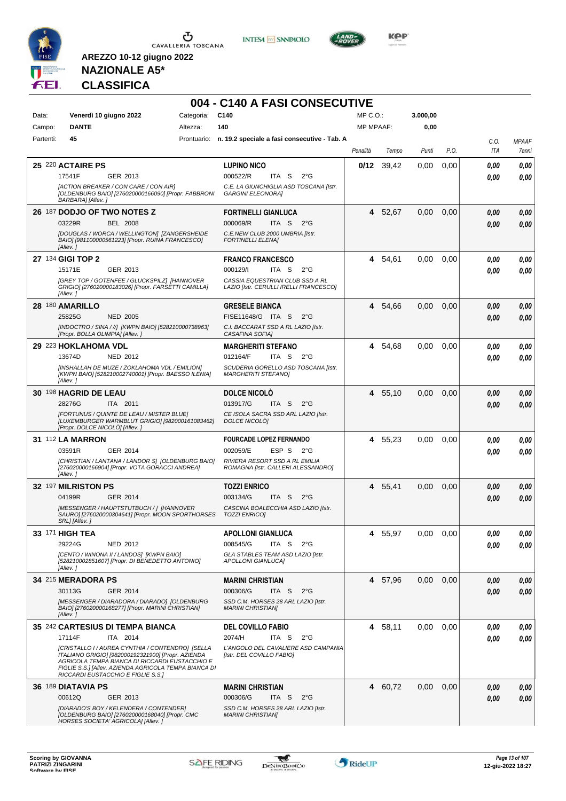





**Kep** 

# **NAZIONALE A5\* CLASSIFICA**

| Data:     | Venerdì 10 giugno 2022                                                                                                                                                                                                                                  | Categoria: | C140                                                                      | $MP C. O.$ :     |         | 3.000,00 |      |      |              |
|-----------|---------------------------------------------------------------------------------------------------------------------------------------------------------------------------------------------------------------------------------------------------------|------------|---------------------------------------------------------------------------|------------------|---------|----------|------|------|--------------|
| Campo:    | <b>DANTE</b>                                                                                                                                                                                                                                            | Altezza:   | 140                                                                       | <b>MP MPAAF:</b> |         | 0,00     |      |      |              |
| Partenti: | 45                                                                                                                                                                                                                                                      |            | Prontuario: n. 19.2 speciale a fasi consecutive - Tab. A                  |                  |         |          |      | C.O. | <b>MPAAF</b> |
|           |                                                                                                                                                                                                                                                         |            |                                                                           | Penalità         | Tempo   | Punti    | P.O. | ITA  | 7anni        |
|           | 25 220 ACTAIRE PS                                                                                                                                                                                                                                       |            | <b>LUPINO NICO</b>                                                        | 0/12             | 39,42   | 0,00     | 0,00 | 0.00 | 0.00         |
|           | 17541F<br>GER 2013                                                                                                                                                                                                                                      |            | 000522/R<br>ITA S<br>$2^{\circ}$ G                                        |                  |         |          |      | 0.00 | 0.00         |
|           | [ACTION BREAKER / CON CARE / CON AIR]<br>[OLDENBURG BAIO] [276020000166090] [Propr. FABBRONI<br>BARBARA] [Allev.]                                                                                                                                       |            | C.E. LA GIUNCHIGLIA ASD TOSCANA [Istr.<br><b>GARGINI ELEONORA]</b>        |                  |         |          |      |      |              |
|           | 26 187 DODJO OF TWO NOTES Z                                                                                                                                                                                                                             |            | <b>FORTINELLI GIANLUCA</b>                                                | 4                | 52,67   | 0,00     | 0.00 | 0,00 | 0,00         |
|           | 03229R<br><b>BEL 2008</b>                                                                                                                                                                                                                               |            | 000069/R<br>ITA <sub>S</sub><br>$2^{\circ}G$                              |                  |         |          |      | 0.00 | 0,00         |
|           | <b>IDOUGLAS / WORCA / WELLINGTON] [ZANGERSHEIDE</b><br>BAIO] [981100000561223] [Propr. RUINA FRANCESCO]<br>[Allev.]                                                                                                                                     |            | C.E.NEW CLUB 2000 UMBRIA [Istr.<br><b>FORTINELLI ELENA]</b>               |                  |         |          |      |      |              |
|           | 27 134 GIGI TOP 2                                                                                                                                                                                                                                       |            | <b>FRANCO FRANCESCO</b>                                                   |                  | 4 54,61 | 0.00     | 0,00 | 0,00 | 0,00         |
|           | 15171E<br>GER 2013                                                                                                                                                                                                                                      |            | 000129/I<br>ITA S<br>$2^{\circ}G$                                         |                  |         |          |      | 0.00 | 0.00         |
|           | [GREY TOP / GOTENFEE / GLUCKSPILZ] [HANNOVER<br>GRIGIO] [276020000183026] [Propr. FARSETTI CAMILLA]<br>[Allev.]                                                                                                                                         |            | CASSIA EQUESTRIAN CLUB SSD A RL<br>LAZIO [Istr. CERULLI IRELLI FRANCESCO] |                  |         |          |      |      |              |
|           | 28 180 AMARILLO                                                                                                                                                                                                                                         |            | <b>GRESELE BIANCA</b>                                                     | 4                | 54,66   | 0,00     | 0,00 | 0,00 | 0.00         |
|           | 25825G<br><b>NED 2005</b>                                                                                                                                                                                                                               |            | FISE11648/G ITA S<br>$2^{\circ}G$                                         |                  |         |          |      | 0.00 | 0.00         |
|           | [INDOCTRO / SINA / //] [KWPN BAIO] [528210000738963]<br>[Propr. BOLLA OLIMPIA] [Allev.]                                                                                                                                                                 |            | C.I. BACCARAT SSD A RL LAZIO [Istr.<br>CASAFINA SOFIA1                    |                  |         |          |      |      |              |
|           | 29 223 HOKLAHOMA VDL                                                                                                                                                                                                                                    |            | <b>MARGHERITI STEFANO</b>                                                 | 4                | 54,68   | 0,00     | 0.00 | 0,00 | 0.00         |
|           | 13674D<br>NED 2012                                                                                                                                                                                                                                      |            | 012164/F<br>ITA S<br>$2^{\circ}G$                                         |                  |         |          |      | 0.00 | 0.00         |
|           | [INSHALLAH DE MUZE / ZOKLAHOMA VDL / EMILION]<br>[KWPN BAIO] [528210002740001] [Propr. BAESSO ILENIA]<br>[Allev.]                                                                                                                                       |            | SCUDERIA GORELLO ASD TOSCANA [Istr.<br><b>MARGHERITI STEFANOI</b>         |                  |         |          |      |      |              |
|           | 30 198 HAGRID DE LEAU                                                                                                                                                                                                                                   |            | <b>DOLCE NICOLO</b>                                                       | 4                | 55,10   | 0,00     | 0,00 | 0,00 | 0,00         |
|           | 28276G<br>ITA 2011                                                                                                                                                                                                                                      |            | 013917/G<br>ITA S<br>$2^{\circ}$ G                                        |                  |         |          |      | 0,00 |              |
|           | [FORTUNUS / QUINTE DE LEAU / MISTER BLUE]<br>[LUXEMBURGER WARMBLUT GRIGIO] [982000161083462]<br>[Propr. DOLCE NICOLO] [Allev.]                                                                                                                          |            | CE ISOLA SACRA SSD ARL LAZIO [Istr.<br>DOLCE NICOLO]                      |                  |         |          |      |      |              |
|           | <b>31 112 LA MARRON</b>                                                                                                                                                                                                                                 |            | <b>FOURCADE LOPEZ FERNANDO</b>                                            | 4                | 55,23   | 0.00     | 0,00 | 0.00 | 0.00         |
|           | 03591R<br>GER 2014                                                                                                                                                                                                                                      |            | 002059/E<br>ESP S<br>$2^{\circ}G$                                         |                  |         |          |      | 0.00 | 0.00         |
|           | [CHRISTIAN / LANTANA / LANDOR S] [OLDENBURG BAIO]<br>[276020000166904] [Propr. VOTA GORACCI ANDREA]<br>[Allev.]                                                                                                                                         |            | RIVIERA RESORT SSD A RL EMILIA<br>ROMAGNA [Istr. CALLERI ALESSANDRO]      |                  |         |          |      |      |              |
|           | 32 197 MILRISTON PS                                                                                                                                                                                                                                     |            | <b>TOZZI ENRICO</b>                                                       | 4                | 55,41   | 0,00     | 0,00 | 0,00 | 0,00         |
|           | <b>GER 2014</b><br>04199R                                                                                                                                                                                                                               |            | ITA <sub>S</sub><br>003134/G<br>$2^{\circ}G$                              |                  |         |          |      | 0,00 | 0,00         |
|           | [MESSENGER / HAUPTSTUTBUCH / ] [HANNOVER<br>SAURO] [276020000304641] [Propr. MOON SPORTHORSES<br>SRL] [Allev. ]                                                                                                                                         |            | CASCINA BOALECCHIA ASD LAZIO [Istr.<br><b>TOZZI ENRICOI</b>               |                  |         |          |      |      |              |
|           | 33 171 HIGH TEA                                                                                                                                                                                                                                         |            | <b>APOLLONI GIANLUCA</b>                                                  |                  | 4 55,97 | 0,00     | 0.00 | 0,00 | 0,00         |
|           | 29224G<br>NED 2012                                                                                                                                                                                                                                      |            | 008545/G<br>ITA S<br>$2^{\circ}$ G                                        |                  |         |          |      | 0.00 | 0.00         |
|           | [CENTO / WINONA II / LANDOS] [KWPN BAIO]<br>[528210002851607] [Propr. DI BENEDETTO ANTONIO]<br>[Allev.]                                                                                                                                                 |            | GLA STABLES TEAM ASD LAZIO [Istr.<br>APOLLONI GIANLUCA]                   |                  |         |          |      |      |              |
|           | 34 215 MERADORA PS                                                                                                                                                                                                                                      |            | <b>MARINI CHRISTIAN</b>                                                   |                  | 4 57,96 | 0,00     | 0,00 | 0,00 |              |
|           | 30113G<br>GER 2014                                                                                                                                                                                                                                      |            | 000306/G<br>ITA S<br>2°G                                                  |                  |         |          |      | 0,00 | 0,00         |
|           | [MESSENGER / DIARADORA / DIARADO] [OLDENBURG<br>BAIO] [276020000168277] [Propr. MARINI CHRISTIAN]<br>[Allev.]                                                                                                                                           |            | SSD C.M. HORSES 28 ARL LAZIO [Istr.<br><b>MARINI CHRISTIANI</b>           |                  |         |          |      |      |              |
|           | 35 242 CARTESIUS DI TEMPA BIANCA                                                                                                                                                                                                                        |            | <b>DEL COVILLO FABIO</b>                                                  |                  | 4 58,11 | 0,00     | 0.00 | 0,00 | 0,00         |
|           | 17114F<br>ITA 2014                                                                                                                                                                                                                                      |            | 2074/H<br>ITA S<br>$2^{\circ}$ G                                          |                  |         |          |      | 0,00 | 0,00         |
|           | [CRISTALLO I / AUREA CYNTHIA / CONTENDRO] [SELLA<br>ITALIANO GRIGIO] [982000192321900] [Propr. AZIENDA<br>AGRICOLA TEMPA BIANCA DI RICCARDI EUSTACCHIO E<br>FIGLIE S.S.] [Allev. AZIENDA AGRICOLA TEMPA BIANCA DI<br>RICCARDI EUSTACCHIO E FIGLIE S.S.] |            | L'ANGOLO DEL CAVALIERE ASD CAMPANIA<br>[Istr. DEL COVILLO FABIO]          |                  |         |          |      |      |              |
|           | 36 189 DIATAVIA PS                                                                                                                                                                                                                                      |            | <b>MARINI CHRISTIAN</b>                                                   |                  | 4 60,72 | 0,00     | 0,00 | 0,00 | 0,00         |
|           | 00612Q<br>GER 2013                                                                                                                                                                                                                                      |            | 000306/G<br>ITA S<br>$2^{\circ}G$                                         |                  |         |          |      | 0,00 | 0,00         |
|           | [DIARADO'S BOY / KELENDERA / CONTENDER]                                                                                                                                                                                                                 |            | SSD C.M. HORSES 28 ARL LAZIO [Istr.                                       |                  |         |          |      |      |              |
|           | [OLDENBURG BAIO] [276020000168040] [Propr. CMC<br>HORSES SOCIETA' AGRICOLA] [Allev.]                                                                                                                                                                    |            | <b>MARINI CHRISTIANI</b>                                                  |                  |         |          |      |      |              |

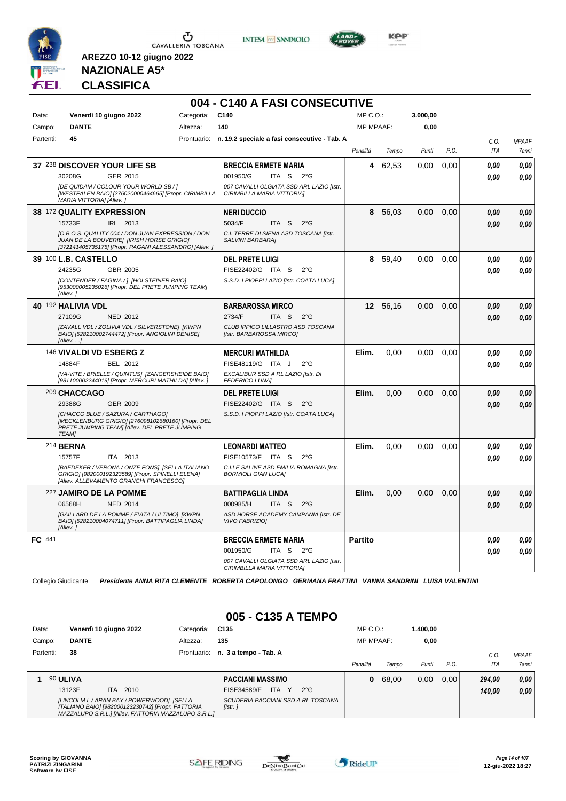





**Kep** 

#### **NAZIONALE A5\* CLASSIFICA**

**AREZZO 10-12 giugno 2022**

|           |                           |                                                                                                                                                         |            | 004 - C140 A FASI CONSECUTIVE                                                 |                  |          |          |      |            |              |
|-----------|---------------------------|---------------------------------------------------------------------------------------------------------------------------------------------------------|------------|-------------------------------------------------------------------------------|------------------|----------|----------|------|------------|--------------|
| Data:     |                           | Venerdì 10 giugno 2022                                                                                                                                  | Categoria: | C <sub>140</sub>                                                              | MP C. O.         |          | 3.000,00 |      |            |              |
| Campo:    | <b>DANTE</b>              |                                                                                                                                                         | Altezza:   | 140                                                                           | <b>MP MPAAF:</b> |          | 0,00     |      |            |              |
| Partenti: | 45                        |                                                                                                                                                         |            | Prontuario: n. 19.2 speciale a fasi consecutive - Tab. A                      |                  |          |          |      | C.O.       | <b>MPAAF</b> |
|           |                           |                                                                                                                                                         |            |                                                                               | Penalità         | Tempo    | Punti    | P.O. | <b>ITA</b> | 7anni        |
|           |                           | 37 238 DISCOVER YOUR LIFE SB                                                                                                                            |            | <b>BRECCIA ERMETE MARIA</b>                                                   | 4                | 62,53    | 0,00     | 0,00 | 0.00       | 0.00         |
|           | 30208G                    | GER 2015                                                                                                                                                |            | 001950/G<br>ITA S<br>$2^{\circ}$ G                                            |                  |          |          |      | 0.00       | 0.00         |
|           | MARIA VITTORIA] [Allev.]  | [DE QUIDAM / COLOUR YOUR WORLD SB / ]<br>[WESTFALEN BAIO] [276020000464665] [Propr. CIRIMBILLA                                                          |            | 007 CAVALLI OLGIATA SSD ARL LAZIO [Istr.<br><b>CIRIMBILLA MARIA VITTORIAI</b> |                  |          |          |      |            |              |
|           | 38 172 QUALITY EXPRESSION |                                                                                                                                                         |            | <b>NERI DUCCIO</b>                                                            | 8                | 56,03    | 0.00     | 0.00 | 0.00       | 0.00         |
|           | 15733F                    | IRL 2013                                                                                                                                                |            | 5034/F<br>ITA <sub>S</sub><br>$2^{\circ}$ G                                   |                  |          |          |      | 0.00       | 0.00         |
|           |                           | [O.B.O.S. QUALITY 004 / DON JUAN EXPRESSION / DON<br>JUAN DE LA BOUVERIE] [IRISH HORSE GRIGIO]<br>[372141405735175] [Propr. PAGANI ALESSANDRO] [Allev.] |            | C.I. TERRE DI SIENA ASD TOSCANA [Istr.<br>SALVINI BARBARA]                    |                  |          |          |      |            |              |
|           | 39 100 L.B. CASTELLO      |                                                                                                                                                         |            | <b>DEL PRETE LUIGI</b>                                                        | 8                | 59,40    | 0,00     | 0,00 | 0.00       | 0.00         |
|           | 24235G                    | GBR 2005                                                                                                                                                |            | FISE22402/G ITA S<br>$2^{\circ}$ G                                            |                  |          |          |      | 0.00       | 0.00         |
|           | [Allev. 1                 | [CONTENDER / FAGINA / ] [HOLSTEINER BAIO]<br>[953000005235026] [Propr. DEL PRETE JUMPING TEAM]                                                          |            | S.S.D. I PIOPPI LAZIO [Istr. COATA LUCA]                                      |                  |          |          |      |            |              |
|           | 40 192 HALIVIA VDL        |                                                                                                                                                         |            | <b>BARBAROSSA MIRCO</b>                                                       |                  | 12 56,16 | 0.00     | 0.00 | 0.00       | 0.00         |
|           | 27109G                    | <b>NED 2012</b>                                                                                                                                         |            | 2734/F<br>ITA S<br>$2^{\circ}$ G                                              |                  |          |          |      | 0.00       | 0.00         |
|           | $I$ Allev. $.1$           | [ZAVALL VDL / ZOLIVIA VDL / SILVERSTONE] [KWPN<br>BAIO] [528210002744472] [Propr. ANGIOLINI DENISE]                                                     |            | CLUB IPPICO LILLASTRO ASD TOSCANA<br>[Istr. BARBAROSSA MIRCO]                 |                  |          |          |      |            |              |
|           | 146 VIVALDI VD ESBERG Z   |                                                                                                                                                         |            | <b>MERCURI MATHILDA</b>                                                       | Elim.            | 0,00     | 0,00     | 0,00 | 0.00       | 0.00         |
|           | 14884F                    | BEL 2012                                                                                                                                                |            | FISE48119/G ITA J<br>$2^{\circ}$ G                                            |                  |          |          |      | 0.00       | 0.00         |
|           |                           | [VA-VITE / BRIELLE / QUINTUS] [ZANGERSHEIDE BAIO]<br>[981100002244019] [Propr. MERCURI MATHILDA] [Allev.                                                |            | EXCALIBUR SSD A RL LAZIO [Istr. DI<br><b>FEDERICO LUNAI</b>                   |                  |          |          |      |            |              |
|           | 209 CHACCAGO              |                                                                                                                                                         |            | <b>DEL PRETE LUIGI</b>                                                        | Elim.            | 0.00     | 0.00     | 0.00 | 0.00       | 0.00         |
|           | 29388G                    | GER 2009                                                                                                                                                |            | FISE22402/G ITA S<br>$2^{\circ}$ G                                            |                  |          |          |      | 0.00       | 0.00         |
|           | <b>TEAMI</b>              | [CHACCO BLUE / SAZURA / CARTHAGO]<br>[MECKLENBURG GRIGIO] [276098102680160] [Propr. DEL<br>PRETE JUMPING TEAM] [Allev. DEL PRETE JUMPING                |            | S.S.D. I PIOPPI LAZIO [Istr. COATA LUCA]                                      |                  |          |          |      |            |              |
|           | 214 <b>BERNA</b>          |                                                                                                                                                         |            | <b>LEONARDI MATTEO</b>                                                        | Elim.            | 0.00     | 0.00     | 0.00 | 0.00       | 0.00         |
|           | 15757F                    | ITA 2013                                                                                                                                                |            | FISE10573/F ITA S<br>$2^{\circ}$ G                                            |                  |          |          |      | 0.00       | 0.00         |
|           |                           | [BAEDEKER / VERONA / ONZE FONS] [SELLA ITALIANO<br>GRIGIO] [982000192323589] [Propr. SPINELLI ELENA]<br>[Allev. ALLEVAMENTO GRANCHI FRANCESCO]          |            | C.I.LE SALINE ASD EMILIA ROMAGNA [Istr.<br><b>BORMIOLI GIAN LUCAI</b>         |                  |          |          |      |            |              |
|           | 227 JAMIRO DE LA POMME    |                                                                                                                                                         |            | <b>BATTIPAGLIA LINDA</b>                                                      | Elim.            | 0.00     | 0.00     | 0.00 | 0.00       | 0.00         |
|           | 06568H                    | <b>NED 2014</b>                                                                                                                                         |            | 000985/H<br>ITA <sub>S</sub><br>$2^{\circ}$ G                                 |                  |          |          |      | 0.00       | 0.00         |
|           | [Allev.]                  | [GAILLARD DE LA POMME / EVITA / ULTIMO] [KWPN<br>BAIO] [528210004074711] [Propr. BATTIPAGLIA LINDA]                                                     |            | ASD HORSE ACADEMY CAMPANIA [Istr. DE<br><b>VIVO FABRIZIOI</b>                 |                  |          |          |      |            |              |
| FC 441    |                           |                                                                                                                                                         |            | <b>BRECCIA ERMETE MARIA</b>                                                   | <b>Partito</b>   |          |          |      | 0,00       | 0,00         |
|           |                           |                                                                                                                                                         |            | 001950/G<br>ITA S<br>$2^{\circ}G$                                             |                  |          |          |      | 0.00       | 0.00         |
|           |                           |                                                                                                                                                         |            | 007 CAVALLI OLGIATA SSD ARL LAZIO [Istr.<br>CIRIMBILLA MARIA VITTORIA]        |                  |          |          |      |            |              |

Collegio Giudicante *Presidente ANNA RITA CLEMENTE ROBERTA CAPOLONGO GERMANA FRATTINI VANNA SANDRINI LUISA VALENTINI*

#### **005 - C135 A TEMPO**

| Data:     | Venerdì 10 giugno 2022                                                                                                                                 |             | C135                                                      | $MP C. O.$ :     |       | 1.400.00 |       |            |              |
|-----------|--------------------------------------------------------------------------------------------------------------------------------------------------------|-------------|-----------------------------------------------------------|------------------|-------|----------|-------|------------|--------------|
| Campo:    | <b>DANTE</b>                                                                                                                                           | Altezza:    | 135                                                       | <b>MP MPAAF:</b> |       | 0,00     |       |            |              |
| Partenti: | 38                                                                                                                                                     | Prontuario: | n. 3 a tempo - Tab. A                                     |                  |       |          |       | $C_{1}$    | <b>MPAAF</b> |
|           |                                                                                                                                                        |             |                                                           | Penalità         | Tempo | Punti    | P.O.  | <b>ITA</b> | 7anni        |
|           | 90 ULIVA                                                                                                                                               |             | <b>PACCIANI MASSIMO</b>                                   | 0                | 68,00 | 0,00     | 0.001 | 294.00     | 0.00         |
|           | 13123F<br>2010<br>ITA.                                                                                                                                 |             | <b>ITA</b><br>$\mathsf{Y}$<br>FISE34589/F<br>$2^{\circ}G$ |                  |       |          |       | 140.00     | 0,00         |
|           | [LINCOLM L / ARAN BAY / POWERWOOD] [SELLA<br>ITALIANO BAIO] [982000123230742] [Propr. FATTORIA<br>MAZZALUPO S.R.L.] [Allev. FATTORIA MAZZALUPO S.R.L.] |             | SCUDERIA PACCIANI SSD A RL TOSCANA<br>[Istr.]             |                  |       |          |       |            |              |

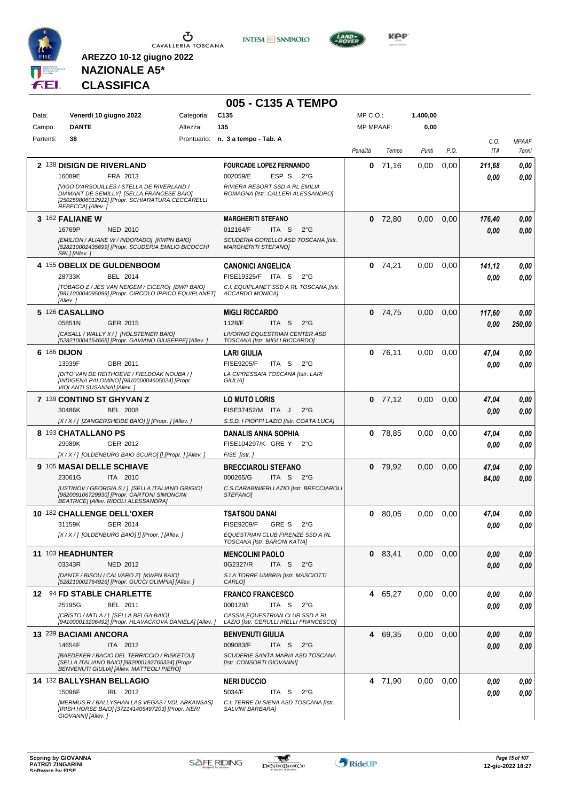

**INTESA M** SANPAOLO



**NAZIONALE A5\* CLASSIFICA**

|             |                                                                                                                                                                  |            | 005 - C135 A TEMPO                                                         |                  |           |          |      |             |                       |
|-------------|------------------------------------------------------------------------------------------------------------------------------------------------------------------|------------|----------------------------------------------------------------------------|------------------|-----------|----------|------|-------------|-----------------------|
| Data:       | Venerdì 10 giugno 2022                                                                                                                                           | Categoria: | C <sub>135</sub>                                                           | MP C.O.:         |           | 1.400,00 |      |             |                       |
| Campo:      | <b>DANTE</b>                                                                                                                                                     | Altezza:   | 135                                                                        | <b>MP MPAAF:</b> |           | 0,00     |      |             |                       |
| Partenti:   | 38                                                                                                                                                               |            | Prontuario: n. 3 a tempo - Tab. A                                          | Penalità         | Tempo     | Punti    | P.O. | C.O.<br>ITA | <b>MPAAF</b><br>7anni |
|             | 2 138 DISIGN DE RIVERLAND                                                                                                                                        |            | <b>FOURCADE LOPEZ FERNANDO</b>                                             | 0                | 71,16     | 0,00     | 0,00 | 211.68      | 0,00                  |
|             | 16089E<br>FRA 2013                                                                                                                                               |            | 002059/E<br>ESP S<br>$2^{\circ}G$                                          |                  |           |          |      | 0.00        | 0,00                  |
|             | [VIGO D'ARSOUILLES / STELLA DE RIVERLAND /<br>DIAMANT DE SEMILLY] [SELLA FRANCESE BAIO]<br>[250259806012922] [Propr. SCHIARATURA CECCARELLI<br>REBECCA] [Allev.] |            | RIVIERA RESORT SSD A RL EMILIA<br>ROMAGNA [Istr. CALLERI ALESSANDRO]       |                  |           |          |      |             |                       |
|             | 3 162 FALIANE W                                                                                                                                                  |            | <b>MARGHERITI STEFANO</b>                                                  | 0                | 72,80     | 0,00     | 0,00 | 176,40      | 0,00                  |
|             | 16769P<br><b>NED 2010</b>                                                                                                                                        |            | 012164/F<br>$2^{\circ}$ G<br>ITA S                                         |                  |           |          |      | 0.00        | 0,00                  |
|             | [EMILION / ALIANE W / INDORADO] [KWPN BAIO]<br>[528210002435699] [Propr. SCUDERIA EMILIO BICOCCHI<br>SRL] [Allev.]                                               |            | SCUDERIA GORELLO ASD TOSCANA [Istr.<br><b>MARGHERITI STEFANO]</b>          |                  |           |          |      |             |                       |
|             | 4 155 OBELIX DE GULDENBOOM                                                                                                                                       |            | <b>CANONICI ANGELICA</b>                                                   | 0                | 74,21     | 0.00     | 0,00 | 141,12      | 0,00                  |
|             | 28733K<br>BEL 2014                                                                                                                                               |            | FISE19325/F ITA S<br>$2^{\circ}$ G                                         |                  |           |          |      | 0.00        | 0,00                  |
|             | [TOBAGO Z / JES VAN NEIGEM / CICERO] [BWP BAIO]<br>[981100004095099] [Propr. CIRCOLO IPPICO EQUIPLANET]<br>[Allev.]                                              |            | C.I. EQUIPLANET SSD A RL TOSCANA [Istr.<br><b>ACCARDO MONICAI</b>          |                  |           |          |      |             |                       |
|             | 5 126 CASALLINO                                                                                                                                                  |            | <b>MIGLI RICCARDO</b>                                                      |                  | $0$ 74,75 | 0,00     | 0,00 | 117,60      | 0,00                  |
|             | 05851N<br>GER 2015                                                                                                                                               |            | 1128/F<br>ITA S<br>$2^{\circ}$ G                                           |                  |           |          |      | 0.00        | 250,00                |
|             | [CASALL / WALLY II / ] [HOLSTEINER BAIO]<br>[528210004154665] [Propr. GAVIANO GIUSEPPE] [Allev.]                                                                 |            | LIVORNO EQUESTRIAN CENTER ASD<br>TOSCANA [Istr. MIGLI RICCARDO]            |                  |           |          |      |             |                       |
| 6 186 DIJON |                                                                                                                                                                  |            | LARI GIULIA                                                                |                  | $0$ 76,11 | 0,00     | 0,00 | 47.04       | 0,00                  |
|             | 13939F<br>GBR 2011                                                                                                                                               |            | <b>FISE9205/F</b><br>ITA S<br>2°G                                          |                  |           |          |      | 0.00        | 0.00                  |
|             | [DITO VAN DE REITHOEVE / FIELDOAK NOUBA / ]<br>[INDIGENA PALOMINO] [981000004605024] [Propr.<br>VIOLANTI SUSANNA] [Allev.]                                       |            | LA CIPRESSAIA TOSCANA [Istr. LARI<br><b>GIULIAI</b>                        |                  |           |          |      |             |                       |
|             | 7 139 CONTINO ST GHYVAN Z                                                                                                                                        |            | <b>LO MUTO LORIS</b>                                                       |                  | $0$ 77,12 | 0,00     | 0,00 | 47,04       | 0,00                  |
|             | 30486K<br><b>BEL 2008</b>                                                                                                                                        |            | FISE37452/M ITA J<br>$2^{\circ}$ G                                         |                  |           |          |      | 0.00        | 0,00                  |
|             | [X / X / ] [ZANGERSHEIDE BAIO] [] [Propr. ] [Allev. ]                                                                                                            |            | S.S.D. I PIOPPI LAZIO [Istr. COATA LUCA]                                   |                  |           |          |      |             |                       |
|             | 8 193 CHATALLANO PS                                                                                                                                              |            | <b>DANALIS ANNA SOPHIA</b>                                                 | 0                | 78,85     | 0,00     | 0.00 | 47.04       | 0,00                  |
|             | 29989K<br>GER 2012                                                                                                                                               |            | FISE104297/K GRE Y<br>$2^{\circ}$ G                                        |                  |           |          |      | 0.00        | 0.00                  |
|             | [X / X / ] [OLDENBURG BAIO SCURO] [] [Propr. ] [Allev. ]                                                                                                         |            | FISE [Istr.]                                                               |                  |           |          |      |             |                       |
|             | 9 105 MASAI DELLE SCHIAVE                                                                                                                                        |            | <b>BRECCIAROLI STEFANO</b><br>ITA <sub>S</sub><br>000265/G<br>$2^{\circ}G$ |                  | $0$ 79,92 | 0,00     | 0,00 | 47.04       | 0,00                  |
|             | 23061G<br>ITA 2010<br>[USTINOV / GEORGIA S / ] [SELLA ITALIANO GRIGIO]<br>[982009106729930] [Propr. CARTONI SIMONCINI                                            |            | C.S.CARABINIERI LAZIO [Istr. BRECCIAROLI<br><b>STEFANOI</b>                |                  |           |          |      | 84.00       | 0.00                  |
|             | <b>BEATRICE  [Allev. RIDOLI ALESSANDRA]</b><br>10 182 CHALLENGE DELL'OXER                                                                                        |            |                                                                            |                  |           |          |      |             |                       |
|             | 31159K<br>GER 2014                                                                                                                                               |            | TSATSOU DANAI<br>GRE S<br><b>FISE9209/F</b><br>$2^{\circ}$ G               |                  | 0 80,05   | 0.00     | 0,00 | 47.04       | 0,00                  |
|             | $[X/X/$ ] [OLDENBURG BAIO] [] [Propr. ] [Allev. ]                                                                                                                |            | EQUESTRIAN CLUB FIRENZE SSD A RL                                           |                  |           |          |      | 0,00        | 0,00                  |
|             |                                                                                                                                                                  |            | TOSCANA [Istr. BARONI KATIA]                                               |                  |           |          |      |             |                       |
|             | 11 103 HEADHUNTER                                                                                                                                                |            | <b>MENCOLINI PAOLO</b>                                                     |                  | 0 83,41   | 0,00     | 0,00 | 0,00        | 0,00                  |
|             | 03343R<br><b>NED 2012</b>                                                                                                                                        |            | 0G2327/R<br>ITA S<br>$2^{\circ}G$                                          |                  |           |          |      | 0.00        | 0,00                  |
|             | [DANTE / BISOU / CALVARO Z] [KWPN BAIO]<br>[528210002764926] [Propr. GUCCI OLIMPIA] [Allev.]                                                                     |            | S.LA TORRE UMBRIA [Istr. MASCIOTTI<br>CARLO]                               |                  |           |          |      |             |                       |
|             | 12 94 FD STABLE CHARLETTE                                                                                                                                        |            | <b>FRANCO FRANCESCO</b>                                                    |                  | 4 65,27   | 0.00     | 0,00 | 0,00        | 0,00                  |
|             | 25195G<br>BEL 2011                                                                                                                                               |            | ITA S<br>000129/I<br>$2^{\circ}$ G                                         |                  |           |          |      | 0,00        | 0,00                  |
|             | [CRISTO / MITLA / ] [SELLA BELGA BAIO]<br>[941000013206492] [Propr. HLAVACKOVA DANIELA] [Allev.]                                                                 |            | CASSIA EQUESTRIAN CLUB SSD A RL<br>LAZIO [Istr. CERULLI IRELLI FRANCESCO]  |                  |           |          |      |             |                       |
|             | 13 239 BACIAMI ANCORA                                                                                                                                            |            | <b>BENVENUTI GIULIA</b>                                                    |                  | 4 69,35   | 0,00     | 0,00 | 0,00        | 0,00                  |
|             | 14654F<br>ITA 2012                                                                                                                                               |            | 009083/F<br>ITA S<br>$2^{\circ}$ G                                         |                  |           |          |      | 0,00        | 0,00                  |
|             | [BAEDEKER / BACIO DEL TERRICCIO / RISKETOU]<br>[SELLA ITALIANO BAIO] [982000192765324] [Propr.<br>BENVENUTI GIULIA] [Allev. MATTEOLI PIERO]                      |            | SCUDERIE SANTA MARIA ASD TOSCANA<br>[Istr. CONSORTI GIOVANNI]              |                  |           |          |      |             |                       |
|             | 14 132 BALLYSHAN BELLAGIO                                                                                                                                        |            | <b>NERI DUCCIO</b>                                                         |                  | 4 71,90   | 0,00     | 0,00 | 0,00        | 0,00                  |
|             | 15096F<br>IRL 2012                                                                                                                                               |            | 5034/F<br>ITA S<br>$2^{\circ}$ G                                           |                  |           |          |      | 0.00        | 0,00                  |
|             | [MERMUS R / BALLYSHAN LAS VEGAS / VDL ARKANSAS]<br>[IRISH HORSE BAIO] [372141405497203] [Propr. NERI<br>GIOVANNI] [Allev.]                                       |            | C.I. TERRE DI SIENA ASD TOSCANA [Istr.<br>SALVINI BARBARA]                 |                  |           |          |      |             |                       |

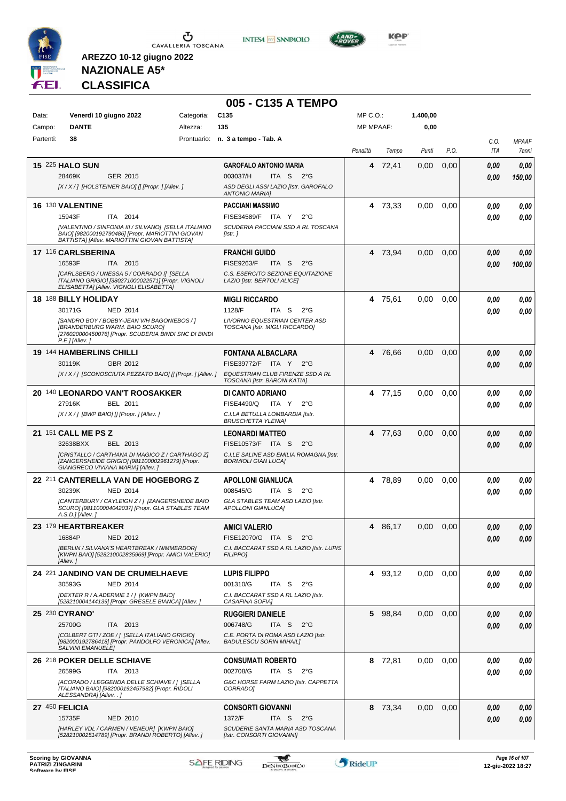

**INTESA M** SANPAOLO



**KOP** 

**NAZIONALE A5\* CLASSIFICA**

|                |                                                                                                                                                                    |            | 005 - C135 A TEMPO                                                                                                        |                  |         |          |      |             |                       |
|----------------|--------------------------------------------------------------------------------------------------------------------------------------------------------------------|------------|---------------------------------------------------------------------------------------------------------------------------|------------------|---------|----------|------|-------------|-----------------------|
| Data:          | Venerdì 10 giugno 2022                                                                                                                                             | Categoria: | C <sub>135</sub>                                                                                                          | MP C.O.:         |         | 1.400,00 |      |             |                       |
| Campo:         | <b>DANTE</b>                                                                                                                                                       | Altezza:   | 135                                                                                                                       | <b>MP MPAAF:</b> |         | 0,00     |      |             |                       |
| Partenti:      | 38                                                                                                                                                                 |            | Prontuario: n. 3 a tempo - Tab. A                                                                                         | Penalità         | Tempo   | Punti    | P.O. | C.O.<br>ITA | <b>MPAAF</b><br>7anni |
|                | <b>15 225 HALO SUN</b>                                                                                                                                             |            | <b>GAROFALO ANTONIO MARIA</b>                                                                                             | 4                | 72,41   | 0,00     | 0,00 | 0,00        | 0.00                  |
|                | 28469K<br>GER 2015                                                                                                                                                 |            | 003037/H<br>ITA S<br>2°G                                                                                                  |                  |         |          |      | 0.00        | 150,00                |
|                | [X/X/] [HOLSTEINER BAIO] [] [Propr. ] [Allev.]                                                                                                                     |            | ASD DEGLI ASSI LAZIO [Istr. GAROFALO<br><b>ANTONIO MARIA]</b>                                                             |                  |         |          |      |             |                       |
|                | 16 130 VALENTINE                                                                                                                                                   |            | <b>PACCIANI MASSIMO</b>                                                                                                   |                  | 4 73,33 | 0,00     | 0.00 | 0,00        | 0,00                  |
|                | 15943F<br>ITA 2014<br>[VALENTINO / SINFONIA III / SILVANO] [SELLA ITALIANO                                                                                         |            | FISE34589/F ITA Y<br>$2^{\circ}$ G<br>SCUDERIA PACCIANI SSD A RL TOSCANA                                                  |                  |         |          |      | 0.00        | 0,00                  |
|                | BAIO] [982000192790486] [Propr. MARIOTTINI GIOVAN<br>BATTISTA] [Allev. MARIOTTINI GIOVAN BATTISTA]                                                                 |            | [Istr.]                                                                                                                   |                  |         |          |      |             |                       |
|                | 17 116 CARLSBERINA                                                                                                                                                 |            | <b>FRANCHI GUIDO</b>                                                                                                      |                  | 4 73,94 | 0,00     | 0,00 | 0,00        | 0,00                  |
|                | 16593F<br>ITA 2015                                                                                                                                                 |            | <b>FISE9263/F</b><br>ITA S<br>$2^{\circ}G$                                                                                |                  |         |          |      | 0.00        | 100,00                |
|                | [CARLSBERG / UNESSA 5 / CORRADO I] [SELLA<br>ITALIANO GRIGIO] [380271000022571] [Propr. VIGNOLI<br>ELISABETTA] [Allev. VIGNOLI ELISABETTA]                         |            | C.S. ESERCITO SEZIONE EQUITAZIONE<br>LAZIO [Istr. BERTOLI ALICE]                                                          |                  |         |          |      |             |                       |
|                | 18 188 BILLY HOLIDAY                                                                                                                                               |            | <b>MIGLI RICCARDO</b>                                                                                                     |                  | 4 75,61 | 0,00     | 0,00 | 0.00        | 0,00                  |
|                | 30171G<br><b>NED 2014</b>                                                                                                                                          |            | 1128/F<br>ITA S<br>$2^{\circ}G$                                                                                           |                  |         |          |      | 0.00        | 0.00                  |
|                | [SANDRO BOY / BOBBY-JEAN V/H BAGONIEBOS / ]<br><b>IBRANDERBURG WARM, BAIO SCUROI</b><br>[276020000450076] [Propr. SCUDERIA BINDI SNC DI BINDI<br>$P.E.$ ] [Allev.] |            | LIVORNO EQUESTRIAN CENTER ASD<br>TOSCANA [Istr. MIGLI RICCARDO]                                                           |                  |         |          |      |             |                       |
|                | 19 144 HAMBERLINS CHILLI                                                                                                                                           |            | <b>FONTANA ALBACLARA</b>                                                                                                  |                  | 4 76,66 | 0,00     | 0,00 | 0.00        | 0,00                  |
|                | GBR 2012<br>30119K                                                                                                                                                 |            | FISE39772/F ITA Y 2°G                                                                                                     |                  |         |          |      | 0.00        | 0.00                  |
|                |                                                                                                                                                                    |            | [X/X/] [SCONOSCIUTA PEZZATO BAIO] [] [Propr. ] [Allev. ] EQUESTRIAN CLUB FIRENZE SSD A RL<br>TOSCANA [Istr. BARONI KATIA] |                  |         |          |      |             |                       |
|                | 20 140 LEONARDO VAN'T ROOSAKKER                                                                                                                                    |            | DI CANTO ADRIANO                                                                                                          |                  | 4 77,15 | 0,00     | 0,00 | 0.00        | 0,00                  |
|                | 27916K<br>BEL 2011                                                                                                                                                 |            | <b>FISE4490/Q</b><br>ITA Y<br>$2^{\circ}G$<br>C.I.LA BETULLA LOMBARDIA [Istr.                                             |                  |         |          |      | 0.00        | 0.00                  |
|                | $[X/X$ / ] [BWP BAIO] [] [Propr. ] [Allev. ]                                                                                                                       |            | <b>BRUSCHETTA YLENIA]</b>                                                                                                 |                  |         |          |      |             |                       |
|                | 21 151 CALL ME PS Z                                                                                                                                                |            | <b>LEONARDI MATTEO</b>                                                                                                    |                  | 4 77,63 | 0,00     | 0,00 | 0.00        | 0,00                  |
|                | 32638BXX<br>BEL 2013                                                                                                                                               |            | FISE10573/F ITA S<br>$2^{\circ}$ G                                                                                        |                  |         |          |      | 0.00        | 0.00                  |
|                | [CRISTALLO / CARTHANA DI MAGICO Z / CARTHAGO Z]<br>[ZANGERSHEIDE GRIGIO] [981100002961279] [Propr.<br>GIANGRECO VIVIANA MARIA] [Allev. ]                           |            | C.I.LE SALINE ASD EMILIA ROMAGNA [Istr.<br><b>BORMIOLI GIAN LUCAI</b>                                                     |                  |         |          |      |             |                       |
|                | 22 211 CANTERELLA VAN DE HOGEBORG Z                                                                                                                                |            | <b>APOLLONI GIANLUCA</b>                                                                                                  |                  | 4 78,89 | 0,00     | 0,00 | 0,00        | 0,00                  |
|                | 30239K<br><b>NED 2014</b>                                                                                                                                          |            | 008545/G<br>ITA S<br>$2^{\circ}G$                                                                                         |                  |         |          |      | 0.00        | 0,00                  |
|                | [CANTERBURY / CAYLEIGH Z / ] [ZANGERSHEIDE BAIO<br>SCURO] [981100004042037] [Propr. GLA STABLES TEAM<br>$A.S.D.$ ] [Allev.]                                        |            | GLA STABLES TEAM ASD LAZIO [Istr.<br><b>APOLLONI GIANLUCA]</b>                                                            |                  |         |          |      |             |                       |
|                | 23 179 HEARTBREAKER                                                                                                                                                |            | <b>AMICI VALERIO</b>                                                                                                      |                  | 4 86,17 | 0,00     | 0,00 | 0,00        | 0,00                  |
|                | 16884P<br><b>NED 2012</b>                                                                                                                                          |            | FISE12070/G ITA S 2°G                                                                                                     |                  |         |          |      | 0.00        | 0,00                  |
|                | [BERLIN / SILVANA'S HEARTBREAK / NIMMERDOR]<br>[KWPN BAIO] [528210002835969] [Propr. AMICI VALERIO]<br>[Allev.]                                                    |            | C.I. BACCARAT SSD A RL LAZIO [Istr. LUPIS<br><b>FILIPPO1</b>                                                              |                  |         |          |      |             |                       |
|                | 24 221 JANDINO VAN DE CRUMELHAEVE                                                                                                                                  |            | <b>LUPIS FILIPPO</b>                                                                                                      |                  | 4 93,12 | 0.00     | 0,00 | 0,00        | 0,00                  |
|                | 30593G<br><b>NED 2014</b>                                                                                                                                          |            | 001310/G<br>ITA S<br>2°G                                                                                                  |                  |         |          |      | 0.00        | 0,00                  |
|                | [DEXTER R / A.ADERMIE 1 / ] [KWPN BAIO]<br>[528210004144139] [Propr. GRESELE BIANCA] [Allev. ]                                                                     |            | C.I. BACCARAT SSD A RL LAZIO [Istr.<br>CASAFINA SOFIA]                                                                    |                  |         |          |      |             |                       |
|                | 25 230 CYRANO'                                                                                                                                                     |            | <b>RUGGIERI DANIELE</b>                                                                                                   |                  | 5 98,84 | 0,00     | 0.00 | 0,00        | 0,00                  |
|                | 25700G<br>ITA 2013<br>[COLBERT GTI / ZOE / ] [SELLA ITALIANO GRIGIO]                                                                                               |            | 006748/G<br>ITA S<br>$2^{\circ}$ G<br>C.E. PORTA DI ROMA ASD LAZIO [Istr.                                                 |                  |         |          |      | 0,00        | 0,00                  |
|                | [982000192786418] [Propr. PANDOLFO VERONICA] [Allev.<br><b>SALVINI EMANUELE]</b>                                                                                   |            | <b>BADULESCU SORIN MIHAIL]</b>                                                                                            |                  |         |          |      |             |                       |
|                | 26 218 POKER DELLE SCHIAVE                                                                                                                                         |            | <b>CONSUMATI ROBERTO</b>                                                                                                  |                  | 8 72,81 | 0.00     | 0,00 | 0,00        | 0,00                  |
|                | 26599G<br>ITA 2013                                                                                                                                                 |            | 002708/G<br>ITA S<br>$2^{\circ}$ G                                                                                        |                  |         |          |      | 0,00        | 0,00                  |
|                | [ACORADO / LEGGENDA DELLE SCHIAVE / ] [SELLA<br>ITALIANO BAIO] [982000192457982] [Propr. RIDOLI<br>ALESSANDRA] [Allev. . ]                                         |            | G&C HORSE FARM LAZIO [Istr. CAPPETTA<br>CORRADO]                                                                          |                  |         |          |      |             |                       |
| 27 450 FELICIA |                                                                                                                                                                    |            | <b>CONSORTI GIOVANNI</b>                                                                                                  |                  | 8 73,34 | 0,00     | 0,00 | 0,00        | 0,00                  |
|                | 15735F<br><b>NED 2010</b>                                                                                                                                          |            | 1372/F<br>ITA S<br>$2^{\circ}$ G                                                                                          |                  |         |          |      | 0,00        | 0,00                  |
|                | [HARLEY VDL / CARMEN / VENEUR] [KWPN BAIO]<br>[528210002514789] [Propr. BRANDI ROBERTO] [Allev.]                                                                   |            | SCUDERIE SANTA MARIA ASD TOSCANA<br>[Istr. CONSORTI GIOVANNI]                                                             |                  |         |          |      |             |                       |



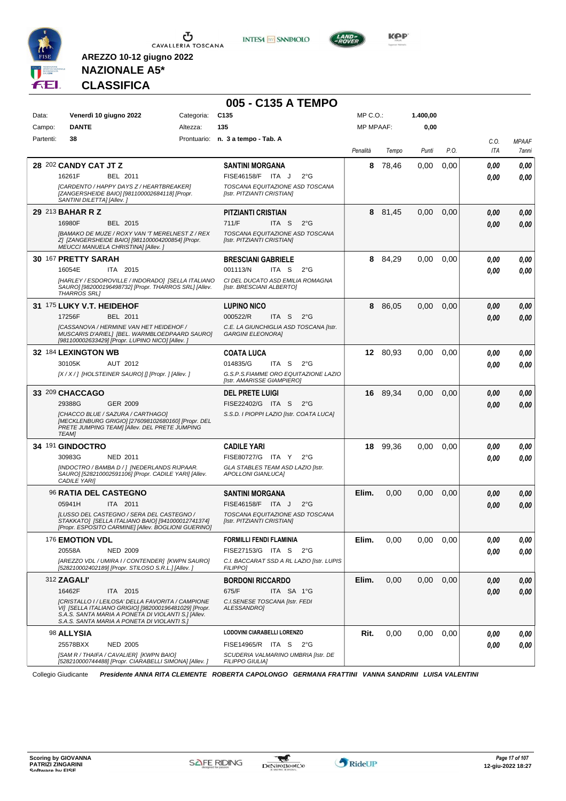





**Kep** 

# **NAZIONALE A5\* CLASSIFICA**

**AREZZO 10-12 giugno 2022**

|           |                                                                                                                                                                                                                  |            | 005 - C135 A TEMPO                                                 |                  |          |          |      |      |              |
|-----------|------------------------------------------------------------------------------------------------------------------------------------------------------------------------------------------------------------------|------------|--------------------------------------------------------------------|------------------|----------|----------|------|------|--------------|
| Data:     | Venerdì 10 giugno 2022                                                                                                                                                                                           | Categoria: | C <sub>135</sub>                                                   | $MP C. O.$ :     |          | 1.400,00 |      |      |              |
| Campo:    | <b>DANTE</b>                                                                                                                                                                                                     | Altezza:   | 135                                                                | <b>MP MPAAF:</b> |          | 0,00     |      |      |              |
| Partenti: | 38                                                                                                                                                                                                               |            | Prontuario: n. 3 a tempo - Tab. A                                  |                  |          |          |      | C.O. | <b>MPAAF</b> |
|           |                                                                                                                                                                                                                  |            |                                                                    | Penalità         | Tempo    | Punti    | P.O. | ITA  | 7anni        |
|           | 28 202 CANDY CAT JT Z                                                                                                                                                                                            |            | <b>SANTINI MORGANA</b>                                             | 8                | 78,46    | 0,00     | 0,00 | 0,00 | 0,00         |
|           | 16261F<br>BEL 2011                                                                                                                                                                                               |            | FISE46158/F ITA J<br>$2^{\circ}G$                                  |                  |          |          |      | 0,00 | 0,00         |
|           | [CARDENTO / HAPPY DAYS Z / HEARTBREAKER]<br>[ZANGERSHEIDE BAIO] [981100002684118] [Propr.<br>SANTINI DILETTA] [Allev.]                                                                                           |            | TOSCANA EQUITAZIONE ASD TOSCANA<br>[Istr. PITZIANTI CRISTIAN]      |                  |          |          |      |      |              |
|           | 29 213 BAHAR R Z                                                                                                                                                                                                 |            | <b>PITZIANTI CRISTIAN</b>                                          |                  | 8 81,45  | 0,00     | 0,00 | 0,00 | 0,00         |
|           | 16980F<br>BEL 2015                                                                                                                                                                                               |            | 711/F<br>ITA <sub>S</sub><br>$2^{\circ}$ G                         |                  |          |          |      | 0,00 | 0,00         |
|           | [BAMAKO DE MUZE / ROXY VAN 'T MERELNEST Z / REX<br>Z] [ZANGERSHEIDE BAIO] [981100004200854] [Propr.<br>MEUCCI MANUELA CHRISTINA] [Allev.]                                                                        |            | TOSCANA EQUITAZIONE ASD TOSCANA<br>[Istr. PITZIANTI CRISTIAN]      |                  |          |          |      |      |              |
|           | 30 167 PRETTY SARAH                                                                                                                                                                                              |            | <b>BRESCIANI GABRIELE</b>                                          | 8                | 84,29    | 0,00     | 0,00 | 0.00 | 0,00         |
|           | 16054E<br>ITA 2015                                                                                                                                                                                               |            | 001113/N<br>ITA S<br>$2^{\circ}$ G                                 |                  |          |          |      | 0,00 | 0.00         |
|           | [HARLEY / ESDOROVILLE / INDORADO] [SELLA ITALIANO<br>SAUROI [982000196498732] [Propr. THARROS SRLI [Allev.<br><b>THARROS SRL1</b>                                                                                |            | CI DEL DUCATO ASD EMILIA ROMAGNA<br>[Istr. BRESCIANI ALBERTO]      |                  |          |          |      |      |              |
|           | 31 175 LUKY V.T. HEIDEHOF                                                                                                                                                                                        |            | <b>LUPINO NICO</b>                                                 |                  | 8 86,05  | 0,00     | 0,00 | 0,00 | 0.00         |
|           | 17256F<br>BEL 2011                                                                                                                                                                                               |            | 000522/R<br>ITA S<br>$2^{\circ}$ G                                 |                  |          |          |      | 0.00 | 0,00         |
|           | <b>[CASSANOVA / HERMINE VAN HET HEIDEHOF /</b><br>MUSCARIS D'ARIELI [BEL. WARMBLOEDPAARD SAURO]<br>[981100002633429] [Propr. LUPINO NICO] [Allev.]                                                               |            | C.E. LA GIUNCHIGLIA ASD TOSCANA [Istr.<br><b>GARGINI ELEONORAI</b> |                  |          |          |      |      |              |
|           | 32 184 LEXINGTON WB                                                                                                                                                                                              |            | <b>COATA LUCA</b>                                                  |                  | 12 80,93 | 0,00     | 0.00 | 0.00 | 0.00         |
|           | AUT 2012<br>30105K                                                                                                                                                                                               |            | 014835/G<br>ITA S<br>$2^{\circ}$ G                                 |                  |          |          |      | 0.00 | 0.00         |
|           | [X / X / ] [HOLSTEINER SAURO] [] [Propr. ] [Allev. ]                                                                                                                                                             |            | G.S.P.S.FIAMME ORO EQUITAZIONE LAZIO<br>[Istr. AMARISSE GIAMPIERO] |                  |          |          |      |      |              |
|           | 33 209 CHACCAGO                                                                                                                                                                                                  |            | <b>DEL PRETE LUIGI</b>                                             |                  | 16 89,34 | 0,00     | 0,00 | 0,00 | 0,00         |
|           | 29388G<br>GER 2009                                                                                                                                                                                               |            | FISE22402/G ITA S<br>$2^{\circ}G$                                  |                  |          |          |      | 0,00 | 0,00         |
|           | [CHACCO BLUE / SAZURA / CARTHAGO]<br>[MECKLENBURG GRIGIO] [276098102680160] [Propr. DEL<br>PRETE JUMPING TEAM] [Allev. DEL PRETE JUMPING<br><b>TEAMI</b>                                                         |            | S.S.D. I PIOPPI LAZIO [Istr. COATA LUCA]                           |                  |          |          |      |      |              |
|           | 34 191 GINDOCTRO                                                                                                                                                                                                 |            | <b>CADILE YARI</b>                                                 | 18               | 99,36    | 0,00     | 0,00 | 0,00 | 0,00         |
|           | 30983G<br>NED 2011                                                                                                                                                                                               |            | FISE80727/G ITA Y<br>$2^{\circ}G$                                  |                  |          |          |      | 0.00 | 0.00         |
|           | [INDOCTRO / BAMBA D / ] [NEDERLANDS RIJPAAR.<br>SAURO] [528210002591106] [Propr. CADILE YARI] [Allev.<br>CADILE YARI]                                                                                            |            | GLA STABLES TEAM ASD LAZIO [Istr.<br><b>APOLLONI GIANLUCAI</b>     |                  |          |          |      |      |              |
|           | <b>96 RATIA DEL CASTEGNO</b>                                                                                                                                                                                     |            | <b>SANTINI MORGANA</b>                                             | Elim.            | 0,00     | 0,00     | 0,00 | 0,00 | 0,00         |
|           | 05941H<br>ITA 2011                                                                                                                                                                                               |            | FISE46158/F ITA J<br>$2^{\circ}$ G                                 |                  |          |          |      | 0,00 | 0.00         |
|           | JLUSSO DEL CASTEGNO / SERA DEL CASTEGNO /<br>STAKKATOI ISELLA ITALIANO BAIOI [941000012741374]<br>[Propr. ESPOSITO CARMINE] [Allev. BOGLIONI GUERINO]                                                            |            | TOSCANA EQUITAZIONE ASD TOSCANA<br>[Istr. PITZIANTI CRISTIAN]      |                  |          |          |      |      |              |
|           | 176 <b>EMOTION VDL</b>                                                                                                                                                                                           |            | <b>FORMILLI FENDI FLAMINIA</b>                                     | Elim.            | 0,00     | 0,00     | 0.00 | 0,00 | 0,00         |
|           | 20558A<br><b>NED 2009</b>                                                                                                                                                                                        |            | FISE27153/G ITA S 2°G                                              |                  |          |          |      | 0.00 | 0.00         |
|           | [AREZZO VDL / UMIRA I / CONTENDER] [KWPN SAURO]<br>[528210002402189] [Propr. STILOSO S.R.L.] [Allev.]                                                                                                            |            | C.I. BACCARAT SSD A RL LAZIO [Istr. LUPIS<br><b>FILIPPO]</b>       |                  |          |          |      |      |              |
|           | 312 <b>ZAGALI'</b>                                                                                                                                                                                               |            | <b>BORDONI RICCARDO</b>                                            | Elim.            | 0,00     | 0,00     | 0,00 | 0,00 | 0,00         |
|           | 16462F<br>ITA 2015                                                                                                                                                                                               |            | 675/F<br>ITA SA 1°G                                                |                  |          |          |      | 0,00 | 0.00         |
|           | [CRISTALLO I / LEILOSA' DELLA FAVORITA / CAMPIONE<br>VI] [SELLA ITALIANO GRIGIO] [982000196481029] [Propr.<br>S.A.S. SANTA MARIA A PONETA DI VIOLANTI S.] [Allev.<br>S.A.S. SANTA MARIA A PONETA DI VIOLANTI S.] |            | C.I. SENESE TOSCANA [Istr. FEDI<br>ALESSANDRO]                     |                  |          |          |      |      |              |
|           | 98 ALLYSIA                                                                                                                                                                                                       |            | <b>LODOVINI CIARABELLI LORENZO</b>                                 | Rit.             | 0,00     | 0,00     | 0,00 | 0,00 | 0,00         |
|           | 25578BXX<br><b>NED 2005</b>                                                                                                                                                                                      |            | FISE14965/R ITA S 2°G                                              |                  |          |          |      | 0,00 | 0,00         |
|           | [SAM R / THAIFA / CAVALIER] [KWPN BAIO]<br>[528210000744488] [Propr. CIARABELLI SIMONA] [Allev. ]                                                                                                                |            | SCUDERIA VALMARINO UMBRIA [Istr. DE<br><b>FILIPPO GIULIA]</b>      |                  |          |          |      |      |              |

Collegio Giudicante *Presidente ANNA RITA CLEMENTE ROBERTA CAPOLONGO GERMANA FRATTINI VANNA SANDRINI LUISA VALENTINI*



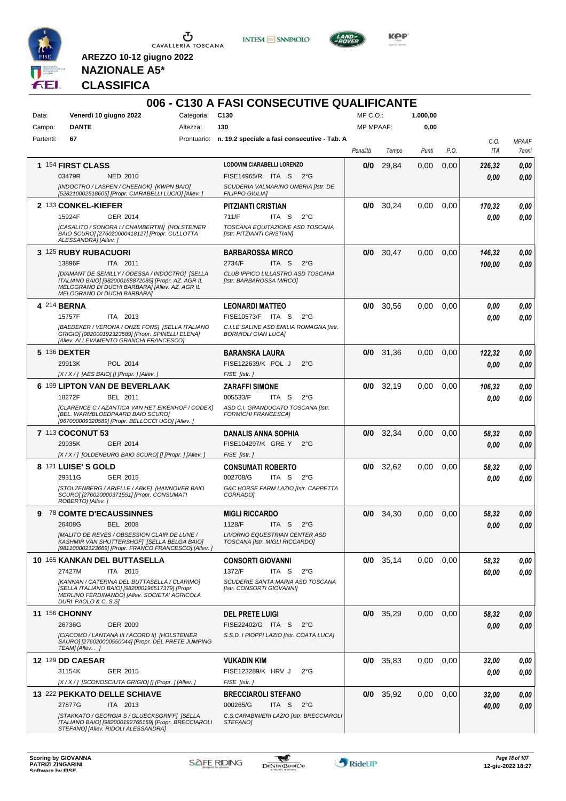

CAVALLERIA TOSCANA





KOP

**NAZIONALE A5\* CLASSIFICA**

**AREZZO 10-12 giugno 2022**

#### **006 - C130 A FASI CONSECUTIVE QUALIFICANTE** Data: Venerdì 10 giugno 2022 Categoria: C130 Prontuario: **n. 19.2 speciale a fasi consecutive - Tab. A** Campo: **DANTE** Partenti: **67** Altezza: **130**  $MP \cap O$ MP MPAAF: **1.000,00 0,00** *Penalità Tempo Punti P.O. C.O. ITA MPAAF 7anni* **1** 154 **FIRST CLASS** NED 2010 **LODOVINI CIARABELLI LORENZO** *[INDOCTRO / LASPEN / CHEENOK] [KWPN BAIO] [528210002518605] [Propr. CIARABELLI LUCIO] [Allev. ] SCUDERIA VALMARINO UMBRIA [Istr. DE FILIPPO GIULIA]* 03479R NED 2010 FISE14965/R ITA S 2°G **0,00 0,00 0/0** 29,84 0,00 0,00 *226,32 0,00 0,00* **2** 133 **CONKEL-KIEFER** GER 2014 **PITZIANTI CRISTIAN** *[CASALITO / SONORA I / CHAMBERTIN] [HOLSTEINER BAIO SCURO] [276020000418127] [Propr. CULLOTTA ALESSANDRA] [Allev. ] TOSCANA EQUITAZIONE ASD TOSCANA [Istr. PITZIANTI CRISTIAN]* ITA S 2°G **0/0** 30,24 0,00 0,00 *170,32 0,00 0,00* 15924F 711/F *0,00* **3** 125 **RUBY RUBACUORI** ITA 2011 **BARBAROSSA MIRCO** *[DIAMANT DE SEMILLY / ODESSA / INDOCTRO] [SELLA ITALIANO BAIO] [982000168872085] [Propr. AZ. AGR IL MELOGRANO DI DUCHI BARBARA] [Allev. AZ. AGR IL MELOGRANO DI DUCHI BARBARA] CLUB IPPICO LILLASTRO ASD TOSCANA [Istr. BARBAROSSA MIRCO]* ITA S 2°G **0/0** 30,47 0,00 0,00 *146,32 100,00 0,00* 13896F ITA 2011 2734/F ITA S 2°G <mark>100,00 0,00</mark> **4** 214 **BERNA** ITA 2013 **LEONARDI MATTEO** *[BAEDEKER / VERONA / ONZE FONS] [SELLA ITALIANO GRIGIO] [982000192323589] [Propr. SPINELLI ELENA] [Allev. ALLEVAMENTO GRANCHI FRANCESCO] C.I.LE SALINE ASD EMILIA ROMAGNA [Istr. BORMIOLI GIAN LUCA]* 15757F ITA 2013 FISE10573/F ITA S 2°G <mark>0,00 0,00</mark> **0/0** 30,56 0,00 0,00 *0,00 0,00 0,00* **5** 136 **DEXTER** POL 2014 **BARANSKA LAURA** *[X / X / ] [AES BAIO] [] [Propr. ] [Allev. ] FISE [Istr. ]* POL J 2°G 29913K FISE122639/K *0,00* **0/0** 31,36 0,00 0,00 *122,32 0,00 0,00* **6** 199 **LIPTON VAN DE BEVERLAAK** BEL 2011 **ZARAFFI SIMONE** *[CLARENCE C / AZANTICA VAN HET EIKENHOF / CODEX] [BEL. WARMBLOEDPAARD BAIO SCURO] [967000009320589] [Propr. BELLOCCI UGO] [Allev. ] ASD C.I. GRANDUCATO TOSCANA [Istr. FORMICHI FRANCESCA]* ITA S 2°G **0/0** 32,19 0,00 0,00 *106,32 0,00 0,00* 18272F BEL 2011 005533/F ITA S 2°G <mark>0 ,00 0,00</mark> **7** 113 **COCONUT 53** GER 2014 **DANALIS ANNA SOPHIA** *[X / X / ] [OLDENBURG BAIO SCURO] [] [Propr. ] [Allev. ] FISE [Istr. ]* GRE Y 2°G 29935K FISE104297/K *0,00* **0/0** 32,34 0,00 0,00 *58,32 0,00 0,00* **8** 121 **LUISE' S GOLD** GER 2015 **CONSUMATI ROBERTO** *[STOLZENBERG / ARIELLE / ABKE] [HANNOVER BAIO SCURO] [276020000371551] [Propr. CONSUMATI ROBERTO] [Allev. ] G&C HORSE FARM LAZIO [Istr. CAPPETTA CORRADO]* ITA S 2°G **0/0** 32,62 0,00 0,00 *58,32 0,00 0,00* 29311G 002708/G *0,00* **9** 78 **COMTE D'ECAUSSINNES** BEL 2008 **MIGLI RICCARDO** *[MALITO DE REVES / OBSESSION CLAIR DE LUNE / KASHMIR VAN SHUTTERSHOF] [SELLA BELGA BAIO] [981100002123669] [Propr. FRANCO FRANCESCO] [Allev. ] LIVORNO EQUESTRIAN CENTER ASD TOSCANA [Istr. MIGLI RICCARDO]* ITA S 2°G **0/0** 34,30 0,00 0,00 *58,32 0,00 0,00* 26408G BEL 2008 1128/F ITA S 2°G <mark> *0,00 0,00*</mark> **10** 165 **KANKAN DEL BUTTASELLA** ITA 2015 **CONSORTI GIOVANNI** *[KANNAN / CATERINA DEL BUTTASELLA / CLARIMO] [SELLA ITALIANO BAIO] [982000196517379] [Propr. MERLINO FERDINANDO] [Allev. SOCIETA' AGRICOLA DURI' PAOLO & C. S.S] SCUDERIE SANTA MARIA ASD TOSCANA [Istr. CONSORTI GIOVANNI]* ITA S 2°G **0/0** 35,14 0,00 0,00 *58,32 60,00 0,00* 27427M ITA 2015 1372/F ITA S 2°G <mark>60,00 0,00</mark> **11** 156 **CHONNY** GER 2009 **DEL PRETE LUIGI** *[CIACOMO / LANTANA III / ACORD II] [HOLSTEINER SAURO] [276020000550044] [Propr. DEL PRETE JUMPING TEAM] [Allev. . .] S.S.D. I PIOPPI LAZIO [Istr. COATA LUCA]* ITA S 2°G 26736G FISE22402/G *0,00* **0/0** 35,29 0,00 0,00 *58,32 0,00 0,00* **12** 129 **DD CAESAR** GER 2015 **VUKADIN KIM** *[X / X / ] [SCONOSCIUTA GRIGIO] [] [Propr. ] [Allev. ] FISE [Istr. ]* 31154K GER\_2015 FISE123289/K HRV J 2°G *0,00 0,00* **0/0** 35,83 0,00 0,00 *32,00 0,00 0,00* **13** 222 **PEKKATO DELLE SCHIAVE** ITA 2013 **BRECCIAROLI STEFANO** *[STAKKATO / GEORGIA S / GLUECKSGRIFF] [SELLA ITALIANO BAIO] [982000192765159] [Propr. BRECCIAROLI STEFANO] [Allev. RIDOLI ALESSANDRA] C.S.CARABINIERI LAZIO [Istr. BRECCIAROLI STEFANO]* ITA S 2°G **0/0** 35,92 0,00 0,00 *32,00 40,00 0,00* 27877G ITA 2013 000265/G ITA S 2°G <mark> **40,00** 0,00</mark>

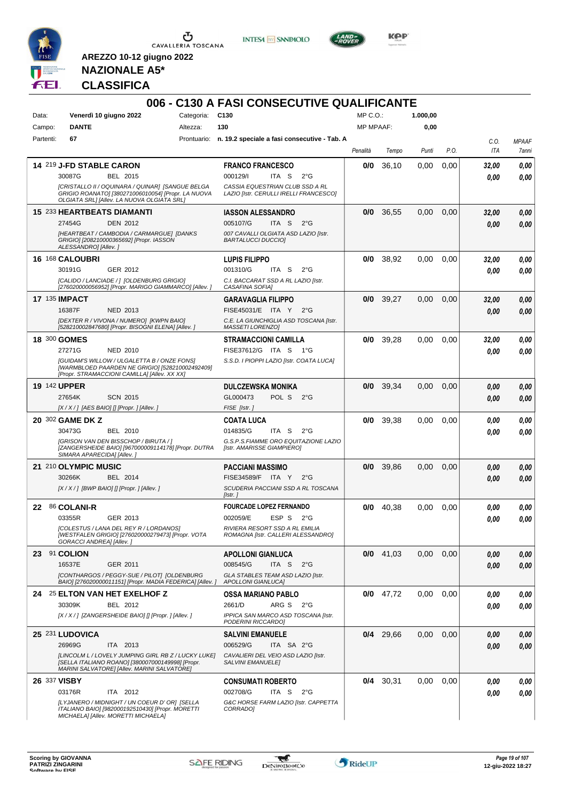

**INTESA M** SANPAOLO



**Kep** 

**NAZIONALE A5\* CLASSIFICA**

| Data:               | Venerdì 10 giugno 2022                                                                                                                                 | Categoria: | C <sub>130</sub>                                                          | MP C.O.          |             | 1.000,00 |      |       |              |
|---------------------|--------------------------------------------------------------------------------------------------------------------------------------------------------|------------|---------------------------------------------------------------------------|------------------|-------------|----------|------|-------|--------------|
| Campo:              | <b>DANTE</b>                                                                                                                                           | Altezza:   | 130                                                                       | <b>MP MPAAF:</b> |             | 0,00     |      |       |              |
| Partenti:           | 67                                                                                                                                                     |            | Prontuario: n. 19.2 speciale a fasi consecutive - Tab. A                  |                  |             |          |      | C.O.  | <b>MPAAF</b> |
|                     |                                                                                                                                                        |            |                                                                           | Penalità         | Tempo       | Punti    | P.O. | ITA   | 7anni        |
|                     | 14 219 J-FD STABLE CARON                                                                                                                               |            | <b>FRANCO FRANCESCO</b>                                                   | 0/0              | 36,10       | 0,00     | 0,00 | 32,00 | 0.00         |
|                     | 30087G<br>BEL 2015                                                                                                                                     |            | 000129/l<br>ITA S<br>$2^{\circ}$ G                                        |                  |             |          |      | 0.00  | 0,00         |
|                     | [CRISTALLO II / OQUINARA / QUINAR] [SANGUE BELGA<br>GRIGIO ROANATO] [380271006010054] [Propr. LA NUOVA                                                 |            | CASSIA EQUESTRIAN CLUB SSD A RL<br>LAZIO [Istr. CERULLI IRELLI FRANCESCO] |                  |             |          |      |       |              |
|                     | OLGIATA SRLI [Allev. LA NUOVA OLGIATA SRL]                                                                                                             |            |                                                                           |                  |             |          |      |       |              |
|                     | 15 233 HEARTBEATS DIAMANTI                                                                                                                             |            | <b>IASSON ALESSANDRO</b>                                                  | 0/0              | 36,55       | 0.00     | 0.00 | 32,00 | 0,00         |
|                     | 27454G<br><b>DEN 2012</b><br>[HEARTBEAT / CAMBODIA / CARMARGUE] [DANKS                                                                                 |            | 005107/G<br>ITA S<br>$2^{\circ}G$<br>007 CAVALLI OLGIATA ASD LAZIO [Istr. |                  |             |          |      | 0.00  | 0.00         |
|                     | GRIGIO] [208210000365692] [Propr. IASSON<br>ALESSANDRO] [Allev.]                                                                                       |            | <b>BARTALUCCI DUCCIO]</b>                                                 |                  |             |          |      |       |              |
|                     | 16 168 CALOUBRI                                                                                                                                        |            | <b>LUPIS FILIPPO</b>                                                      | 0/0              | 38,92       | 0,00     | 0,00 | 32,00 | 0,00         |
|                     | 30191G<br>GER 2012                                                                                                                                     |            | 001310/G<br>ITA S<br>$2^{\circ}$ G                                        |                  |             |          |      | 0.00  | 0.00         |
|                     | [CALIDO / LANCIADE / ] [OLDENBURG GRIGIO]<br>[276020000056952] [Propr. MARIGO GIAMMARCO] [Allev. ]                                                     |            | C.I. BACCARAT SSD A RL LAZIO [Istr.<br>CASAFINA SOFIA]                    |                  |             |          |      |       |              |
| 17 135 IMPACT       |                                                                                                                                                        |            | <b>GARAVAGLIA FILIPPO</b>                                                 |                  | $0/0$ 39,27 | 0,00     | 0,00 | 32,00 | 0,00         |
|                     | 16387F<br><b>NED 2013</b>                                                                                                                              |            | FISE45031/E ITA Y<br>$2^{\circ}G$                                         |                  |             |          |      | 0.00  | 0.00         |
|                     | [DEXTER R / VIVONA / NUMERO] [KWPN BAIO]<br>[528210002847680] [Propr. BISOGNI ELENA] [Allev.]                                                          |            | C.E. LA GIUNCHIGLIA ASD TOSCANA [Istr.<br>MASSETI LORENZO]                |                  |             |          |      |       |              |
| 18 300 GOMES        |                                                                                                                                                        |            | <b>STRAMACCIONI CAMILLA</b>                                               | 0/0              | 39,28       | 0.00     | 0,00 | 32,00 | 0.00         |
|                     | 27271G<br>NED 2010                                                                                                                                     |            | FISE37612/G ITA S<br>1°G                                                  |                  |             |          |      | 0.00  | 0.00         |
|                     | [GUIDAM'S WILLOW / ULGALETTA B / ONZE FONS]<br>[WARMBLOED PAARDEN NE GRIGIO] [528210002492409]                                                         |            | S.S.D. I PIOPPI LAZIO [Istr. COATA LUCA]                                  |                  |             |          |      |       |              |
|                     | [Propr. STRAMACCIONI CAMILLA] [Allev. XX XX]                                                                                                           |            |                                                                           |                  |             |          |      |       |              |
| <b>19 142 UPPER</b> | <b>SCN 2015</b><br>27654K                                                                                                                              |            | <b>DULCZEWSKA MONIKA</b><br>GL000473<br>POL S<br>$2^{\circ}G$             | 0/0              | 39,34       | 0,00     | 0.00 | 0.00  | 0.00         |
|                     | $[X/X/$ ] [AES BAIO] [] [Propr. ] [Allev.]                                                                                                             |            | FISE [Istr.]                                                              |                  |             |          |      | 0.00  | 0.00         |
|                     | 20 302 GAME DK Z                                                                                                                                       |            | <b>COATA LUCA</b>                                                         | 0/0              | 39,38       | 0,00     | 0.00 | 0.00  | 0.00         |
|                     | 30473G<br>BEL 2010                                                                                                                                     |            | 014835/G<br>ITA S<br>$2^{\circ}$ G                                        |                  |             |          |      | 0.00  | 0.00         |
|                     | [GRISON VAN DEN BISSCHOP / BIRUTA / ]<br>[ZANGERSHEIDE BAIO] [967000009114178] [Propr. DUTRA                                                           |            | G.S.P.S.FIAMME ORO EQUITAZIONE LAZIO<br>[Istr. AMARISSE GIAMPIERO]        |                  |             |          |      |       |              |
|                     | SIMARA APARECIDA] [Allev.]<br>21 210 OLYMPIC MUSIC                                                                                                     |            | <b>PACCIANI MASSIMO</b>                                                   | 0/0              | 39,86       | 0,00     | 0,00 | 0,00  | 0,00         |
|                     | 30266K<br>BEL 2014                                                                                                                                     |            | FISE34589/F ITA Y<br>$2^{\circ}G$                                         |                  |             |          |      | 0,00  | 0.00         |
|                     | [X / X / ] [BWP BAIO] [] [Propr. ] [Allev. ]                                                                                                           |            | SCUDERIA PACCIANI SSD A RL TOSCANA                                        |                  |             |          |      |       |              |
|                     |                                                                                                                                                        |            | [Istr. ]                                                                  |                  |             |          |      |       |              |
| 22                  | 86 COLANI-R<br>03355R<br>GER 2013                                                                                                                      |            | <b>FOURCADE LOPEZ FERNANDO</b><br>002059/E<br>ESP S<br>$2^{\circ}$ G      | 0/0              | 40.38       | 0.00     | 0,00 | 0,00  | 0.00         |
|                     | [COLESTUS / LANA DEL REY R / LORDANOS]                                                                                                                 |            | RIVIERA RESORT SSD A RL EMILIA                                            |                  |             |          |      | 0,00  | 0.00         |
|                     | [WESTFALEN GRIGIO] [276020000279473] [Propr. VOTA<br>GORACCI ANDREA] [Allev.]                                                                          |            | ROMAGNA [Istr. CALLERI ALESSANDRO]                                        |                  |             |          |      |       |              |
|                     | 23 91 COLION                                                                                                                                           |            | <b>APOLLONI GIANLUCA</b>                                                  |                  | $0/0$ 41,03 | 0,00     | 0,00 | 0,00  | 0,00         |
|                     | 16537E<br>GER 2011                                                                                                                                     |            | 008545/G<br>ITA S<br>$2^{\circ}G$                                         |                  |             |          |      | 0,00  | 0,00         |
|                     | [CONTHARGOS / PEGGY-SUE / PILOT] [OLDENBURG<br>BAIO] [276020000011151] [Propr. MADIA FEDERICA] [Allev.]                                                |            | GLA STABLES TEAM ASD LAZIO [Istr.<br><b>APOLLONI GIANLUCAI</b>            |                  |             |          |      |       |              |
|                     | 24 25 ELTON VAN HET EXELHOF Z                                                                                                                          |            | <b>OSSA MARIANO PABLO</b>                                                 | 0/0              | 47,72       | 0,00     | 0.00 | 0,00  | 0,00         |
|                     | BEL 2012<br>30309K                                                                                                                                     |            | 2661/D<br>ARG S<br>2°G                                                    |                  |             |          |      | 0.00  | 0,00         |
|                     | [X / X / ] [ZANGERSHEIDE BAIO] [] [Propr. ] [Allev. ]                                                                                                  |            | IPPICA SAN MARCO ASD TOSCANA [Istr.<br>PODERINI RICCARDO]                 |                  |             |          |      |       |              |
|                     | 25 231 LUDOVICA                                                                                                                                        |            | <b>SALVINI EMANUELE</b>                                                   |                  | $0/4$ 29,66 | 0,00     | 0,00 | 0,00  | 0,00         |
|                     | 26969G<br>ITA 2013                                                                                                                                     |            | 006529/G<br>ITA SA 2°G                                                    |                  |             |          |      | 0,00  | 0,00         |
|                     | ILINCOLM L / LOVELY JUMPING GIRL RB Z / LUCKY LUKE]<br>[SELLA ITALIANO ROANO] [380007000149998] [Propr.<br>MARINI SALVATORE] [Allev. MARINI SALVATORE] |            | CAVALIERI DEL VEIO ASD LAZIO [Istr.<br><b>SALVINI EMANUELE]</b>           |                  |             |          |      |       |              |
| 26 337 VISBY        |                                                                                                                                                        |            | <b>CONSUMATI ROBERTO</b>                                                  |                  | $0/4$ 30,31 | 0,00     | 0.00 | 0,00  | 0,00         |
|                     | 03176R<br>ITA 2012                                                                                                                                     |            | 002708/G<br>ITA S<br>$2^{\circ}G$                                         |                  |             |          |      | 0,00  | 0.00         |
|                     | [LYJANERO / MIDNIGHT / UN COEUR D' OR] [SELLA                                                                                                          |            | G&C HORSE FARM LAZIO [Istr. CAPPETTA                                      |                  |             |          |      |       |              |

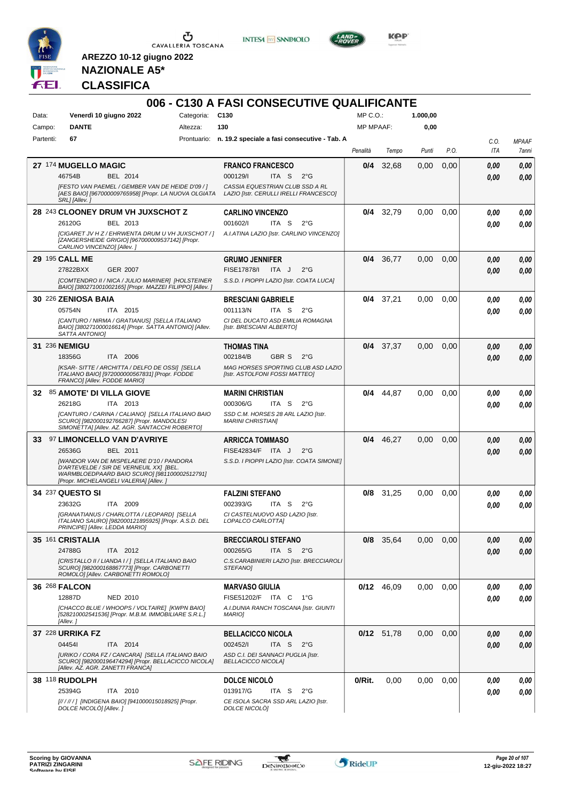

**INTESA M** SANPAOLO



**KOP** 

**NAZIONALE A5\* CLASSIFICA**

|           |                                                                                                                                                                                      |            | 006 - C130 A FASI CONSECUTIVE QUALIFICANTE                                |                  |              |          |      |      |              |
|-----------|--------------------------------------------------------------------------------------------------------------------------------------------------------------------------------------|------------|---------------------------------------------------------------------------|------------------|--------------|----------|------|------|--------------|
| Data:     | Venerdì 10 giugno 2022                                                                                                                                                               | Categoria: | C <sub>130</sub>                                                          | MP C.O.          |              | 1.000,00 |      |      |              |
| Campo:    | <b>DANTE</b>                                                                                                                                                                         | Altezza:   | 130                                                                       | <b>MP MPAAF:</b> |              | 0,00     |      |      |              |
| Partenti: | 67                                                                                                                                                                                   |            | Prontuario: n. 19.2 speciale a fasi consecutive - Tab. A                  |                  |              |          |      | C.0. | <b>MPAAF</b> |
|           |                                                                                                                                                                                      |            |                                                                           | Penalità         | Tempo        | Punti    | P.O. | ITA  | 7anni        |
|           | 27 174 MUGELLO MAGIC                                                                                                                                                                 |            | <b>FRANCO FRANCESCO</b>                                                   | 0/4              | 32,68        | 0,00     | 0,00 | 0.00 | 0,00         |
|           | 46754B<br>BEL 2014                                                                                                                                                                   |            | 000129/I<br>ITA <sub>S</sub><br>$2^{\circ}G$                              |                  |              |          |      | 0.00 | 0,00         |
|           | [FESTO VAN PAEMEL / GEMBER VAN DE HEIDE D'09 / ]<br>[AES BAIO] [967000009765958] [Propr. LA NUOVA OLGIATA<br>SRL] [Allev.]                                                           |            | CASSIA EQUESTRIAN CLUB SSD A RL<br>LAZIO [Istr. CERULLI IRELLI FRANCESCO] |                  |              |          |      |      |              |
|           | 28 243 CLOONEY DRUM VH JUXSCHOT Z                                                                                                                                                    |            | <b>CARLINO VINCENZO</b>                                                   |                  | $0/4$ 32,79  | 0,00     | 0.00 | 0.00 | 0,00         |
|           | 26120G<br>BEL 2013                                                                                                                                                                   |            | 001602/<br>ITA <sub>S</sub><br>$2^{\circ}$ G                              |                  |              |          |      | 0.00 | 0.00         |
|           | [CIGARET JV H Z / EHRWENTA DRUM U VH JUXSCHOT / ]<br>[ZANGERSHEIDE GRIGIO] [967000009537142] [Propr.<br>CARLINO VINCENZO] [Allev.]                                                   |            | A.I.ATINA LAZIO [Istr. CARLINO VINCENZO]                                  |                  |              |          |      |      |              |
|           | 29 195 CALL ME                                                                                                                                                                       |            | <b>GRUMO JENNIFER</b>                                                     | 0/4              | 36,77        | 0,00     | 0,00 | 0.00 | 0,00         |
|           | 27822BXX<br><b>GER 2007</b>                                                                                                                                                          |            | $2^{\circ}$ G<br>FISE17878/I<br>ITA J                                     |                  |              |          |      | 0.00 | 0.00         |
|           | [COMTENDRO II / NICA / JULIO MARINER] [HOLSTEINER<br>BAIO] [380271001002165] [Propr. MAZZEI FILIPPO] [Allev. ]                                                                       |            | S.S.D. I PIOPPI LAZIO [Istr. COATA LUCA]                                  |                  |              |          |      |      |              |
|           | 30 226 ZENIOSA BAIA                                                                                                                                                                  |            | <b>BRESCIANI GABRIELE</b>                                                 |                  | $0/4$ 37,21  | 0,00     | 0,00 | 0,00 | 0,00         |
|           | 05754N<br>ITA 2015                                                                                                                                                                   |            | 001113/N<br>ITA S<br>$2^{\circ}G$                                         |                  |              |          |      | 0.00 | 0.00         |
|           | [CANTURO / NIRMA / GRATIANUS] [SELLA ITALIANO<br>BAIO] [380271000016614] [Propr. SATTA ANTONIO] [Allev.<br>SATTA ANTONIOI                                                            |            | CI DEL DUCATO ASD EMILIA ROMAGNA<br>[Istr. BRESCIANI ALBERTO]             |                  |              |          |      |      |              |
|           | 31 236 NEMIGU                                                                                                                                                                        |            | <b>THOMAS TINA</b>                                                        |                  | $0/4$ 37,37  | 0,00     | 0,00 | 0.00 | 0,00         |
|           | 18356G<br>ITA 2006                                                                                                                                                                   |            | 002184/B<br><b>GBR S</b><br>$2^{\circ}$ G                                 |                  |              |          |      | 0.00 | 0.00         |
|           | [KSAR-SITTE / ARCHITTA / DELFO DE OSSI] [SELLA<br>ITALIANO BAIO] [972000000567831] [Propr. FODDE<br>FRANCO] [Allev. FODDE MARIO]                                                     |            | MAG HORSES SPORTING CLUB ASD LAZIO<br>[Istr. ASTOLFONI FOSSI MATTEO]      |                  |              |          |      |      |              |
| 32.       | 85 AMOTE' DI VILLA GIOVE                                                                                                                                                             |            | <b>MARINI CHRISTIAN</b>                                                   | 0/4              | 44,87        | 0,00     | 0,00 | 0.00 | 0,00         |
|           | 26218G<br>ITA 2013                                                                                                                                                                   |            | 000306/G<br>ITA S<br>$2^{\circ}G$                                         |                  |              |          |      | 0.00 | 0.00         |
|           | [CANTURO / CARINA / CALIANO] [SELLA ITALIANO BAIO<br>SCURO] [982000192766287] [Propr. MANDOLESI<br>SIMONETTA] [Allev. AZ. AGR. SANTACCHI ROBERTO]                                    |            | SSD C.M. HORSES 28 ARL LAZIO [Istr.<br><b>MARINI CHRISTIANI</b>           |                  |              |          |      |      |              |
| 33.       | <b>97 LIMONCELLO VAN D'AVRIYE</b>                                                                                                                                                    |            | <b>ARRICCA TOMMASO</b>                                                    | 0/4              | 46,27        | 0,00     | 0.00 | 0.00 | 0,00         |
|           | 26536G<br>BEL 2011                                                                                                                                                                   |            | FISE42834/F ITA J<br>$2^{\circ}$ G                                        |                  |              |          |      | 0.00 | 0.00         |
|           | <b>[WANDOR VAN DE MISPELAERE D'10 / PANDORA</b><br>D'ARTEVELDE / SIR DE VERNEUIL XX] [BEL.<br>WARMBLOEDPAARD BAIO SCURO] [981100002512791]<br>[Propr. MICHELANGELI VALERIA] [Allev.] |            | S.S.D. I PIOPPI LAZIO [Istr. COATA SIMONE]                                |                  |              |          |      |      |              |
|           | 34 237 QUESTO SI                                                                                                                                                                     |            | <b>FALZINI STEFANO</b>                                                    |                  | $0/8$ 31,25  | 0,00     | 0,00 | 0,00 | 0,00         |
|           | 23632G<br>ITA 2009                                                                                                                                                                   |            | 002393/G<br>$2^{\circ}$ G<br>ITA S                                        |                  |              |          |      | 0.00 | 0.00         |
|           | [GRANATIANUS / CHARLOTTA / LEOPARD] [SELLA<br>ITALIANO SAURO] [982000121895925] [Propr. A.S.D. DEL<br>PRINCIPE] [Allev. LEDDA MARIO]                                                 |            | CI CASTELNUOVO ASD LAZIO [Istr.<br>LOPALCO CARLOTTAJ                      |                  |              |          |      |      |              |
|           | 35 161 CRISTALIA                                                                                                                                                                     |            | <b>BRECCIAROLI STEFANO</b>                                                |                  | 0/8 35,64    | 0,00     | 0,00 | 0,00 | 0,00         |
|           | 24788G<br>ITA 2012                                                                                                                                                                   |            | 000265/G<br>ITA S 2°G                                                     |                  |              |          |      | 0,00 | 0,00         |
|           | [CRISTALLO II / LIANDA I / ] [SELLA ITALIANO BAIO<br>SCURO] [982000168867773] [Propr. CARBONETT]<br>ROMOLO] [Allev. CARBONETTI ROMOLO]                                               |            | C.S.CARABINIERI LAZIO [Istr. BRECCIAROLI<br>STEFANO]                      |                  |              |          |      |      |              |
|           | 36 268 FALCON                                                                                                                                                                        |            | <b>MARVASO GIULIA</b>                                                     |                  | $0/12$ 46,09 | 0.00     | 0,00 | 0,00 | 0,00         |
|           | <b>NED 2010</b><br>12887D                                                                                                                                                            |            | FISE51202/F ITA C<br>1°G                                                  |                  |              |          |      | 0,00 | 0,00         |
|           | [CHACCO BLUE / WHOOPS / VOLTAIRE] [KWPN BAIO]<br>[528210002541536] [Propr. M.B.M. IMMOBILIARE S.R.L.]<br>[Allev.]                                                                    |            | A.I.DUNIA RANCH TOSCANA [Istr. GIUNTI<br>MARIO]                           |                  |              |          |      |      |              |
|           | 37 228 URRIKA FZ                                                                                                                                                                     |            | <b>BELLACICCO NICOLA</b>                                                  |                  | 0/12 51,78   | 0.00     | 0,00 | 0,00 | 0,00         |
|           | 044541<br>ITA 2014                                                                                                                                                                   |            | 002452/l<br>ITA S<br>$2^{\circ}$ G                                        |                  |              |          |      | 0,00 | 0,00         |
|           | [URIKO / CORA FZ / CANCARA] [SELLA ITALIANO BAIO<br>SCURO] [982000196474294] [Propr. BELLACICCO NICOLA]<br>[Allev. AZ. AGR. ZANETTI FRANCA]                                          |            | ASD C.I. DEI SANNACI PUGLIA [Istr.<br><b>BELLACICCO NICOLA]</b>           |                  |              |          |      |      |              |
|           | 38 118 RUDOLPH                                                                                                                                                                       |            | <b>DOLCE NICOLO</b>                                                       | $0/R$ it.        | 0,00         | $0.00\,$ | 0,00 | 0,00 | 0,00         |
|           | 25394G<br>ITA 2010                                                                                                                                                                   |            | 013917/G<br>ITA S<br>$2^{\circ}G$                                         |                  |              |          |      | 0,00 | 0,00         |
|           | [////// ] [INDIGENA BAIO] [941000015018925] [Propr.<br>DOLCE NICOLO [Allev.]                                                                                                         |            | CE ISOLA SACRA SSD ARL LAZIO [Istr.<br>DOLCE NICOLÒ]                      |                  |              |          |      |      |              |

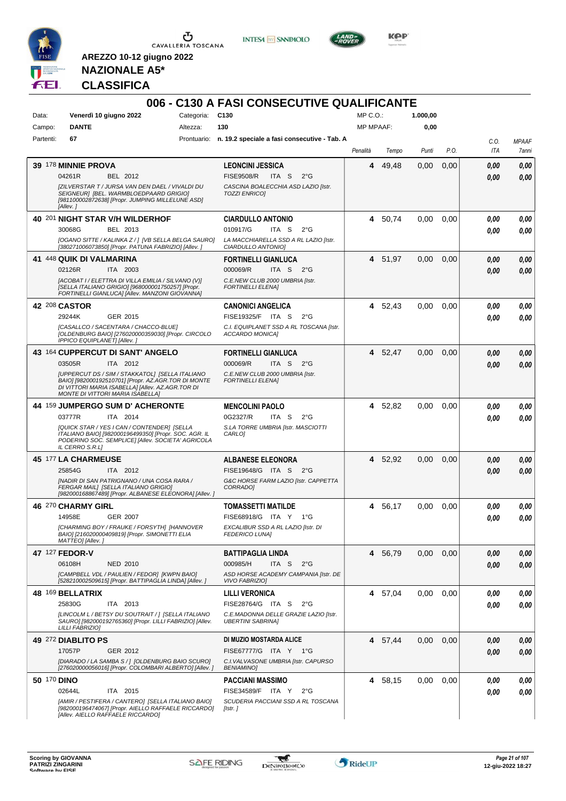

**INTESA M** SANPAOLO



**Kep** 

**NAZIONALE A5\* CLASSIFICA**

|                    |                                                                                                                                                                                                |            | 006 - C130 A FASI CONSECUTIVE QUALIFICANTE                        |                  |         |          |      |      |              |
|--------------------|------------------------------------------------------------------------------------------------------------------------------------------------------------------------------------------------|------------|-------------------------------------------------------------------|------------------|---------|----------|------|------|--------------|
| Data:              | Venerdì 10 giugno 2022                                                                                                                                                                         | Categoria: | C <sub>130</sub>                                                  | MP C.O.          |         | 1.000,00 |      |      |              |
| Campo:             | <b>DANTE</b>                                                                                                                                                                                   | Altezza:   | 130                                                               | <b>MP MPAAF:</b> |         | 0,00     |      |      |              |
| Partenti:          | 67                                                                                                                                                                                             |            | Prontuario: n. 19.2 speciale a fasi consecutive - Tab. A          |                  |         |          |      | C.O. | <b>MPAAF</b> |
|                    |                                                                                                                                                                                                |            |                                                                   | Penalità         | Tempo   | Punti    | P.O. | ITA  | 7anni        |
|                    | <b>39 178 MINNIE PROVA</b>                                                                                                                                                                     |            | <b>LEONCINI JESSICA</b>                                           | 4                | 49,48   | 0,00     | 0,00 | 0.00 | 0,00         |
|                    | 04261R<br>BEL 2012                                                                                                                                                                             |            | <b>FISE9508/R</b><br>ITA S<br>$2^{\circ}G$                        |                  |         |          |      | 0.00 | 0,00         |
|                    | [ZILVERSTAR T / JURSA VAN DEN DAEL / VIVALDI DU<br>SEIGNEUR] [BEL. WARMBLOEDPAARD GRIGIO]<br>[981100002872638] [Propr. JUMPING MILLELUNE ASD]<br>[Allev.]                                      |            | CASCINA BOALECCHIA ASD LAZIO [Istr.<br><b>TOZZI ENRICOI</b>       |                  |         |          |      |      |              |
|                    | 40 201 NIGHT STAR V/H WILDERHOF                                                                                                                                                                |            | <b>CIARDULLO ANTONIO</b>                                          |                  | 4 50,74 | 0,00     | 0,00 | 0.00 | 0,00         |
|                    | 30068G<br>BEL 2013                                                                                                                                                                             |            | 010917/G<br>ITA <sub>S</sub><br>$2^{\circ}$ G                     |                  |         |          |      | 0.00 | 0.00         |
|                    | [OGANO SITTE / KALINKA Z / ] [VB SELLA BELGA SAURO]<br>[380271006073850] [Propr. PATUNA FABRIZIO] [Allev. ]                                                                                    |            | LA MACCHIARELLA SSD A RL LAZIO [Istr.<br>CIARDULLO ANTONIO]       |                  |         |          |      |      |              |
|                    | 41 448 QUIK DI VALMARINA                                                                                                                                                                       |            | <b>FORTINELLI GIANLUCA</b>                                        |                  | 4 51,97 | 0,00     | 0,00 | 0.00 | 0,00         |
|                    | 02126R<br>ITA 2003                                                                                                                                                                             |            | 000069/R<br>ITA S<br>$2^{\circ}G$                                 |                  |         |          |      | 0.00 | 0.00         |
|                    | [ACOBAT I / ELETTRA DI VILLA EMILIA / SILVANO (V)]<br>[SELLA ITALIANO GRIGIO] [968000001750257] [Propr.<br>FORTINELLI GIANLUCAI [Allev. MANZONI GIOVANNA]                                      |            | C.E.NEW CLUB 2000 UMBRIA [Istr.<br><b>FORTINELLI ELENAI</b>       |                  |         |          |      |      |              |
|                    | 42 208 CASTOR                                                                                                                                                                                  |            | <b>CANONICI ANGELICA</b>                                          | 4                | 52,43   | 0,00     | 0,00 | 0.00 | 0,00         |
|                    | 29244K<br>GER 2015                                                                                                                                                                             |            | FISE19325/F ITA S<br>$2^{\circ}$ G                                |                  |         |          |      | 0.00 | 0.00         |
|                    | [CASALLCO / SACENTARA / CHACCO-BLUE]<br>[OLDENBURG BAIO] [276020000359030] [Propr. CIRCOLO<br>IPPICO EQUIPLANET] [Allev.]                                                                      |            | C.I. EQUIPLANET SSD A RL TOSCANA [Istr.<br>ACCARDO MONICA]        |                  |         |          |      |      |              |
|                    | 43 164 CUPPERCUT DI SANT' ANGELO                                                                                                                                                               |            | <b>FORTINELLI GIANLUCA</b>                                        | 4                | 52,47   | 0,00     | 0,00 | 0.00 | 0,00         |
|                    | ITA 2012<br>03505R                                                                                                                                                                             |            | 000069/R<br>ITA S<br>$2^{\circ}G$                                 |                  |         |          |      | 0.00 | 0.00         |
|                    | [UPPERCUT DS / SIM / STAKKATOL] [SELLA ITALIANO<br>BAIO] [982000192510701] [Propr. AZ.AGR.TOR DI MONTE<br>DI VITTORI MARIA ISABELLA] [Allev. AZ.AGR.TOR DI<br>MONTE DI VITTORI MARIA ISABELLA] |            | C.E.NEW CLUB 2000 UMBRIA [Istr.<br><b>FORTINELLI ELENA]</b>       |                  |         |          |      |      |              |
|                    | 44 159 JUMPERGO SUM D' ACHERONTE                                                                                                                                                               |            | <b>MENCOLINI PAOLO</b>                                            |                  | 4 52,82 | 0,00     | 0.00 | 0.00 | 0,00         |
|                    | 03777R<br>ITA 2014                                                                                                                                                                             |            | 0G2327/R<br>ITA S<br>$2^{\circ}$ G                                |                  |         |          |      | 0.00 | 0.00         |
|                    | [QUICK STAR / YES I CAN / CONTENDER] [SELLA<br>ITALIANO BAIO] [982000196499350] [Propr. SOC. AGR. IL<br>PODERINO SOC. SEMPLICE  [Allev. SOCIETA' AGRICOLA<br>IL CERRO S.R.LI                   |            | S.LA TORRE UMBRIA [Istr. MASCIOTTI<br>CARLO <sub>1</sub>          |                  |         |          |      |      |              |
|                    | 45 177 LA CHARMEUSE                                                                                                                                                                            |            | <b>ALBANESE ELEONORA</b>                                          | 4                | 52,92   | 0.00     | 0.00 | 0.00 | 0,00         |
|                    | 25854G<br>ITA 2012                                                                                                                                                                             |            | FISE19648/G ITA S<br>2°G                                          |                  |         |          |      | 0.00 | 0.00         |
|                    | [NADIR DI SAN PATRIGNANO / UNA COSA RARA /<br>FERGAR MAIL] [SELLA ITALIANO GRIGIO]<br>[982000168867489] [Propr. ALBANESE ELEONORA] [Allev. ]                                                   |            | G&C HORSE FARM LAZIO [Istr. CAPPETTA<br>CORRADO]                  |                  |         |          |      |      |              |
|                    | 46 270 CHARMY GIRL                                                                                                                                                                             |            | <b>TOMASSETTI MATILDE</b>                                         | 4                | 56,17   | 0,00     | 0,00 | 0.00 | 0.00         |
|                    | <b>GER 2007</b><br>14958E                                                                                                                                                                      |            | FISE68918/G ITA Y<br>$1^{\circ}G$                                 |                  |         |          |      | 0,00 | 0.00         |
|                    | [CHARMING BOY / FRAUKE / FORSYTH] [HANNOVER<br>BAIO] [216020000409819] [Propr. SIMONETTI ELIA<br>MATTEO] [Allev.]                                                                              |            | EXCALIBUR SSD A RL LAZIO [Istr. DI<br><b>FEDERICO LUNA]</b>       |                  |         |          |      |      |              |
|                    | 47 127 FEDOR-V                                                                                                                                                                                 |            | <b>BATTIPAGLIA LINDA</b>                                          |                  | 4 56,79 | 0,00     | 0,00 | 0,00 | 0,00         |
|                    | 06108H<br><b>NED 2010</b>                                                                                                                                                                      |            | 000985/H<br>ITA S<br>$2^{\circ}G$                                 |                  |         |          |      | 0.00 | 0.00         |
|                    | [CAMPBELL VDL / PAULIEN / FEDOR] [KWPN BAIO]<br>[528210002509615] [Propr. BATTIPAGLIA LINDA] [Allev.]                                                                                          |            | ASD HORSE ACADEMY CAMPANIA [Istr. DE<br><b>VIVO FABRIZIO]</b>     |                  |         |          |      |      |              |
|                    | 48 169 BELLATRIX                                                                                                                                                                               |            | <b>LILLI VERONICA</b>                                             |                  | 4 57,04 | 0,00     | 0,00 | 0.00 | 0,00         |
|                    | 25830G<br>ITA 2013                                                                                                                                                                             |            | FISE28764/G ITA S<br>2°G                                          |                  |         |          |      | 0.00 | 0.00         |
|                    | [LINCOLM L / BETSY DU SOUTRAIT / ] [SELLA ITALIANO<br>SAURO] [982000192765360] [Propr. LILLI FABRIZIO] [Allev.<br>LILLI FABRIZIO]                                                              |            | C.E.MADONNA DELLE GRAZIE LAZIO [Istr.<br><b>UBERTINI SABRINA]</b> |                  |         |          |      |      |              |
|                    | 49 272 DIABLITO PS                                                                                                                                                                             |            | DI MUZIO MOSTARDA ALICE                                           |                  | 4 57,44 | 0,00     | 0,00 | 0,00 | 0,00         |
|                    | 17057P<br>GER 2012                                                                                                                                                                             |            | FISE67777/G ITA Y 1°G                                             |                  |         |          |      | 0,00 | 0,00         |
|                    | [DIARADO / LA SAMBA S / ] [OLDENBURG BAIO SCURO]<br>[276020000056016] [Propr. COLOMBARI ALBERTO] [Allev. ]                                                                                     |            | C.I. VALVASONE UMBRIA [Istr. CAPURSO<br><b>BENIAMINO</b>          |                  |         |          |      |      |              |
| <b>50 170 DINO</b> |                                                                                                                                                                                                |            | <b>PACCIANI MASSIMO</b>                                           |                  | 4 58,15 | 0,00     | 0,00 | 0,00 | 0,00         |
|                    | 02644L<br>ITA 2015                                                                                                                                                                             |            | FISE34589/F ITA Y<br>$2^{\circ}$ G                                |                  |         |          |      | 0,00 | 0,00         |
|                    | [AMIR / PESTIFERA / CANTERO] [SELLA ITALIANO BAIO]<br>[982000196474067] [Propr. AIELLO RAFFAELE RICCARDO]<br>[Allev. AIELLO RAFFAELE RICCARDO]                                                 |            | SCUDERIA PACCIANI SSD A RL TOSCANA<br>[Istr.]                     |                  |         |          |      |      |              |

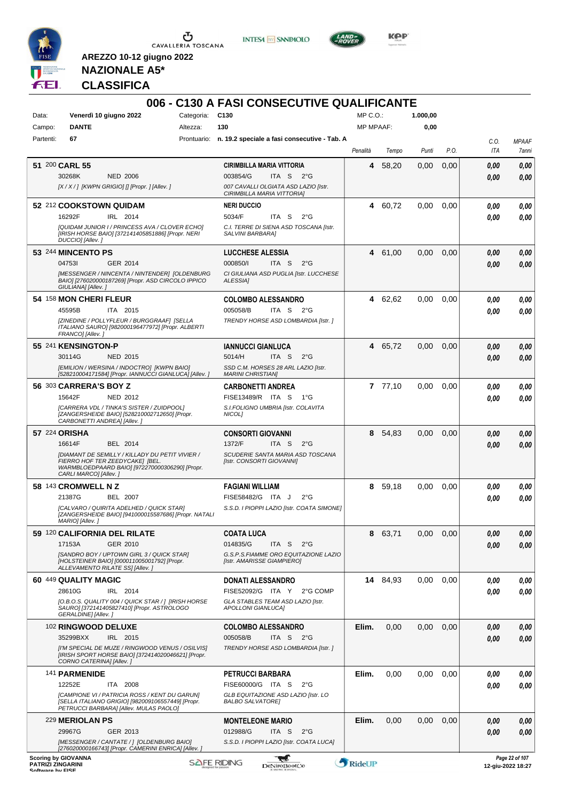

 $\sigma$  cavalleria toscana

**INTESA M** SANPAOLO



**KOP** 

**NAZIONALE A5\* CLASSIFICA**

| Data:          | Venerdì 10 giugno 2022                                                                                                                                        | Categoria: C130 | 006 - C130 A FASI CONSECUTIVE QUALIFICANTE                         | $MP C. O.$ :     |          | 1.000,00 |      |                |                       |
|----------------|---------------------------------------------------------------------------------------------------------------------------------------------------------------|-----------------|--------------------------------------------------------------------|------------------|----------|----------|------|----------------|-----------------------|
| Campo:         | <b>DANTE</b>                                                                                                                                                  | Altezza:        | 130                                                                | <b>MP MPAAF:</b> |          | 0,00     |      |                |                       |
| Partenti:      | 67                                                                                                                                                            |                 | Prontuario: n. 19.2 speciale a fasi consecutive - Tab. A           |                  |          |          |      |                |                       |
|                |                                                                                                                                                               |                 |                                                                    | Penalità         | Tempo    | Punti    | P.O. | C.O.<br>ITA    | <b>MPAAF</b><br>7anni |
| 51 200 CARL 55 |                                                                                                                                                               |                 | <b>CIRIMBILLA MARIA VITTORIA</b>                                   | 4                | 58,20    | 0,00     | 0,00 | 0,00           | 0,00                  |
|                | 30268K<br><b>NED 2006</b>                                                                                                                                     |                 | 003854/G<br>ITA S<br>$2^{\circ}G$                                  |                  |          |          |      | 0,00           | 0,00                  |
|                | [X / X / ] [KWPN GRIGIO] [] [Propr. ] [Allev. ]                                                                                                               |                 | 007 CAVALLI OLGIATA ASD LAZIO [Istr.                               |                  |          |          |      |                |                       |
|                |                                                                                                                                                               |                 | CIRIMBILLA MARIA VITTORIA]                                         |                  |          |          |      |                |                       |
|                | 52 212 COOKSTOWN QUIDAM<br>16292F<br>IRL 2014                                                                                                                 |                 | <b>NERI DUCCIO</b><br>5034/F<br>ITA S<br>$2^{\circ}$ G             | 4                | 60.72    | 0,00     | 0,00 | 0.00           | 0,00<br>0.00          |
|                | [QUIDAM JUNIOR I / PRINCESS AVA / CLOVER ECHO]                                                                                                                |                 | C.I. TERRE DI SIENA ASD TOSCANA [Istr.                             |                  |          |          |      | 0.00           |                       |
|                | [IRISH HORSE BAIO] [372141405851886] [Propr. NERI<br>DUCCIO] [Allev.]                                                                                         |                 | SALVINI BARBARA]                                                   |                  |          |          |      |                |                       |
|                | 53 244 MINCENTO PS                                                                                                                                            |                 | <b>LUCCHESE ALESSIA</b>                                            | 4                | 61,00    | 0,00     | 0,00 | 0,00           | 0,00                  |
|                | 047531<br>GER 2014                                                                                                                                            |                 | 000850/l<br>ITA S<br>$2^{\circ}$ G                                 |                  |          |          |      | 0,00           | 0.00                  |
|                | [MESSENGER / NINCENTA / NINTENDER] [OLDENBURG                                                                                                                 |                 | CI GIULIANA ASD PUGLIA [Istr. LUCCHESE                             |                  |          |          |      |                |                       |
|                | BAIO] [276020000187269] [Propr. ASD CIRCOLO IPPICO<br>GIULIANA] [Allev.]                                                                                      |                 | ALESSIA]                                                           |                  |          |          |      |                |                       |
|                | 54 158 MON CHERI FLEUR                                                                                                                                        |                 | <b>COLOMBO ALESSANDRO</b>                                          | 4                | 62,62    | 0.00     | 0.00 | 0.00           |                       |
|                | 45595B<br>ITA 2015                                                                                                                                            |                 | 005058/B<br>ITA S<br>2°G                                           |                  |          |          |      | 0.00           |                       |
|                | [ZINEDINE / POLLYFLEUR / BURGGRAAF] [SELLA<br>ITALIANO SAURO] [982000196477972] [Propr. ALBERTI<br>FRANCO] [Allev.]                                           |                 | TRENDY HORSE ASD LOMBARDIA [Istr. ]                                |                  |          |          |      |                |                       |
|                | 55 241 KENSINGTON-P                                                                                                                                           |                 | <b>IANNUCCI GIANLUCA</b>                                           | 4                | 65,72    | 0.00     | 0,00 | 0,00           |                       |
|                | 30114G<br>NED 2015                                                                                                                                            |                 | 5014/H<br>ITA <sub>S</sub><br>$2^{\circ}G$                         |                  |          |          |      | 0.00           |                       |
|                | [EMILION / WERSINA / INDOCTRO] [KWPN BAIO]<br>[528210004171584] [Propr. IANNUCCI GIANLUCA] [Allev.]                                                           |                 | SSD C.M. HORSES 28 ARL LAZIO [Istr.<br><b>MARINI CHRISTIAN]</b>    |                  |          |          |      |                |                       |
|                | 56 303 CARRERA'S BOY Z                                                                                                                                        |                 | <b>CARBONETTI ANDREA</b>                                           |                  | 77,10    | 0,00     | 0,00 | 0.00           |                       |
|                | 15642F<br>NED 2012                                                                                                                                            |                 | FISE13489/R ITA S<br>1°G                                           |                  |          |          |      | 0.00           |                       |
|                | [CARRERA VDL / TINKA'S SISTER / ZUIDPOOL]                                                                                                                     |                 | S.I.FOLIGNO UMBRIA [Istr. COLAVITA                                 |                  |          |          |      |                |                       |
|                | [ZANGERSHEIDE BAIO] [528210002712650] [Propr.<br>CARBONETTI ANDREA] [Allev.]                                                                                  |                 | NICOL]                                                             |                  |          |          |      |                |                       |
| 57 224 ORISHA  |                                                                                                                                                               |                 | <b>CONSORTI GIOVANNI</b>                                           | 8                | 54,83    | 0,00     | 0,00 | 0.00           |                       |
|                | 16614F<br>BEL 2014                                                                                                                                            |                 | 1372/F<br>ITA S<br>$2^{\circ}$ G                                   |                  |          |          |      | 0.00           |                       |
|                | [DIAMANT DE SEMILLY / KILLADY DU PETIT VIVIER /<br>FIERRO HOF TER ZEEDYCAKE] [BEL.<br>WARMBLOEDPAARD BAIO] [972270000306290] [Propr.<br>CARLI MARCO] [Allev.] |                 | SCUDERIE SANTA MARIA ASD TOSCANA<br>[Istr. CONSORTI GIOVANNI]      |                  |          |          |      |                |                       |
|                | 58 143 CROMWELL N Z                                                                                                                                           |                 | <b>FAGIANI WILLIAM</b>                                             |                  | 8 59,18  | 0.00     | 0,00 | 0,00           |                       |
|                | 21387G<br><b>BEL 2007</b>                                                                                                                                     |                 | FISE58482/G ITA J<br>$2^{\circ}$ G                                 |                  |          |          |      | 0.00           |                       |
|                | [CALVARO / QUIRITA ADELHED / QUICK STAR]<br>[ZANGERSHEIDE BAIO] [941000015587686] [Propr. NATALI                                                              |                 | S.S.D. I PIOPPI LAZIO [Istr. COATA SIMONE]                         |                  |          |          |      |                |                       |
|                | MARIO] [Allev. J<br>59 120 CALIFORNIA DEL RILATE                                                                                                              |                 | <b>COATA LUCA</b>                                                  | 8                | 63,71    | 0,00     | 0,00 | 0,00           |                       |
|                | 17153A<br>GER 2010                                                                                                                                            |                 | 014835/G<br>ITA S<br>2°G                                           |                  |          |          |      | 0,00           |                       |
|                | [SANDRO BOY / UPTOWN GIRL 3 / QUICK STAR]<br>[HOLSTEINER BAIO] [000011005001792] [Propr.                                                                      |                 | G.S.P.S.FIAMME ORO EQUITAZIONE LAZIO<br>[Istr. AMARISSE GIAMPIERO] |                  |          |          |      |                |                       |
|                | ALLEVAMENTO RILATE SS] [Allev. ]                                                                                                                              |                 |                                                                    |                  |          |          |      |                |                       |
|                | 60 449 QUALITY MAGIC<br>28610G<br>IRL 2014                                                                                                                    |                 | <b>DONATI ALESSANDRO</b><br>FISE52092/G ITA Y<br>2°G COMP          |                  | 14 84,93 | 0,00     | 0,00 | 0.00           |                       |
|                | [O.B.O.S. QUALITY 004 / QUICK STAR / ] [IRISH HORSE                                                                                                           |                 | GLA STABLES TEAM ASD LAZIO [Istr.                                  |                  |          |          |      | 0,00           |                       |
|                | SAURO] [372141405827410] [Propr. ASTROLOGO<br><b>GERALDINE] [Allev. ]</b>                                                                                     |                 | APOLLONI GIANLUCA]                                                 |                  |          |          |      |                |                       |
|                | 102 RINGWOOD DELUXE                                                                                                                                           |                 | <b>COLOMBO ALESSANDRO</b>                                          | Elim.            | 0,00     | 0,00     | 0,00 | 0,00           |                       |
|                | 35299BXX<br>IRL 2015                                                                                                                                          |                 | 005058/B<br>ITA S 2°G                                              |                  |          |          |      | 0.00           |                       |
|                | [I'M SPECIAL DE MUZE / RINGWOOD VENUS / OSILVIS]<br>[IRISH SPORT HORSE BAIO] [372414020046621] [Propr.<br>CORNO CATERINA] [Allev.]                            |                 | TRENDY HORSE ASD LOMBARDIA [Istr.]                                 |                  |          |          |      |                |                       |
|                | 141 PARMENIDE                                                                                                                                                 |                 | PETRUCCI BARBARA                                                   | Elim.            | 0,00     | 0,00     | 0,00 | 0.00           |                       |
|                | 12252E<br>ITA 2008                                                                                                                                            |                 | FISE60000/G ITA S<br>$2^{\circ}$ G                                 |                  |          |          |      | 0.00           |                       |
|                | [CAMPIONE VI / PATRICIA ROSS / KENT DU GARUN]<br>[SELLA ITALIANO GRIGIO] [982009106557449] [Propr.                                                            |                 | GLB EQUITAZIONE ASD LAZIO [Istr. LO<br><b>BALBO SALVATORE]</b>     |                  |          |          |      |                |                       |
|                | PETRUCCI BARBARA] [Allev. MULAS PAOLO]                                                                                                                        |                 |                                                                    |                  |          |          |      |                |                       |
|                | 229 MERIOLAN PS                                                                                                                                               |                 | <b>MONTELEONE MARIO</b>                                            | Elim.            | 0,00     | 0,00     | 0,00 | 0,00           |                       |
|                | 29967G<br>GER 2013                                                                                                                                            |                 | 012988/G<br>ITA S<br>$2^{\circ}G$                                  |                  |          |          |      | 0.00           |                       |
|                | [MESSENGER / CANTATE / ] [OLDENBURG BAIO]<br>[276020000166743] [Propr. CAMERINI ENRICA] [Allev. j                                                             |                 | S.S.D. I PIOPPI LAZIO [Istr. COATA LUCA]                           |                  |          |          |      |                |                       |
|                | <b>Scoring by GIOVANNA</b>                                                                                                                                    |                 | <b>Red</b>                                                         |                  |          |          |      | Page 22 of 107 |                       |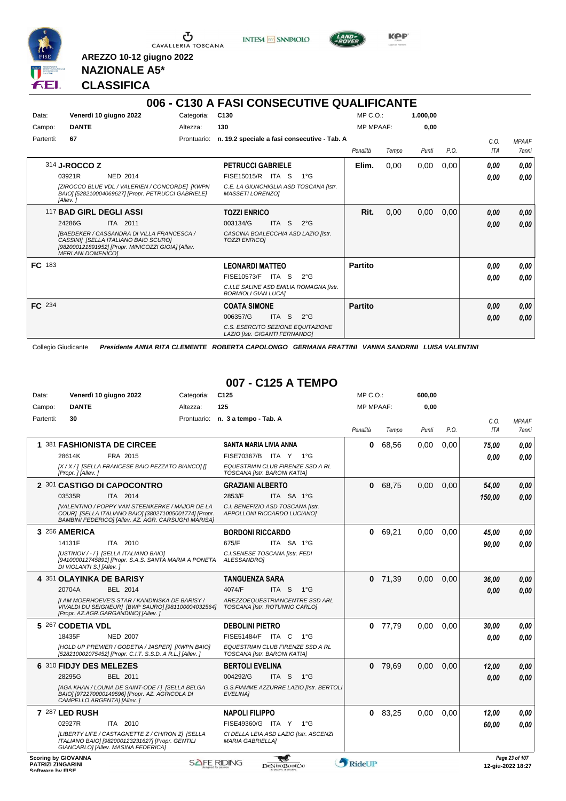

Ⴠ CAVALLERIA TOSCANA **INTESA M** SANPAOLO



**KPP** 

#### **NAZIONALE A5\* CLASSIFICA**

**AREZZO 10-12 giugno 2022**

#### **006 - C130 A FASI CONSECUTIVE QUALIFICANTE** Data: Venerdì 10 giugno 2022 Categoria: C130 Prontuario: **n. 19.2 speciale a fasi consecutive - Tab. A** Campo: **DANTE** Partenti: **67** Altezza: **130** MP C.O.: MP MPAAF: **1.000,00 0,00** *Penalità Tempo Punti P.O. C.O. ITA MPAAF 7anni* 314 **J-ROCCO Z** NED 2014 **PETRUCCI GABRIELE** *[ZIROCCO BLUE VDL / VALERIEN / CONCORDE] [KWPN BAIO] [528210004069627] [Propr. PETRUCCI GABRIELE] [Allev. ] C.E. LA GIUNCHIGLIA ASD TOSCANA [Istr. MASSETI LORENZO]* ITA S 1°G 03921R FISE15015/R *0,00* **Elim.** 0,00 0,00 0,00 *0,00 0,00 0,00* 117 **BAD GIRL DEGLI ASSI** ITA 2011 **TOZZI ENRICO** *[BAEDEKER / CASSANDRA DI VILLA FRANCESCA / CASSINI] [SELLA ITALIANO BAIO SCURO] [982000121891952] [Propr. MINICOZZI GIOIA] [Allev. MERLANI DOMENICO] CASCINA BOALECCHIA ASD LAZIO [Istr. TOZZI ENRICO]* ITA S 2°G **Rit.** 0,00 0,00 0,00 *0,00 0,00 0,00* 24286G 003134/G *0,00* **FC** 183 **LEONARDI MATTEO** *C.I.LE SALINE ASD EMILIA ROMAGNA [Istr. BORMIOLI GIAN LUCA]* ITA S 2°G FISE10573/F *0,00* **Partito** *0,00 0,00 0,00* **FC** 234 **COATA SIMONE** *C.S. ESERCITO SEZIONE EQUITAZIONE LAZIO [Istr. GIGANTI FERNANDO]* ITA S 2°G 006357/G *0,00* **Partito** *0,00 0,00 0,00*

Collegio Giudicante *Presidente ANNA RITA CLEMENTE ROBERTA CAPOLONGO GERMANA FRATTINI VANNA SANDRINI LUISA VALENTINI*

#### **007 - C125 A TEMPO**

| Data:     |                            | Venerdì 10 giugno 2022                                                                                                                                                 | Categoria: | C <sub>125</sub>                                                 |                  |                                         | $MP C. O.$ :     |           | 600,00 |      |            |                |
|-----------|----------------------------|------------------------------------------------------------------------------------------------------------------------------------------------------------------------|------------|------------------------------------------------------------------|------------------|-----------------------------------------|------------------|-----------|--------|------|------------|----------------|
| Campo:    | <b>DANTE</b>               |                                                                                                                                                                        | Altezza:   | 125                                                              |                  |                                         | <b>MP MPAAF:</b> |           | 0.00   |      |            |                |
| Partenti: | 30                         |                                                                                                                                                                        |            | Prontuario: n. 3 a tempo - Tab. A                                |                  |                                         |                  |           |        |      | C.O.       | <b>MPAAF</b>   |
|           |                            |                                                                                                                                                                        |            |                                                                  |                  |                                         | Penalità         | Tempo     | Punti  | P.O. | <b>ITA</b> | <b>7anni</b>   |
|           |                            | 1 381 FASHIONISTA DE CIRCEE                                                                                                                                            |            | SANTA MARIA LIVIA ANNA                                           |                  |                                         | 0                | 68,56     | 0,00   | 0,00 | 75,00      | 0.00           |
|           | 28614K                     | FRA 2015                                                                                                                                                               |            | FISE70367/B ITA Y 1°G                                            |                  |                                         |                  |           |        |      | 0.00       | 0.00           |
|           | [Propr. ] [Allev. ]        | [X / X / ] [SELLA FRANCESE BAIO PEZZATO BIANCO] []                                                                                                                     |            | EQUESTRIAN CLUB FIRENZE SSD A RL<br>TOSCANA [Istr. BARONI KATIA] |                  |                                         |                  |           |        |      |            |                |
|           |                            | 2 301 CASTIGO DI CAPOCONTRO                                                                                                                                            |            | <b>GRAZIANI ALBERTO</b>                                          |                  |                                         | $\mathbf{0}$     | 68,75     | 0,00   | 0,00 | 54,00      | 0.00           |
|           | 03535R                     | ITA 2014                                                                                                                                                               |            | 2853/F                                                           | ITA SA 1°G       |                                         |                  |           |        |      | 150,00     | 0.00           |
|           |                            | <b>IVALENTINO / POPPY VAN STEENKERKE / MAJOR DE LA</b><br>COUR] [SELLA ITALIANO BAIO] [380271005001774] [Propr.<br>BAMBINI FEDERICO] [Allev. AZ. AGR. CARSUGHI MARISA] |            | C.I. BENEFIZIO ASD TOSCANA [Istr.<br>APPOLLONI RICCARDO LUCIANO] |                  |                                         |                  |           |        |      |            |                |
|           | 3 256 AMERICA              |                                                                                                                                                                        |            | <b>BORDONI RICCARDO</b>                                          |                  |                                         | 0                | 69,21     | 0,00   | 0.00 | 45,00      | 0.00           |
|           | 14131F                     | ITA 2010                                                                                                                                                               |            | 675/F                                                            | ITA SA 1°G       |                                         |                  |           |        |      | 90.00      | 0.00           |
|           | DI VIOLANTI S.] [Allev.]   | [USTINOV / - / ] [SELLA ITALIANO BAIO]<br>[941000012745891] [Propr. S.A.S. SANTA MARIA A PONETA                                                                        |            | C.I. SENESE TOSCANA [Istr. FEDI<br>ALESSANDROI                   |                  |                                         |                  |           |        |      |            |                |
|           | 4 351 OLAYINKA DE BARISY   |                                                                                                                                                                        |            | <b>TANGUENZA SARA</b>                                            |                  |                                         | $\mathbf{0}$     | 71,39     | 0,00   | 0,00 | 36,00      | 0.00           |
|           | 20704A                     | <b>BEL 2014</b>                                                                                                                                                        |            | 4074/F                                                           | ITA <sub>S</sub> | $1^{\circ}G$                            |                  |           |        |      | 0.00       | 0.00           |
|           |                            | [I AM MOERHOEVE'S STAR / KANDINSKA DE BARISY /<br>VIVALDI DU SEIGNEUR] [BWP SAURO] [981100004032564]<br>[Propr. AZ.AGR.GARGANDINO] [Allev.]                            |            | TOSCANA [Istr. ROTUNNO CARLO]                                    |                  | AREZZOEQUESTRIANCENTRE SSD ARL          |                  |           |        |      |            |                |
|           | 5 267 CODETIA VDL          |                                                                                                                                                                        |            | <b>DEBOLINI PIETRO</b>                                           |                  |                                         |                  | $0$ 77,79 | 0,00   | 0.00 | 30,00      | 0,00           |
|           | 18435F                     | <b>NED 2007</b>                                                                                                                                                        |            | FISE51484/F ITA C                                                |                  | 1°G                                     |                  |           |        |      | 0.00       | 0.00           |
|           |                            | [HOLD UP PREMIER / GODETIA / JASPER] [KWPN BAIO]<br>[528210002075452] [Propr. C.I.T. S.S.D. A R.L.] [Allev. ]                                                          |            | EQUESTRIAN CLUB FIRENZE SSD A RL<br>TOSCANA [Istr. BARONI KATIA] |                  |                                         |                  |           |        |      |            |                |
|           | 6 310 FIDJY DES MELEZES    |                                                                                                                                                                        |            | <b>BERTOLI EVELINA</b>                                           |                  |                                         | $\mathbf{0}$     | 79,69     | 0,00   | 0,00 | 12,00      | 0,00           |
|           | 28295G                     | BEL 2011                                                                                                                                                               |            | 004292/G                                                         | ITA S 1°G        |                                         |                  |           |        |      | 0.00       | 0.00           |
|           | CAMPELLO ARGENTA] [Allev.] | [AGA KHAN / LOUNA DE SAINT-ODE / ] [SELLA BELGA<br>BAIO] [972270000149596] [Propr. AZ. AGRICOLA DI                                                                     |            | EVELINA]                                                         |                  | G.S.FIAMME AZZURRE LAZIO [Istr. BERTOLI |                  |           |        |      |            |                |
|           | 7 287 LED RUSH             |                                                                                                                                                                        |            | <b>NAPOLI FILIPPO</b>                                            |                  |                                         |                  | $0$ 83,25 | 0.00   | 0.00 | 12.00      | 0.00           |
|           | 02927R                     | ITA 2010                                                                                                                                                               |            | FISE49360/G ITA Y 1°G                                            |                  |                                         |                  |           |        |      | 60,00      | 0.00           |
|           |                            | [LIBERTY LIFE / CASTAGNETTE Z / CHIRON Z] [SELLA<br>ITALIANO BAIO] [982000123231627] [Propr. GENTILI<br>GIANCARLO] [Allev. MASINA FEDERICA]                            |            | <b>MARIA GABRIELLA1</b>                                          |                  | CI DELLA LEIA ASD LAZIO [Istr. ASCENZI  |                  |           |        |      |            |                |
|           | <b>Scoring by GIOVANNA</b> |                                                                                                                                                                        |            | SAFE RIDING                                                      |                  |                                         | <b>ADIDITION</b> |           |        |      |            | Page 23 of 107 |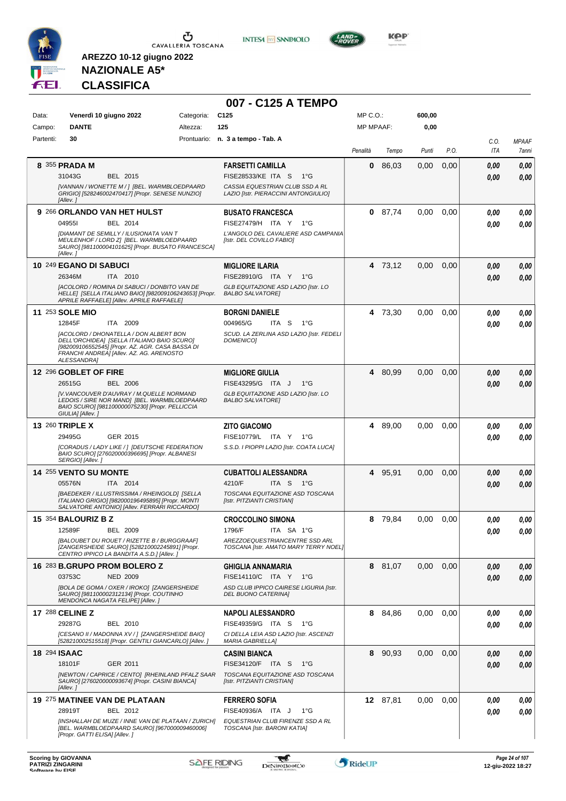

**INTESA M** SANPAOLO



**KOP** 

# **NAZIONALE A5\* CLASSIFICA**

|                     |                                                                                                                                                                                                     |            | 007 - C125 A TEMPO                                                      |                  |          |        |      |             |                       |
|---------------------|-----------------------------------------------------------------------------------------------------------------------------------------------------------------------------------------------------|------------|-------------------------------------------------------------------------|------------------|----------|--------|------|-------------|-----------------------|
| Data:               | Venerdì 10 giugno 2022                                                                                                                                                                              | Categoria: | C <sub>125</sub>                                                        | $MP C. O.$ :     |          | 600,00 |      |             |                       |
| Campo:              | <b>DANTE</b>                                                                                                                                                                                        | Altezza:   | 125                                                                     | <b>MP MPAAF:</b> |          | 0,00   |      |             |                       |
| Partenti:           | 30                                                                                                                                                                                                  |            | Prontuario: n. 3 a tempo - Tab. A                                       | Penalità         | Tempo    | Punti  | P.O. | C.O.<br>ITA | <b>MPAAF</b><br>7anni |
|                     | 8 355 PRADA M                                                                                                                                                                                       |            | <b>FARSETTI CAMILLA</b>                                                 | 0                | 86,03    | 0,00   | 0,00 | 0,00        | 0,00                  |
|                     | 31043G<br>BEL 2015                                                                                                                                                                                  |            | <b>FISE28533/KE ITA S</b><br>$1^{\circ}G$                               |                  |          |        |      | 0.00        | 0.00                  |
|                     | [VANNAN / WONETTE M / ] [BEL. WARMBLOEDPAARD<br>GRIGIO] [528246002470417] [Propr. SENESE NUNZIO]<br>[Allev.]                                                                                        |            | CASSIA EQUESTRIAN CLUB SSD A RL<br>LAZIO [Istr. PIERACCINI ANTONGIULIO] |                  |          |        |      |             |                       |
|                     | 9 266 ORLANDO VAN HET HULST                                                                                                                                                                         |            | <b>BUSATO FRANCESCA</b>                                                 |                  | 0 87,74  | 0,00   | 0,00 | 0.00        | 0,00                  |
|                     | 049551<br>BEL 2014<br>[DIAMANT DE SEMILLY / ILUSIONATA VAN T                                                                                                                                        |            | FISE27479/H ITA Y<br>1°G<br>L'ANGOLO DEL CAVALIERE ASD CAMPANIA         |                  |          |        |      | 0,00        | 0,00                  |
|                     | MEULENHOF / LORD Z] [BEL. WARMBLOEDPAARD<br>SAURO] [981100004101625] [Propr. BUSATO FRANCESCA]<br>[Allev.]                                                                                          |            | [Istr. DEL COVILLO FABIO]                                               |                  |          |        |      |             |                       |
|                     | 10 249 EGANO DI SABUCI                                                                                                                                                                              |            | <b>MIGLIORE ILARIA</b>                                                  |                  | 4 73,12  | 0,00   | 0,00 | 0.00        | 0,00                  |
|                     | 26346M<br>ITA 2010                                                                                                                                                                                  |            | FISE28910/G ITA Y 1°G                                                   |                  |          |        |      | 0.00        | 0.00                  |
|                     | [ACOLORD / ROMINA DI SABUCI / DONBITO VAN DE<br>HELLE] [SELLA ITALIANO BAIO] [982009106243653] [Propr.<br>APRILE RAFFAELE] [Allev. APRILE RAFFAELE]                                                 |            | GLB EQUITAZIONE ASD LAZIO [Istr. LO<br><b>BALBO SALVATORE]</b>          |                  |          |        |      |             |                       |
|                     | <b>11 253 SOLE MIO</b>                                                                                                                                                                              |            | <b>BORGNI DANIELE</b>                                                   |                  | 4 73,30  | 0,00   | 0,00 | 0,00        | 0,00                  |
|                     | 12845F<br>ITA 2009                                                                                                                                                                                  |            | 004965/G<br>ITA S<br>1°G                                                |                  |          |        |      | 0.00        | 0.00                  |
|                     | [ACOLORD / DHONATELLA / DON ALBERT BON<br>DELL'ORCHIDEA] [SELLA ITALIANO BAIO SCURO]<br>[982009106552545] [Propr. AZ. AGR. CASA BASSA DI<br>FRANCHI ANDREA] [Allev. AZ. AG. ARENOSTO<br>ALESSANDRA1 |            | SCUD. LA ZERLINA ASD LAZIO [Istr. FEDELI<br><b>DOMENICO1</b>            |                  |          |        |      |             |                       |
|                     | 12 296 GOBLET OF FIRE                                                                                                                                                                               |            | <b>MIGLIORE GIULIA</b>                                                  |                  | 4 80,99  | 0,00   | 0,00 | 0,00        | 0,00                  |
|                     | 26515G<br><b>BEL 2006</b>                                                                                                                                                                           |            | FISE43295/G ITA J<br>$1^{\circ}G$                                       |                  |          |        |      | 0.00        | 0.00                  |
|                     | [V.VANCOUVER D'AUVRAY / M.QUELLE NORMAND<br>LEDOIS / SIRE NOR MAND] [BEL. WARMBLOEDPAARD<br>BAIO SCURO] [981100000075230] [Propr. PELLICCIA<br>GIULIA] [Allev.]                                     |            | GLB EQUITAZIONE ASD LAZIO [Istr. LO<br><b>BALBO SALVATOREI</b>          |                  |          |        |      |             |                       |
|                     | 13 260 TRIPLE X                                                                                                                                                                                     |            | <b>ZITO GIACOMO</b>                                                     | 4                | 89,00    | 0,00   | 0,00 | 0.00        | 0,00                  |
|                     | 29495G<br>GER 2015                                                                                                                                                                                  |            | FISE10779/L ITA Y<br>1°G                                                |                  |          |        |      | 0.00        | 0.00                  |
|                     | [CORADUS / LADY LIKE / ] [DEUTSCHE FEDERATION<br>BAIO SCURO] [276020000396695] [Propr. ALBANESI<br>SERGIO] [Allev.]                                                                                 |            | S.S.D. I PIOPPI LAZIO [Istr. COATA LUCA]                                |                  |          |        |      |             |                       |
|                     | 14 255 VENTO SU MONTE                                                                                                                                                                               |            | <b>CUBATTOLI ALESSANDRA</b>                                             | 4                | 95,91    | 0,00   | 0,00 | 0.00        | 0,00                  |
|                     | 05576N<br>ITA 2014                                                                                                                                                                                  |            | 4210/F<br>ITA S 1°G                                                     |                  |          |        |      | 0.00        | 0.00                  |
|                     | [BAEDEKER / ILLUSTRISSIMA / RHEINGOLD] [SELLA<br>ITALIANO GRIGIO] [982000196495895] [Propr. MONTI<br>SALVATORE ANTONIO] [Allev. FERRARI RICCARDO]                                                   |            | TOSCANA EQUITAZIONE ASD TOSCANA<br>[Istr. PITZIANTI CRISTIAN]           |                  |          |        |      |             |                       |
|                     | <b>15 354 BALOURIZ B Z</b>                                                                                                                                                                          |            | <b>CROCCOLINO SIMONA</b>                                                | 8                | 79,84    | 0.00   | 0.00 | 0.00        | 0,00                  |
|                     | 12589F<br>BEL 2009<br>[BALOUBET DU ROUET / RIZETTE B / BURGGRAAF]                                                                                                                                   |            | 1796/F<br>ITA SA 1°G<br>AREZZOEQUESTRIANCENTRE SSD ARL                  |                  |          |        |      | 0.00        | 0,00                  |
|                     | [ZANGERSHEIDE SAURO] [528210002245891] [Propr.<br>CENTRO IPPICO LA BANDITA A.S.D.] [Allev.]                                                                                                         |            | TOSCANA [Istr. AMATO MARY TERRY NOEL]                                   |                  |          |        |      |             |                       |
|                     | 16 283 B.GRUPO PROM BOLERO Z                                                                                                                                                                        |            | <b>GHIGLIA ANNAMARIA</b>                                                |                  | 8 81,07  | 0,00   | 0,00 | 0,00        | 0,00                  |
|                     | 03753C<br><b>NED 2009</b><br>[BOLA DE GOMA / OXER / IROKO] [ZANGERSHEIDE                                                                                                                            |            | FISE14110/C ITA Y<br>1°G<br>ASD CLUB IPPICO CAIRESE LIGURIA [Istr.      |                  |          |        |      | 0,00        | 0,00                  |
|                     | SAURO] [981100002312134] [Propr. COUTINHO<br>MENDONCA NAGATA FELIPE] [Allev.]                                                                                                                       |            | DEL BUONO CATERINA]                                                     |                  |          |        |      |             |                       |
|                     | 17 288 CELINE Z                                                                                                                                                                                     |            | <b>NAPOLI ALESSANDRO</b>                                                |                  | 8 84,86  | 0,00   | 0,00 | 0.00        | 0,00                  |
|                     | 29287G<br>BEL 2010                                                                                                                                                                                  |            | FISE49359/G ITA S<br>1°G                                                |                  |          |        |      | 0.00        | 0.00                  |
|                     | [CESANO II / MADONNA XV / 1 [ZANGERSHEIDE BAIO]<br>[528210002515518] [Propr. GENTILI GIANCARLO] [Allev. ]                                                                                           |            | CI DELLA LEIA ASD LAZIO [Istr. ASCENZI<br><b>MARIA GABRIELLA]</b>       |                  |          |        |      |             |                       |
| <b>18 294 ISAAC</b> |                                                                                                                                                                                                     |            | <b>CASINI BIANCA</b>                                                    |                  | 8 90,93  | 0,00   | 0,00 | 0,00        | 0,00                  |
|                     | 18101F<br>GER 2011                                                                                                                                                                                  |            | FISE34120/F ITA S<br>1°G                                                |                  |          |        |      | 0,00        | 0,00                  |
|                     | [NEWTON / CAPRICE / CENTO] [RHEINLAND PFALZ SAAR<br>SAURO] [276020000093674] [Propr. CASINI BIANCA]<br>[Allev.]                                                                                     |            | TOSCANA EQUITAZIONE ASD TOSCANA<br>[Istr. PITZIANTI CRISTIAN]           |                  |          |        |      |             |                       |
|                     | 19 275 MATINEE VAN DE PLATAAN                                                                                                                                                                       |            | <b>FERRERO SOFIA</b>                                                    |                  | 12 87,81 | 0,00   | 0,00 | 0,00        | 0,00                  |
|                     | 28919T<br>BEL 2012                                                                                                                                                                                  |            | FISE40936/A ITA J<br>$1^{\circ}G$                                       |                  |          |        |      | 0,00        | 0.00                  |
|                     | [INSHALLAH DE MUZE / INNE VAN DE PLATAAN / ZURICH]<br>[BEL. WARMBLOEDPAARD SAURO] [967000009460006]<br>[Propr. GATTI ELISA] [Allev.]                                                                |            | EQUESTRIAN CLUB FIRENZE SSD A RL<br>TOSCANA [Istr. BARONI KATIA]        |                  |          |        |      |             |                       |

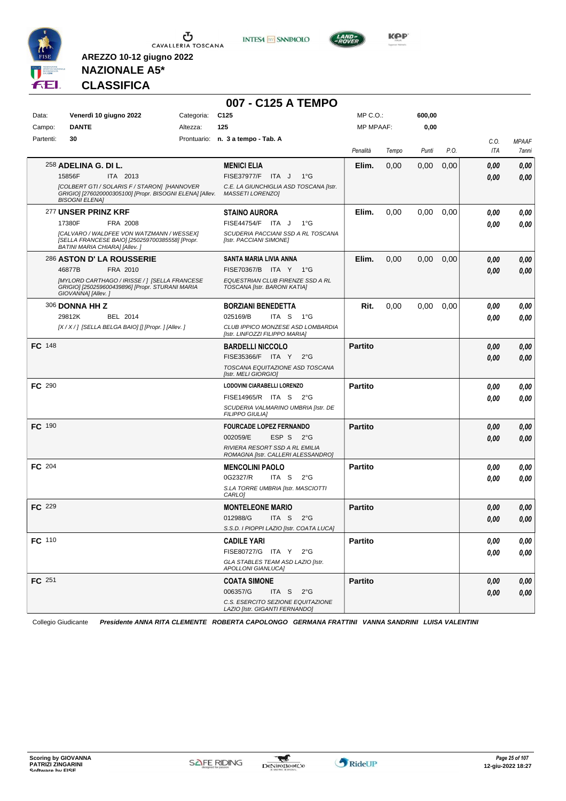

**INTESA** M SANPAOLO



**Kep** 

# **NAZIONALE A5\* CLASSIFICA**

**AREZZO 10-12 giugno 2022**

|               |                                      |                                                                                                          |            | 007 - C125 A TEMPO                                                   |                  |       |        |      |      |              |
|---------------|--------------------------------------|----------------------------------------------------------------------------------------------------------|------------|----------------------------------------------------------------------|------------------|-------|--------|------|------|--------------|
| Data:         |                                      | Venerdì 10 giugno 2022                                                                                   | Categoria: | C <sub>125</sub>                                                     | MP C.O.:         |       | 600,00 |      |      |              |
| Campo:        | <b>DANTE</b>                         |                                                                                                          | Altezza:   | 125                                                                  | <b>MP MPAAF:</b> |       | 0,00   |      |      |              |
| Partenti:     | 30                                   |                                                                                                          |            | Prontuario: n. 3 a tempo - Tab. A                                    |                  |       |        |      | C.0. | <b>MPAAF</b> |
|               |                                      |                                                                                                          |            |                                                                      | Penalità         | Tempo | Punti  | P.O. | ITA  | 7anni        |
|               | 258 ADELINA G. DI L.                 |                                                                                                          |            | <b>MENICI ELIA</b>                                                   | Elim.            | 0,00  | 0,00   | 0,00 | 0,00 | 0,00         |
|               | 15856F                               | ITA 2013                                                                                                 |            | FISE37977/F ITA J<br>$1^{\circ}G$                                    |                  |       |        |      | 0,00 | 0,00         |
|               | <b>BISOGNI ELENA]</b>                | [COLBERT GTI / SOLARIS F / STARON] [HANNOVER<br>GRIGIO] [276020000305100] [Propr. BISOGNI ELENA] [Allev. |            | C.E. LA GIUNCHIGLIA ASD TOSCANA [Istr.<br><b>MASSETI LORENZO]</b>    |                  |       |        |      |      |              |
|               | 277 UNSER PRINZ KRF                  |                                                                                                          |            | <b>STAINO AURORA</b>                                                 | Elim.            | 0,00  | 0,00   | 0,00 | 0,00 | 0,00         |
|               | 17380F                               | FRA 2008                                                                                                 |            | FISE44754/F ITA J<br>$1^{\circ}G$                                    |                  |       |        |      | 0,00 | 0,00         |
|               | <b>BATINI MARIA CHIARA] [Allev.]</b> | [CALVARO / WALDFEE VON WATZMANN / WESSEX]<br>[SELLA FRANCESE BAIO] [250259700385558] [Propr.             |            | SCUDERIA PACCIANI SSD A RL TOSCANA<br>[Istr. PACCIANI SIMONE]        |                  |       |        |      |      |              |
|               |                                      | <b>286 ASTON D' LA ROUSSERIE</b>                                                                         |            | SANTA MARIA LIVIA ANNA                                               | Elim.            | 0,00  | 0,00   | 0,00 | 0,00 | 0,00         |
|               | 46877B                               | FRA 2010                                                                                                 |            | FISE70367/B ITA Y 1°G                                                |                  |       |        |      | 0,00 | 0.00         |
|               | GIOVANNA] [Allev.]                   | [MYLORD CARTHAGO / IRISSE / 1 [SELLA FRANCESE<br>GRIGIO] [250259600439896] [Propr. STURANI MARIA         |            | EQUESTRIAN CLUB FIRENZE SSD A RL<br>TOSCANA [Istr. BARONI KATIA]     |                  |       |        |      |      |              |
|               | 306 DONNA HHZ                        |                                                                                                          |            | <b>BORZIANI BENEDETTA</b>                                            | Rit.             | 0,00  | 0,00   | 0,00 | 0,00 | 0,00         |
|               | 29812K                               | BEL 2014                                                                                                 |            | 025169/B<br>ITA S<br>1°G                                             |                  |       |        |      | 0.00 | 0.00         |
|               |                                      | [X/X/] [SELLA BELGA BAIO] [] [Propr. ] [Allev. ]                                                         |            | CLUB IPPICO MONZESE ASD LOMBARDIA<br>[Istr. LINFOZZI FILIPPO MARIA]  |                  |       |        |      |      |              |
| <b>FC</b> 148 |                                      |                                                                                                          |            | <b>BARDELLI NICCOLO</b>                                              | <b>Partito</b>   |       |        |      | 0,00 | 0,00         |
|               |                                      |                                                                                                          |            | FISE35366/F ITA Y<br>$2^{\circ}$ G                                   |                  |       |        |      | 0,00 | 0,00         |
|               |                                      |                                                                                                          |            | TOSCANA EQUITAZIONE ASD TOSCANA<br>[Istr. MELI GIORGIO]              |                  |       |        |      |      |              |
| FC 290        |                                      |                                                                                                          |            | LODOVINI CIARABELLI LORENZO                                          | <b>Partito</b>   |       |        |      | 0,00 | 0,00         |
|               |                                      |                                                                                                          |            | FISE14965/R ITA S 2°G                                                |                  |       |        |      | 0,00 | 0.00         |
|               |                                      |                                                                                                          |            | SCUDERIA VALMARINO UMBRIA [Istr. DE<br><b>FILIPPO GIULIA]</b>        |                  |       |        |      |      |              |
| <b>FC</b> 190 |                                      |                                                                                                          |            | <b>FOURCADE LOPEZ FERNANDO</b>                                       | <b>Partito</b>   |       |        |      | 0,00 | 0,00         |
|               |                                      |                                                                                                          |            | 002059/E<br>ESP S<br>$2^{\circ}G$                                    |                  |       |        |      | 0,00 | 0.00         |
|               |                                      |                                                                                                          |            | RIVIERA RESORT SSD A RL EMILIA<br>ROMAGNA [Istr. CALLERI ALESSANDRO] |                  |       |        |      |      |              |
| <b>FC</b> 204 |                                      |                                                                                                          |            | <b>MENCOLINI PAOLO</b>                                               | <b>Partito</b>   |       |        |      | 0,00 | 0,00         |
|               |                                      |                                                                                                          |            | 0G2327/R<br>ITA S<br>$2^{\circ}$ G                                   |                  |       |        |      | 0,00 | 0.00         |
|               |                                      |                                                                                                          |            | S.LA TORRE UMBRIA [Istr. MASCIOTTI<br>CARLO <sub>1</sub>             |                  |       |        |      |      |              |
| FC 229        |                                      |                                                                                                          |            | <b>MONTELEONE MARIO</b>                                              | <b>Partito</b>   |       |        |      | 0,00 | 0,00         |
|               |                                      |                                                                                                          |            | 012988/G<br>ITA S<br>$2^{\circ}$ G                                   |                  |       |        |      | 0,00 | 0,00         |
|               |                                      |                                                                                                          |            | S.S.D. I PIOPPI LAZIO [Istr. COATA LUCA]                             |                  |       |        |      |      |              |
| <b>FC</b> 110 |                                      |                                                                                                          |            | <b>CADILE YARI</b>                                                   | <b>Partito</b>   |       |        |      | 0,00 | 0,00         |
|               |                                      |                                                                                                          |            | FISE80727/G ITA Y 2°G                                                |                  |       |        |      | 0,00 | 0,00         |
|               |                                      |                                                                                                          |            | GLA STABLES TEAM ASD LAZIO [Istr.<br><b>APOLLONI GIANLUCAI</b>       |                  |       |        |      |      |              |
| FC 251        |                                      |                                                                                                          |            | <b>COATA SIMONE</b>                                                  | <b>Partito</b>   |       |        |      | 0,00 | 0,00         |
|               |                                      |                                                                                                          |            | 006357/G<br>ITA S $2^{\circ}G$                                       |                  |       |        |      | 0,00 | 0,00         |
|               |                                      |                                                                                                          |            | C.S. ESERCITO SEZIONE EQUITAZIONE<br>LAZIO [Istr. GIGANTI FERNANDO]  |                  |       |        |      |      |              |

Collegio Giudicante *Presidente ANNA RITA CLEMENTE ROBERTA CAPOLONGO GERMANA FRATTINI VANNA SANDRINI LUISA VALENTINI*

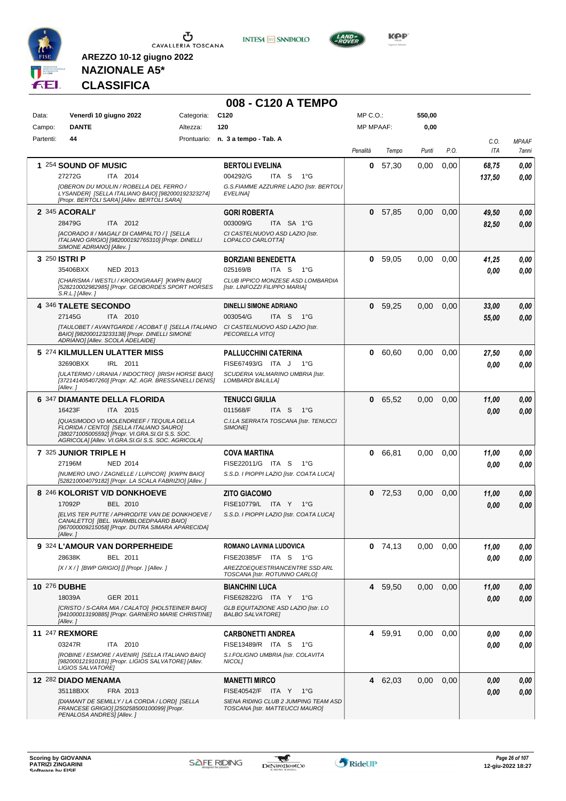

**INTESA M** SANPAOLO



**KOP** 

# **NAZIONALE A5\* CLASSIFICA**

|           |                                                                                                                                                                                                      |            | 008 - C120 A TEMPO                                                      |                  |           |        |      |                    |                       |
|-----------|------------------------------------------------------------------------------------------------------------------------------------------------------------------------------------------------------|------------|-------------------------------------------------------------------------|------------------|-----------|--------|------|--------------------|-----------------------|
| Data:     | Venerdì 10 giugno 2022                                                                                                                                                                               | Categoria: | C <sub>120</sub>                                                        | $MP C. O.$ :     |           | 550,00 |      |                    |                       |
| Campo:    | <b>DANTE</b>                                                                                                                                                                                         | Altezza:   | 120                                                                     | <b>MP MPAAF:</b> |           | 0,00   |      |                    |                       |
| Partenti: | 44                                                                                                                                                                                                   |            | Prontuario: n. 3 a tempo - Tab. A                                       | Penalità         | Tempo     | Punti  | P.O. | C.O.<br><b>ITA</b> | <b>MPAAF</b><br>7anni |
|           | 1 254 SOUND OF MUSIC                                                                                                                                                                                 |            | <b>BERTOLI EVELINA</b>                                                  | 0                | 57,30     | 0,00   | 0,00 | 68,75              | 0,00                  |
|           | 27272G<br>ITA 2014                                                                                                                                                                                   |            | 004292/G<br>ITA S<br>$1^{\circ}G$                                       |                  |           |        |      | 137,50             | 0.00                  |
|           | [OBERON DU MOULIN / ROBELLA DEL FERRO /<br>LYSANDER] [SELLA ITALIANO BAIO] [982000192323274]<br>[Propr. BERTOLI SARA] [Allev. BERTOLI SARA]                                                          |            | G.S.FIAMME AZZURRE LAZIO [Istr. BERTOLI<br>EVELINA]                     |                  |           |        |      |                    |                       |
|           | 2 345 ACORALI'                                                                                                                                                                                       |            | <b>GORI ROBERTA</b>                                                     | 0                | 57.85     | 0,00   | 0,00 | 49,50              | 0,00                  |
|           | ITA 2012<br>28479G                                                                                                                                                                                   |            | 003009/G<br>ITA SA 1°G                                                  |                  |           |        |      | 82,50              | 0,00                  |
|           | [ACORADO II / MAGALI' DI CAMPALTO / ] [SELLA<br>ITALIANO GRIGIO] [982000192765310] [Propr. DINELLI<br>SIMONE ADRIANO] [Allev.]                                                                       |            | CI CASTELNUOVO ASD LAZIO [Istr.<br>LOPALCO CARLOTTA]                    |                  |           |        |      |                    |                       |
|           | 3 250 ISTRI P                                                                                                                                                                                        |            | <b>BORZIANI BENEDETTA</b>                                               | 0                | 59,05     | 0,00   | 0,00 | 41,25              | 0,00                  |
|           | 35406BXX<br>NED 2013                                                                                                                                                                                 |            | 025169/B<br>ITA S<br>1°G                                                |                  |           |        |      | 0.00               | 0.00                  |
|           | [CHARISMA / WESTLI / KROONGRAAF] [KWPN BAIO]<br>[528210002982985] [Propr. GEOBORDES SPORT HORSES<br>S.R.L.IIAllev. I                                                                                 |            | CLUB IPPICO MONZESE ASD LOMBARDIA<br>[Istr. LINFOZZI FILIPPO MARIA]     |                  |           |        |      |                    |                       |
|           | 4 346 TALETE SECONDO                                                                                                                                                                                 |            | <b>DINELLI SIMONE ADRIANO</b>                                           | 0                | 59,25     | 0,00   | 0,00 | 33,00              | 0,00                  |
|           | 27145G<br>ITA 2010                                                                                                                                                                                   |            | 003054/G<br>ITA <sub>S</sub><br>1°G                                     |                  |           |        |      | 55,00              | 0.00                  |
|           | [TAULOBET / AVANTGARDE / ACOBAT I] [SELLA ITALIANO<br>BAIO] [982000123233138] [Propr. DINELLI SIMONE<br>ADRIANO] [Allev. SCOLA ADELAIDE]                                                             |            | CI CASTELNUOVO ASD LAZIO IIstr.<br>PECORELLA VITOJ                      |                  |           |        |      |                    |                       |
|           | 5 274 KILMULLEN ULATTER MISS                                                                                                                                                                         |            | <b>PALLUCCHINI CATERINA</b>                                             | 0                | 60,60     | 0,00   | 0,00 | 27,50              | 0,00                  |
|           | 32690BXX<br>IRL 2011                                                                                                                                                                                 |            | FISE67493/G ITA J<br>1°G                                                |                  |           |        |      | 0.00               | 0.00                  |
|           | [ULATERMO / URANIA / INDOCTRO] [IRISH HORSE BAIO]<br>[372141405407260] [Propr. AZ. AGR. BRESSANELLI DENIS]<br>[Allev.]                                                                               |            | SCUDERIA VALMARINO UMBRIA [Istr.<br>LOMBARDI BALILLA]                   |                  |           |        |      |                    |                       |
|           | 6 347 DIAMANTE DELLA FLORIDA                                                                                                                                                                         |            | <b>TENUCCI GIULIA</b>                                                   | 0                | 65,52     | 0,00   | 0,00 | 11,00              | 0,00                  |
|           | 16423F<br>ITA 2015                                                                                                                                                                                   |            | 011568/F<br>ITA S<br>1°G                                                |                  |           |        |      | 0.00               | 0,00                  |
|           | <b>[QUASIMODO VD MOLENDREEF / TEQUILA DELLA</b><br>FLORIDA / CENTO] [SELLA ITALIANO SAURO]<br>[380271005005592] [Propr. VI.GRA.SI.GI S.S. SOC.<br>AGRICOLA] [Allev. VI.GRA.SI.GI S.S. SOC. AGRICOLA] |            | C.I.LA SERRATA TOSCANA [Istr. TENUCCI<br><b>SIMONEI</b>                 |                  |           |        |      |                    |                       |
|           | 7 325 JUNIOR TRIPLE H                                                                                                                                                                                |            | <b>COVA MARTINA</b>                                                     | 0                | 66,81     | 0,00   | 0,00 | 11,00              | 0,00                  |
|           | 27196M<br><b>NED 2014</b>                                                                                                                                                                            |            | FISE22011/G ITA S<br>1°G                                                |                  |           |        |      | 0.00               | 0.00                  |
|           | [NUMERO UNO / ZAGNELLE / LUPICOR] [KWPN BAIO]<br>[528210004079182] [Propr. LA SCALA FABRIZIO] [Allev. ]                                                                                              |            | S.S.D. I PIOPPI LAZIO [Istr. COATA LUCA]                                |                  |           |        |      |                    |                       |
|           | 8 246 KOLORIST V/D DONKHOEVE                                                                                                                                                                         |            | <b>ZITO GIACOMO</b>                                                     |                  | $0$ 72,53 | 0,00   | 0,00 | 11,00              | 0,00                  |
|           | 17092P<br><b>BEL 2010</b>                                                                                                                                                                            |            | FISE10779/L ITA Y<br>1°G                                                |                  |           |        |      | 0.00               | 0.00                  |
|           | <b>IELVIS TER PUTTE / APHRODITE VAN DE DONKHOEVE /</b><br>CANALETTO] [BEL. WARMBLOEDPAARD BAIO]<br>[967000009215058] [Propr. DUTRA SIMARA APARECIDA]<br>[Allev.]                                     |            | S.S.D. I PIOPPI LAZIO [Istr. COATA LUCA]                                |                  |           |        |      |                    |                       |
|           | 9 324 L'AMOUR VAN DORPERHEIDE                                                                                                                                                                        |            | ROMANO LAVINIA LUDOVICA                                                 |                  | $0$ 74,13 | 0,00   | 0.00 | 11,00              | 0,00                  |
|           | 28638K<br>BEL 2011                                                                                                                                                                                   |            | FISE20385/F ITA S 1°G                                                   |                  |           |        |      | 0.00               | 0,00                  |
|           | [X / X / ] [BWP GRIGIO] [] [Propr. ] [Allev. ]                                                                                                                                                       |            | AREZZOEQUESTRIANCENTRE SSD ARL<br>TOSCANA [Istr. ROTUNNO CARLO]         |                  |           |        |      |                    |                       |
|           | 10 276 DUBHE                                                                                                                                                                                         |            | <b>BIANCHINI LUCA</b>                                                   |                  | 4 59,50   | 0,00   | 0,00 | 11,00              | 0,00                  |
|           | 18039A<br>GER 2011                                                                                                                                                                                   |            | FISE62822/G ITA Y 1°G                                                   |                  |           |        |      | 0.00               | 0,00                  |
|           | [CRISTO / S-CARA MIA / CALATO] [HOLSTEINER BAIO]<br>[941000013190885] [Propr. GARNERO MARIE CHRISTINE]<br>[Allev.]                                                                                   |            | GLB EQUITAZIONE ASD LAZIO [Istr. LO<br><b>BALBO SALVATORE!</b>          |                  |           |        |      |                    |                       |
|           | <b>11 247 REXMORE</b>                                                                                                                                                                                |            | <b>CARBONETTI ANDREA</b>                                                | 4                | 59,91     | 0,00   | 0.00 | 0,00               | 0,00                  |
|           | 03247R<br>ITA 2010                                                                                                                                                                                   |            | FISE13489/R ITA S 1°G                                                   |                  |           |        |      | 0.00               | 0,00                  |
|           | [ROBINE / ESMORE / AVENIR] [SELLA ITALIANO BAIO]<br>[982000121910181] [Propr. LIGIOS SALVATORE] [Allev.<br>LIGIOS SALVATORE]                                                                         |            | S.I.FOLIGNO UMBRIA [Istr. COLAVITA<br>NICOL]                            |                  |           |        |      |                    |                       |
|           | 12 282 DIADO MENAMA                                                                                                                                                                                  |            | <b>MANETTI MIRCO</b>                                                    |                  | 4 62,03   | 0,00   | 0,00 | 0,00               | 0,00                  |
|           | 35118BXX<br>FRA 2013                                                                                                                                                                                 |            | FISE40542/F ITA Y 1°G                                                   |                  |           |        |      | 0,00               | 0,00                  |
|           | [DIAMANT DE SEMILLY / LA CORDA / LORD] [SELLA<br>FRANCESE GRIGIO] [250258500100099] [Propr.<br>PENALOSA ANDRES] [Allev. ]                                                                            |            | SIENA RIDING CLUB 2 JUMPING TEAM ASD<br>TOSCANA [Istr. MATTEUCCI MAURO] |                  |           |        |      |                    |                       |

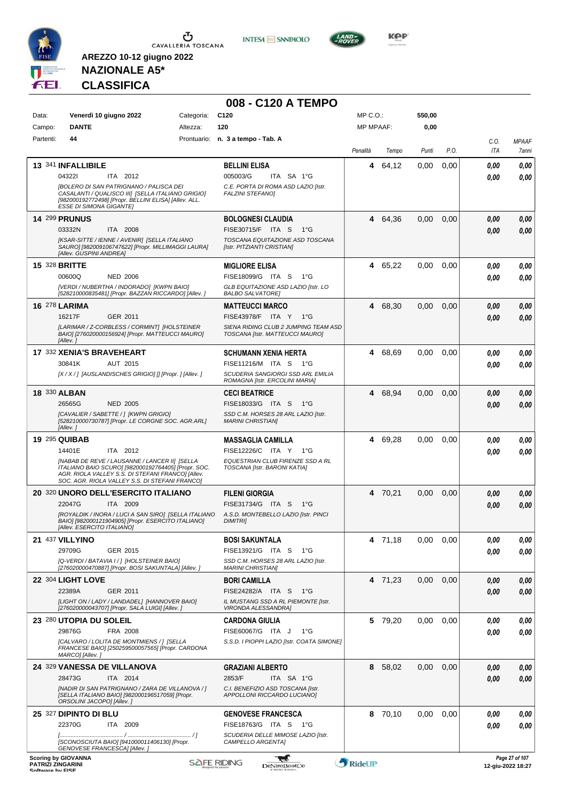

**INTESA** M SANPAOLO



**KOP** 

# **NAZIONALE A5\* CLASSIFICA**

|                                                                            |                                                                                                                                                                                                |            | 008 - C120 A TEMPO                                                                                                             |                  |         |        |      |                    |                                     |
|----------------------------------------------------------------------------|------------------------------------------------------------------------------------------------------------------------------------------------------------------------------------------------|------------|--------------------------------------------------------------------------------------------------------------------------------|------------------|---------|--------|------|--------------------|-------------------------------------|
| Data:                                                                      | Venerdì 10 giugno 2022                                                                                                                                                                         | Categoria: | C <sub>120</sub>                                                                                                               | MP C.O.:         |         | 550,00 |      |                    |                                     |
| Campo:                                                                     | <b>DANTE</b>                                                                                                                                                                                   | Altezza:   | 120                                                                                                                            | <b>MP MPAAF:</b> |         | 0,00   |      |                    |                                     |
| Partenti:                                                                  | 44                                                                                                                                                                                             |            | Prontuario: n. 3 a tempo - Tab. A                                                                                              | Penalità         | Tempo   | Punti  | P.O. | C.0.<br><b>ITA</b> | <b>MPAAF</b><br>7anni               |
|                                                                            | 13 341 INFALLIBILE                                                                                                                                                                             |            | <b>BELLINI ELISA</b>                                                                                                           | 4                | 64,12   | 0,00   | 0,00 | 0.00               | 0,00                                |
|                                                                            | 043221<br>ITA 2012                                                                                                                                                                             |            | 005003/G<br>ITA SA 1°G                                                                                                         |                  |         |        |      | 0.00               | 0.00                                |
|                                                                            | <b>IBOLERO DI SAN PATRIGNANO / PALISCA DEI</b><br>CASALANTI / QUALISCO III] [SELLA ITALIANO GRIGIO]<br>[982000192772498] [Propr. BELLINI ELISA] [Allev. ALL.<br><b>ESSE DI SIMONA GIGANTE]</b> |            | C.E. PORTA DI ROMA ASD LAZIO [Istr.<br><b>FALZINI STEFANOI</b>                                                                 |                  |         |        |      |                    |                                     |
|                                                                            | <b>14 299 PRUNUS</b>                                                                                                                                                                           |            | <b>BOLOGNESI CLAUDIA</b>                                                                                                       |                  | 4 64,36 | 0,00   | 0,00 | 0,00               | 0,00                                |
|                                                                            | 03332N<br>ITA 2008<br>[KSAR-SITTE / IENNE / AVENIR] [SELLA ITALIANO<br>SAURO] [982009106747622] [Propr. MILLIMAGGI LAURA]<br>[Allev. GUSPINI ANDREA]                                           |            | FISE30715/F ITA S<br>1°G<br>TOSCANA EQUITAZIONE ASD TOSCANA<br>[Istr. PITZIANTI CRISTIAN]                                      |                  |         |        |      | 0.00               | 0.00                                |
| <b>15 328 BRITTE</b>                                                       |                                                                                                                                                                                                |            | <b>MIGLIORE ELISA</b>                                                                                                          | 4                | 65,22   | 0.00   | 0,00 | 0.00               | 0,00                                |
|                                                                            | 00600Q<br><b>NED 2006</b>                                                                                                                                                                      |            | FISE18099/G ITA S<br>1°G                                                                                                       |                  |         |        |      | 0.00               | 0.00                                |
|                                                                            | [VERDI / NUBERTHA / INDORADO] [KWPN BAIO]<br>[528210000835481] [Propr. BAZZAN RICCARDO] [Allev.]                                                                                               |            | GLB EQUITAZIONE ASD LAZIO [Istr. LO<br><b>BALBO SALVATORE!</b>                                                                 |                  |         |        |      |                    |                                     |
| <b>16 278 LARIMA</b>                                                       |                                                                                                                                                                                                |            | <b>MATTEUCCI MARCO</b>                                                                                                         |                  | 4 68,30 | 0,00   | 0,00 | 0.00               | 0,00                                |
|                                                                            | 16217F<br>GER 2011                                                                                                                                                                             |            | FISE43978/F ITA Y<br>1°G                                                                                                       |                  |         |        |      | 0.00               | 0.00                                |
|                                                                            | [LARIMAR / Z-CORBLESS / CORMINT] [HOLSTEINER<br>BAIO] [276020000156924] [Propr. MATTEUCCI MAURO]<br>[Allev. 1                                                                                  |            | SIENA RIDING CLUB 2 JUMPING TEAM ASD<br>TOSCANA [Istr. MATTEUCCI MAURO]                                                        |                  |         |        |      |                    |                                     |
|                                                                            | 17 332 XENIA'S BRAVEHEART                                                                                                                                                                      |            | <b>SCHUMANN XENIA HERTA</b>                                                                                                    |                  | 4 68,69 | 0,00   | 0,00 | 0.00               | 0,00                                |
|                                                                            | AUT 2015<br>30841K                                                                                                                                                                             |            | FISE11216/M ITA S<br>$1^{\circ}G$                                                                                              |                  |         |        |      | 0.00               | 0.00                                |
|                                                                            | [X / X / ] [AUSLANDISCHES GRIGIO] [] [Propr. ] [Allev. ]                                                                                                                                       |            | SCUDERIA SANGIORGI SSD ARL EMILIA<br>ROMAGNA [Istr. ERCOLINI MARIA]                                                            |                  |         |        |      |                    |                                     |
| <b>18 330 ALBAN</b>                                                        |                                                                                                                                                                                                |            | <b>CECI BEATRICE</b>                                                                                                           | 4                | 68,94   | 0,00   | 0,00 | 0.00               | 0,00                                |
|                                                                            | 26565G<br><b>NED 2005</b><br>[CAVALIER / SABETTE / ] [KWPN GRIGIO]                                                                                                                             |            | FISE18033/G ITA S<br>− 1°G<br>SSD C.M. HORSES 28 ARL LAZIO [Istr.                                                              |                  |         |        |      | 0.00               | 0.00                                |
|                                                                            | [528210000730787] [Propr. LE CORGNE SOC. AGR.ARL]<br>[Allev.]                                                                                                                                  |            | <b>MARINI CHRISTIANI</b>                                                                                                       |                  |         |        |      |                    |                                     |
| 19 295 QUIBAB                                                              |                                                                                                                                                                                                |            | <b>MASSAGLIA CAMILLA</b>                                                                                                       | 4                | 69,28   | 0.00   | 0.00 | 0.00               | 0.00                                |
|                                                                            | 14401E<br>ITA 2012<br>[NABAB DE REVE / LAUSANNE / LANCER II] [SELLA                                                                                                                            |            | FISE12226/C ITA Y 1°G<br>EQUESTRIAN CLUB FIRENZE SSD A RL                                                                      |                  |         |        |      | 0.00               | 0.00                                |
|                                                                            | ITALIANO BAIO SCURO] [982000192764405] [Propr. SOC.<br>AGR. RIOLA VALLEY S.S. DI STEFANI FRANCO] [Allev.<br>SOC. AGR. RIOLA VALLEY S.S. DI STEFANI FRANCO]                                     |            | TOSCANA [Istr. BARONI KATIA]                                                                                                   |                  |         |        |      |                    |                                     |
|                                                                            | 20 320 UNORO DELL'ESERCITO ITALIANO                                                                                                                                                            |            | <b>FILENI GIORGIA</b>                                                                                                          |                  | 4 70,21 | 0,00   | 0,00 | 0,00               | 0,00                                |
|                                                                            | 22047G<br>ITA 2009                                                                                                                                                                             |            | FISE31734/G ITA S<br>$1^{\circ}G$<br>[ROYALDIK / INORA / LUCI A SAN SIRO] [SELLA ITALIANO A.S.D. MONTEBELLO LAZIO [Istr. PINCI |                  |         |        |      | 0.00               | 0,00                                |
|                                                                            | BAIO] [982000121904905] [Propr. ESERCITO ITALIANO]<br>[Allev. ESERCITO ITALIANO]                                                                                                               |            | <b>DIMITRI</b>                                                                                                                 |                  |         |        |      |                    |                                     |
|                                                                            | 21 437 VILLYINO                                                                                                                                                                                |            | <b>BOSI SAKUNTALA</b>                                                                                                          |                  | 4 71,18 | 0,00   | 0,00 | 0,00               | 0,00                                |
|                                                                            | 29709G<br>GER 2015                                                                                                                                                                             |            | FISE13921/G ITA S<br>1°G                                                                                                       |                  |         |        |      | 0,00               | 0.00                                |
|                                                                            | [Q-VERDI / BATAVIA I / ] [HOLSTEINER BAIO]<br>[276020000470887] [Propr. BOSI SAKUNTALA] [Allev.]                                                                                               |            | SSD C.M. HORSES 28 ARL LAZIO [Istr.<br><b>MARINI CHRISTIAN]</b>                                                                |                  |         |        |      |                    |                                     |
|                                                                            | 22 304 LIGHT LOVE                                                                                                                                                                              |            | <b>BORI CAMILLA</b>                                                                                                            |                  | 4 71,23 | 0,00   | 0,00 | 0.00               | 0,00                                |
|                                                                            | 22389A<br><b>GER 2011</b><br>[LIGHT ON / LADY / LANDADEL] [HANNOVER BAIO]                                                                                                                      |            | FISE24282/A ITA S<br>− 1°G<br>IL MUSTANG SSD A RL PIEMONTE [Istr.                                                              |                  |         |        |      | 0,00               | 0,00                                |
|                                                                            | [276020000043707] [Propr. SALA LUIGI] [Allev.]                                                                                                                                                 |            | VIRONDA ALESSANDRA]                                                                                                            |                  |         |        |      |                    |                                     |
|                                                                            | 23 280 UTOPIA DU SOLEIL                                                                                                                                                                        |            | <b>CARDONA GIULIA</b>                                                                                                          |                  | 5 79,20 | 0,00   | 0,00 | 0,00               | 0,00                                |
|                                                                            | 29876G<br>FRA 2008<br>[CALVARO / LOLITA DE MONTMIENS / ] [SELLA                                                                                                                                |            | FISE60067/G ITA J<br>1°G<br>S.S.D. I PIOPPI LAZIO [Istr. COATA SIMONE]                                                         |                  |         |        |      | 0,00               | 0,00                                |
|                                                                            | FRANCESE BAIO] [250259500057565] [Propr. CARDONA<br>MARCO] [Allev.]                                                                                                                            |            |                                                                                                                                |                  |         |        |      |                    |                                     |
|                                                                            | 24 329 VANESSA DE VILLANOVA<br>28473G<br>ITA 2014                                                                                                                                              |            | <b>GRAZIANI ALBERTO</b><br>2853/F<br>ITA SA 1°G                                                                                |                  | 8 58,02 | 0,00   | 0,00 | 0,00               | 0,00                                |
|                                                                            | [NADIR DI SAN PATRIGNANO / ZARA DE VILLANOVA / ]<br>[SELLA ITALIANO BAIO] [982000196517059] [Propr.<br>ORSOLINI JACOPO] [Allev.]                                                               |            | C.I. BENEFIZIO ASD TOSCANA [Istr.<br>APPOLLONI RICCARDO LUCIANO]                                                               |                  |         |        |      | 0.00               | 0,00                                |
|                                                                            | 25 327 DIPINTO DI BLU                                                                                                                                                                          |            | <b>GENOVESE FRANCESCA</b>                                                                                                      |                  | 8 70,10 | 0,00   | 0,00 | 0.00               | 0,00                                |
|                                                                            | 22370G<br>ITA 2009                                                                                                                                                                             |            | FISE18763/G ITA S 1°G                                                                                                          |                  |         |        |      | 0.00               | 0.00                                |
|                                                                            | [SCONOSCIUTA BAIO] [941000011406130] [Propr.<br>GENOVESE FRANCESCA] [Allev.]                                                                                                                   |            | SCUDERIA DELLE MIMOSE LAZIO [Istr.<br>CAMPELLO ARGENTA]                                                                        |                  |         |        |      |                    |                                     |
| <b>Scoring by GIOVANNA</b><br><b>PATRIZI ZINGARINI</b><br>Coffware by EICE |                                                                                                                                                                                                |            | ₩<br><b>SAFE RIDING</b><br>DeNiroBootCo                                                                                        | RideUP           |         |        |      |                    | Page 27 of 107<br>12-giu-2022 18:27 |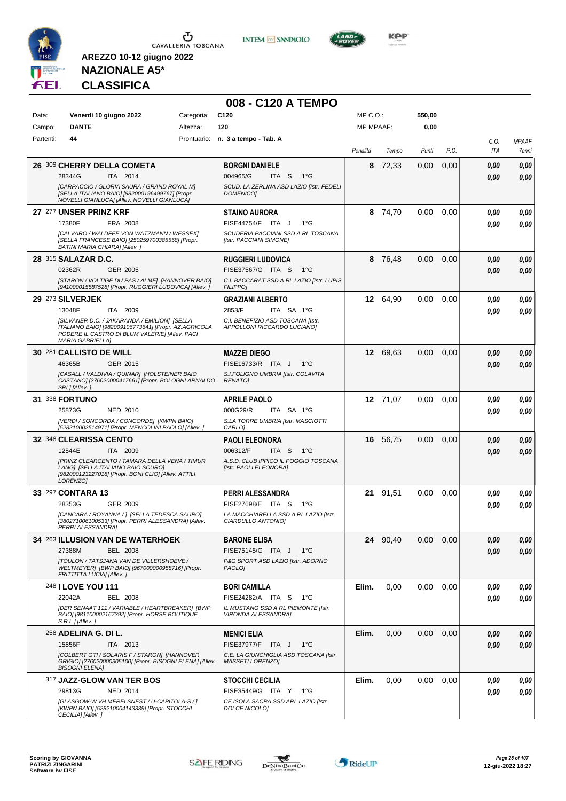





**KOP** 

# **NAZIONALE A5\* CLASSIFICA**

|           |                                                                                                                                                                                   |            | 008 - C120 A TEMPO                                                       |                  |          |        |      |             |                       |
|-----------|-----------------------------------------------------------------------------------------------------------------------------------------------------------------------------------|------------|--------------------------------------------------------------------------|------------------|----------|--------|------|-------------|-----------------------|
| Data:     | Venerdì 10 giugno 2022                                                                                                                                                            | Categoria: | C <sub>120</sub>                                                         | $MP C. O.$ :     |          | 550,00 |      |             |                       |
| Campo:    | <b>DANTE</b>                                                                                                                                                                      | Altezza:   | 120                                                                      | <b>MP MPAAF:</b> |          | 0,00   |      |             |                       |
| Partenti: | 44                                                                                                                                                                                |            | Prontuario: n. 3 a tempo - Tab. A                                        | Penalità         | Tempo    | Punti  | P.O. | C.O.<br>ITA | <b>MPAAF</b><br>7anni |
|           | 26 309 CHERRY DELLA COMETA                                                                                                                                                        |            | <b>BORGNI DANIELE</b>                                                    | 8                | 72,33    | 0,00   | 0,00 | 0.00        | 0,00                  |
|           | 28344G<br>ITA 2014                                                                                                                                                                |            | 004965/G<br>ITA S<br>1°G                                                 |                  |          |        |      | 0.00        | 0,00                  |
|           | [CARPACCIO / GLORIA SAURA / GRAND ROYAL M]<br>[SELLA ITALIANO BAIO] [982000196499767] [Propr.<br>NOVELLI GIANLUCA] [Allev. NOVELLI GIANLUCA]                                      |            | SCUD. LA ZERLINA ASD LAZIO [Istr. FEDELI<br><b>DOMENICO]</b>             |                  |          |        |      |             |                       |
|           | 27 277 UNSER PRINZ KRF                                                                                                                                                            |            | <b>STAINO AURORA</b>                                                     |                  | 8 74,70  | 0.00   | 0,00 | 0.00        | 0,00                  |
|           | 17380F<br>FRA 2008<br>[CALVARO / WALDFEE VON WATZMANN / WESSEX]                                                                                                                   |            | FISE44754/F ITA J<br>$1^{\circ}$ G<br>SCUDERIA PACCIANI SSD A RL TOSCANA |                  |          |        |      | 0.00        | 0,00                  |
|           | [SELLA FRANCESE BAIO] [250259700385558] [Propr.<br>BATINI MARIA CHIARA] [Allev.]                                                                                                  |            | [Istr. PACCIANI SIMONE]                                                  |                  |          |        |      |             |                       |
|           | 28 315 SALAZAR D.C.                                                                                                                                                               |            | <b>RUGGIERI LUDOVICA</b>                                                 |                  | 8 76,48  | 0,00   | 0,00 | 0,00        | 0,00                  |
|           | 02362R<br><b>GER 2005</b>                                                                                                                                                         |            | FISE37567/G ITA S<br>1°G                                                 |                  |          |        |      | 0.00        | 0,00                  |
|           | [STARON / VOLTIGE DU PAS / ALME] [HANNOVER BAIO]<br>[941000015587528] [Propr. RUGGIERI LUDOVICA] [Allev.]                                                                         |            | C.I. BACCARAT SSD A RL LAZIO [Istr. LUPIS<br><b>FILIPPO]</b>             |                  |          |        |      |             |                       |
|           | 29 273 SILVERJEK                                                                                                                                                                  |            | <b>GRAZIANI ALBERTO</b>                                                  |                  | 12 64,90 | 0,00   | 0,00 | 0,00        | 0,00                  |
|           | 13048F<br>ITA 2009                                                                                                                                                                |            | 2853/F<br>ITA SA 1°G                                                     |                  |          |        |      | 0.00        | 0.00                  |
|           | [SILVANER D.C. / JAKARANDA / EMILION] [SELLA<br>ITALIANO BAIO] [982009106773641] [Propr. AZ.AGRICOLA<br>PODERE IL CASTRO DI BLUM VALERIEI IAIlev. PACI<br><b>MARIA GABRIELLA]</b> |            | C.I. BENEFIZIO ASD TOSCANA [Istr.<br>APPOLLONI RICCARDO LUCIANO]         |                  |          |        |      |             |                       |
|           | 30 281 CALLISTO DE WILL                                                                                                                                                           |            | <b>MAZZEI DIEGO</b>                                                      |                  | 12 69.63 | 0,00   | 0,00 | 0.00        | 0,00                  |
|           | 46365B<br>GER 2015                                                                                                                                                                |            | FISE16733/R ITA J<br>$1^{\circ}G$                                        |                  |          |        |      | 0.00        | 0,00                  |
|           | [CASALL / VALDIVIA / QUINAR] [HOLSTEINER BAIO<br>CASTANO] [276020000417661] [Propr. BOLOGNI ARNALDO<br>SRL] [Allev.]                                                              |            | S.I.FOLIGNO UMBRIA [Istr. COLAVITA<br><b>RENATOI</b>                     |                  |          |        |      |             |                       |
|           | 31 338 FORTUNO                                                                                                                                                                    |            | <b>APRILE PAOLO</b>                                                      |                  | 12 71,07 | 0,00   | 0.00 | 0.00        | 0,00                  |
|           | 25873G<br><b>NED 2010</b>                                                                                                                                                         |            | 000G29/R<br>ITA SA 1°G                                                   |                  |          |        |      | 0.00        | 0,00                  |
|           | [VERDI / SONCORDA / CONCORDE] [KWPN BAIO]<br>[528210002514971] [Propr. MENCOLINI PAOLO] [Allev.]                                                                                  |            | S.LA TORRE UMBRIA [Istr. MASCIOTTI<br>CARLO]                             |                  |          |        |      |             |                       |
|           | 32 348 CLEARISSA CENTO                                                                                                                                                            |            | <b>PAOLI ELEONORA</b>                                                    | 16               | 56,75    | 0,00   | 0,00 | 0.00        | 0,00                  |
|           | 12544E<br>ITA 2009<br>[PRINZ CLEARCENTO / TAMARA DELLA VENA / TIMUR                                                                                                               |            | 006312/F<br>ITA S<br>1°G                                                 |                  |          |        |      | 0.00        | 0.00                  |
|           | LANGI [SELLA ITALIANO BAIO SCURO]<br>[982000123227018] [Propr. BONI CLIO] [Allev. ATTILI<br>LORENZO1                                                                              |            | A.S.D. CLUB IPPICO IL POGGIO TOSCANA<br>[Istr. PAOLI ELEONORA]           |                  |          |        |      |             |                       |
|           | 33 297 CONTARA 13                                                                                                                                                                 |            | <b>PERRI ALESSANDRA</b>                                                  | 21               | 91,51    | 0,00   | 0.00 | 0,00        | 0,00                  |
|           | 28353G<br>GER 2009                                                                                                                                                                |            | FISE27698/E ITA S<br>1°G                                                 |                  |          |        |      | 0.00        | 0,00                  |
|           | [CANCARA / ROYANNA / ] [SELLA TEDESCA SAURO]<br>[380271006100533] [Propr. PERRI ALESSANDRA] [Allev.<br>PERRI ALESSANDRA]                                                          |            | LA MACCHIARELLA SSD A RL LAZIO [Istr.<br>CIARDULLO ANTONIO]              |                  |          |        |      |             |                       |
|           | 34 263 ILLUSION VAN DE WATERHOEK                                                                                                                                                  |            | <b>BARONE ELISA</b>                                                      |                  | 24 90,40 | 0,00   | 0,00 | 0,00        | 0,00                  |
|           | 27388M<br><b>BEL 2008</b>                                                                                                                                                         |            | FISE75145/G ITA J<br>$1^{\circ}G$                                        |                  |          |        |      | 0,00        | 0,00                  |
|           | [TOULON / TATSJANA VAN DE VILLERSHOEVE /<br>WELTMEYER] [BWP BAIO] [967000000958716] [Propr.<br>FRITTITTA LUCIA] [Allev.]                                                          |            | P&G SPORT ASD LAZIO [Istr. ADORNO<br><b>PAOLOI</b>                       |                  |          |        |      |             |                       |
|           | 248 I LOVE YOU 111                                                                                                                                                                |            | <b>BORI CAMILLA</b>                                                      | Elim.            | 0,00     | 0,00   | 0,00 | 0,00        | 0,00                  |
|           | 22042A<br><b>BEL 2008</b>                                                                                                                                                         |            | FISE24282/A ITA S<br>1°G                                                 |                  |          |        |      | 0.00        | 0.00                  |
|           | [DER SENAAT 111 / VARIABLE / HEARTBREAKER] [BWP<br>BAIO] [981100002167392] [Propr. HORSE BOUTIQUE<br>S.R.L.J/Allev. J                                                             |            | IL MUSTANG SSD A RL PIEMONTE [Istr.<br>VIRONDA ALESSANDRA]               |                  |          |        |      |             |                       |
|           | 258 ADELINA G. DI L.                                                                                                                                                              |            | <b>MENICI ELIA</b>                                                       | Elim.            | 0,00     | 0,00   | 0,00 | 0.00        | 0,00                  |
|           | ITA 2013<br>15856F                                                                                                                                                                |            | FISE37977/F ITA J<br>$1^{\circ}G$                                        |                  |          |        |      | 0.00        | 0,00                  |
|           | [COLBERT GTI / SOLARIS F / STARON] [HANNOVER<br>GRIGIO] [276020000305100] [Propr. BISOGNI ELENA] [Allev.<br><b>BISOGNI ELENA]</b>                                                 |            | C.E. LA GIUNCHIGLIA ASD TOSCANA [Istr.<br>MASSETI LORENZO]               |                  |          |        |      |             |                       |
|           | 317 JAZZ-GLOW VAN TER BOS                                                                                                                                                         |            | <b>STOCCHI CECILIA</b>                                                   | Elim.            | 0,00     | 0,00   | 0,00 | 0,00        | 0,00                  |
|           | 29813G<br><b>NED 2014</b><br>[GLASGOW-W VH MERELSNEST / U-CAPITOLA-S / ]                                                                                                          |            | FISE35449/G ITA Y 1°G                                                    |                  |          |        |      | 0.00        | 0.00                  |
|           | [KWPN BAIO] [528210004143339] [Propr. STOCCHI<br>CECILIA] [Allev.]                                                                                                                |            | CE ISOLA SACRA SSD ARL LAZIO [Istr.<br>DOLCE NICOLO]                     |                  |          |        |      |             |                       |

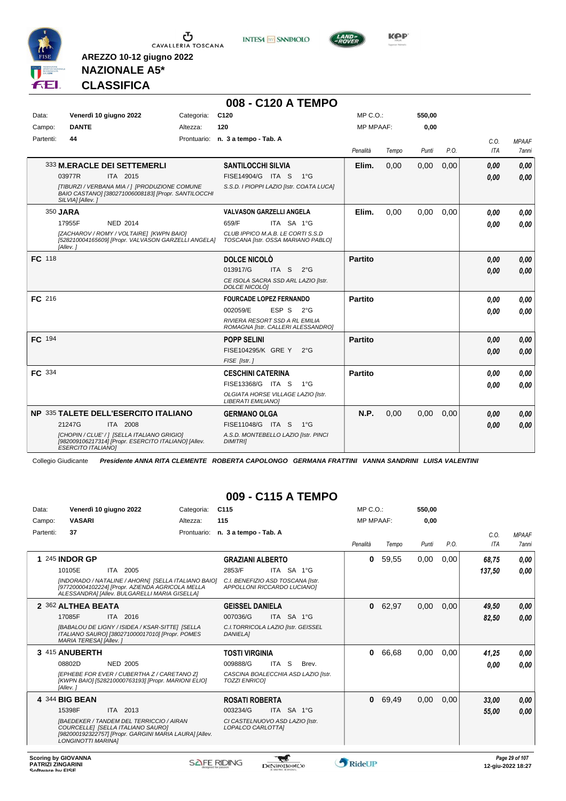

**INTESA** M SANPAOLO



**Kep** 

# **NAZIONALE A5\* CLASSIFICA**

**AREZZO 10-12 giugno 2022**

|           |                                                                                                                                  |            | 008 - C120 A TEMPO                                                      |                  |       |        |      |            |              |
|-----------|----------------------------------------------------------------------------------------------------------------------------------|------------|-------------------------------------------------------------------------|------------------|-------|--------|------|------------|--------------|
| Data:     | Venerdì 10 giugno 2022                                                                                                           | Categoria: | C <sub>120</sub>                                                        | $MP C. O.$ :     |       | 550,00 |      |            |              |
| Campo:    | <b>DANTE</b>                                                                                                                     | Altezza:   | 120                                                                     | <b>MP MPAAF:</b> |       | 0,00   |      |            |              |
| Partenti: | 44                                                                                                                               |            | Prontuario: n. 3 a tempo - Tab. A                                       |                  |       |        |      | C.O.       | <b>MPAAF</b> |
|           |                                                                                                                                  |            |                                                                         | Penalità         | Tempo | Punti  | P.O. | <b>ITA</b> | 7anni        |
|           | 333 M.ERACLE DEI SETTEMERLI                                                                                                      |            | <b>SANTILOCCHI SILVIA</b>                                               | Elim.            | 0.00  | 0,00   | 0,00 | 0,00       | 0,00         |
|           | ITA 2015<br>03977R                                                                                                               |            | FISE14904/G ITA S<br>$1^{\circ}G$                                       |                  |       |        |      | 0.00       | 0.00         |
|           | [TIBURZI / VERBANA MIA / ] [PRODUZIONE COMUNE<br>BAIO CASTANO] [380271006008183] [Propr. SANTILOCCHI<br>SILVIA] [Allev.]         |            | S.S.D. I PIOPPI LAZIO [Istr. COATA LUCA]                                |                  |       |        |      |            |              |
|           | 350 JARA                                                                                                                         |            | <b>VALVASON GARZELLI ANGELA</b>                                         | Elim.            | 0.00  | 0,00   | 0,00 | 0.00       | 0,00         |
|           | NED 2014<br>17955F                                                                                                               |            | 659/F<br>ITA SA 1°G                                                     |                  |       |        |      | 0.00       | 0.00         |
|           | [ZACHAROV / ROMY / VOLTAIRE] [KWPN BAIO]<br>[528210004165609] [Propr. VALVASON GARZELLI ANGELA]<br>[Allev.]                      |            | CLUB IPPICO M.A.B. LE CORTI S.S.D<br>TOSCANA [Istr. OSSA MARIANO PABLO] |                  |       |        |      |            |              |
| FC 118    |                                                                                                                                  |            | DOLCE NICOLO                                                            | <b>Partito</b>   |       |        |      | 0,00       | 0,00         |
|           |                                                                                                                                  |            | 013917/G<br>ITA S<br>$2^{\circ}$ G                                      |                  |       |        |      | 0.00       | 0.00         |
|           |                                                                                                                                  |            | CE ISOLA SACRA SSD ARL LAZIO [Istr.<br>DOLCE NICOLÒ]                    |                  |       |        |      |            |              |
| FC 216    |                                                                                                                                  |            | <b>FOURCADE LOPEZ FERNANDO</b>                                          | <b>Partito</b>   |       |        |      | 0.00       | 0,00         |
|           |                                                                                                                                  |            | 002059/E<br>ESP S<br>$2^{\circ}G$                                       |                  |       |        |      | 0.00       | 0.00         |
|           |                                                                                                                                  |            | RIVIERA RESORT SSD A RL EMILIA<br>ROMAGNA [Istr. CALLERI ALESSANDRO]    |                  |       |        |      |            |              |
| FC 194    |                                                                                                                                  |            | <b>POPP SELINI</b>                                                      | <b>Partito</b>   |       |        |      | 0.00       | 0,00         |
|           |                                                                                                                                  |            | FISE104295/K GRE Y<br>$2^{\circ}G$                                      |                  |       |        |      | 0.00       | 0.00         |
|           |                                                                                                                                  |            | FISE [Istr.]                                                            |                  |       |        |      |            |              |
| FC 334    |                                                                                                                                  |            | <b>CESCHINI CATERINA</b>                                                | <b>Partito</b>   |       |        |      | 0.00       | 0,00         |
|           |                                                                                                                                  |            | FISE13368/G ITA S<br>$1^{\circ}G$                                       |                  |       |        |      | 0.00       | 0.00         |
|           |                                                                                                                                  |            | OLGIATA HORSE VILLAGE LAZIO [Istr.<br><b>LIBERATI EMILIANO]</b>         |                  |       |        |      |            |              |
|           | NP 335 TALETE DELL'ESERCITO ITALIANO                                                                                             |            | <b>GERMANO OLGA</b>                                                     | N.P.             | 0,00  | 0,00   | 0,00 | 0,00       | 0,00         |
|           | 21247G<br>ITA 2008                                                                                                               |            | FISE11048/G ITA S<br>1°G                                                |                  |       |        |      | 0.00       | 0,00         |
|           | [CHOPIN / CLUE' / ] [SELLA ITALIANO GRIGIO]<br>[982009106217314] [Propr. ESERCITO ITALIANO] [Allev.<br><b>ESERCITO ITALIANOI</b> |            | A.S.D. MONTEBELLO LAZIO [Istr. PINCI<br><b>DIMITRII</b>                 |                  |       |        |      |            |              |

Collegio Giudicante *Presidente ANNA RITA CLEMENTE ROBERTA CAPOLONGO GERMANA FRATTINI VANNA SANDRINI LUISA VALENTINI*

#### **009 - C115 A TEMPO**

| Data:     | Venerdì 10 giugno 2022                                                                                                                                               | Categoria: | C <sub>115</sub>                                                 |                | $MP C. O.$ :     |       | 550,00 |      |            |                |
|-----------|----------------------------------------------------------------------------------------------------------------------------------------------------------------------|------------|------------------------------------------------------------------|----------------|------------------|-------|--------|------|------------|----------------|
| Campo:    | <b>VASARI</b>                                                                                                                                                        | Altezza:   | 115                                                              |                | <b>MP MPAAF:</b> |       | 0,00   |      |            |                |
| Partenti: | 37                                                                                                                                                                   |            | Prontuario: n. 3 a tempo - Tab. A                                |                |                  |       |        |      | C.0.       | <b>MPAAF</b>   |
|           |                                                                                                                                                                      |            |                                                                  |                | Penalità         | Tempo | Punti  | P.O. | <b>ITA</b> | <b>7anni</b>   |
|           | <b>245 INDOR GP</b>                                                                                                                                                  |            | <b>GRAZIANI ALBERTO</b>                                          |                | $\bf{0}$         | 59,55 | 0,00   | 0,00 | 68,75      | 0,00           |
|           | 10105E<br>ITA 2005                                                                                                                                                   |            | 2853/F                                                           | ITA SA 1°G     |                  |       |        |      | 137,50     | 0.00           |
|           | [INDORADO / NATALINE / AHORN] [SELLA ITALIANO BAIO]<br>[977200004102224] [Propr. AZIENDA AGRICOLA MELLA<br>ALESSANDRA] [Allev. BULGARELLI MARIA GISELLA]             |            | C.I. BENEFIZIO ASD TOSCANA [Istr.<br>APPOLLONI RICCARDO LUCIANO] |                |                  |       |        |      |            |                |
|           | 2 362 ALTHEA BEATA                                                                                                                                                   |            | <b>GEISSEL DANIELA</b>                                           |                | $\mathbf 0$      | 62,97 | 0,00   | 0,00 | 49,50      | 0,00           |
|           | 17085F<br>ITA 2016                                                                                                                                                   |            | 007036/G                                                         | ITA SA 1°G     |                  |       |        |      | 82,50      | 0,00           |
|           | [BABALOU DE LIGNY / ISIDEA / KSAR-SITTE] [SELLA<br>ITALIANO SAUROI [380271000017010] [Propr. POMES<br>MARIA TERESA] [Allev.]                                         |            | C.I.TORRICOLA LAZIO [Istr. GEISSEL<br><b>DANIELA1</b>            |                |                  |       |        |      |            |                |
|           | 3 415 ANUBERTH                                                                                                                                                       |            | <b>TOSTI VIRGINIA</b>                                            |                | 0                | 66,68 | 0,00   | 0,00 | 41,25      | 0,00           |
|           | 08802D<br><b>NED 2005</b>                                                                                                                                            |            | 009888/G                                                         | ITA S<br>Brev. |                  |       |        |      | 0,00       | 0.00           |
|           | [EPHEBE FOR EVER / CUBERTHA Z / CARETANO Z]<br>[KWPN BAIO] [528210000763193] [Propr. MARIONI ELIO]<br>[Allev.]                                                       |            | CASCINA BOALECCHIA ASD LAZIO [Istr.<br><b>TOZZI ENRICOI</b>      |                |                  |       |        |      |            |                |
|           | 4 344 BIG BEAN                                                                                                                                                       |            | <b>ROSATI ROBERTA</b>                                            |                | $\mathbf{0}$     | 69,49 | 0,00   | 0,00 | 33,00      | 0,00           |
|           | 15398F<br>ITA 2013                                                                                                                                                   |            | 003234/G                                                         | ITA SA 1°G     |                  |       |        |      | 55,00      | 0.00           |
|           | <b>IBAEDEKER / TANDEM DEL TERRICCIO / AIRAN</b><br>COURCELLEI [SELLA ITALIANO SAURO]<br>[982000192322757] [Propr. GARGINI MARIA LAURA] [Allev.<br>LONGINOTTI MARINAI |            | CI CASTELNUOVO ASD LAZIO [Istr.<br>LOPALCO CARLOTTA]             |                |                  |       |        |      |            |                |
|           | <b>Scoring by GIOVANNA</b>                                                                                                                                           |            |                                                                  |                |                  |       |        |      |            | Page 29 of 107 |

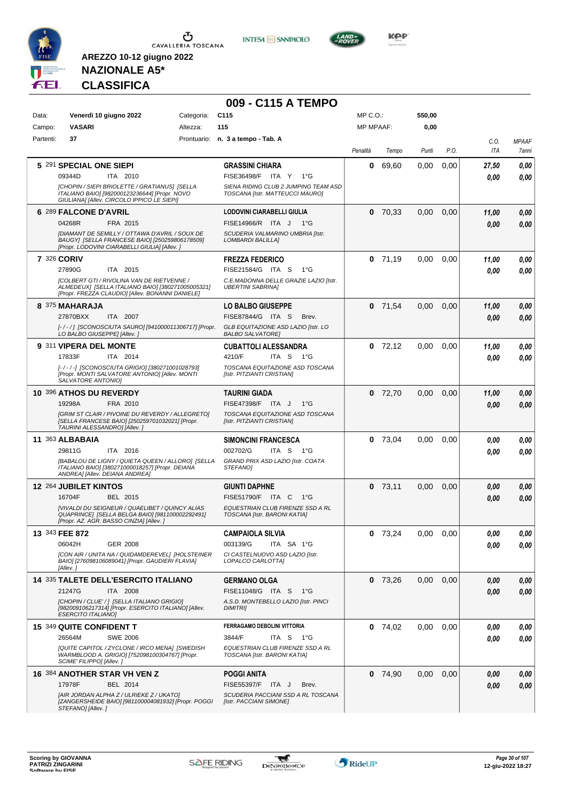

**INTESA M** SANPAOLO



**KOP** 

# **NAZIONALE A5\* CLASSIFICA**

|           |                                                                                                                                                            |            | 009 - C115 A TEMPO                                                      |           |           |        |      |             |                       |
|-----------|------------------------------------------------------------------------------------------------------------------------------------------------------------|------------|-------------------------------------------------------------------------|-----------|-----------|--------|------|-------------|-----------------------|
| Data:     | Venerdì 10 giugno 2022                                                                                                                                     | Categoria: | C <sub>115</sub>                                                        | MP C.O.:  |           | 550,00 |      |             |                       |
| Campo:    | <b>VASARI</b>                                                                                                                                              | Altezza:   | 115                                                                     | MP MPAAF: |           | 0,00   |      |             |                       |
| Partenti: | 37                                                                                                                                                         |            | Prontuario: n. 3 a tempo - Tab. A                                       | Penalità  | Tempo     | Punti  | P.O. | C.O.<br>ITA | <b>MPAAF</b><br>7anni |
|           | 5 291 SPECIAL ONE SIEPI                                                                                                                                    |            | <b>GRASSINI CHIARA</b>                                                  | 0         | 69,60     | 0,00   | 0,00 | 27,50       | 0,00                  |
|           | 09344D<br>ITA 2010                                                                                                                                         |            | FISE36498/F ITA Y<br>$1^{\circ}G$                                       |           |           |        |      | 0.00        | 0.00                  |
|           | [CHOPIN / SIEPI BRIOLETTE / GRATIANUS] [SELLA<br>ITALIANO BAIO] [982000123236644] [Propr. NOVO<br>GIULIANA] [Allev. CIRCOLO IPPICO LE SIEPI]               |            | SIENA RIDING CLUB 2 JUMPING TEAM ASD<br>TOSCANA [Istr. MATTEUCCI MAURO] |           |           |        |      |             |                       |
|           | 6 289 FALCONE D'AVRIL                                                                                                                                      |            | <b>LODOVINI CIARABELLI GIULIA</b>                                       |           | $0$ 70,33 | 0,00   | 0,00 | 11,00       | 0,00                  |
|           | 04268R<br>FRA 2015                                                                                                                                         |            | FISE14966/R ITA J 1°G                                                   |           |           |        |      | 0.00        | 0,00                  |
|           | [DIAMANT DE SEMILLY / OTTAWA D'AVRIL / SOUX DE<br>BAUGY] [SELLA FRANCESE BAIO] [250259806178509]<br>[Propr. LODOVINI CIARABELLI GIULIA] [Allev.]           |            | SCUDERIA VALMARINO UMBRIA [Istr.<br><b>LOMBARDI BALILLAI</b>            |           |           |        |      |             |                       |
|           | 7 326 CORIV                                                                                                                                                |            | <b>FREZZA FEDERICO</b>                                                  |           | $0$ 71,19 | 0,00   | 0.00 | 11,00       | 0,00                  |
|           | 27890G<br>ITA 2015                                                                                                                                         |            | FISE21584/G ITA S<br>1°G                                                |           |           |        |      | 0.00        | 0.00                  |
|           | <b>[COLBERT GTI / RIVOLINA VAN DE RIETVENNE /</b><br>ALMEDEUX] [SELLA ITALIANO BAIO] [380271005005321]<br>[Propr. FREZZA CLAUDIO] [Allev. BONANNI DANIELE] |            | C.E.MADONNA DELLE GRAZIE LAZIO [Istr.<br><b>UBERTINI SABRINAI</b>       |           |           |        |      |             |                       |
|           | 8 375 MAHARAJA                                                                                                                                             |            | <b>LO BALBO GIUSEPPE</b>                                                |           | $0$ 71,54 | 0,00   | 0,00 | 11,00       | 0,00                  |
|           | 27870BXX<br>ITA 2007                                                                                                                                       |            | FISE87844/G ITA S<br>Brev.                                              |           |           |        |      | 0.00        | 0.00                  |
|           | [-/-/] [SCONOSCIUTA SAURO] [941000011306717] [Propr.<br>LO BALBO GIUSEPPEI [Allev. ]                                                                       |            | GLB EQUITAZIONE ASD LAZIO [Istr. LO<br><b>BALBO SALVATORE]</b>          |           |           |        |      |             |                       |
|           | 9 311 VIPERA DEL MONTE                                                                                                                                     |            | <b>CUBATTOLI ALESSANDRA</b>                                             |           | $0$ 72,12 | 0,00   | 0,00 | 11,00       | 0,00                  |
|           | 17833F<br>ITA 2014                                                                                                                                         |            | 4210/F<br>ITA S<br>1°G                                                  |           |           |        |      | 0.00        | 0.00                  |
|           | [-/-/-] [SCONOSCIUTA GRIGIO] [380271001028793]<br>[Propr. MONTI SALVATORE ANTONIO] [Allev. MONTI<br>SALVATORE ANTONIO]                                     |            | TOSCANA EQUITAZIONE ASD TOSCANA<br>[Istr. PITZIANTI CRISTIAN]           |           |           |        |      |             |                       |
|           | 10 396 ATHOS DU REVERDY                                                                                                                                    |            | <b>TAURINI GIADA</b>                                                    |           | $0$ 72,70 | 0,00   | 0,00 | 11,00       | 0,00                  |
|           | 19298A<br>FRA 2010                                                                                                                                         |            | FISE47398/F ITA J<br>$1^{\circ}G$                                       |           |           |        |      | 0.00        | 0.00                  |
|           | [GRIM ST CLAIR / PIVOINE DU REVERDY / ALLEGRETO]<br>[SELLA FRANCESE BAIO] [250259701032021] [Propr.<br>TAURINI ALESSANDRO] [Allev.]                        |            | TOSCANA EQUITAZIONE ASD TOSCANA<br>[Istr. PITZIANTI CRISTIAN]           |           |           |        |      |             |                       |
|           | 11 363 ALBABAIA                                                                                                                                            |            | <b>SIMONCINI FRANCESCA</b>                                              |           | $0$ 73,04 | 0.00   | 0,00 | 0.00        | 0,00                  |
|           | 29811G<br>ITA 2016                                                                                                                                         |            | 002702/G<br>ITA S 1°G                                                   |           |           |        |      | 0.00        | 0.00                  |
|           | [BABALOU DE LIGNY / QUIETA QUEEN / ALLORO] [SELLA<br>ITALIANO BAIO] [380271000018257] [Propr. DEIANA<br>ANDREA] [Allev. DEIANA ANDREA]                     |            | GRAND PRIX ASD LAZIO [Istr. COATA<br><b>STEFANOI</b>                    |           |           |        |      |             |                       |
|           | <b>12 264 JUBILET KINTOS</b>                                                                                                                               |            | <b>GIUNTI DAPHNE</b>                                                    |           | $0$ 73,11 | 0,00   | 0,00 | 0,00        | 0,00                  |
|           | 16704F<br>BEL 2015                                                                                                                                         |            | <b>FISE51790/F ITA C</b><br>1°G                                         |           |           |        |      | 0.00        | 0.00                  |
|           | [VIVALDI DU SEIGNEUR / QUAELIBET / QUINCY ALIAS<br>QUAPRINCE] [SELLA BELGA BAIO] [981100002292491]<br>[Propr. AZ. AGR. BASSO CINZIA] [Allev.]              |            | EQUESTRIAN CLUB FIRENZE SSD A RL<br>TOSCANA [Istr. BARONI KATIA]        |           |           |        |      |             |                       |
|           | 13 343 FEE 872                                                                                                                                             |            | <b>CAMPAIOLA SILVIA</b>                                                 |           | $0$ 73,24 | 0.00   | 0.00 | 0,00        | 0,00                  |
|           | 06042H<br>GER 2008                                                                                                                                         |            | 003139/G<br>ITA SA 1°G                                                  |           |           |        |      | 0.00        | 0.00                  |
|           | [CON AIR / UNITA NA / QUIDAMDEREVEL] [HOLSTEINER<br>BAIO] [276098106089041] [Propr. GAUDIERI FLAVIA]<br>[Allev.]                                           |            | CI CASTELNUOVO ASD LAZIO [Istr.<br>LOPALCO CARLOTTA]                    |           |           |        |      |             |                       |
|           | <b>14 335 TALETE DELL'ESERCITO ITALIANO</b>                                                                                                                |            | <b>GERMANO OLGA</b>                                                     |           | $0$ 73,26 | 0,00   | 0,00 | 0.00        | 0,00                  |
|           | 21247G<br>ITA 2008                                                                                                                                         |            | FISE11048/G ITA S<br>− 1°G                                              |           |           |        |      | 0,00        | 0,00                  |
|           | [CHOPIN / CLUE' / ] [SELLA ITALIANO GRIGIO]<br>[982009106217314] [Propr. ESERCITO ITALIANO] [Allev.<br><b>ESERCITO ITALIANO]</b>                           |            | A.S.D. MONTEBELLO LAZIO [Istr. PINCI<br><b>DIMITRI</b>                  |           |           |        |      |             |                       |
|           | 15 349 QUITE CONFIDENT T                                                                                                                                   |            | FERRAGAMO DEBOLINI VITTORIA                                             |           | $0$ 74,02 | 0.00   | 0,00 | 0.00        | 0,00                  |
|           | 26564M<br><b>SWE 2006</b>                                                                                                                                  |            | 3844/F<br>ITA S 1°G                                                     |           |           |        |      | 0.00        | 0,00                  |
|           | [QUITE CAPITOL / ZYCLONE / IRCO MENA] [SWEDISH<br>WARMBLOOD A. GRIGIO] [752098100304767] [Propr.<br>SCIME' FILIPPO] [Allev.]                               |            | EQUESTRIAN CLUB FIRENZE SSD A RL<br>TOSCANA [Istr. BARONI KATIA]        |           |           |        |      |             |                       |
|           | 16 384 ANOTHER STAR VH VEN Z                                                                                                                               |            | <b>POGGI ANITA</b>                                                      |           | $0$ 74,90 | 0,00   | 0,00 | 0,00        | 0,00                  |
|           | 17978F<br>BEL 2014                                                                                                                                         |            | FISE55397/F ITA J<br>Brev.                                              |           |           |        |      | 0,00        | 0,00                  |
|           | [AIR JORDAN ALPHA Z / ULRIEKE Z / UKATO]<br>[ZANGERSHEIDE BAIO] [981100004081932] [Propr. POGGI<br>STEFANO] [Allev.]                                       |            | SCUDERIA PACCIANI SSD A RL TOSCANA<br>[Istr. PACCIANI SIMONE]           |           |           |        |      |             |                       |

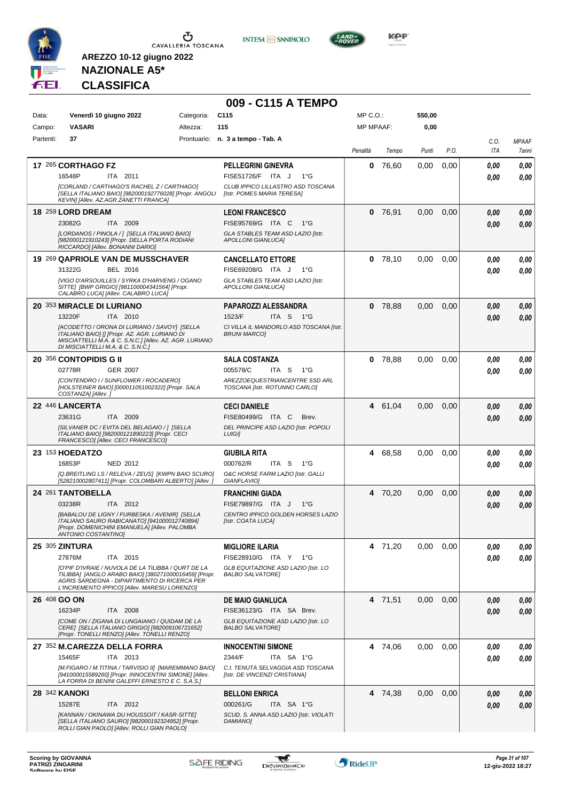

**INTESA M** SANPAOLO



**KOP** 

# **NAZIONALE A5\* CLASSIFICA**

|              |                                                                                                                                                                                                              |            | 009 - C115 A TEMPO                                                 |                  |           |        |      |              |                       |
|--------------|--------------------------------------------------------------------------------------------------------------------------------------------------------------------------------------------------------------|------------|--------------------------------------------------------------------|------------------|-----------|--------|------|--------------|-----------------------|
| Data:        | Venerdì 10 giugno 2022                                                                                                                                                                                       | Categoria: | C <sub>115</sub>                                                   | MP C.O.:         |           | 550,00 |      |              |                       |
| Campo:       | <b>VASARI</b>                                                                                                                                                                                                | Altezza:   | 115                                                                | <b>MP MPAAF:</b> |           | 0,00   |      |              |                       |
| Partenti:    | 37                                                                                                                                                                                                           |            | Prontuario: n. 3 a tempo - Tab. A                                  | Penalità         | Tempo     | Punti  | P.O. | C.O.<br>ITA  | <b>MPAAF</b><br>7anni |
|              | 17 265 CORTHAGO FZ                                                                                                                                                                                           |            | <b>PELLEGRINI GINEVRA</b>                                          | 0                | 76,60     | 0,00   | 0,00 |              |                       |
|              | 16548P<br>ITA 2011                                                                                                                                                                                           |            | FISE51726/F ITA J<br>$1^{\circ}G$                                  |                  |           |        |      | 0.00<br>0.00 | 0,00<br>0,00          |
|              | [CORLAND / CARTHAGO'S RACHEL Z / CARTHAGO]                                                                                                                                                                   |            | CLUB IPPICO LILLASTRO ASD TOSCANA                                  |                  |           |        |      |              |                       |
|              | [SELLA ITALIANO BAIO] [982000192776028] [Propr. ANGOLI<br>KEVINI [Allev. AZ.AGR.ZANETTI FRANCA]                                                                                                              |            | [Istr. POMES MARIA TERESA]                                         |                  |           |        |      |              |                       |
|              | 18 259 LORD DREAM                                                                                                                                                                                            |            | <b>LEONI FRANCESCO</b>                                             |                  | $0$ 76,91 | 0,00   | 0,00 | 0.00         | 0,00                  |
|              | ITA 2009<br>23082G                                                                                                                                                                                           |            | FISE95769/G ITA C<br>1°G                                           |                  |           |        |      | 0.00         | 0,00                  |
|              | [LORDANOS / PINOLA / ] [SELLA ITALIANO BAIO]<br>[982000121910243] [Propr. DELLA PORTA RODIANI<br>RICCARDO] [Allev. BONANNI DARIO]                                                                            |            | GLA STABLES TEAM ASD LAZIO [Istr.<br><b>APOLLONI GIANLUCAI</b>     |                  |           |        |      |              |                       |
|              | 19 269 QAPRIOLE VAN DE MUSSCHAVER                                                                                                                                                                            |            | <b>CANCELLATO ETTORE</b>                                           |                  | $0$ 78,10 | 0,00   | 0,00 | 0,00         | 0.00                  |
|              | 31322G<br>BEL 2016                                                                                                                                                                                           |            | FISE69208/G ITA J<br>$1^{\circ}G$                                  |                  |           |        |      | 0.00         | 0.00                  |
|              | [VIGO D'ARSOUILLES / SYRKA D'HARVENG / OGANO<br>SITTE] [BWP GRIGIO] [981100004341564] [Propr.<br>CALABRO LUCA] [Allev. CALABRO LUCA]                                                                         |            | GLA STABLES TEAM ASD LAZIO [Istr.<br><b>APOLLONI GIANLUCAI</b>     |                  |           |        |      |              |                       |
|              | 20 353 MIRACLE DI LURIANO                                                                                                                                                                                    |            | PAPAROZZI ALESSANDRA                                               |                  | $0$ 78,88 | 0,00   | 0,00 | 0.00         | 0,00                  |
|              | 13220F<br>ITA 2010                                                                                                                                                                                           |            | ITA S 1°G<br>1523/F                                                |                  |           |        |      | 0.00         | 0.00                  |
|              | [ACODETTO / ORONA DI LURIANO / SAVOY] [SELLA<br>ITALIANO BAIO] [] [Propr. AZ. AGR. LURIANO DI<br>MISCIATTELLI M.A. & C. S.N.C.] [Allev. AZ. AGR. LURIANO<br>DI MISCIATTELLI M.A. & C. S.N.C.]                |            | CI VILLA IL MANDORLO ASD TOSCANA [Istr.<br><b>BRUNI MARCOI</b>     |                  |           |        |      |              |                       |
|              | 20 356 CONTOPIDIS G II                                                                                                                                                                                       |            | <b>SALA COSTANZA</b>                                               | 0                | 78,88     | 0,00   | 0,00 | 0.00         | 0,00                  |
|              | 02778R<br><b>GER 2007</b>                                                                                                                                                                                    |            | 005578/C<br>ITA S<br>1°G                                           |                  |           |        |      | 0.00         | 0.00                  |
|              | [CONTENDRO I / SUNFLOWER / ROCADERO]<br>[HOLSTEINER BAIO] [000011051002322] [Propr. SALA<br>COSTANZA] [Allev.]                                                                                               |            | AREZZOEQUESTRIANCENTRE SSD ARL<br>TOSCANA [Istr. ROTUNNO CARLO]    |                  |           |        |      |              |                       |
|              | 22 446 LANCERTA                                                                                                                                                                                              |            | <b>CECI DANIELE</b>                                                |                  | 4 61,04   | 0,00   | 0,00 | 0.00         | 0,00                  |
|              | ITA 2009<br>23631G                                                                                                                                                                                           |            | FISE80499/G ITA C<br>Brev.                                         |                  |           |        |      | 0.00         | 0.00                  |
|              | [SILVANER DC / EVITA DEL BELAGAIO / ] [SELLA<br>ITALIANO BAIO] [982000121890223] [Propr. CECI<br>FRANCESCO] [Allev. CECI FRANCESCO]                                                                          |            | DEL PRINCIPE ASD LAZIO [Istr. POPOLI<br><b>LUIGII</b>              |                  |           |        |      |              |                       |
|              | 23 153 HOEDATZO                                                                                                                                                                                              |            | <b>GIUBILA RITA</b>                                                |                  | 4 68,58   | 0,00   | 0,00 | 0,00         | 0,00                  |
|              | 16853P<br>NED 2012                                                                                                                                                                                           |            | 000762/R<br>ITA S<br>1°G                                           |                  |           |        |      | 0.00         | 0.00                  |
|              | [Q.BREITLING LS / RELEVA / ZEUS] [KWPN BAIO SCURO]<br>[528210002807411] [Propr. COLOMBARI ALBERTO] [Allev. ]                                                                                                 |            | G&C HORSE FARM LAZIO [Istr. GALLI<br>GIANFLAVIO1                   |                  |           |        |      |              |                       |
|              | 24 261 TANTOBELLA                                                                                                                                                                                            |            | <b>FRANCHINI GIADA</b>                                             |                  | 4 70.20   | 0,00   | 0,00 | 0,00         | 0,00                  |
|              | 03238R<br>ITA 2012                                                                                                                                                                                           |            | FISE79897/G ITA J<br>$1^{\circ}G$                                  |                  |           |        |      | 0.00         | 0.00                  |
|              | [BABALOU DE LIGNY / FURBESKA / AVENIR] [SELLA<br>ITALIANO SAURO RABICANATOJ [941000012740894]                                                                                                                |            | CENTRO IPPICO GOLDEN HORSES LAZIO<br>[Istr. COATA LUCA]            |                  |           |        |      |              |                       |
|              | [Propr. DOMENICHINI EMANUELA] [Allev. PALOMBA<br>ANTONIO COSTANTINOI                                                                                                                                         |            |                                                                    |                  |           |        |      |              |                       |
|              | <b>25 305 ZINTURA</b>                                                                                                                                                                                        |            | <b>MIGLIORE ILARIA</b>                                             |                  | 4 71,20   | 0,00   | 0.00 | 0,00         | 0,00                  |
|              | 27876M<br>ITA 2015                                                                                                                                                                                           |            | FISE28910/G ITA Y 1°G                                              |                  |           |        |      | 0.00         | 0,00                  |
|              | [O'PIF D'IVRAIE / NUVOLA DE LA TILIBBA / QURT DE LA<br>TILIBBA] [ANGLO ARABO BAIO] [380271000016459] [Propr.<br>AGRIS SARDEGNA - DIPARTIMENTO DI RICERCA PER<br>L'INCREMENTO IPPICO] [Allev. MARESU LORENZO] |            | GLB EQUITAZIONE ASD LAZIO [Istr. LO<br><b>BALBO SALVATORE]</b>     |                  |           |        |      |              |                       |
| 26 408 GO ON |                                                                                                                                                                                                              |            | <b>DE MAIO GIANLUCA</b>                                            |                  | 4 71,51   | 0.00   | 0,00 | 0,00         | 0,00                  |
|              | 16234P<br>ITA 2008                                                                                                                                                                                           |            | FISE36123/G ITA SA Brev.                                           |                  |           |        |      | 0,00         | 0,00                  |
|              | [COME ON / ZIGANA DI LUNGAIANO / QUIDAM DE LA<br>CERE] [SELLA ITALIANO GRIGIO] [982009106721652]<br>[Propr. TONELLI RENZO] [Allev. TONELLI RENZO]                                                            |            | GLB EQUITAZIONE ASD LAZIO [Istr. LO<br><b>BALBO SALVATORE]</b>     |                  |           |        |      |              |                       |
|              | 27 352 M.CAREZZA DELLA FORRA                                                                                                                                                                                 |            | <b>INNOCENTINI SIMONE</b>                                          |                  | 4 74,06   | 0.00   | 0,00 | 0,00         | 0,00                  |
|              | 15465F<br>ITA 2013                                                                                                                                                                                           |            | 2344/F<br>ITA SA 1°G                                               |                  |           |        |      | 0,00         | 0,00                  |
|              | [M.FIGARO / M.TITINA / TARVISIO II] [MAREMMANO BAIO]<br>[941000015589260] [Propr. INNOCENTINI SIMONE] [Allev.<br>LA FORRA DI BENINI GALEFFI ERNESTO E C. S.A.S.]                                             |            | C.I. TENUTA SELVAGGIA ASD TOSCANA<br>[Istr. DE VINCENZI CRISTIANA] |                  |           |        |      |              |                       |
|              | <b>28 342 KANOKI</b>                                                                                                                                                                                         |            | <b>BELLONI ENRICA</b>                                              |                  | 4 74,38   | 0.00   | 0,00 | 0,00         | 0,00                  |
|              | 15287E<br>ITA 2012                                                                                                                                                                                           |            | 000261/G<br>ITA SA 1°G                                             |                  |           |        |      | 0,00         | 0,00                  |
|              | [KANNAN / OKINAWA DU HOUSSOIT / KASR-SITTE]<br>[SELLA ITALIANO SAURO] [982000192324952] [Propr.<br>ROLLI GIAN PAOLO] [Allev. ROLLI GIAN PAOLO]                                                               |            | SCUD. S. ANNA ASD LAZIO [Istr. VIOLATI<br>DAMIANO]                 |                  |           |        |      |              |                       |

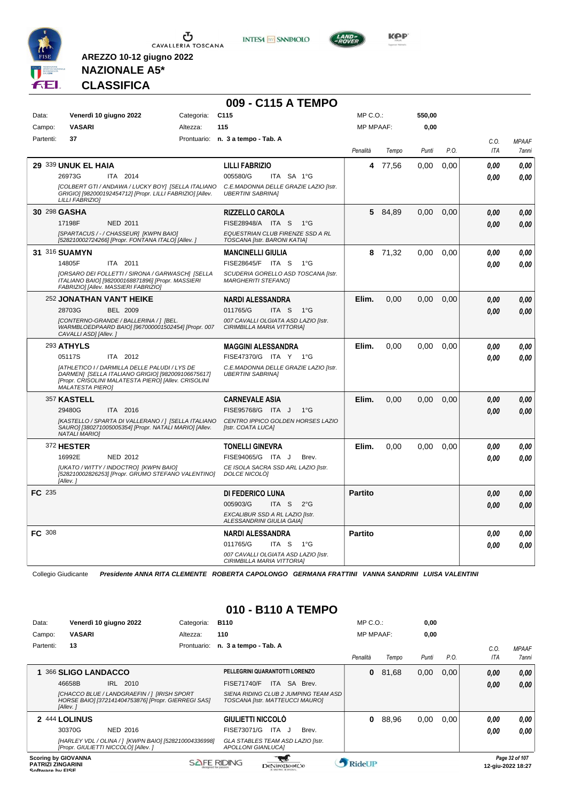

**INTESA** M SANPAOLO



**KPP** 

# **NAZIONALE A5\* CLASSIFICA**

**AREZZO 10-12 giugno 2022**

|               |                                                                                                                                                                                       |            | 009 - C115 A TEMPO                                                  |                  |         |        |      |                    |                              |
|---------------|---------------------------------------------------------------------------------------------------------------------------------------------------------------------------------------|------------|---------------------------------------------------------------------|------------------|---------|--------|------|--------------------|------------------------------|
| Data:         | Venerdì 10 giugno 2022                                                                                                                                                                | Categoria: | C <sub>115</sub>                                                    | MP C. O.         |         | 550,00 |      |                    |                              |
| Campo:        | <b>VASARI</b>                                                                                                                                                                         | Altezza:   | 115                                                                 | <b>MP MPAAF:</b> |         | 0,00   |      |                    |                              |
| Partenti:     | 37                                                                                                                                                                                    |            | Prontuario: n. 3 a tempo - Tab. A                                   | Penalità         | Tempo   | Punti  | P.O. | C.O.<br><b>ITA</b> | <b>MPAAF</b><br><b>7anni</b> |
|               | 29 339 UNUK EL HAIA                                                                                                                                                                   |            | <b>LILLI FABRIZIO</b>                                               | 4                | 77,56   | 0,00   | 0,00 | 0.00               | 0,00                         |
|               | 26973G<br>ITA 2014                                                                                                                                                                    |            | 005580/G<br>ITA SA 1°G                                              |                  |         |        |      | 0.00               | 0.00                         |
|               | [COLBERT GTI / ANDAWA / LUCKY BOY] [SELLA ITALIANO<br>GRIGIO] [982000192454712] [Propr. LILLI FABRIZIO] [Allev.<br>LILLI FABRIZIOI                                                    |            | C.E.MADONNA DELLE GRAZIE LAZIO [Istr.<br><b>UBERTINI SABRINA]</b>   |                  |         |        |      |                    |                              |
|               | 30 298 GASHA                                                                                                                                                                          |            | <b>RIZZELLO CAROLA</b>                                              | 5                | 84,89   | 0,00   | 0.00 | 0.00               | 0.00                         |
|               | 17198F<br><b>NED 2011</b>                                                                                                                                                             |            | FISE28948/A ITA S<br>$1^{\circ}G$                                   |                  |         |        |      | 0,00               | 0.00                         |
|               | [SPARTACUS / - / CHASSEUR] [KWPN BAIO]<br>[528210002724266] [Propr. FONTANA ITALO] [Allev. ]                                                                                          |            | EQUESTRIAN CLUB FIRENZE SSD A RL<br>TOSCANA [Istr. BARONI KATIA]    |                  |         |        |      |                    |                              |
|               | 31 316 SUAMYN                                                                                                                                                                         |            | <b>MANCINELLI GIULIA</b>                                            |                  | 8 71,32 | 0,00   | 0.00 | 0,00               | 0.00                         |
|               | 14805F<br>ITA 2011                                                                                                                                                                    |            | FISE28645/F ITA S<br>$1^{\circ}G$                                   |                  |         |        |      | 0.00               | 0.00                         |
|               | [ORSARO DEI FOLLETTI / SIRONA / GARWASCH] [SELLA<br>ITALIANO BAIO] [982000168871896] [Propr. MASSIERI<br>FABRIZIO] [Allev. MASSIERI FABRIZIO]                                         |            | SCUDERIA GORELLO ASD TOSCANA [Istr.<br><b>MARGHERITI STEFANOI</b>   |                  |         |        |      |                    |                              |
|               | 252 JONATHAN VAN'T HEIKE                                                                                                                                                              |            | <b>NARDI ALESSANDRA</b>                                             | Elim.            | 0.00    | 0.00   | 0.00 | 0.00               | 0.00                         |
|               | 28703G<br><b>BEL 2009</b>                                                                                                                                                             |            | 011765/G<br>ITA <sub>S</sub><br>$1^{\circ}G$                        |                  |         |        |      | 0.00               | 0.00                         |
|               | [CONTERNO-GRANDE / BALLERINA / ] [BEL.<br>WARMBLOEDPAARD BAIO] [967000001502454] [Propr. 007<br>CAVALLI ASD] [Allev.]                                                                 |            | 007 CAVALLI OLGIATA ASD LAZIO [Istr.<br>CIRIMBILLA MARIA VITTORIA]  |                  |         |        |      |                    |                              |
|               | 293 ATHYLS                                                                                                                                                                            |            | <b>MAGGINI ALESSANDRA</b>                                           | Elim.            | 0,00    | 0,00   | 0.00 | 0.00               | 0.00                         |
|               | ITA 2012<br>05117S                                                                                                                                                                    |            | FISE47370/G ITA Y 1°G                                               |                  |         |        |      | 0.00               | 0.00                         |
|               | [ATHLETICO I / DARMILLA DELLE PALUDI / LYS DE<br>DARMEN] [SELLA ITALIANO GRIGIO] [982009106675617]<br>[Propr. CRISOLINI MALATESTA PIERO] [Allev. CRISOLINI<br><b>MALATESTA PIERO]</b> |            | C.E.MADONNA DELLE GRAZIE LAZIO [Istr.<br><b>UBERTINI SABRINAI</b>   |                  |         |        |      |                    |                              |
|               | 357 KASTELL                                                                                                                                                                           |            | <b>CARNEVALE ASIA</b>                                               | Elim.            | 0,00    | 0,00   | 0,00 | 0.00               | 0.00                         |
|               | 29480G<br>ITA 2016                                                                                                                                                                    |            | FISE95768/G ITA J<br>$1^{\circ}$ G                                  |                  |         |        |      | 0.00               | 0.00                         |
|               | [KASTELLO / SPARTA DI VALLERANO / ] [SELLA ITALIANO<br>SAURO] [380271005005354] [Propr. NATALI MARIO] [Allev.<br><b>NATALI MARIOI</b>                                                 |            | CENTRO IPPICO GOLDEN HORSES LAZIO<br>[Istr. COATA LUCA]             |                  |         |        |      |                    |                              |
|               | 372 HESTER                                                                                                                                                                            |            | <b>TONELLI GINEVRA</b>                                              | Elim.            | 0.00    | 0.00   | 0.00 | 0,00               | 0,00                         |
|               | 16992E<br>NED 2012                                                                                                                                                                    |            | FISE94065/G ITA J<br>Brev.                                          |                  |         |        |      | 0.00               | 0.00                         |
|               | [UKATO / WITTY / INDOCTRO] [KWPN BAIO]<br>[528210002826253] [Propr. GRUMO STEFANO VALENTINO]<br>[Allev.]                                                                              |            | CE ISOLA SACRA SSD ARL LAZIO [Istr.<br>DOLCE NICOLÒ]                |                  |         |        |      |                    |                              |
| FC 235        |                                                                                                                                                                                       |            | <b>DI FEDERICO LUNA</b>                                             | <b>Partito</b>   |         |        |      | 0.00               | 0,00                         |
|               |                                                                                                                                                                                       |            | 005903/G<br>ITA <sub>S</sub><br>$2^{\circ}$ G                       |                  |         |        |      | 0.00               | 0.00                         |
|               |                                                                                                                                                                                       |            | <b>EXCALIBUR SSD A RL LAZIO IIstr.</b><br>ALESSANDRINI GIULIA GAIA] |                  |         |        |      |                    |                              |
| <b>FC</b> 308 |                                                                                                                                                                                       |            | <b>NARDI ALESSANDRA</b>                                             | <b>Partito</b>   |         |        |      | 0,00               | 0,00                         |
|               |                                                                                                                                                                                       |            | 011765/G<br>ITA S<br>1°G                                            |                  |         |        |      | 0.00               | 0.00                         |
|               |                                                                                                                                                                                       |            | 007 CAVALLI OLGIATA ASD LAZIO [Istr.<br>CIRIMBILLA MARIA VITTORIA]  |                  |         |        |      |                    |                              |

Collegio Giudicante *Presidente ANNA RITA CLEMENTE ROBERTA CAPOLONGO GERMANA FRATTINI VANNA SANDRINI LUISA VALENTINI*

#### **010 - B110 A TEMPO**

| Data:                   |                                                        | Venerdì 10 giugno 2022                                                                             | Categoria:  | <b>B110</b>                                                    |                                      | $MP C. O.$ :     |       | 0,00  |      |      |                                     |
|-------------------------|--------------------------------------------------------|----------------------------------------------------------------------------------------------------|-------------|----------------------------------------------------------------|--------------------------------------|------------------|-------|-------|------|------|-------------------------------------|
| Campo:                  | <b>VASARI</b>                                          |                                                                                                    | Altezza:    | 110                                                            |                                      | <b>MP MPAAF:</b> |       | 0,00  |      |      |                                     |
| Partenti:               | 13                                                     |                                                                                                    | Prontuario: | n. 3 a tempo - Tab. A                                          |                                      |                  |       |       |      | C.0. | <b>MPAAF</b>                        |
|                         |                                                        |                                                                                                    |             |                                                                |                                      | Penalità         | Tempo | Punti | P.O. | ITA  | 7anni                               |
|                         | 366 SLIGO LANDACCO                                     |                                                                                                    |             | PELLEGRINI QUARANTOTTI LORENZO                                 |                                      | 0                | 81.68 | 0,00  | 0.00 | 0,00 | 0,00                                |
|                         | 46658B                                                 | IRL 2010                                                                                           |             | <b>FISE71740/F</b>                                             | ITA SA Brev.                         |                  |       |       |      | 0,00 | 0.00                                |
|                         | [Allev.]                                               | [CHACCO BLUE / LANDGRAEFIN / 1 [IRISH SPORT<br>HORSE BAIO] [372141404753876] [Propr. GIERREGI SAS] |             | TOSCANA [Istr. MATTEUCCI MAURO]                                | SIENA RIDING CLUB 2 JUMPING TEAM ASD |                  |       |       |      |      |                                     |
|                         | 2 444 LOLINUS                                          |                                                                                                    |             | GIULIETTI NICCOLÒ                                              |                                      | 0                | 88,96 | 0,00  | 0.00 | 0.00 | 0,00                                |
|                         | 30370G                                                 | <b>NED 2016</b>                                                                                    |             | FISE73071/G                                                    | ITA<br>Brev.<br>ل -                  |                  |       |       |      | 0,00 | 0.00                                |
|                         |                                                        | [HARLEY VDL / OLINA / ] [KWPN BAIO] [528210004336998]<br>[Propr. GIULIETTI NICCOLÒ] [Allev. ]      |             | GLA STABLES TEAM ASD LAZIO [Istr.<br><b>APOLLONI GIANLUCAI</b> |                                      |                  |       |       |      |      |                                     |
| <b>Coffware by EICE</b> | <b>Scoring by GIOVANNA</b><br><b>PATRIZI ZINGARINI</b> |                                                                                                    |             | <b>SAFE RIDING</b>                                             | DeNiroBootCo                         | RideUP           |       |       |      |      | Page 32 of 107<br>12-giu-2022 18:27 |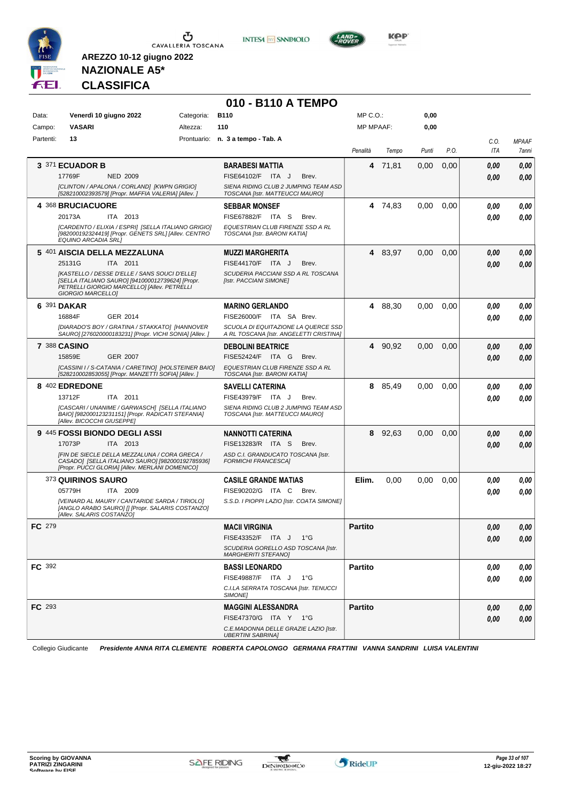



**010 - B110 A TEMPO**



**KOP** 

# **NAZIONALE A5\* CLASSIFICA**

| Data:         | Venerdì 10 giugno 2022        |                                                                                                                                                      | Categoria: | <b>B110</b>                                                                    |       | MP C.O.:         |         | 0,00  |      |            |              |
|---------------|-------------------------------|------------------------------------------------------------------------------------------------------------------------------------------------------|------------|--------------------------------------------------------------------------------|-------|------------------|---------|-------|------|------------|--------------|
| Campo:        | <b>VASARI</b>                 |                                                                                                                                                      | Altezza:   | 110                                                                            |       | <b>MP MPAAF:</b> |         | 0,00  |      |            |              |
| Partenti:     | 13                            |                                                                                                                                                      |            | Prontuario: n. 3 a tempo - Tab. A                                              |       |                  |         |       |      | C.O.       | <b>MPAAF</b> |
|               |                               |                                                                                                                                                      |            |                                                                                |       | Penalità         | Tempo   | Punti | P.O. | ITA        | 7anni        |
|               | 3 371 ECUADOR B               |                                                                                                                                                      |            | <b>BARABESI MATTIA</b>                                                         |       |                  | 4 71,81 | 0,00  | 0,00 | 0.00       | 0,00         |
|               | 17769F                        | <b>NED 2009</b>                                                                                                                                      |            | FISE64102/F ITA J                                                              | Brev. |                  |         |       |      | 0.00       | 0,00         |
|               |                               | [CLINTON / APALONA / CORLAND] [KWPN GRIGIO]<br>[528210002393579] [Propr. MAFFIA VALERIA] [Allev. ]                                                   |            | SIENA RIDING CLUB 2 JUMPING TEAM ASD<br>TOSCANA [Istr. MATTEUCCI MAURO]        |       |                  |         |       |      |            |              |
|               | 4 368 BRUCIACUORE             |                                                                                                                                                      |            | <b>SEBBAR MONSEF</b>                                                           |       |                  | 4 74,83 | 0,00  | 0,00 | 0.00       | 0,00         |
|               | 20173A                        | ITA 2013                                                                                                                                             |            | FISE67882/F ITA S                                                              | Brev. |                  |         |       |      | 0.00       | 0,00         |
|               | <b>EQUINO ARCADIA SRLI</b>    | [CARDENTO / ELIXIA / ESPRI] [SELLA ITALIANO GRIGIO]<br>[982000192324419] [Propr. GENETS SRL] [Allev. CENTRO                                          |            | EQUESTRIAN CLUB FIRENZE SSD A RL<br>TOSCANA [Istr. BARONI KATIA]               |       |                  |         |       |      |            |              |
|               | 5 401 AISCIA DELLA MEZZALUNA  |                                                                                                                                                      |            | <b>MUZZI MARGHERITA</b>                                                        |       |                  | 4 83,97 | 0,00  | 0,00 | 0.00       | 0,00         |
|               | 25131G                        | ITA 2011                                                                                                                                             |            | FISE44170/F ITA J                                                              | Brev. |                  |         |       |      | 0.00       | 0,00         |
|               | GIORGIO MARCELLO]             | [KASTELLO / DESSE D'ELLE / SANS SOUCI D'ELLE]<br>[SELLA ITALIANO SAURO] [941000012739624] [Propr.<br>PETRELLI GIORGIO MARCELLO] [Allev. PETRELLI     |            | SCUDERIA PACCIANI SSD A RL TOSCANA<br>[Istr. PACCIANI SIMONE]                  |       |                  |         |       |      |            |              |
|               | 6 391 DAKAR                   |                                                                                                                                                      |            | <b>MARINO GERLANDO</b>                                                         |       |                  | 4 88,30 | 0.00  | 0,00 | 0.00       | 0,00         |
|               | 16884F                        | GER 2014                                                                                                                                             |            | FISE26000/F ITA SA Brev.                                                       |       |                  |         |       |      | 0.00       | 0.00         |
|               |                               | [DIARADO'S BOY / GRATINA / STAKKATO] [HANNOVER<br>SAURO] [276020000183231] [Propr. VICHI SONIA] [Allev.]                                             |            | SCUOLA DI EQUITAZIONE LA QUERCE SSD<br>A RL TOSCANA [Istr. ANGELETTI CRISTINA] |       |                  |         |       |      |            |              |
|               | <b>7 388 CASINO</b>           |                                                                                                                                                      |            | <b>DEBOLINI BEATRICE</b>                                                       |       |                  | 4 90,92 | 0.00  | 0,00 | 0.00       | 0,00         |
|               | 15859E                        | <b>GER 2007</b>                                                                                                                                      |            | FISE52424/F ITA G                                                              | Brev. |                  |         |       |      | 0.00       | 0.00         |
|               |                               | [CASSINI I / S-CATANIA / CARETINO] [HOLSTEINER BAIO]<br>[528210002853055] [Propr. MANZETTI SOFIA] [Allev. ]                                          |            | EQUESTRIAN CLUB FIRENZE SSD A RL<br>TOSCANA [Istr. BARONI KATIA]               |       |                  |         |       |      |            |              |
|               | 8 402 EDREDONE                |                                                                                                                                                      |            | <b>SAVELLI CATERINA</b>                                                        |       | 8                | 85,49   | 0.00  | 0,00 | 0.00       | 0,00         |
|               | 13712F                        | ITA 2011                                                                                                                                             |            | FISE43979/F ITA J                                                              | Brev. |                  |         |       |      | 0.00       | 0.00         |
|               | [Allev. BICOCCHI GIUSEPPE]    | [CASCARI / UNANIME / GARWASCH] [SELLA ITALIANO<br>BAIO] [982000123231151] [Propr. RADICATI STEFANIA]                                                 |            | SIENA RIDING CLUB 2 JUMPING TEAM ASD<br>TOSCANA [Istr. MATTEUCCI MAURO]        |       |                  |         |       |      |            |              |
|               | 9 445 FOSSI BIONDO DEGLI ASSI |                                                                                                                                                      |            | <b>NANNOTTI CATERINA</b>                                                       |       | 8                | 92,63   | 0.00  | 0,00 | 0.00       | 0,00         |
|               | 17073P                        | ITA 2013                                                                                                                                             |            | FISE13283/R ITA S                                                              | Brev. |                  |         |       |      | 0.00       | 0,00         |
|               |                               | [FIN DE SIECLE DELLA MEZZALUNA / CORA GRECA /<br>CASADO] [SELLA ITALIANO SAURO] [982000192785936]<br>[Propr. PUCCI GLORIA] [Allev. MERLANI DOMENICO] |            | ASD C.I. GRANDUCATO TOSCANA [Istr.<br><b>FORMICHI FRANCESCA]</b>               |       |                  |         |       |      |            |              |
|               | 373 QUIRINOS SAURO            |                                                                                                                                                      |            | <b>CASILE GRANDE MATIAS</b>                                                    |       | Elim.            | 0,00    | 0,00  | 0,00 | 0,00       | 0,00         |
|               | 05779H                        | ITA 2009                                                                                                                                             |            | FISE90202/G ITA C                                                              | Brev. |                  |         |       |      | 0.00       | 0,00         |
|               | [Allev. SALARIS COSTANZO]     | [VEINARD AL MAURY / CANTARIDE SARDA / TIRIOLO]<br>[ANGLO ARABO SAURO] [] [Propr. SALARIS COSTANZO]                                                   |            | S.S.D. I PIOPPI LAZIO [Istr. COATA SIMONE]                                     |       |                  |         |       |      |            |              |
| <b>FC</b> 279 |                               |                                                                                                                                                      |            | <b>MACII VIRGINIA</b>                                                          |       | <b>Partito</b>   |         |       |      | 0.00       | 0,00         |
|               |                               |                                                                                                                                                      |            | FISE43352/F ITA J 1°G                                                          |       |                  |         |       |      | $\it 0,00$ | 0,00         |
|               |                               |                                                                                                                                                      |            | SCUDERIA GORELLO ASD TOSCANA [Istr.<br><b>MARGHERITI STEFANOI</b>              |       |                  |         |       |      |            |              |
| <b>FC</b> 392 |                               |                                                                                                                                                      |            | <b>BASSI LEONARDO</b>                                                          |       | <b>Partito</b>   |         |       |      | 0.00       | 0,00         |
|               |                               |                                                                                                                                                      |            | FISE49887/F ITA J 1°G                                                          |       |                  |         |       |      | 0.00       | 0.00         |
|               |                               |                                                                                                                                                      |            | C.I.LA SERRATA TOSCANA [Istr. TENUCCI<br>SIMONE]                               |       |                  |         |       |      |            |              |
| FC 293        |                               |                                                                                                                                                      |            | <b>MAGGINI ALESSANDRA</b>                                                      |       | <b>Partito</b>   |         |       |      | 0.00       | 0,00         |
|               |                               |                                                                                                                                                      |            | FISE47370/G ITA Y 1°G                                                          |       |                  |         |       |      | 0,00       | 0,00         |
|               |                               |                                                                                                                                                      |            | C.E.MADONNA DELLE GRAZIE LAZIO [Istr.<br><b>UBERTINI SABRINA1</b>              |       |                  |         |       |      |            |              |

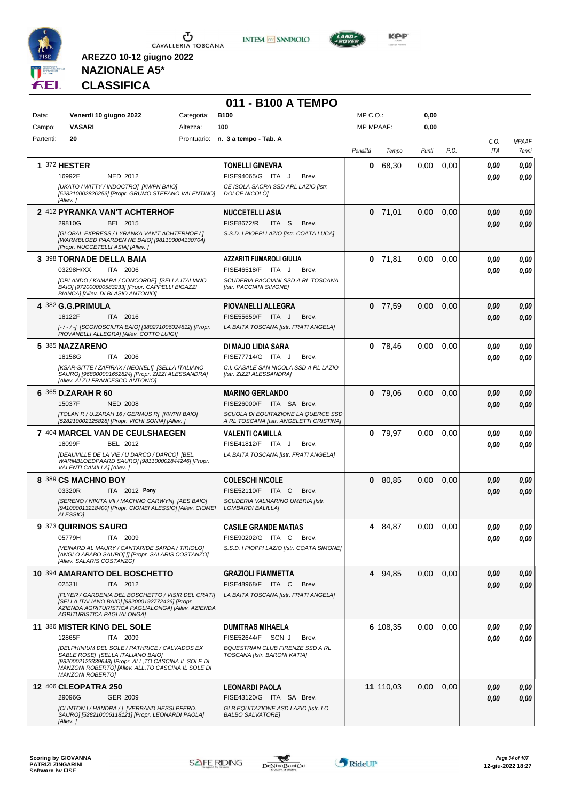

**INTESA M** SANPAOLO



**KOP** 

# **NAZIONALE A5\* CLASSIFICA**

|           |                                                                                                                                                                                                                               |            | 011 - B100 A TEMPO                                                             |                  |           |       |      |             |                       |
|-----------|-------------------------------------------------------------------------------------------------------------------------------------------------------------------------------------------------------------------------------|------------|--------------------------------------------------------------------------------|------------------|-----------|-------|------|-------------|-----------------------|
| Data:     | Venerdì 10 giugno 2022                                                                                                                                                                                                        | Categoria: | <b>B100</b>                                                                    | $MP C. O.$ :     |           | 0,00  |      |             |                       |
| Campo:    | <b>VASARI</b>                                                                                                                                                                                                                 | Altezza:   | 100                                                                            | <b>MP MPAAF:</b> |           | 0,00  |      |             |                       |
| Partenti: | 20                                                                                                                                                                                                                            |            | Prontuario: n. 3 a tempo - Tab. A                                              | Penalità         | Tempo     | Punti | P.O. | C.O.<br>ITA | <b>MPAAF</b><br>7anni |
|           | 1 372 HESTER                                                                                                                                                                                                                  |            | <b>TONELLI GINEVRA</b>                                                         | 0                | 68,30     | 0,00  | 0,00 | 0.00        | 0,00                  |
|           | 16992E<br>NED 2012                                                                                                                                                                                                            |            | FISE94065/G ITA J<br>Brev.                                                     |                  |           |       |      | 0.00        | 0.00                  |
|           | [UKATO / WITTY / INDOCTRO] [KWPN BAIO]<br>[528210002826253] [Propr. GRUMO STEFANO VALENTINO]<br>[Allev.]                                                                                                                      |            | CE ISOLA SACRA SSD ARL LAZIO [Istr.<br>DOLCE NICOLÒ]                           |                  |           |       |      |             |                       |
|           | 2 412 PYRANKA VAN'T ACHTERHOF                                                                                                                                                                                                 |            | <b>NUCCETELLI ASIA</b>                                                         |                  | $0$ 71,01 | 0,00  | 0,00 | 0.00        | 0,00                  |
|           | 29810G<br>BEL 2015                                                                                                                                                                                                            |            | <b>FISE8672/R</b><br>ITA S<br>Brev.                                            |                  |           |       |      | 0.00        | 0,00                  |
|           | [GLOBAL EXPRESS / LYRANKA VAN'T ACHTERHOF / ]<br>[WARMBLOED PAARDEN NE BAIO] [981100004130704]<br>[Propr. NUCCETELLI ASIA] [Allev.]                                                                                           |            | S.S.D. I PIOPPI LAZIO [Istr. COATA LUCA]                                       |                  |           |       |      |             |                       |
|           | 3 398 TORNADE DELLA BAIA                                                                                                                                                                                                      |            | <b>AZZARITI FUMAROLI GIULIA</b>                                                |                  | $0$ 71,81 | 0,00  | 0,00 | 0.00        | 0,00                  |
|           | 03298H/XX<br>ITA 2006                                                                                                                                                                                                         |            | FISE46518/F ITA J<br>Brev.                                                     |                  |           |       |      | 0.00        | 0.00                  |
|           | [ORLANDO / KAMARA / CONCORDE] [SELLA ITALIANO<br>BAIO] [972000000583233] [Propr. CAPPELLI BIGAZZI<br><b>BIANCAI [Allev. DI BLASIO ANTONIO]</b>                                                                                |            | SCUDERIA PACCIANI SSD A RL TOSCANA<br>[Istr. PACCIANI SIMONE]                  |                  |           |       |      |             |                       |
|           | 4 382 G.G.PRIMULA                                                                                                                                                                                                             |            | <b>PIOVANELLI ALLEGRA</b>                                                      |                  | $0$ 77,59 | 0,00  | 0,00 | 0,00        | 0,00                  |
|           | 18122F<br>ITA 2016                                                                                                                                                                                                            |            | FISE55659/F ITA J<br>Brev.                                                     |                  |           |       |      | 0.00        | 0,00                  |
|           | [-/-/-] [SCONOSCIUTA BAIO] [380271006024812] [Propr.<br>PIOVANELLI ALLEGRA] [Allev. COTTO LUIGI]                                                                                                                              |            | LA BAITA TOSCANA [Istr. FRATI ANGELA]                                          |                  |           |       |      |             |                       |
|           | 5 385 NAZZARENO                                                                                                                                                                                                               |            | DI MAJO LIDIA SARA                                                             |                  | $0$ 78,46 | 0,00  | 0.00 | 0,00        | 0,00                  |
|           | ITA 2006<br>18158G                                                                                                                                                                                                            |            | FISE77714/G ITA J<br>Brev.                                                     |                  |           |       |      | 0.00        | 0,00                  |
|           | [KSAR-SITTE / ZAFIRAX / NEONELI] [SELLA ITALIANO<br>SAURO] [968000001652824] [Propr. ZIZZI ALESSANDRA]<br>[Allev. ALZU FRANCESCO ANTONIO]                                                                                     |            | C.I. CASALE SAN NICOLA SSD A RL LAZIO<br>[Istr. ZIZZI ALESSANDRA]              |                  |           |       |      |             |                       |
|           | 6 365 D.ZARAH R 60                                                                                                                                                                                                            |            | <b>MARINO GERLANDO</b>                                                         | $\mathbf 0$      | 79,06     | 0,00  | 0,00 | 0.00        | 0,00                  |
|           | 15037F<br><b>NED 2008</b>                                                                                                                                                                                                     |            | FISE26000/F ITA SA Brev.                                                       |                  |           |       |      | 0.00        | 0.00                  |
|           | [TOLAN R / U.ZARAH 16 / GERMUS R] [KWPN BAIO]<br>[528210002125828] [Propr. VICHI SONIA] [Allev.]                                                                                                                              |            | SCUOLA DI EQUITAZIONE LA QUERCE SSD<br>A RL TOSCANA [Istr. ANGELETTI CRISTINA] |                  |           |       |      |             |                       |
|           | 7 404 MARCEL VAN DE CEULSHAEGEN                                                                                                                                                                                               |            | <b>VALENTI CAMILLA</b>                                                         |                  | $0$ 79,97 | 0,00  | 0,00 | 0.00        | 0,00                  |
|           | 18099F<br>BEL 2012                                                                                                                                                                                                            |            | FISE41812/F ITA J<br>Brev.                                                     |                  |           |       |      | 0.00        | 0.00                  |
|           | [DEAUVILLE DE LA VIE / U DARCO / DARCO] [BEL.<br>WARMBLOEDPAARD SAURO] [981100002844246] [Propr.<br>VALENTI CAMILLA] [Allev.]                                                                                                 |            | LA BAITA TOSCANA [Istr. FRATI ANGELA]                                          |                  |           |       |      |             |                       |
|           | 8 389 CS MACHNO BOY                                                                                                                                                                                                           |            | <b>COLESCHI NICOLE</b>                                                         |                  | 0 80,85   | 0,00  | 0,00 | 0,00        | 0,00                  |
|           | 03320R<br><b>ITA</b> 2012 Pony                                                                                                                                                                                                |            | FISE52110/F ITA C<br>Brev.                                                     |                  |           |       |      | 0.00        | 0.00                  |
|           | [SERENO / NIKITA VII / MACHNO CARWYN] [AES BAIO]<br>[941000013218400] [Propr. CIOMEI ALESSIO] [Allev. CIOMEI<br>ALESSIO]                                                                                                      |            | SCUDERIA VALMARINO UMBRIA [Istr.<br><b>LOMBARDI BALILLAI</b>                   |                  |           |       |      |             |                       |
|           | <b>9 373 QUIRINOS SAURO</b>                                                                                                                                                                                                   |            | <b>CASILE GRANDE MATIAS</b>                                                    | 4                | 84,87     | 0,00  | 0,00 | 0,00        | 0,00                  |
|           | 05779H<br>ITA 2009                                                                                                                                                                                                            |            | FISE90202/G ITA C<br>Brev.                                                     |                  |           |       |      | 0.00        | 0.00                  |
|           | [VEINARD AL MAURY / CANTARIDE SARDA / TIRIOLO]<br>[ANGLO ARABO SAURO] [] [Propr. SALARIS COSTANZO]<br>[Allev. SALARIS COSTANZO]                                                                                               |            | S.S.D. I PIOPPI LAZIO [Istr. COATA SIMONE]                                     |                  |           |       |      |             |                       |
|           | 10 394 AMARANTO DEL BOSCHETTO                                                                                                                                                                                                 |            | <b>GRAZIOLI FIAMMETTA</b>                                                      |                  | 4 94,85   | 0,00  | 0,00 | 0.00        | 0,00                  |
|           | 02531L<br>ITA 2012                                                                                                                                                                                                            |            | <b>FISE48968/F ITA C</b><br>Brev.                                              |                  |           |       |      | 0,00        | 0,00                  |
|           | [FLYER / GARDENIA DEL BOSCHETTO / VISIR DEL CRATI]<br>[SELLA ITALIANO BAIO] [982000192772426] [Propr.<br>AZIENDA AGRITURISTICA PAGLIALONGA] [Allev. AZIENDA<br>AGRITURISTICA PAGLIALONGA]                                     |            | LA BAITA TOSCANA [Istr. FRATI ANGELA]                                          |                  |           |       |      |             |                       |
|           | 11 386 MISTER KING DEL SOLE                                                                                                                                                                                                   |            | <b>DUMITRAS MIHAELA</b>                                                        |                  | 6 108,35  | 0,00  | 0,00 | 0,00        | 0,00                  |
|           | 12865F<br>ITA 2009                                                                                                                                                                                                            |            | FISE52644/F SCN J<br>Brev.                                                     |                  |           |       |      | 0.00        | 0.00                  |
|           | [DELPHINIUM DEL SOLE / PATHRICE / CALVADOS EX<br>SABLE ROSE] [SELLA ITALIANO BAIO]<br>[9820002123339648] [Propr. ALL, TO CASCINA IL SOLE DI<br>MANZONI ROBERTO] [Allev. ALL, TO CASCINA IL SOLE DI<br><b>MANZONI ROBERTO]</b> |            | EQUESTRIAN CLUB FIRENZE SSD A RL<br>TOSCANA [Istr. BARONI KATIA]               |                  |           |       |      |             |                       |
|           | <b>12 406 CLEOPATRA 250</b>                                                                                                                                                                                                   |            | <b>LEONARDI PAOLA</b>                                                          |                  | 11 110,03 | 0,00  | 0,00 | 0,00        | 0,00                  |
|           | 29096G<br>GER 2009                                                                                                                                                                                                            |            | FISE43120/G ITA SA Brev.                                                       |                  |           |       |      | 0,00        | 0,00                  |
|           | [CLINTON I / HANDRA / ] [VERBAND HESSI.PFERD.<br>SAURO] [528210006118121] [Propr. LEONARDI PAOLA]<br>[Allev.]                                                                                                                 |            | GLB EQUITAZIONE ASD LAZIO [Istr. LO<br><b>BALBO SALVATORE]</b>                 |                  |           |       |      |             |                       |

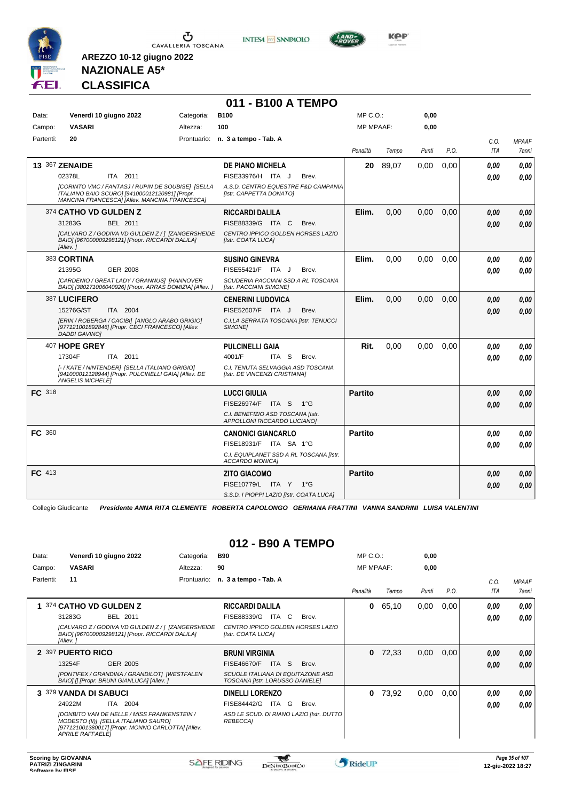

**INTESA** M SANPAOLO



**Kep** 

#### **NAZIONALE A5\* CLASSIFICA**

**AREZZO 10-12 giugno 2022**

| 011 - B100 A TEMPO |                                      |                                                                                                                                                      |             |                                                                    |  |                  |       |       |      |            |              |  |
|--------------------|--------------------------------------|------------------------------------------------------------------------------------------------------------------------------------------------------|-------------|--------------------------------------------------------------------|--|------------------|-------|-------|------|------------|--------------|--|
| Data:              | Venerdì 10 giugno 2022<br>Categoria: |                                                                                                                                                      | <b>B100</b> | $MP C. O.$ :                                                       |  | 0,00             |       |       |      |            |              |  |
| Campo:             | <b>VASARI</b><br>Altezza:            |                                                                                                                                                      |             | 100                                                                |  | <b>MP MPAAF:</b> |       | 0.00  |      |            |              |  |
| Partenti:          | 20                                   |                                                                                                                                                      |             | Prontuario: n. 3 a tempo - Tab. A                                  |  |                  |       |       |      | C.O.       | <b>MPAAF</b> |  |
|                    |                                      |                                                                                                                                                      |             |                                                                    |  | Penalità         | Tempo | Punti | P.O. | <b>ITA</b> | <b>7anni</b> |  |
|                    | 13 367 ZENAIDE                       |                                                                                                                                                      |             | <b>DE PIANO MICHELA</b>                                            |  | 20               | 89,07 | 0,00  | 0.00 | 0.00       | 0.00         |  |
|                    | 02378L                               | ITA 2011                                                                                                                                             |             | FISE33976/H ITA J<br>Brev.                                         |  |                  |       |       |      | 0.00       | 0.00         |  |
|                    |                                      | [CORINTO VMC / FANTASJ / RUPIN DE SOUBISE] [SELLA<br>ITALIANO BAIO SCURO] [941000012120981] [Propr.<br>MANCINA FRANCESCAI [Allev. MANCINA FRANCESCA] |             | A.S.D. CENTRO EQUESTRE F&D CAMPANIA<br>[Istr. CAPPETTA DONATO]     |  |                  |       |       |      |            |              |  |
|                    | 374 CATHO VD GULDEN Z                |                                                                                                                                                      |             | <b>RICCARDI DALILA</b>                                             |  | Elim.            | 0.00  | 0.00  | 0.00 | 0.00       | 0.00         |  |
|                    | 31283G                               | BEL 2011                                                                                                                                             |             | FISE88339/G ITA C<br>Brev.                                         |  |                  |       |       |      | 0.00       | 0.00         |  |
|                    | [Allev.]                             | [CALVARO Z / GODIVA VD GULDEN Z / ] [ZANGERSHEIDE<br>BAIO] [967000009298121] [Propr. RICCARDI DALILA]                                                |             | CENTRO IPPICO GOLDEN HORSES LAZIO<br>[Istr. COATA LUCA]            |  |                  |       |       |      |            |              |  |
|                    | <b>383 CORTINA</b>                   |                                                                                                                                                      |             | <b>SUSINO GINEVRA</b>                                              |  | Elim.            | 0,00  | 0,00  | 0,00 | 0.00       | 0.00         |  |
|                    | 21395G                               | <b>GER 2008</b>                                                                                                                                      |             | FISE55421/F ITA J<br>Brev.                                         |  |                  |       |       |      | 0.00       | 0.00         |  |
|                    |                                      | [CARDENIO / GREAT LADY / GRANNUS] [HANNOVER<br>BAIO] [380271006040926] [Propr. ARRAS DOMIZIA] [Allev. ]                                              |             | SCUDERIA PACCIANI SSD A RL TOSCANA<br>[Istr. PACCIANI SIMONE]      |  |                  |       |       |      |            |              |  |
|                    | 387 LUCIFERO                         |                                                                                                                                                      |             | <b>CENERINI LUDOVICA</b>                                           |  | Elim.            | 0.00  | 0.00  | 0.00 | 0.00       | 0.00         |  |
|                    | 15276G/ST                            | ITA 2004                                                                                                                                             |             | FISE52607/F ITA J<br>Brev.                                         |  |                  |       |       |      | 0.00       | 0.00         |  |
|                    | <b>DADDI GAVINO1</b>                 | [ERIN / ROBERGA / CACIBI] [ANGLO ARABO GRIGIO]<br>[977121001892846] [Propr. CECI FRANCESCO] [Allev.                                                  |             | C.I.LA SERRATA TOSCANA [Istr. TENUCCI<br><b>SIMONEI</b>            |  |                  |       |       |      |            |              |  |
|                    | 407 HOPE GREY                        |                                                                                                                                                      |             | <b>PULCINELLI GAIA</b>                                             |  | Rit.             | 0,00  | 0,00  | 0,00 | 0.00       | 0,00         |  |
|                    | 17304F                               | ITA 2011                                                                                                                                             |             | 4001/F<br>ITA S<br>Brev.                                           |  |                  |       |       |      | 0.00       | 0.00         |  |
|                    | <b>ANGELIS MICHELET</b>              | [-/KATE/NINTENDER] [SELLA ITALIANO GRIGIO]<br>[941000012128944] [Propr. PULCINELLI GAIA] [Allev. DE                                                  |             | C.I. TENUTA SELVAGGIA ASD TOSCANA<br>[Istr. DE VINCENZI CRISTIANA] |  |                  |       |       |      |            |              |  |
| <b>FC</b> 318      |                                      |                                                                                                                                                      |             | <b>LUCCI GIULIA</b>                                                |  | <b>Partito</b>   |       |       |      | 0.00       | 0.00         |  |
|                    |                                      |                                                                                                                                                      |             | FISE26974/F ITA S<br>$1^{\circ}G$                                  |  |                  |       |       |      | 0.00       | 0,00         |  |
|                    |                                      |                                                                                                                                                      |             | C.I. BENEFIZIO ASD TOSCANA [Istr.<br>APPOLLONI RICCARDO LUCIANO]   |  |                  |       |       |      |            |              |  |
| FC 360             |                                      |                                                                                                                                                      |             | <b>CANONICI GIANCARLO</b>                                          |  | <b>Partito</b>   |       |       |      | 0.00       | 0.00         |  |
|                    |                                      |                                                                                                                                                      |             | FISE18931/F ITA SA 1°G                                             |  |                  |       |       |      | 0.00       | 0.00         |  |
|                    |                                      |                                                                                                                                                      |             | C.I. EQUIPLANET SSD A RL TOSCANA [Istr.<br>ACCARDO MONICA]         |  |                  |       |       |      |            |              |  |
| FC 413             |                                      |                                                                                                                                                      |             | <b>ZITO GIACOMO</b>                                                |  | <b>Partito</b>   |       |       |      | 0.00       | 0,00         |  |
|                    |                                      |                                                                                                                                                      |             | <b>FISE10779/L ITA Y</b><br>$1^{\circ}G$                           |  |                  |       |       |      | 0.00       | 0.00         |  |
|                    |                                      |                                                                                                                                                      |             | S.S.D. I PIOPPI LAZIO [Istr. COATA LUCA]                           |  |                  |       |       |      |            |              |  |

Collegio Giudicante *Presidente ANNA RITA CLEMENTE ROBERTA CAPOLONGO GERMANA FRATTINI VANNA SANDRINI LUISA VALENTINI*

#### **012 - B90 A TEMPO**

| Data:     | Venerdì 10 giugno 2022                                                                                                                                              | Categoria:  | B90                                                                  |       |                  | $MP C. O.$ : |       | 0,00 |      |                     |
|-----------|---------------------------------------------------------------------------------------------------------------------------------------------------------------------|-------------|----------------------------------------------------------------------|-------|------------------|--------------|-------|------|------|---------------------|
| Campo:    | <b>VASARI</b>                                                                                                                                                       | Altezza:    | 90                                                                   |       | <b>MP MPAAF:</b> |              | 0,00  |      |      |                     |
| Partenti: | 11                                                                                                                                                                  | Prontuario: | n. 3 a tempo - Tab. A                                                |       |                  |              |       |      | C.0. | <b>MPAAF</b>        |
|           |                                                                                                                                                                     |             |                                                                      |       | Penalità         | Tempo        | Punti | P.O. | ITA  | <i><b>7anni</b></i> |
|           | <b>374 CATHO VD GULDEN Z</b>                                                                                                                                        |             | <b>RICCARDI DALILA</b>                                               |       | 0                | 65,10        | 0,00  | 0,00 | 0.00 | 0.00                |
|           | 31283G<br>BEL 2011                                                                                                                                                  |             | FISE88339/G<br>ITA C                                                 | Brev. |                  |              |       |      | 0,00 | 0.00                |
|           | [CALVARO Z / GODIVA VD GULDEN Z / ] [ZANGERSHEIDE<br>BAIO] [967000009298121] [Propr. RICCARDI DALILA]<br>[Allev.]                                                   |             | CENTRO IPPICO GOLDEN HORSES LAZIO<br>[Istr. COATA LUCA]              |       |                  |              |       |      |      |                     |
|           | 2 397 PUERTO RICO                                                                                                                                                   |             | <b>BRUNI VIRGINIA</b>                                                |       | 0                | 72,33        | 0,00  | 0.00 | 0,00 | 0,00                |
|           | 13254F<br>GER 2005                                                                                                                                                  |             | <b>FISE46670/F</b><br>ITA S                                          | Brev. |                  |              |       |      | 0.00 | 0,00                |
|           | [PONTIFEX / GRANDINA / GRANDILOT] [WESTFALEN<br>BAIO] [] [Propr. BRUNI GIANLUCA] [Allev. ]                                                                          |             | SCUOLE ITALIANA DI EQUITAZONE ASD<br>TOSCANA [Istr. LORUSSO DANIELE] |       |                  |              |       |      |      |                     |
|           | 3 379 VANDA DI SABUCI                                                                                                                                               |             | <b>DINELLI LORENZO</b>                                               |       | 0                | 73,92        | 0,00  | 0,00 | 0.00 | 0.00                |
|           | 24922M<br>ITA 2004                                                                                                                                                  |             | FISE84442/G<br>ITA G                                                 | Brev. |                  |              |       |      | 0,00 | 0.00                |
|           | [DONBITO VAN DE HELLE / MISS FRANKENSTEIN /<br>MODESTO (II)] [SELLA ITALIANO SAURO]<br>[977121001380017] [Propr. MONNO CARLOTTA] [Allev.<br><b>APRILE RAFFAELEI</b> |             | ASD LE SCUD. DI RIANO LAZIO [Istr. DUTTO]<br>REBECCA1                |       |                  |              |       |      |      |                     |

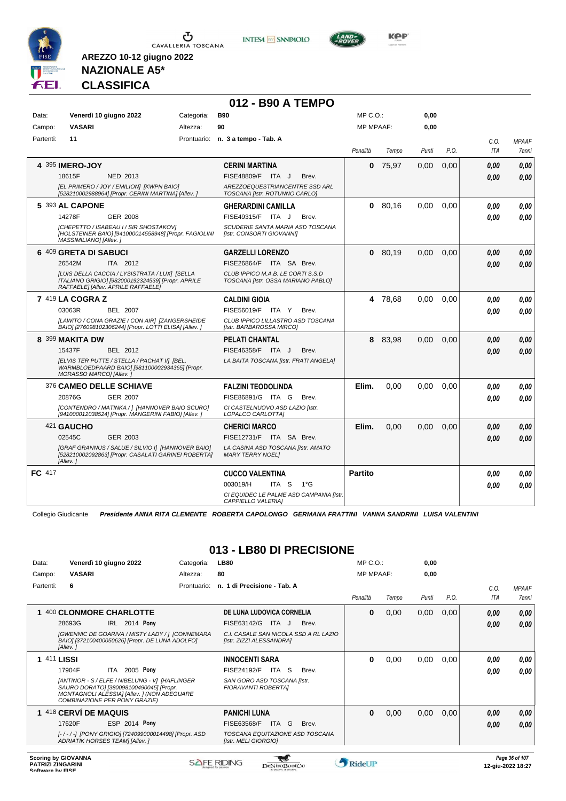





**NAZIONALE A5\* CLASSIFICA**

**AREZZO 10-12 giugno 2022**

#### **012 - B90 A TEMPO**

| Data:     |                           | Venerdì 10 giugno 2022                                                                                                                   |    | <b>B90</b><br>Categoria:                                                |                | MP C.O.: |       | 0,00 |      |              |
|-----------|---------------------------|------------------------------------------------------------------------------------------------------------------------------------------|----|-------------------------------------------------------------------------|----------------|----------|-------|------|------|--------------|
| Campo:    | <b>VASARI</b><br>Altezza: |                                                                                                                                          | 90 | <b>MP MPAAF:</b>                                                        |                | 0,00     |       |      |      |              |
| Partenti: | 11                        |                                                                                                                                          |    | Prontuario: n. 3 a tempo - Tab. A                                       |                |          |       |      | C.O. | <b>MPAAF</b> |
|           |                           |                                                                                                                                          |    |                                                                         | Penalità       | Tempo    | Punti | P.O. | ITA  | <b>7anni</b> |
|           | 4 395 IMERO-JOY           |                                                                                                                                          |    | <b>CERINI MARTINA</b>                                                   | 0              | 75.97    | 0.00  | 0,00 | 0.00 | 0,00         |
|           | 18615F                    | <b>NED 2013</b>                                                                                                                          |    | FISE48809/F ITA J<br>Brev.                                              |                |          |       |      | 0.00 | 0,00         |
|           |                           | [EL PRIMERO / JOY / EMILION] [KWPN BAIO]<br>[528210002988964] [Propr. CERINI MARTINA] [Allev. ]                                          |    | AREZZOEQUESTRIANCENTRE SSD ARL<br>TOSCANA [Istr. ROTUNNO CARLO]         |                |          |       |      |      |              |
|           | 5 393 AL CAPONE           |                                                                                                                                          |    | <b>GHERARDINI CAMILLA</b>                                               | 0              | 80.16    | 0,00  | 0.00 | 0.00 | 0,00         |
|           | 14278F                    | GER 2008                                                                                                                                 |    | FISE49315/F ITA J<br>Brev.                                              |                |          |       |      | 0.00 | 0.00         |
|           | MASSIMILIANO] [Allev.]    | [CHEPETTO / ISABEAU I / SIR SHOSTAKOV]<br>[HOLSTEINER BAIO] [941000014558948] [Propr. FAGIOLINI                                          |    | SCUDERIE SANTA MARIA ASD TOSCANA<br>[Istr. CONSORTI GIOVANNI]           |                |          |       |      |      |              |
|           | 6 409 GRETA DI SABUCI     |                                                                                                                                          |    | <b>GARZELLI LORENZO</b>                                                 | 0              | 80.19    | 0.00  | 0,00 | 0.00 | 0.00         |
|           | 26542M                    | ITA 2012                                                                                                                                 |    | FISE26864/F ITA SA Brev.                                                |                |          |       |      | 0.00 | 0,00         |
|           |                           | [LUIS DELLA CACCIA / LYSISTRATA / LUX] [SELLA<br>ITALIANO GRIGIO] [982000192324539] [Propr. APRILE<br>RAFFAELE] [Allev. APRILE RAFFAELE] |    | CLUB IPPICO M.A.B. LE CORTI S.S.D<br>TOSCANA [Istr. OSSA MARIANO PABLO] |                |          |       |      |      |              |
|           | 7 419 LA COGRA Z          |                                                                                                                                          |    | <b>CALDINI GIOIA</b>                                                    |                | 4 78,68  | 0,00  | 0,00 | 0.00 | 0,00         |
|           | 03063R                    | <b>BEL 2007</b>                                                                                                                          |    | FISE56019/F ITA Y<br>Brev.                                              |                |          |       |      | 0.00 | 0,00         |
|           |                           | [LAWITO / CONA GRAZIE / CON AIR] [ZANGERSHEIDE<br>BAIO] [276098102306244] [Propr. LOTTI ELISA] [Allev.]                                  |    | CLUB IPPICO LILLASTRO ASD TOSCANA<br>[Istr. BARBAROSSA MIRCO]           |                |          |       |      |      |              |
|           | 8 399 MAKITA DW           |                                                                                                                                          |    | <b>PELATI CHANTAL</b>                                                   |                | 8 83,98  | 0.00  | 0.00 | 0.00 | 0.00         |
|           | 15437F                    | BEL 2012                                                                                                                                 |    | FISE46358/F ITA J<br>Brev.                                              |                |          |       |      | 0.00 | 0,00         |
|           | MORASSO MARCO] [Allev.]   | [ELVIS TER PUTTE / STELLA / PACHAT II] [BEL.<br>WARMBLOEDPAARD BAIO] [981100002934365] [Propr.                                           |    | LA BAITA TOSCANA [Istr. FRATI ANGELA]                                   |                |          |       |      |      |              |
|           |                           | 376 CAMEO DELLE SCHIAVE                                                                                                                  |    | <b>FALZINI TEODOLINDA</b>                                               | Elim.          | 0,00     | 0,00  | 0,00 | 0.00 | 0.00         |
|           | 20876G                    | <b>GER 2007</b>                                                                                                                          |    | FISE86891/G ITA G<br>Brev.                                              |                |          |       |      | 0.00 | 0.00         |
|           |                           | [CONTENDRO / MATINKA / ] [HANNOVER BAIO SCURO]<br>[941000012038524] [Propr. MANGERINI FABIO] [Allev.]                                    |    | CI CASTELNUOVO ASD LAZIO [Istr.<br>LOPALCO CARLOTTAI                    |                |          |       |      |      |              |
|           | 421 GAUCHO                |                                                                                                                                          |    | <b>CHERICI MARCO</b>                                                    | Elim.          | 0.00     | 0.00  | 0.00 | 0.00 | 0,00         |
|           | 02545C                    | GER 2003                                                                                                                                 |    | FISE12731/F ITA SA Brev.                                                |                |          |       |      | 0.00 | 0,00         |
|           | [Allev.]                  | [GRAF GRANNUS / SALUE / SILVIO I] [HANNOVER BAIO]<br>[528210002092863] [Propr. CASALATI GARINEI ROBERTA]                                 |    | LA CASINA ASD TOSCANA [Istr. AMATO<br><b>MARY TERRY NOEL1</b>           |                |          |       |      |      |              |
| FC 417    |                           |                                                                                                                                          |    | <b>CUCCO VALENTINA</b>                                                  | <b>Partito</b> |          |       |      | 0.00 | 0.00         |
|           |                           |                                                                                                                                          |    | 003019/H<br>ITA <sub>S</sub><br>$1^{\circ}$ G                           |                |          |       |      | 0.00 | 0,00         |
|           |                           |                                                                                                                                          |    | CI EQUIDEC LE PALME ASD CAMPANIA [Istr.<br>CAPPIELLO VALERIA]           |                |          |       |      |      |              |

Collegio Giudicante *Presidente ANNA RITA CLEMENTE ROBERTA CAPOLONGO GERMANA FRATTINI VANNA SANDRINI LUISA VALENTINI*

#### **013 - LB80 DI PRECISIONE**

| Data:            | Venerdì 10 giugno 2022                                 |                                                                                                                                          | Categoria:  | <b>LB80</b>                                             |                     | MP C.O.:                              |               | 0,00  |       |      |                    |                                     |
|------------------|--------------------------------------------------------|------------------------------------------------------------------------------------------------------------------------------------------|-------------|---------------------------------------------------------|---------------------|---------------------------------------|---------------|-------|-------|------|--------------------|-------------------------------------|
| Campo:           | <b>VASARI</b>                                          | 80<br>Altezza:                                                                                                                           |             |                                                         |                     | <b>MP MPAAF:</b>                      |               | 0,00  |       |      |                    |                                     |
| Partenti:        | 6                                                      |                                                                                                                                          | Prontuario: | n. 1 di Precisione - Tab. A                             |                     |                                       | Penalità      | Tempo | Punti | P.O. | C.0.<br><b>ITA</b> | <b>MPAAF</b><br><b>7anni</b>        |
|                  | 1 400 CLONMORE CHARLOTTE                               |                                                                                                                                          |             | DE LUNA LUDOVICA CORNELIA                               |                     |                                       | 0             | 0,00  | 0,00  | 0,00 | 0,00               | 0,00                                |
|                  | 28693G                                                 | IRL 2014 Pony                                                                                                                            |             | FISE63142/G                                             | ITA J               | Brev.                                 |               |       |       |      | 0,00               | 0,00                                |
|                  | [Allev.]                                               | [GWENNIC DE GOARIVA / MISTY LADY / ] [CONNEMARA<br>BAIO] [372100400050626] [Propr. DE LUNA ADOLFO]                                       |             | [Istr. ZIZZI ALESSANDRA]                                |                     | C.I. CASALE SAN NICOLA SSD A RL LAZIO |               |       |       |      |                    |                                     |
|                  | <b>1 411 LISSI</b>                                     |                                                                                                                                          |             | <b>INNOCENTI SARA</b>                                   |                     |                                       | $\bf{0}$      | 0,00  | 0,00  | 0,00 | 0,00               | 0.00                                |
|                  | 17904F                                                 | ITA 2005 Pony                                                                                                                            |             | FISE24192/F                                             | ITA<br><sub>S</sub> | Brev.                                 |               |       |       |      | 0,00               | 0.00                                |
|                  | COMBINAZIONE PER PONY GRAZIE)                          | [ANTINOR - S / ELFE / NIBELUNG - V] [HAFLINGER<br>SAURO DORATO] [380098100490045] [Propr.<br>MONTAGNOLI ALESSIA] [Allev. ] (NON ADEGUARE |             | SAN GORO ASD TOSCANA [Istr.<br>FIORAVANTI ROBERTAI      |                     |                                       |               |       |       |      |                    |                                     |
|                  | 1 418 CERVÍ DE MAQUIS                                  |                                                                                                                                          |             | PANICHI LUNA                                            |                     |                                       | 0             | 0,00  | 0,00  | 0,00 | 0,00               | 0,00                                |
|                  | 17620F                                                 | ESP 2014 Pony                                                                                                                            |             | FISE63568/F                                             | ITA G               | Brev.                                 |               |       |       |      | 0,00               | 0,00                                |
|                  | ADRIATIK HORSES TEAM] [Allev.]                         | [-/-/-] [PONY GRIGIO] [724099000014498] [Propr. ASD                                                                                      |             | TOSCANA EQUITAZIONE ASD TOSCANA<br>[Istr. MELI GIORGIO] |                     |                                       |               |       |       |      |                    |                                     |
| Coffware by EICE | <b>Scoring by GIOVANNA</b><br><b>PATRIZI ZINGARINI</b> |                                                                                                                                          |             | <b>SAFE RIDING</b>                                      | eNiroBoot('o        |                                       | <b>RideUP</b> |       |       |      |                    | Page 36 of 107<br>12-giu-2022 18:27 |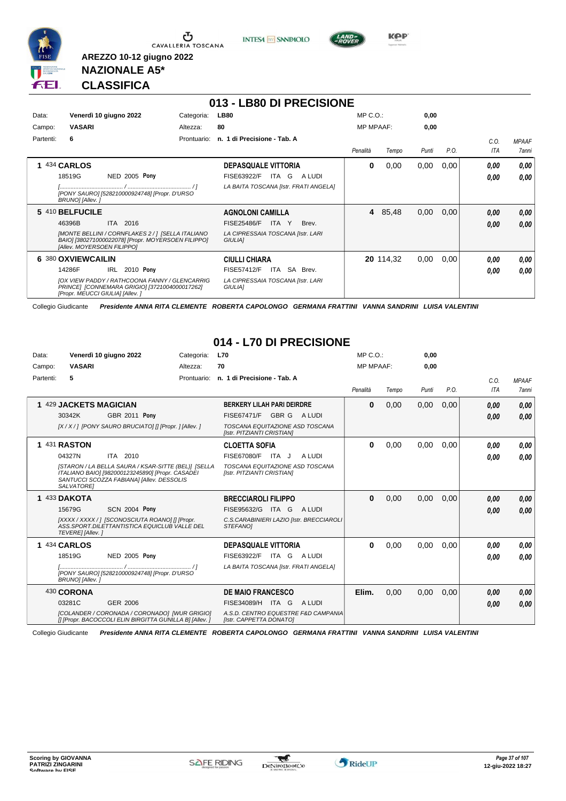





**KPP** 

#### **NAZIONALE A5\* CLASSIFICA**

**AREZZO 10-12 giugno 2022**

|           |                                                                                                                                          |             | 013 - LB80 DI PRECISIONE                            |                  |           |       |      |            |              |
|-----------|------------------------------------------------------------------------------------------------------------------------------------------|-------------|-----------------------------------------------------|------------------|-----------|-------|------|------------|--------------|
| Data:     | Venerdì 10 giugno 2022                                                                                                                   | Categoria:  | <b>LB80</b>                                         | $MP C. O.$ :     |           | 0,00  |      |            |              |
| Campo:    | <b>VASARI</b>                                                                                                                            | Altezza:    | 80                                                  | <b>MP MPAAF:</b> |           | 0,00  |      |            |              |
| Partenti: | 6                                                                                                                                        | Prontuario: | n. 1 di Precisione - Tab. A                         |                  |           |       |      | C.O.       | <b>MPAAF</b> |
|           |                                                                                                                                          |             |                                                     | Penalità         | Tempo     | Punti | P.O. | <b>ITA</b> | <b>7anni</b> |
|           | 434 <b>CARLOS</b>                                                                                                                        |             | <b>DEPASQUALE VITTORIA</b>                          | 0                | 0,00      | 0,00  | 0,00 | 0.00       | 0,00         |
|           | NED 2005 Pony<br>18519G                                                                                                                  |             | FISE63922/F<br>ITA G<br>A LUDI                      |                  |           |       |      | 0.00       | 0.00         |
|           | [PONY SAURO] [528210000924748] [Propr. D'URSO<br>BRUNO] [Allev.]                                                                         |             | LA BAITA TOSCANA [Istr. FRATI ANGELA]               |                  |           |       |      |            |              |
|           | 5 410 BELFUCILE                                                                                                                          |             | <b>AGNOLONI CAMILLA</b>                             | 4                | 85,48     | 0,00  | 0,00 | 0.00       | 0,00         |
|           | 46396B<br><b>ITA</b><br>2016                                                                                                             |             | <b>FISE25486/F</b><br>ITA<br>Brev.<br>Y             |                  |           |       |      | 0.00       | 0,00         |
|           | [MONTE BELLINI / CORNFLAKES 2 / 1 [SELLA ITALIANO<br>BAIO] [380271000022078] [Propr. MOYERSOEN FILIPPO]<br>[Allev. MOYERSOEN FILIPPO]    |             | LA CIPRESSAIA TOSCANA [Istr. LARI<br><b>GIULIA1</b> |                  |           |       |      |            |              |
|           | 6 380 OXVIEWCAILIN                                                                                                                       |             | <b>CIULLI CHIARA</b>                                |                  | 20 114,32 | 0,00  | 0,00 | 0.00       | 0,00         |
|           | 2010 Pony<br>IRL<br>14286F                                                                                                               |             | ITA SA Brev.<br><b>FISE57412/F</b>                  |                  |           |       |      | 0.00       | 0.00         |
|           | <b>IOX VIEW PADDY / RATHCOONA FANNY / GLENCARRIG</b><br>PRINCE] [CONNEMARA GRIGIO] [3721004000017262]<br>[Propr. MEUCCI GIULIA] [Allev.] |             | LA CIPRESSAIA TOSCANA [Istr. LARI<br><b>GIULIAI</b> |                  |           |       |      |            |              |

Collegio Giudicante *Presidente ANNA RITA CLEMENTE ROBERTA CAPOLONGO GERMANA FRATTINI VANNA SANDRINI LUISA VALENTINI*

#### **014 - L70 DI PRECISIONE**

| Data:<br>Campo: | Venerdì 10 giugno 2022<br><b>VASARI</b>                                                                                                                                                    | Categoria:<br>Altezza: | <b>L70</b><br>70                                                                                                                                             | MP C. O.<br><b>MP MPAAF:</b> |       | 0,00<br>0.00 |      |                    |                              |
|-----------------|--------------------------------------------------------------------------------------------------------------------------------------------------------------------------------------------|------------------------|--------------------------------------------------------------------------------------------------------------------------------------------------------------|------------------------------|-------|--------------|------|--------------------|------------------------------|
| Partenti:       | 5                                                                                                                                                                                          | Prontuario:            | n. 1 di Precisione - Tab. A                                                                                                                                  | Penalità                     | Tempo | Punti        | P.O. | C.0.<br><b>ITA</b> | <b>MPAAF</b><br><b>7anni</b> |
|                 | 1 429 JACKETS MAGICIAN<br>30342K<br><b>GBR 2011 Pony</b><br>[X / X / ] [PONY SAURO BRUCIATO] [] [Propr. ] [Allev. ]                                                                        |                        | <b>BERKERY LILAH PARI DEIRDRE</b><br>FISE67471/F<br>GBR G<br>A LUDI<br>TOSCANA EQUITAZIONE ASD TOSCANA                                                       | 0                            | 0,00  | 0,00         | 0,00 | 0.00<br>0.00       | 0.00<br>0.00                 |
|                 | 1 431 RASTON<br>04327N<br>ITA 2010<br>[STARON / LA BELLA SAURA / KSAR-SITTE (BEL)] [SELLA<br>ITALIANO BAIO] [982000123245890] [Propr. CASADEI<br>SANTUCCI SCOZZA FABIANA] [Allev. DESSOLIS |                        | [Istr. PITZIANTI CRISTIAN]<br><b>CLOETTA SOFIA</b><br><b>FISE67080/F</b><br>A LUDI<br>ITA J<br>TOSCANA EQUITAZIONE ASD TOSCANA<br>[Istr. PITZIANTI CRISTIAN] | 0                            | 0.00  | 0.00         | 0.00 | 0.00<br>0,00       | 0,00<br>0.00                 |
|                 | SALVATORE]<br>1 433 DAKOTA<br><b>SCN 2004 Pony</b><br>15679G<br>[XXXX / XXXX / ] [SCONOSCIUTA ROANO] [] [Propr.<br>ASS. SPORT. DILETTANTISTICA EQUICLUB VALLE DEL<br>TEVERE] [Allev.]      |                        | <b>BRECCIAROLI FILIPPO</b><br>FISE95632/G ITA G<br>A LUDI<br>C.S.CARABINIERI LAZIO [Istr. BRECCIAROLI<br>STEFANOI                                            | $\bf{0}$                     | 0.00  | 0.00         | 0.00 | 0.00<br>0.00       | 0.00<br>0.00                 |
|                 | 1 434 CARLOS<br>18519G<br><b>NED 2005 Pony</b><br>[PONY SAURO] [528210000924748] [Propr. D'URSO<br>BRUNO] [Allev.]                                                                         |                        | <b>DEPASQUALE VITTORIA</b><br>FISE63922/F<br>ITA GALUDI<br>LA BAITA TOSCANA [Istr. FRATI ANGELA]                                                             | 0                            | 0,00  | 0,00         | 0,00 | 0,00<br>0,00       | 0,00<br>0.00                 |
|                 | 430 CORONA<br>03281C<br>GER 2006<br>[COLANDER / CORONADA / CORONADO] [WUR GRIGIO]<br>[I [Propr. BACOCCOLI ELIN BIRGITTA GUNILLA B] [Allev. ]                                               |                        | <b>DE MAIO FRANCESCO</b><br>FISE34089/H<br>ITA G<br>A LUDI<br>A.S.D. CENTRO EQUESTRE F&D CAMPANIA<br>[Istr. CAPPETTA DONATO]                                 | Elim.                        | 0,00  | 0,00         | 0,00 | 0.00<br>0.00       | 0.00<br>0.00                 |

Collegio Giudicante *Presidente ANNA RITA CLEMENTE ROBERTA CAPOLONGO GERMANA FRATTINI VANNA SANDRINI LUISA VALENTINI*

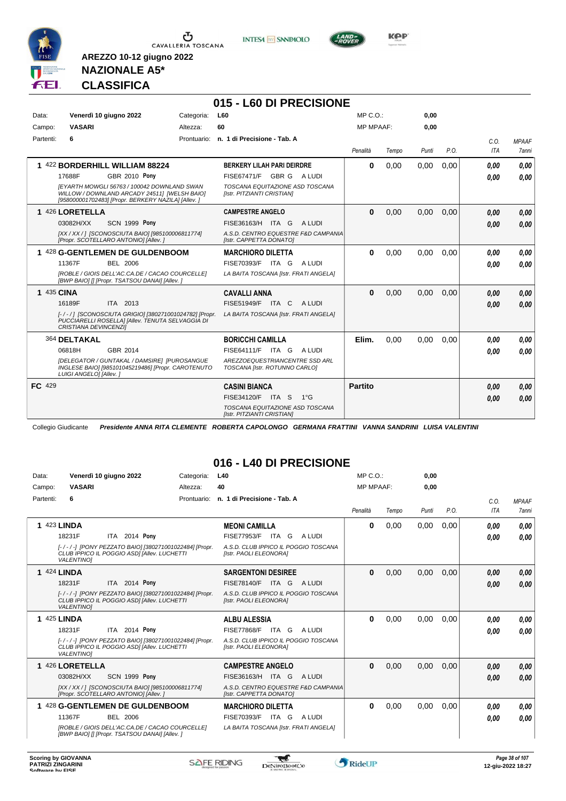

**INTESA** M SANPAOLO

**015 - L60 DI PRECISIONE**



**Kep** 

#### **NAZIONALE A5\* CLASSIFICA**

**AREZZO 10-12 giugno 2022**

| Data:     | Venerdì 10 giugno 2022                                                                                                                                                                                   | Categoria: | <b>L60</b>                                                                                                                        | $MP C. O.$ :     |       | 0,00  |      |              |                       |
|-----------|----------------------------------------------------------------------------------------------------------------------------------------------------------------------------------------------------------|------------|-----------------------------------------------------------------------------------------------------------------------------------|------------------|-------|-------|------|--------------|-----------------------|
| Campo:    | <b>VASARI</b>                                                                                                                                                                                            | Altezza:   | 60                                                                                                                                | <b>MP MPAAF:</b> |       | 0,00  |      |              |                       |
| Partenti: | 6                                                                                                                                                                                                        |            | Prontuario: n. 1 di Precisione - Tab. A                                                                                           | Penalità         | Tempo | Punti | P.O. | C.O.<br>ITA  | <b>MPAAF</b><br>7anni |
|           | 1 422 BORDERHILL WILLIAM 88224<br>GBR 2010 Pony<br>17688F<br>IEYARTH MOWGLI 56763 / 100042 DOWNLAND SWAN<br>WILLOW / DOWNLAND ARCADY 24511] [WELSH BAIO]                                                 |            | <b>BERKERY LILAH PARI DEIRDRE</b><br>FISE67471/F GBR G<br>A LUDI<br>TOSCANA EQUITAZIONE ASD TOSCANA<br>[Istr. PITZIANTI CRISTIAN] | $\bf{0}$         | 0,00  | 0,00  | 0.00 | 0.00<br>0.00 | 0.00<br>0,00          |
|           | [958000001702483] [Propr. BERKERY NAZILA] [Allev. ]<br>1 426 LORETELLA<br><b>SCN 1999 Pony</b><br>03082H/XX<br>[XX / XX / ] [SCONOSCIUTA BAIO] [985100006811774]<br>[Propr. SCOTELLARO ANTONIO] [Allev.] |            | <b>CAMPESTRE ANGELO</b><br>FISE36163/H ITA G<br>A LUDI<br>A.S.D. CENTRO EQUESTRE F&D CAMPANIA<br>[Istr. CAPPETTA DONATO]          | $\mathbf{0}$     | 0,00  | 0,00  | 0,00 | 0.00<br>0.00 | 0,00<br>0,00          |
|           | 1 428 G-GENTLEMEN DE GULDENBOOM<br>11367F<br>BEL 2006<br>[ROBLE / GIOIS DELL'AC.CA.DE / CACAO COURCELLE]<br>[BWP BAIO] [] [Propr. TSATSOU DANAI] [Allev.]                                                |            | <b>MARCHIORO DILETTA</b><br>FISE70393/F ITA G<br>A LUDI<br>LA BAITA TOSCANA [Istr. FRATI ANGELA]                                  | $\bf{0}$         | 0.00  | 0.00  | 0.00 | 0.00<br>0.00 | 0,00<br>0.00          |
|           | 1 435 CINA<br>16189F<br>ITA 2013<br>[-/-/] [SCONOSCIUTA GRIGIO] [380271001024782] [Propr.<br>PUCCIARELLI ROSELLA] [Allev. TENUTA SELVAGGIA DI<br>CRISTIANA DEVINCENZII                                   |            | <b>CAVALLI ANNA</b><br>FISE51949/F ITA C<br>A LUDI<br>LA BAITA TOSCANA [Istr. FRATI ANGELA]                                       | $\bf{0}$         | 0,00  | 0.00  | 0.00 | 0.00<br>0.00 | 0,00<br>0.00          |
|           | 364 DELTAKAL<br>GBR 2014<br>06818H<br>[DELEGATOR / GUNTAKAL / DAMSIRE] [PUROSANGUE<br>INGLESE BAIO] [985101045219486] [Propr. CAROTENUTO<br>LUIGI ANGELO] [Allev.]                                       |            | <b>BORICCHI CAMILLA</b><br>FISE64111/F<br>ITA G<br>A LUDI<br>AREZZOEQUESTRIANCENTRE SSD ARL<br>TOSCANA [Istr. ROTUNNO CARLO]      | Elim.            | 0.00  | 0.00  | 0.00 | 0.00<br>0.00 | 0,00<br>0.00          |
| FC 429    |                                                                                                                                                                                                          |            | <b>CASINI BIANCA</b><br>FISE34120/F ITA S<br>$1^{\circ}G$<br>TOSCANA EQUITAZIONE ASD TOSCANA<br>[Istr. PITZIANTI CRISTIAN]        | Partito          |       |       |      | 0.00<br>0.00 | 0,00<br>0.00          |

Collegio Giudicante *Presidente ANNA RITA CLEMENTE ROBERTA CAPOLONGO GERMANA FRATTINI VANNA SANDRINI LUISA VALENTINI*

#### **016 - L40 DI PRECISIONE**

| Data:     | Venerdì 10 giugno 2022                                                                                                    | Categoria:  | L40                                                            | MP C. O.         |       | 0,00  |      |            |              |
|-----------|---------------------------------------------------------------------------------------------------------------------------|-------------|----------------------------------------------------------------|------------------|-------|-------|------|------------|--------------|
| Campo:    | <b>VASARI</b>                                                                                                             | Altezza:    | 40                                                             | <b>MP MPAAF:</b> |       | 0.00  |      |            |              |
| Partenti: | 6                                                                                                                         | Prontuario: | n. 1 di Precisione - Tab. A                                    |                  |       |       |      | C.0.       | <b>MPAAF</b> |
|           |                                                                                                                           |             |                                                                | Penalità         | Tempo | Punti | P.O. | <b>ITA</b> | <b>7anni</b> |
|           | 423 LINDA                                                                                                                 |             | <b>MEONI CAMILLA</b>                                           | $\bf{0}$         | 0,00  | 0,00  | 0.00 | 0.00       | 0.00         |
|           | ITA 2014 Pony<br>18231F                                                                                                   |             | <b>FISE77953/F</b><br>ITA G<br>A LUDI                          |                  |       |       |      | 0.00       | 0.00         |
|           | [-/-/-] [PONY PEZZATO BAIO] [380271001022484] [Propr.<br>CLUB IPPICO IL POGGIO ASDI [Allev. LUCHETTI<br><b>VALENTINO1</b> |             | A.S.D. CLUB IPPICO IL POGGIO TOSCANA<br>[Istr. PAOLI ELEONORA] |                  |       |       |      |            |              |
|           | <b>1 424 LINDA</b>                                                                                                        |             | <b>SARGENTONI DESIREE</b>                                      | $\bf{0}$         | 0,00  | 0,00  | 0,00 | 0.00       | 0,00         |
|           | ITA 2014 Pony<br>18231F                                                                                                   |             | <b>FISE78140/F</b><br>ITA G<br>A LUDI                          |                  |       |       |      | 0.00       | 0.00         |
|           | [-/-/-] [PONY PEZZATO BAIO] [380271001022484] [Propr.<br>CLUB IPPICO IL POGGIO ASDI [Allev. LUCHETTI<br><b>VALENTINO1</b> |             | A.S.D. CLUB IPPICO IL POGGIO TOSCANA<br>[Istr. PAOLI ELEONORA] |                  |       |       |      |            |              |
|           | <b>1 425 LINDA</b>                                                                                                        |             | <b>ALBU ALESSIA</b>                                            | $\bf{0}$         | 0,00  | 0,00  | 0.00 | 0.00       | 0,00         |
|           | ITA 2014 Pony<br>18231F                                                                                                   |             | <b>FISE77868/F ITA G</b><br>A LUDI                             |                  |       |       |      | 0.00       | 0.00         |
|           | [-/-/-] [PONY PEZZATO BAIO] [380271001022484] [Propr.<br>CLUB IPPICO IL POGGIO ASDI [Allev. LUCHETTI<br><b>VALENTINO1</b> |             | A.S.D. CLUB IPPICO IL POGGIO TOSCANA<br>[Istr. PAOLI ELEONORA] |                  |       |       |      |            |              |
|           | 1 426 LORETELLA                                                                                                           |             | <b>CAMPESTRE ANGELO</b>                                        | $\bf{0}$         | 0,00  | 0,00  | 0,00 | 0,00       | 0,00         |
|           | <b>SCN 1999 Pony</b><br>03082H/XX                                                                                         |             | FISE36163/H ITA G<br>A LUDI                                    |                  |       |       |      | 0,00       | 0,00         |
|           | [XX / XX / ] [SCONOSCIUTA BAIO] [985100006811774]<br>[Propr. SCOTELLARO ANTONIO] [Allev. ]                                |             | A.S.D. CENTRO EQUESTRE F&D CAMPANIA<br>[Istr. CAPPETTA DONATO] |                  |       |       |      |            |              |
|           | 1 428 G-GENTLEMEN DE GULDENBOOM                                                                                           |             | <b>MARCHIORO DILETTA</b>                                       | <sup>0</sup>     | 0,00  | 0,00  | 0,00 | 0.00       | 0.00         |
|           | 11367F<br><b>BEL 2006</b>                                                                                                 |             | FISE70393/F ITA G<br>A LUDI                                    |                  |       |       |      | 0.00       | 0.00         |
|           | [ROBLE / GIOIS DELL'AC.CA.DE / CACAO COURCELLE]<br>[BWP BAIO] [] [Propr. TSATSOU DANAI] [Allev. ]                         |             | LA BAITA TOSCANA [Istr. FRATI ANGELA]                          |                  |       |       |      |            |              |

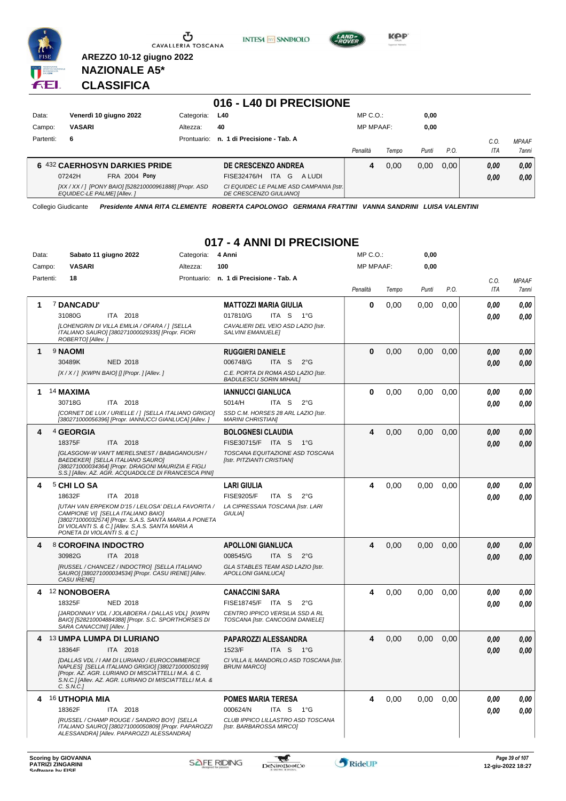





**KPP** 

#### **NAZIONALE A5\* CLASSIFICA**

**AREZZO 10-12 giugno 2022**

|           |                                                                                             |             | 016 - L40 DI PRECISIONE                                            |                  |       |       |      |      |              |
|-----------|---------------------------------------------------------------------------------------------|-------------|--------------------------------------------------------------------|------------------|-------|-------|------|------|--------------|
| Data:     | Venerdì 10 giugno 2022                                                                      | Categoria:  | L40                                                                | $MP C. O.$ :     |       | 0,00  |      |      |              |
| Campo:    | <b>VASARI</b>                                                                               | Altezza:    | 40                                                                 | <b>MP MPAAF:</b> |       | 0,00  |      |      |              |
| Partenti: | 6                                                                                           | Prontuario: | n. 1 di Precisione - Tab. A                                        |                  |       |       |      | C.O. | <b>MPAAF</b> |
|           |                                                                                             |             |                                                                    | Penalità         | Tempo | Punti | P.O. | ITA  | 7anni        |
|           | 6 432 CAERHOSYN DARKIES PRIDE                                                               |             | DE CRESCENZO ANDREA                                                | 4                | 0.00  | 0,00  | 0.00 | 0,00 | 0,00         |
|           | <b>FRA 2004 Pony</b><br>07242H                                                              |             | ITA G<br>FISE32476/H<br>A LUDI                                     |                  |       |       |      | 0,00 | 0,00         |
|           | [XX / XX / ] [PONY BAIO] [528210000961888] [Propr. ASD<br><b>EQUIDEC-LE PALME  [Allev.]</b> |             | CI EQUIDEC LE PALME ASD CAMPANIA [Istr.]<br>DE CRESCENZO GIULIANO] |                  |       |       |      |      |              |

Collegio Giudicante *Presidente ANNA RITA CLEMENTE ROBERTA CAPOLONGO GERMANA FRATTINI VANNA SANDRINI LUISA VALENTINI*

#### **017 - 4 ANNI DI PRECISIONE**

| Data:     | Sabato 11 giugno 2022                                                                                                                                                                                                                 | Categoria:  | 4 Anni                                                                | MP C.O.:         |       | 0,00  |      |      |              |
|-----------|---------------------------------------------------------------------------------------------------------------------------------------------------------------------------------------------------------------------------------------|-------------|-----------------------------------------------------------------------|------------------|-------|-------|------|------|--------------|
| Campo:    | <b>VASARI</b>                                                                                                                                                                                                                         | Altezza:    | 100                                                                   | <b>MP MPAAF:</b> |       | 0,00  |      |      |              |
| Partenti: | 18                                                                                                                                                                                                                                    | Prontuario: | n. 1 di Precisione - Tab. A                                           |                  |       |       |      | C.O. | <b>MPAAF</b> |
|           |                                                                                                                                                                                                                                       |             |                                                                       | Penalità         | Tempo | Punti | P.O. | ITA  | <b>7anni</b> |
| 1         | 7 DANCADU'                                                                                                                                                                                                                            |             | <b>MATTOZZI MARIA GIULIA</b>                                          | $\bf{0}$         | 0,00  | 0.00  | 0,00 | 0.00 | 0.00         |
|           | 31080G<br>ITA 2018                                                                                                                                                                                                                    |             | 017810/G<br>ITA S<br>− 1°G                                            |                  |       |       |      | 0.00 | 0.00         |
|           | [LOHENGRIN DI VILLA EMILIA / OFARA / ] [SELLA<br>ITALIANO SAURO] [380271000029335] [Propr. FIORI                                                                                                                                      |             | CAVALIERI DEL VEIO ASD LAZIO [Istr.<br><b>SALVINI EMANUELEI</b>       |                  |       |       |      |      |              |
|           | ROBERTO] [Allev.]                                                                                                                                                                                                                     |             |                                                                       |                  |       |       |      |      |              |
| 1         | 9 NAOMI                                                                                                                                                                                                                               |             | <b>RUGGIERI DANIELE</b>                                               | $\mathbf 0$      | 0,00  | 0,00  | 0,00 | 0.00 | 0,00         |
|           | 30489K<br><b>NED 2018</b>                                                                                                                                                                                                             |             | 006748/G<br>ITA S<br>$2^{\circ}G$                                     |                  |       |       |      | 0.00 | 0.00         |
|           | $[X/X/$ ] [KWPN BAIO] [] [Propr. ] [Allev. ]                                                                                                                                                                                          |             | C.E. PORTA DI ROMA ASD LAZIO [Istr.<br><b>BADULESCU SORIN MIHAILI</b> |                  |       |       |      |      |              |
| 1         | <sup>14</sup> MAXIMA                                                                                                                                                                                                                  |             | <b>IANNUCCI GIANLUCA</b>                                              | $\bf{0}$         | 0,00  | 0.00  | 0.00 | 0.00 | 0.00         |
|           | 30718G<br>ITA 2018                                                                                                                                                                                                                    |             | 5014/H<br>ITA S<br>$2^{\circ}$ G                                      |                  |       |       |      | 0.00 | 0.00         |
|           | [CORNET DE LUX / URIELLE / ] [SELLA ITALIANO GRIGIO]<br>[380271000056396] [Propr. IANNUCCI GIANLUCA] [Allev. ]                                                                                                                        |             | SSD C.M. HORSES 28 ARL LAZIO [Istr.<br><b>MARINI CHRISTIANI</b>       |                  |       |       |      |      |              |
| 4         | 4 GEORGIA                                                                                                                                                                                                                             |             | <b>BOLOGNESI CLAUDIA</b>                                              | 4                | 0.00  | 0.00  | 0.00 | 0.00 | 0.00         |
|           | 18375F<br>ITA 2018                                                                                                                                                                                                                    |             | FISE30715/F ITA S<br>$1^{\circ}G$                                     |                  |       |       |      | 0.00 | 0.00         |
|           | <b>[GLASGOW-W VAN'T MERELSNEST / BABAGANOUSH /</b><br><b>BAEDEKER  [SELLA ITALIANO SAURO]</b><br>[380271000034364] [Propr. DRAGONI MAURIZIA E FIGLI<br>S.S.] [Allev. AZ. AGR. ACQUADOLCE DI FRANCESCA PINI]                           |             | TOSCANA EQUITAZIONE ASD TOSCANA<br>[Istr. PITZIANTI CRISTIAN]         |                  |       |       |      |      |              |
| 4         | <sup>5</sup> CHI LO SA                                                                                                                                                                                                                |             | <b>LARI GIULIA</b>                                                    | 4                | 0,00  | 0,00  | 0,00 | 0.00 | 0,00         |
|           | 18632F<br>ITA 2018                                                                                                                                                                                                                    |             | <b>FISE9205/F</b><br>ITA S<br>$2^{\circ}G$                            |                  |       |       |      | 0.00 | 0.00         |
|           | [UTAH VAN ERPEKOM D'15 / LEILOSA' DELLA FAVORITA /<br>CAMPIONE VI] [SELLA ITALIANO BAIO]<br>[380271000032574] [Propr. S.A.S. SANTA MARIA A PONETA<br>DI VIOLANTI S. & C.] [Allev. S.A.S. SANTA MARIA A<br>PONETA DI VIOLANTI S. & C.] |             | LA CIPRESSAIA TOSCANA [Istr. LARI<br><b>GIULIA1</b>                   |                  |       |       |      |      |              |
| 4         | 8 COROFINA INDOCTRO                                                                                                                                                                                                                   |             | <b>APOLLONI GIANLUCA</b>                                              | 4                | 0.00  | 0.00  | 0.00 | 0,00 | 0,00         |
|           | 30982G<br>ITA 2018                                                                                                                                                                                                                    |             | 008545/G<br>ITA <sub>S</sub><br>$2^{\circ}$ G                         |                  |       |       |      | 0.00 | 0.00         |
|           | [RUSSEL / CHANCEZ / INDOCTRO] [SELLA ITALIANO                                                                                                                                                                                         |             | GLA STABLES TEAM ASD LAZIO [Istr.                                     |                  |       |       |      |      |              |
|           | SAURO] [380271000034534] [Propr. CASU IRENE] [Allev.<br><b>CASU IRENEI</b>                                                                                                                                                            |             | <b>APOLLONI GIANLUCAI</b>                                             |                  |       |       |      |      |              |
| 4         | 12 NONOBOERA                                                                                                                                                                                                                          |             | <b>CANACCINI SARA</b>                                                 | 4                | 0.00  | 0.00  | 0,00 | 0.00 | 0.00         |
|           | 18325F<br><b>NED 2018</b>                                                                                                                                                                                                             |             | FISE18745/F ITA S<br>$2^{\circ}$ G                                    |                  |       |       |      | 0.00 | 0,00         |
|           | [JARDONNAY VDL / JOLABOERA / DALLAS VDL] [KWPN<br>BAIO] [528210004884388] [Propr. S.C. SPORTHORSES DI<br>SARA CANACCINI] [Allev. ]                                                                                                    |             | CENTRO IPPICO VERSILIA SSD A RL<br>TOSCANA [Istr. CANCOGNI DANIELE]   |                  |       |       |      |      |              |
| 4         | 13 UMPA LUMPA DI LURIANO                                                                                                                                                                                                              |             | PAPAROZZI ALESSANDRA                                                  | 4                | 0,00  | 0,00  | 0,00 | 0.00 | 0,00         |
|           | 18364F<br>ITA 2018                                                                                                                                                                                                                    |             | 1523/F<br>ITA S 1°G                                                   |                  |       |       |      | 0,00 | 0,00         |
|           | [DALLAS VDL / I AM DI LURIANO / EUROCOMMERCE<br>NAPLES] [SELLA ITALIANO GRIGIO] [380271000050199]<br>[Propr. AZ. AGR. LURIANO DI MISCIATTELLI M.A. & C.<br>S.N.C.] [Allev. AZ. AGR. LURIANO DI MISCIATTELLI M.A. &<br>C. S.N.C.       |             | CI VILLA IL MANDORLO ASD TOSCANA [Istr.<br><b>BRUNI MARCOI</b>        |                  |       |       |      |      |              |
| 4         | 16 UTHOPIA MIA                                                                                                                                                                                                                        |             | <b>POMES MARIA TERESA</b>                                             | 4                | 0,00  | 0,00  | 0,00 | 0.00 | 0,00         |
|           | 18362F<br>ITA 2018                                                                                                                                                                                                                    |             | 000624/N<br>ITA <sub>S</sub><br>$1^{\circ}$ G                         |                  |       |       |      | 0.00 | 0.00         |
|           | [RUSSEL / CHAMP ROUGE / SANDRO BOY] [SELLA<br>ITALIANO SAURO] [380271000050809] [Propr. PAPAROZZI<br>ALESSANDRA] [Allev. PAPAROZZI ALESSANDRA]                                                                                        |             | CLUB IPPICO LILLASTRO ASD TOSCANA<br>[Istr. BARBAROSSA MIRCO]         |                  |       |       |      |      |              |

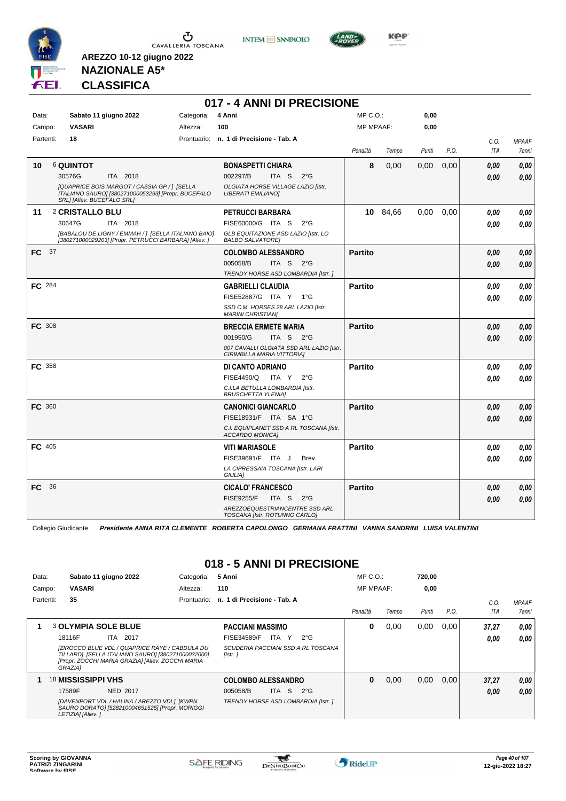

**INTESA** M SANPAOLO

**017 - 4 ANNI DI PRECISIONE**



**Kep** 

#### **NAZIONALE A5\* CLASSIFICA**

**AREZZO 10-12 giugno 2022**

| Data:         |                            | Sabato 11 giugno 2022                                                                                        | Categoria: | 4 Anni                                                                 | $MP C. O.$ :     |          | 0,00  |      |      |              |
|---------------|----------------------------|--------------------------------------------------------------------------------------------------------------|------------|------------------------------------------------------------------------|------------------|----------|-------|------|------|--------------|
| Campo:        | <b>VASARI</b>              |                                                                                                              | Altezza:   | 100                                                                    | <b>MP MPAAF:</b> |          | 0,00  |      |      |              |
| Partenti:     | 18                         |                                                                                                              |            | Prontuario: n. 1 di Precisione - Tab. A                                |                  |          |       |      | C.O. | <b>MPAAF</b> |
|               |                            |                                                                                                              |            |                                                                        | Penalità         | Tempo    | Punti | P.O. | ITA  | 7anni        |
| 10            | <b>6 QUINTOT</b>           |                                                                                                              |            | <b>BONASPETTI CHIARA</b>                                               | 8                | 0,00     | 0,00  | 0,00 | 0.00 | 0,00         |
|               | 30576G                     | ITA 2018                                                                                                     |            | 002297/B<br>ITA S<br>$2^{\circ}$ G                                     |                  |          |       |      | 0.00 | 0,00         |
|               | SRL] [Allev. BUCEFALO SRL] | [QUAPRICE BOIS MARGOT / CASSIA GP / ] [SELLA<br>ITALIANO SAURO] [380271000053293] [Propr. BUCEFALO           |            | OLGIATA HORSE VILLAGE LAZIO [Istr.<br>LIBERATI EMILIANO]               |                  |          |       |      |      |              |
| 11            | 2 CRISTALLO BLU            |                                                                                                              |            | <b>PETRUCCI BARBARA</b>                                                |                  | 10 84,66 | 0,00  | 0,00 | 0.00 | 0,00         |
|               | 30647G                     | ITA 2018                                                                                                     |            | FISE60000/G ITA S<br>$2^{\circ}$ G                                     |                  |          |       |      | 0.00 | 0,00         |
|               |                            | [BABALOU DE LIGNY / EMMAH / ] [SELLA ITALIANO BAIO]<br>[380271000029203] [Propr. PETRUCCI BARBARA] [Allev. ] |            | GLB EQUITAZIONE ASD LAZIO [Istr. LO<br><b>BALBO SALVATORE]</b>         |                  |          |       |      |      |              |
| FC 37         |                            |                                                                                                              |            | <b>COLOMBO ALESSANDRO</b>                                              | <b>Partito</b>   |          |       |      | 0.00 | 0,00         |
|               |                            |                                                                                                              |            | 005058/B<br>ITA S $2^{\circ}G$                                         |                  |          |       |      | 0.00 | 0,00         |
|               |                            |                                                                                                              |            | TRENDY HORSE ASD LOMBARDIA [Istr.]                                     |                  |          |       |      |      |              |
| FC 284        |                            |                                                                                                              |            | <b>GABRIELLI CLAUDIA</b>                                               | <b>Partito</b>   |          |       |      | 0.00 | 0,00         |
|               |                            |                                                                                                              |            | FISE52887/G ITA Y 1°G                                                  |                  |          |       |      | 0.00 | 0,00         |
|               |                            |                                                                                                              |            | SSD C.M. HORSES 28 ARL LAZIO [Istr.<br><b>MARINI CHRISTIAN]</b>        |                  |          |       |      |      |              |
| <b>FC 308</b> |                            |                                                                                                              |            | <b>BRECCIA ERMETE MARIA</b>                                            | <b>Partito</b>   |          |       |      | 0.00 | 0,00         |
|               |                            |                                                                                                              |            | 001950/G<br>ITA S 2°G                                                  |                  |          |       |      | 0.00 | 0,00         |
|               |                            |                                                                                                              |            | 007 CAVALLI OLGIATA SSD ARL LAZIO [Istr.<br>CIRIMBILLA MARIA VITTORIA] |                  |          |       |      |      |              |
| <b>FC</b> 358 |                            |                                                                                                              |            | DI CANTO ADRIANO                                                       | <b>Partito</b>   |          |       |      | 0.00 | 0,00         |
|               |                            |                                                                                                              |            | <b>FISE4490/Q</b><br>ITA Y<br>$2^{\circ}G$                             |                  |          |       |      | 0.00 | 0,00         |
|               |                            |                                                                                                              |            | C.I.LA BETULLA LOMBARDIA [Istr.<br><b>BRUSCHETTA YLENIA]</b>           |                  |          |       |      |      |              |
| FC 360        |                            |                                                                                                              |            | <b>CANONICI GIANCARLO</b>                                              | <b>Partito</b>   |          |       |      | 0.00 | 0,00         |
|               |                            |                                                                                                              |            | FISE18931/F ITA SA 1°G                                                 |                  |          |       |      | 0.00 | 0,00         |
|               |                            |                                                                                                              |            | C.I. EQUIPLANET SSD A RL TOSCANA [Istr.<br><b>ACCARDO MONICAI</b>      |                  |          |       |      |      |              |
| FC 405        |                            |                                                                                                              |            | <b>VITI MARIASOLE</b>                                                  | <b>Partito</b>   |          |       |      | 0,00 | 0,00         |
|               |                            |                                                                                                              |            | FISE39691/F ITA J<br>Brev.                                             |                  |          |       |      | 0.00 | 0.00         |
|               |                            |                                                                                                              |            | LA CIPRESSAIA TOSCANA [Istr. LARI<br><b>GIULIAI</b>                    |                  |          |       |      |      |              |
| 36<br>FC.     |                            |                                                                                                              |            | <b>CICALO' FRANCESCO</b>                                               | <b>Partito</b>   |          |       |      | 0.00 | 0,00         |
|               |                            |                                                                                                              |            | <b>FISE9255/F</b><br>ITA S<br>$2^{\circ}G$                             |                  |          |       |      | 0.00 | 0,00         |
|               |                            |                                                                                                              |            | AREZZOEQUESTRIANCENTRE SSD ARL<br>TOSCANA [Istr. ROTUNNO CARLO]        |                  |          |       |      |      |              |

Collegio Giudicante *Presidente ANNA RITA CLEMENTE ROBERTA CAPOLONGO GERMANA FRATTINI VANNA SANDRINI LUISA VALENTINI*

#### **018 - 5 ANNI DI PRECISIONE**

| Data:  |           |                    | Sabato 11 giugno 2022                                                                                                                                    | Categoria:  | 5 Anni                      |       |       |                                    | $MP C. O.$ :     |       | 720.00 |      |       |                     |
|--------|-----------|--------------------|----------------------------------------------------------------------------------------------------------------------------------------------------------|-------------|-----------------------------|-------|-------|------------------------------------|------------------|-------|--------|------|-------|---------------------|
| Campo: |           | <b>VASARI</b>      |                                                                                                                                                          | Altezza:    | 110                         |       |       |                                    | <b>MP MPAAF:</b> |       | 0,00   |      |       |                     |
|        | Partenti: | 35                 |                                                                                                                                                          | Prontuario: | n. 1 di Precisione - Tab. A |       |       |                                    |                  |       |        |      | C.0   | <b>MPAAF</b>        |
|        |           |                    |                                                                                                                                                          |             |                             |       |       |                                    | Penalità         | Tempo | Punti  | P.O. | ITA   | <i><b>7anni</b></i> |
|        |           |                    | <b>3 OLYMPIA SOLE BLUE</b>                                                                                                                               |             | <b>PACCIANI MASSIMO</b>     |       |       |                                    | 0                | 0.00  | 0,00   | 0.00 | 37,27 | 0.00                |
|        |           | 18116F             | <b>ITA 2017</b>                                                                                                                                          |             | FISE34589/F                 |       | ITA Y | $2^{\circ}G$                       |                  |       |        |      | 0,00  | 0.00                |
|        |           | <b>GRAZIAI</b>     | [ZIROCCO BLUE VDL / QUAPRICE RAYE / CABDULA DU<br>TILLARD] [SELLA ITALIANO SAURO] [380271000032000]<br>[Propr. ZOCCHI MARIA GRAZIA] [Allev. ZOCCHI MARIA |             | [Istr.]                     |       |       | SCUDERIA PACCIANI SSD A RL TOSCANA |                  |       |        |      |       |                     |
|        |           | 18 MISSISSIPPI VHS |                                                                                                                                                          |             | <b>COLOMBO ALESSANDRO</b>   |       |       |                                    | 0                | 0,00  | 0,00   | 0.00 | 37,27 | 0.00                |
|        |           | 17589F             | <b>NED 2017</b>                                                                                                                                          |             | 005058/B                    | ITA I | -S    | $2^{\circ}G$                       |                  |       |        |      | 0,00  | 0.00                |
|        |           | LETIZIA] [Allev.]  | [DAVENPORT VDL / HALINA / AREZZO VDL] [KWPN<br>SAURO DORATO] [528210004651525] [Propr. MORIGGI                                                           |             |                             |       |       | TRENDY HORSE ASD LOMBARDIA [Istr.] |                  |       |        |      |       |                     |

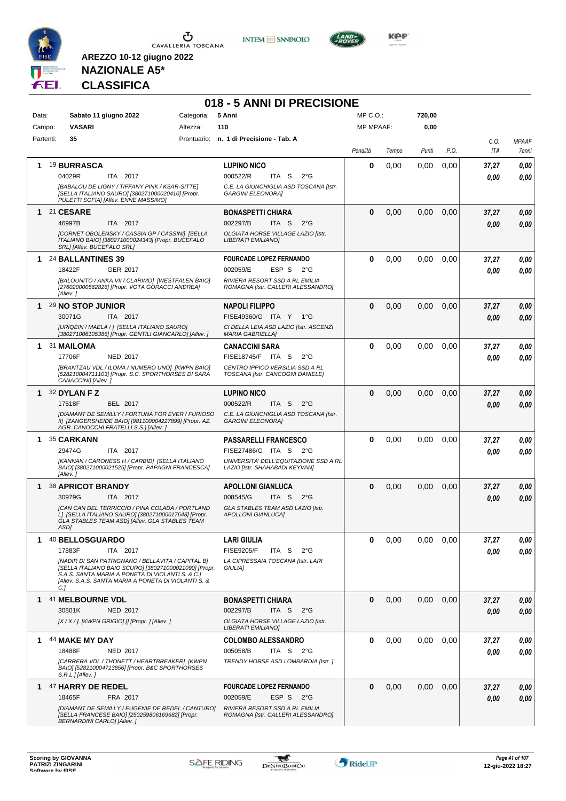

**INTESA M** SANPAOLO



## **NAZIONALE A5\* CLASSIFICA**

|           |                |                            |                                                                                                                                                                                                                        |                   | 018 - 5 ANNI DI PRECISIONE                                              |              |       |        |      |            |              |
|-----------|----------------|----------------------------|------------------------------------------------------------------------------------------------------------------------------------------------------------------------------------------------------------------------|-------------------|-------------------------------------------------------------------------|--------------|-------|--------|------|------------|--------------|
| Data:     |                |                            | Sabato 11 giugno 2022                                                                                                                                                                                                  | Categoria: 5 Anni |                                                                         | $MP C. O.$ : |       | 720,00 |      |            |              |
| Campo:    |                | <b>VASARI</b>              |                                                                                                                                                                                                                        | Altezza:          | 110                                                                     | MP MPAAF:    |       | 0,00   |      |            |              |
| Partenti: |                | 35                         |                                                                                                                                                                                                                        |                   | Prontuario: n. 1 di Precisione - Tab. A                                 |              |       |        |      | C.O.       | <b>MPAAF</b> |
|           |                |                            |                                                                                                                                                                                                                        |                   |                                                                         | Penalità     | Tempo | Punti  | P.O. | <b>ITA</b> | 7anni        |
| 1         |                | <b>19 BURRASCA</b>         |                                                                                                                                                                                                                        |                   | <b>LUPINO NICO</b>                                                      | 0            | 0,00  | 0,00   | 0,00 | 37,27      | 0,00         |
|           | 04029R         |                            | ITA 2017                                                                                                                                                                                                               |                   | 000522/R<br>ITA <sub>S</sub><br>$2^{\circ}G$                            |              |       |        |      | 0.00       | 0,00         |
|           |                |                            | [BABALOU DE LIGNY / TIFFANY PINK / KSAR-SITTE]<br>[SELLA ITALIANO SAURO] [380271000020410] [Propr.<br>PULETTI SOFIA] [Allev. ENNE MASSIMO]                                                                             |                   | C.E. LA GIUNCHIGLIA ASD TOSCANA [Istr.<br><b>GARGINI ELEONORA]</b>      |              |       |        |      |            |              |
|           | 1 21 CESARE    |                            |                                                                                                                                                                                                                        |                   | <b>BONASPETTI CHIARA</b>                                                | $\bf{0}$     | 0,00  | 0,00   | 0,00 | 37,27      | 0,00         |
|           | 46997B         |                            | ITA 2017                                                                                                                                                                                                               |                   | 002297/B<br>ITA S<br>$2^{\circ}G$                                       |              |       |        |      | 0.00       | 0,00         |
|           |                | SRL] [Allev. BUCEFALO SRL] | [CORNET OBOLENSKY / CASSIA GP / CASSINI] [SELLA<br>ITALIANO BAIO] [380271000024343] [Propr. BUCEFALO                                                                                                                   |                   | OLGIATA HORSE VILLAGE LAZIO [Istr.<br>LIBERATI EMILIANO]                |              |       |        |      |            |              |
|           |                | 1 24 BALLANTINES 39        |                                                                                                                                                                                                                        |                   | <b>FOURCADE LOPEZ FERNANDO</b>                                          | $\bf{0}$     | 0,00  | 0,00   | 0.00 | 37,27      | 0,00         |
|           | 18422F         |                            | <b>GER 2017</b>                                                                                                                                                                                                        |                   | 002059/E<br>ESP S<br>$2^{\circ}G$                                       |              |       |        |      | 0.00       | 0,00         |
|           | [Allev.]       |                            | [BALOUNITO / ANKA VII / CLARIMO] [WESTFALEN BAIO]<br>[276020000562826] [Propr. VOTA GORACCI ANDREA]                                                                                                                    |                   | RIVIERA RESORT SSD A RL EMILIA<br>ROMAGNA [Istr. CALLERI ALESSANDRO]    |              |       |        |      |            |              |
| 1         |                | 29 NO STOP JUNIOR          |                                                                                                                                                                                                                        |                   | <b>NAPOLI FILIPPO</b>                                                   | $\bf{0}$     | 0,00  | 0,00   | 0,00 | 37,27      | 0,00         |
|           | 30071G         |                            | ITA 2017                                                                                                                                                                                                               |                   | FISE49360/G ITA Y 1°G                                                   |              |       |        |      | 0.00       | 0,00         |
|           |                |                            | [URIQEIN / MAELA / ] [SELLA ITALIANO SAURO]<br>[380271006105386] [Propr. GENTILI GIANCARLO] [Allev. ]                                                                                                                  |                   | CI DELLA LEIA ASD LAZIO [Istr. ASCENZI<br><b>MARIA GABRIELLA]</b>       |              |       |        |      |            |              |
|           |                | 1 31 MAILOMA               |                                                                                                                                                                                                                        |                   | <b>CANACCINI SARA</b>                                                   | 0            | 0,00  | 0,00   | 0,00 | 37,27      | 0,00         |
|           | 17706F         |                            | <b>NED 2017</b>                                                                                                                                                                                                        |                   | FISE18745/F ITA S<br>$2^{\circ}$ G                                      |              |       |        |      | 0.00       | 0,00         |
|           |                | CANACCINI] [Allev.]        | [BRANTZAU VDL / ILOMA / NUMERO UNO] [KWPN BAIO]<br>[528210004711103] [Propr. S.C. SPORTHORSES DI SARA                                                                                                                  |                   | CENTRO IPPICO VERSILIA SSD A RL<br>TOSCANA [Istr. CANCOGNI DANIELE]     |              |       |        |      |            |              |
|           |                | 1 $32$ DYLAN F Z           |                                                                                                                                                                                                                        |                   | <b>LUPINO NICO</b>                                                      | $\bf{0}$     | 0,00  | 0,00   | 0,00 | 37,27      | 0,00         |
|           | 17518F         |                            | BEL 2017                                                                                                                                                                                                               |                   | 000522/R<br>ITA S<br>$2^{\circ}$ G                                      |              |       |        |      | 0.00       | 0,00         |
|           |                |                            | [DIAMANT DE SEMILLY / FORTUNA FOR EVER / FURIOSO<br>II] [ZANGERSHEIDE BAIO] [981100004227899] [Propr. AZ.<br>AGR. CANOCCHI FRATELLI S.S.] [Allev.]                                                                     |                   | C.E. LA GIUNCHIGLIA ASD TOSCANA [Istr.<br><b>GARGINI ELEONORA]</b>      |              |       |        |      |            |              |
| 1         |                | 35 CARKANN                 |                                                                                                                                                                                                                        |                   | <b>PASSARELLI FRANCESCO</b>                                             | $\bf{0}$     | 0,00  | 0,00   | 0,00 | 37,27      | 0,00         |
|           | 29474G         |                            | ITA 2017                                                                                                                                                                                                               |                   | FISE27486/G ITA S 2°G                                                   |              |       |        |      | 0.00       | 0,00         |
|           | [Allev.]       |                            | [KANNAN / CARONESS H / CARBID] [SELLA ITALIANO<br>BAIO] [380271000021525] [Propr. PAPAGNI FRANCESCA]                                                                                                                   |                   | UNIVERSITA' DELL'EQUITAZIONE SSD A RL<br>LAZIO [Istr. SHAHABADI KEYVAN] |              |       |        |      |            |              |
|           |                | 1 38 APRICOT BRANDY        |                                                                                                                                                                                                                        |                   | <b>APOLLONI GIANLUCA</b>                                                | 0            | 0,00  | 0,00   | 0,00 | 37,27      | 0,00         |
|           | 30979G         |                            | ITA 2017                                                                                                                                                                                                               |                   | 008545/G<br>ITA S<br>$2^{\circ}$ G                                      |              |       |        |      | 0.00       | 0,00         |
|           | ASD1           |                            | [CAN CAN DEL TERRICCIO / PINA COLADA / PORTLAND<br>L] [SELLA ITALIANO SAURO] [380271000017648] [Propr.<br>GLA STABLES TEAM ASDJ [Allev. GLA STABLES TEAM                                                               |                   | GLA STABLES TEAM ASD LAZIO [Istr.<br><b>APOLLONI GIANLUCAI</b>          |              |       |        |      |            |              |
| 1.        |                | 40 BELLOSGUARDO            |                                                                                                                                                                                                                        |                   | <b>LARI GIULIA</b>                                                      | $\bf{0}$     | 0,00  | 0,00   | 0,00 | 37,27      | 0,00         |
|           | 17883F         |                            | ITA 2017                                                                                                                                                                                                               |                   | <b>FISE9205/F</b><br>ITA S<br>$2^{\circ}G$                              |              |       |        |      | 0.00       | 0.00         |
|           | C <sub>1</sub> |                            | [NADIR DI SAN PATRIGNANO / BELLAVITA / CAPITAL B]<br>[SELLA ITALIANO BAIO SCURO] [380271000021090] [Propr.<br>S.A.S. SANTA MARIA A PONETA DI VIOLANTI S. & C.]<br>[Allev. S.A.S. SANTA MARIA A PONETA DI VIOLANTI S. & |                   | LA CIPRESSAIA TOSCANA [Istr. LARI<br>GIULIA]                            |              |       |        |      |            |              |
|           |                | 1 41 MELBOURNE VDL         |                                                                                                                                                                                                                        |                   | <b>BONASPETTI CHIARA</b>                                                | $\bf{0}$     | 0,00  | 0,00   | 0,00 | 37,27      | 0,00         |
|           | 30801K         |                            | <b>NED 2017</b>                                                                                                                                                                                                        |                   | 002297/B<br>ITA S<br>$2^{\circ}$ G                                      |              |       |        |      | 0.00       | 0,00         |
|           |                |                            | $[X/X$ / ] [KWPN GRIGIO] [] [Propr. ] [Allev. ]                                                                                                                                                                        |                   | OLGIATA HORSE VILLAGE LAZIO [Istr.<br>LIBERATI EMILIANO]                |              |       |        |      |            |              |
|           |                | 1 44 MAKE MY DAY           |                                                                                                                                                                                                                        |                   | <b>COLOMBO ALESSANDRO</b>                                               | $\bf{0}$     | 0,00  | 0,00   | 0.00 | 37,27      | 0,00         |
|           | 18488F         |                            | <b>NED 2017</b>                                                                                                                                                                                                        |                   | 005058/B<br>ITA S $2^{\circ}G$                                          |              |       |        |      | 0.00       | 0,00         |
|           |                | S.R.L.J[Allev.]            | [CARRERA VDL / THONETT / HEARTBREAKER] [KWPN<br>BAIO] [528210004713856] [Propr. B&C SPORTHORSES                                                                                                                        |                   | TRENDY HORSE ASD LOMBARDIA [Istr.]                                      |              |       |        |      |            |              |
|           |                | 1 47 HARRY DE REDEL        |                                                                                                                                                                                                                        |                   | <b>FOURCADE LOPEZ FERNANDO</b>                                          | $\bf{0}$     | 0,00  | 0,00   | 0,00 | 37,27      | 0,00         |
|           | 18465F         |                            | FRA 2017                                                                                                                                                                                                               |                   | 002059/E<br>ESP S<br>$2^{\circ}G$                                       |              |       |        |      | 0.00       | 0,00         |
|           |                | BERNARDINI CARLO] [Allev.] | [DIAMANT DE SEMILLY / EUGENIE DE REDEL / CANTURO]<br>[SELLA FRANCESE BAIO] [250259806169682] [Propr.                                                                                                                   |                   | RIVIERA RESORT SSD A RL EMILIA<br>ROMAGNA [Istr. CALLERI ALESSANDRO]    |              |       |        |      |            |              |

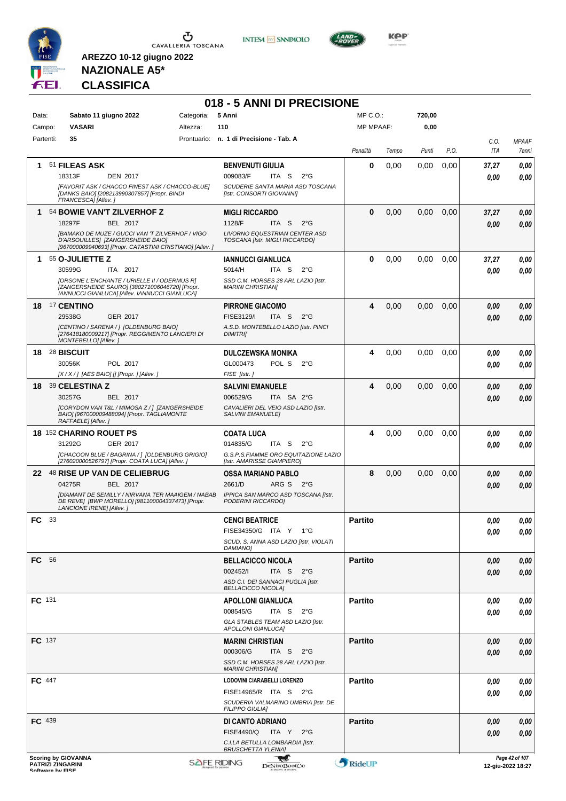





**KOP** 

## **NAZIONALE A5\* CLASSIFICA**

**AREZZO 10-12 giugno 2022**

#### **018 - 5 ANNI DI PRECISIONE**

| Data:<br>Campo: |    | <b>VASARI</b>                                          | Sabato 11 giugno 2022                                                                                                                           | Categoria:<br>Altezza: | 5 Anni<br>110                                                      |                        | MP C. O.<br><b>MP MPAAF:</b> |       | 720,00<br>0,00 |      |              |                                     |
|-----------------|----|--------------------------------------------------------|-------------------------------------------------------------------------------------------------------------------------------------------------|------------------------|--------------------------------------------------------------------|------------------------|------------------------------|-------|----------------|------|--------------|-------------------------------------|
| Partenti:       |    | 35                                                     |                                                                                                                                                 |                        | Prontuario: n. 1 di Precisione - Tab. A                            |                        | Penalità                     | Tempo | Punti          | P.O. | C.O.<br>ITA  | <b>MPAAF</b><br>7anni               |
|                 |    |                                                        |                                                                                                                                                 |                        |                                                                    |                        |                              |       |                |      |              |                                     |
| 1               |    | 51 FILEAS ASK                                          |                                                                                                                                                 |                        | <b>BENVENUTI GIULIA</b>                                            |                        | 0                            | 0,00  | 0,00           | 0,00 | 37,27        | 0,00                                |
|                 |    | 18313F                                                 | <b>DEN 2017</b>                                                                                                                                 |                        | 009083/F<br>ITA <sub>S</sub>                                       | $2^{\circ}$ G          |                              |       |                |      | 0.00         | 0,00                                |
|                 |    | FRANCESCA] [Allev.]                                    | [FAVORIT ASK / CHACCO FINEST ASK / CHACCO-BLUE]<br>[DANKS BAIO] [208213990307857] [Propr. BINDI                                                 |                        | SCUDERIE SANTA MARIA ASD TOSCANA<br>[Istr. CONSORTI GIOVANNI]      |                        |                              |       |                |      |              |                                     |
| 1               |    |                                                        | 54 BOWIE VAN'T ZILVERHOF Z                                                                                                                      |                        | <b>MIGLI RICCARDO</b>                                              |                        | $\bf{0}$                     | 0,00  | 0,00           | 0,00 | 37,27        | 0,00                                |
|                 |    | 18297F                                                 | BEL 2017                                                                                                                                        |                        | 1128/F<br>ITA S                                                    | $2^{\circ}$ G          |                              |       |                |      | 0,00         | 0,00                                |
|                 |    |                                                        | [BAMAKO DE MUZE / GUCCI VAN 'T ZILVERHOF / VIGO<br>D'ARSOUILLES] [ZANGERSHEIDE BAIO]<br>[967000009940693] [Propr. CATASTINI CRISTIANO] [Allev.] |                        | LIVORNO EQUESTRIAN CENTER ASD<br>TOSCANA [Istr. MIGLI RICCARDO]    |                        |                              |       |                |      |              |                                     |
| $\mathbf 1$     |    | 55 O-JULIETTE Z                                        |                                                                                                                                                 |                        | <b>IANNUCCI GIANLUCA</b>                                           |                        | $\bf{0}$                     | 0,00  | 0,00           | 0,00 | 37,27        | 0,00                                |
|                 |    | 30599G                                                 | ITA 2017                                                                                                                                        |                        | 5014/H<br>ITA S                                                    | $2^{\circ}$ G          |                              |       |                |      | 0.00         | 0,00                                |
|                 |    |                                                        | [ORSONE L'ENCHANTE / URIELLE II / ODERMUS R]<br>[ZANGERSHEIDE SAURO] [380271006046720] [Propr.<br>IANNUCCI GIANLUCA] [Allev. IANNUCCI GIANLUCA] |                        | SSD C.M. HORSES 28 ARL LAZIO [Istr.<br><b>MARINI CHRISTIANI</b>    |                        |                              |       |                |      |              |                                     |
|                 |    | 18 <sup>17</sup> CENTINO                               |                                                                                                                                                 |                        | <b>PIRRONE GIACOMO</b>                                             |                        | 4                            | 0,00  | 0,00           | 0,00 | 0.00         | 0,00                                |
|                 |    | 29538G                                                 | GER 2017                                                                                                                                        |                        | <b>FISE3129/I</b><br>ITA <sub>S</sub>                              | $2^{\circ}$ G          |                              |       |                |      | 0,00         | 0,00                                |
|                 |    | MONTEBELLO] [Allev.]                                   | [CENTINO / SARENA / ] [OLDENBURG BAIO]<br>[276418180009217] [Propr. REGGIMENTO LANCIERI DI                                                      |                        | A.S.D. MONTEBELLO LAZIO [Istr. PINCI<br><b>DIMITRI</b>             |                        |                              |       |                |      |              |                                     |
|                 |    | 18 28 BISCUIT                                          |                                                                                                                                                 |                        | <b>DULCZEWSKA MONIKA</b>                                           |                        | 4                            | 0,00  | 0,00           | 0.00 | 0.00         | 0,00                                |
|                 |    | 30056K                                                 | POL 2017                                                                                                                                        |                        | GL000473<br>POL S                                                  | $2^{\circ}G$           |                              |       |                |      | 0.00         | 0.00                                |
|                 |    |                                                        | [X / X / ] [AES BAIO] [] [Propr. ] [Allev. ]                                                                                                    |                        | FISE [Istr.]                                                       |                        |                              |       |                |      |              |                                     |
|                 |    | 18 39 CELESTINA Z                                      |                                                                                                                                                 |                        | <b>SALVINI EMANUELE</b>                                            |                        | 4                            | 0,00  | 0,00           | 0,00 | 0,00         | 0,00                                |
|                 |    | 30257G                                                 | BEL 2017                                                                                                                                        |                        | 006529/G                                                           | ITA SA 2°G             |                              |       |                |      | 0.00         | 0,00                                |
|                 |    | RAFFAELE] [Allev.]                                     | [CORYDON VAN T&L / MIMOSA Z / ] [ZANGERSHEIDE<br>BAIO] [967000009488094] [Propr. TAGLIAMONTE                                                    |                        | CAVALIERI DEL VEIO ASD LAZIO [Istr.<br><b>SALVINI EMANUELEI</b>    |                        |                              |       |                |      |              |                                     |
|                 |    | <b>18 152 CHARINO ROUET PS</b>                         |                                                                                                                                                 |                        | <b>COATA LUCA</b>                                                  |                        | 4                            | 0,00  | 0,00           | 0,00 | 0.00         | 0,00                                |
|                 |    | 31292G                                                 | GER 2017                                                                                                                                        |                        | 014835/G<br>ITA S                                                  | $2^{\circ}G$           |                              |       |                |      | 0.00         | 0,00                                |
|                 |    |                                                        | [CHACOON BLUE / BAGRINA / ] [OLDENBURG GRIGIO]<br>[276020000526797] [Propr. COATA LUCA] [Allev. ]                                               |                        | G.S.P.S.FIAMME ORO EQUITAZIONE LAZIO<br>[Istr. AMARISSE GIAMPIERO] |                        |                              |       |                |      |              |                                     |
|                 |    |                                                        | 22 48 RISE UP VAN DE CELIEBRUG                                                                                                                  |                        | <b>OSSA MARIANO PABLO</b>                                          |                        | 8                            | 0,00  | 0,00           | 0,00 | 0.00         | 0,00                                |
|                 |    | 04275R                                                 | <b>BEL 2017</b>                                                                                                                                 |                        | 2661/D                                                             | ARG S<br>$2^{\circ}$ G |                              |       |                |      | 0.00         | 0,00                                |
|                 |    | LANCIONE IRENE] [Allev.]                               | [DIAMANT DE SEMILLY / NIRVANA TER MAAIGEM / NABAB<br>DE REVEI [BWP MORELLO] [981100004337473] [Propr.                                           |                        | IPPICA SAN MARCO ASD TOSCANA [Istr.<br>PODERINI RICCARDO]          |                        |                              |       |                |      |              |                                     |
| FC              | 33 |                                                        |                                                                                                                                                 |                        | <b>CENCI BEATRICE</b>                                              |                        | <b>Partito</b>               |       |                |      | 0.00         | 0,00                                |
|                 |    |                                                        |                                                                                                                                                 |                        | FISE34350/G ITA Y                                                  | $1^{\circ}G$           |                              |       |                |      | 0,00         | $\pmb{0,\!00}$                      |
|                 |    |                                                        |                                                                                                                                                 |                        | SCUD. S. ANNA ASD LAZIO [Istr. VIOLATI<br>DAMIANO]                 |                        |                              |       |                |      |              |                                     |
| FC 56           |    |                                                        |                                                                                                                                                 |                        | <b>BELLACICCO NICOLA</b>                                           |                        | <b>Partito</b>               |       |                |      | 0.00         | 0,00                                |
|                 |    |                                                        |                                                                                                                                                 |                        | 002452/                                                            | ITA S $2^{\circ}G$     |                              |       |                |      | 0,00         | 0,00                                |
|                 |    |                                                        |                                                                                                                                                 |                        | ASD C.I. DEI SANNACI PUGLIA [Istr.<br><b>BELLACICCO NICOLA]</b>    |                        |                              |       |                |      |              |                                     |
| FC 131          |    |                                                        |                                                                                                                                                 |                        | <b>APOLLONI GIANLUCA</b>                                           |                        | <b>Partito</b>               |       |                |      | 0,00         | 0,00                                |
|                 |    |                                                        |                                                                                                                                                 |                        | 008545/G                                                           | ITA S<br>$2^{\circ}$ G |                              |       |                |      | 0,00         | 0,00                                |
|                 |    |                                                        |                                                                                                                                                 |                        | GLA STABLES TEAM ASD LAZIO [Istr.<br>APOLLONI GIANLUCAJ            |                        |                              |       |                |      |              |                                     |
| <b>FC</b> 137   |    |                                                        |                                                                                                                                                 |                        | <b>MARINI CHRISTIAN</b>                                            |                        | <b>Partito</b>               |       |                |      | 0,00         | 0,00                                |
|                 |    |                                                        |                                                                                                                                                 |                        | 000306/G                                                           | ITA S $2^{\circ}G$     |                              |       |                |      | 0,00         | 0,00                                |
|                 |    |                                                        |                                                                                                                                                 |                        | SSD C.M. HORSES 28 ARL LAZIO [Istr.<br><b>MARINI CHRISTIAN]</b>    |                        |                              |       |                |      |              |                                     |
| FC 447          |    |                                                        |                                                                                                                                                 |                        | LODOVINI CIARABELLI LORENZO                                        |                        | Partito                      |       |                |      |              |                                     |
|                 |    |                                                        |                                                                                                                                                 |                        | FISE14965/R ITA S 2°G                                              |                        |                              |       |                |      | 0.00<br>0.00 | 0,00                                |
|                 |    |                                                        |                                                                                                                                                 |                        | SCUDERIA VALMARINO UMBRIA [Istr. DE<br><b>FILIPPO GIULIA]</b>      |                        |                              |       |                |      |              | 0,00                                |
| FC 439          |    |                                                        |                                                                                                                                                 |                        | DI CANTO ADRIANO                                                   |                        | <b>Partito</b>               |       |                |      | 0,00         | 0,00                                |
|                 |    |                                                        |                                                                                                                                                 |                        | <b>FISE4490/Q</b><br>ITA Y                                         | $2^{\circ}$ G          |                              |       |                |      | 0,00         | 0,00                                |
|                 |    |                                                        |                                                                                                                                                 |                        | C.I.LA BETULLA LOMBARDIA [Istr.<br><b>BRUSCHETTA YLENIA]</b>       |                        |                              |       |                |      |              |                                     |
|                 |    | <b>Scoring by GIOVANNA</b><br><b>PATRIZI ZINGARINI</b> |                                                                                                                                                 |                        | <b>SAFE RIDING</b>                                                 | w<br>DeNiroBoot('o     | RideUP                       |       |                |      |              | Page 42 of 107<br>12-aiu-2022 18:27 |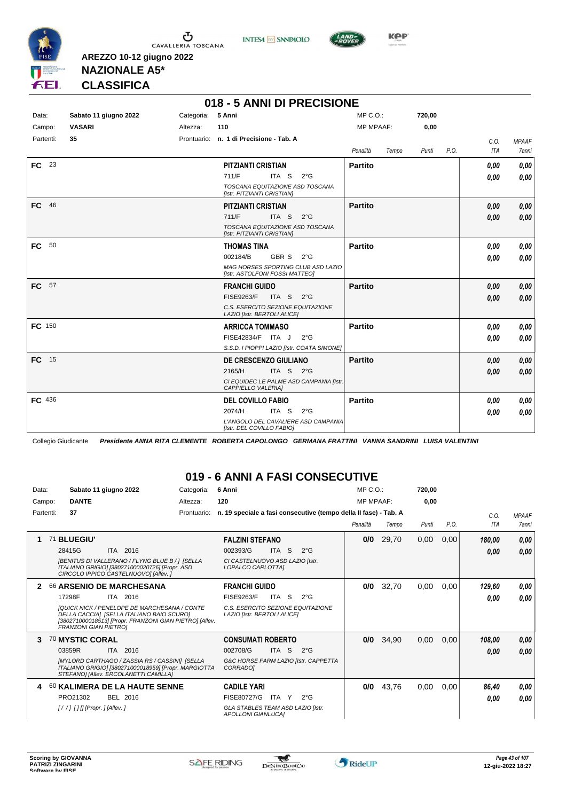





**Kep** 

#### **NAZIONALE A5\* CLASSIFICA**

**AREZZO 10-12 giugno 2022**

|               |                       |            | 018 - 5 ANNI DI PRECISIONE                                           |                  |       |        |      |            |              |
|---------------|-----------------------|------------|----------------------------------------------------------------------|------------------|-------|--------|------|------------|--------------|
| Data:         | Sabato 11 giugno 2022 | Categoria: | 5 Anni                                                               | $MP C. O.$ :     |       | 720,00 |      |            |              |
| Campo:        | <b>VASARI</b>         | Altezza:   | 110                                                                  | <b>MP MPAAF:</b> |       | 0,00   |      |            |              |
| Partenti:     | 35                    |            | Prontuario: n. 1 di Precisione - Tab. A                              |                  |       |        |      | C.O.       | <b>MPAAF</b> |
|               |                       |            |                                                                      | Penalità         | Tempo | Punti  | P.O. | <b>ITA</b> | 7anni        |
| FC 23         |                       |            | <b>PITZIANTI CRISTIAN</b>                                            | <b>Partito</b>   |       |        |      | 0.00       | 0.00         |
|               |                       |            | 711/F<br>ITA S<br>$2^{\circ}G$                                       |                  |       |        |      | 0.00       | 0.00         |
|               |                       |            | TOSCANA EQUITAZIONE ASD TOSCANA<br>[Istr. PITZIANTI CRISTIAN]        |                  |       |        |      |            |              |
| FC 46         |                       |            | <b>PITZIANTI CRISTIAN</b>                                            | <b>Partito</b>   |       |        |      | 0,00       | 0,00         |
|               |                       |            | 711/F<br>ITA S<br>$2^{\circ}$ G                                      |                  |       |        |      | 0,00       | 0,00         |
|               |                       |            | TOSCANA EQUITAZIONE ASD TOSCANA<br>[Istr. PITZIANTI CRISTIAN]        |                  |       |        |      |            |              |
| FC 50         |                       |            | <b>THOMAS TINA</b>                                                   | <b>Partito</b>   |       |        |      | 0.00       | 0.00         |
|               |                       |            | GBR S<br>002184/B<br>$2^{\circ}$ G                                   |                  |       |        |      | 0,00       | 0.00         |
|               |                       |            | MAG HORSES SPORTING CLUB ASD LAZIO<br>[Istr. ASTOLFONI FOSSI MATTEO] |                  |       |        |      |            |              |
| FC 57         |                       |            | <b>FRANCHI GUIDO</b>                                                 | <b>Partito</b>   |       |        |      | 0,00       | 0,00         |
|               |                       |            | <b>FISE9263/F</b><br>ITA S $2^{\circ}G$                              |                  |       |        |      | 0,00       | 0.00         |
|               |                       |            | C.S. ESERCITO SEZIONE EQUITAZIONE<br>LAZIO [Istr. BERTOLI ALICE]     |                  |       |        |      |            |              |
| <b>FC</b> 150 |                       |            | <b>ARRICCA TOMMASO</b>                                               | <b>Partito</b>   |       |        |      | 0.00       | 0.00         |
|               |                       |            | FISE42834/F ITA J<br>$2^{\circ}$ G                                   |                  |       |        |      | 0.00       | 0.00         |
|               |                       |            | S.S.D. I PIOPPI LAZIO [Istr. COATA SIMONE]                           |                  |       |        |      |            |              |
| FC 15         |                       |            | <b>DE CRESCENZO GIULIANO</b>                                         | <b>Partito</b>   |       |        |      | 0,00       | 0.00         |
|               |                       |            | 2165/H<br>ITA S $2^{\circ}G$                                         |                  |       |        |      | 0,00       | 0.00         |
|               |                       |            | CI EQUIDEC LE PALME ASD CAMPANIA [Istr.<br>CAPPIELLO VALERIA]        |                  |       |        |      |            |              |
| FC 436        |                       |            | <b>DEL COVILLO FABIO</b>                                             | <b>Partito</b>   |       |        |      | 0.00       | 0,00         |
|               |                       |            | ITA S<br>2074/H<br>$2^{\circ}$ G                                     |                  |       |        |      | 0,00       | 0,00         |
|               |                       |            | L'ANGOLO DEL CAVALIERE ASD CAMPANIA<br>[Istr. DEL COVILLO FABIO]     |                  |       |        |      |            |              |

Collegio Giudicante *Presidente ANNA RITA CLEMENTE ROBERTA CAPOLONGO GERMANA FRATTINI VANNA SANDRINI LUISA VALENTINI*

#### **019 - 6 ANNI A FASI CONSECUTIVE**

| Data:<br>Campo: | Sabato 11 giugno 2022<br><b>DANTE</b>                                                                                                                                                                                                  | Categoria:<br>Altezza: | 6 Anni<br>120                                                                                                                    | $MP C. O.$ :<br><b>MP MPAAF:</b> |       | 720,00<br>0,00 |      |                    |                              |
|-----------------|----------------------------------------------------------------------------------------------------------------------------------------------------------------------------------------------------------------------------------------|------------------------|----------------------------------------------------------------------------------------------------------------------------------|----------------------------------|-------|----------------|------|--------------------|------------------------------|
| Partenti:       | 37                                                                                                                                                                                                                                     | Prontuario:            | n. 19 speciale a fasi consecutive (tempo della II fase) - Tab. A                                                                 | Penalità                         | Tempo | Punti          | P.O. | C.O.<br><b>ITA</b> | <b>MPAAF</b><br><b>7anni</b> |
|                 | 71 BLUEGIU'<br>ITA 2016<br>28415G<br><b>IBENITUS DI VALLERANO / FLYNG BLUE B / 1 ISELLA</b><br>ITALIANO GRIGIO] [380271000020726] [Propr. ASD<br>CIRCOLO IPPICO CASTELNUOVO] [Allev.]                                                  |                        | <b>FALZINI STEFANO</b><br>ITA S<br>002393/G<br>$2^{\circ}$ G<br>CI CASTELNUOVO ASD LAZIO [Istr.<br>LOPALCO CARLOTTA]             | 0/0                              | 29,70 | 0,00           | 0,00 | 180,00<br>0.00     | 0,00<br>0,00                 |
| 2               | <b>66 ARSENIO DE MARCHESANA</b><br>17298F<br>ITA 2016<br>[QUICK NICK / PENELOPE DE MARCHESANA / CONTE<br>DELLA CACCIA] [SELLA ITALIANO BAIO SCURO]<br>[380271000018513] [Propr. FRANZONI GIAN PIETRO] [Allev.<br>FRANZONI GIAN PIETROJ |                        | <b>FRANCHI GUIDO</b><br>FISE9263/F<br>ITA S<br>$2^{\circ}$ G<br>C.S. ESERCITO SEZIONE EQUITAZIONE<br>LAZIO [Istr. BERTOLI ALICE] | 0/0                              | 32,70 | 0,00           | 0,00 | 129,60<br>0.00     | 0,00<br>0.00                 |
| 3               | 70 MYSTIC CORAL<br>03859R<br>ITA 2016<br><b>IMYLORD CARTHAGO / ZASSIA RS / CASSINII ISELLA</b><br>ITALIANO GRIGIO] [380271000018959] [Propr. MARGIOTTA<br>STEFANO] [Allev. ERCOLANETTI CAMILLA]                                        |                        | <b>CONSUMATI ROBERTO</b><br>ITA S<br>$2^{\circ}$ G<br>002708/G<br>G&C HORSE FARM LAZIO [Istr. CAPPETTA<br><b>CORRADOI</b>        | 0/0                              | 34,90 | 0,00           | 0,00 | 108,00<br>0.00     | 0,00<br>0.00                 |
|                 | 60 KALIMERA DE LA HAUTE SENNE<br>BEL 2016<br>PRO21302                                                                                                                                                                                  |                        | <b>CADILE YARI</b><br>FISE80727/G<br>ITA Y<br>$2^{\circ}$ G<br>GLA STABLES TEAM ASD LAZIO [Istr.<br><b>APOLLONI GIANLUCAI</b>    | 0/0                              | 43,76 | 0,00           | 0,00 | 86,40<br>0.00      | 0,00<br>0.00                 |

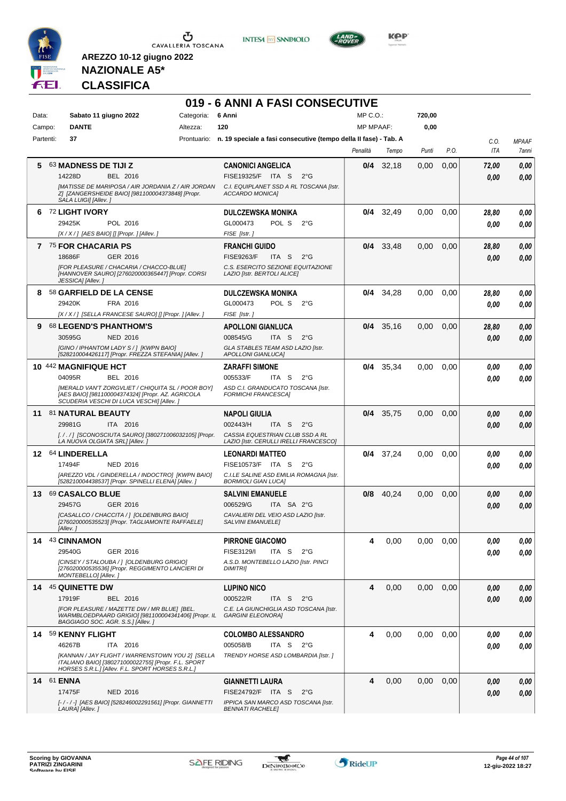

**INTESA M** SANPAOLO



**Kep** 

## **NAZIONALE A5\* CLASSIFICA**

|           |                   |                                                                                                                                                             |            | 019 - 6 ANNI A FASI CONSECUTIVE                                              |                  |             |        |      |       |              |
|-----------|-------------------|-------------------------------------------------------------------------------------------------------------------------------------------------------------|------------|------------------------------------------------------------------------------|------------------|-------------|--------|------|-------|--------------|
| Data:     |                   | Sabato 11 giugno 2022                                                                                                                                       | Categoria: | 6 Anni                                                                       | MP C.O.          |             | 720,00 |      |       |              |
| Campo:    |                   | <b>DANTE</b>                                                                                                                                                | Altezza:   | 120                                                                          | <b>MP MPAAF:</b> |             | 0,00   |      |       |              |
| Partenti: |                   | 37                                                                                                                                                          |            | Prontuario: n. 19 speciale a fasi consecutive (tempo della II fase) - Tab. A |                  |             |        |      | C.O.  | <b>MPAAF</b> |
|           |                   |                                                                                                                                                             |            |                                                                              | Penalità         | Tempo       | Punti  | P.O. | ITA   | 7anni        |
| 5.        |                   | 63 MADNESS DE TIJI Z                                                                                                                                        |            | <b>CANONICI ANGELICA</b>                                                     | 0/4              | 32,18       | 0,00   | 0,00 | 72,00 | 0,00         |
|           |                   | 14228D<br>BEL 2016                                                                                                                                          |            | FISE19325/F ITA S<br>$2^{\circ}G$                                            |                  |             |        |      | 0.00  | 0,00         |
|           |                   | [MATISSE DE MARIPOSA / AIR JORDANIA Z / AIR JORDAN                                                                                                          |            | C.I. EQUIPLANET SSD A RL TOSCANA [Istr.                                      |                  |             |        |      |       |              |
|           |                   | Z] [ZANGERSHEIDE BAIO] [981100004373848] [Propr.<br>SALA LUIGI] [Allev.]                                                                                    |            | ACCARDO MONICA]                                                              |                  |             |        |      |       |              |
| 6.        |                   | <b>72 LIGHT IVORY</b>                                                                                                                                       |            | <b>DULCZEWSKA MONIKA</b>                                                     |                  | $0/4$ 32,49 | 0.00   | 0.00 | 28,80 | 0,00         |
|           |                   | 29425K<br>POL 2016                                                                                                                                          |            | GL000473<br>POL S<br>$2^{\circ}G$                                            |                  |             |        |      | 0.00  | 0,00         |
|           |                   | [X / X / ] [AES BAIO] [] [Propr. ] [Allev. ]                                                                                                                |            | FISE [Istr.]                                                                 |                  |             |        |      |       |              |
|           |                   | 7 75 FOR CHACARIA PS                                                                                                                                        |            | <b>FRANCHI GUIDO</b>                                                         | 0/4              | 33,48       | 0.00   | 0,00 | 28,80 | 0,00         |
|           |                   | 18686F<br>GER 2016                                                                                                                                          |            | <b>FISE9263/F</b><br>ITA S<br>$2^{\circ}G$                                   |                  |             |        |      | 0.00  | 0,00         |
|           |                   | [FOR PLEASURE / CHACARIA / CHACCO-BLUE]                                                                                                                     |            | C.S. ESERCITO SEZIONE EQUITAZIONE                                            |                  |             |        |      |       |              |
|           |                   | [HANNOVER SAURO] [276020000365447] [Propr. CORSI<br>JESSICA] [Allev.]                                                                                       |            | LAZIO [Istr. BERTOLI ALICE]                                                  |                  |             |        |      |       |              |
|           |                   | 8 58 GARFIELD DE LA CENSE                                                                                                                                   |            | <b>DULCZEWSKA MONIKA</b>                                                     |                  | $0/4$ 34,28 | 0,00   | 0,00 | 28,80 | 0,00         |
|           |                   | 29420K<br>FRA 2016                                                                                                                                          |            | GL000473<br>POL S<br>$2^{\circ}$ G                                           |                  |             |        |      | 0.00  | 0,00         |
|           |                   | [X / X / ] [SELLA FRANCESE SAURO] [] [Propr. ] [Allev. ]                                                                                                    |            | FISE [Istr.]                                                                 |                  |             |        |      |       |              |
| 9         |                   | <b>68 LEGEND'S PHANTHOM'S</b>                                                                                                                               |            | <b>APOLLONI GIANLUCA</b>                                                     | 0/4              | 35,16       | 0.00   | 0.00 | 28,80 | 0,00         |
|           |                   | 30595G<br><b>NED 2016</b>                                                                                                                                   |            | 008545/G<br>ITA <sub>S</sub><br>$2^{\circ}G$                                 |                  |             |        |      | 0.00  | 0.00         |
|           |                   | <b>IGINO / IPHANTOM LADY S / 1 [KWPN BAIO]</b><br>[528210004426117] [Propr. FREZZA STEFANIA] [Allev.]                                                       |            | GLA STABLES TEAM ASD LAZIO [Istr.<br><b>APOLLONI GIANLUCA]</b>               |                  |             |        |      |       |              |
|           |                   |                                                                                                                                                             |            |                                                                              | 0/4              |             |        |      |       |              |
|           |                   | 10 442 MAGNIFIQUE HCT<br>04095R<br>BEL 2016                                                                                                                 |            | <b>ZARAFFI SIMONE</b><br>005533/F<br>ITA S<br>$2^{\circ}G$                   |                  | 35,34       | 0,00   | 0,00 | 0.00  | 0,00         |
|           |                   | <b>IMERALD VAN'T ZORGVLIET / CHIQUITA SL / POOR BOY]</b>                                                                                                    |            | ASD C.I. GRANDUCATO TOSCANA [Istr.                                           |                  |             |        |      | 0.00  | 0.00         |
|           |                   | [AES BAIO] [981100004374324] [Propr. AZ. AGRICOLA<br>SCUDERIA VESCHI DI LUCA VESCHI] [Allev. ]                                                              |            | <b>FORMICHI FRANCESCA]</b>                                                   |                  |             |        |      |       |              |
| 11        |                   | 81 NATURAL BEAUTY                                                                                                                                           |            | <b>NAPOLI GIULIA</b>                                                         |                  | $0/4$ 35,75 | 0,00   | 0,00 | 0,00  | 0,00         |
|           |                   | 29981G<br>ITA 2016                                                                                                                                          |            | 002443/H<br>ITA S<br>$2^{\circ}G$                                            |                  |             |        |      | 0.00  | 0,00         |
|           |                   | [././] [SCONOSCIUTA SAURO] [380271006032105] [Propr.<br>LA NUOVA OLGIATA SRL] [Allev.]                                                                      |            | CASSIA EQUESTRIAN CLUB SSD A RL<br>LAZIO [Istr. CERULLI IRELLI FRANCESCO]    |                  |             |        |      |       |              |
|           |                   | 12 64 LINDERELLA                                                                                                                                            |            | <b>LEONARDI MATTEO</b>                                                       |                  | $0/4$ 37,24 | 0,00   | 0,00 | 0,00  | 0,00         |
|           |                   | 17494F<br><b>NED 2016</b>                                                                                                                                   |            | FISE10573/F ITA S<br>$2^{\circ}G$                                            |                  |             |        |      | 0.00  | 0.00         |
|           |                   | <b>IAREZZO VDL / GINDERELLA / INDOCTRO1 IKWPN BAIO1</b>                                                                                                     |            | C.I.LE SALINE ASD EMILIA ROMAGNA [Istr.                                      |                  |             |        |      |       |              |
|           |                   | [528210004438537] [Propr. SPINELLI ELENA] [Allev.]                                                                                                          |            | <b>BORMIOLI GIAN LUCAI</b>                                                   |                  |             |        |      |       |              |
|           |                   | 13 69 CASALCO BLUE                                                                                                                                          |            | <b>SALVINI EMANUELE</b>                                                      | 0/8              | 40,24       | 0,00   | 0,00 | 0.00  | 0,00         |
|           |                   | 29457G<br>GER 2016                                                                                                                                          |            | 006529/G<br>ITA SA 2°G                                                       |                  |             |        |      | 0.00  | 0.00         |
|           |                   | [CASALLCO / CHACCITA / ] [OLDENBURG BAIO]<br>[276020000535523] [Propr. TAGLIAMONTE RAFFAELE]                                                                |            | CAVALIERI DEL VEIO ASD LAZIO [Istr.<br>SALVINI EMANUELE]                     |                  |             |        |      |       |              |
|           |                   | [Allev.]                                                                                                                                                    |            |                                                                              |                  |             |        |      |       |              |
|           |                   | 14 43 CINNAMON                                                                                                                                              |            | <b>PIRRONE GIACOMO</b>                                                       | 4                | 0,00        | 0.00   | 0,00 | 0,00  | 0,00         |
|           |                   | 29540G<br>GER 2016                                                                                                                                          |            | FISE3129/I<br>ITA S<br>$2^{\circ}G$                                          |                  |             |        |      | 0.00  | 0,00         |
|           |                   | [CINSEY / STALOUBA / ] [OLDENBURG GRIGIO]<br>[276020000535536] [Propr. REGGIMENTO LANCIERI DI                                                               |            | A.S.D. MONTEBELLO LAZIO [Istr. PINCI<br><b>DIMITRI</b>                       |                  |             |        |      |       |              |
|           |                   | MONTEBELLO] [Allev.]                                                                                                                                        |            |                                                                              |                  |             |        |      |       |              |
|           |                   | 14 45 QUINETTE DW                                                                                                                                           |            | <b>LUPINO NICO</b>                                                           | 4                | 0,00        | 0.00   | 0,00 | 0,00  | 0,00         |
|           |                   | 17919F<br>BEL 2016                                                                                                                                          |            | 000522/R<br>ITA S<br>$2^{\circ}$ G                                           |                  |             |        |      | 0,00  | 0,00         |
|           |                   | [FOR PLEASURE / MAZETTE DW / MR BLUE] [BEL.<br>WARMBLOEDPAARD GRIGIO] [981100004341406] [Propr. IL<br>BAGGIAGO SOC. AGR. S.S.] [Allev.]                     |            | C.E. LA GIUNCHIGLIA ASD TOSCANA [Istr.<br><b>GARGINI ELEONORA]</b>           |                  |             |        |      |       |              |
|           |                   | 14 59 KENNY FLIGHT                                                                                                                                          |            | <b>COLOMBO ALESSANDRO</b>                                                    | 4                | 0,00        | 0.00   | 0,00 | 0,00  | 0,00         |
|           |                   | 46267B<br>ITA 2016                                                                                                                                          |            | 005058/B<br>ITA S $2^{\circ}G$                                               |                  |             |        |      | 0,00  | 0,00         |
|           |                   | [KANNAN / JAY FLIGHT / WARRENSTOWN YOU 2] [SELLA<br>ITALIANO BAIO] [380271000022755] [Propr. F.L. SPORT<br>HORSES S.R.L.] [Allev. F.L. SPORT HORSES S.R.L.] |            | TRENDY HORSE ASD LOMBARDIA [Istr.]                                           |                  |             |        |      |       |              |
|           | <b>14 61 ENNA</b> |                                                                                                                                                             |            | <b>GIANNETTI LAURA</b>                                                       | 4                | 0,00        | 0.00   | 0,00 | 0,00  | 0,00         |
|           |                   | 17475F<br><b>NED 2016</b>                                                                                                                                   |            | FISE24792/F ITA S<br>$2^{\circ}G$                                            |                  |             |        |      | 0,00  | 0,00         |
|           |                   | [-/-/-] [AES BAIO] [528246002291561] [Propr. GIANNETTI                                                                                                      |            | IPPICA SAN MARCO ASD TOSCANA [Istr.                                          |                  |             |        |      |       |              |
|           |                   | LAURA] [Allev.]                                                                                                                                             |            | <b>BENNATI RACHELE]</b>                                                      |                  |             |        |      |       |              |

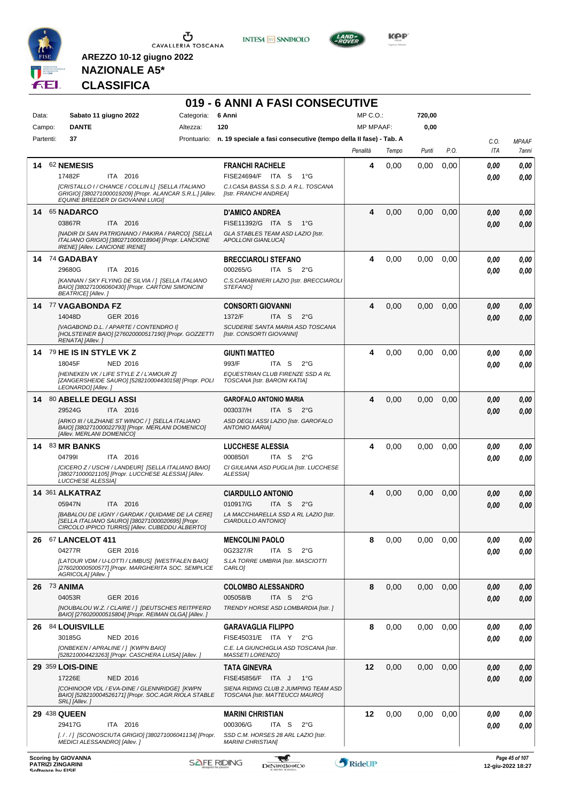

**INTESA M** SANPAOLO



**KOP** 

## **NAZIONALE A5\* CLASSIFICA**

|              |                                                                                                                                                         |                 |            |                                                                              | 019 - 6 ANNI A FASI CONSECUTIVE  |       |        |      |             |              |
|--------------|---------------------------------------------------------------------------------------------------------------------------------------------------------|-----------------|------------|------------------------------------------------------------------------------|----------------------------------|-------|--------|------|-------------|--------------|
| Data:        | Sabato 11 giugno 2022<br><b>DANTE</b>                                                                                                                   |                 | Categoria: | 6 Anni<br>120                                                                | $MP C. O.$ :<br><b>MP MPAAF:</b> |       | 720,00 |      |             |              |
| Campo:       |                                                                                                                                                         |                 | Altezza:   |                                                                              |                                  |       | 0,00   |      |             |              |
| Partenti:    | 37                                                                                                                                                      |                 |            | Prontuario: n. 19 speciale a fasi consecutive (tempo della II fase) - Tab. A |                                  |       |        | P.O. | C.O.<br>ITA | <b>MPAAF</b> |
|              |                                                                                                                                                         |                 |            |                                                                              | Penalità                         | Tempo | Punti  |      |             | 7anni        |
| 14           | <b>62 NEMESIS</b>                                                                                                                                       |                 |            | <b>FRANCHI RACHELE</b>                                                       | 4                                | 0,00  | 0,00   | 0,00 | 0,00        | 0,00         |
|              | 17482F<br>[CRISTALLO I / CHANCE / COLLIN L] [SELLA ITALIANO                                                                                             | ITA 2016        |            | FISE24694/F ITA S<br>$1^{\circ}G$<br>C.I.CASA BASSA S.S.D. A R.L. TOSCANA    |                                  |       |        |      | 0.00        | 0.00         |
|              | GRIGIO] [380271000019209] [Propr. ALANCAR S.R.L.] [Allev.<br>EQUINE BREEDER DI GIOVANNI LUIGII                                                          |                 |            | [Istr. FRANCHI ANDREA]                                                       |                                  |       |        |      |             |              |
|              | 14 65 NADARCO                                                                                                                                           |                 |            | <b>D'AMICO ANDREA</b>                                                        | 4                                | 0,00  | 0,00   | 0,00 | 0,00        | 0,00         |
|              | 03867R<br>[NADIR DI SAN PATRIGNANO / PAKIRA / PARCO] [SELLA                                                                                             | ITA 2016        |            | FISE11392/G ITA S<br>$1^{\circ}G$<br>GLA STABLES TEAM ASD LAZIO [Istr.       |                                  |       |        |      | 0,00        | 0,00         |
|              | ITALIANO GRIGIO] [380271000018904] [Propr. LANCIONE<br><b>IRENE] [Allev. LANCIONE IRENE]</b>                                                            |                 |            | <b>APOLLONI GIANLUCAJ</b>                                                    |                                  |       |        |      |             |              |
|              | 14 74 GADABAY                                                                                                                                           |                 |            | <b>BRECCIAROLI STEFANO</b>                                                   | 4                                | 0,00  | 0.00   | 0.00 | 0,00        | 0.00         |
|              | 29680G                                                                                                                                                  | ITA 2016        |            | 000265/G<br>ITA S<br>$2^{\circ}G$                                            |                                  |       |        |      | 0.00        | 0.00         |
|              | [KANNAN / SKY FLYING DE SILVIA /] [SELLA ITALIANO<br>BAIO] [380271006060430] [Propr. CARTONI SIMONCINI<br><b>BEATRICE]</b> [Allev.]                     |                 |            | C.S.CARABINIERI LAZIO [Istr. BRECCIAROLI<br><b>STEFANOI</b>                  |                                  |       |        |      |             |              |
|              | 14 77 VAGABONDA FZ                                                                                                                                      |                 |            | <b>CONSORTI GIOVANNI</b>                                                     | 4                                | 0,00  | 0,00   | 0,00 | 0,00        | 0,00         |
|              | 14048D                                                                                                                                                  | GER 2016        |            | 1372/F<br>ITA <sub>S</sub><br>$2^{\circ}$ G                                  |                                  |       |        |      | 0.00        | 0,00         |
|              | [VAGABOND D.L. / APARTE / CONTENDRO I]<br>[HOLSTEINER BAIO] [276020000517190] [Propr. GOZZETTI<br>RENATA] [Allev.]                                      |                 |            | SCUDERIE SANTA MARIA ASD TOSCANA<br>[Istr. CONSORTI GIOVANNI]                |                                  |       |        |      |             |              |
|              | 14 79 HE IS IN STYLE VK Z                                                                                                                               |                 |            | <b>GIUNTI MATTEO</b>                                                         | 4                                | 0,00  | 0,00   | 0,00 | 0,00        | 0,00         |
|              | 18045F                                                                                                                                                  | NED 2016        |            | 993/F<br>ITA S<br>$2^{\circ}$ G                                              |                                  |       |        |      | 0.00        | 0.00         |
|              | [HEINEKEN VK / LIFE STYLE Z / L'AMOUR Z]<br>[ZANGERSHEIDE SAURO] [528210004430158] [Propr. POLI<br>LEONARDO] [Allev.]                                   |                 |            | EQUESTRIAN CLUB FIRENZE SSD A RL<br>TOSCANA [Istr. BARONI KATIA]             |                                  |       |        |      |             |              |
|              | 14 80 ABELLE DEGLI ASSI                                                                                                                                 |                 |            | <b>GAROFALO ANTONIO MARIA</b>                                                | 4                                | 0,00  | 0,00   | 0,00 | 0,00        | 0,00         |
|              | 29524G                                                                                                                                                  | ITA 2016        |            | 003037/H<br>ITA S 2°G                                                        |                                  |       |        |      | 0.00        | 0.00         |
|              | [ARKO III / ULZHANE ST WINOC / ] [SELLA ITALIANO<br>BAIO] [380271000022793] [Propr. MERLANI DOMENICO]<br>[Allev. MERLANI DOMENICO]                      |                 |            | ASD DEGLI ASSI LAZIO [Istr. GAROFALO<br><b>ANTONIO MARIAI</b>                |                                  |       |        |      |             |              |
|              | <b>14 83 MR BANKS</b><br>047991                                                                                                                         |                 |            | <b>LUCCHESE ALESSIA</b><br>000850/I<br>ITA S<br>$2^{\circ}$ G                | 4                                | 0,00  | 0,00   | 0.00 | 0,00        | 0,00         |
|              | [CICERO Z / USCHI / LANDEUR] [SELLA ITALIANO BAIO]                                                                                                      | ITA 2016        |            | CI GIULIANA ASD PUGLIA [Istr. LUCCHESE                                       |                                  |       |        |      | 0,00        | 0.00         |
|              | [380271000021105] [Propr. LUCCHESE ALESSIA] [Allev.<br>LUCCHESE ALESSIAI                                                                                |                 |            | ALESSIA]                                                                     |                                  |       |        |      |             |              |
|              | 14 361 ALKATRAZ                                                                                                                                         |                 |            | <b>CIARDULLO ANTONIO</b>                                                     | 4                                | 0,00  | 0,00   | 0,00 | 0,00        | 0,00         |
|              | 05947N                                                                                                                                                  | ITA 2016        |            | 010917/G<br>ITA <sub>S</sub><br>$2^{\circ}$ G                                |                                  |       |        |      | 0.00        | 0,00         |
|              | [BABALOU DE LIGNY / GARDAK / QUIDAME DE LA CERE]<br>[SELLA ITALIANO SAURO] [380271000020695] [Propr.<br>CIRCOLO IPPICO TURRIS] [Allev. CUBEDDU ALBERTO] |                 |            | LA MACCHIARELLA SSD A RL LAZIO [Istr.<br>CIARDULLO ANTONIO]                  |                                  |       |        |      |             |              |
|              | 26 67 LANCELOT 411                                                                                                                                      |                 |            | <b>MENCOLINI PAOLO</b>                                                       | 8                                | 0,00  | 0,00   | 0,00 | 0,00        | 0,00         |
|              | 04277R                                                                                                                                                  | GER 2016        |            | 0G2327/R<br>ITA S<br>$2^{\circ}G$                                            |                                  |       |        |      | 0,00        | 0.00         |
|              | [LATOUR VDM / U-LOTTI / LIMBUS] [WESTFALEN BAIO]<br>[276020000500577] [Propr. MARGHERITA SOC. SEMPLICE<br>AGRICOLA] [Allev.]                            |                 |            | S.LA TORRE UMBRIA [Istr. MASCIOTTI<br>CARLO]                                 |                                  |       |        |      |             |              |
| 26 73 ANIMA  |                                                                                                                                                         |                 |            | <b>COLOMBO ALESSANDRO</b>                                                    | 8                                | 0,00  | 0,00   | 0,00 | 0,00        | 0,00         |
|              | 04053R                                                                                                                                                  | GER 2016        |            | ITA S 2°G<br>005058/B                                                        |                                  |       |        |      | 0,00        | 0,00         |
|              | [NOUBALOU W.Z. / CLAIRE / ] [DEUTSCHES REITPFERD<br>BAIO] [276020000515804] [Propr. REIMAN OLGA] [Allev. ]                                              |                 |            | TRENDY HORSE ASD LOMBARDIA [Istr.]                                           |                                  |       |        |      |             |              |
|              | 26 84 LOUISVILLE                                                                                                                                        |                 |            | <b>GARAVAGLIA FILIPPO</b>                                                    | 8                                | 0,00  | 0,00   | 0,00 | 0,00        | 0,00         |
|              | 30185G                                                                                                                                                  | <b>NED 2016</b> |            | FISE45031/E ITA Y<br>$2^{\circ}G$                                            |                                  |       |        |      | 0.00        | 0,00         |
|              | [ONBEKEN / APRALINE / ] [KWPN BAIO]<br>[528210004423263] [Propr. CASCHERA LUISA] [Allev. ]                                                              |                 |            | C.E. LA GIUNCHIGLIA ASD TOSCANA [Istr.<br>MASSETI LORENZOJ                   |                                  |       |        |      |             |              |
|              | 29 359 LOIS-DINE                                                                                                                                        |                 |            | <b>TATA GINEVRA</b>                                                          | 12                               | 0,00  | 0,00   | 0,00 | 0,00        | 0,00         |
|              | 17226E                                                                                                                                                  | <b>NED 2016</b> |            | FISE45856/F ITA J<br>$1^{\circ}G$                                            |                                  |       |        |      | 0,00        | 0,00         |
|              | [COHINOOR VDL / EVA-DINE / GLENNRIDGE] [KWPN<br>BAIO] [528210004526171] [Propr. SOC.AGR.RIOLA STABLE<br>SRL] [Allev.]                                   |                 |            | SIENA RIDING CLUB 2 JUMPING TEAM ASD<br>TOSCANA [Istr. MATTEUCCI MAURO]      |                                  |       |        |      |             |              |
| 29 438 QUEEN |                                                                                                                                                         |                 |            | <b>MARINI CHRISTIAN</b>                                                      | 12                               | 0,00  | 0,00   | 0,00 | 0,00        | 0,00         |
|              | 29417G                                                                                                                                                  | ITA 2016        |            | 000306/G<br>ITA S<br>$2^{\circ}G$                                            |                                  |       |        |      | 0,00        | 0.00         |
|              | [././] [SCONOSCIUTA GRIGIO] [380271006041134] [Propr.<br>MEDICI ALESSANDRO] [Allev.]                                                                    |                 |            | SSD C.M. HORSES 28 ARL LAZIO [Istr.<br><b>MARINI CHRISTIANI</b>              |                                  |       |        |      |             |              |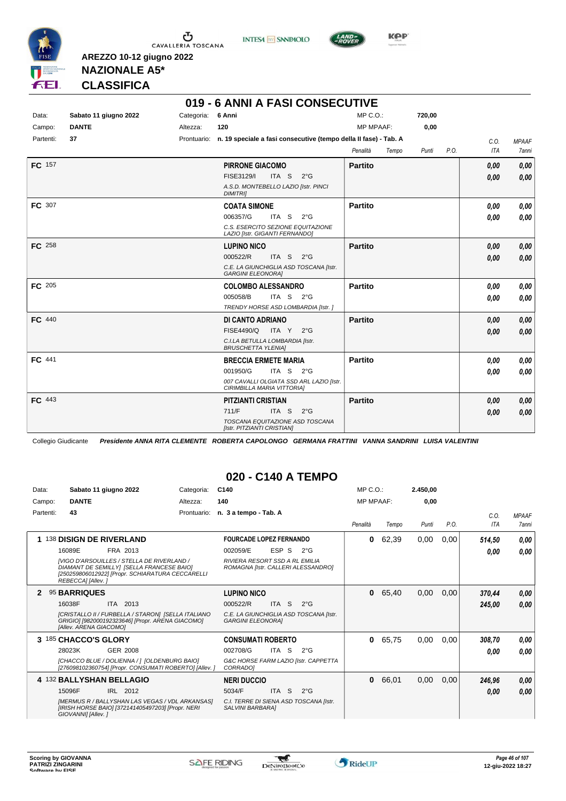

**INTESA** M SANPAOLO



**Kep** 

#### **NAZIONALE A5\* CLASSIFICA**

**AREZZO 10-12 giugno 2022**

|               |                       |            | 019 - 6 ANNI A FASI CONSECUTIVE                                              |                   |        |                    |              |
|---------------|-----------------------|------------|------------------------------------------------------------------------------|-------------------|--------|--------------------|--------------|
| Data:         | Sabato 11 giugno 2022 | Categoria: | 6 Anni                                                                       | $MP C. O.$ :      | 720,00 |                    |              |
| Campo:        | <b>DANTE</b>          | Altezza:   | 120                                                                          | <b>MP MPAAF:</b>  | 0,00   |                    |              |
| Partenti:     | 37                    |            | Prontuario: n. 19 speciale a fasi consecutive (tempo della II fase) - Tab. A |                   |        | C.O.               | <b>MPAAF</b> |
|               |                       |            |                                                                              | Penalità<br>Tempo | Punti  | <b>ITA</b><br>P.O. | 7anni        |
| FC 157        |                       |            | <b>PIRRONE GIACOMO</b>                                                       | <b>Partito</b>    |        | 0,00               | 0,00         |
|               |                       |            | FISE3129/I<br>ITA S 2°G                                                      |                   |        | 0,00               | 0,00         |
|               |                       |            | A.S.D. MONTEBELLO LAZIO [Istr. PINCI<br><b>DIMITRI</b>                       |                   |        |                    |              |
| FC 307        |                       |            | <b>COATA SIMONE</b>                                                          | <b>Partito</b>    |        | 0.00               | 0,00         |
|               |                       |            | 006357/G<br>ITA S<br>$2^{\circ}$ G                                           |                   |        | 0.00               | 0.00         |
|               |                       |            | C.S. ESERCITO SEZIONE EQUITAZIONE<br>LAZIO [Istr. GIGANTI FERNANDO]          |                   |        |                    |              |
| <b>FC</b> 258 |                       |            | <b>LUPINO NICO</b>                                                           | <b>Partito</b>    |        | 0,00               | 0,00         |
|               |                       |            | 000522/R<br>ITA S $2^{\circ}$ G                                              |                   |        | 0.00               | 0,00         |
|               |                       |            | C.E. LA GIUNCHIGLIA ASD TOSCANA [Istr.<br><b>GARGINI ELEONORA]</b>           |                   |        |                    |              |
| <b>FC</b> 205 |                       |            | <b>COLOMBO ALESSANDRO</b>                                                    | Partito           |        | 0.00               | 0,00         |
|               |                       |            | ITA S<br>005058/B<br>$2^{\circ}$ G                                           |                   |        | 0.00               | 0,00         |
|               |                       |            | TRENDY HORSE ASD LOMBARDIA [Istr. ]                                          |                   |        |                    |              |
| <b>FC</b> 440 |                       |            | DI CANTO ADRIANO                                                             | <b>Partito</b>    |        | 0,00               | 0,00         |
|               |                       |            | <b>FISE4490/Q</b><br>ITA Y 2°G                                               |                   |        | 0,00               | 0,00         |
|               |                       |            | C.I.LA BETULLA LOMBARDIA [Istr.<br><b>BRUSCHETTA YLENIA]</b>                 |                   |        |                    |              |
| FC 441        |                       |            | <b>BRECCIA ERMETE MARIA</b>                                                  | Partito           |        | 0.00               | 0,00         |
|               |                       |            | 001950/G<br>ITA S 2°G                                                        |                   |        | 0.00               | 0,00         |
|               |                       |            | 007 CAVALLI OLGIATA SSD ARL LAZIO [Istr.<br>CIRIMBILLA MARIA VITTORIA]       |                   |        |                    |              |
| FC 443        |                       |            | <b>PITZIANTI CRISTIAN</b>                                                    | <b>Partito</b>    |        | 0,00               | 0,00         |
|               |                       |            | 711/F<br>ITA S<br>$2^{\circ}$ G                                              |                   |        | 0,00               | 0,00         |
|               |                       |            | TOSCANA EQUITAZIONE ASD TOSCANA<br>[Istr. PITZIANTI CRISTIAN]                |                   |        |                    |              |

Collegio Giudicante *Presidente ANNA RITA CLEMENTE ROBERTA CAPOLONGO GERMANA FRATTINI VANNA SANDRINI LUISA VALENTINI*

#### **020 - C140 A TEMPO**

| Data:     | Sabato 11 giugno 2022                                                                                                                                                   | Categoria:  | C <sub>140</sub>                                                     |               | MP C.O.:         |       | 2.450,00 |      |            |              |
|-----------|-------------------------------------------------------------------------------------------------------------------------------------------------------------------------|-------------|----------------------------------------------------------------------|---------------|------------------|-------|----------|------|------------|--------------|
| Campo:    | <b>DANTE</b>                                                                                                                                                            | Altezza:    | 140                                                                  |               | <b>MP MPAAF:</b> |       | 0,00     |      |            |              |
| Partenti: | 43                                                                                                                                                                      | Prontuario: | n. 3 a tempo - Tab. A                                                |               |                  |       |          |      | C.O.       | <b>MPAAF</b> |
|           |                                                                                                                                                                         |             |                                                                      |               | Penalità         | Tempo | Punti    | P.O. | <b>ITA</b> | 7anni        |
| 1         | <sup>138</sup> DISIGN DE RIVERLAND                                                                                                                                      |             | <b>FOURCADE LOPEZ FERNANDO</b>                                       |               | 0                | 62,39 | 0,00     | 0,00 | 514,50     | 0,00         |
|           | 16089E<br>FRA 2013                                                                                                                                                      |             | ESP S<br>002059/E                                                    | $2^{\circ}$ G |                  |       |          |      | 0.00       | 0.00         |
|           | <b>IVIGO D'ARSOUILLES / STELLA DE RIVERLAND /</b><br>DIAMANT DE SEMILLYI [SELLA FRANCESE BAIO]<br>[250259806012922] [Propr. SCHIARATURA CECCARELLI<br>REBECCAI [Allev.] |             | RIVIERA RESORT SSD A RL EMILIA<br>ROMAGNA [Istr. CALLERI ALESSANDRO] |               |                  |       |          |      |            |              |
|           | 95 BARRIQUES                                                                                                                                                            |             | <b>LUPINO NICO</b>                                                   |               | $\bf{0}$         | 65,40 | 0,00     | 0,00 | 370,44     | 0,00         |
|           | 16038F<br>ITA 2013                                                                                                                                                      |             | 000522/R<br>ITA <sub>S</sub>                                         | $2^{\circ}$ G |                  |       |          |      | 245,00     | 0,00         |
|           | [CRISTALLO II / FURBELLA / STARON] [SELLA ITALIANO<br>GRIGIO] [982000192323646] [Propr. ARENA GIACOMO]<br>[Allev. ARENA GIACOMO]                                        |             | C.E. LA GIUNCHIGLIA ASD TOSCANA [Istr.<br><b>GARGINI ELEONORAI</b>   |               |                  |       |          |      |            |              |
|           | 3 185 CHACCO'S GLORY                                                                                                                                                    |             | <b>CONSUMATI ROBERTO</b>                                             |               | $\bf{0}$         | 65,75 | 0,00     | 0,00 | 308,70     | 0.00         |
|           | 28023K<br>GER 2008                                                                                                                                                      |             | 002708/G<br>ITA S                                                    | $2^{\circ}$ G |                  |       |          |      | 0.00       | 0.00         |
|           | ICHACCO BLUE / DOLIENNA / 1 IOLDENBURG BAIO1<br>[276098102360754] [Propr. CONSUMATI ROBERTO] [Allev. ]                                                                  |             | G&C HORSE FARM LAZIO [Istr. CAPPETTA<br><b>CORRADO1</b>              |               |                  |       |          |      |            |              |
|           | 4 132 BALLYSHAN BELLAGIO                                                                                                                                                |             | <b>NERI DUCCIO</b>                                                   |               | 0                | 66,01 | 0,00     | 0,00 | 246,96     | 0,00         |
|           | 15096F<br>IRL 2012                                                                                                                                                      |             | 5034/F<br>ITA <sub>S</sub>                                           | $2^{\circ}$ G |                  |       |          |      | 0,00       | 0,00         |
|           | [MERMUS R / BALLYSHAN LAS VEGAS / VDL ARKANSAS]<br>[IRISH HORSE BAIO] [372141405497203] [Propr. NERI<br>GIOVANNI] [Allev.]                                              |             | C.I. TERRE DI SIENA ASD TOSCANA [Istr.<br>SALVINI BARBARA]           |               |                  |       |          |      |            |              |

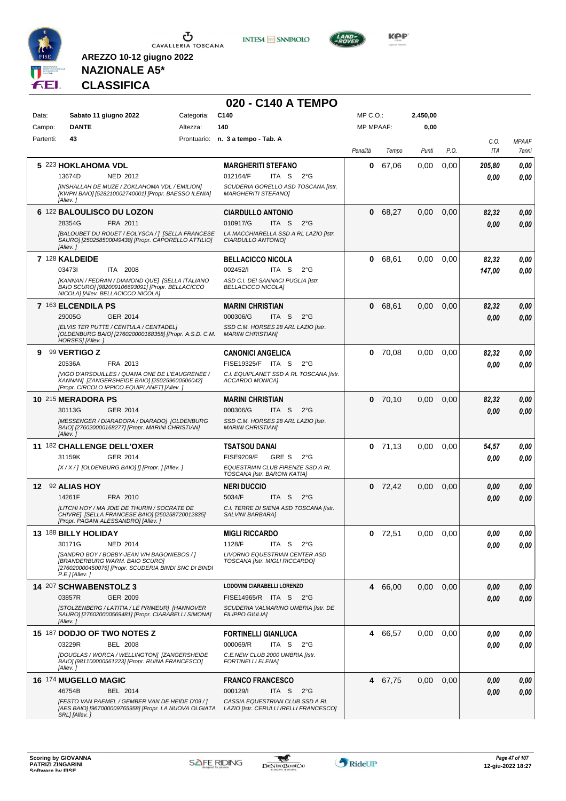



**020 - C140 A TEMPO**



**KOP** 

## **NAZIONALE A5\* CLASSIFICA**

| Data:     | Sabato 11 giugno 2022                                                                                                                                       | Categoria: | C140                                                                      | MP C.O.:         |           | 2.450,00 |      |                    |                       |
|-----------|-------------------------------------------------------------------------------------------------------------------------------------------------------------|------------|---------------------------------------------------------------------------|------------------|-----------|----------|------|--------------------|-----------------------|
| Campo:    | <b>DANTE</b>                                                                                                                                                | Altezza:   | 140                                                                       | <b>MP MPAAF:</b> |           | 0,00     |      |                    |                       |
| Partenti: | 43                                                                                                                                                          |            | Prontuario: n. 3 a tempo - Tab. A                                         | Penalità         | Tempo     | Punti    | P.O. | C.O.<br><b>ITA</b> | <b>MPAAF</b><br>7anni |
|           | 5 223 HOKLAHOMA VDL                                                                                                                                         |            | <b>MARGHERITI STEFANO</b>                                                 | 0                | 67,06     | 0,00     | 0,00 | 205,80             | 0,00                  |
|           | 13674D<br>NED 2012                                                                                                                                          |            | 012164/F<br>ITA S<br>$2^{\circ}$ G                                        |                  |           |          |      | 0.00               | 0,00                  |
|           | [INSHALLAH DE MUZE / ZOKLAHOMA VDL / EMILION]<br>[KWPN BAIO] [528210002740001] [Propr. BAESSO ILENIA]<br>[Allev.]                                           |            | SCUDERIA GORELLO ASD TOSCANA [Istr.<br><b>MARGHERITI STEFANO]</b>         |                  |           |          |      |                    |                       |
|           | 6 122 BALOULISCO DU LOZON                                                                                                                                   |            | <b>CIARDULLO ANTONIO</b>                                                  | 0                | 68,27     | 0,00     | 0,00 | 82,32              | 0,00                  |
|           | 28354G<br>FRA 2011                                                                                                                                          |            | 010917/G<br>ITA <sub>S</sub><br>$2^{\circ}G$                              |                  |           |          |      | 0.00               | 0,00                  |
|           | [BALOUBET DU ROUET / EOLYSCA / ] [SELLA FRANCESE<br>SAURO] [250258500049438] [Propr. CAPORELLO ATTILIO]<br>[Allev.]                                         |            | LA MACCHIARELLA SSD A RL LAZIO [Istr.<br>CIARDULLO ANTONIO]               |                  |           |          |      |                    |                       |
|           | 7 128 KALDEIDE                                                                                                                                              |            | <b>BELLACICCO NICOLA</b>                                                  | 0                | 68,61     | 0,00     | 0,00 | 82,32              | 0,00                  |
|           | 034731<br>ITA 2008                                                                                                                                          |            | 002452/I<br>ITA S<br>$2^{\circ}$ G                                        |                  |           |          |      | 147,00             | 0,00                  |
|           | [KANNAN / FEDRAN / DIAMOND QUE] [SELLA ITALIANO<br>BAIO SCURO] [982009106693091] [Propr. BELLACICCO<br>NICOLA] [Allev. BELLACICCO NICOLA]                   |            | ASD C.I. DEI SANNACI PUGLIA [Istr.<br><b>BELLACICCO NICOLA]</b>           |                  |           |          |      |                    |                       |
|           | 7 163 ELCENDILA PS                                                                                                                                          |            | <b>MARINI CHRISTIAN</b>                                                   | 0                | 68,61     | 0,00     | 0,00 | 82,32              | 0,00                  |
|           | 29005G<br>GER 2014                                                                                                                                          |            | 000306/G<br>ITA S<br>$2^{\circ}$ G                                        |                  |           |          |      | 0.00               | 0,00                  |
|           | <b>IELVIS TER PUTTE / CENTULA / CENTADEL1</b><br>[OLDENBURG BAIO] [276020000168358] [Propr. A.S.D. C.M. MARINI CHRISTIAN]<br>HORSES] [Allev.]               |            | SSD C.M. HORSES 28 ARL LAZIO [Istr.                                       |                  |           |          |      |                    |                       |
| 9         | 99 VERTIGO Z                                                                                                                                                |            | <b>CANONICI ANGELICA</b>                                                  | 0                | 70,08     | 0,00     | 0,00 | 82,32              | 0,00                  |
|           | FRA 2013<br>20536A                                                                                                                                          |            | FISE19325/F ITA S<br>$2^{\circ}G$                                         |                  |           |          |      | 0.00               | 0,00                  |
|           | [VIGO D'ARSOUILLES / QUANA ONE DE L'EAUGRENEE /<br>KANNAN] [ZANGERSHEIDE BAIO] [250259600506042]<br>[Propr. CIRCOLO IPPICO EQUIPLANET] [Allev.]             |            | C.I. EQUIPLANET SSD A RL TOSCANA [Istr.<br>ACCARDO MONICA]                |                  |           |          |      |                    |                       |
|           | 10 215 MERADORA PS                                                                                                                                          |            | <b>MARINI CHRISTIAN</b>                                                   | 0                | 70,10     | 0,00     | 0,00 | 82,32              | 0,00                  |
|           | 30113G<br>GER 2014                                                                                                                                          |            | 000306/G<br>ITA S<br>$2^{\circ}$ G                                        |                  |           |          |      | 0.00               | 0,00                  |
|           | [MESSENGER / DIARADORA / DIARADO] [OLDENBURG<br>BAIO] [276020000168277] [Propr. MARINI CHRISTIAN]<br>[Allev.]                                               |            | SSD C.M. HORSES 28 ARL LAZIO [Istr.<br><b>MARINI CHRISTIAN]</b>           |                  |           |          |      |                    |                       |
|           | 11 <sup>182</sup> CHALLENGE DELL'OXER                                                                                                                       |            | <b>TSATSOU DANAI</b>                                                      | $\bf{0}$         | 71,13     | 0.00     | 0,00 | 54,57              | 0,00                  |
|           | 31159K<br>GER 2014                                                                                                                                          |            | <b>FISE9209/F</b><br>GRE S<br>$2^{\circ}$ G                               |                  |           |          |      | 0.00               | 0,00                  |
|           | [X / X / ] [OLDENBURG BAIO] [] [Propr. ] [Allev. ]                                                                                                          |            | EQUESTRIAN CLUB FIRENZE SSD A RL<br>TOSCANA [Istr. BARONI KATIA]          |                  |           |          |      |                    |                       |
| 12        | 92 ALIAS HOY                                                                                                                                                |            | <b>NERI DUCCIO</b>                                                        | 0                | 72,42     | 0,00     | 0,00 | 0.00               | 0,00                  |
|           | 14261F<br>FRA 2010                                                                                                                                          |            | 5034/F<br>ITA <sub>S</sub><br>$2^{\circ}G$                                |                  |           |          |      | 0.00               | 0,00                  |
|           | ILITCHI HOY / MA JOIE DE THURIN / SOCRATE DE<br>CHIVRE] [SELLA FRANCESE BAIO] [250258720012835]<br>[Propr. PAGANI ALESSANDRO] [Allev.]                      |            | C.I. TERRE DI SIENA ASD TOSCANA [Istr.<br>SALVINI BARBARA]                |                  |           |          |      |                    |                       |
|           | 13 188 BILLY HOLIDAY                                                                                                                                        |            | <b>MIGLI RICCARDO</b>                                                     |                  | $0$ 72,51 | 0.00     | 0,00 | 0.00               | 0.00                  |
|           | 30171G<br><b>NED 2014</b>                                                                                                                                   |            | 1128/F<br>ITA S<br>$2^{\circ}$ G                                          |                  |           |          |      | 0.00               | 0,00                  |
|           | [SANDRO BOY / BOBBY-JEAN V/H BAGONIEBOS / ]<br>[BRANDERBURG WARM. BAIO SCURO]<br>[276020000450076] [Propr. SCUDERIA BINDI SNC DI BINDI<br>$P.E.$ ] [Allev.] |            | <b>LIVORNO EQUESTRIAN CENTER ASD</b><br>TOSCANA [Istr. MIGLI RICCARDO]    |                  |           |          |      |                    |                       |
|           | 14 207 SCHWABENSTOLZ 3                                                                                                                                      |            | LODOVINI CIARABELLI LORENZO                                               |                  | 4 66,00   | 0,00     | 0,00 | 0,00               | 0,00                  |
|           | GER 2009<br>03857R                                                                                                                                          |            | FISE14965/R ITA S 2°G                                                     |                  |           |          |      | 0.00               | 0,00                  |
|           | [STOLZENBERG / LATITIA / LE PRIMEUR] [HANNOVER<br>SAURO] [276020000569481] [Propr. CIARABELLI SIMONA]<br>[Allev.]                                           |            | SCUDERIA VALMARINO UMBRIA [Istr. DE<br><b>FILIPPO GIULIA]</b>             |                  |           |          |      |                    |                       |
|           | 15 187 DODJO OF TWO NOTES Z                                                                                                                                 |            | <b>FORTINELLI GIANLUCA</b>                                                |                  | 4 66,57   | 0,00     | 0,00 | 0.00               | 0,00                  |
|           | 03229R<br><b>BEL 2008</b>                                                                                                                                   |            | 000069/R<br>ITA S<br>$2^{\circ}$ G                                        |                  |           |          |      | 0.00               | 0,00                  |
|           | [DOUGLAS / WORCA / WELLINGTON] [ZANGERSHEIDE<br>BAIO] [981100000561223] [Propr. RUINA FRANCESCO]<br>[Allev.]                                                |            | C.E.NEW CLUB 2000 UMBRIA [Istr.<br><b>FORTINELLI ELENA]</b>               |                  |           |          |      |                    |                       |
|           | 16 174 MUGELLO MAGIC                                                                                                                                        |            | <b>FRANCO FRANCESCO</b>                                                   |                  | 4 67,75   | 0,00     | 0,00 | 0.00               | 0,00                  |
|           | 46754B<br>BEL 2014                                                                                                                                          |            | 000129/I<br>ITA S<br>$2^{\circ}$ G                                        |                  |           |          |      | 0,00               | 0,00                  |
|           | [FESTO VAN PAEMEL / GEMBER VAN DE HEIDE D'09 / ]<br>[AES BAIO] [967000009765958] [Propr. LA NUOVA OLGIATA<br>SRL] [Allev.]                                  |            | CASSIA EQUESTRIAN CLUB SSD A RL<br>LAZIO [Istr. CERULLI IRELLI FRANCESCO] |                  |           |          |      |                    |                       |

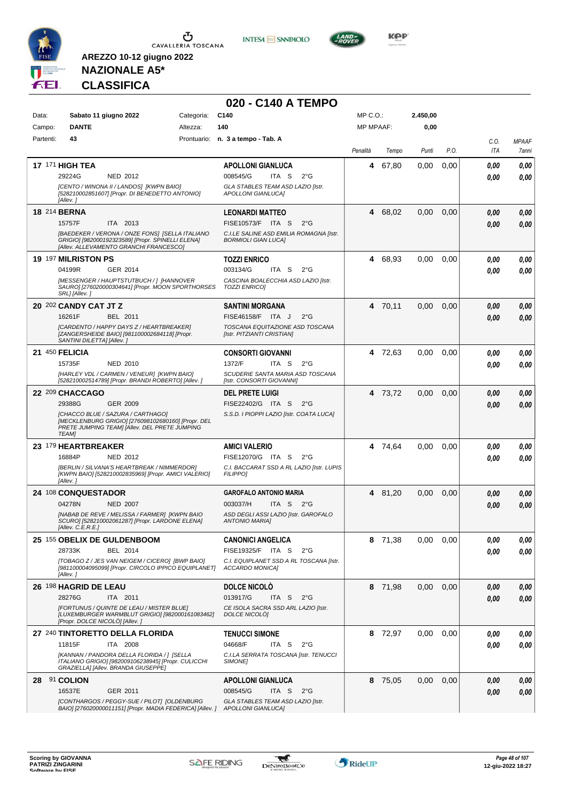





**KOP** 

## **NAZIONALE A5\* CLASSIFICA**

|           |                                                                                                                                                          |            | 020 - C140 A TEMPO                                                    |           |         |          |      |      |              |
|-----------|----------------------------------------------------------------------------------------------------------------------------------------------------------|------------|-----------------------------------------------------------------------|-----------|---------|----------|------|------|--------------|
| Data:     | Sabato 11 giugno 2022                                                                                                                                    | Categoria: | C140                                                                  | MP C.O.:  |         | 2.450,00 |      |      |              |
| Campo:    | <b>DANTE</b>                                                                                                                                             | Altezza:   | 140                                                                   | MP MPAAF: |         | 0,00     |      |      |              |
| Partenti: | 43                                                                                                                                                       |            | Prontuario: n. 3 a tempo - Tab. A                                     |           |         |          |      | C.O. | <b>MPAAF</b> |
|           |                                                                                                                                                          |            |                                                                       | Penalità  | Tempo   | Punti    | P.O. | ITA  | 7anni        |
|           | <b>17 171 HIGH TEA</b>                                                                                                                                   |            | <b>APOLLONI GIANLUCA</b>                                              | 4         | 67,80   | 0,00     | 0,00 | 0.00 | 0.00         |
|           | 29224G<br>NED 2012                                                                                                                                       |            | 008545/G<br>ITA S<br>$2^{\circ}G$                                     |           |         |          |      | 0.00 | 0.00         |
|           | [CENTO / WINONA II / LANDOS] [KWPN BAIO]<br>[528210002851607] [Propr. DI BENEDETTO ANTONIO]<br>[Allev.]                                                  |            | GLA STABLES TEAM ASD LAZIO [Istr.<br>APOLLONI GIANLUCA]               |           |         |          |      |      |              |
|           | <b>18 214 BERNA</b>                                                                                                                                      |            | <b>LEONARDI MATTEO</b>                                                | 4         | 68,02   | 0,00     | 0,00 | 0,00 | 0,00         |
|           | 15757F<br>ITA 2013                                                                                                                                       |            | FISE10573/F ITA S<br>$2^{\circ}G$                                     |           |         |          |      | 0.00 | 0.00         |
|           | [BAEDEKER / VERONA / ONZE FONS] [SELLA ITALIANO<br>GRIGIO] [982000192323589] [Propr. SPINELLI ELENA]<br>[Allev. ALLEVAMENTO GRANCHI FRANCESCO]           |            | C.I.LE SALINE ASD EMILIA ROMAGNA [Istr.<br><b>BORMIOLI GIAN LUCA]</b> |           |         |          |      |      |              |
|           | 19 197 MILRISTON PS                                                                                                                                      |            | <b>TOZZI ENRICO</b>                                                   | 4         | 68,93   | 0,00     | 0.00 | 0,00 | 0,00         |
|           | 04199R<br>GER 2014                                                                                                                                       |            | 003134/G<br>ITA S<br>$2^{\circ}G$                                     |           |         |          |      | 0.00 | 0.00         |
|           | [MESSENGER / HAUPTSTUTBUCH / ] [HANNOVER<br>SAURO] [276020000304641] [Propr. MOON SPORTHORSES<br>SRL] [Allev.]                                           |            | CASCINA BOALECCHIA ASD LAZIO [Istr.<br><b>TOZZI ENRICO]</b>           |           |         |          |      |      |              |
|           | 20 202 CANDY CAT JT Z                                                                                                                                    |            | <b>SANTINI MORGANA</b>                                                | 4         | 70,11   | 0,00     | 0,00 | 0,00 | 0,00         |
|           | BEL 2011<br>16261F                                                                                                                                       |            | FISE46158/F ITA J<br>$2^{\circ}$ G                                    |           |         |          |      | 0,00 | 0.00         |
|           | [CARDENTO / HAPPY DAYS Z / HEARTBREAKER]<br>[ZANGERSHEIDE BAIO] [981100002684118] [Propr.<br>SANTINI DILETTA] [Allev.]                                   |            | TOSCANA EQUITAZIONE ASD TOSCANA<br>[Istr. PITZIANTI CRISTIAN]         |           |         |          |      |      |              |
|           | 21 $450$ FELICIA                                                                                                                                         |            | <b>CONSORTI GIOVANNI</b>                                              |           | 4 72,63 | 0,00     | 0.00 | 0,00 | 0.00         |
|           | 15735F<br><b>NED 2010</b>                                                                                                                                |            | 1372/F<br>ITA S<br>$2^{\circ}$ G                                      |           |         |          |      | 0.00 | 0.00         |
|           | [HARLEY VDL / CARMEN / VENEUR] [KWPN BAIO]<br>[528210002514789] [Propr. BRANDI ROBERTO] [Allev.]                                                         |            | SCUDERIE SANTA MARIA ASD TOSCANA<br>[Istr. CONSORTI GIOVANNI]         |           |         |          |      |      |              |
|           | 22 209 CHACCAGO                                                                                                                                          |            | <b>DEL PRETE LUIGI</b>                                                | 4         | 73,72   | 0,00     | 0,00 | 0,00 | 0,00         |
|           | GER 2009<br>29388G                                                                                                                                       |            | FISE22402/G ITA S<br>$2^{\circ}G$                                     |           |         |          |      | 0.00 | 0,00         |
|           | [CHACCO BLUE / SAZURA / CARTHAGO]<br>[MECKLENBURG GRIGIO] [276098102680160] [Propr. DEL<br>PRETE JUMPING TEAM] [Allev. DEL PRETE JUMPING<br><b>TEAM]</b> |            | S.S.D. I PIOPPI LAZIO [Istr. COATA LUCA]                              |           |         |          |      |      |              |
|           | 23 179 HEARTBREAKER                                                                                                                                      |            | <b>AMICI VALERIO</b>                                                  |           | 4 74,64 | 0,00     | 0.00 | 0,00 | 0,00         |
|           | 16884P<br>NED 2012                                                                                                                                       |            | FISE12070/G ITA S<br>$2^{\circ}$ G                                    |           |         |          |      | 0.00 | 0.00         |
|           | [BERLIN / SILVANA'S HEARTBREAK / NIMMERDOR]<br>[KWPN BAIO] [528210002835969] [Propr. AMICI VALERIO]<br>[Allev.]                                          |            | C.I. BACCARAT SSD A RL LAZIO [Istr. LUPIS<br><b>FILIPPO]</b>          |           |         |          |      |      |              |
|           | 24 108 CONQUESTADOR                                                                                                                                      |            | <b>GAROFALO ANTONIO MARIA</b>                                         |           | 4 81,20 | 0,00     | 0,00 | 0,00 | 0,00         |
|           | 04278N<br><b>NED 2007</b>                                                                                                                                |            | 003037/H<br>ITA S<br>2°G                                              |           |         |          |      | 0.00 | 0.00         |
|           | [NABAB DE REVE / MELISSA / FARMER] [KWPN BAIO<br>SCURO] [528210002061287] [Propr. LARDONE ELENA]<br>[Allev. C.E.R.E.]                                    |            | ASD DEGLI ASSI LAZIO [Istr. GAROFALO<br><b>ANTONIO MARIAI</b>         |           |         |          |      |      |              |
|           | 25 155 OBELIX DE GULDENBOOM                                                                                                                              |            | <b>CANONICI ANGELICA</b>                                              |           | 8 71,38 | 0.00     | 0,00 | 0,00 | 0,00         |
|           | 28733K<br>BEL 2014                                                                                                                                       |            | FISE19325/F ITA S<br>$2^{\circ}G$                                     |           |         |          |      | 0,00 | 0,00         |
|           | [TOBAGO Z / JES VAN NEIGEM / CICERO] [BWP BAIO]<br>[981100004095099] [Propr. CIRCOLO IPPICO EQUIPLANET]<br>[Allev.]                                      |            | C.I. EQUIPLANET SSD A RL TOSCANA [Istr.<br>ACCARDO MONICA]            |           |         |          |      |      |              |
|           | 26 198 HAGRID DE LEAU                                                                                                                                    |            | <b>DOLCE NICOLO</b>                                                   |           | 8 71,98 | 0,00     | 0,00 | 0,00 | 0,00         |
|           | 28276G<br>ITA 2011                                                                                                                                       |            | 013917/G<br>ITA <sub>S</sub><br>$2^{\circ}G$                          |           |         |          |      | 0,00 | 0.00         |
|           | [FORTUNUS / QUINTE DE LEAU / MISTER BLUE]<br>[LUXEMBURGER WARMBLUT GRIGIO] [982000161083462]<br>[Propr. DOLCE NICOLÒ] [Allev. ]                          |            | CE ISOLA SACRA SSD ARL LAZIO [Istr.<br>DOLCE NICOLÒ]                  |           |         |          |      |      |              |
|           | 27 240 TINTORETTO DELLA FLORIDA                                                                                                                          |            | <b>TENUCCI SIMONE</b>                                                 |           | 8 72,97 | 0.00     | 0,00 | 0,00 | 0,00         |
|           | 11815F<br>ITA 2008                                                                                                                                       |            | 04668/F<br>ITA S<br>$2^{\circ}G$                                      |           |         |          |      | 0,00 | 0.00         |
|           | [KANNAN / PANDORA DELLA FLORIDA / ] [SELLA<br>ITALIANO GRIGIO] [982009106238945] [Propr. CULICCHI<br>GRAZIELLA] [Allev. BRANDA GIUSEPPE]                 |            | C.I.LA SERRATA TOSCANA [Istr. TENUCCI<br>SIMONE]                      |           |         |          |      |      |              |
|           | 28 91 COLION                                                                                                                                             |            | <b>APOLLONI GIANLUCA</b>                                              |           | 8 75,05 | 0,00     | 0,00 | 0,00 | 0,00         |
|           | 16537E<br>GER 2011                                                                                                                                       |            | 008545/G<br>ITA S<br>$2^{\circ}$ G                                    |           |         |          |      | 0,00 | 0.00         |
|           | [CONTHARGOS / PEGGY-SUE / PILOT] [OLDENBURG<br>BAIO] [276020000011151] [Propr. MADIA FEDERICA] [Allev. ]                                                 |            | GLA STABLES TEAM ASD LAZIO [Istr.<br><b>APOLLONI GIANLUCA]</b>        |           |         |          |      |      |              |

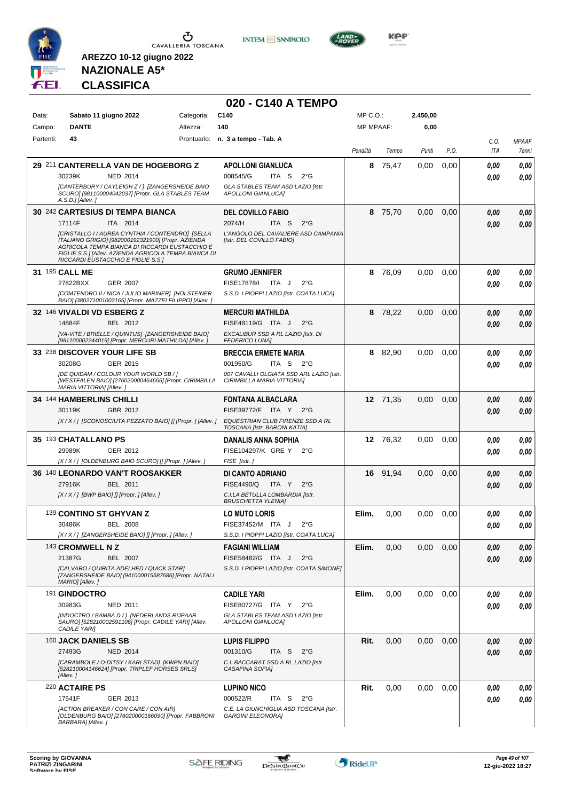

**INTESA M** SANPAOLO

**020 - C140 A TEMPO**



**KOP** 

## **NAZIONALE A5\* CLASSIFICA**

| Data:     | Sabato 11 giugno 2022                                                                                                                                                                                                                                   | Categoria:  | C <sub>140</sub>                                                       | MP C.O.:         |          | 2.450,00 |      |             |                                     |
|-----------|---------------------------------------------------------------------------------------------------------------------------------------------------------------------------------------------------------------------------------------------------------|-------------|------------------------------------------------------------------------|------------------|----------|----------|------|-------------|-------------------------------------|
| Campo:    | <b>DANTE</b>                                                                                                                                                                                                                                            | Altezza:    | 140                                                                    | <b>MP MPAAF:</b> |          | 0,00     |      |             |                                     |
| Partenti: | 43                                                                                                                                                                                                                                                      | Prontuario: | n. 3 a tempo - Tab. A                                                  | Penalità         | Tempo    | Punti    | P.O. | C.O.<br>ITA | <b>MPAAF</b><br><i><b>7anni</b></i> |
|           | 29 211 CANTERELLA VAN DE HOGEBORG Z                                                                                                                                                                                                                     |             | <b>APOLLONI GIANLUCA</b>                                               | 8                | 75,47    | 0,00     | 0,00 | 0.00        | 0,00                                |
|           | 30239K<br><b>NED 2014</b>                                                                                                                                                                                                                               |             | 008545/G<br>ITA S<br>$2^{\circ}$ G                                     |                  |          |          |      | 0.00        | 0.00                                |
|           | [CANTERBURY / CAYLEIGH Z / ] [ZANGERSHEIDE BAIO<br>SCURO] [981100004042037] [Propr. GLA STABLES TEAM<br>$A.S.D.$ ] [Allev.]                                                                                                                             |             | GLA STABLES TEAM ASD LAZIO [Istr.<br>APOLLONI GIANLUCA]                |                  |          |          |      |             |                                     |
|           | 30 242 CARTESIUS DI TEMPA BIANCA                                                                                                                                                                                                                        |             | <b>DEL COVILLO FABIO</b>                                               |                  | 8 75,70  | 0,00     | 0,00 | 0.00        | 0,00                                |
|           | 17114F<br>ITA 2014                                                                                                                                                                                                                                      |             | 2074/H<br>ITA S<br>$2^{\circ}$ G                                       |                  |          |          |      | 0.00        | 0.00                                |
|           | ICRISTALLO I / AUREA CYNTHIA / CONTENDRO] [SELLA<br>ITALIANO GRIGIO] [982000192321900] [Propr. AZIENDA<br>AGRICOLA TEMPA BIANCA DI RICCARDI EUSTACCHIO E<br>FIGLIE S.S.] [Allev. AZIENDA AGRICOLA TEMPA BIANCA DI<br>RICCARDI EUSTACCHIO E FIGLIE S.S.1 |             | L'ANGOLO DEL CAVALIERE ASD CAMPANIA<br>[Istr. DEL COVILLO FABIO]       |                  |          |          |      |             |                                     |
|           | 31 195 CALL ME                                                                                                                                                                                                                                          |             | <b>GRUMO JENNIFER</b>                                                  | 8                | 76,09    | 0.00     | 0.00 | 0.00        | 0,00                                |
|           | 27822BXX<br><b>GER 2007</b>                                                                                                                                                                                                                             |             | FISE17878/I<br>$2^{\circ}$ G<br>ITA J                                  |                  |          |          |      | 0.00        | 0.00                                |
|           | [COMTENDRO II / NICA / JULIO MARINER] [HOLSTEINER<br>BAIO] [380271001002165] [Propr. MAZZEI FILIPPO] [Allev. ]                                                                                                                                          |             | S.S.D. I PIOPPI LAZIO [Istr. COATA LUCA]                               |                  |          |          |      |             |                                     |
|           | 32 146 VIVALDI VD ESBERG Z                                                                                                                                                                                                                              |             | <b>MERCURI MATHILDA</b>                                                |                  | 8 78,22  | 0,00     | 0,00 | 0.00        | 0,00                                |
|           | 14884F<br>BEL 2012                                                                                                                                                                                                                                      |             | FISE48119/G ITA J<br>$2^{\circ}$ G                                     |                  |          |          |      | 0.00        | 0.00                                |
|           | [VA-VITE / BRIELLE / QUINTUS] [ZANGERSHEIDE BAIO]<br>[981100002244019] [Propr. MERCURI MATHILDA] [Allev. ]                                                                                                                                              |             | EXCALIBUR SSD A RL LAZIO [Istr. DI<br><b>FEDERICO LUNA]</b>            |                  |          |          |      |             |                                     |
|           | 33 238 DISCOVER YOUR LIFE SB                                                                                                                                                                                                                            |             | <b>BRECCIA ERMETE MARIA</b>                                            |                  | 8 82,90  | 0,00     | 0,00 | 0.00        | 0,00                                |
|           | 30208G<br>GER 2015                                                                                                                                                                                                                                      |             | 001950/G<br>ITA S<br>$2^{\circ}G$                                      |                  |          |          |      | 0.00        | 0.00                                |
|           | [DE QUIDAM / COLOUR YOUR WORLD SB / ]<br>[WESTFALEN BAIO] [276020000464665] [Propr. CIRIMBILLA<br>MARIA VITTORIA] [Allev.]                                                                                                                              |             | 007 CAVALLI OLGIATA SSD ARL LAZIO [Istr.<br>CIRIMBILLA MARIA VITTORIA] |                  |          |          |      |             |                                     |
|           | 34 144 HAMBERLINS CHILLI                                                                                                                                                                                                                                |             | FONTANA ALBACLARA                                                      |                  | 12 71,35 | 0,00     | 0,00 | 0.00        | 0,00                                |
|           | 30119K<br>GBR 2012                                                                                                                                                                                                                                      |             | FISE39772/F ITA Y<br>$2^{\circ}G$                                      |                  |          |          |      | 0.00        | 0.00                                |
|           | [X / X / ] [SCONOSCIUTA PEZZATO BAIO] [] [Propr. ] [Allev. ]                                                                                                                                                                                            |             | EQUESTRIAN CLUB FIRENZE SSD A RL<br>TOSCANA [Istr. BARONI KATIA]       |                  |          |          |      |             |                                     |
|           | 35 193 CHATALLANO PS                                                                                                                                                                                                                                    |             | DANALIS ANNA SOPHIA                                                    |                  | 12 76,32 | 0,00     | 0,00 | 0.00        | 0,00                                |
|           | 29989K<br>GER 2012                                                                                                                                                                                                                                      |             | FISE104297/K GRE Y<br>$2^{\circ}G$                                     |                  |          |          |      | 0.00        | 0.00                                |
|           | [X / X / ] [OLDENBURG BAIO SCURO] [] [Propr. ] [Allev. ]                                                                                                                                                                                                |             | FISE [Istr.]                                                           |                  |          |          |      |             |                                     |
|           | <b>36 140 LEONARDO VAN'T ROOSAKKER</b>                                                                                                                                                                                                                  |             | DI CANTO ADRIANO                                                       |                  | 16 91,94 | 0,00     | 0,00 | 0,00        | 0,00                                |
|           | 27916K<br><b>BEL 2011</b>                                                                                                                                                                                                                               |             | <b>FISE4490/Q</b><br>ITA Y<br>$2^{\circ}$ G                            |                  |          |          |      | 0.00        | 0.00                                |
|           | $[X/X/$ ] [BWP BAIO] [] [Propr. ] [Allev.]                                                                                                                                                                                                              |             | C.I.LA BETULLA LOMBARDIA [Istr.<br><b>BRUSCHETTA YLENIA]</b>           |                  |          |          |      |             |                                     |
|           | 139 CONTINO ST GHYVAN Z                                                                                                                                                                                                                                 |             | <b>LO MUTO LORIS</b>                                                   | Elim.            | 0,00     | 0,00     | 0,00 | 0.00        | 0,00                                |
|           | 30486K<br><b>BEL 2008</b>                                                                                                                                                                                                                               |             | FISE37452/M ITA J<br>$2^{\circ}$ G                                     |                  |          |          |      | 0.00        | 0.00                                |
|           | [X / X / ] [ZANGERSHEIDE BAIO] [] [Propr. ] [Allev. ]                                                                                                                                                                                                   |             | S.S.D. I PIOPPI LAZIO [Istr. COATA LUCA]                               |                  |          |          |      |             |                                     |
|           | 143 CROMWELL N Z                                                                                                                                                                                                                                        |             | <b>FAGIANI WILLIAM</b>                                                 | Elim.            | 0,00     | 0,00     | 0,00 | 0,00        | 0,00                                |
|           | <b>BEL 2007</b><br>21387G                                                                                                                                                                                                                               |             | FISE58482/G ITA J<br>$2^{\circ}$ G                                     |                  |          |          |      | 0,00        | 0,00                                |
|           | [CALVARO / QUIRITA ADELHED / QUICK STAR]<br>[ZANGERSHEIDE BAIO] [941000015587686] [Propr. NATALI<br>MARIO] [Allev.]                                                                                                                                     |             | S.S.D. I PIOPPI LAZIO [Istr. COATA SIMONE]                             |                  |          |          |      |             |                                     |
|           | 191 GINDOCTRO                                                                                                                                                                                                                                           |             | <b>CADILE YARI</b>                                                     | Elim.            | 0,00     | 0,00     | 0,00 | 0.00        | 0,00                                |
|           | 30983G<br>NED 2011                                                                                                                                                                                                                                      |             | FISE80727/G ITA Y<br>$2^{\circ}$ G                                     |                  |          |          |      | 0.00        | 0.00                                |
|           | [INDOCTRO / BAMBA D / ] [NEDERLANDS RIJPAAR.<br>SAURO] [528210002591106] [Propr. CADILE YARI] [Allev.<br><b>CADILE YARII</b>                                                                                                                            |             | GLA STABLES TEAM ASD LAZIO [Istr.<br><b>APOLLONI GIANLUCAI</b>         |                  |          |          |      |             |                                     |
|           | 160 JACK DANIELS SB                                                                                                                                                                                                                                     |             | <b>LUPIS FILIPPO</b>                                                   | Rit.             | 0,00     | 0,00     | 0,00 | 0,00        | 0,00                                |
|           | 27493G<br><b>NED 2014</b>                                                                                                                                                                                                                               |             | 001310/G<br>ITA S<br>$2^{\circ}G$                                      |                  |          |          |      | 0,00        | 0,00                                |
|           | [CARAMBOLE / O-DITSY / KARLSTAD] [KWPN BAIO]<br>[528210004146624] [Propr. TRIPLEF HORSES SRLS]<br>[Allev.]                                                                                                                                              |             | C.I. BACCARAT SSD A RL LAZIO [Istr.<br>CASAFINA SOFIA]                 |                  |          |          |      |             |                                     |
|           | 220 ACTAIRE PS                                                                                                                                                                                                                                          |             | <b>LUPINO NICO</b>                                                     | Rit.             | 0,00     | 0,00     | 0,00 | 0,00        | 0,00                                |
|           | 17541F<br>GER 2013                                                                                                                                                                                                                                      |             | 000522/R<br>ITA S<br>$2^{\circ}$ G                                     |                  |          |          |      | 0.00        | 0.00                                |
|           | [ACTION BREAKER / CON CARE / CON AIR]                                                                                                                                                                                                                   |             | C.E. LA GIUNCHIGLIA ASD TOSCANA [Istr.                                 |                  |          |          |      |             |                                     |
|           | [OLDENBURG BAIO] [276020000166090] [Propr. FABBRONI<br>BARBARA] [Allev. ]                                                                                                                                                                               |             | <b>GARGINI ELEONORA]</b>                                               |                  |          |          |      |             |                                     |

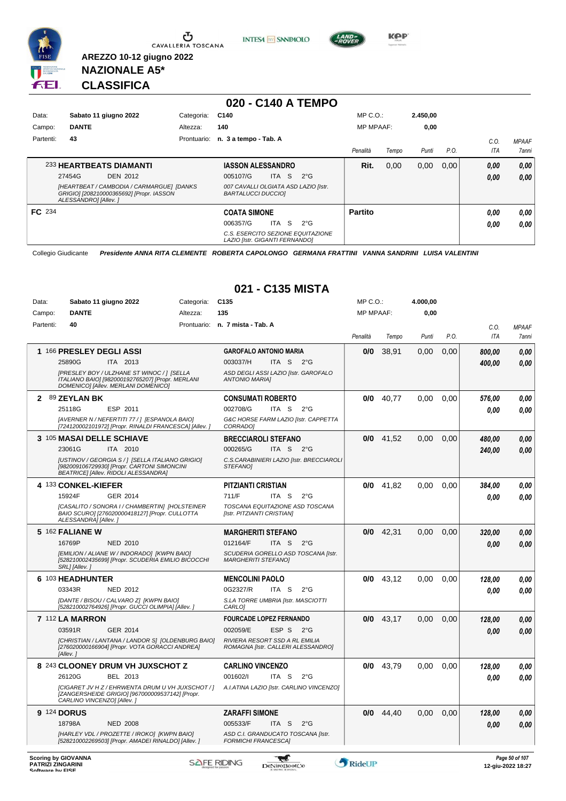

**INTESA** M SANPAOLO



**Kep** 

## **NAZIONALE A5\* CLASSIFICA**

**AREZZO 10-12 giugno 2022**

|               |                                                                                                                |             | 020 - C140 A TEMPO                                                         |                  |       |          |      |            |              |
|---------------|----------------------------------------------------------------------------------------------------------------|-------------|----------------------------------------------------------------------------|------------------|-------|----------|------|------------|--------------|
| Data:         | Sabato 11 giugno 2022                                                                                          | Categoria:  | C140                                                                       | $MP C. O.$ :     |       | 2.450,00 |      |            |              |
| Campo:        | <b>DANTE</b>                                                                                                   | Altezza:    | 140                                                                        | <b>MP MPAAF:</b> |       | 0,00     |      |            |              |
| Partenti:     | 43                                                                                                             | Prontuario: | n. 3 a tempo - Tab. A                                                      |                  |       |          |      | C.O.       | <b>MPAAF</b> |
|               |                                                                                                                |             |                                                                            | Penalità         | Tempo | Punti    | P.O. | <b>ITA</b> | 7anni        |
|               | 233 HEARTBEATS DIAMANTI                                                                                        |             | <b>IASSON ALESSANDRO</b>                                                   | Rit.             | 0,00  | 0,00     | 0.00 | 0,00       | 0,00         |
|               | 27454G<br><b>DEN 2012</b>                                                                                      |             | -S<br><b>ITA</b><br>$2^{\circ}$ G<br>005107/G                              |                  |       |          |      | 0.00       | 0,00         |
|               | [HEARTBEAT / CAMBODIA / CARMARGUE] [DANKS<br>GRIGIO] [208210000365692] [Propr. IASSON<br>ALESSANDROI [Allev. ] |             | 007 CAVALLI OLGIATA ASD LAZIO [Istr.<br><b>BARTALUCCI DUCCIOI</b>          |                  |       |          |      |            |              |
| <b>FC</b> 234 |                                                                                                                |             | <b>COATA SIMONE</b>                                                        | <b>Partito</b>   |       |          |      | 0.00       | 0,00         |
|               |                                                                                                                |             | ITA<br>-S<br>006357/G<br>$2^{\circ}$ G                                     |                  |       |          |      | 0.00       | 0,00         |
|               |                                                                                                                |             | C.S. ESERCITO SEZIONE EQUITAZIONE<br><b>LAZIO IIstr. GIGANTI FERNANDOI</b> |                  |       |          |      |            |              |

Collegio Giudicante *Presidente ANNA RITA CLEMENTE ROBERTA CAPOLONGO GERMANA FRATTINI VANNA SANDRINI LUISA VALENTINI*

|                                              |                                                                                                                                                |            | 021 - C135 MISTA                                                     |                  |       |          |      |            |                                     |
|----------------------------------------------|------------------------------------------------------------------------------------------------------------------------------------------------|------------|----------------------------------------------------------------------|------------------|-------|----------|------|------------|-------------------------------------|
| Data:                                        | Sabato 11 giugno 2022                                                                                                                          | Categoria: | C <sub>135</sub>                                                     | MP C.O.:         |       | 4.000,00 |      |            |                                     |
| Campo:                                       | <b>DANTE</b>                                                                                                                                   | Altezza:   | 135                                                                  | <b>MP MPAAF:</b> |       | 0,00     |      |            |                                     |
| Partenti:                                    | 40                                                                                                                                             |            | Prontuario: n. 7 mista - Tab. A                                      |                  |       |          |      | C.O.       | <b>MPAAF</b>                        |
|                                              |                                                                                                                                                |            |                                                                      | Penalità         | Tempo | Punti    | P.O. | <b>ITA</b> | 7anni                               |
|                                              | 1 166 PRESLEY DEGLI ASSI                                                                                                                       |            | <b>GAROFALO ANTONIO MARIA</b>                                        | 0/0              | 38.91 | 0.00     | 0.00 | 800.00     | 0.00                                |
|                                              | 25890G<br>ITA 2013                                                                                                                             |            | 003037/H<br>ITA S<br>$2^{\circ}$ G                                   |                  |       |          |      | 400.00     | 0.00                                |
|                                              | [PRESLEY BOY / ULZHANE ST WINOC / 1 [SELLA<br>ITALIANO BAIO] [982000192765207] [Propr. MERLANI<br>DOMENICO] [Allev. MERLANI DOMENICO]          |            | ASD DEGLI ASSI LAZIO [Istr. GAROFALO<br><b>ANTONIO MARIA]</b>        |                  |       |          |      |            |                                     |
| 2                                            | 89 ZEYLAN BK                                                                                                                                   |            | <b>CONSUMATI ROBERTO</b>                                             | 0/0              | 40.77 | 0.00     | 0.00 | 576,00     | 0.00                                |
|                                              | ESP 2011<br>25118G                                                                                                                             |            | 002708/G<br>ITA S<br>$2^{\circ}$ G                                   |                  |       |          |      | 0.00       | $\it 0,00$                          |
|                                              | [AVERNER N / NEFERTITI 77 / ] [ESPANOLA BAIO]<br>[724120002101972] [Propr. RINALDI FRANCESCA] [Allev. ]                                        |            | G&C HORSE FARM LAZIO [Istr. CAPPETTA<br>CORRADO]                     |                  |       |          |      |            |                                     |
|                                              | 3 105 MASAI DELLE SCHIAVE                                                                                                                      |            | <b>BRECCIAROLI STEFANO</b>                                           | 0/0              | 41.52 | 0.00     | 0.00 | 480.00     | 0.00                                |
|                                              | 23061G<br>ITA 2010                                                                                                                             |            | 000265/G<br>ITA S<br>$2^{\circ}$ G                                   |                  |       |          |      | 240.00     | 0.00                                |
|                                              | [USTINOV / GEORGIA S / ] [SELLA ITALIANO GRIGIO]<br>[982009106729930] [Propr. CARTONI SIMONCINI<br><b>BEATRICE  [Allev. RIDOLI ALESSANDRA]</b> |            | C.S.CARABINIERI LAZIO [Istr. BRECCIAROLI<br><b>STEFANOI</b>          |                  |       |          |      |            |                                     |
|                                              | 4 133 CONKEL-KIEFER                                                                                                                            |            | <b>PITZIANTI CRISTIAN</b>                                            | 0/0              | 41,82 | 0,00     | 0,00 | 384,00     | 0.00                                |
|                                              | 15924F<br>GER 2014                                                                                                                             |            | 711/F<br>ITA <sub>S</sub><br>$2^{\circ}$ G                           |                  |       |          |      | 0.00       | 0.00                                |
|                                              | [CASALITO / SONORA I / CHAMBERTIN] [HOLSTEINER<br>BAIO SCURO] [276020000418127] [Propr. CULLOTTA<br>ALESSANDRA1 [Allev. 1                      |            | TOSCANA EQUITAZIONE ASD TOSCANA<br>[Istr. PITZIANTI CRISTIAN]        |                  |       |          |      |            |                                     |
|                                              | <b>5 162 FALIANE W</b>                                                                                                                         |            | <b>MARGHERITI STEFANO</b>                                            | 0/0              | 42,31 | 0,00     | 0,00 | 320,00     | 0.00                                |
|                                              | 16769P<br><b>NED 2010</b>                                                                                                                      |            | 012164/F<br>ITA S<br>$2^{\circ}G$                                    |                  |       |          |      | 0.00       | 0.00                                |
|                                              | [EMILION / ALIANE W / INDORADO] [KWPN BAIO]<br>[528210002435699] [Propr. SCUDERIA EMILIO BICOCCHI<br>SRL] [Allev.]                             |            | SCUDERIA GORELLO ASD TOSCANA [Istr.<br><b>MARGHERITI STEFANOI</b>    |                  |       |          |      |            |                                     |
|                                              | 6 103 HEADHUNTER                                                                                                                               |            | <b>MENCOLINI PAOLO</b>                                               | 0/0              | 43,12 | 0.00     | 0.00 | 128,00     | 0.00                                |
|                                              | NED 2012<br>03343R                                                                                                                             |            | 0G2327/R<br>ITA S<br>$2^{\circ}$ G                                   |                  |       |          |      | 0.00       | 0.00                                |
|                                              | [DANTE / BISOU / CALVARO Z] [KWPN BAIO]<br>[528210002764926] [Propr. GUCCI OLIMPIA] [Allev. ]                                                  |            | S.LA TORRE UMBRIA [Istr. MASCIOTTI<br>CARLO]                         |                  |       |          |      |            |                                     |
|                                              | 7 112 LA MARRON                                                                                                                                |            | <b>FOURCADE LOPEZ FERNANDO</b>                                       | 0/0              | 43.17 | 0.00     | 0.00 | 128,00     | 0.00                                |
|                                              | 03591R<br>GER 2014                                                                                                                             |            | 002059/E<br>ESP S<br>$2^{\circ}$ G                                   |                  |       |          |      | 0.00       | 0.00                                |
|                                              | [CHRISTIAN / LANTANA / LANDOR S] [OLDENBURG BAIO]<br>[276020000166904] [Propr. VOTA GORACCI ANDREA]<br>[Allev.]                                |            | RIVIERA RESORT SSD A RL EMILIA<br>ROMAGNA [Istr. CALLERI ALESSANDRO] |                  |       |          |      |            |                                     |
|                                              | 8 243 CLOONEY DRUM VH JUXSCHOT Z                                                                                                               |            | <b>CARLINO VINCENZO</b>                                              | 0/0              | 43.79 | 0.00     | 0.00 | 128.00     | 0.00                                |
|                                              | 26120G<br>BEL 2013                                                                                                                             |            | 001602/I<br>ITA S<br>$2^{\circ}$ G                                   |                  |       |          |      | 0.00       | $\it 0,00$                          |
|                                              | [CIGARET JV H Z / EHRWENTA DRUM U VH JUXSCHOT / ]<br>[ZANGERSHEIDE GRIGIO] [967000009537142] [Propr.<br>CARLINO VINCENZO] [Allev.]             |            | A.I.ATINA LAZIO [Istr. CARLINO VINCENZO]                             |                  |       |          |      |            |                                     |
|                                              | 9 124 DORUS                                                                                                                                    |            | <b>ZARAFFI SIMONE</b>                                                | 0/0              | 44.40 | 0.00     | 0.00 | 128.00     | 0,00                                |
|                                              | 18798A<br><b>NED 2008</b>                                                                                                                      |            | 005533/F<br>ITA S<br>$2^{\circ}$ G                                   |                  |       |          |      | 0.00       | 0.00                                |
|                                              | [HARLEY VDL / PROZETTE / IROKO] [KWPN BAIO]<br>[528210002269503] [Propr. AMADEI RINALDO] [Allev. ]                                             |            | ASD C.I. GRANDUCATO TOSCANA [Istr.<br><b>FORMICHI FRANCESCA]</b>     |                  |       |          |      |            |                                     |
| <b>PATRIZI ZINGARINI</b><br>Software by FISE | <b>Scoring by GIOVANNA</b>                                                                                                                     |            | <b>SAFE RIDING</b><br>DeNiroBootCo                                   | RideUP           |       |          |      |            | Page 50 of 107<br>12-giu-2022 18:27 |

# **021 - C135 MISTA**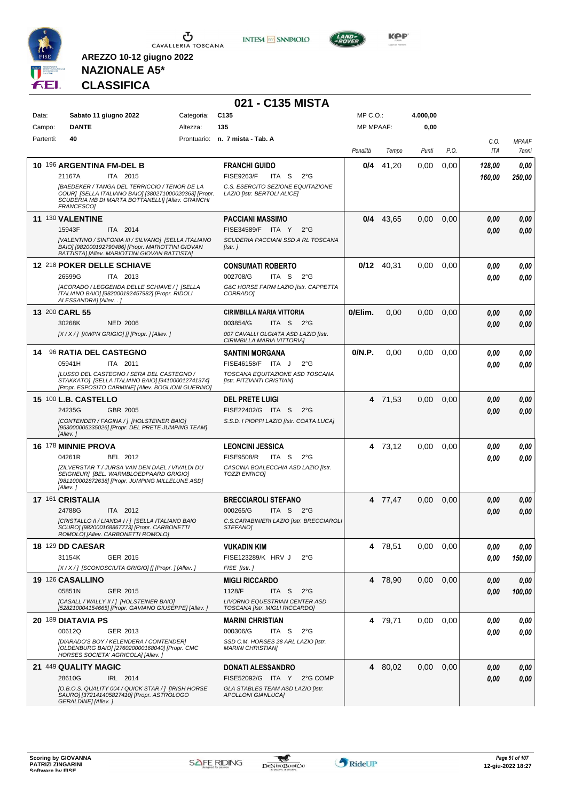

**INTESA M** SANPAOLO



**NAZIONALE A5\* CLASSIFICA**

|           |                                                                                                                                                                          |            | 021 - C135 MISTA                                                                                 |                  |              |          |      |        |              |
|-----------|--------------------------------------------------------------------------------------------------------------------------------------------------------------------------|------------|--------------------------------------------------------------------------------------------------|------------------|--------------|----------|------|--------|--------------|
| Data:     | Sabato 11 giugno 2022                                                                                                                                                    | Categoria: | C <sub>135</sub>                                                                                 | MP C.O.:         |              | 4.000,00 |      |        |              |
| Campo:    | <b>DANTE</b>                                                                                                                                                             | Altezza:   | 135                                                                                              | <b>MP MPAAF:</b> |              | 0,00     |      |        |              |
| Partenti: | 40                                                                                                                                                                       |            | Prontuario: n. 7 mista - Tab. A                                                                  |                  |              |          |      | C.O.   | <b>MPAAF</b> |
|           |                                                                                                                                                                          |            |                                                                                                  | Penalità         | Tempo        | Punti    | P.O. | ITA    | 7anni        |
|           | 10 196 ARGENTINA FM-DEL B                                                                                                                                                |            | <b>FRANCHI GUIDO</b>                                                                             | 0/4              | 41,20        | 0,00     | 0,00 | 128,00 | 0,00         |
|           | 21167A<br>ITA 2015                                                                                                                                                       |            | <b>FISE9263/F</b><br>ITA S<br>$2^{\circ}G$                                                       |                  |              |          |      | 160,00 | 250,00       |
|           | [BAEDEKER / TANGA DEL TERRICCIO / TENOR DE LA<br>COUR] [SELLA ITALIANO BAIO] [380271000020363] [Propr.<br>SCUDERIA MB DI MARTA BOTTANELLI] [Allev. GRANCHI<br>FRANCESCO] |            | C.S. ESERCITO SEZIONE EQUITAZIONE<br>LAZIO [Istr. BERTOLI ALICE]                                 |                  |              |          |      |        |              |
|           | 11 130 VALENTINE                                                                                                                                                         |            | <b>PACCIANI MASSIMO</b>                                                                          |                  | $0/4$ 43,65  | 0,00     | 0,00 | 0,00   | 0,00         |
|           | 15943F<br>ITA 2014                                                                                                                                                       |            | FISE34589/F ITA Y<br>$2^{\circ}G$                                                                |                  |              |          |      | 0.00   | 0.00         |
|           | [VALENTINO / SINFONIA III / SILVANO] [SELLA ITALIANO<br>BAIO] [982000192790486] [Propr. MARIOTTINI GIOVAN<br>BATTISTA] [Allev. MARIOTTINI GIOVAN BATTISTA]               |            | SCUDERIA PACCIANI SSD A RL TOSCANA<br>[Istr.]                                                    |                  |              |          |      |        |              |
|           | 12 218 POKER DELLE SCHIAVE                                                                                                                                               |            | <b>CONSUMATI ROBERTO</b>                                                                         |                  | $0/12$ 40,31 | 0.00     | 0.00 | 0.00   | 0,00         |
|           | 26599G<br>ITA 2013                                                                                                                                                       |            | 002708/G<br>ITA S<br>$2^{\circ}$ G                                                               |                  |              |          |      | 0.00   | 0.00         |
|           | [ACORADO / LEGGENDA DELLE SCHIAVE / 1 [SELLA<br>ITALIANO BAIO] [982000192457982] [Propr. RIDOLI<br>ALESSANDRA] [Allev. . ]                                               |            | G&C HORSE FARM LAZIO [Istr. CAPPETTA<br>CORRADO]                                                 |                  |              |          |      |        |              |
|           | 13 200 CARL 55                                                                                                                                                           |            | <b>CIRIMBILLA MARIA VITTORIA</b>                                                                 | 0/Elim.          | 0,00         | 0,00     | 0,00 | 0.00   | 0,00         |
|           | 30268K<br><b>NED 2006</b>                                                                                                                                                |            | 003854/G<br>ITA S<br>2°G                                                                         |                  |              |          |      | 0.00   | 0,00         |
|           | [X / X / ] [KWPN GRIGIO] [] [Propr. ] [Allev. ]                                                                                                                          |            | 007 CAVALLI OLGIATA ASD LAZIO [Istr.<br>CIRIMBILLA MARIA VITTORIA]                               |                  |              |          |      |        |              |
| 14        | <b>96 RATIA DEL CASTEGNO</b>                                                                                                                                             |            | <b>SANTINI MORGANA</b>                                                                           | 0/N.P.           | 0,00         | 0,00     | 0,00 | 0.00   | 0,00         |
|           | ITA 2011<br>05941H                                                                                                                                                       |            | FISE46158/F ITA J<br>$2^{\circ}$ G                                                               |                  |              |          |      | 0.00   | 0.00         |
|           | ILUSSO DEL CASTEGNO / SERA DEL CASTEGNO /<br>STAKKATO] [SELLA ITALIANO BAIO] [941000012741374]<br>[Propr. ESPOSITO CARMINE] [Allev. BOGLIONI GUERINO]                    |            | TOSCANA EQUITAZIONE ASD TOSCANA<br>[Istr. PITZIANTI CRISTIAN]                                    |                  |              |          |      |        |              |
|           | <b>15 100 L.B. CASTELLO</b>                                                                                                                                              |            | <b>DEL PRETE LUIGI</b>                                                                           |                  | 4 71,53      | 0,00     | 0,00 | 0.00   | 0,00         |
|           | 24235G<br>GBR 2005                                                                                                                                                       |            | FISE22402/G ITA S<br>$2^{\circ}G$                                                                |                  |              |          |      | 0.00   | 0.00         |
|           | [CONTENDER / FAGINA / ] [HOLSTEINER BAIO]<br>[953000005235026] [Propr. DEL PRETE JUMPING TEAM]<br>[Allev.]                                                               |            | S.S.D. I PIOPPI LAZIO [Istr. COATA LUCA]                                                         |                  |              |          |      |        |              |
|           | <b>16 178 MINNIE PROVA</b>                                                                                                                                               |            | <b>LEONCINI JESSICA</b>                                                                          |                  | 4 73,12      | 0.00     | 0,00 | 0.00   | 0,00         |
|           | 04261R<br>BEL 2012                                                                                                                                                       |            | <b>FISE9508/R</b><br>ITA S<br>$2^{\circ}G$                                                       |                  |              |          |      | 0.00   | 0,00         |
|           | [ZILVERSTAR T / JURSA VAN DEN DAEL / VIVALDI DU<br>SEIGNEURI IBEL, WARMBLOEDPAARD GRIGIOI<br>[981100002872638] [Propr. JUMPING MILLELUNE ASD]<br>[Allev.]                |            | CASCINA BOALECCHIA ASD LAZIO [Istr.<br><b>TOZZI ENRICOI</b>                                      |                  |              |          |      |        |              |
|           | 17 161 CRISTALIA                                                                                                                                                         |            | <b>BRECCIAROLI STEFANO</b>                                                                       |                  | 4 77,47      | 0,00     | 0,00 | 0,00   | 0,00         |
|           | ITA 2012<br>24788G                                                                                                                                                       |            | 000265/G<br>ITA S $2^{\circ}G$                                                                   |                  |              |          |      | 0.00   | 0.00         |
|           | [CRISTALLO II / LIANDA I / ] [SELLA ITALIANO BAIO<br>SCURO] [982000168867773] [Propr. CARBONETTI<br>ROMOLOI [Allev, CARBONETTI ROMOLOI                                   |            | C.S.CARABINIERI LAZIO [Istr. BRECCIAROLI<br>STEFANO]                                             |                  |              |          |      |        |              |
|           | <b>18 129 DD CAESAR</b>                                                                                                                                                  |            | <b>VUKADIN KIM</b>                                                                               |                  | 4 78,51      | 0.00     | 0.00 | 0,00   | 0,00         |
|           | 31154K<br>GER 2015                                                                                                                                                       |            | FISE123289/K HRV J<br>$2^{\circ}G$                                                               |                  |              |          |      | 0,00   | 150,00       |
|           | [X / X / ] [SCONOSCIUTA GRIGIO] [] [Propr. ] [Allev. ]                                                                                                                   |            | FISE [Istr.]                                                                                     |                  |              |          |      |        |              |
|           | 19 126 CASALLINO<br>05851N<br>GER 2015                                                                                                                                   |            | <b>MIGLI RICCARDO</b><br>1128/F                                                                  |                  | 4 78.90      | 0.00     | 0,00 | 0,00   | 0,00         |
|           | [CASALL / WALLY II / ] [HOLSTEINER BAIO]<br>[528210004154665] [Propr. GAVIANO GIUSEPPE] [Allev.]                                                                         |            | ITA S<br>$2^{\circ}$ G<br><b>LIVORNO EQUESTRIAN CENTER ASD</b><br>TOSCANA [Istr. MIGLI RICCARDO] |                  |              |          |      | 0.00   | 100,00       |
|           | 20 189 DIATAVIA PS                                                                                                                                                       |            | <b>MARINI CHRISTIAN</b>                                                                          |                  | 4 79,71      | 0.00     | 0,00 | 0,00   | 0,00         |
|           | 00612Q<br>GER 2013                                                                                                                                                       |            | 000306/G<br>ITA S<br>$2^{\circ}$ G                                                               |                  |              |          |      | 0,00   | 0,00         |
|           | [DIARADO'S BOY / KELENDERA / CONTENDER]<br>[OLDENBURG BAIO] [276020000168040] [Propr. CMC<br>HORSES SOCIETA' AGRICOLA] [Allev.]                                          |            | SSD C.M. HORSES 28 ARL LAZIO [Istr.<br><b>MARINI CHRISTIANI</b>                                  |                  |              |          |      |        |              |
|           | 21 449 QUALITY MAGIC                                                                                                                                                     |            | <b>DONATI ALESSANDRO</b>                                                                         |                  | 4 80,02      | 0.00     | 0,00 | 0,00   | 0,00         |
|           | 28610G<br>IRL 2014                                                                                                                                                       |            | FISE52092/G ITA Y<br>2°G COMP                                                                    |                  |              |          |      | 0.00   | 0,00         |
|           | [O.B.O.S. QUALITY 004 / QUICK STAR / ] [IRISH HORSE<br>SAURO] [372141405827410] [Propr. ASTROLOGO<br>GERALDINE] [Allev.]                                                 |            | GLA STABLES TEAM ASD LAZIO [Istr.<br><b>APOLLONI GIANLUCA]</b>                                   |                  |              |          |      |        |              |

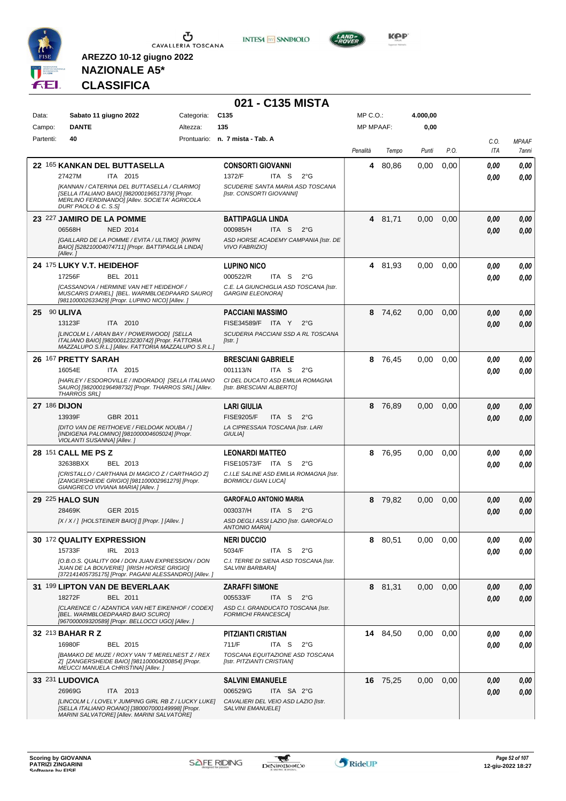

**INTESA M** SANPAOLO



**KOP** 

## **NAZIONALE A5\* CLASSIFICA**

|              |                                                                                                                                                         |            | 021 - C135 MISTA                                                                |                  |          |          |      |             |                       |
|--------------|---------------------------------------------------------------------------------------------------------------------------------------------------------|------------|---------------------------------------------------------------------------------|------------------|----------|----------|------|-------------|-----------------------|
| Data:        | Sabato 11 giugno 2022                                                                                                                                   | Categoria: | C <sub>135</sub>                                                                | MP C.O.:         |          | 4.000,00 |      |             |                       |
| Campo:       | <b>DANTE</b>                                                                                                                                            | Altezza:   | 135                                                                             | <b>MP MPAAF:</b> |          | 0,00     |      |             |                       |
| Partenti:    | 40                                                                                                                                                      |            | Prontuario: n. 7 mista - Tab. A                                                 | Penalità         | Tempo    | Punti    | P.O. | C.O.<br>ITA | <b>MPAAF</b><br>7anni |
|              | 22 165 KANKAN DEL BUTTASELLA                                                                                                                            |            | <b>CONSORTI GIOVANNI</b>                                                        | 4                | 80,86    | 0,00     | 0,00 | 0.00        | 0,00                  |
|              | 27427M<br>ITA 2015<br>[KANNAN / CATERINA DEL BUTTASELLA / CLARIMO]                                                                                      |            | 1372/F<br>ITA S<br>$2^{\circ}G$<br>SCUDERIE SANTA MARIA ASD TOSCANA             |                  |          |          |      | 0.00        | 0.00                  |
|              | [SELLA ITALIANO BAIO] [982000196517379] [Propr.<br>MERLINO FERDINANDO] [Allev. SOCIETA' AGRICOLA<br>DURI' PAOLO & C. S.S]                               |            | [Istr. CONSORTI GIOVANNI]                                                       |                  |          |          |      |             |                       |
|              | 23 227 JAMIRO DE LA POMME                                                                                                                               |            | <b>BATTIPAGLIA LINDA</b>                                                        |                  | 4 81,71  | 0,00     | 0,00 | 0.00        | 0,00                  |
|              | <b>NED 2014</b><br>06568H                                                                                                                               |            | 000985/H<br>ITA S<br>$2^{\circ}G$                                               |                  |          |          |      | 0.00        | 0,00                  |
|              | [GAILLARD DE LA POMME / EVITA / ULTIMO] [KWPN<br>BAIO] [528210004074711] [Propr. BATTIPAGLIA LINDA]<br>[Allev.]                                         |            | ASD HORSE ACADEMY CAMPANIA [Istr. DE<br><b>VIVO FABRIZIOI</b>                   |                  |          |          |      |             |                       |
|              | 24 175 LUKY V.T. HEIDEHOF                                                                                                                               |            | <b>LUPINO NICO</b>                                                              |                  | 4 81,93  | 0.00     | 0,00 | 0.00        | 0,00                  |
|              | 17256F<br>BEL 2011                                                                                                                                      |            | 000522/R<br>ITA <sub>S</sub><br>$2^{\circ}G$                                    |                  |          |          |      | 0.00        | 0.00                  |
|              | ICASSANOVA / HERMINE VAN HET HEIDEHOF /<br>MUSCARIS D'ARIEL] [BEL. WARMBLOEDPAARD SAURO]<br>[981100002633429] [Propr. LUPINO NICO] [Allev. ]            |            | C.E. LA GIUNCHIGLIA ASD TOSCANA [Istr.<br><b>GARGINI ELEONORA]</b>              |                  |          |          |      |             |                       |
| 25 90 ULIVA  |                                                                                                                                                         |            | <b>PACCIANI MASSIMO</b>                                                         | 8                | 74,62    | 0,00     | 0,00 | 0.00        | 0,00                  |
|              | 13123F<br>ITA 2010<br>[LINCOLM L / ARAN BAY / POWERWOOD] [SELLA                                                                                         |            | FISE34589/F ITA Y<br>$2^{\circ}G$<br>SCUDERIA PACCIANI SSD A RL TOSCANA         |                  |          |          |      | 0.00        | 0,00                  |
|              | ITALIANO BAIO] [982000123230742] [Propr. FATTORIA<br>MAZZALUPO S.R.L.] [Allev. FATTORIA MAZZALUPO S.R.L.]                                               |            | [Istr.]                                                                         |                  |          |          |      |             |                       |
|              | 26 167 PRETTY SARAH                                                                                                                                     |            | <b>BRESCIANI GABRIELE</b>                                                       | 8                | 76,45    | 0,00     | 0,00 | 0.00        | 0,00                  |
|              | 16054E<br>ITA 2015<br>[HARLEY / ESDOROVILLE / INDORADO] [SELLA ITALIANO                                                                                 |            | 001113/N<br>ITA S<br>$2^{\circ}G$<br>CI DEL DUCATO ASD EMILIA ROMAGNA           |                  |          |          |      | 0.00        | 0.00                  |
|              | SAURO] [982000196498732] [Propr. THARROS SRL] [Allev.<br><b>THARROS SRL1</b>                                                                            |            | [Istr. BRESCIANI ALBERTO]                                                       |                  |          |          |      |             |                       |
| 27 186 DIJON |                                                                                                                                                         |            | <b>LARI GIULIA</b>                                                              | 8                | 76,89    | 0.00     | 0.00 | 0.00        | 0,00                  |
|              | 13939F<br>GBR 2011<br>[DITO VAN DE REITHOEVE / FIELDOAK NOUBA / ]                                                                                       |            | <b>FISE9205/F</b><br>ITA S<br>$2^{\circ}G$<br>LA CIPRESSAIA TOSCANA [Istr. LARI |                  |          |          |      | 0.00        | 0.00                  |
|              | [INDIGENA PALOMINO] [981000004605024] [Propr.<br>VIOLANTI SUSANNA] [Allev.]                                                                             |            | GIULIA]                                                                         |                  |          |          |      |             |                       |
|              | 28 151 CALL ME PS Z                                                                                                                                     |            | <b>LEONARDI MATTEO</b>                                                          | 8                | 76,95    | 0.00     | 0,00 | 0,00        | 0,00                  |
|              | BEL 2013<br>32638BXX<br>[CRISTALLO / CARTHANA DI MAGICO Z / CARTHAGO Z]                                                                                 |            | FISE10573/F ITA S<br>$2^{\circ}$ G<br>C.I.LE SALINE ASD EMILIA ROMAGNA [Istr.   |                  |          |          |      | 0.00        | 0.00                  |
|              | [ZANGERSHEIDE GRIGIO] [981100002961279] [Propr.<br>GIANGRECO VIVIANA MARIA] [Allev. ]                                                                   |            | <b>BORMIOLI GIAN LUCA]</b>                                                      |                  |          |          |      |             |                       |
|              | <b>29 225 HALO SUN</b>                                                                                                                                  |            | <b>GAROFALO ANTONIO MARIA</b>                                                   |                  | 8 79.82  | 0.00     | 0,00 | 0,00        | 0,00                  |
|              | 28469K<br>GER 2015<br>[X / X / ] [HOLSTEINER BAIO] [] [Propr. ] [Allev. ]                                                                               |            | 003037/H<br>ITA S 2°G<br>ASD DEGLI ASSI LAZIO [Istr. GAROFALO                   |                  |          |          |      | 0.00        | 0,00                  |
|              |                                                                                                                                                         |            | <b>ANTONIO MARIA]</b>                                                           |                  |          |          |      |             |                       |
|              | 30 172 QUALITY EXPRESSION                                                                                                                               |            | <b>NERI DUCCIO</b>                                                              |                  | 8 80,51  | 0,00     | 0.00 | 0,00        | 0,00                  |
|              | 15733F<br>IRL 2013                                                                                                                                      |            | 5034/F<br>ITA S<br>$2^{\circ}$ G                                                |                  |          |          |      | 0,00        | 0,00                  |
|              | [O.B.O.S. QUALITY 004 / DON JUAN EXPRESSION / DON<br>JUAN DE LA BOUVERIE] [IRISH HORSE GRIGIO]<br>[372141405735175] [Propr. PAGANI ALESSANDRO] [Allev.] |            | C.I. TERRE DI SIENA ASD TOSCANA [Istr.<br>SALVINI BARBARA]                      |                  |          |          |      |             |                       |
|              | 31 199 LIPTON VAN DE BEVERLAAK                                                                                                                          |            | <b>ZARAFFI SIMONE</b>                                                           |                  | 8 81,31  | 0.00     | 0,00 | 0,00        | 0,00                  |
|              | 18272F<br>BEL 2011                                                                                                                                      |            | 005533/F<br>ITA S<br>$2^{\circ}G$                                               |                  |          |          |      | 0,00        | 0,00                  |
|              | [CLARENCE C / AZANTICA VAN HET EIKENHOF / CODEX]<br>[BEL. WARMBLOEDPAARD BAIO SCURO]<br>[967000009320589] [Propr. BELLOCCI UGO] [Allev. ]               |            | ASD C.I. GRANDUCATO TOSCANA [Istr.<br><b>FORMICHI FRANCESCAI</b>                |                  |          |          |      |             |                       |
|              | 32 213 BAHAR R Z                                                                                                                                        |            | <b>PITZIANTI CRISTIAN</b>                                                       |                  | 14 84,50 | 0,00     | 0,00 | 0,00        | 0,00                  |
|              | 16980F<br>BEL 2015                                                                                                                                      |            | 711/F<br>ITA S<br>$2^{\circ}$ G                                                 |                  |          |          |      | 0.00        | 0,00                  |
|              | [BAMAKO DE MUZE / ROXY VAN 'T MERELNEST Z / REX<br>Z] [ZANGERSHEIDE BAIO] [981100004200854] [Propr.<br>MEUCCI MANUELA CHRISTINA] [Allev.]               |            | TOSCANA EQUITAZIONE ASD TOSCANA<br>[Istr. PITZIANTI CRISTIAN]                   |                  |          |          |      |             |                       |
|              | 33 231 LUDOVICA                                                                                                                                         |            | <b>SALVINI EMANUELE</b>                                                         |                  | 16 75,25 | 0.00     | 0,00 | 0,00        | 0,00                  |
|              | 26969G<br>ITA 2013<br>[LINCOLM L / LOVELY JUMPING GIRL RB Z / LUCKY LUKE]                                                                               |            | 006529/G<br>ITA SA 2°G<br>CAVALIERI DEL VEIO ASD LAZIO [Istr.                   |                  |          |          |      | 0,00        | 0,00                  |
|              | [SELLA ITALIANO ROANO] [380007000149998] [Propr.<br>MARINI SALVATORE] [Allev. MARINI SALVATORE]                                                         |            | <b>SALVINI EMANUELE]</b>                                                        |                  |          |          |      |             |                       |
|              |                                                                                                                                                         |            |                                                                                 |                  |          |          |      |             |                       |

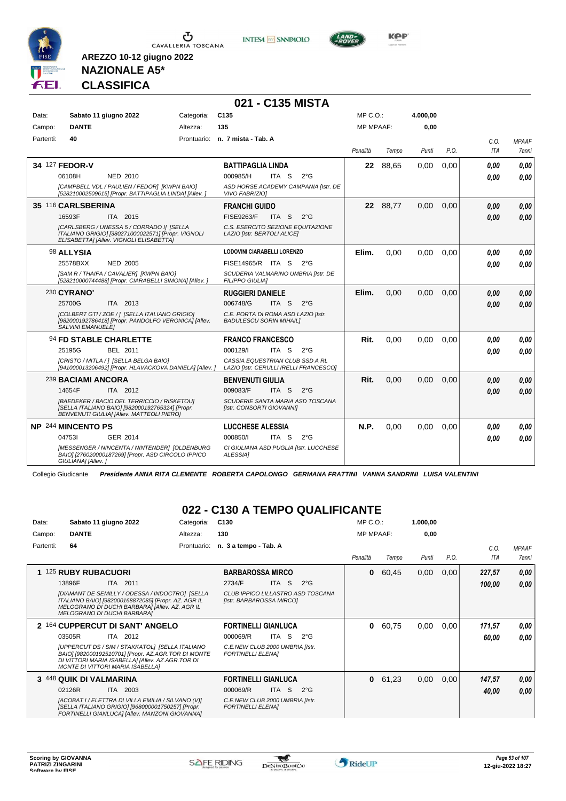





**NAZIONALE A5\* CLASSIFICA**

**AREZZO 10-12 giugno 2022**

|           |                          |                                                                                                                                                           |            | 021 - C135 MISTA                                                          |                  |          |          |      |            |              |
|-----------|--------------------------|-----------------------------------------------------------------------------------------------------------------------------------------------------------|------------|---------------------------------------------------------------------------|------------------|----------|----------|------|------------|--------------|
| Data:     |                          | Sabato 11 giugno 2022                                                                                                                                     | Categoria: | C <sub>135</sub>                                                          | MP C. O.         |          | 4.000,00 |      |            |              |
| Campo:    | <b>DANTE</b>             |                                                                                                                                                           | Altezza:   | 135                                                                       | <b>MP MPAAF:</b> |          | 0,00     |      |            |              |
| Partenti: | 40                       |                                                                                                                                                           |            | Prontuario: n. 7 mista - Tab. A                                           |                  |          |          |      | C.O.       | <b>MPAAF</b> |
|           |                          |                                                                                                                                                           |            |                                                                           | Penalità         | Tempo    | Punti    | P.O. | <b>ITA</b> | 7anni        |
|           | 34 127 FEDOR-V           |                                                                                                                                                           |            | <b>BATTIPAGLIA LINDA</b>                                                  |                  | 22 88,65 | 0,00     | 0,00 | 0.00       | 0.00         |
|           | 06108H                   | <b>NED 2010</b>                                                                                                                                           |            | 000985/H<br>ITA S<br>$2^{\circ}$ G                                        |                  |          |          |      | 0.00       | 0.00         |
|           |                          | [CAMPBELL VDL / PAULIEN / FEDOR] [KWPN BAIO]<br>[528210002509615] [Propr. BATTIPAGLIA LINDA] [Allev. ]                                                    |            | ASD HORSE ACADEMY CAMPANIA [Istr. DE<br><b>VIVO FABRIZIOI</b>             |                  |          |          |      |            |              |
|           | 35 116 CARLSBERINA       |                                                                                                                                                           |            | <b>FRANCHI GUIDO</b>                                                      |                  | 22 88.77 | 0.00     | 0.00 | 0.00       | 0.00         |
|           | 16593F                   | ITA 2015                                                                                                                                                  |            | <b>FISE9263/F</b><br>$2^{\circ}$ G<br>ITA <sub>S</sub>                    |                  |          |          |      | 0.00       | 0.00         |
|           |                          | [CARLSBERG / UNESSA 5 / CORRADO I] [SELLA<br>ITALIANO GRIGIO] [380271000022571] [Propr. VIGNOLI<br>ELISABETTA] [Allev. VIGNOLI ELISABETTA]                |            | C.S. ESERCITO SEZIONE EQUITAZIONE<br>LAZIO [Istr. BERTOLI ALICE]          |                  |          |          |      |            |              |
|           | 98 ALLYSIA               |                                                                                                                                                           |            | LODOVINI CIARABELLI LORENZO                                               | Elim.            | 0,00     | 0,00     | 0.00 | 0.00       | 0,00         |
|           | 25578BXX                 | <b>NED 2005</b>                                                                                                                                           |            | FISE14965/R ITA S 2°G                                                     |                  |          |          |      | 0.00       | 0.00         |
|           |                          | [SAM R / THAIFA / CAVALIER] [KWPN BAIO]<br>[528210000744488] [Propr. CIARABELLI SIMONA] [Allev.]                                                          |            | SCUDERIA VALMARINO UMBRIA [Istr. DE<br>FILIPPO GIULIA]                    |                  |          |          |      |            |              |
|           | 230 CYRANO'              |                                                                                                                                                           |            | <b>RUGGIERI DANIELE</b>                                                   | Elim.            | 0.00     | 0.00     | 0.00 | 0.00       | 0.00         |
|           | 25700G                   | ITA 2013                                                                                                                                                  |            | 006748/G<br>ITA <sub>S</sub><br>$2^{\circ}$ G                             |                  |          |          |      | 0.00       | 0,00         |
|           | <b>SALVINI EMANUELEI</b> | [COLBERT GTI / ZOE / ] [SELLA ITALIANO GRIGIO]<br>[982000192786418] [Propr. PANDOLFO VERONICA] [Allev.                                                    |            | C.E. PORTA DI ROMA ASD LAZIO [Istr.<br><b>BADULESCU SORIN MIHAILI</b>     |                  |          |          |      |            |              |
|           |                          | 94 FD STABLE CHARLETTE                                                                                                                                    |            | <b>FRANCO FRANCESCO</b>                                                   | Rit.             | 0.00     | 0.00     | 0.00 | 0.00       | 0.00         |
|           | 25195G                   | <b>BEL 2011</b>                                                                                                                                           |            | 000129/<br>ITA S<br>$2^{\circ}$ G                                         |                  |          |          |      | 0,00       | 0.00         |
|           |                          | [CRISTO / MITLA / ] [SELLA BELGA BAIO]<br>[941000013206492] [Propr. HLAVACKOVA DANIELA] [Allev.]                                                          |            | CASSIA EQUESTRIAN CLUB SSD A RL<br>LAZIO [Istr. CERULLI IRELLI FRANCESCO] |                  |          |          |      |            |              |
|           | 239 BACIAMI ANCORA       |                                                                                                                                                           |            | <b>BENVENUTI GIULIA</b>                                                   | Rit.             | 0.00     | 0.00     | 0.00 | 0,00       | 0,00         |
|           | 14654F                   | ITA 2012                                                                                                                                                  |            | 009083/F<br>ITA S<br>$2^{\circ}$ G                                        |                  |          |          |      | 0.00       | 0.00         |
|           |                          | <b>IBAEDEKER / BACIO DEL TERRICCIO / RISKETOUI</b><br>[SELLA ITALIANO BAIO] [982000192765324] [Propr.<br><b>BENVENUTI GIULIA] [Allev. MATTEOLI PIERO]</b> |            | SCUDERIE SANTA MARIA ASD TOSCANA<br>[Istr. CONSORTI GIOVANNI]             |                  |          |          |      |            |              |
|           | NP 244 MINCENTO PS       |                                                                                                                                                           |            | <b>LUCCHESE ALESSIA</b>                                                   | N.P.             | 0,00     | 0,00     | 0,00 | 0,00       | 0.00         |
|           | 047531                   | GER 2014                                                                                                                                                  |            | 000850/I<br>ITA S<br>$2^{\circ}$ G                                        |                  |          |          |      | 0.00       | 0.00         |
|           | GIULIANA] [Allev.]       | [MESSENGER / NINCENTA / NINTENDER] [OLDENBURG<br>BAIO] [276020000187269] [Propr. ASD CIRCOLO IPPICO                                                       |            | CI GIULIANA ASD PUGLIA [Istr. LUCCHESE<br>ALESSIA1                        |                  |          |          |      |            |              |

Collegio Giudicante *Presidente ANNA RITA CLEMENTE ROBERTA CAPOLONGO GERMANA FRATTINI VANNA SANDRINI LUISA VALENTINI*

#### **022 - C130 A TEMPO QUALIFICANTE**

| Data:     | Sabato 11 giugno 2022                                                                                                                                                                          | Categoria:  | C <sub>130</sub>                                              | $MP C. O.$ :     |       | 1.000,00 |      |            |              |
|-----------|------------------------------------------------------------------------------------------------------------------------------------------------------------------------------------------------|-------------|---------------------------------------------------------------|------------------|-------|----------|------|------------|--------------|
| Campo:    | <b>DANTE</b>                                                                                                                                                                                   | Altezza:    | 130                                                           | <b>MP MPAAF:</b> |       | 0,00     |      |            |              |
| Partenti: | 64                                                                                                                                                                                             | Prontuario: | n. 3 a tempo - Tab. A                                         |                  |       |          |      | C.O.       | <b>MPAAF</b> |
|           |                                                                                                                                                                                                |             |                                                               | Penalità         | Tempo | Punti    | P.O. | <b>ITA</b> | 7anni        |
| 1.        | <b>125 RUBY RUBACUORI</b>                                                                                                                                                                      |             | <b>BARBAROSSA MIRCO</b>                                       | 0                | 60,45 | 0,00     | 0,00 | 227,57     | 0,00         |
|           | ITA 2011<br>13896F                                                                                                                                                                             |             | 2734/F<br><b>ITA</b><br>-S<br>$2^{\circ}$ G                   |                  |       |          |      | 100,00     | 0,00         |
|           | [DIAMANT DE SEMILLY / ODESSA / INDOCTRO] [SELLA<br>ITALIANO BAIO] [982000168872085] [Propr. AZ. AGR IL<br>MELOGRANO DI DUCHI BARBARA] [Allev. AZ. AGR IL<br><b>MELOGRANO DI DUCHI BARBARAI</b> |             | CLUB IPPICO LILLASTRO ASD TOSCANA<br>[Istr. BARBAROSSA MIRCO] |                  |       |          |      |            |              |
|           | 2 164 CUPPERCUT DI SANT' ANGELO                                                                                                                                                                |             | <b>FORTINELLI GIANLUCA</b>                                    | 0                | 60,75 | 0,00     | 0,00 | 171,57     | 0,00         |
|           | ITA 2012<br>03505R                                                                                                                                                                             |             | <b>ITA</b><br>-S<br>$2^{\circ}$ G<br>000069/R                 |                  |       |          |      | 60,00      | 0.00         |
|           | [UPPERCUT DS / SIM / STAKKATOL] [SELLA ITALIANO<br>BAIO] [982000192510701] [Propr. AZ.AGR.TOR DI MONTE<br>DI VITTORI MARIA ISABELLA] [Allev. AZ.AGR.TOR DI<br>MONTE DI VITTORI MARIA ISABELLAI |             | C.E.NEW CLUB 2000 UMBRIA [Istr.<br><b>FORTINELLI ELENA]</b>   |                  |       |          |      |            |              |
|           | 3 448 QUIK DI VALMARINA                                                                                                                                                                        |             | <b>FORTINELLI GIANLUCA</b>                                    | 0                | 61,23 | 0,00     | 0,00 | 147,57     | 0,00         |
|           | ITA 2003<br>02126R                                                                                                                                                                             |             | 000069/R<br><b>ITA</b><br>S.<br>$2^{\circ}$ G                 |                  |       |          |      | 40,00      | 0,00         |
|           | [ACOBAT I / ELETTRA DI VILLA EMILIA / SILVANO (V)]<br>[SELLA ITALIANO GRIGIO] [968000001750257] [Propr.<br>FORTINELLI GIANLUCA] [Allev. MANZONI GIOVANNA]                                      |             | C.E.NEW CLUB 2000 UMBRIA [Istr.<br><b>FORTINELLI ELENAI</b>   |                  |       |          |      |            |              |

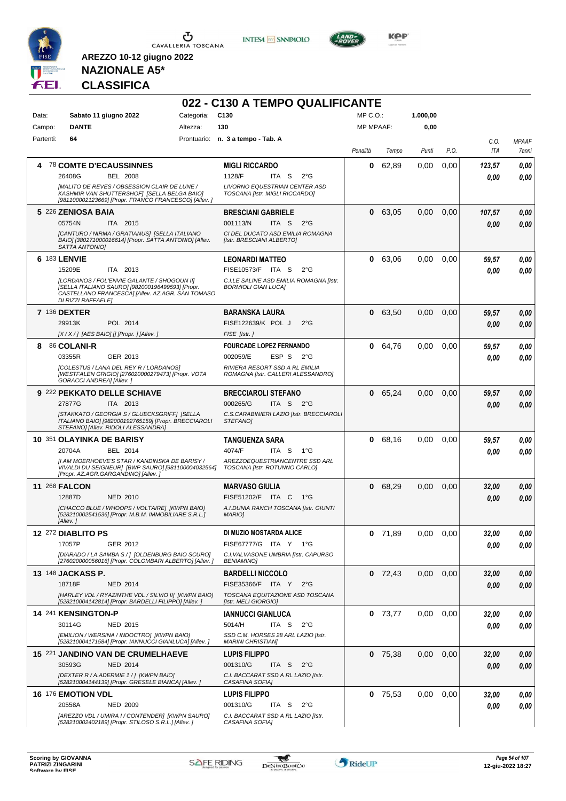

**INTESA M** SANPAOLO



**KOP** 

## **NAZIONALE A5\* CLASSIFICA**

|           |                                                                                                                                                                           |            | 022 - C130 A TEMPO QUALIFICANTE                                       |                  |           |          |      |        |              |
|-----------|---------------------------------------------------------------------------------------------------------------------------------------------------------------------------|------------|-----------------------------------------------------------------------|------------------|-----------|----------|------|--------|--------------|
| Data:     | Sabato 11 giugno 2022                                                                                                                                                     | Categoria: | C <sub>130</sub>                                                      | MP C.O.:         |           | 1.000,00 |      |        |              |
| Campo:    | <b>DANTE</b>                                                                                                                                                              | Altezza:   | 130                                                                   | <b>MP MPAAF:</b> |           | 0,00     |      |        |              |
| Partenti: | 64                                                                                                                                                                        |            | Prontuario: n. 3 a tempo - Tab. A                                     |                  |           |          |      | C.O.   | <b>MPAAF</b> |
|           |                                                                                                                                                                           |            |                                                                       | Penalità         | Tempo     | Punti    | P.O. | ITA    | 7anni        |
| 4         | <b>78 COMTE D'ECAUSSINNES</b>                                                                                                                                             |            | <b>MIGLI RICCARDO</b>                                                 | 0                | 62,89     | 0,00     | 0,00 | 123,57 | 0,00         |
|           | 26408G<br><b>BEL 2008</b>                                                                                                                                                 |            | 1128/F<br>ITA S<br>$2^{\circ}$ G                                      |                  |           |          |      | 0.00   | 0,00         |
|           | [MALITO DE REVES / OBSESSION CLAIR DE LUNE /<br>KASHMIR VAN SHUTTERSHOF  [SELLA BELGA BAIO]<br>[981100002123669] [Propr. FRANCO FRANCESCO] [Allev.]                       |            | LIVORNO EQUESTRIAN CENTER ASD<br>TOSCANA [Istr. MIGLI RICCARDO]       |                  |           |          |      |        |              |
|           | 5 226 ZENIOSA BAIA                                                                                                                                                        |            | <b>BRESCIANI GABRIELE</b>                                             | 0                | 63.05     | 0,00     | 0,00 | 107,57 | 0,00         |
|           | 05754N<br>ITA 2015                                                                                                                                                        |            | 001113/N<br>ITA S<br>$2^{\circ}$ G                                    |                  |           |          |      | 0.00   | 0.00         |
|           | [CANTURO / NIRMA / GRATIANUS] [SELLA ITALIANO<br>BAIO] [380271000016614] [Propr. SATTA ANTONIO] [Allev.<br>SATTA ANTONIO]                                                 |            | CI DEL DUCATO ASD EMILIA ROMAGNA<br>[Istr. BRESCIANI ALBERTO]         |                  |           |          |      |        |              |
|           | 6 183 LENVIE                                                                                                                                                              |            | <b>LEONARDI MATTEO</b>                                                | 0                | 63,06     | 0,00     | 0,00 | 59,57  | 0,00         |
|           | 15209E<br>ITA 2013                                                                                                                                                        |            | FISE10573/F ITA S<br>$2^{\circ}$ G                                    |                  |           |          |      | 0.00   | 0.00         |
|           | [LORDANOS / FOL'ENVIE GALANTE / SHOGOUN II]<br>[SELLA ITALIANO SAURO] [982000196499593] [Propr.<br>CASTELLANO FRANCESCAI [Allev. AZ.AGR. SAN TOMASO<br>DI RIZZI RAFFAELE] |            | C.I.LE SALINE ASD EMILIA ROMAGNA [Istr.<br><b>BORMIOLI GIAN LUCA]</b> |                  |           |          |      |        |              |
|           | 7 136 DEXTER                                                                                                                                                              |            | <b>BARANSKA LAURA</b>                                                 | 0                | 63,50     | 0,00     | 0,00 | 59,57  | 0,00         |
|           | POL 2014<br>29913K                                                                                                                                                        |            | FISE122639/K POL J<br>$2^{\circ}$ G                                   |                  |           |          |      | 0.00   | 0.00         |
|           | [X / X / ] [AES BAIO] [] [Propr. ] [Allev. ]                                                                                                                              |            | FISE [Istr.]                                                          |                  |           |          |      |        |              |
| 8         | 86 COLANI-R                                                                                                                                                               |            | <b>FOURCADE LOPEZ FERNANDO</b>                                        | 0                | 64,76     | 0,00     | 0,00 | 59,57  | 0,00         |
|           | 03355R<br>GER 2013<br>[COLESTUS / LANA DEL REY R / LORDANOS]                                                                                                              |            | 002059/E<br>ESP S<br>$2^{\circ}G$<br>RIVIERA RESORT SSD A RL EMILIA   |                  |           |          |      | 0.00   | 0.00         |
|           | [WESTFALEN GRIGIO] [276020000279473] [Propr. VOTA<br>GORACCI ANDREA] [Allev.]                                                                                             |            | ROMAGNA [Istr. CALLERI ALESSANDRO]                                    |                  |           |          |      |        |              |
|           | 9 222 PEKKATO DELLE SCHIAVE                                                                                                                                               |            | <b>BRECCIAROLI STEFANO</b>                                            | 0                | 65,24     | 0,00     | 0,00 | 59,57  | 0,00         |
|           | 27877G<br>ITA 2013                                                                                                                                                        |            | 000265/G<br>ITA S 2°G                                                 |                  |           |          |      | 0.00   | 0.00         |
|           | [STAKKATO / GEORGIA S / GLUECKSGRIFF] [SELLA<br>ITALIANO BAIO] [982000192765159] [Propr. BRECCIAROLI<br>STEFANOJ [Allev. RIDOLI ALESSANDRA]                               |            | C.S.CARABINIERI LAZIO [Istr. BRECCIAROLI<br>STEFANO]                  |                  |           |          |      |        |              |
|           | 10 351 OLAYINKA DE BARISY                                                                                                                                                 |            | TANGUENZA SARA                                                        | 0                | 68,16     | 0,00     | 0.00 | 59,57  | 0,00         |
|           | 20704A<br>BEL 2014                                                                                                                                                        |            | 4074/F<br>ITA S<br>$1^{\circ}G$<br>AREZZOEQUESTRIANCENTRE SSD ARL     |                  |           |          |      | 0.00   | 0.00         |
|           | [I AM MOERHOEVE'S STAR / KANDINSKA DE BARISY /<br>VIVALDI DU SEIGNEUR] [BWP SAURO] [981100004032564]<br>[Propr. AZ.AGR.GARGANDINO] [Allev. ]                              |            | TOSCANA [Istr. ROTUNNO CARLO]                                         |                  |           |          |      |        |              |
|           | <b>11 268 FALCON</b>                                                                                                                                                      |            | <b>MARVASO GIULIA</b>                                                 | 0                | 68,29     | 0,00     | 0,00 | 32,00  | 0,00         |
|           | 12887D<br><b>NED 2010</b>                                                                                                                                                 |            | FISE51202/F ITA C<br>1°G                                              |                  |           |          |      | 0.00   | 0.00         |
|           | [CHACCO BLUE / WHOOPS / VOLTAIRE] [KWPN BAIO]<br>[528210002541536] [Propr. M.B.M. IMMOBILIARE S.R.L.]<br>[Allev.]                                                         |            | A.I.DUNIA RANCH TOSCANA [Istr. GIUNTI<br><b>MARIOI</b>                |                  |           |          |      |        |              |
|           | 12 272 DIABLITO PS                                                                                                                                                        |            | DI MUZIO MOSTARDA ALICE                                               | 0                | 71,89     | 0,00     | 0,00 | 32,00  | 0,00         |
|           | 17057P<br>GER 2012                                                                                                                                                        |            | FISE67777/G ITA Y 1°G                                                 |                  |           |          |      | 0,00   | 0,00         |
|           | [DIARADO / LA SAMBA S / ] [OLDENBURG BAIO SCURO]<br>[276020000056016] [Propr. COLOMBARI ALBERTO] [Allev. ]                                                                |            | C.I. VALVASONE UMBRIA [Istr. CAPURSO<br><b>BENIAMINO]</b>             |                  |           |          |      |        |              |
|           | 13 148 JACKASS P.                                                                                                                                                         |            | <b>BARDELLI NICCOLO</b>                                               |                  | $0$ 72,43 | 0,00     | 0,00 | 32,00  | 0,00         |
|           | 18718F<br><b>NED 2014</b>                                                                                                                                                 |            | FISE35366/F ITA Y<br>$2^{\circ}G$                                     |                  |           |          |      | 0,00   | 0,00         |
|           | [HARLEY VDL / RYAZINTHE VDL / SILVIO II] [KWPN BAIO]<br>[528210004142814] [Propr. BARDELLI FILIPPO] [Allev.]                                                              |            | TOSCANA EQUITAZIONE ASD TOSCANA<br>[Istr. MELI GIORGIO]               |                  |           |          |      |        |              |
|           | 14 241 KENSINGTON-P                                                                                                                                                       |            | <b>IANNUCCI GIANLUCA</b>                                              |                  | $0$ 73,77 | 0,00     | 0,00 | 32,00  | 0,00         |
|           | 30114G<br>NED 2015                                                                                                                                                        |            | 5014/H<br>ITA <sub>S</sub><br>$2^{\circ}$ G                           |                  |           |          |      | 0.00   | 0,00         |
|           | [EMILION / WERSINA / INDOCTRO] [KWPN BAIO]<br>[528210004171584] [Propr. IANNUCCI GIANLUCA] [Allev.]                                                                       |            | SSD C.M. HORSES 28 ARL LAZIO [Istr.<br><b>MARINI CHRISTIAN]</b>       |                  |           |          |      |        |              |
|           | 15 221 JANDINO VAN DE CRUMELHAEVE                                                                                                                                         |            | <b>LUPIS FILIPPO</b>                                                  |                  | $0$ 75,38 | 0,00     | 0,00 | 32,00  | 0,00         |
|           | 30593G<br><b>NED 2014</b>                                                                                                                                                 |            | 001310/G<br>ITA S<br>$2^{\circ}$ G                                    |                  |           |          |      | 0.00   | 0,00         |
|           | [DEXTER R / A.ADERMIE 1 / ] [KWPN BAIO]<br>[528210004144139] [Propr. GRESELE BIANCA] [Allev. ]                                                                            |            | C.I. BACCARAT SSD A RL LAZIO [Istr.<br>CASAFINA SOFIA]                |                  |           |          |      |        |              |
|           | <b>16 176 EMOTION VDL</b>                                                                                                                                                 |            | <b>LUPIS FILIPPO</b>                                                  |                  | $0$ 75,53 | 0,00     | 0,00 | 32,00  | 0,00         |
|           | 20558A<br><b>NED 2009</b>                                                                                                                                                 |            | 001310/G<br>ITA S<br>$2^{\circ}$ G                                    |                  |           |          |      | 0.00   | 0,00         |
|           | [AREZZO VDL / UMIRA I / CONTENDER] [KWPN SAURO]<br>[528210002402189] [Propr. STILOSO S.R.L.] [Allev.]                                                                     |            | C.I. BACCARAT SSD A RL LAZIO [Istr.<br>CASAFINA SOFIA]                |                  |           |          |      |        |              |

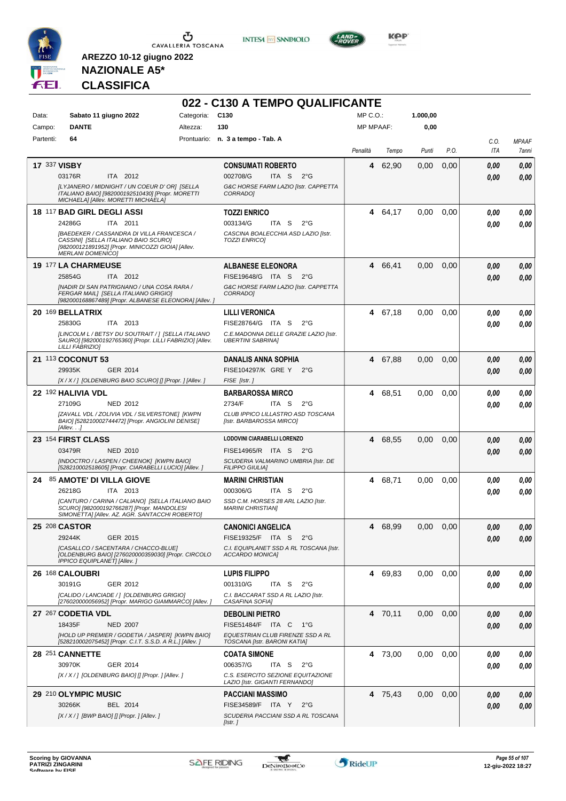

**INTESA M** SANPAOLO



**KOP** 

## **NAZIONALE A5\* CLASSIFICA**

| Categoria:<br>C <sub>130</sub><br>MP C. O.<br>1.000,00<br>Sabato 11 giugno 2022<br>Data:<br><b>DANTE</b><br>130<br><b>MP MPAAF:</b><br>0,00<br>Altezza:<br>Campo:<br>Prontuario: n. 3 a tempo - Tab. A<br>Partenti:<br>64<br>P.O.<br>Penalità<br>Tempo<br>Punti<br><b>17 337 VISBY</b><br>62,90<br><b>CONSUMATI ROBERTO</b><br>0,00<br>0,00<br>4<br>0,00<br>ITA 2012<br>002708/G<br>ITA S<br>03176R<br>$2^{\circ}$ G<br>0.00<br>[LYJANERO / MIDNIGHT / UN COEUR D' OR] [SELLA<br>G&C HORSE FARM LAZIO [Istr. CAPPETTA<br>ITALIANO BAIO] [982000192510430] [Propr. MORETTI<br><b>CORRADOI</b><br>MICHAELA] [Allev. MORETTI MICHAELA]<br>18 117 BAD GIRL DEGLI ASSI<br>4 64,17<br><b>TOZZI ENRICO</b><br>0.00<br>0,00<br>24286G<br>003134/G<br>ITA S<br>$2^{\circ}$ G<br>ITA 2011<br>CASCINA BOALECCHIA ASD LAZIO [Istr.<br>[BAEDEKER / CASSANDRA DI VILLA FRANCESCA /<br>CASSINI] [SELLA ITALIANO BAIO SCURO]<br><b>TOZZI ENRICOI</b><br>[982000121891952] [Propr. MINICOZZI GIOIA] [Allev.<br><b>MERLANI DOMENICO]</b><br>19 177 LA CHARMEUSE<br>0,00<br>66,41<br>0,00<br><b>ALBANESE ELEONORA</b><br>4<br>ITA 2012<br>FISE19648/G ITA S<br>25854G<br>$2^{\circ}G$<br>0.00<br>[NADIR DI SAN PATRIGNANO / UNA COSA RARA /<br>G&C HORSE FARM LAZIO [Istr. CAPPETTA<br>FERGAR MAIL] [SELLA ITALIANO GRIGIO]<br><b>CORRADOI</b><br>[982000168867489] [Propr. ALBANESE ELEONORA] [Allev. ]<br>20 169 BELLATRIX<br>4 67,18<br>0,00<br><b>LILLI VERONICA</b><br>0,00<br>0.00<br>25830G<br>ITA 2013<br>FISE28764/G ITA S<br>$2^{\circ}$ G<br>0.00<br>[LINCOLM L / BETSY DU SOUTRAIT / ] [SELLA ITALIANO<br>C.E.MADONNA DELLE GRAZIE LAZIO [Istr.<br>SAURO] [982000192765360] [Propr. LILLI FABRIZIO] [Allev.<br><b>UBERTINI SABRINA]</b><br>LILLI FABRIZIOI<br>21 113 COCONUT 53<br>67,88<br><b>DANALIS ANNA SOPHIA</b><br>0,00<br>0,00<br>4<br>29935K<br>GER 2014<br>FISE104297/K GRE Y<br>$2^{\circ}$ G<br>0.00<br>[X / X / ] [OLDENBURG BAIO SCURO] [] [Propr. ] [Allev. ]<br>FISE [Istr.]<br>68,51<br>0,00<br>0,00<br>22 <sup>192</sup> HALIVIA VDL<br><b>BARBAROSSA MIRCO</b><br>4<br>0.00<br>27109G<br>NED 2012<br>2734/F<br>ITA S<br>$2^{\circ}G$<br>0.00<br>[ZAVALL VDL / ZOLIVIA VDL / SILVERSTONE] [KWPN<br>CLUB IPPICO LILLASTRO ASD TOSCANA<br>BAIO] [528210002744472] [Propr. ANGIOLINI DENISE]<br>[Istr. BARBAROSSA MIRCO]<br>[Allev.]<br>LODOVINI CIARABELLI LORENZO<br>23 154 FIRST CLASS<br>68,55<br>0,00<br>0,00<br>4<br>0,00<br>03479R<br><b>NED 2010</b><br>FISE14965/R ITA S<br>$2^{\circ}G$<br>0.00<br>[INDOCTRO / LASPEN / CHEENOK] [KWPN BAIO]<br>SCUDERIA VALMARINO UMBRIA [Istr. DE<br>[528210002518605] [Propr. CIARABELLI LUCIO] [Allev. ]<br><b>FILIPPO GIULIA]</b> | C.O.<br><b>MPAAF</b><br>ITA<br>7anni<br>0,00<br>0,00<br>0,00<br>0.00<br>0.00<br>0.00<br>0.00<br>0,00<br>0.00<br>0,00<br>0.00<br>0,00<br>0.00 |
|------------------------------------------------------------------------------------------------------------------------------------------------------------------------------------------------------------------------------------------------------------------------------------------------------------------------------------------------------------------------------------------------------------------------------------------------------------------------------------------------------------------------------------------------------------------------------------------------------------------------------------------------------------------------------------------------------------------------------------------------------------------------------------------------------------------------------------------------------------------------------------------------------------------------------------------------------------------------------------------------------------------------------------------------------------------------------------------------------------------------------------------------------------------------------------------------------------------------------------------------------------------------------------------------------------------------------------------------------------------------------------------------------------------------------------------------------------------------------------------------------------------------------------------------------------------------------------------------------------------------------------------------------------------------------------------------------------------------------------------------------------------------------------------------------------------------------------------------------------------------------------------------------------------------------------------------------------------------------------------------------------------------------------------------------------------------------------------------------------------------------------------------------------------------------------------------------------------------------------------------------------------------------------------------------------------------------------------------------------------------------------------------------------------------------------------------------------------------------------------------------------------------------------------------------------------------------------------------------------------------------------------------------------------------------------------|----------------------------------------------------------------------------------------------------------------------------------------------|
|                                                                                                                                                                                                                                                                                                                                                                                                                                                                                                                                                                                                                                                                                                                                                                                                                                                                                                                                                                                                                                                                                                                                                                                                                                                                                                                                                                                                                                                                                                                                                                                                                                                                                                                                                                                                                                                                                                                                                                                                                                                                                                                                                                                                                                                                                                                                                                                                                                                                                                                                                                                                                                                                                          |                                                                                                                                              |
|                                                                                                                                                                                                                                                                                                                                                                                                                                                                                                                                                                                                                                                                                                                                                                                                                                                                                                                                                                                                                                                                                                                                                                                                                                                                                                                                                                                                                                                                                                                                                                                                                                                                                                                                                                                                                                                                                                                                                                                                                                                                                                                                                                                                                                                                                                                                                                                                                                                                                                                                                                                                                                                                                          |                                                                                                                                              |
|                                                                                                                                                                                                                                                                                                                                                                                                                                                                                                                                                                                                                                                                                                                                                                                                                                                                                                                                                                                                                                                                                                                                                                                                                                                                                                                                                                                                                                                                                                                                                                                                                                                                                                                                                                                                                                                                                                                                                                                                                                                                                                                                                                                                                                                                                                                                                                                                                                                                                                                                                                                                                                                                                          |                                                                                                                                              |
|                                                                                                                                                                                                                                                                                                                                                                                                                                                                                                                                                                                                                                                                                                                                                                                                                                                                                                                                                                                                                                                                                                                                                                                                                                                                                                                                                                                                                                                                                                                                                                                                                                                                                                                                                                                                                                                                                                                                                                                                                                                                                                                                                                                                                                                                                                                                                                                                                                                                                                                                                                                                                                                                                          |                                                                                                                                              |
|                                                                                                                                                                                                                                                                                                                                                                                                                                                                                                                                                                                                                                                                                                                                                                                                                                                                                                                                                                                                                                                                                                                                                                                                                                                                                                                                                                                                                                                                                                                                                                                                                                                                                                                                                                                                                                                                                                                                                                                                                                                                                                                                                                                                                                                                                                                                                                                                                                                                                                                                                                                                                                                                                          |                                                                                                                                              |
|                                                                                                                                                                                                                                                                                                                                                                                                                                                                                                                                                                                                                                                                                                                                                                                                                                                                                                                                                                                                                                                                                                                                                                                                                                                                                                                                                                                                                                                                                                                                                                                                                                                                                                                                                                                                                                                                                                                                                                                                                                                                                                                                                                                                                                                                                                                                                                                                                                                                                                                                                                                                                                                                                          |                                                                                                                                              |
|                                                                                                                                                                                                                                                                                                                                                                                                                                                                                                                                                                                                                                                                                                                                                                                                                                                                                                                                                                                                                                                                                                                                                                                                                                                                                                                                                                                                                                                                                                                                                                                                                                                                                                                                                                                                                                                                                                                                                                                                                                                                                                                                                                                                                                                                                                                                                                                                                                                                                                                                                                                                                                                                                          |                                                                                                                                              |
|                                                                                                                                                                                                                                                                                                                                                                                                                                                                                                                                                                                                                                                                                                                                                                                                                                                                                                                                                                                                                                                                                                                                                                                                                                                                                                                                                                                                                                                                                                                                                                                                                                                                                                                                                                                                                                                                                                                                                                                                                                                                                                                                                                                                                                                                                                                                                                                                                                                                                                                                                                                                                                                                                          |                                                                                                                                              |
|                                                                                                                                                                                                                                                                                                                                                                                                                                                                                                                                                                                                                                                                                                                                                                                                                                                                                                                                                                                                                                                                                                                                                                                                                                                                                                                                                                                                                                                                                                                                                                                                                                                                                                                                                                                                                                                                                                                                                                                                                                                                                                                                                                                                                                                                                                                                                                                                                                                                                                                                                                                                                                                                                          |                                                                                                                                              |
|                                                                                                                                                                                                                                                                                                                                                                                                                                                                                                                                                                                                                                                                                                                                                                                                                                                                                                                                                                                                                                                                                                                                                                                                                                                                                                                                                                                                                                                                                                                                                                                                                                                                                                                                                                                                                                                                                                                                                                                                                                                                                                                                                                                                                                                                                                                                                                                                                                                                                                                                                                                                                                                                                          |                                                                                                                                              |
|                                                                                                                                                                                                                                                                                                                                                                                                                                                                                                                                                                                                                                                                                                                                                                                                                                                                                                                                                                                                                                                                                                                                                                                                                                                                                                                                                                                                                                                                                                                                                                                                                                                                                                                                                                                                                                                                                                                                                                                                                                                                                                                                                                                                                                                                                                                                                                                                                                                                                                                                                                                                                                                                                          |                                                                                                                                              |
|                                                                                                                                                                                                                                                                                                                                                                                                                                                                                                                                                                                                                                                                                                                                                                                                                                                                                                                                                                                                                                                                                                                                                                                                                                                                                                                                                                                                                                                                                                                                                                                                                                                                                                                                                                                                                                                                                                                                                                                                                                                                                                                                                                                                                                                                                                                                                                                                                                                                                                                                                                                                                                                                                          |                                                                                                                                              |
|                                                                                                                                                                                                                                                                                                                                                                                                                                                                                                                                                                                                                                                                                                                                                                                                                                                                                                                                                                                                                                                                                                                                                                                                                                                                                                                                                                                                                                                                                                                                                                                                                                                                                                                                                                                                                                                                                                                                                                                                                                                                                                                                                                                                                                                                                                                                                                                                                                                                                                                                                                                                                                                                                          |                                                                                                                                              |
|                                                                                                                                                                                                                                                                                                                                                                                                                                                                                                                                                                                                                                                                                                                                                                                                                                                                                                                                                                                                                                                                                                                                                                                                                                                                                                                                                                                                                                                                                                                                                                                                                                                                                                                                                                                                                                                                                                                                                                                                                                                                                                                                                                                                                                                                                                                                                                                                                                                                                                                                                                                                                                                                                          |                                                                                                                                              |
|                                                                                                                                                                                                                                                                                                                                                                                                                                                                                                                                                                                                                                                                                                                                                                                                                                                                                                                                                                                                                                                                                                                                                                                                                                                                                                                                                                                                                                                                                                                                                                                                                                                                                                                                                                                                                                                                                                                                                                                                                                                                                                                                                                                                                                                                                                                                                                                                                                                                                                                                                                                                                                                                                          |                                                                                                                                              |
|                                                                                                                                                                                                                                                                                                                                                                                                                                                                                                                                                                                                                                                                                                                                                                                                                                                                                                                                                                                                                                                                                                                                                                                                                                                                                                                                                                                                                                                                                                                                                                                                                                                                                                                                                                                                                                                                                                                                                                                                                                                                                                                                                                                                                                                                                                                                                                                                                                                                                                                                                                                                                                                                                          |                                                                                                                                              |
|                                                                                                                                                                                                                                                                                                                                                                                                                                                                                                                                                                                                                                                                                                                                                                                                                                                                                                                                                                                                                                                                                                                                                                                                                                                                                                                                                                                                                                                                                                                                                                                                                                                                                                                                                                                                                                                                                                                                                                                                                                                                                                                                                                                                                                                                                                                                                                                                                                                                                                                                                                                                                                                                                          |                                                                                                                                              |
|                                                                                                                                                                                                                                                                                                                                                                                                                                                                                                                                                                                                                                                                                                                                                                                                                                                                                                                                                                                                                                                                                                                                                                                                                                                                                                                                                                                                                                                                                                                                                                                                                                                                                                                                                                                                                                                                                                                                                                                                                                                                                                                                                                                                                                                                                                                                                                                                                                                                                                                                                                                                                                                                                          |                                                                                                                                              |
|                                                                                                                                                                                                                                                                                                                                                                                                                                                                                                                                                                                                                                                                                                                                                                                                                                                                                                                                                                                                                                                                                                                                                                                                                                                                                                                                                                                                                                                                                                                                                                                                                                                                                                                                                                                                                                                                                                                                                                                                                                                                                                                                                                                                                                                                                                                                                                                                                                                                                                                                                                                                                                                                                          |                                                                                                                                              |
|                                                                                                                                                                                                                                                                                                                                                                                                                                                                                                                                                                                                                                                                                                                                                                                                                                                                                                                                                                                                                                                                                                                                                                                                                                                                                                                                                                                                                                                                                                                                                                                                                                                                                                                                                                                                                                                                                                                                                                                                                                                                                                                                                                                                                                                                                                                                                                                                                                                                                                                                                                                                                                                                                          | 0,00                                                                                                                                         |
|                                                                                                                                                                                                                                                                                                                                                                                                                                                                                                                                                                                                                                                                                                                                                                                                                                                                                                                                                                                                                                                                                                                                                                                                                                                                                                                                                                                                                                                                                                                                                                                                                                                                                                                                                                                                                                                                                                                                                                                                                                                                                                                                                                                                                                                                                                                                                                                                                                                                                                                                                                                                                                                                                          |                                                                                                                                              |
|                                                                                                                                                                                                                                                                                                                                                                                                                                                                                                                                                                                                                                                                                                                                                                                                                                                                                                                                                                                                                                                                                                                                                                                                                                                                                                                                                                                                                                                                                                                                                                                                                                                                                                                                                                                                                                                                                                                                                                                                                                                                                                                                                                                                                                                                                                                                                                                                                                                                                                                                                                                                                                                                                          | 0,00                                                                                                                                         |
|                                                                                                                                                                                                                                                                                                                                                                                                                                                                                                                                                                                                                                                                                                                                                                                                                                                                                                                                                                                                                                                                                                                                                                                                                                                                                                                                                                                                                                                                                                                                                                                                                                                                                                                                                                                                                                                                                                                                                                                                                                                                                                                                                                                                                                                                                                                                                                                                                                                                                                                                                                                                                                                                                          | 0.00                                                                                                                                         |
|                                                                                                                                                                                                                                                                                                                                                                                                                                                                                                                                                                                                                                                                                                                                                                                                                                                                                                                                                                                                                                                                                                                                                                                                                                                                                                                                                                                                                                                                                                                                                                                                                                                                                                                                                                                                                                                                                                                                                                                                                                                                                                                                                                                                                                                                                                                                                                                                                                                                                                                                                                                                                                                                                          |                                                                                                                                              |
|                                                                                                                                                                                                                                                                                                                                                                                                                                                                                                                                                                                                                                                                                                                                                                                                                                                                                                                                                                                                                                                                                                                                                                                                                                                                                                                                                                                                                                                                                                                                                                                                                                                                                                                                                                                                                                                                                                                                                                                                                                                                                                                                                                                                                                                                                                                                                                                                                                                                                                                                                                                                                                                                                          | 0,00                                                                                                                                         |
|                                                                                                                                                                                                                                                                                                                                                                                                                                                                                                                                                                                                                                                                                                                                                                                                                                                                                                                                                                                                                                                                                                                                                                                                                                                                                                                                                                                                                                                                                                                                                                                                                                                                                                                                                                                                                                                                                                                                                                                                                                                                                                                                                                                                                                                                                                                                                                                                                                                                                                                                                                                                                                                                                          | 0,00                                                                                                                                         |
|                                                                                                                                                                                                                                                                                                                                                                                                                                                                                                                                                                                                                                                                                                                                                                                                                                                                                                                                                                                                                                                                                                                                                                                                                                                                                                                                                                                                                                                                                                                                                                                                                                                                                                                                                                                                                                                                                                                                                                                                                                                                                                                                                                                                                                                                                                                                                                                                                                                                                                                                                                                                                                                                                          |                                                                                                                                              |
| 24 85 AMOTE' DI VILLA GIOVE<br><b>MARINI CHRISTIAN</b><br>4 68,71<br>0.00<br>0,00                                                                                                                                                                                                                                                                                                                                                                                                                                                                                                                                                                                                                                                                                                                                                                                                                                                                                                                                                                                                                                                                                                                                                                                                                                                                                                                                                                                                                                                                                                                                                                                                                                                                                                                                                                                                                                                                                                                                                                                                                                                                                                                                                                                                                                                                                                                                                                                                                                                                                                                                                                                                        | 0.00<br>0,00                                                                                                                                 |
| 26218G<br>ITA 2013<br>000306/G<br>ITA S<br>$2^{\circ}$ G<br>0.00                                                                                                                                                                                                                                                                                                                                                                                                                                                                                                                                                                                                                                                                                                                                                                                                                                                                                                                                                                                                                                                                                                                                                                                                                                                                                                                                                                                                                                                                                                                                                                                                                                                                                                                                                                                                                                                                                                                                                                                                                                                                                                                                                                                                                                                                                                                                                                                                                                                                                                                                                                                                                         | 0.00                                                                                                                                         |
| [CANTURO / CARINA / CALIANO] [SELLA ITALIANO BAIO<br>SSD C.M. HORSES 28 ARL LAZIO [Istr.<br>SCURO] [982000192766287] [Propr. MANDOLESI<br><b>MARINI CHRISTIANI</b><br>SIMONETTA] [Allev. AZ. AGR. SANTACCHI ROBERTO]                                                                                                                                                                                                                                                                                                                                                                                                                                                                                                                                                                                                                                                                                                                                                                                                                                                                                                                                                                                                                                                                                                                                                                                                                                                                                                                                                                                                                                                                                                                                                                                                                                                                                                                                                                                                                                                                                                                                                                                                                                                                                                                                                                                                                                                                                                                                                                                                                                                                     |                                                                                                                                              |
| 25 208 CASTOR<br>68,99<br>$0,00$ $0,00$<br><b>CANONICI ANGELICA</b><br>0,00                                                                                                                                                                                                                                                                                                                                                                                                                                                                                                                                                                                                                                                                                                                                                                                                                                                                                                                                                                                                                                                                                                                                                                                                                                                                                                                                                                                                                                                                                                                                                                                                                                                                                                                                                                                                                                                                                                                                                                                                                                                                                                                                                                                                                                                                                                                                                                                                                                                                                                                                                                                                              | 0,00                                                                                                                                         |
| 29244K<br>FISE19325/F ITA S<br>GER 2015<br>$2^{\circ}$ G                                                                                                                                                                                                                                                                                                                                                                                                                                                                                                                                                                                                                                                                                                                                                                                                                                                                                                                                                                                                                                                                                                                                                                                                                                                                                                                                                                                                                                                                                                                                                                                                                                                                                                                                                                                                                                                                                                                                                                                                                                                                                                                                                                                                                                                                                                                                                                                                                                                                                                                                                                                                                                 | 0.00<br>0.00                                                                                                                                 |
| [CASALLCO / SACENTARA / CHACCO-BLUE]<br>C.I. EQUIPLANET SSD A RL TOSCANA [Istr.                                                                                                                                                                                                                                                                                                                                                                                                                                                                                                                                                                                                                                                                                                                                                                                                                                                                                                                                                                                                                                                                                                                                                                                                                                                                                                                                                                                                                                                                                                                                                                                                                                                                                                                                                                                                                                                                                                                                                                                                                                                                                                                                                                                                                                                                                                                                                                                                                                                                                                                                                                                                          |                                                                                                                                              |
| [OLDENBURG BAIO] [276020000359030] [Propr. CIRCOLO<br>ACCARDO MONICA]<br>IPPICO EQUIPLANET] [Allev.]                                                                                                                                                                                                                                                                                                                                                                                                                                                                                                                                                                                                                                                                                                                                                                                                                                                                                                                                                                                                                                                                                                                                                                                                                                                                                                                                                                                                                                                                                                                                                                                                                                                                                                                                                                                                                                                                                                                                                                                                                                                                                                                                                                                                                                                                                                                                                                                                                                                                                                                                                                                     |                                                                                                                                              |
| 26 168 CALOUBRI<br>4 69,83<br>0,00<br><b>LUPIS FILIPPO</b><br>0.00                                                                                                                                                                                                                                                                                                                                                                                                                                                                                                                                                                                                                                                                                                                                                                                                                                                                                                                                                                                                                                                                                                                                                                                                                                                                                                                                                                                                                                                                                                                                                                                                                                                                                                                                                                                                                                                                                                                                                                                                                                                                                                                                                                                                                                                                                                                                                                                                                                                                                                                                                                                                                       | 0,00<br>0,00                                                                                                                                 |
| 30191G<br>001310/G<br>GER 2012<br>ITA S<br>$2^{\circ}G$<br>0,00                                                                                                                                                                                                                                                                                                                                                                                                                                                                                                                                                                                                                                                                                                                                                                                                                                                                                                                                                                                                                                                                                                                                                                                                                                                                                                                                                                                                                                                                                                                                                                                                                                                                                                                                                                                                                                                                                                                                                                                                                                                                                                                                                                                                                                                                                                                                                                                                                                                                                                                                                                                                                          | 0,00                                                                                                                                         |
| [CALIDO / LANCIADE / ] [OLDENBURG GRIGIO]<br>C.I. BACCARAT SSD A RL LAZIO [Istr.<br>[276020000056952] [Propr. MARIGO GIAMMARCO] [Allev. ]<br>CASAFINA SOFIA]                                                                                                                                                                                                                                                                                                                                                                                                                                                                                                                                                                                                                                                                                                                                                                                                                                                                                                                                                                                                                                                                                                                                                                                                                                                                                                                                                                                                                                                                                                                                                                                                                                                                                                                                                                                                                                                                                                                                                                                                                                                                                                                                                                                                                                                                                                                                                                                                                                                                                                                             |                                                                                                                                              |
| 27 267 CODETIA VDL<br>4 70,11<br>0,00<br>0,00<br><b>DEBOLINI PIETRO</b>                                                                                                                                                                                                                                                                                                                                                                                                                                                                                                                                                                                                                                                                                                                                                                                                                                                                                                                                                                                                                                                                                                                                                                                                                                                                                                                                                                                                                                                                                                                                                                                                                                                                                                                                                                                                                                                                                                                                                                                                                                                                                                                                                                                                                                                                                                                                                                                                                                                                                                                                                                                                                  |                                                                                                                                              |
| 18435F<br>FISE51484/F ITA C 1°G<br><b>NED 2007</b><br>0,00                                                                                                                                                                                                                                                                                                                                                                                                                                                                                                                                                                                                                                                                                                                                                                                                                                                                                                                                                                                                                                                                                                                                                                                                                                                                                                                                                                                                                                                                                                                                                                                                                                                                                                                                                                                                                                                                                                                                                                                                                                                                                                                                                                                                                                                                                                                                                                                                                                                                                                                                                                                                                               | 0,00<br>0,00                                                                                                                                 |
| [HOLD UP PREMIER / GODETIA / JASPER] [KWPN BAIO]<br>EQUESTRIAN CLUB FIRENZE SSD A RL<br>[528210002075452] [Propr. C.I.T. S.S.D. A R.L.] [Allev.]<br>TOSCANA [Istr. BARONI KATIA]                                                                                                                                                                                                                                                                                                                                                                                                                                                                                                                                                                                                                                                                                                                                                                                                                                                                                                                                                                                                                                                                                                                                                                                                                                                                                                                                                                                                                                                                                                                                                                                                                                                                                                                                                                                                                                                                                                                                                                                                                                                                                                                                                                                                                                                                                                                                                                                                                                                                                                         | 0,00                                                                                                                                         |
|                                                                                                                                                                                                                                                                                                                                                                                                                                                                                                                                                                                                                                                                                                                                                                                                                                                                                                                                                                                                                                                                                                                                                                                                                                                                                                                                                                                                                                                                                                                                                                                                                                                                                                                                                                                                                                                                                                                                                                                                                                                                                                                                                                                                                                                                                                                                                                                                                                                                                                                                                                                                                                                                                          |                                                                                                                                              |
| 28 251 CANNETTE<br><b>COATA SIMONE</b><br>4 73,00<br>0.00<br>0.00                                                                                                                                                                                                                                                                                                                                                                                                                                                                                                                                                                                                                                                                                                                                                                                                                                                                                                                                                                                                                                                                                                                                                                                                                                                                                                                                                                                                                                                                                                                                                                                                                                                                                                                                                                                                                                                                                                                                                                                                                                                                                                                                                                                                                                                                                                                                                                                                                                                                                                                                                                                                                        | 0.00<br>0,00                                                                                                                                 |
| 30970K<br>GER 2014<br>006357/G<br>ITA S<br>$2^{\circ}$ G                                                                                                                                                                                                                                                                                                                                                                                                                                                                                                                                                                                                                                                                                                                                                                                                                                                                                                                                                                                                                                                                                                                                                                                                                                                                                                                                                                                                                                                                                                                                                                                                                                                                                                                                                                                                                                                                                                                                                                                                                                                                                                                                                                                                                                                                                                                                                                                                                                                                                                                                                                                                                                 | 0.00<br>0.00                                                                                                                                 |
| [X / X / ] [OLDENBURG BAIO] [] [Propr. ] [Allev. ]<br>C.S. ESERCITO SEZIONE EQUITAZIONE<br>LAZIO [Istr. GIGANTI FERNANDO]                                                                                                                                                                                                                                                                                                                                                                                                                                                                                                                                                                                                                                                                                                                                                                                                                                                                                                                                                                                                                                                                                                                                                                                                                                                                                                                                                                                                                                                                                                                                                                                                                                                                                                                                                                                                                                                                                                                                                                                                                                                                                                                                                                                                                                                                                                                                                                                                                                                                                                                                                                |                                                                                                                                              |
| 4 75,43<br>29 210 OLYMPIC MUSIC<br>PACCIANI MASSIMO<br>0,00<br>0,00                                                                                                                                                                                                                                                                                                                                                                                                                                                                                                                                                                                                                                                                                                                                                                                                                                                                                                                                                                                                                                                                                                                                                                                                                                                                                                                                                                                                                                                                                                                                                                                                                                                                                                                                                                                                                                                                                                                                                                                                                                                                                                                                                                                                                                                                                                                                                                                                                                                                                                                                                                                                                      | 0,00<br>0,00                                                                                                                                 |
| FISE34589/F ITA Y<br>30266K<br>BEL 2014<br>$2^{\circ}$ G                                                                                                                                                                                                                                                                                                                                                                                                                                                                                                                                                                                                                                                                                                                                                                                                                                                                                                                                                                                                                                                                                                                                                                                                                                                                                                                                                                                                                                                                                                                                                                                                                                                                                                                                                                                                                                                                                                                                                                                                                                                                                                                                                                                                                                                                                                                                                                                                                                                                                                                                                                                                                                 | 0.00<br>0,00                                                                                                                                 |

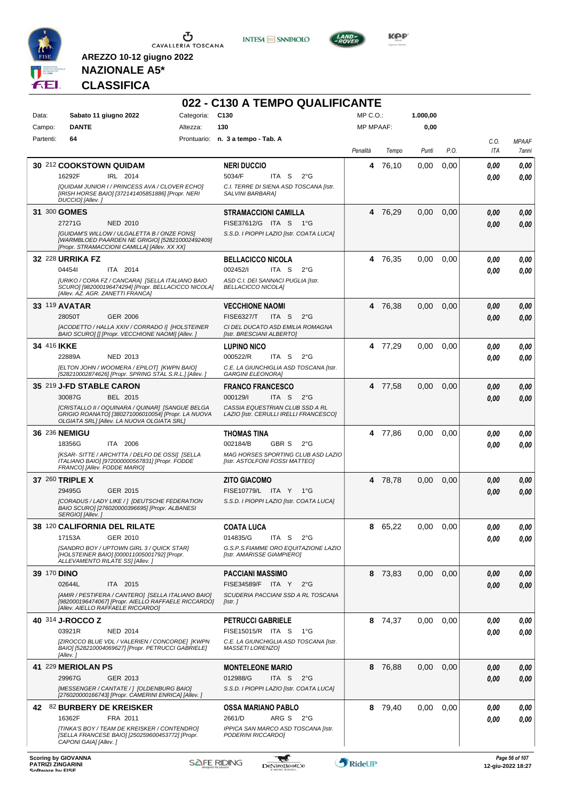

**INTESA M** SANPAOLO



**KOP** 

## **NAZIONALE A5\* CLASSIFICA**

|             |                                                                                                                                                       |                 | 022 - C130 A TEMPO QUALIFICANTE                                           |                  |         |          |      |              |                |
|-------------|-------------------------------------------------------------------------------------------------------------------------------------------------------|-----------------|---------------------------------------------------------------------------|------------------|---------|----------|------|--------------|----------------|
| Data:       | Sabato 11 giugno 2022                                                                                                                                 | Categoria: C130 |                                                                           | $MP C. O.$ :     |         | 1.000,00 |      |              |                |
| Campo:      | <b>DANTE</b>                                                                                                                                          | Altezza:        | 130                                                                       | <b>MP MPAAF:</b> |         | 0,00     |      |              |                |
| Partenti:   | 64                                                                                                                                                    |                 | Prontuario: n. 3 a tempo - Tab. A                                         |                  |         |          |      | C.O.         | <b>MPAAF</b>   |
|             |                                                                                                                                                       |                 |                                                                           | Penalità         | Tempo   | Punti    | P.O. | ITA          | 7anni          |
|             | 30 212 COOKSTOWN QUIDAM<br>IRL 2014<br>16292F                                                                                                         |                 | <b>NERI DUCCIO</b><br>5034/F<br>ITA <sub>S</sub><br>$2^{\circ}G$          | 4                | 76,10   | 0,00     | 0,00 | 0.00<br>0.00 | 0.00<br>0.00   |
|             | [QUIDAM JUNIOR I / PRINCESS AVA / CLOVER ECHO]<br>[IRISH HORSE BAIO] [372141405851886] [Propr. NERI                                                   |                 | C.I. TERRE DI SIENA ASD TOSCANA [Istr.<br>SALVINI BARBARA]                |                  |         |          |      |              |                |
|             | DUCCIO] [Allev.]<br>31 300 GOMES                                                                                                                      |                 | <b>STRAMACCIONI CAMILLA</b>                                               |                  | 4 76,29 | 0,00     | 0,00 | 0.00         | 0,00           |
|             | 27271G<br><b>NED 2010</b>                                                                                                                             |                 | FISE37612/G ITA S<br>1°G                                                  |                  |         |          |      | 0.00         | 0.00           |
|             | <b>[GUIDAM'S WILLOW / ULGALETTA B / ONZE FONS]</b><br>[WARMBLOED PAARDEN NE GRIGIO] [528210002492409]<br>[Propr. STRAMACCIONI CAMILLA] [Allev. XX XX] |                 | S.S.D. I PIOPPI LAZIO [Istr. COATA LUCA]                                  |                  |         |          |      |              |                |
|             | <b>32 228 URRIKA FZ</b>                                                                                                                               |                 | <b>BELLACICCO NICOLA</b>                                                  |                  | 4 76,35 | 0.00     | 0,00 | 0.00         | 0,00           |
|             | 044541<br>ITA 2014                                                                                                                                    |                 | 002452/I<br>ITA S<br>$2^{\circ}$ G                                        |                  |         |          |      | 0.00         | 0.00           |
|             | [URIKO / CORA FZ / CANCARA] [SELLA ITALIANO BAIO<br>SCURO] [982000196474294] [Propr. BELLACICCO NICOLA]<br>[Allev. AZ. AGR. ZANETTI FRANCA]           |                 | ASD C.I. DEI SANNACI PUGLIA [Istr.<br><b>BELLACICCO NICOLA]</b>           |                  |         |          |      |              |                |
|             | 33 119 AVATAR                                                                                                                                         |                 | <b>VECCHIONE NAOMI</b>                                                    | 4                | 76,38   | 0,00     | 0,00 | 0.00         | 0,00           |
|             | 28050T<br>GER 2006                                                                                                                                    |                 | ITA S<br><b>FISE6327/T</b><br>$2^{\circ}$ G                               |                  |         |          |      | 0.00         | 0.00           |
|             | [ACODETTO / HALLA XXIV / CORRADO I] [HOLSTEINER<br>BAIO SCURO] [] [Propr. VECCHIONE NAOMI] [Allev. ]                                                  |                 | CI DEL DUCATO ASD EMILIA ROMAGNA<br>[Istr. BRESCIANI ALBERTO]             |                  |         |          |      |              |                |
| 34 416 IKKE |                                                                                                                                                       |                 | <b>LUPINO NICO</b>                                                        |                  | 4 77,29 | 0,00     | 0,00 | 0.00         | 0,00           |
|             | 22889A<br>NED 2013                                                                                                                                    |                 | 000522/R<br>ITA <sub>S</sub><br>$2^{\circ}$ G                             |                  |         |          |      | 0.00         | 0.00           |
|             | [ELTON JOHN / WOOMERA / EPILOT] [KWPN BAIO]<br>[528210002874626] [Propr. SPRING STAL S.R.L.] [Allev.]                                                 |                 | C.E. LA GIUNCHIGLIA ASD TOSCANA [Istr.<br><b>GARGINI ELEONORA]</b>        |                  |         |          |      |              |                |
|             | 35 219 J-FD STABLE CARON                                                                                                                              |                 | <b>FRANCO FRANCESCO</b>                                                   |                  | 4 77,58 | 0,00     | 0,00 | 0.00         | 0,00           |
|             | 30087G<br>BEL 2015                                                                                                                                    |                 | 000129/I<br>ITA S<br>$2^{\circ}$ G                                        |                  |         |          |      | 0.00         | 0.00           |
|             | [CRISTALLO II / OQUINARA / QUINAR] [SANGUE BELGA<br>GRIGIO ROANATO] [380271006010054] [Propr. LA NUOVA<br>OLGIATA SRL] [Allev. LA NUOVA OLGIATA SRL]  |                 | CASSIA EQUESTRIAN CLUB SSD A RL<br>LAZIO [Istr. CERULLI IRELLI FRANCESCO] |                  |         |          |      |              |                |
|             | 36 236 NEMIGU                                                                                                                                         |                 | <b>THOMAS TINA</b>                                                        |                  | 4 77,86 | 0,00     | 0,00 | 0.00         | 0,00           |
|             | 18356G<br>ITA 2006<br>[KSAR-SITTE / ARCHITTA / DELFO DE OSSI] [SELLA                                                                                  |                 | 002184/B<br>GBR S<br>$2^{\circ}$ G<br>MAG HORSES SPORTING CLUB ASD LAZIO  |                  |         |          |      | 0.00         | 0.00           |
|             | ITALIANO BAIO] [972000000567831] [Propr. FODDE<br>FRANCO] [Allev. FODDE MARIO]                                                                        |                 | [Istr. ASTOLFONI FOSSI MATTEO]                                            |                  |         |          |      |              |                |
|             | 37 260 TRIPLE X                                                                                                                                       |                 | <b>ZITO GIACOMO</b>                                                       |                  | 4 78,78 | 0,00     | 0,00 | 0,00         | 0,00           |
|             | 29495G<br>GER 2015                                                                                                                                    |                 | FISE10779/L ITA Y<br>1°G                                                  |                  |         |          |      | 0.00         | 0.00           |
|             | [CORADUS / LADY LIKE / ] [DEUTSCHE FEDERATION<br>BAIO SCURO] [276020000396695] [Propr. ALBANESI<br>SERGIO] [Allev.]                                   |                 | S.S.D. I PIOPPI LAZIO [Istr. COATA LUCA]                                  |                  |         |          |      |              |                |
|             | 38 120 CALIFORNIA DEL RILATE                                                                                                                          |                 | <b>COATA LUCA</b>                                                         | 8                | 65,22   | 0,00     | 0,00 | 0,00         | 0,00           |
|             | GER 2010<br>17153A                                                                                                                                    |                 | 014835/G<br>ITA S<br>$2^{\circ}G$                                         |                  |         |          |      | 0,00         | 0.00           |
|             | [SANDRO BOY / UPTOWN GIRL 3 / QUICK STAR]<br>[HOLSTEINER BAIO] [000011005001792] [Propr.<br>ALLEVAMENTO RILATE SSI [Allev.]                           |                 | G.S.P.S.FIAMME ORO EQUITAZIONE LAZIO<br>[Istr. AMARISSE GIAMPIERO]        |                  |         |          |      |              |                |
| 39 170 DINO |                                                                                                                                                       |                 | <b>PACCIANI MASSIMO</b>                                                   |                  | 8 73,83 | 0,00     | 0,00 | 0,00         | 0,00           |
|             | 02644L<br>ITA 2015                                                                                                                                    |                 | FISE34589/F ITA Y<br>$2^{\circ}$ G                                        |                  |         |          |      | 0,00         | 0,00           |
|             | [AMIR / PESTIFERA / CANTERO] [SELLA ITALIANO BAIO]<br>[982000196474067] [Propr. AIELLO RAFFAELE RICCARDO]<br>[Allev. AIELLO RAFFAELE RICCARDO]        |                 | SCUDERIA PACCIANI SSD A RL TOSCANA<br>[Istr.]                             |                  |         |          |      |              |                |
|             | 40 314 J-ROCCO Z                                                                                                                                      |                 | <b>PETRUCCI GABRIELE</b>                                                  |                  | 8 74,37 | 0,00     | 0,00 | 0,00         | 0,00           |
|             | 03921R<br><b>NED 2014</b>                                                                                                                             |                 | FISE15015/R ITA S<br>1°G                                                  |                  |         |          |      | 0.00         | 0.00           |
|             | [ZIROCCO BLUE VDL / VALERIEN / CONCORDE] [KWPN<br>BAIO] [528210004069627] [Propr. PETRUCCI GABRIELE]<br>[Allev.]                                      |                 | C.E. LA GIUNCHIGLIA ASD TOSCANA [Istr.<br>MASSETI LORENZO]                |                  |         |          |      |              |                |
|             | 41 229 MERIOLAN PS                                                                                                                                    |                 | <b>MONTELEONE MARIO</b>                                                   | 8                | 76,88   | 0,00     | 0,00 | 0,00         | 0,00           |
|             | 29967G<br>GER 2013                                                                                                                                    |                 | 012988/G<br>ITA S<br>$2^{\circ}$ G                                        |                  |         |          |      | 0.00         | 0.00           |
|             | [MESSENGER / CANTATE / ] [OLDENBURG BAIO]<br>[276020000166743] [Propr. CAMERINI ENRICA] [Allev. ]                                                     |                 | S.S.D. I PIOPPI LAZIO [Istr. COATA LUCA]                                  |                  |         |          |      |              |                |
|             | 42 82 BURBERY DE KREISKER                                                                                                                             |                 | <b>OSSA MARIANO PABLO</b>                                                 |                  | 8 79,40 | 0,00     | 0,00 | 0.00         | 0,00           |
|             | 16362F<br>FRA 2011                                                                                                                                    |                 | 2661/D<br>ARG S 2°G                                                       |                  |         |          |      | 0.00         | 0.00           |
|             | [TINKA'S BOY / TEAM DE KREISKER / CONTENDRO]<br>[SELLA FRANCESE BAIO] [250259600453772] [Propr.<br>CAPONI GAIA] [Allev.]                              |                 | IPPICA SAN MARCO ASD TOSCANA [Istr.<br>PODERINI RICCARDO]                 |                  |         |          |      |              |                |
|             | <b>Scoring by GIOVANNA</b>                                                                                                                            |                 |                                                                           |                  |         |          |      |              | Page 56 of 107 |

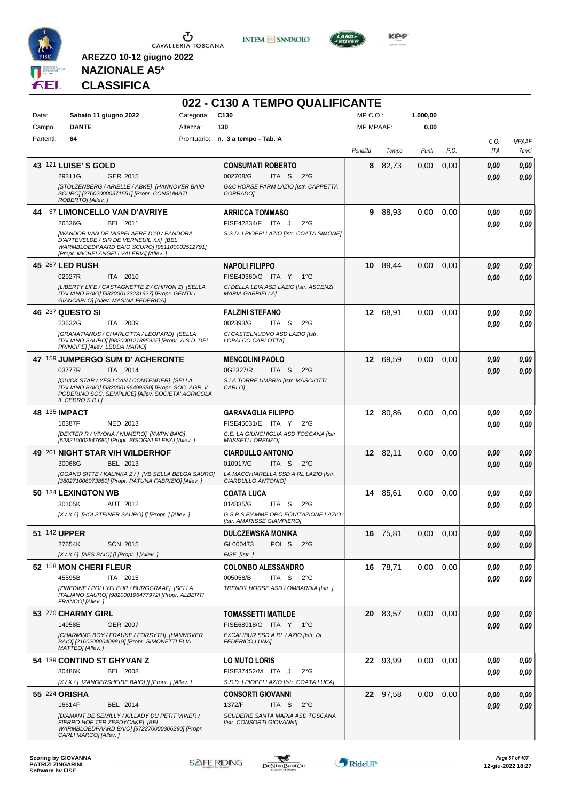





**KOP** 

## **NAZIONALE A5\* CLASSIFICA**

|           |                                                                                                                                                                                |            | 022 - C130 A TEMPO QUALIFICANTE                                    |                  |          |          |      |      |                     |
|-----------|--------------------------------------------------------------------------------------------------------------------------------------------------------------------------------|------------|--------------------------------------------------------------------|------------------|----------|----------|------|------|---------------------|
| Data:     | Sabato 11 giugno 2022                                                                                                                                                          | Categoria: | C <sub>130</sub>                                                   | $MP C. O.$ :     |          | 1.000,00 |      |      |                     |
| Campo:    | <b>DANTE</b>                                                                                                                                                                   | Altezza:   | 130                                                                | <b>MP MPAAF:</b> |          | 0,00     |      |      |                     |
| Partenti: | 64                                                                                                                                                                             |            | Prontuario: n. 3 a tempo - Tab. A                                  |                  |          |          |      | C.O. | <b>MPAAF</b>        |
|           |                                                                                                                                                                                |            |                                                                    | Penalità         | Tempo    | Punti    | P.O. | ITA  | <i><b>7anni</b></i> |
|           |                                                                                                                                                                                |            |                                                                    |                  |          |          |      |      |                     |
|           | 43 121 LUISE'S GOLD                                                                                                                                                            |            | <b>CONSUMATI ROBERTO</b>                                           | 8                | 82,73    | 0,00     | 0,00 | 0,00 | 0,00                |
|           | 29311G<br>GER 2015                                                                                                                                                             |            | 002708/G<br>ITA S<br>$2^{\circ}G$                                  |                  |          |          |      | 0.00 | 0.00                |
|           | [STOLZENBERG / ARIELLE / ABKE] [HANNOVER BAIO<br>SCURO] [276020000371551] [Propr. CONSUMATI<br>ROBERTO] [Allev.]                                                               |            | G&C HORSE FARM LAZIO [Istr. CAPPETTA<br><b>CORRADO1</b>            |                  |          |          |      |      |                     |
| 44        | 97 LIMONCELLO VAN D'AVRIYE                                                                                                                                                     |            | <b>ARRICCA TOMMASO</b>                                             | 9                | 88,93    | 0,00     | 0,00 | 0.00 | 0,00                |
|           | 26536G<br>BEL 2011                                                                                                                                                             |            | FISE42834/F ITA J<br>$2^{\circ}$ G                                 |                  |          |          |      | 0.00 | 0.00                |
|           | [WANDOR VAN DE MISPELAERE D'10 / PANDORA<br>D'ARTEVELDE / SIR DE VERNEUIL XX] [BEL.<br>WARMBLOEDPAARD BAIO SCURO] [981100002512791]<br>[Propr. MICHELANGELI VALERIA] [Allev. ] |            | S.S.D. I PIOPPI LAZIO [Istr. COATA SIMONE]                         |                  |          |          |      |      |                     |
|           | 45 287 LED RUSH                                                                                                                                                                |            | NAPOLI FILIPPO                                                     |                  | 10 89,44 | 0,00     | 0,00 | 0.00 | 0,00                |
|           | 02927R<br>ITA 2010                                                                                                                                                             |            | FISE49360/G ITA Y 1°G                                              |                  |          |          |      | 0.00 | 0.00                |
|           | [LIBERTY LIFE / CASTAGNETTE Z / CHIRON Z] [SELLA<br>ITALIANO BAIO] [982000123231627] [Propr. GENTILI<br>GIANCARLO] [Allev. MASINA FEDERICA]                                    |            | CI DELLA LEIA ASD LAZIO [Istr. ASCENZI<br><b>MARIA GABRIELLA]</b>  |                  |          |          |      |      |                     |
|           | 46 237 QUESTO SI                                                                                                                                                               |            | FALZINI STEFANO                                                    |                  | 12 68,91 | 0,00     | 0,00 | 0.00 | 0,00                |
|           | 23632G<br>ITA 2009                                                                                                                                                             |            | 002393/G<br>ITA S<br>$2^{\circ}$ G                                 |                  |          |          |      | 0.00 | 0.00                |
|           | [GRANATIANUS / CHARLOTTA / LEOPARD] [SELLA<br>ITALIANO SAURO] [982000121895925] [Propr. A.S.D. DEL<br>PRINCIPE] [Allev. LEDDA MARIO]                                           |            | CI CASTELNUOVO ASD LAZIO [Istr.<br>LOPALCO CARLOTTA]               |                  |          |          |      |      |                     |
|           | 47 159 JUMPERGO SUM D' ACHERONTE                                                                                                                                               |            | <b>MENCOLINI PAOLO</b>                                             |                  | 12 69,59 | 0,00     | 0,00 | 0,00 | 0,00                |
|           | ITA 2014<br>03777R                                                                                                                                                             |            | 0G2327/R<br>ITA S<br>$2^{\circ}$ G                                 |                  |          |          |      | 0.00 | 0.00                |
|           | [QUICK STAR / YES I CAN / CONTENDER] [SELLA<br>ITALIANO BAIO] [982000196499350] [Propr. SOC. AGR. IL<br>PODERINO SOC. SEMPLICE  [Allev. SOCIETA' AGRICOLA<br>IL CERRO S.R.L]   |            | S.LA TORRE UMBRIA [Istr. MASCIOTTI<br>CARLO <sub>1</sub>           |                  |          |          |      |      |                     |
|           | 48 135 IMPACT                                                                                                                                                                  |            | GARAVAGLIA FILIPPO                                                 |                  | 12 80,86 | 0,00     | 0,00 | 0.00 | 0,00                |
|           | 16387F<br>NED 2013                                                                                                                                                             |            | FISE45031/E ITA Y<br>$2^{\circ}G$                                  |                  |          |          |      | 0.00 | 0.00                |
|           | [DEXTER R / VIVONA / NUMERO] [KWPN BAIO]<br>[528210002847680] [Propr. BISOGNI ELENA] [Allev. ]                                                                                 |            | C.E. LA GIUNCHIGLIA ASD TOSCANA [Istr.<br>MASSETI LORENZO]         |                  |          |          |      |      |                     |
|           | 49 201 NIGHT STAR V/H WILDERHOF                                                                                                                                                |            | <b>CIARDULLO ANTONIO</b>                                           |                  | 12 82,11 | 0,00     | 0,00 |      |                     |
|           | 30068G<br>BEL 2013                                                                                                                                                             |            | 010917/G<br>ITA <sub>S</sub><br>$2^{\circ}G$                       |                  |          |          |      | 0.00 | 0,00                |
|           | [OGANO SITTE / KALINKA Z / ] [VB SELLA BELGA SAURO]                                                                                                                            |            | LA MACCHIARELLA SSD A RL LAZIO [Istr.                              |                  |          |          |      | 0.00 | 0.00                |
|           | [380271006073850] [Propr. PATUNA FABRIZIO] [Allev. ]                                                                                                                           |            | CIARDULLO ANTONIOI                                                 |                  |          |          |      |      |                     |
|           | 50 184 LEXINGTON WB                                                                                                                                                            |            | COATA LUCA                                                         |                  | 14 85,61 | 0,00     | 0.00 | 0,00 | 0,00                |
|           | 30105K<br><b>AUT 2012</b>                                                                                                                                                      |            | 014835/G<br>ITA S<br>$2^{\circ}G$                                  |                  |          |          |      | 0.00 | 0.00                |
|           | [X/X/] [HOLSTEINER SAURO] [] [Propr. ] [Allev.]                                                                                                                                |            | G.S.P.S.FIAMME ORO EQUITAZIONE LAZIO<br>[Istr. AMARISSE GIAMPIERO] |                  |          |          |      |      |                     |
|           | 51 142 UPPER                                                                                                                                                                   |            | DULCZEWSKA MONIKA                                                  |                  | 16 75,81 | 0,00     | 0,00 | 0,00 | 0,00                |
|           | <b>SCN 2015</b><br>27654K                                                                                                                                                      |            | GL000473<br>POL S<br>$2^{\circ}G$                                  |                  |          |          |      | 0,00 | 0,00                |
|           | $[X/X/]$ [AES BAIO] [] [Propr. ] [Allev. ]                                                                                                                                     |            | FISE [Istr.]                                                       |                  |          |          |      |      |                     |
|           | 52 158 MON CHERI FLEUR                                                                                                                                                         |            | <b>COLOMBO ALESSANDRO</b>                                          |                  | 16 78,71 | 0,00     | 0,00 | 0,00 | 0,00                |
|           | 45595B<br>ITA 2015                                                                                                                                                             |            | 005058/B<br>ITA S $2^{\circ}G$                                     |                  |          |          |      | 0,00 | 0.00                |
|           | [ZINEDINE / POLLYFLEUR / BURGGRAAF] [SELLA<br>ITALIANO SAURO] [982000196477972] [Propr. ALBERTI<br>FRANCO] [Allev.]                                                            |            | TRENDY HORSE ASD LOMBARDIA [Istr.]                                 |                  |          |          |      |      |                     |
|           | 53 270 CHARMY GIRL                                                                                                                                                             |            | <b>TOMASSETTI MATILDE</b>                                          |                  | 20 83,57 | 0,00     | 0,00 | 0.00 | 0,00                |
|           | 14958E<br><b>GER 2007</b>                                                                                                                                                      |            | FISE68918/G ITA Y 1°G                                              |                  |          |          |      | 0.00 | 0,00                |
|           | [CHARMING BOY / FRAUKE / FORSYTH] [HANNOVER<br>BAIO] [216020000409819] [Propr. SIMONETTI ELIA<br>MATTEO] [Allev.]                                                              |            | EXCALIBUR SSD A RL LAZIO [Istr. DI<br><b>FEDERICO LUNA]</b>        |                  |          |          |      |      |                     |
|           | 54 139 CONTINO ST GHYVAN Z                                                                                                                                                     |            | <b>LO MUTO LORIS</b>                                               |                  | 22 93,99 | 0,00     | 0,00 | 0.00 | 0,00                |
|           | 30486K<br><b>BEL 2008</b>                                                                                                                                                      |            | FISE37452/M ITA J<br>$2^{\circ}$ G                                 |                  |          |          |      | 0.00 | 0,00                |
|           | [X / X / ] [ZANGERSHEIDE BAIO] [] [Propr. ] [Allev. ]                                                                                                                          |            | S.S.D. I PIOPPI LAZIO [Istr. COATA LUCA]                           |                  |          |          |      |      |                     |
|           | 55 224 ORISHA                                                                                                                                                                  |            | <b>CONSORTI GIOVANNI</b>                                           |                  | 22 97,58 | 0,00     | 0,00 | 0,00 | 0,00                |
|           | 16614F<br>BEL 2014                                                                                                                                                             |            | 1372/F<br>ITA <sub>S</sub><br>$2^{\circ}$ G                        |                  |          |          |      | 0,00 | 0,00                |
|           | [DIAMANT DE SEMILLY / KILLADY DU PETIT VIVIER /                                                                                                                                |            | SCUDERIE SANTA MARIA ASD TOSCANA                                   |                  |          |          |      |      |                     |
|           | FIERRO HOF TER ZEEDYCAKE] [BEL.<br>WARMBLOEDPAARD BAIO] [972270000306290] [Propr.<br>CARLI MARCO] [Allev.]                                                                     |            | [Istr. CONSORTI GIOVANNI]                                          |                  |          |          |      |      |                     |

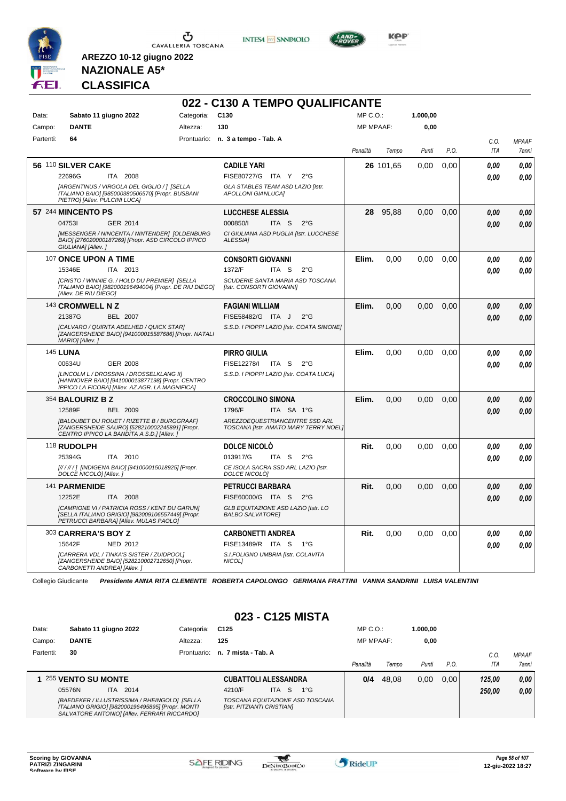

**INTESA** M SANPAOLO



**Kep** 

#### **NAZIONALE A5\* CLASSIFICA**

**AREZZO 10-12 giugno 2022**

|           |                                                                                                                                                 |                 | 022 - C130 A TEMPO QUALIFICANTE                                         |                  |           |          |      |            |              |
|-----------|-------------------------------------------------------------------------------------------------------------------------------------------------|-----------------|-------------------------------------------------------------------------|------------------|-----------|----------|------|------------|--------------|
| Data:     | Sabato 11 giugno 2022                                                                                                                           | Categoria: C130 |                                                                         | $MP C. O.$ :     |           | 1.000,00 |      |            |              |
| Campo:    | <b>DANTE</b>                                                                                                                                    | Altezza:        | 130                                                                     | <b>MP MPAAF:</b> |           | 0,00     |      |            |              |
| Partenti: | 64                                                                                                                                              |                 | Prontuario: n. 3 a tempo - Tab. A                                       |                  |           |          |      | C.O.       | <b>MPAAF</b> |
|           |                                                                                                                                                 |                 |                                                                         | Penalità         | Tempo     | Punti    | P.O. | <b>ITA</b> | 7anni        |
|           | 56 110 SILVER CAKE                                                                                                                              |                 | <b>CADILE YARI</b>                                                      |                  | 26 101,65 | 0.00     | 0,00 | 0,00       | 0.00         |
|           | 22696G<br>ITA 2008                                                                                                                              |                 | FISE80727/G ITA Y<br>$2^{\circ}G$                                       |                  |           |          |      | 0.00       | 0.00         |
|           | [ARGENTINUS / VIRGOLA DEL GIGLIO / ] [SELLA<br>ITALIANO BAIO] [985000380506570] [Propr. BUSBANI<br>PIETRO] [Allev. PULCINI LUCA]                |                 | GLA STABLES TEAM ASD LAZIO [Istr.<br><b>APOLLONI GIANLUCA]</b>          |                  |           |          |      |            |              |
|           | 57 244 MINCENTO PS                                                                                                                              |                 | <b>LUCCHESE ALESSIA</b>                                                 | 28               | 95,88     | 0,00     | 0,00 | 0.00       | 0.00         |
|           | GER 2014<br>047531                                                                                                                              |                 | 000850/I<br>ITA S<br>$2^{\circ}$ G                                      |                  |           |          |      | 0.00       | 0,00         |
|           | [MESSENGER / NINCENTA / NINTENDER] [OLDENBURG<br>BAIO] [276020000187269] [Propr. ASD CIRCOLO IPPICO<br>GIULIANA] [Allev.]                       |                 | CI GIULIANA ASD PUGLIA [Istr. LUCCHESE<br>ALESSIA]                      |                  |           |          |      |            |              |
|           | 107 ONCE UPON A TIME                                                                                                                            |                 | <b>CONSORTI GIOVANNI</b>                                                | Elim.            | 0,00      | 0,00     | 0,00 | 0,00       | 0,00         |
|           | 15346E<br>ITA 2013                                                                                                                              |                 | 1372/F<br>ITA <sub>S</sub><br>$2^{\circ}$ G                             |                  |           |          |      | 0.00       | 0.00         |
|           | [CRISTO / WINNIE G. / HOLD DU PREMIER] [SELLA<br>ITALIANO BAIO] [982000196494004] [Propr. DE RIU DIEGO]<br>[Allev. DE RIU DIEGO]                |                 | SCUDERIE SANTA MARIA ASD TOSCANA<br>[Istr. CONSORTI GIOVANNI]           |                  |           |          |      |            |              |
|           | 143 CROMWELL N Z                                                                                                                                |                 | <b>FAGIANI WILLIAM</b>                                                  | Elim.            | 0,00      | 0.00     | 0.00 | 0.00       | 0.00         |
|           | 21387G<br><b>BEL 2007</b>                                                                                                                       |                 | FISE58482/G ITA J<br>$2^{\circ}$ G                                      |                  |           |          |      | 0.00       | 0,00         |
|           | <b>ICALVARO / QUIRITA ADELHED / QUICK STARI</b><br>[ZANGERSHEIDE BAIO] [941000015587686] [Propr. NATALI<br>MARIO] [Allev.]                      |                 | S.S.D. I PIOPPI LAZIO [Istr. COATA SIMONE]                              |                  |           |          |      |            |              |
|           | <b>145 LUNA</b>                                                                                                                                 |                 | <b>PIRRO GIULIA</b>                                                     | Elim.            | 0.00      | 0.00     | 0,00 | 0.00       | 0,00         |
|           | 00634U<br>GER 2008                                                                                                                              |                 | FISE12278/I<br>ITA S<br>$2^{\circ}$ G                                   |                  |           |          |      | 0.00       | 0.00         |
|           | [LINCOLM L / DROSSINA / DROSSELKLANG II]<br>[HANNOVER BAIO] [941000013877198] [Propr. CENTRO<br>IPPICO LA FICORA] [Allev. AZ.AGR. LA MAGNIFICA] |                 | S.S.D. I PIOPPI LAZIO [Istr. COATA LUCA]                                |                  |           |          |      |            |              |
|           | 354 BALOURIZ B Z                                                                                                                                |                 | <b>CROCCOLINO SIMONA</b>                                                | Elim.            | 0,00      | 0,00     | 0,00 | 0,00       | 0,00         |
|           | 12589F<br><b>BEL 2009</b>                                                                                                                       |                 | 1796/F<br>ITA SA 1°G                                                    |                  |           |          |      | 0.00       | 0,00         |
|           | [BALOUBET DU ROUET / RIZETTE B / BURGGRAAF]<br>[ZANGERSHEIDE SAURO] [528210002245891] [Propr.<br>CENTRO IPPICO LA BANDITA A.S.D.] [Allev.]      |                 | AREZZOEQUESTRIANCENTRE SSD ARL<br>TOSCANA [Istr. AMATO MARY TERRY NOEL] |                  |           |          |      |            |              |
|           | 118 RUDOLPH                                                                                                                                     |                 | <b>DOLCE NICOLO</b>                                                     | Rit.             | 0,00      | 0.00     | 0.00 | 0.00       | 0.00         |
|           | 25394G<br><b>ITA 2010</b>                                                                                                                       |                 | 013917/G<br>ITA S<br>$2^{\circ}G$                                       |                  |           |          |      | 0.00       | 0.00         |
|           | [////// ] [INDIGENA BAIO] [941000015018925] [Propr.<br>DOLCE NICOLÒ] [Allev.]                                                                   |                 | CE ISOLA SACRA SSD ARL LAZIO [Istr.<br>DOLCE NICOLO]                    |                  |           |          |      |            |              |
|           | 141 PARMENIDE                                                                                                                                   |                 | <b>PETRUCCI BARBARA</b>                                                 | Rit.             | 0.00      | 0.00     | 0.00 | 0.00       | 0,00         |
|           | 12252E<br>ITA 2008                                                                                                                              |                 | FISE60000/G ITA S<br>$2^{\circ}$ G                                      |                  |           |          |      | 0.00       | 0.00         |
|           | [CAMPIONE VI / PATRICIA ROSS / KENT DU GARUN]<br>[SELLA ITALIANO GRIGIO] [982009106557449] [Propr.<br>PETRUCCI BARBARA] [Allev. MULAS PAOLO]    |                 | GLB EQUITAZIONE ASD LAZIO [Istr. LO<br><b>BALBO SALVATORE]</b>          |                  |           |          |      |            |              |
|           | 303 CARRERA'S BOY Z                                                                                                                             |                 | <b>CARBONETTI ANDREA</b>                                                | Rit.             | 0,00      | 0.00     | 0.00 | 0.00       | 0.00         |
|           | 15642F<br>NED 2012                                                                                                                              |                 | FISE13489/R ITA S<br>1°G                                                |                  |           |          |      | 0.00       | 0,00         |
|           | [CARRERA VDL / TINKA'S SISTER / ZUIDPOOL]<br>[ZANGERSHEIDE BAIO] [528210002712650] [Propr.<br>CARBONETTI ANDREA] [Allev.]                       |                 | S.I.FOLIGNO UMBRIA [Istr. COLAVITA<br>NICOL1                            |                  |           |          |      |            |              |

Collegio Giudicante *Presidente ANNA RITA CLEMENTE ROBERTA CAPOLONGO GERMANA FRATTINI VANNA SANDRINI LUISA VALENTINI*

#### **023 - C125 MISTA**

| Data:     | Sabato 11 giugno 2022                                                                                                                             | Categoria: | C <sub>125</sub>                                              |      |    |              | $MP C. O.$ :     |       | 1.000.00 |      |        |              |
|-----------|---------------------------------------------------------------------------------------------------------------------------------------------------|------------|---------------------------------------------------------------|------|----|--------------|------------------|-------|----------|------|--------|--------------|
| Campo:    | <b>DANTE</b>                                                                                                                                      | Altezza:   | 125                                                           |      |    |              | <b>MP MPAAF:</b> |       | 0,00     |      |        |              |
| Partenti: | 30                                                                                                                                                |            | Prontuario: n. 7 mista - Tab. A                               |      |    |              |                  |       |          |      | C.O.   | <b>MPAAF</b> |
|           |                                                                                                                                                   |            |                                                               |      |    |              | Penalità         | Tempo | Punti    | P.O. | ITA    | 7anni        |
|           | 1 255 VENTO SU MONTE                                                                                                                              |            | <b>CUBATTOLI ALESSANDRA</b>                                   |      |    |              | 0/4              | 48.08 | 0,00     | 0.00 | 125.00 | 0,00         |
|           | ITA 2014<br>05576N                                                                                                                                |            | 4210/F                                                        | ITA. | -S | $1^{\circ}G$ |                  |       |          |      | 250.00 | 0,00         |
|           | [BAEDEKER / ILLUSTRISSIMA / RHEINGOLD] [SELLA<br>ITALIANO GRIGIO] [982000196495895] [Propr. MONTI<br>SALVATORE ANTONIO] [Allev. FERRARI RICCARDO] |            | TOSCANA EQUITAZIONE ASD TOSCANA<br>[Istr. PITZIANTI CRISTIAN] |      |    |              |                  |       |          |      |        |              |

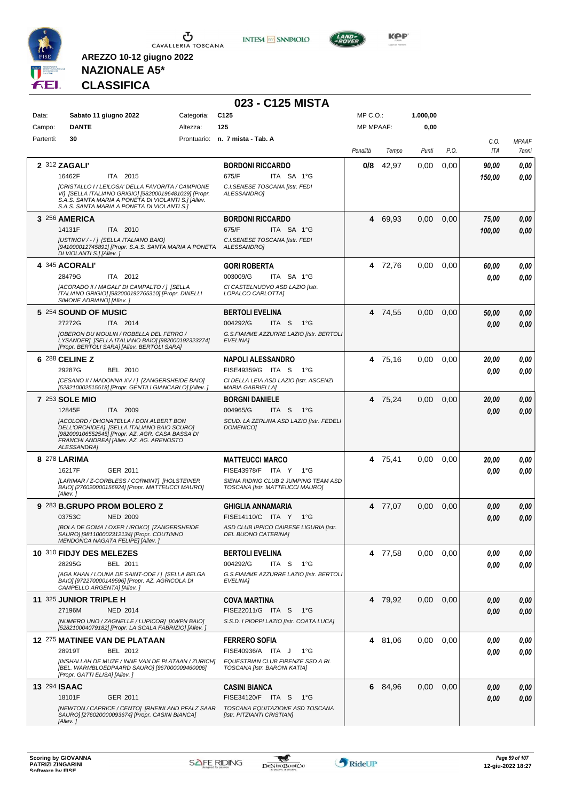

**INTESA M** SANPAOLO



**NAZIONALE A5\* CLASSIFICA**

|              |                                                                                                                                                                                                                  |            | 023 - C125 MISTA                                                        |                  |         |          |      |                    |                       |
|--------------|------------------------------------------------------------------------------------------------------------------------------------------------------------------------------------------------------------------|------------|-------------------------------------------------------------------------|------------------|---------|----------|------|--------------------|-----------------------|
| Data:        | Sabato 11 giugno 2022                                                                                                                                                                                            | Categoria: | C <sub>125</sub>                                                        | MP C.O.:         |         | 1.000,00 |      |                    |                       |
| Campo:       | <b>DANTE</b>                                                                                                                                                                                                     | Altezza:   | 125                                                                     | <b>MP MPAAF:</b> |         | 0,00     |      |                    |                       |
| Partenti:    | 30                                                                                                                                                                                                               |            | Prontuario: n. 7 mista - Tab. A                                         | Penalità         | Tempo   | Punti    | P.O. | C.0.<br><b>ITA</b> | <b>MPAAF</b><br>7anni |
|              | 2 312 ZAGALI'                                                                                                                                                                                                    |            | <b>BORDONI RICCARDO</b>                                                 | 0/8              | 42,97   | 0,00     | 0,00 | 90,00              | 0,00                  |
|              | 16462F<br>ITA 2015                                                                                                                                                                                               |            | 675/F<br>ITA SA 1°G                                                     |                  |         |          |      | 150,00             | 0,00                  |
|              | [CRISTALLO I / LEILOSA' DELLA FAVORITA / CAMPIONE<br>VI] [SELLA ITALIANO GRIGIO] [982000196481029] [Propr.<br>S.A.S. SANTA MARIA A PONETA DI VIOLANTI S.1 [Allev.<br>S.A.S. SANTA MARIA A PONETA DI VIOLANTI S.] |            | C.I.SENESE TOSCANA [Istr. FEDI<br><b>ALESSANDROI</b>                    |                  |         |          |      |                    |                       |
|              | 3 256 AMERICA                                                                                                                                                                                                    |            | <b>BORDONI RICCARDO</b>                                                 |                  | 4 69,93 | 0,00     | 0,00 | 75,00              | 0,00                  |
|              | 14131F<br>ITA 2010                                                                                                                                                                                               |            | 675/F<br>ITA SA 1°G                                                     |                  |         |          |      | 100,00             | 0,00                  |
|              | [USTINOV / - / ] [SELLA ITALIANO BAIO]<br>[941000012745891] [Propr. S.A.S. SANTA MARIA A PONETA ALESSANDRO]<br>DI VIOLANTI S.] [Allev.]                                                                          |            | C.I. SENESE TOSCANA [Istr. FEDI                                         |                  |         |          |      |                    |                       |
|              | 4 345 ACORALI'                                                                                                                                                                                                   |            | <b>GORI ROBERTA</b>                                                     |                  | 4 72,76 | 0.00     | 0.00 | 60,00              | 0,00                  |
|              | 28479G<br>ITA 2012                                                                                                                                                                                               |            | 003009/G<br>ITA SA 1°G                                                  |                  |         |          |      | 0.00               | 0.00                  |
|              | [ACORADO II / MAGALI' DI CAMPALTO / 1 [SELLA<br>ITALIANO GRIGIO] [982000192765310] [Propr. DINELLI<br>SIMONE ADRIANO] [Allev.]                                                                                   |            | CI CASTELNUOVO ASD LAZIO Ilstr.<br>LOPALCO CARLOTTA]                    |                  |         |          |      |                    |                       |
|              | 5 254 SOUND OF MUSIC                                                                                                                                                                                             |            | <b>BERTOLI EVELINA</b>                                                  |                  | 4 74,55 | 0,00     | 0,00 | 50.00              | 0,00                  |
|              | 27272G<br>ITA 2014                                                                                                                                                                                               |            | 004292/G<br>ITA S<br>$1^{\circ}G$                                       |                  |         |          |      | 0.00               | 0,00                  |
|              | [OBERON DU MOULIN / ROBELLA DEL FERRO /<br>LYSANDER] [SELLA ITALIANO BAIO] [982000192323274]<br>[Propr. BERTOLI SARA] [Allev. BERTOLI SARA]                                                                      |            | G.S.FIAMME AZZURRE LAZIO [Istr. BERTOLI<br>EVELINA]                     |                  |         |          |      |                    |                       |
|              | 6 288 CELINE Z                                                                                                                                                                                                   |            | <b>NAPOLI ALESSANDRO</b>                                                |                  | 4 75,16 | 0,00     | 0,00 | 20.00              | 0,00                  |
|              | 29287G<br>BEL 2010                                                                                                                                                                                               |            | FISE49359/G ITA S<br>− 1°G                                              |                  |         |          |      | 0.00               | 0,00                  |
|              | [CESANO II / MADONNA XV / ] [ZANGERSHEIDE BAIO]<br>[528210002515518] [Propr. GENTILI GIANCARLO] [Allev.]                                                                                                         |            | CI DELLA LEIA ASD LAZIO [Istr. ASCENZI<br><b>MARIA GABRIELLA1</b>       |                  |         |          |      |                    |                       |
|              | <b>7 253 SOLE MIO</b>                                                                                                                                                                                            |            | <b>BORGNI DANIELE</b>                                                   |                  | 4 75,24 | 0,00     | 0,00 | 20,00              | 0,00                  |
|              | 12845F<br>ITA 2009                                                                                                                                                                                               |            | 004965/G<br>ITA S $1^{\circ}G$                                          |                  |         |          |      | 0.00               | 0.00                  |
|              | [ACOLORD / DHONATELLA / DON ALBERT BON<br>DELL'ORCHIDEA] [SELLA ITALIANO BAIO SCURO]<br>[982009106552545] [Propr. AZ. AGR. CASA BASSA DI<br>FRANCHI ANDREA] [Allev. AZ. AG. ARENOSTO<br>ALESSANDRA1              |            | SCUD. LA ZERLINA ASD LAZIO [Istr. FEDELI<br><b>DOMENICO1</b>            |                  |         |          |      |                    |                       |
|              | 8 278 LARIMA                                                                                                                                                                                                     |            | <b>MATTEUCCI MARCO</b>                                                  |                  | 4 75,41 | 0,00     | 0.00 | 20,00              | 0,00                  |
|              | 16217F<br>GER 2011                                                                                                                                                                                               |            | FISE43978/F ITA Y<br>1°G                                                |                  |         |          |      | 0.00               | 0.00                  |
|              | [LARIMAR / Z-CORBLESS / CORMINT] [HOLSTEINER<br>BAIO] [276020000156924] [Propr. MATTEUCCI MAURO]<br>[Allev.]                                                                                                     |            | SIENA RIDING CLUB 2 JUMPING TEAM ASD<br>TOSCANA [Istr. MATTEUCCI MAURO] |                  |         |          |      |                    |                       |
|              | 9 283 B.GRUPO PROM BOLERO Z                                                                                                                                                                                      |            | <b>GHIGLIA ANNAMARIA</b>                                                |                  | 4 77,07 | 0,00     | 0,00 | 0.00               | 0,00                  |
|              | 03753C<br><b>NED 2009</b>                                                                                                                                                                                        |            | FISE14110/C ITA Y<br>$1^{\circ}G$                                       |                  |         |          |      | 0.00               | 0.00                  |
|              | [BOLA DE GOMA / OXER / IROKO] [ZANGERSHEIDE<br>SAURO] [981100002312134] [Propr. COUTINHO<br>MENDONCA NAGATA FELIPE] [Allev.]                                                                                     |            | ASD CLUB IPPICO CAIRESE LIGURIA [Istr.<br>DEL BUONO CATERINA]           |                  |         |          |      |                    |                       |
|              | 10 310 FIDJY DES MELEZES                                                                                                                                                                                         |            | <b>BERTOLI EVELINA</b>                                                  |                  | 4 77,58 | 0,00     | 0,00 | 0.00               | 0,00                  |
|              | 28295G<br>BEL 2011                                                                                                                                                                                               |            | 004292/G<br>ITA S 1°G                                                   |                  |         |          |      | 0.00               | 0,00                  |
|              | [AGA KHAN / LOUNA DE SAINT-ODE / ] [SELLA BELGA<br>BAIO] [972270000149596] [Propr. AZ. AGRICOLA DI<br>CAMPELLO ARGENTA] [Allev.]                                                                                 |            | G.S.FIAMME AZZURRE LAZIO [Istr. BERTOLI<br>EVELINA]                     |                  |         |          |      |                    |                       |
|              | 11 325 JUNIOR TRIPLE H                                                                                                                                                                                           |            | <b>COVA MARTINA</b>                                                     |                  | 4 79,92 | 0,00     | 0,00 | 0.00               | 0,00                  |
|              | 27196M<br><b>NED 2014</b>                                                                                                                                                                                        |            | FISE22011/G ITA S 1°G                                                   |                  |         |          |      | 0.00               | 0,00                  |
|              | [NUMERO UNO / ZAGNELLE / LUPICOR] [KWPN BAIO]<br>[528210004079182] [Propr. LA SCALA FABRIZIO] [Allev. ]                                                                                                          |            | S.S.D. I PIOPPI LAZIO [Istr. COATA LUCA]                                |                  |         |          |      |                    |                       |
|              | 12 275 MATINEE VAN DE PLATAAN<br>28919T<br>BEL 2012                                                                                                                                                              |            | <b>FERRERO SOFIA</b><br>FISE40936/A ITA J<br>1°G                        |                  | 4 81,06 | 0,00     | 0,00 | 0.00<br>0.00       | 0,00<br>0,00          |
|              | [INSHALLAH DE MUZE / INNE VAN DE PLATAAN / ZURICH]<br>[BEL. WARMBLOEDPAARD SAURO] [967000009460006]<br>[Propr. GATTI ELISA] [Allev.]                                                                             |            | EQUESTRIAN CLUB FIRENZE SSD A RL<br>TOSCANA [Istr. BARONI KATIA]        |                  |         |          |      |                    |                       |
| 13 294 ISAAC |                                                                                                                                                                                                                  |            | <b>CASINI BIANCA</b>                                                    |                  | 6 84,96 | 0,00     | 0,00 | 0,00               | 0,00                  |
|              | 18101F<br>GER 2011                                                                                                                                                                                               |            | FISE34120/F ITA S<br>1°G                                                |                  |         |          |      | 0.00               | 0,00                  |
|              | [NEWTON / CAPRICE / CENTO] [RHEINLAND PFALZ SAAR<br>SAURO] [276020000093674] [Propr. CASINI BIANCA]<br>[Allev.]                                                                                                  |            | TOSCANA EQUITAZIONE ASD TOSCANA<br>[Istr. PITZIANTI CRISTIAN]           |                  |         |          |      |                    |                       |

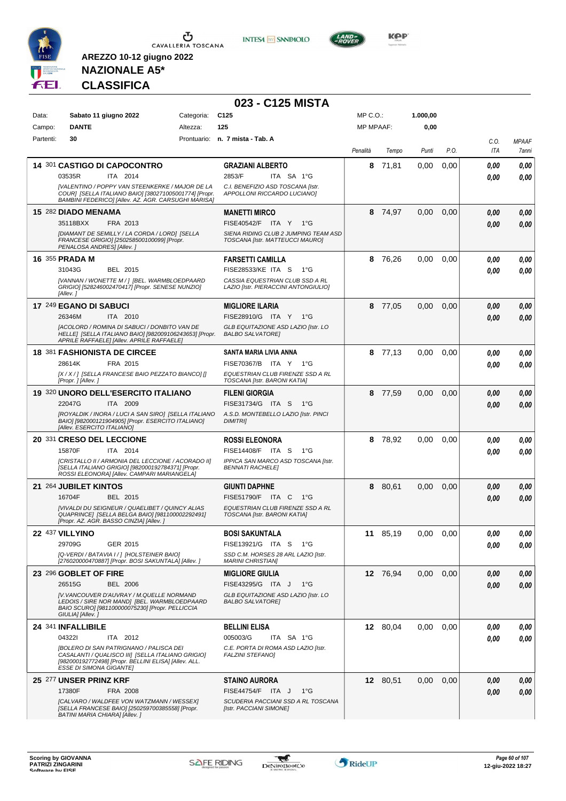

**INTESA M** SANPAOLO



**NAZIONALE A5\* CLASSIFICA**

|           |                                                                                                                                                                                                |            | 023 - C125 MISTA                                                        |                  |          |          |      |      |              |
|-----------|------------------------------------------------------------------------------------------------------------------------------------------------------------------------------------------------|------------|-------------------------------------------------------------------------|------------------|----------|----------|------|------|--------------|
| Data:     | Sabato 11 giugno 2022                                                                                                                                                                          | Categoria: | C <sub>125</sub>                                                        | MP C.O.:         |          | 1.000,00 |      |      |              |
| Campo:    | <b>DANTE</b>                                                                                                                                                                                   | Altezza:   | 125                                                                     | <b>MP MPAAF:</b> |          | 0,00     |      |      |              |
| Partenti: | 30                                                                                                                                                                                             |            | Prontuario: n. 7 mista - Tab. A                                         |                  |          |          |      | C.O. | <b>MPAAF</b> |
|           |                                                                                                                                                                                                |            |                                                                         | Penalità         | Tempo    | Punti    | P.O. | ITA  | 7anni        |
|           | 14 301 CASTIGO DI CAPOCONTRO                                                                                                                                                                   |            | <b>GRAZIANI ALBERTO</b>                                                 | 8                | 71,81    | 0,00     | 0,00 | 0.00 | 0,00         |
|           | 03535R<br>ITA 2014                                                                                                                                                                             |            | 2853/F<br>ITA SA 1°G                                                    |                  |          |          |      | 0.00 | 0,00         |
|           | [VALENTINO / POPPY VAN STEENKERKE / MAJOR DE LA<br>COUR] [SELLA ITALIANO BAIO] [380271005001774] [Propr.<br>BAMBINI FEDERICOI [Allev. AZ. AGR. CARSUGHI MARISA]                                |            | C.I. BENEFIZIO ASD TOSCANA [Istr.<br>APPOLLONI RICCARDO LUCIANO]        |                  |          |          |      |      |              |
|           | 15 282 DIADO MENAMA                                                                                                                                                                            |            | <b>MANETTI MIRCO</b>                                                    |                  | 8 74,97  | 0,00     | 0,00 | 0.00 | 0,00         |
|           | 35118BXX<br>FRA 2013                                                                                                                                                                           |            | FISE40542/F ITA Y 1°G                                                   |                  |          |          |      | 0.00 | 0,00         |
|           | [DIAMANT DE SEMILLY / LA CORDA / LORD] [SELLA<br>FRANCESE GRIGIO] [250258500100099] [Propr.<br>PENALOSA ANDRES] [Allev.]                                                                       |            | SIENA RIDING CLUB 2 JUMPING TEAM ASD<br>TOSCANA [Istr. MATTEUCCI MAURO] |                  |          |          |      |      |              |
|           | 16 355 PRADA M                                                                                                                                                                                 |            | <b>FARSETTI CAMILLA</b>                                                 | 8                | 76,26    | 0,00     | 0,00 | 0,00 | 0,00         |
|           | 31043G<br>BEL 2015                                                                                                                                                                             |            | FISE28533/KE ITA S<br>1°G                                               |                  |          |          |      | 0.00 | 0,00         |
|           | [VANNAN / WONETTE M / ] [BEL. WARMBLOEDPAARD<br>GRIGIO] [528246002470417] [Propr. SENESE NUNZIO]<br>[Allev.]                                                                                   |            | CASSIA EQUESTRIAN CLUB SSD A RL<br>LAZIO [Istr. PIERACCINI ANTONGIULIO] |                  |          |          |      |      |              |
|           | 17 249 EGANO DI SABUCI                                                                                                                                                                         |            | <b>MIGLIORE ILARIA</b>                                                  | 8                | 77,05    | 0,00     | 0,00 | 0.00 | 0,00         |
|           | ITA 2010<br>26346M                                                                                                                                                                             |            | FISE28910/G ITA Y 1°G                                                   |                  |          |          |      | 0.00 | 0,00         |
|           | [ACOLORD / ROMINA DI SABUCI / DONBITO VAN DE<br>HELLE] [SELLA ITALIANO BAIO] [982009106243653] [Propr.<br>APRILE RAFFAELE] [Allev. APRILE RAFFAELE]                                            |            | GLB EQUITAZIONE ASD LAZIO [Istr. LO<br><b>BALBO SALVATORE!</b>          |                  |          |          |      |      |              |
|           | <b>18 381 FASHIONISTA DE CIRCEE</b>                                                                                                                                                            |            | SANTA MARIA LIVIA ANNA                                                  |                  | 8 77,13  | 0,00     | 0,00 | 0.00 | 0,00         |
|           | FRA 2015<br>28614K                                                                                                                                                                             |            | FISE70367/B ITA Y 1°G                                                   |                  |          |          |      | 0.00 | 0,00         |
|           | [X / X / ] [SELLA FRANCESE BAIO PEZZATO BIANCO] []<br>[Propr. ] [Allev. ]                                                                                                                      |            | EQUESTRIAN CLUB FIRENZE SSD A RL<br>TOSCANA [Istr. BARONI KATIA]        |                  |          |          |      |      |              |
|           | 19 320 UNORO DELL'ESERCITO ITALIANO                                                                                                                                                            |            | <b>FILENI GIORGIA</b>                                                   | 8                | 77,59    | 0,00     | 0,00 | 0,00 | 0,00         |
|           | 22047G<br>ITA 2009                                                                                                                                                                             |            | FISE31734/G ITA S<br>$1^{\circ}G$                                       |                  |          |          |      | 0.00 | 0,00         |
|           | [ROYALDIK / INORA / LUCI A SAN SIRO] [SELLA ITALIANO<br>BAIO] [982000121904905] [Propr. ESERCITO ITALIANO]<br>[Allev. ESERCITO ITALIANO]                                                       |            | A.S.D. MONTEBELLO LAZIO [Istr. PINCI<br><b>DIMITRII</b>                 |                  |          |          |      |      |              |
|           | 20 331 CRESO DEL LECCIONE                                                                                                                                                                      |            | <b>ROSSI ELEONORA</b>                                                   |                  | 8 78,92  | 0,00     | 0,00 | 0.00 | 0,00         |
|           | 15870F<br>ITA 2014                                                                                                                                                                             |            | FISE14408/F ITA S<br>1°G                                                |                  |          |          |      | 0.00 | 0,00         |
|           | [CRISTALLO II / ARMONIA DEL LECCIONE / ACORADO II]<br>[SELLA ITALIANO GRIGIO] [982000192784371] [Propr.<br>ROSSI ELEONORA] [Allev. CAMPARI MARIANGELA]                                         |            | IPPICA SAN MARCO ASD TOSCANA [Istr.<br><b>BENNATI RACHELE!</b>          |                  |          |          |      |      |              |
|           | 21 264 JUBILET KINTOS                                                                                                                                                                          |            | <b>GIUNTI DAPHNE</b>                                                    | 8                | 80,61    | 0,00     | 0,00 | 0.00 | 0,00         |
|           | 16704F<br>BEL 2015                                                                                                                                                                             |            | FISE51790/F ITA C 1°G                                                   |                  |          |          |      | 0.00 | 0,00         |
|           | <b>IVIVALDI DU SEIGNEUR / QUAELIBET / QUINCY ALIAS</b><br>QUAPRINCE] [SELLA BELGA BAIO] [981100002292491]<br>[Propr. AZ. AGR. BASSO CINZIA] [Allev. ]                                          |            | EQUESTRIAN CLUB FIRENZE SSD A RL<br>TOSCANA [Istr. BARONI KATIA]        |                  |          |          |      |      |              |
|           | 22 437 VILLYINO                                                                                                                                                                                |            | <b>BOSI SAKUNTALA</b>                                                   |                  | 11 85,19 | 0,00     | 0,00 | 0,00 | 0,00         |
|           | 29709G<br>GER 2015                                                                                                                                                                             |            | FISE13921/G ITA S 1°G                                                   |                  |          |          |      | 0.00 | 0,00         |
|           | [Q-VERDI / BATAVIA I / ] [HOLSTEINER BAIO]<br>[276020000470887] [Propr. BOSI SAKUNTALA] [Allev. ]                                                                                              |            | SSD C.M. HORSES 28 ARL LAZIO [Istr.<br><b>MARINI CHRISTIAN]</b>         |                  |          |          |      |      |              |
|           | 23 296 GOBLET OF FIRE                                                                                                                                                                          |            | <b>MIGLIORE GIULIA</b>                                                  |                  | 12 76,94 | 0,00     | 0,00 | 0,00 | 0,00         |
|           | 26515G<br><b>BEL 2006</b>                                                                                                                                                                      |            | FISE43295/G ITA J<br>1°G                                                |                  |          |          |      | 0.00 | 0,00         |
|           | [V.VANCOUVER D'AUVRAY / M.QUELLE NORMAND<br>LEDOIS / SIRE NOR MANDI [BEL. WARMBLOEDPAARD<br>BAIO SCURO] [981100000075230] [Propr. PELLICCIA<br>GIULIA] [Allev.]                                |            | GLB EQUITAZIONE ASD LAZIO [Istr. LO<br><b>BALBO SALVATOREI</b>          |                  |          |          |      |      |              |
|           | 24 341 INFALLIBILE                                                                                                                                                                             |            | <b>BELLINI ELISA</b>                                                    |                  | 12 80,04 | 0,00     | 0,00 | 0,00 | 0,00         |
|           | 043221<br>ITA 2012                                                                                                                                                                             |            | 005003/G<br>ITA SA 1°G                                                  |                  |          |          |      | 0.00 | 0,00         |
|           | <b>[BOLERO DI SAN PATRIGNANO / PALISCA DEI</b><br>CASALANTI / QUALISCO III] [SELLA ITALIANO GRIGIO]<br>[982000192772498] [Propr. BELLINI ELISA] [Allev. ALL.<br><b>ESSE DI SIMONA GIGANTE]</b> |            | C.E. PORTA DI ROMA ASD LAZIO [Istr.<br><b>FALZINI STEFANO]</b>          |                  |          |          |      |      |              |
|           | 25 277 UNSER PRINZ KRF                                                                                                                                                                         |            | <b>STAINO AURORA</b>                                                    |                  | 12 80,51 | 0,00     | 0,00 | 0,00 | 0,00         |
|           | 17380F<br>FRA 2008                                                                                                                                                                             |            | FISE44754/F ITA J<br>$1^{\circ}G$                                       |                  |          |          |      | 0.00 | 0,00         |
|           | [CALVARO / WALDFEE VON WATZMANN / WESSEX]<br>[SELLA FRANCESE BAIO] [250259700385558] [Propr.<br>BATINI MARIA CHIARA] [Allev. ]                                                                 |            | SCUDERIA PACCIANI SSD A RL TOSCANA<br>[Istr. PACCIANI SIMONE]           |                  |          |          |      |      |              |

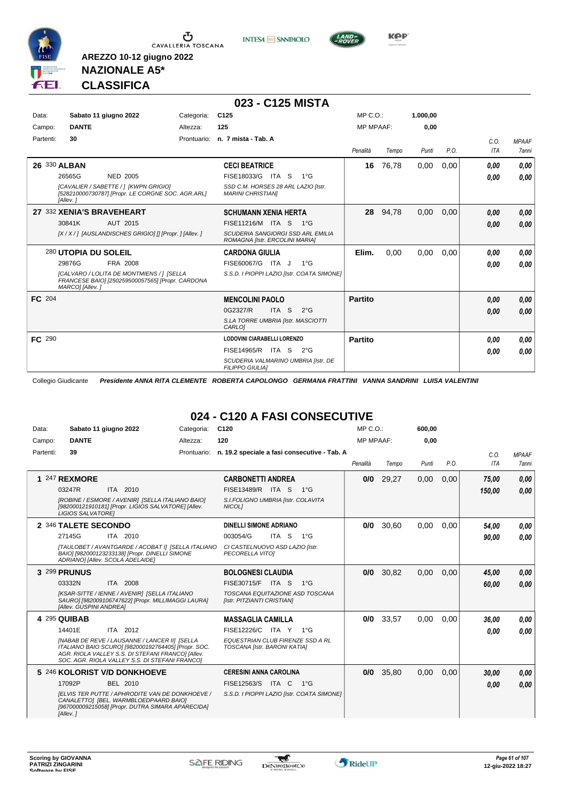





**Kep** 

## **NAZIONALE A5\* CLASSIFICA**

**AREZZO 10-12 giugno 2022**

|           |                           |                                                                                               |             | 023 - C125 MISTA                                                           |                  |       |          |      |            |              |
|-----------|---------------------------|-----------------------------------------------------------------------------------------------|-------------|----------------------------------------------------------------------------|------------------|-------|----------|------|------------|--------------|
| Data:     |                           | Sabato 11 giugno 2022                                                                         | Categoria:  | C <sub>125</sub>                                                           | $MP C. O.$ :     |       | 1.000.00 |      |            |              |
| Campo:    | <b>DANTE</b>              |                                                                                               | Altezza:    | 125                                                                        | <b>MP MPAAF:</b> |       | 0,00     |      |            |              |
| Partenti: | 30                        |                                                                                               | Prontuario: | n. 7 mista - Tab. A                                                        |                  |       |          |      | C.O.       | <b>MPAAF</b> |
|           |                           |                                                                                               |             |                                                                            | Penalità         | Tempo | Punti    | P.O. | <b>ITA</b> | <b>7anni</b> |
|           | 26 330 ALBAN              |                                                                                               |             | <b>CECI BEATRICE</b>                                                       | 16               | 76,78 | 0,00     | 0,00 | 0.00       | 0,00         |
|           | 26565G                    | <b>NED 2005</b>                                                                               |             | FISE18033/G ITA S<br>$1^{\circ}G$                                          |                  |       |          |      | 0.00       | 0,00         |
|           | [Allev.]                  | [CAVALIER / SABETTE / ] [KWPN GRIGIO]<br>[528210000730787] [Propr. LE CORGNE SOC. AGR.ARL]    |             | SSD C.M. HORSES 28 ARL LAZIO [Istr.<br><b>MARINI CHRISTIANI</b>            |                  |       |          |      |            |              |
|           | 27 332 XENIA'S BRAVEHEART |                                                                                               |             | <b>SCHUMANN XENIA HERTA</b>                                                | 28               | 94,78 | 0,00     | 0,00 | 0,00       | 0,00         |
|           | 30841K                    | AUT 2015                                                                                      |             | FISE11216/M ITA S<br>$1^{\circ}G$                                          |                  |       |          |      | 0,00       | 0,00         |
|           |                           | [X / X / ] [AUSLANDISCHES GRIGIO] [] [Propr. ] [Allev. ]                                      |             | <b>SCUDERIA SANGIORGI SSD ARL EMILIA</b><br>ROMAGNA [Istr. ERCOLINI MARIA] |                  |       |          |      |            |              |
|           | 280 UTOPIA DU SOLEIL      |                                                                                               |             | <b>CARDONA GIULIA</b>                                                      | Elim.            | 0.00  | 0,00     | 0.00 | 0.00       | 0,00         |
|           | 29876G                    | FRA 2008                                                                                      |             | FISE60067/G ITA J<br>$1^{\circ}G$                                          |                  |       |          |      | 0,00       | 0,00         |
|           | MARCO] [Allev.]           | [CALVARO / LOLITA DE MONTMIENS / ] [SELLA<br>FRANCESE BAIO] [250259500057565] [Propr. CARDONA |             | S.S.D. I PIOPPI LAZIO [Istr. COATA SIMONE]                                 |                  |       |          |      |            |              |
| FC 204    |                           |                                                                                               |             | <b>MENCOLINI PAOLO</b>                                                     | <b>Partito</b>   |       |          |      | 0.00       | 0,00         |
|           |                           |                                                                                               |             | 0G2327/R<br>ITA <sub>S</sub><br>$2^{\circ}$ G                              |                  |       |          |      | 0.00       | 0,00         |
|           |                           |                                                                                               |             | S.LA TORRE UMBRIA [Istr. MASCIOTTI<br>CARLO <sub>1</sub>                   |                  |       |          |      |            |              |
| FC 290    |                           |                                                                                               |             | <b>LODOVINI CIARABELLI LORENZO</b>                                         | <b>Partito</b>   |       |          |      | 0.00       | 0,00         |
|           |                           |                                                                                               |             | FISE14965/R ITA S<br>$2^{\circ}G$                                          |                  |       |          |      | 0.00       | 0,00         |
|           |                           |                                                                                               |             | SCUDERIA VALMARINO UMBRIA [Istr. DE<br><b>FILIPPO GIULIAI</b>              |                  |       |          |      |            |              |

Collegio Giudicante *Presidente ANNA RITA CLEMENTE ROBERTA CAPOLONGO GERMANA FRATTINI VANNA SANDRINI LUISA VALENTINI*

## **024 - C120 A FASI CONSECUTIVE**

| Data:     | Sabato 11 giugno 2022                                                                                                                                                                                              | Categoria:  | C <sub>120</sub>                                                 | $MP C. O.$ :     |       | 600,00            |      |            |              |
|-----------|--------------------------------------------------------------------------------------------------------------------------------------------------------------------------------------------------------------------|-------------|------------------------------------------------------------------|------------------|-------|-------------------|------|------------|--------------|
| Campo:    | <b>DANTE</b>                                                                                                                                                                                                       | Altezza:    | 120                                                              | <b>MP MPAAF:</b> |       | 0.00              |      |            |              |
| Partenti: | 39                                                                                                                                                                                                                 | Prontuario: | n. 19.2 speciale a fasi consecutive - Tab. A                     |                  |       |                   |      | C.O.       | <b>MPAAF</b> |
|           |                                                                                                                                                                                                                    |             |                                                                  | Penalità         | Tempo | Punti             | P.O. | <b>ITA</b> | <b>7anni</b> |
|           | 1 247 REXMORE                                                                                                                                                                                                      |             | <b>CARBONETTI ANDREA</b>                                         | 0/0              | 29,27 | 0,00              | 0,00 | 75,00      | 0,00         |
|           | ITA 2010<br>03247R                                                                                                                                                                                                 |             | FISE13489/R ITA S<br>$1^{\circ}G$                                |                  |       |                   |      | 150.00     | 0.00         |
|           | [ROBINE / ESMORE / AVENIR] [SELLA ITALIANO BAIO]<br>[982000121910181] [Propr. LIGIOS SALVATORE] [Allev.<br><b>LIGIOS SALVATOREI</b>                                                                                |             | S.I.FOLIGNO UMBRIA [Istr. COLAVITA<br>NICOL1                     |                  |       |                   |      |            |              |
|           | 2 346 TALETE SECONDO                                                                                                                                                                                               |             | DINELLI SIMONE ADRIANO                                           | 0/0              | 30,60 | 0,00              | 0,00 | 54.00      | 0.00         |
|           | 27145G<br>ITA 2010                                                                                                                                                                                                 |             | 003054/G<br>ITA S<br>$1^{\circ}G$                                |                  |       |                   |      | 90,00      | 0.00         |
|           | [TAULOBET / AVANTGARDE / ACOBAT I] [SELLA ITALIANO<br>BAIO] [982000123233138] [Propr. DINELLI SIMONE<br>ADRIANO] [Allev. SCOLA ADELAIDE]                                                                           |             | CI CASTELNUOVO ASD LAZIO [Istr.<br>PECORELLA VITOI               |                  |       |                   |      |            |              |
|           | 3 299 PRUNUS                                                                                                                                                                                                       |             | <b>BOLOGNESI CLAUDIA</b>                                         | 0/0              | 30,82 | 0,00              | 0.00 | 45,00      | 0,00         |
|           | 03332N<br><b>ITA 2008</b>                                                                                                                                                                                          |             | <b>FISE30715/F</b><br>$1^{\circ}G$<br>ITA S                      |                  |       |                   |      | 60.00      | 0.00         |
|           | [KSAR-SITTE / IENNE / AVENIR] [SELLA ITALIANO<br>SAURO] [982009106747622] [Propr. MILLIMAGGI LAURA]<br>[Allev. GUSPINI ANDREA]                                                                                     |             | TOSCANA EQUITAZIONE ASD TOSCANA<br>[Istr. PITZIANTI CRISTIAN]    |                  |       |                   |      |            |              |
|           | 4 295 QUIBAB                                                                                                                                                                                                       |             | <b>MASSAGLIA CAMILLA</b>                                         | 0/0              | 33.57 | 0.00              | 0.00 | 36.00      | 0.00         |
|           | ITA 2012<br>14401E                                                                                                                                                                                                 |             | FISE12226/C ITA Y<br>$1^{\circ}G$                                |                  |       |                   |      | 0.00       | 0.00         |
|           | <b>INABAB DE REVE / LAUSANNE / LANCER III ISELLA</b><br>ITALIANO BAIO SCURO] [982000192764405] [Propr. SOC.<br>AGR. RIOLA VALLEY S.S. DI STEFANI FRANCOI IAIlev.<br>SOC. AGR. RIOLA VALLEY S.S. DI STEFANI FRANCO] |             | EQUESTRIAN CLUB FIRENZE SSD A RL<br>TOSCANA [Istr. BARONI KATIA] |                  |       |                   |      |            |              |
|           | 5 246 KOLORIST V/D DONKHOEVE                                                                                                                                                                                       |             | <b>CERESINI ANNA CAROLINA</b>                                    | 0/0              | 35,80 | 0.00 <sub>1</sub> | 0.00 | 30,00      | 0.00         |
|           | 17092P<br>BEL 2010                                                                                                                                                                                                 |             | FISE12563/S ITA C<br>1°G                                         |                  |       |                   |      | 0.00       | 0.00         |
|           | <b>IELVIS TER PUTTE / APHRODITE VAN DE DONKHOEVE /</b><br>CANALETTO] [BEL. WARMBLOEDPAARD BAIO]<br>[967000009215058] [Propr. DUTRA SIMARA APARECIDA]<br>[Allev.]                                                   |             | S.S.D. I PIOPPI LAZIO [Istr. COATA SIMONE]                       |                  |       |                   |      |            |              |

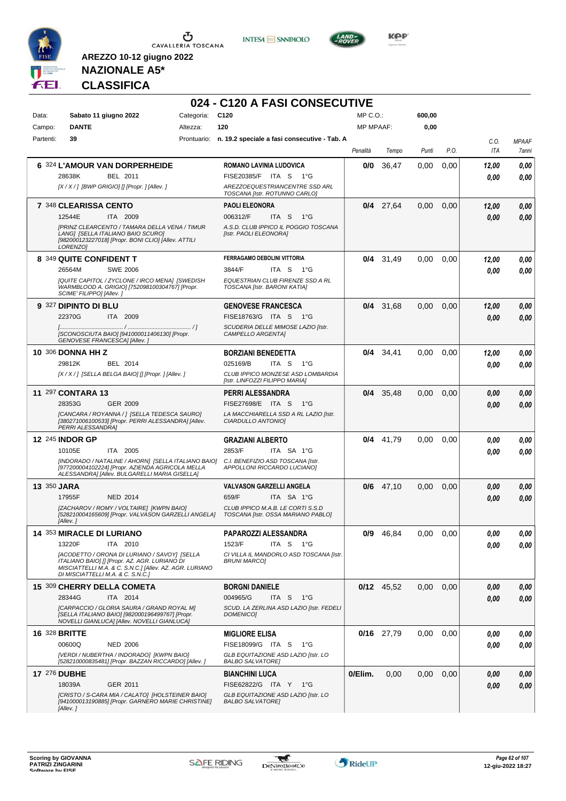





**KOP** 

## **NAZIONALE A5\* CLASSIFICA**

|           |                                                                                                                                                                                               |            | 024 - C120 A FASI CONSECUTIVE                                                                                               |                  |              |        |      |       |              |
|-----------|-----------------------------------------------------------------------------------------------------------------------------------------------------------------------------------------------|------------|-----------------------------------------------------------------------------------------------------------------------------|------------------|--------------|--------|------|-------|--------------|
| Data:     | Sabato 11 giugno 2022                                                                                                                                                                         | Categoria: | C <sub>120</sub>                                                                                                            | $MP C. O.$ :     |              | 600,00 |      |       |              |
| Campo:    | <b>DANTE</b>                                                                                                                                                                                  | Altezza:   | 120                                                                                                                         | <b>MP MPAAF:</b> |              | 0,00   |      |       |              |
| Partenti: | 39                                                                                                                                                                                            |            | Prontuario: n. 19.2 speciale a fasi consecutive - Tab. A                                                                    |                  |              |        |      | C.O.  | <b>MPAAF</b> |
|           |                                                                                                                                                                                               |            |                                                                                                                             | Penalità         | Tempo        | Punti  | P.O. | ITA   | 7anni        |
|           | 6 324 L'AMOUR VAN DORPERHEIDE                                                                                                                                                                 |            | ROMANO LAVINIA LUDOVICA                                                                                                     | 0/0              | 36,47        | 0,00   | 0,00 | 12,00 | 0,00         |
|           | <b>BEL 2011</b><br>28638K                                                                                                                                                                     |            | FISE20385/F ITA S<br>1°G                                                                                                    |                  |              |        |      | 0.00  | 0.00         |
|           | [X / X / ] [BWP GRIGIO] [] [Propr. ] [Allev. ]                                                                                                                                                |            | AREZZOEQUESTRIANCENTRE SSD ARL<br>TOSCANA [Istr. ROTUNNO CARLO]                                                             |                  |              |        |      |       |              |
|           | 7 348 CLEARISSA CENTO                                                                                                                                                                         |            | <b>PAOLI ELEONORA</b>                                                                                                       |                  | $0/4$ 27,64  | 0,00   | 0,00 | 12,00 | 0,00         |
|           | 12544E<br>ITA 2009                                                                                                                                                                            |            | 006312/F<br>ITA S<br>1°G                                                                                                    |                  |              |        |      | 0.00  | 0.00         |
|           | [PRINZ CLEARCENTO / TAMARA DELLA VENA / TIMUR<br>LANG] [SELLA ITALIANO BAIO SCURO]<br>[982000123227018] [Propr. BONI CLIO] [Allev. ATTILI<br>LORENZO1                                         |            | A.S.D. CLUB IPPICO IL POGGIO TOSCANA<br>[Istr. PAOLI ELEONORA]                                                              |                  |              |        |      |       |              |
|           | 8 349 QUITE CONFIDENT T                                                                                                                                                                       |            | FERRAGAMO DEBOLINI VITTORIA                                                                                                 |                  | $0/4$ 31,49  | 0.00   | 0.00 | 12,00 | 0,00         |
|           | 26564M<br><b>SWE 2006</b>                                                                                                                                                                     |            | 3844/F<br>ITA S 1°G                                                                                                         |                  |              |        |      | 0.00  | 0.00         |
|           | [QUITE CAPITOL / ZYCLONE / IRCO MENA] [SWEDISH<br>WARMBLOOD A. GRIGIO] [752098100304767] [Propr.<br>SCIME' FILIPPO] [Allev.]                                                                  |            | EQUESTRIAN CLUB FIRENZE SSD A RL<br>TOSCANA [Istr. BARONI KATIA]                                                            |                  |              |        |      |       |              |
|           | 9 327 DIPINTO DI BLU                                                                                                                                                                          |            | <b>GENOVESE FRANCESCA</b>                                                                                                   |                  | $0/4$ 31,68  | 0,00   | 0,00 | 12,00 | 0,00         |
|           | 22370G<br>ITA 2009                                                                                                                                                                            |            | FISE18763/G ITA S 1°G                                                                                                       |                  |              |        |      | 0.00  | 0.00         |
|           | [SCONOSCIUTA BAIO] [941000011406130] [Propr.<br>GENOVESE FRANCESCAI [Allev.]                                                                                                                  |            | SCUDERIA DELLE MIMOSE LAZIO [Istr.<br>CAMPELLO ARGENTA]                                                                     |                  |              |        |      |       |              |
|           | <b>10 306 DONNA HH Z</b>                                                                                                                                                                      |            | <b>BORZIANI BENEDETTA</b>                                                                                                   | 0/4              | 34,41        | 0,00   | 0,00 | 12,00 | 0,00         |
|           | 29812K<br>BEL 2014                                                                                                                                                                            |            | 025169/B<br>ITA S<br>1°G                                                                                                    |                  |              |        |      | 0.00  | 0.00         |
|           | [X / X / ] [SELLA BELGA BAIO] [] [Propr. ] [Allev. ]                                                                                                                                          |            | CLUB IPPICO MONZESE ASD LOMBARDIA<br>[Istr. LINFOZZI FILIPPO MARIA]                                                         |                  |              |        |      |       |              |
|           | 11 297 CONTARA 13                                                                                                                                                                             |            | PERRI ALESSANDRA                                                                                                            |                  | $0/4$ 35,48  | 0,00   | 0,00 | 0.00  | 0,00         |
|           | 28353G<br>GER 2009                                                                                                                                                                            |            | FISE27698/E ITA S<br>1°G                                                                                                    |                  |              |        |      | 0.00  | 0.00         |
|           | [CANCARA / ROYANNA / ] [SELLA TEDESCA SAURO]<br>[380271006100533] [Propr. PERRI ALESSANDRA] [Allev.<br><b>PERRI ALESSANDRA]</b>                                                               |            | LA MACCHIARELLA SSD A RL LAZIO [Istr.<br>CIARDULLO ANTONIO]                                                                 |                  |              |        |      |       |              |
|           | 12 245 INDOR GP                                                                                                                                                                               |            | <b>GRAZIANI ALBERTO</b>                                                                                                     |                  | $0/4$ 41.79  | 0.00   | 0.00 | 0.00  | 0.00         |
|           | 10105E<br>ITA 2005                                                                                                                                                                            |            | 2853/F<br>ITA SA 1°G                                                                                                        |                  |              |        |      | 0.00  | 0.00         |
|           | [INDORADO / NATALINE / AHORN] [SELLA ITALIANO BAIO]<br>[977200004102224] [Propr. AZIENDA AGRICOLA MELLA<br>ALESSANDRA] [Allev. BULGARELLI MARIA GISELLA]                                      |            | C.I. BENEFIZIO ASD TOSCANA [Istr.<br>APPOLLONI RICCARDO LUCIANO]                                                            |                  |              |        |      |       |              |
|           | <b>13 350 JARA</b>                                                                                                                                                                            |            | <b>VALVASON GARZELLI ANGELA</b>                                                                                             |                  | $0/6$ 47,10  | 0,00   | 0,00 | 0,00  | 0,00         |
|           | 17955F<br><b>NED 2014</b>                                                                                                                                                                     |            | 659/F<br>ITA SA 1°G                                                                                                         |                  |              |        |      | 0.00  | 0.00         |
|           | [ZACHAROV / ROMY / VOLTAIRE] [KWPN BAIO]<br>[Allev. ]                                                                                                                                         |            | CLUB IPPICO M.A.B. LE CORTI S.S.D<br>[528210004165609] [Propr. VALVASON GARZELLI ANGELA] TOSCANA [Istr. OSSA MARIANO PABLO] |                  |              |        |      |       |              |
|           | <b>14 353 MIRACLE DI LURIANO</b>                                                                                                                                                              |            | PAPAROZZI ALESSANDRA                                                                                                        | 0/9              | 46,84        | 0,00   | 0.00 | 0,00  | 0,00         |
|           | 13220F<br>ITA 2010                                                                                                                                                                            |            | 1523/F<br>ITA S 1°G                                                                                                         |                  |              |        |      | 0.00  | 0.00         |
|           | [ACODETTO / ORONA DI LURIANO / SAVOY] [SELLA<br>ITALIANO BAIO] [] [Propr. AZ. AGR. LURIANO DI<br>MISCIATTELLI M.A. & C. S.N.C.] [Allev. AZ. AGR. LURIANO<br>DI MISCIATTELLI M.A. & C. S.N.C.] |            | CI VILLA IL MANDORLO ASD TOSCANA [Istr.<br><b>BRUNI MARCOI</b>                                                              |                  |              |        |      |       |              |
|           | 15 309 CHERRY DELLA COMETA                                                                                                                                                                    |            | <b>BORGNI DANIELE</b>                                                                                                       |                  | $0/12$ 45,52 | 0,00   | 0,00 | 0,00  | 0,00         |
|           | 28344G<br>ITA 2014                                                                                                                                                                            |            | 004965/G<br>ITA S 1°G                                                                                                       |                  |              |        |      | 0.00  | 0,00         |
|           | [CARPACCIO / GLORIA SAURA / GRAND ROYAL M]<br>[SELLA ITALIANO BAIO] [982000196499767] [Propr.<br>NOVELLI GIANLUCA] [Allev. NOVELLI GIANLUCA]                                                  |            | SCUD. LA ZERLINA ASD LAZIO [Istr. FEDELI<br><b>DOMENICO]</b>                                                                |                  |              |        |      |       |              |
|           | <b>16 328 BRITTE</b>                                                                                                                                                                          |            | <b>MIGLIORE ELISA</b>                                                                                                       |                  | $0/16$ 27,79 | 0,00   | 0.00 | 0,00  | 0,00         |
|           | 00600Q<br><b>NED 2006</b>                                                                                                                                                                     |            | FISE18099/G ITA S 1°G                                                                                                       |                  |              |        |      | 0.00  | 0.00         |
|           | [VERDI / NUBERTHA / INDORADO] [KWPN BAIO]<br>[528210000835481] [Propr. BAZZAN RICCARDO] [Allev. ]                                                                                             |            | GLB EQUITAZIONE ASD LAZIO [Istr. LO<br><b>BALBO SALVATOREJ</b>                                                              |                  |              |        |      |       |              |
|           | 17 276 DUBHE                                                                                                                                                                                  |            | <b>BIANCHINI LUCA</b>                                                                                                       | 0/Elim.          | 0,00         | 0,00   | 0,00 | 0,00  | 0,00         |
|           | 18039A<br>GER 2011                                                                                                                                                                            |            | FISE62822/G ITA Y 1°G                                                                                                       |                  |              |        |      | 0,00  | 0,00         |
|           | [CRISTO / S-CARA MIA / CALATO] [HOLSTEINER BAIO]<br>[941000013190885] [Propr. GARNERO MARIE CHRISTINE]<br>[Allev.]                                                                            |            | GLB EQUITAZIONE ASD LAZIO [Istr. LO<br><b>BALBO SALVATOREJ</b>                                                              |                  |              |        |      |       |              |

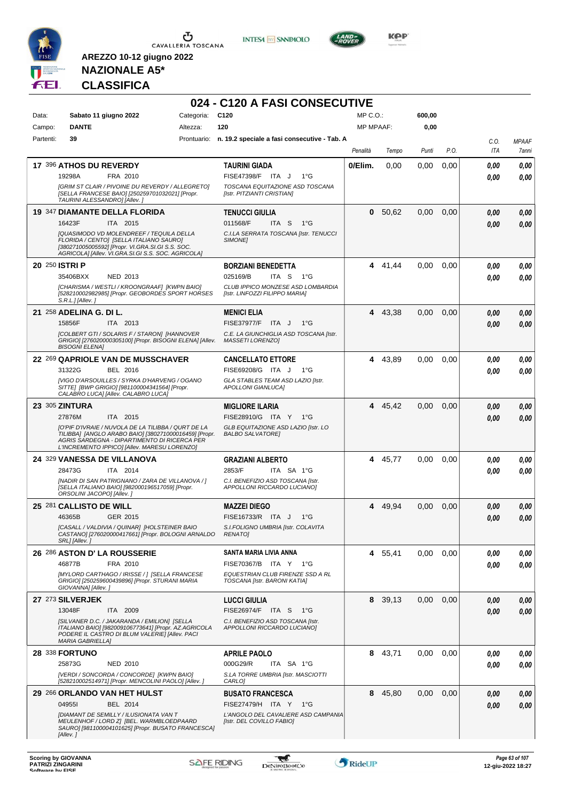



**024 - C120 A FASI CONSECUTIVE**



**Kep** 

# **NAZIONALE A5\* CLASSIFICA**

| Data:     | Sabato 11 giugno 2022                | Categoria:                                                                                                                                                                                                   | C120                                                                | MP C.O.:         |         | 600,00 |      |                    |                       |
|-----------|--------------------------------------|--------------------------------------------------------------------------------------------------------------------------------------------------------------------------------------------------------------|---------------------------------------------------------------------|------------------|---------|--------|------|--------------------|-----------------------|
| Campo:    | <b>DANTE</b>                         | Altezza:                                                                                                                                                                                                     | 120                                                                 | <b>MP MPAAF:</b> |         | 0,00   |      |                    |                       |
| Partenti: | 39                                   | Prontuario:                                                                                                                                                                                                  | n. 19.2 speciale a fasi consecutive - Tab. A                        | Penalità         | Tempo   | Punti  | P.O. | C.O.<br><b>ITA</b> | <b>MPAAF</b><br>7anni |
|           | 17 396 ATHOS DU REVERDY              |                                                                                                                                                                                                              | <b>TAURINI GIADA</b>                                                | 0/Elim.          | 0,00    | 0.00   | 0,00 | 0.00               | 0,00                  |
|           | 19298A                               | FRA 2010                                                                                                                                                                                                     | FISE47398/F ITA J<br>$1^{\circ}$ G                                  |                  |         |        |      | 0.00               | 0.00                  |
|           | TAURINI ALESSANDRO] [Allev.]         | [GRIM ST CLAIR / PIVOINE DU REVERDY / ALLEGRETO]<br>[SELLA FRANCESE BAIO] [250259701032021] [Propr.                                                                                                          | TOSCANA EQUITAZIONE ASD TOSCANA<br>[Istr. PITZIANTI CRISTIAN]       |                  |         |        |      |                    |                       |
|           | <b>19 347 DIAMANTE DELLA FLORIDA</b> |                                                                                                                                                                                                              | <b>TENUCCI GIULIA</b>                                               |                  | 0 50,62 | 0,00   | 0,00 | 0.00               | 0,00                  |
|           | 16423F                               | ITA 2015                                                                                                                                                                                                     | 011568/F<br>ITA S<br>$1^{\circ}G$                                   |                  |         |        |      | 0.00               | 0.00                  |
|           |                                      | <b>[QUASIMODO VD MOLENDREEF / TEQUILA DELLA</b><br>FLORIDA / CENTO] [SELLA ITALIANO SAURO]<br>[380271005005592] [Propr. VI.GRA.SI.GI S.S. SOC.<br>AGRICOLA] [Allev. VI.GRA.SI.GI S.S. SOC. AGRICOLA]         | C.I.LA SERRATA TOSCANA [Istr. TENUCCI<br>SIMONE]                    |                  |         |        |      |                    |                       |
|           | 20 250 ISTRI P                       |                                                                                                                                                                                                              | <b>BORZIANI BENEDETTA</b>                                           | 4                | 41,44   | 0,00   | 0,00 | 0,00               | 0,00                  |
|           | 35406BXX                             | NED 2013                                                                                                                                                                                                     | 025169/B<br>ITA S<br>1°G                                            |                  |         |        |      | 0.00               | 0,00                  |
|           | S.R.L.J[Allev. j]                    | [CHARISMA / WESTLI / KROONGRAAF] [KWPN BAIO]<br>[528210002982985] [Propr. GEOBORDES SPORT HORSES                                                                                                             | CLUB IPPICO MONZESE ASD LOMBARDIA<br>[Istr. LINFOZZI FILIPPO MARIA] |                  |         |        |      |                    |                       |
|           | 21 258 ADELINA G. DI L.              |                                                                                                                                                                                                              | <b>MENICI ELIA</b>                                                  |                  | 4 43,38 | 0,00   | 0,00 | 0.00               | 0,00                  |
|           | 15856F                               | ITA 2013                                                                                                                                                                                                     | FISE37977/F ITA J<br>$1^{\circ}G$                                   |                  |         |        |      | 0.00               | 0.00                  |
|           | <b>BISOGNI ELENA]</b>                | [COLBERT GTI / SOLARIS F / STARON] [HANNOVER<br>GRIGIO] [276020000305100] [Propr. BISOGNI ELENA] [Allev.                                                                                                     | C.E. LA GIUNCHIGLIA ASD TOSCANA [Istr.<br><b>MASSETI LORENZO]</b>   |                  |         |        |      |                    |                       |
|           |                                      | 22 269 QAPRIOLE VAN DE MUSSCHAVER                                                                                                                                                                            | <b>CANCELLATO ETTORE</b>                                            | 4                | 43,89   | 0,00   | 0,00 | 0.00               | 0,00                  |
|           | 31322G                               | BEL 2016                                                                                                                                                                                                     | FISE69208/G ITA J<br>$1^{\circ}G$                                   |                  |         |        |      | 0.00               | 0.00                  |
|           | CALABRO LUCA] [Allev. CALABRO LUCA]  | [VIGO D'ARSOUILLES / SYRKA D'HARVENG / OGANO<br>SITTE] [BWP GRIGIO] [981100004341564] [Propr.                                                                                                                | GLA STABLES TEAM ASD LAZIO [Istr.<br><b>APOLLONI GIANLUCAI</b>      |                  |         |        |      |                    |                       |
|           | <b>23 305 ZINTURA</b>                |                                                                                                                                                                                                              | <b>MIGLIORE ILARIA</b>                                              |                  | 4 45,42 | 0,00   | 0,00 | 0,00               | 0,00                  |
|           | 27876M                               | ITA 2015                                                                                                                                                                                                     | FISE28910/G ITA Y 1°G                                               |                  |         |        |      | 0.00               | 0.00                  |
|           |                                      | [O'PIF D'IVRAIE / NUVOLA DE LA TILIBBA / QURT DE LA<br>TILIBBA] [ANGLO ARABO BAIO] [380271000016459] [Propr.<br>AGRIS SARDEGNA - DIPARTIMENTO DI RICERCA PER<br>L'INCREMENTO IPPICO] [Allev. MARESU LORENZO] | GLB EQUITAZIONE ASD LAZIO [Istr. LO<br><b>BALBO SALVATORE]</b>      |                  |         |        |      |                    |                       |
|           | 24 329 VANESSA DE VILLANOVA          |                                                                                                                                                                                                              | <b>GRAZIANI ALBERTO</b>                                             | 4                | 45,77   | 0,00   | 0,00 | 0.00               | 0,00                  |
|           | 28473G                               | ITA 2014                                                                                                                                                                                                     | 2853/F<br>ITA SA 1°G                                                |                  |         |        |      | 0.00               | 0.00                  |
|           | ORSOLINI JACOPO] [Allev.]            | [NADIR DI SAN PATRIGNANO / ZARA DE VILLANOVA / ]<br>[SELLA ITALIANO BAIO] [982000196517059] [Propr.                                                                                                          | C.I. BENEFIZIO ASD TOSCANA [Istr.<br>APPOLLONI RICCARDO LUCIANO]    |                  |         |        |      |                    |                       |
|           | 25 281 CALLISTO DE WILL              |                                                                                                                                                                                                              | <b>MAZZEI DIEGO</b>                                                 | 4                | 49,94   | 0.00   | 0,00 | 0,00               | 0,00                  |
|           | 46365B                               | GER 2015                                                                                                                                                                                                     | FISE16733/R ITA J<br>$1^{\circ}G$                                   |                  |         |        |      | 0.00               | 0,00                  |
|           | <i>SRLJ</i> [ <i>Allev.</i> ]        | [CASALL / VALDIVIA / QUINAR] [HOLSTEINER BAIO<br>CASTANO] [276020000417661] [Propr. BOLOGNI ARNALDO                                                                                                          | S.I.FOLIGNO UMBRIA [Istr. COLAVITA<br><b>RENATOI</b>                |                  |         |        |      |                    |                       |
|           | 26 286 ASTON D' LA ROUSSERIE         |                                                                                                                                                                                                              | SANTA MARIA LIVIA ANNA                                              |                  | 4 55,41 | 0,00   | 0,00 | 0,00               | 0,00                  |
|           | 46877B                               | FRA 2010                                                                                                                                                                                                     | FISE70367/B ITA Y 1°G                                               |                  |         |        |      | 0.00               | 0,00                  |
|           | GIOVANNA] [Allev.]                   | <b>IMYLORD CARTHAGO / IRISSE / 1 [SELLA FRANCESE</b><br>GRIGIO] [250259600439896] [Propr. STURANI MARIA                                                                                                      | EQUESTRIAN CLUB FIRENZE SSD A RL<br>TOSCANA [Istr. BARONI KATIA]    |                  |         |        |      |                    |                       |
|           | 27 273 SILVERJEK                     |                                                                                                                                                                                                              | <b>LUCCI GIULIA</b>                                                 |                  | 8 39,13 | 0,00   | 0,00 | 0,00               | 0,00                  |
|           | 13048F                               | ITA 2009                                                                                                                                                                                                     | FISE26974/F ITA S<br>− 1°G                                          |                  |         |        |      | 0,00               | 0,00                  |
|           | <b>MARIA GABRIELLA1</b>              | [SILVANER D.C. / JAKARANDA / EMILION] [SELLA<br>ITALIANO BAIO] [982009106773641] [Propr. AZ.AGRICOLA<br>PODERE IL CASTRO DI BLUM VALERIE] [Allev. PACI                                                       | C.I. BENEFIZIO ASD TOSCANA [Istr.<br>APPOLLONI RICCARDO LUCIANO]    |                  |         |        |      |                    |                       |
|           | 28 338 FORTUNO                       |                                                                                                                                                                                                              | <b>APRILE PAOLO</b>                                                 |                  | 8 43,71 | 0,00   | 0,00 | 0,00               | 0,00                  |
|           | 25873G                               | <b>NED 2010</b>                                                                                                                                                                                              | 000G29/R<br>ITA SA 1°G                                              |                  |         |        |      | 0.00               | 0,00                  |
|           |                                      | [VERDI / SONCORDA / CONCORDE] [KWPN BAIO]<br>[528210002514971] [Propr. MENCOLINI PAOLO] [Allev.]                                                                                                             | S.LA TORRE UMBRIA [Istr. MASCIOTTI<br>CARLO]                        |                  |         |        |      |                    |                       |
|           | 29 266 ORLANDO VAN HET HULST         |                                                                                                                                                                                                              | <b>BUSATO FRANCESCA</b>                                             |                  | 8 45,80 | 0,00   | 0,00 | 0,00               | 0,00                  |
|           | 049551                               | BEL 2014                                                                                                                                                                                                     | FISE27479/H ITA Y<br>$1^{\circ}G$                                   |                  |         |        |      | 0,00               | 0,00                  |
|           | [Allev.]                             | [DIAMANT DE SEMILLY / ILUSIONATA VAN T<br>MEULENHOF / LORD Z] [BEL. WARMBLOEDPAARD<br>SAURO] [981100004101625] [Propr. BUSATO FRANCESCA]                                                                     | L'ANGOLO DEL CAVALIERE ASD CAMPANIA<br>[Istr. DEL COVILLO FABIO]    |                  |         |        |      |                    |                       |

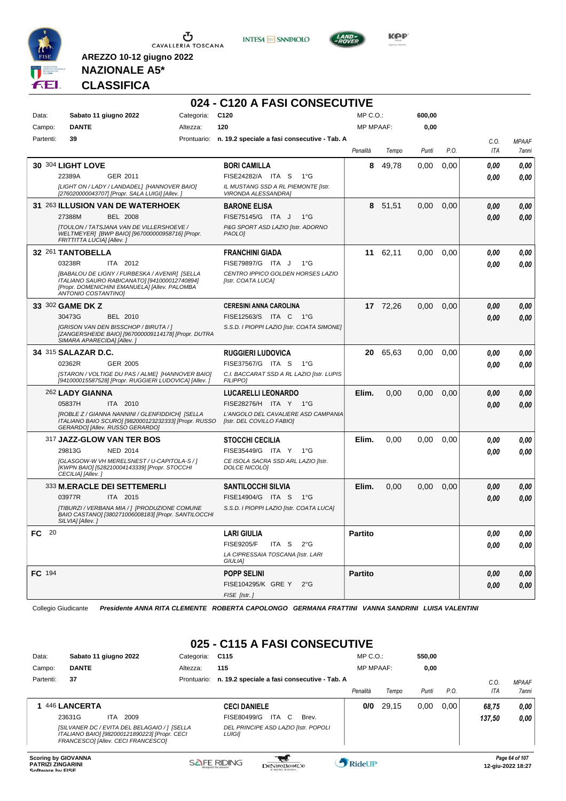





**Kep** 

#### **NAZIONALE A5\* CLASSIFICA**

**AREZZO 10-12 giugno 2022**

|           |                            |                                                                                                                                                |            | 024 - C120 A FASI CONSECUTIVE                                    |                  |          |        |      |      |              |
|-----------|----------------------------|------------------------------------------------------------------------------------------------------------------------------------------------|------------|------------------------------------------------------------------|------------------|----------|--------|------|------|--------------|
| Data:     |                            | Sabato 11 giugno 2022                                                                                                                          | Categoria: | C <sub>120</sub>                                                 | $MP C. O.$ :     |          | 600,00 |      |      |              |
| Campo:    | <b>DANTE</b>               |                                                                                                                                                | Altezza:   | 120                                                              | <b>MP MPAAF:</b> |          | 0,00   |      |      |              |
| Partenti: | 39                         |                                                                                                                                                |            | Prontuario: n. 19.2 speciale a fasi consecutive - Tab. A         |                  |          |        |      | C.O. | <b>MPAAF</b> |
|           |                            |                                                                                                                                                |            |                                                                  | Penalità         | Tempo    | Punti  | P.O. | ITA  | 7anni        |
|           | 30 304 LIGHT LOVE          |                                                                                                                                                |            | <b>BORI CAMILLA</b>                                              | 8                | 49,78    | 0,00   | 0,00 | 0.00 | 0.00         |
|           | 22389A                     | GER 2011                                                                                                                                       |            | FISE24282/A ITA S<br>1°G                                         |                  |          |        |      | 0.00 | 0.00         |
|           |                            | [LIGHT ON / LADY / LANDADEL] [HANNOVER BAIO]<br>[276020000043707] [Propr. SALA LUIGI] [Allev. ]                                                |            | IL MUSTANG SSD A RL PIEMONTE [Istr.<br>VIRONDA ALESSANDRA]       |                  |          |        |      |      |              |
|           |                            | 31 263 ILLUSION VAN DE WATERHOEK                                                                                                               |            | <b>BARONE ELISA</b>                                              |                  | 8 51,51  | 0,00   | 0,00 | 0,00 | 0,00         |
|           | 27388M                     | <b>BEL 2008</b>                                                                                                                                |            | FISE75145/G ITA J<br>$1^{\circ}G$                                |                  |          |        |      | 0.00 | 0.00         |
|           | FRITTITTA LUCIA] [Allev. ] | [TOULON / TATSJANA VAN DE VILLERSHOEVE /<br>WELTMEYER] [BWP BAIO] [967000000958716] [Propr.                                                    |            | P&G SPORT ASD LAZIO [Istr. ADORNO<br>PAOLO <sub>1</sub>          |                  |          |        |      |      |              |
|           | 32 261 TANTOBELLA          |                                                                                                                                                |            | <b>FRANCHINI GIADA</b>                                           | 11               | 62,11    | 0,00   | 0,00 | 0,00 | 0,00         |
|           | 03238R                     | ITA 2012                                                                                                                                       |            | FISE79897/G ITA J<br>$1^{\circ}G$                                |                  |          |        |      | 0.00 | 0.00         |
|           | ANTONIO COSTANTINOJ        | [BABALOU DE LIGNY / FURBESKA / AVENIR] [SELLA<br>ITALIANO SAURO RABICANATO] [941000012740894]<br>[Propr. DOMENICHINI EMANUELA] [Allev. PALOMBA |            | CENTRO IPPICO GOLDEN HORSES LAZIO<br>[Istr. COATA LUCA]          |                  |          |        |      |      |              |
|           | 33 302 GAME DK Z           |                                                                                                                                                |            | <b>CERESINI ANNA CAROLINA</b>                                    |                  | 17 72,26 | 0,00   | 0,00 | 0,00 | 0.00         |
|           | 30473G                     | BEL 2010                                                                                                                                       |            | FISE12563/S ITA C 1°G                                            |                  |          |        |      | 0.00 | 0,00         |
|           | SIMARA APARECIDA] [Allev.] | [GRISON VAN DEN BISSCHOP / BIRUTA / ]<br>[ZANGERSHEIDE BAIO] [967000009114178] [Propr. DUTRA                                                   |            | S.S.D. I PIOPPI LAZIO [Istr. COATA SIMONE]                       |                  |          |        |      |      |              |
|           | 34 315 SALAZAR D.C.        |                                                                                                                                                |            | <b>RUGGIERI LUDOVICA</b>                                         | 20               | 65,63    | 0,00   | 0,00 | 0.00 | 0,00         |
|           | 02362R                     | GER 2005                                                                                                                                       |            | FISE37567/G ITA S<br>$1^{\circ}G$                                |                  |          |        |      | 0.00 | 0.00         |
|           |                            | [STARON / VOLTIGE DU PAS / ALME] [HANNOVER BAIO]<br>[941000015587528] [Propr. RUGGIERI LUDOVICA] [Allev.]                                      |            | C.I. BACCARAT SSD A RL LAZIO [Istr. LUPIS<br><b>FILIPPOI</b>     |                  |          |        |      |      |              |
|           | 262 LADY GIANNA            |                                                                                                                                                |            | <b>LUCARELLI LEONARDO</b>                                        | Elim.            | 0,00     | 0,00   | 0,00 | 0,00 | 0,00         |
|           | 05837H                     | ITA 2010                                                                                                                                       |            | FISE28276/H ITA Y 1°G                                            |                  |          |        |      | 0,00 | 0.00         |
|           |                            | [ROBLE Z / GIANNA NANNINI / GLENFIDDICH] [SELLA<br>ITALIANO BAIO SCURO] [982000123232333] [Propr. RUSSO<br>GERARDO] [Allev. RUSSO GERARDO]     |            | L'ANGOLO DEL CAVALIERE ASD CAMPANIA<br>[Istr. DEL COVILLO FABIO] |                  |          |        |      |      |              |
|           |                            | 317 JAZZ-GLOW VAN TER BOS                                                                                                                      |            | <b>STOCCHI CECILIA</b>                                           | Elim.            | 0,00     | 0,00   | 0,00 | 0.00 | 0,00         |
|           | 29813G                     | NED 2014                                                                                                                                       |            | FISE35449/G ITA Y 1°G                                            |                  |          |        |      | 0.00 | 0.00         |
|           | CECILIA] [Allev.]          | [GLASGOW-W VH MERELSNEST / U-CAPITOLA-S / ]<br>[KWPN BAIO] [528210004143339] [Propr. STOCCHI                                                   |            | CE ISOLA SACRA SSD ARL LAZIO [Istr.<br>DOLCE NICOLO]             |                  |          |        |      |      |              |
|           |                            | 333 M.ERACLE DEI SETTEMERLI                                                                                                                    |            | <b>SANTILOCCHI SILVIA</b>                                        | Elim.            | 0,00     | 0,00   | 0,00 | 0,00 | 0,00         |
|           | 03977R                     | ITA 2015                                                                                                                                       |            | FISE14904/G ITA S<br>$1^{\circ}G$                                |                  |          |        |      | 0,00 | 0.00         |
|           | SILVIA] [Allev.]           | [TIBURZI / VERBANA MIA / ] [PRODUZIONE COMUNE<br>BAIO CASTANO] [380271006008183] [Propr. SANTILOCCHI                                           |            | S.S.D. I PIOPPI LAZIO [Istr. COATA LUCA]                         |                  |          |        |      |      |              |
| FC 20     |                            |                                                                                                                                                |            | <b>LARI GIULIA</b>                                               | <b>Partito</b>   |          |        |      | 0,00 | 0,00         |
|           |                            |                                                                                                                                                |            | <b>FISE9205/F</b><br>ITA S $2^{\circ}G$                          |                  |          |        |      | 0,00 | 0,00         |
|           |                            |                                                                                                                                                |            | LA CIPRESSAIA TOSCANA [Istr. LARI<br>GIULIA]                     |                  |          |        |      |      |              |
| FC 194    |                            |                                                                                                                                                |            | <b>POPP SELINI</b>                                               | <b>Partito</b>   |          |        |      | 0,00 | 0,00         |
|           |                            |                                                                                                                                                |            | FISE104295/K GRE Y 2°G                                           |                  |          |        |      | 0,00 | 0,00         |
|           |                            |                                                                                                                                                |            | FISE [Istr.]                                                     |                  |          |        |      |      |              |

Collegio Giudicante *Presidente ANNA RITA CLEMENTE ROBERTA CAPOLONGO GERMANA FRATTINI VANNA SANDRINI LUISA VALENTINI*

# **025 - C115 A FASI CONSECUTIVE**

| Data:                                                  | Sabato 11 giugno 2022                                                                                                               | Categoria:  | C <sub>115</sub>                                      | $MP C. O.$ :     |       | 550.00 |      |            |                                     |
|--------------------------------------------------------|-------------------------------------------------------------------------------------------------------------------------------------|-------------|-------------------------------------------------------|------------------|-------|--------|------|------------|-------------------------------------|
| Campo:                                                 | <b>DANTE</b>                                                                                                                        | Altezza:    | 115                                                   | <b>MP MPAAF:</b> |       | 0,00   |      |            |                                     |
| Partenti:                                              | 37                                                                                                                                  | Prontuario: | n. 19.2 speciale a fasi consecutive - Tab. A          |                  |       |        |      | C.0        | <b>MPAAF</b>                        |
|                                                        |                                                                                                                                     |             |                                                       | Penalità         | Tempo | Punti  | P.O. | <b>ITA</b> | 7anni                               |
|                                                        | 446 LANCERTA                                                                                                                        |             | <b>CECI DANIELE</b>                                   | 0/0              | 29.15 | 0,00   | 0.00 | 68.75      | 0,00                                |
|                                                        | 23631G<br>2009<br>ITA.                                                                                                              |             | FISE80499/G<br>ITA C<br>Brev.                         |                  |       |        |      | 137.50     | 0,00                                |
|                                                        | [SILVANER DC / EVITA DEL BELAGAIO / 1 [SELLA<br>ITALIANO BAIO] [982000121890223] [Propr. CECI<br>FRANCESCOI [Allev. CECI FRANCESCO] |             | DEL PRINCIPE ASD LAZIO [Istr. POPOLI<br><b>LUIGII</b> |                  |       |        |      |            |                                     |
| <b>Scoring by GIOVANNA</b><br><b>PATRIZI ZINGARINI</b> |                                                                                                                                     |             | <b>SAFE RIDING</b><br>DeNiroBootCo                    | RideUP           |       |        |      |            | Page 64 of 107<br>12-aiu-2022 18:27 |

**SOFTWARE DESCRIPTION CONSUMING PROPORT DESCRIPTION CONSUMING PROPORT PROPORT PROPORT PROPORT PROPORT PROPORT PROPORT PROPORT PROPORT PROPORT PROPORT PROPORT PROPORT PROPORT PROPORT PROPORT PROPORT PROPORT PROPORT PROPORT**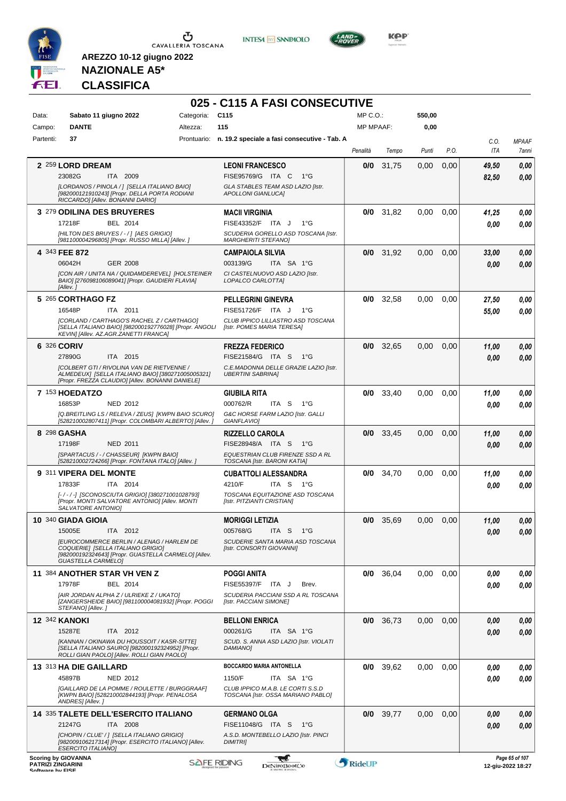

 $\mathbf 5$  Cavalleria Toscana

**INTESA** M SANPAOLO



**KOP** 

# **NAZIONALE A5\* CLASSIFICA**

|                            |                                                                                                                                                     |            | 025 - C115 A FASI CONSECUTIVE                                           |                  |             |               |      |             |                       |
|----------------------------|-----------------------------------------------------------------------------------------------------------------------------------------------------|------------|-------------------------------------------------------------------------|------------------|-------------|---------------|------|-------------|-----------------------|
| Data:                      | Sabato 11 giugno 2022                                                                                                                               | Categoria: | C115                                                                    | MP C.O.:         |             | 550,00        |      |             |                       |
| Campo:                     | <b>DANTE</b>                                                                                                                                        | Altezza:   | 115                                                                     | <b>MP MPAAF:</b> |             | 0,00          |      |             |                       |
| Partenti:                  | 37                                                                                                                                                  |            | Prontuario: n. 19.2 speciale a fasi consecutive - Tab. A                | Penalità         | Tempo       | Punti         | P.O. | C.O.<br>ITA | <b>MPAAF</b><br>7anni |
|                            | 2 259 LORD DREAM                                                                                                                                    |            | <b>LEONI FRANCESCO</b>                                                  | 0/0              | 31,75       | 0,00          | 0,00 | 49,50       | 0,00                  |
|                            | 23082G<br>ITA 2009                                                                                                                                  |            | FISE95769/G ITA C<br>1°G                                                |                  |             |               |      | 82,50       | 0,00                  |
|                            | [LORDANOS / PINOLA / ] [SELLA ITALIANO BAIO]<br>[982000121910243] [Propr. DELLA PORTA RODIANI<br>RICCARDO] [Allev. BONANNI DARIO]                   |            | GLA STABLES TEAM ASD LAZIO [Istr.<br><b>APOLLONI GIANLUCAI</b>          |                  |             |               |      |             |                       |
|                            | 3 279 ODILINA DES BRUYERES                                                                                                                          |            | <b>MACII VIRGINIA</b>                                                   |                  | $0/0$ 31,82 | 0,00          | 0,00 | 41,25       | 0,00                  |
|                            | 17218F<br>BEL 2014                                                                                                                                  |            | FISE43352/F ITA J<br>$1^{\circ}G$                                       |                  |             |               |      | 0.00        | 0.00                  |
|                            | [HILTON DES BRUYES / - / ] [AES GRIGIO]<br>[981100004296805] [Propr. RUSSO MILLA] [Allev. ]                                                         |            | SCUDERIA GORELLO ASD TOSCANA [Istr.<br><b>MARGHERITI STEFANO]</b>       |                  |             |               |      |             |                       |
| 4 343 FEE 872              |                                                                                                                                                     |            | <b>CAMPAIOLA SILVIA</b>                                                 |                  | $0/0$ 31,92 | 0,00          | 0,00 | 33,00       | 0,00                  |
|                            | 06042H<br><b>GER 2008</b>                                                                                                                           |            | 003139/G<br>ITA SA 1°G                                                  |                  |             |               |      | 0.00        | 0,00                  |
|                            | [CON AIR / UNITA NA / QUIDAMDEREVEL] [HOLSTEINER<br>BAIO] [276098106089041] [Propr. GAUDIERI FLAVIA]<br>[Allev.]                                    |            | CI CASTELNUOVO ASD LAZIO [Istr.<br>LOPALCO CARLOTTA]                    |                  |             |               |      |             |                       |
|                            | 5 265 CORTHAGO FZ                                                                                                                                   |            | <b>PELLEGRINI GINEVRA</b>                                               | 0/0              | 32.58       | 0,00          | 0,00 | 27,50       | 0,00                  |
|                            | 16548P<br>ITA 2011                                                                                                                                  |            | FISE51726/F ITA J<br>1°G                                                |                  |             |               |      | 55,00       | 0,00                  |
|                            | [CORLAND / CARTHAGO'S RACHEL Z / CARTHAGO]<br>[SELLA ITALIANO BAIO] [982000192776028] [Propr. ANGOLI<br>KEVIN] [Allev. AZ.AGR.ZANETTI FRANCA]       |            | CLUB IPPICO LILLASTRO ASD TOSCANA<br>[Istr. POMES MARIA TERESA]         |                  |             |               |      |             |                       |
| 6 326 CORIV                |                                                                                                                                                     |            | <b>FREZZA FEDERICO</b>                                                  | 0/0              | 32,65       | 0,00          | 0,00 | 11,00       | 0,00                  |
|                            | 27890G<br>ITA 2015                                                                                                                                  |            | FISE21584/G ITA S<br>1°G                                                |                  |             |               |      | 0.00        | 0,00                  |
|                            | [COLBERT GTI / RIVOLINA VAN DE RIETVENNE /<br>ALMEDEUX] [SELLA ITALIANO BAIO] [380271005005321]<br>[Propr. FREZZA CLAUDIO] [Allev. BONANNI DANIELE] |            | C.E.MADONNA DELLE GRAZIE LAZIO [Istr.<br><b>UBERTINI SABRINA]</b>       |                  |             |               |      |             |                       |
|                            | 7 153 HOEDATZO                                                                                                                                      |            | <b>GIUBILA RITA</b>                                                     | 0/0              | 33,40       | 0,00          | 0,00 | 11,00       | 0,00                  |
|                            | 16853P<br><b>NED 2012</b>                                                                                                                           |            | 000762/R<br>ITA S<br>1°G                                                |                  |             |               |      | 0.00        | 0,00                  |
|                            | [Q.BREITLING LS / RELEVA / ZEUS] [KWPN BAIO SCURO]<br>[528210002807411] [Propr. COLOMBARI ALBERTO] [Allev.                                          |            | G&C HORSE FARM LAZIO [Istr. GALLI<br>GIANFLAVIO]                        |                  |             |               |      |             |                       |
| 8 298 GASHA                |                                                                                                                                                     |            | <b>RIZZELLO CAROLA</b>                                                  | 0/0              | 33,45       | 0,00          | 0,00 | 11,00       | 0,00                  |
|                            | 17198F<br><b>NED 2011</b>                                                                                                                           |            | FISE28948/A ITA S 1°G                                                   |                  |             |               |      | 0.00        | 0,00                  |
|                            | [SPARTACUS / - / CHASSEUR] [KWPN BAIO]<br>[528210002724266] [Propr. FONTANA ITALO] [Allev.]                                                         |            | EQUESTRIAN CLUB FIRENZE SSD A RL<br>TOSCANA [Istr. BARONI KATIA]        |                  |             |               |      |             |                       |
|                            | 9 311 VIPERA DEL MONTE                                                                                                                              |            | <b>CUBATTOLI ALESSANDRA</b>                                             | 0/0              | 34,70       | 0,00          | 0,00 | 11,00       | 0,00                  |
|                            | 17833F<br>ITA 2014                                                                                                                                  |            | 4210/F<br>ITA S 1°G                                                     |                  |             |               |      | 0.00        | 0,00                  |
|                            | [-/-/-] [SCONOSCIUTA GRIGIO] [380271001028793]<br>[Propr. MONTI SALVATORE ANTONIO] [Allev. MONTI<br>SALVATORE ANTONIOI                              |            | TOSCANA EQUITAZIONE ASD TOSCANA<br>[Istr. PITZIANTI CRISTIAN]           |                  |             |               |      |             |                       |
|                            | 10 340 GIADA GIOIA                                                                                                                                  |            | <b>MORIGGI LETIZIA</b>                                                  |                  | 0/0 35,69   | $0,00$ $0,00$ |      | 11,00       | $\it 0,00$            |
|                            | 15005E<br>ITA 2012                                                                                                                                  |            | 005768/G<br>ITA S<br>1°G                                                |                  |             |               |      | 0.00        | 0,00                  |
|                            | <b>JEUROCOMMERCE BERLIN / ALENAG / HARLEM DE</b><br>COQUERIE] [SELLA ITALIANO GRIGIO]                                                               |            | SCUDERIE SANTA MARIA ASD TOSCANA<br>[Istr. CONSORTI GIOVANNI]           |                  |             |               |      |             |                       |
|                            | [982000192324643] [Propr. GUASTELLA CARMELO] [Allev.<br><b>GUASTELLA CARMELOI</b>                                                                   |            |                                                                         |                  |             |               |      |             |                       |
|                            | 11 384 ANOTHER STAR VH VEN Z                                                                                                                        |            | <b>POGGI ANITA</b>                                                      |                  | $0/0$ 36,04 | 0.00          | 0,00 | 0,00        | 0,00                  |
|                            | 17978F<br>BEL 2014                                                                                                                                  |            | FISE55397/F ITA J<br>Brev.                                              |                  |             |               |      | 0.00        | 0,00                  |
|                            | [AIR JORDAN ALPHA Z / ULRIEKE Z / UKATO]<br>[ZANGERSHEIDE BAIO] [981100004081932] [Propr. POGGI                                                     |            | SCUDERIA PACCIANI SSD A RL TOSCANA<br>[Istr. PACCIANI SIMONE]           |                  |             |               |      |             |                       |
| <b>12 342 KANOKI</b>       | STEFANO] [Allev.]                                                                                                                                   |            | <b>BELLONI ENRICA</b>                                                   | 0/0              | 36,73       | 0,00          | 0,00 | 0,00        | 0,00                  |
|                            | 15287E<br>ITA 2012                                                                                                                                  |            | 000261/G<br>ITA SA 1°G                                                  |                  |             |               |      | 0.00        | 0,00                  |
|                            | [KANNAN / OKINAWA DU HOUSSOIT / KASR-SITTE]<br>[SELLA ITALIANO SAURO] [982000192324952] [Propr.<br>ROLLI GIAN PAOLO] [Allev. ROLLI GIAN PAOLO]      |            | SCUD. S. ANNA ASD LAZIO [Istr. VIOLATI<br>DAMIANO]                      |                  |             |               |      |             |                       |
|                            | 13 313 HA DIE GAILLARD                                                                                                                              |            | <b>BOCCARDO MARIA ANTONELLA</b>                                         | 0/0              | 39,62       | 0,00          | 0,00 | 0,00        | 0,00                  |
|                            | 45897B<br><b>NED 2012</b>                                                                                                                           |            | 1150/F<br>ITA SA 1°G                                                    |                  |             |               |      | 0.00        | 0,00                  |
|                            | [GAILLARD DE LA POMME / ROULETTE / BURGGRAAF]<br>[KWPN BAIO] [528210002844193] [Propr. PENALOSA<br>ANDRES] [Allev.]                                 |            | CLUB IPPICO M.A.B. LE CORTI S.S.D<br>TOSCANA [Istr. OSSA MARIANO PABLO] |                  |             |               |      |             |                       |
|                            | <b>14 335 TALETE DELL'ESERCITO ITALIANO</b>                                                                                                         |            | <b>GERMANO OLGA</b>                                                     |                  | $0/0$ 39,77 | 0,00          | 0,00 | 0,00        | 0,00                  |
|                            | ITA 2008<br>21247G                                                                                                                                  |            | FISE11048/G ITA S<br>1°G                                                |                  |             |               |      | 0,00        | 0,00                  |
|                            | [CHOPIN / CLUE' / ] [SELLA ITALIANO GRIGIO]<br>[982009106217314] [Propr. ESERCITO ITALIANO] [Allev.<br><b>ESERCITO ITALIANO]</b>                    |            | A.S.D. MONTEBELLO LAZIO [Istr. PINCI<br><b>DIMITRII</b>                 |                  |             |               |      |             |                       |
| <b>Scoring by GIOVANNA</b> | <b>PATRIZI ZINGARINI</b>                                                                                                                            |            | $\mathcal{L}_{\mathcal{A}}$<br><b>SAFE RIDING</b><br>DeNiroBootCo       | RideUP           |             |               |      |             | Page 65 of 107        |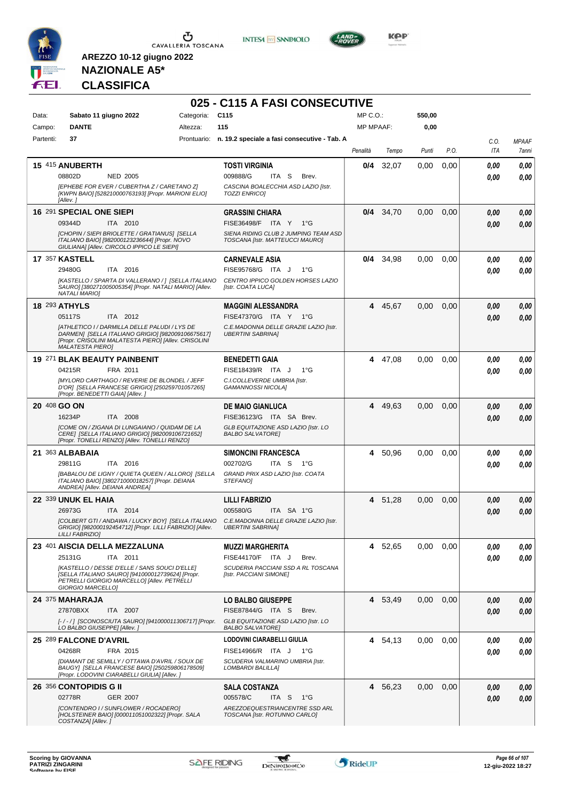

**INTESA M** SANPAOLO



**KOP** 

## **NAZIONALE A5\* CLASSIFICA**

|              |                                                                                                                                                                                       |            | 025 - C115 A FASI CONSECUTIVE                                                                                        |                  |         |        |      |             |                       |
|--------------|---------------------------------------------------------------------------------------------------------------------------------------------------------------------------------------|------------|----------------------------------------------------------------------------------------------------------------------|------------------|---------|--------|------|-------------|-----------------------|
| Data:        | Sabato 11 giugno 2022                                                                                                                                                                 | Categoria: | C <sub>115</sub>                                                                                                     | MP C.O.          |         | 550,00 |      |             |                       |
| Campo:       | <b>DANTE</b>                                                                                                                                                                          | Altezza:   | 115                                                                                                                  | <b>MP MPAAF:</b> |         | 0,00   |      |             |                       |
| Partenti:    | 37                                                                                                                                                                                    |            | Prontuario: n. 19.2 speciale a fasi consecutive - Tab. A                                                             | Penalità         | Tempo   | Punti  | P.O. | C.O.<br>ITA | <b>MPAAF</b><br>7anni |
|              | 15 415 ANUBERTH                                                                                                                                                                       |            | <b>TOSTI VIRGINIA</b>                                                                                                | 0/4              | 32,07   | 0,00   | 0,00 | 0.00        | 0.00                  |
|              | 08802D<br><b>NED 2005</b>                                                                                                                                                             |            | 009888/G<br>ITA S<br>Brev.                                                                                           |                  |         |        |      | 0.00        | 0,00                  |
|              | [EPHEBE FOR EVER / CUBERTHA Z / CARETANO Z]<br>[KWPN BAIO] [528210000763193] [Propr. MARIONI ELIO]<br>[Allev. 1                                                                       |            | CASCINA BOALECCHIA ASD LAZIO [Istr.<br><b>TOZZI ENRICO]</b>                                                          |                  |         |        |      |             |                       |
|              | 16 291 SPECIAL ONE SIEPI                                                                                                                                                              |            | <b>GRASSINI CHIARA</b>                                                                                               | 0/4              | 34,70   | 0.00   | 0.00 | 0,00        | 0,00                  |
|              | 09344D<br>ITA 2010                                                                                                                                                                    |            | FISE36498/F<br>ITA Y 1°G<br>SIENA RIDING CLUB 2 JUMPING TEAM ASD                                                     |                  |         |        |      | 0.00        | 0,00                  |
|              | [CHOPIN / SIEPI BRIOLETTE / GRATIANUS] [SELLA<br>ITALIANO BAIO] [982000123236644] [Propr. NOVO<br>GIULIANA] [Allev. CIRCOLO IPPICO LE SIEPI]                                          |            | TOSCANA [Istr. MATTEUCCI MAURO]                                                                                      |                  |         |        |      |             |                       |
|              | <b>17 357 KASTELL</b>                                                                                                                                                                 |            | <b>CARNEVALE ASIA</b>                                                                                                | 0/4              | 34,98   | 0,00   | 0.00 | 0,00        | 0,00                  |
|              | ITA 2016<br>29480G                                                                                                                                                                    |            | FISE95768/G ITA J<br>$1^{\circ}G$                                                                                    |                  |         |        |      | 0.00        | 0.00                  |
|              | [KASTELLO / SPARTA DI VALLERANO / ] [SELLA ITALIANO<br>SAURO] [380271005005354] [Propr. NATALI MARIO] [Allev.<br><b>NATALI MARIOI</b>                                                 |            | CENTRO IPPICO GOLDEN HORSES LAZIO<br>[Istr. COATA LUCA]                                                              |                  |         |        |      |             |                       |
|              | <b>18 293 ATHYLS</b>                                                                                                                                                                  |            | <b>MAGGINI ALESSANDRA</b>                                                                                            | 4                | 45,67   | 0,00   | 0.00 | 0,00        | 0.00                  |
|              | 05117S<br>ITA 2012                                                                                                                                                                    |            | FISE47370/G ITA Y 1°G                                                                                                |                  |         |        |      | 0.00        | 0.00                  |
|              | [ATHLETICO I / DARMILLA DELLE PALUDI / LYS DE<br>DARMENI ISELLA ITALIANO GRIGIO] [982009106675617]<br>[Propr. CRISOLINI MALATESTA PIERO] [Allev. CRISOLINI<br><b>MALATESTA PIERO]</b> |            | C.E.MADONNA DELLE GRAZIE LAZIO [Istr.<br><b>UBERTINI SABRINA1</b>                                                    |                  |         |        |      |             |                       |
|              | 19 271 BLAK BEAUTY PAINBENIT                                                                                                                                                          |            | <b>BENEDETTI GAIA</b>                                                                                                |                  | 4 47,08 | 0,00   | 0,00 | 0,00        | 0,00                  |
|              | 04215R<br>FRA 2011                                                                                                                                                                    |            | FISE18439/R ITA J<br>$1^{\circ}$ G                                                                                   |                  |         |        |      | 0.00        | 0.00                  |
|              | <b>[MYLORD CARTHAGO / REVERIE DE BLONDEL / JEFF</b><br>D'OR] [SELLA FRANCESE GRIGIO] [250259701057265]<br>[Propr. BENEDETTI GAIA] [Allev.]                                            |            | C.I.COLLEVERDE UMBRIA [Istr.<br>GAMANNOSSI NICOLA]                                                                   |                  |         |        |      |             |                       |
| 20 408 GO ON |                                                                                                                                                                                       |            | <b>DE MAIO GIANLUCA</b>                                                                                              | 4                | 49,63   | 0.00   | 0.00 | 0,00        | 0,00                  |
|              | 16234P<br>ITA 2008                                                                                                                                                                    |            | FISE36123/G ITA SA Brev.                                                                                             |                  |         |        |      | 0.00        | 0.00                  |
|              | [COME ON / ZIGANA DI LUNGAIANO / QUIDAM DE LA<br>CERE] [SELLA ITALIANO GRIGIO] [982009106721652]<br>[Propr. TONELLI RENZO] [Allev. TONELLI RENZO]                                     |            | GLB EQUITAZIONE ASD LAZIO [Istr. LO<br><b>BALBO SALVATORE]</b>                                                       |                  |         |        |      |             |                       |
|              | 21 363 ALBABAIA                                                                                                                                                                       |            | <b>SIMONCINI FRANCESCA</b>                                                                                           | 4                | 50,96   | 0.00   | 0.00 | 0,00        | 0,00                  |
|              | ITA 2016<br>29811G                                                                                                                                                                    |            | 002702/G<br>ITA S<br>1°G                                                                                             |                  |         |        |      | 0.00        | 0.00                  |
|              | [BABALOU DE LIGNY / QUIETA QUEEN / ALLORO] [SELLA<br>ITALIANO BAIO] [380271000018257] [Propr. DEIANA<br>ANDREA] [Allev. DEIANA ANDREA]                                                |            | GRAND PRIX ASD LAZIO [Istr. COATA<br><b>STEFANOI</b>                                                                 |                  |         |        |      |             |                       |
|              | 22 339 UNUK EL HAIA                                                                                                                                                                   |            | <b>LILLI FABRIZIO</b>                                                                                                |                  | 4 51,28 | 0,00   | 0,00 | 0,00        | 0,00                  |
|              | 26973G<br>ITA 2014                                                                                                                                                                    |            | 005580/G<br>ITA SA 1°G                                                                                               |                  |         |        |      | 0,00        | 0.00                  |
|              | GRIGIO] [982000192454712] [Propr. LILLI FABRIZIO] [Allev.<br>LILLI FABRIZIO]                                                                                                          |            | [COLBERT GTI / ANDAWA / LUCKY BOY] [SELLA ITALIANO C.E.MADONNA DELLE GRAZIE LAZIO [Istr.<br><b>UBERTINI SABRINA]</b> |                  |         |        |      |             |                       |
|              | 23 401 AISCIA DELLA MEZZALUNA                                                                                                                                                         |            | <b>MUZZI MARGHERITA</b>                                                                                              |                  | 4 52,65 | 0,00   | 0,00 | 0,00        | 0,00                  |
|              | 25131G<br>ITA 2011                                                                                                                                                                    |            | FISE44170/F ITA J<br>Brev.                                                                                           |                  |         |        |      | 0.00        | 0,00                  |
|              | [KASTELLO / DESSE D'ELLE / SANS SOUCI D'ELLE]<br>[SELLA ITALIANO SAURO] [941000012739624] [Propr.<br>PETRELLI GIORGIO MARCELLO] [Allev. PETRELLI<br>GIORGIO MARCELLOI                 |            | SCUDERIA PACCIANI SSD A RL TOSCANA<br>[Istr. PACCIANI SIMONE]                                                        |                  |         |        |      |             |                       |
|              | 24 375 MAHARAJA                                                                                                                                                                       |            | <b>LO BALBO GIUSEPPE</b>                                                                                             |                  | 4 53,49 | 0,00   | 0,00 | 0,00        | 0,00                  |
|              | 27870BXX<br>ITA 2007                                                                                                                                                                  |            | FISE87844/G ITA S<br>Brev.                                                                                           |                  |         |        |      | 0,00        | 0,00                  |
|              | [-/-/] [SCONOSCIUTA SAURO] [941000011306717] [Propr.<br>LO BALBO GIUSEPPE] [Allev. ]                                                                                                  |            | GLB EQUITAZIONE ASD LAZIO [Istr. LO<br><b>BALBO SALVATOREI</b>                                                       |                  |         |        |      |             |                       |
|              | 25 289 FALCONE D'AVRIL                                                                                                                                                                |            | LODOVINI CIARABELLI GIULIA                                                                                           | 4                | 54,13   | 0,00   | 0.00 | 0,00        | 0,00                  |
|              | 04268R<br>FRA 2015                                                                                                                                                                    |            | FISE14966/R ITA J<br>− 1°G                                                                                           |                  |         |        |      | 0,00        | 0,00                  |
|              | [DIAMANT DE SEMILLY / OTTAWA D'AVRIL / SOUX DE<br>BAUGY] [SELLA FRANCESE BAIO] [250259806178509]<br>[Propr. LODOVINI CIARABELLI GIULIA] [Allev.]                                      |            | SCUDERIA VALMARINO UMBRIA [Istr.<br>LOMBARDI BALILLA]                                                                |                  |         |        |      |             |                       |
|              | 26 356 CONTOPIDIS G II                                                                                                                                                                |            | <b>SALA COSTANZA</b>                                                                                                 |                  | 4 56,23 | 0,00   | 0,00 | 0,00        | 0,00                  |
|              | <b>GER 2007</b><br>02778R                                                                                                                                                             |            | 005578/C<br>ITA S<br>1°G                                                                                             |                  |         |        |      | 0,00        | 0,00                  |
|              | [CONTENDRO I / SUNFLOWER / ROCADERO]<br>[HOLSTEINER BAIO] [000011051002322] [Propr. SALA<br>COSTANZA] [Allev.]                                                                        |            | AREZZOEQUESTRIANCENTRE SSD ARL<br>TOSCANA [Istr. ROTUNNO CARLO]                                                      |                  |         |        |      |             |                       |

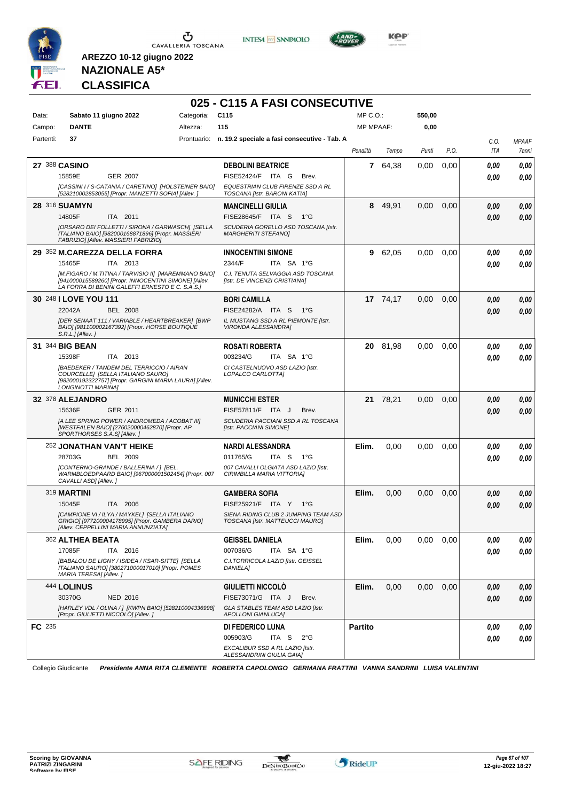





**Kep** 

#### **NAZIONALE A5\* CLASSIFICA**

**AREZZO 10-12 giugno 2022**

|           |                                                                                                                                                                  |            | 025 - C115 A FASI CONSECUTIVE                                           |                  |          |        |      |      |              |
|-----------|------------------------------------------------------------------------------------------------------------------------------------------------------------------|------------|-------------------------------------------------------------------------|------------------|----------|--------|------|------|--------------|
| Data:     | Sabato 11 giugno 2022                                                                                                                                            | Categoria: | C <sub>115</sub>                                                        | $MP C. O.$ :     |          | 550,00 |      |      |              |
| Campo:    | <b>DANTE</b>                                                                                                                                                     | Altezza:   | 115                                                                     | <b>MP MPAAF:</b> |          | 0,00   |      |      |              |
| Partenti: | 37                                                                                                                                                               |            | Prontuario: n. 19.2 speciale a fasi consecutive - Tab. A                |                  |          |        |      | C.O. | <b>MPAAF</b> |
|           |                                                                                                                                                                  |            |                                                                         | Penalità         | Tempo    | Punti  | P.O. | ITA  | 7anni        |
|           | 27 388 CASINO                                                                                                                                                    |            | <b>DEBOLINI BEATRICE</b>                                                | $\mathbf{7}$     | 64,38    | 0.00   | 0,00 | 0.00 | 0.00         |
|           | 15859E<br><b>GER 2007</b>                                                                                                                                        |            | FISE52424/F ITA G<br>Brev.                                              |                  |          |        |      | 0.00 | 0.00         |
|           | [CASSINI I / S-CATANIA / CARETINO] [HOLSTEINER BAIO]<br>[528210002853055] [Propr. MANZETTI SOFIA] [Allev. ]                                                      |            | EQUESTRIAN CLUB FIRENZE SSD A RL<br>TOSCANA [Istr. BARONI KATIA]        |                  |          |        |      |      |              |
|           | 28 316 SUAMYN                                                                                                                                                    |            | <b>MANCINELLI GIULIA</b>                                                |                  | 8 49,91  | 0,00   | 0,00 | 0,00 | 0,00         |
|           | 14805F<br>ITA 2011                                                                                                                                               |            | FISE28645/F ITA S<br>$1^{\circ}G$                                       |                  |          |        |      | 0.00 | 0.00         |
|           | [ORSARO DEI FOLLETTI / SIRONA / GARWASCH] [SELLA<br>ITALIANO BAIO] [982000168871896] [Propr. MASSIERI<br>FABRIZIO] [Allev. MASSIERI FABRIZIO]                    |            | SCUDERIA GORELLO ASD TOSCANA [Istr.<br><b>MARGHERITI STEFANOI</b>       |                  |          |        |      |      |              |
|           | 29 352 M.CAREZZA DELLA FORRA                                                                                                                                     |            | <b>INNOCENTINI SIMONE</b>                                               | 9                | 62,05    | 0,00   | 0,00 | 0.00 | 0,00         |
|           | 15465F<br>ITA 2013                                                                                                                                               |            | 2344/F<br>ITA SA 1°G                                                    |                  |          |        |      | 0.00 | 0.00         |
|           | [M.FIGARO / M.TITINA / TARVISIO II] [MAREMMANO BAIO]<br>[941000015589260] [Propr. INNOCENTINI SIMONE] [Allev.<br>LA FORRA DI BENINI GALEFFI ERNESTO E C. S.A.S.] |            | C.I. TENUTA SELVAGGIA ASD TOSCANA<br>[Istr. DE VINCENZI CRISTIANA]      |                  |          |        |      |      |              |
|           | 30 248   LOVE YOU 111                                                                                                                                            |            | <b>BORI CAMILLA</b>                                                     |                  | 17 74,17 | 0,00   | 0,00 | 0,00 | 0,00         |
|           | 22042A<br><b>BEL 2008</b>                                                                                                                                        |            | FISE24282/A ITA S<br>1°G                                                |                  |          |        |      | 0.00 | 0.00         |
|           | <b>IDER SENAAT 111 / VARIABLE / HEARTBREAKER] [BWP</b><br>BAIO] [981100002167392] [Propr. HORSE BOUTIQUE<br>S.R.L.J[Allev.]                                      |            | IL MUSTANG SSD A RL PIEMONTE IIstr.<br>VIRONDA ALESSANDRA]              |                  |          |        |      |      |              |
|           | 31 344 BIG BEAN                                                                                                                                                  |            | ROSATI ROBERTA                                                          | 20               | 81,98    | 0.00   | 0.00 | 0,00 | 0.00         |
|           | 15398F<br>ITA 2013                                                                                                                                               |            | 003234/G<br>ITA SA 1°G                                                  |                  |          |        |      | 0.00 | 0.00         |
|           | [BAEDEKER / TANDEM DEL TERRICCIO / AIRAN<br>COURCELLE] [SELLA ITALIANO SAURO]<br>[982000192322757] [Propr. GARGINI MARIA LAURA] [Allev.<br>LONGINOTTI MARINA]    |            | CI CASTELNUOVO ASD LAZIO [Istr.<br>LOPALCO CARLOTTA]                    |                  |          |        |      |      |              |
|           | 32 378 ALEJANDRO                                                                                                                                                 |            | <b>MUNICCHI ESTER</b>                                                   |                  | 21 78,21 | 0,00   | 0,00 | 0.00 | 0,00         |
|           | 15636F<br>GER 2011                                                                                                                                               |            | FISE57811/F ITA J<br>Brev.                                              |                  |          |        |      | 0.00 | 0.00         |
|           | [A LEE SPRING POWER / ANDROMEDA / ACOBAT III]<br>[WESTFALEN BAIO] [276020000462870] [Propr. AP<br>SPORTHORSES S.A.S] [Allev.]                                    |            | SCUDERIA PACCIANI SSD A RL TOSCANA<br>[Istr. PACCIANI SIMONE]           |                  |          |        |      |      |              |
|           | 252 JONATHAN VAN'T HEIKE                                                                                                                                         |            | <b>NARDI ALESSANDRA</b>                                                 | Elim.            | 0,00     | 0,00   | 0,00 | 0,00 | 0,00         |
|           | 28703G<br>BEL 2009                                                                                                                                               |            | 011765/G<br>ITA S<br>1°G                                                |                  |          |        |      | 0.00 | 0.00         |
|           | [CONTERNO-GRANDE / BALLERINA / ] [BEL.<br>WARMBLOEDPAARD BAIO] [967000001502454] [Propr. 007<br>CAVALLI ASD] [Allev.]                                            |            | 007 CAVALLI OLGIATA ASD LAZIO [Istr.<br>CIRIMBILLA MARIA VITTORIA]      |                  |          |        |      |      |              |
|           | 319 MARTINI                                                                                                                                                      |            | <b>GAMBERA SOFIA</b>                                                    | Elim.            | 0,00     | 0,00   | 0,00 | 0,00 | 0,00         |
|           | 15045F<br>ITA 2006                                                                                                                                               |            | FISE25921/F ITA Y<br>1°G                                                |                  |          |        |      | 0.00 | 0.00         |
|           | [CAMPIONE VI / ILYA / MAYKEL] [SELLA ITALIANO<br>GRIGIO] [977200004178995] [Propr. GAMBERA DARIO]<br>[Allev. CEPPELLINI MARIA ANNUNZIATA]                        |            | SIENA RIDING CLUB 2 JUMPING TEAM ASD<br>TOSCANA [Istr. MATTEUCCI MAURO] |                  |          |        |      |      |              |
|           | 362 ALTHEA BEATA                                                                                                                                                 |            | <b>GEISSEL DANIELA</b>                                                  | Elim.            | 0,00     | 0,00   | 0,00 | 0,00 | 0,00         |
|           | 17085F<br>ITA 2016                                                                                                                                               |            | 007036/G<br>ITA SA 1°G                                                  |                  |          |        |      | 0,00 | 0,00         |
|           | [BABALOU DE LIGNY / ISIDEA / KSAR-SITTE] [SELLA<br>ITALIANO SAURO] [380271000017010] [Propr. POMES<br>MARIA TERESAI [Allev. ]                                    |            | C.I.TORRICOLA LAZIO [Istr. GEISSEL<br>DANIELA]                          |                  |          |        |      |      |              |
|           | 444 LOLINUS                                                                                                                                                      |            | <b>GIULIETTI NICCOLO</b>                                                | Elim.            | 0,00     | 0,00   | 0,00 | 0,00 | 0,00         |
|           | 30370G<br><b>NED 2016</b>                                                                                                                                        |            | FISE73071/G ITA J<br>Brev.                                              |                  |          |        |      | 0,00 | 0,00         |
|           | [HARLEY VDL / OLINA / ] [KWPN BAIO] [528210004336998]<br>[Propr. GIULIETTI NICCOLÒ] [Allev. ]                                                                    |            | GLA STABLES TEAM ASD LAZIO [Istr.<br>APOLLONI GIANLUCA]                 |                  |          |        |      |      |              |
| FC 235    |                                                                                                                                                                  |            | <b>DI FEDERICO LUNA</b>                                                 | <b>Partito</b>   |          |        |      | 0,00 | 0,00         |
|           |                                                                                                                                                                  |            | 005903/G<br>ITA S<br>$2^{\circ}$ G                                      |                  |          |        |      | 0,00 | 0,00         |
|           |                                                                                                                                                                  |            | EXCALIBUR SSD A RL LAZIO [Istr.                                         |                  |          |        |      |      |              |
|           |                                                                                                                                                                  |            | ALESSANDRINI GIULIA GAIA]                                               |                  |          |        |      |      |              |

Collegio Giudicante *Presidente ANNA RITA CLEMENTE ROBERTA CAPOLONGO GERMANA FRATTINI VANNA SANDRINI LUISA VALENTINI*

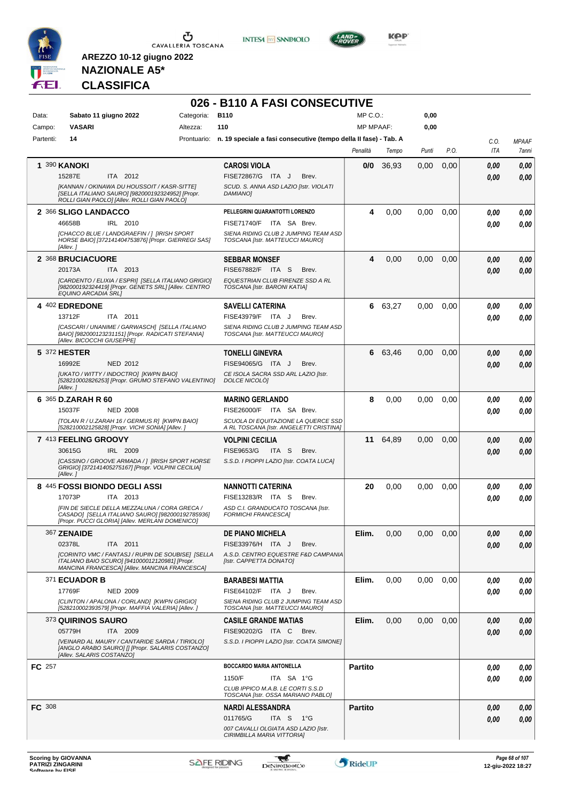

**INTESA M** SANPAOLO



**KOP** 

## **NAZIONALE A5\* CLASSIFICA**

|               |                                                                                                                                                             |            | 026 - B110 A FASI CONSECUTIVE                                                  |                  |       |          |      |      |              |
|---------------|-------------------------------------------------------------------------------------------------------------------------------------------------------------|------------|--------------------------------------------------------------------------------|------------------|-------|----------|------|------|--------------|
| Data:         | Sabato 11 giugno 2022                                                                                                                                       | Categoria: | <b>B110</b>                                                                    | $MP C. O.$ :     |       | 0,00     |      |      |              |
| Campo:        | <b>VASARI</b>                                                                                                                                               | Altezza:   | 110                                                                            | <b>MP MPAAF:</b> |       | 0,00     |      |      |              |
| Partenti:     | 14                                                                                                                                                          |            | Prontuario: n. 19 speciale a fasi consecutive (tempo della II fase) - Tab. A   |                  |       |          |      | C.O. | <b>MPAAF</b> |
|               |                                                                                                                                                             |            |                                                                                | Penalità         | Tempo | Punti    | P.O. | ITA  | 7anni        |
|               | 1 390 KANOKI                                                                                                                                                |            | <b>CAROSI VIOLA</b>                                                            | 0/0              | 36,93 | 0,00     | 0,00 | 0.00 | 0,00         |
|               | 15287E<br>ITA 2012                                                                                                                                          |            | FISE72867/G ITA J<br>Brev.                                                     |                  |       |          |      | 0.00 | 0,00         |
|               | [KANNAN / OKINAWA DU HOUSSOIT / KASR-SITTE]<br>[SELLA ITALIANO SAURO] [982000192324952] [Propr.<br>ROLLI GIAN PAOLO] [Allev. ROLLI GIAN PAOLO]              |            | SCUD. S. ANNA ASD LAZIO [Istr. VIOLATI<br>DAMIANO]                             |                  |       |          |      |      |              |
|               | 2 366 SLIGO LANDACCO                                                                                                                                        |            | PELLEGRINI QUARANTOTTI LORENZO                                                 | 4                | 0,00  | 0,00     | 0,00 | 0.00 | 0,00         |
|               | 46658B<br>IRL 2010                                                                                                                                          |            | FISE71740/F ITA SA Brev.                                                       |                  |       |          |      | 0.00 | 0,00         |
|               | ICHACCO BLUE / LANDGRAEFIN / 1 IIRISH SPORT<br>HORSE BAIO] [372141404753876] [Propr. GIERREGI SAS]<br>[Allev.]                                              |            | SIENA RIDING CLUB 2 JUMPING TEAM ASD<br>TOSCANA [Istr. MATTEUCCI MAURO]        |                  |       |          |      |      |              |
|               | 2 368 BRUCIACUORE                                                                                                                                           |            | <b>SEBBAR MONSEF</b>                                                           | 4                | 0,00  | 0,00     | 0,00 | 0,00 | 0,00         |
|               | ITA 2013<br>20173A                                                                                                                                          |            | FISE67882/F ITA S<br>Brev.                                                     |                  |       |          |      | 0.00 | 0.00         |
|               | [CARDENTO / ELIXIA / ESPRI] [SELLA ITALIANO GRIGIO]<br>[982000192324419] [Propr. GENETS SRL] [Allev. CENTRO<br>EQUINO ARCADIA SRL1                          |            | EQUESTRIAN CLUB FIRENZE SSD A RL<br>TOSCANA [Istr. BARONI KATIA]               |                  |       |          |      |      |              |
|               | 4 402 EDREDONE                                                                                                                                              |            | <b>SAVELLI CATERINA</b>                                                        | 6                | 63,27 | 0,00     | 0,00 | 0.00 | 0,00         |
|               | 13712F<br>ITA 2011                                                                                                                                          |            | FISE43979/F ITA J<br>Brev.                                                     |                  |       |          |      | 0.00 | 0.00         |
|               | [CASCARI / UNANIME / GARWASCH] [SELLA ITALIANO<br>BAIO] [982000123231151] [Propr. RADICATI STEFANIA]<br>[Allev. BICOCCHI GIUSEPPE]                          |            | SIENA RIDING CLUB 2 JUMPING TEAM ASD<br>TOSCANA [Istr. MATTEUCCI MAURO]        |                  |       |          |      |      |              |
|               | 5 372 HESTER                                                                                                                                                |            | <b>TONELLI GINEVRA</b>                                                         | 6                | 63,46 | 0,00     | 0,00 | 0,00 | 0,00         |
|               | 16992E<br><b>NED 2012</b>                                                                                                                                   |            | FISE94065/G ITA J<br>Brev.                                                     |                  |       |          |      | 0.00 | 0.00         |
|               | [UKATO / WITTY / INDOCTRO] [KWPN BAIO]<br>[528210002826253] [Propr. GRUMO STEFANO VALENTINO]<br>[Allev.]                                                    |            | CE ISOLA SACRA SSD ARL LAZIO [Istr.<br>DOLCE NICOLÒ]                           |                  |       |          |      |      |              |
|               | 6 365 D.ZARAH R 60                                                                                                                                          |            | <b>MARINO GERLANDO</b>                                                         | 8                | 0,00  | 0,00     | 0,00 | 0.00 | 0,00         |
|               | 15037F<br><b>NED 2008</b>                                                                                                                                   |            | FISE26000/F ITA SA Brev.                                                       |                  |       |          |      | 0.00 | 0.00         |
|               | [TOLAN R / U.ZARAH 16 / GERMUS R] [KWPN BAIO]<br>[528210002125828] [Propr. VICHI SONIA] [Allev. ]                                                           |            | SCUOLA DI EQUITAZIONE LA QUERCE SSD<br>A RL TOSCANA [Istr. ANGELETTI CRISTINA] |                  |       |          |      |      |              |
|               | 7 413 FEELING GROOVY                                                                                                                                        |            | <b>VOLPINI CECILIA</b>                                                         | 11               | 64,89 | 0,00     | 0,00 | 0.00 | 0,00         |
|               | 30615G<br>IRL 2009                                                                                                                                          |            | FISE9653/G<br>ITA S<br>Brev.                                                   |                  |       |          |      | 0.00 | 0,00         |
|               | [CASSINO / GROOVE ARMADA / ] [IRISH SPORT HORSE<br>GRIGIO] [372141405275167] [Propr. VOLPINI CECILIA]<br>[Allev.]                                           |            | S.S.D. I PIOPPI LAZIO [Istr. COATA LUCA]                                       |                  |       |          |      |      |              |
|               | 8 445 FOSSI BIONDO DEGLI ASSI                                                                                                                               |            | <b>NANNOTTI CATERINA</b>                                                       | 20               | 0,00  | 0.00     | 0,00 | 0,00 | 0,00         |
|               | 17073P<br>ITA 2013                                                                                                                                          |            | FISE13283/R ITA S<br>Brev.                                                     |                  |       |          |      | 0,00 | 0.00         |
|               | IFIN DE SIECLE DELLA MEZZALUNA / CORA GRECA /<br>CASADO] [SELLA ITALIANO SAURO] [982000192785936]<br>[Propr. PUCCI GLORIA] [Allev. MERLANI DOMENICO]        |            | ASD C.I. GRANDUCATO TOSCANA [Istr.<br><b>FORMICHI FRANCESCA]</b>               |                  |       |          |      |      |              |
|               | 367 ZENAIDE                                                                                                                                                 |            | <b>DE PIANO MICHELA</b>                                                        | Elim.            | 0,00  | $0.00\,$ | 0.00 | 0,00 | 0,00         |
|               | 02378L<br>ITA 2011                                                                                                                                          |            | FISE33976/H ITA J<br>Brev.                                                     |                  |       |          |      | 0,00 | 0,00         |
|               | <b>ICORINTO VMC / FANTASJ / RUPIN DE SOUBISE] [SELLA</b><br>ITALIANO BAIO SCURO] [941000012120981] [Propr.<br>MANCINA FRANCESCA] [Allev. MANCINA FRANCESCA] |            | A.S.D. CENTRO EQUESTRE F&D CAMPANIA<br>[Istr. CAPPETTA DONATO]                 |                  |       |          |      |      |              |
|               | 371 ECUADOR B                                                                                                                                               |            | <b>BARABESI MATTIA</b>                                                         | Elim.            | 0,00  | 0.00     | 0.00 | 0,00 | 0,00         |
|               | 17769F<br><b>NED 2009</b>                                                                                                                                   |            | FISE64102/F ITA J<br>Brev.                                                     |                  |       |          |      | 0.00 | 0,00         |
|               | [CLINTON / APALONA / CORLAND] [KWPN GRIGIO]<br>[528210002393579] [Propr. MAFFIA VALERIA] [Allev. ]                                                          |            | SIENA RIDING CLUB 2 JUMPING TEAM ASD<br>TOSCANA [Istr. MATTEUCCI MAURO]        |                  |       |          |      |      |              |
|               | 373 QUIRINOS SAURO                                                                                                                                          |            | <b>CASILE GRANDE MATIAS</b>                                                    | Elim.            | 0,00  | 0,00     | 0,00 | 0,00 | 0,00         |
|               | 05779H<br>ITA 2009                                                                                                                                          |            | FISE90202/G ITA C<br>Brev.                                                     |                  |       |          |      | 0,00 | 0,00         |
|               | [VEINARD AL MAURY / CANTARIDE SARDA / TIRIOLO]<br>[ANGLO ARABO SAURO] [] [Propr. SALARIS COSTANZO]<br>[Allev. SALARIS COSTANZO]                             |            | S.S.D. I PIOPPI LAZIO [Istr. COATA SIMONE]                                     |                  |       |          |      |      |              |
| FC 257        |                                                                                                                                                             |            | <b>BOCCARDO MARIA ANTONELLA</b>                                                | <b>Partito</b>   |       |          |      | 0,00 | 0,00         |
|               |                                                                                                                                                             |            | 1150/F<br>ITA SA 1°G                                                           |                  |       |          |      | 0.00 | 0.00         |
|               |                                                                                                                                                             |            | CLUB IPPICO M.A.B. LE CORTI S.S.D<br>TOSCANA [Istr. OSSA MARIANO PABLO]        |                  |       |          |      |      |              |
| <b>FC</b> 308 |                                                                                                                                                             |            | NARDI ALESSANDRA                                                               | <b>Partito</b>   |       |          |      | 0,00 | 0,00         |
|               |                                                                                                                                                             |            | 011765/G<br>ITA S<br>1°G                                                       |                  |       |          |      | 0,00 | 0,00         |
|               |                                                                                                                                                             |            |                                                                                |                  |       |          |      |      |              |

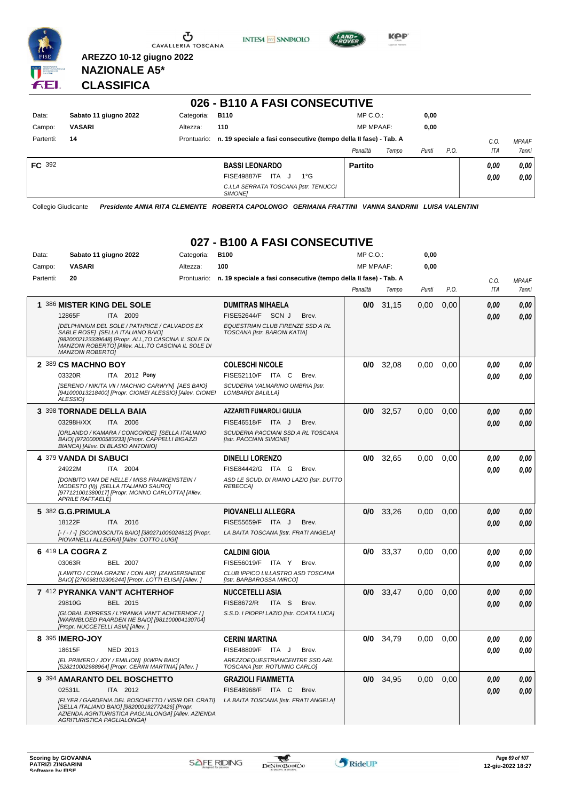

U CAVALLERIA TOSCANA





**Kep** 

#### **NAZIONALE A5\* CLASSIFICA**

**AREZZO 10-12 giugno 2022**

| 026 - B110 A FASI CONSECUTIVE |                       |             |                                                                  |                  |       |       |      |      |              |  |  |
|-------------------------------|-----------------------|-------------|------------------------------------------------------------------|------------------|-------|-------|------|------|--------------|--|--|
| Data:                         | Sabato 11 giugno 2022 | Categoria:  | <b>B110</b>                                                      | $MP C. O.$ :     |       | 0,00  |      |      |              |  |  |
| Campo:                        | <b>VASARI</b>         | Altezza:    | 110                                                              | <b>MP MPAAF:</b> |       | 0,00  |      |      |              |  |  |
| Partenti:                     | 14                    | Prontuario: | n. 19 speciale a fasi consecutive (tempo della II fase) - Tab. A |                  |       |       |      | C.O. | <b>MPAAF</b> |  |  |
|                               |                       |             |                                                                  | Penalità         | Tempo | Punti | P.O. | ITA  | <b>7anni</b> |  |  |
| <b>FC</b> 392                 |                       |             | <b>BASSI LEONARDO</b>                                            | <b>Partito</b>   |       |       |      | 0.00 | 0,00         |  |  |
|                               |                       |             | <b>ITA</b><br>$1^{\circ}$ G<br><b>FISE49887/F</b><br>J           |                  |       |       |      | 0,00 | 0,00         |  |  |
|                               |                       |             | C.I.LA SERRATA TOSCANA [Istr. TENUCCI<br><b>SIMONEI</b>          |                  |       |       |      |      |              |  |  |

Collegio Giudicante *Presidente ANNA RITA CLEMENTE ROBERTA CAPOLONGO GERMANA FRATTINI VANNA SANDRINI LUISA VALENTINI*

#### **027 - B100 A FASI CONSECUTIVE**

| Data:     | Sabato 11 giugno 2022                                                                                                                                                                                                         | Categoria:  | <b>B100</b>                                                      | MP C.O.:         |       | 0,00  |      |            |              |
|-----------|-------------------------------------------------------------------------------------------------------------------------------------------------------------------------------------------------------------------------------|-------------|------------------------------------------------------------------|------------------|-------|-------|------|------------|--------------|
| Campo:    | <b>VASARI</b>                                                                                                                                                                                                                 | Altezza:    | 100                                                              | <b>MP MPAAF:</b> |       | 0.00  |      |            |              |
| Partenti: | 20                                                                                                                                                                                                                            | Prontuario: | n. 19 speciale a fasi consecutive (tempo della II fase) - Tab. A |                  |       |       |      | C.O.       | <b>MPAAF</b> |
|           |                                                                                                                                                                                                                               |             |                                                                  | Penalità         | Tempo | Punti | P.O. | <b>ITA</b> | 7anni        |
|           | 1 386 MISTER KING DEL SOLE                                                                                                                                                                                                    |             | <b>DUMITRAS MIHAELA</b>                                          | 0/0              | 31,15 | 0,00  | 0.00 | 0.00       | 0.00         |
|           | 12865F<br>ITA 2009                                                                                                                                                                                                            |             | FISE52644/F SCN J<br>Brev.                                       |                  |       |       |      | 0.00       | 0.00         |
|           | [DELPHINIUM DEL SOLE / PATHRICE / CALVADOS EX<br>SABLE ROSE] [SELLA ITALIANO BAIO]<br>[9820002123339648] [Propr. ALL, TO CASCINA IL SOLE DI<br>MANZONI ROBERTO] [Allev. ALL, TO CASCINA IL SOLE DI<br><b>MANZONI ROBERTOJ</b> |             | EQUESTRIAN CLUB FIRENZE SSD A RL<br>TOSCANA [Istr. BARONI KATIA] |                  |       |       |      |            |              |
|           | 2 389 CS MACHNO BOY                                                                                                                                                                                                           |             | <b>COLESCHI NICOLE</b>                                           | 0/0              | 32,08 | 0.00  | 0,00 | 0.00       | 0,00         |
|           | 03320R<br><b>ITA</b> 2012 Pony                                                                                                                                                                                                |             | FISE52110/F ITA C<br>Brev.                                       |                  |       |       |      | 0.00       | 0.00         |
|           | [SERENO / NIKITA VII / MACHNO CARWYN] [AES BAIO]<br>[941000013218400] [Propr. CIOMEI ALESSIO] [Allev. CIOMEI<br>ALESSIO]                                                                                                      |             | SCUDERIA VALMARINO UMBRIA [Istr.<br>LOMBARDI BALILLA]            |                  |       |       |      |            |              |
|           | 3 398 TORNADE DELLA BAIA                                                                                                                                                                                                      |             | <b>AZZARITI FUMAROLI GIULIA</b>                                  | 0/0              | 32,57 | 0,00  | 0,00 | 0.00       | 0.00         |
|           | 03298H/XX<br>ITA 2006                                                                                                                                                                                                         |             | FISE46518/F ITA J<br>Brev.                                       |                  |       |       |      | 0.00       | 0.00         |
|           | [ORLANDO / KAMARA / CONCORDE] [SELLA ITALIANO<br>BAIO] [972000000583233] [Propr. CAPPELLI BIGAZZI<br>BIANCA] [Allev. DI BLASIO ANTONIO]                                                                                       |             | SCUDERIA PACCIANI SSD A RL TOSCANA<br>[Istr. PACCIANI SIMONE]    |                  |       |       |      |            |              |
|           | 4 379 VANDA DI SABUCI                                                                                                                                                                                                         |             | <b>DINELLI LORENZO</b>                                           | 0/0              | 32,65 | 0.00  | 0.00 | 0.00       | 0.00         |
|           | 24922M<br>ITA 2004                                                                                                                                                                                                            |             | FISE84442/G ITA G<br>Brev.                                       |                  |       |       |      | 0.00       | 0.00         |
|           | <b>[DONBITO VAN DE HELLE / MISS FRANKENSTEIN /</b><br>MODESTO (II)] [SELLA ITALIANO SAURO]<br>[977121001380017] [Propr. MONNO CARLOTTA] [Allev.<br><b>APRILE RAFFAELEI</b>                                                    |             | ASD LE SCUD. DI RIANO LAZIO [Istr. DUTTO<br><b>REBECCA1</b>      |                  |       |       |      |            |              |
|           | 5 382 G.G.PRIMULA                                                                                                                                                                                                             |             | <b>PIOVANELLI ALLEGRA</b>                                        | 0/0              | 33,26 | 0.00  | 0,00 | 0.00       | 0.00         |
|           | 18122F<br>ITA 2016                                                                                                                                                                                                            |             | FISE55659/F ITA J<br>Brev.                                       |                  |       |       |      | 0,00       | 0.00         |
|           | [-/-/-] [SCONOSCIUTA BAIO] [380271006024812] [Propr.<br>PIOVANELLI ALLEGRA] [Allev. COTTO LUIGI]                                                                                                                              |             | LA BAITA TOSCANA [Istr. FRATI ANGELA]                            |                  |       |       |      |            |              |
|           | 6 419 LA COGRA Z                                                                                                                                                                                                              |             | <b>CALDINI GIOIA</b>                                             | 0/0              | 33.37 | 0.00  | 0.00 | 0,00       | 0,00         |
|           | 03063R<br><b>BEL 2007</b>                                                                                                                                                                                                     |             | FISE56019/F ITA Y<br>Brev.                                       |                  |       |       |      | 0.00       | 0.00         |
|           | [LAWITO / CONA GRAZIE / CON AIR] [ZANGERSHEIDE<br>BAIO] [276098102306244] [Propr. LOTTI ELISA] [Allev.]                                                                                                                       |             | CLUB IPPICO LILLASTRO ASD TOSCANA<br>[Istr. BARBAROSSA MIRCO]    |                  |       |       |      |            |              |
|           | 7 412 PYRANKA VAN'T ACHTERHOF                                                                                                                                                                                                 |             | <b>NUCCETELLI ASIA</b>                                           | 0/0              | 33,47 | 0,00  | 0,00 | 0.00       | 0.00         |
|           | 29810G<br>BEL 2015                                                                                                                                                                                                            |             | <b>FISE8672/R</b><br>ITA S<br>Brev.                              |                  |       |       |      | 0.00       | 0.00         |
|           | [GLOBAL EXPRESS / LYRANKA VAN'T ACHTERHOF / ]<br>[WARMBLOED PAARDEN NE BAIO] [981100004130704]<br>[Propr. NUCCETELLI ASIA] [Allev.]                                                                                           |             | S.S.D. I PIOPPI LAZIO [Istr. COATA LUCA]                         |                  |       |       |      |            |              |
|           | 8 395 IMERO-JOY                                                                                                                                                                                                               |             | <b>CERINI MARTINA</b>                                            | 0/0              | 34,79 | 0.00  | 0,00 | 0.00       | 0,00         |
|           | 18615F<br>NED 2013                                                                                                                                                                                                            |             | FISE48809/F ITA J<br>Brev.                                       |                  |       |       |      | 0.00       | 0.00         |
|           | [EL PRIMERO / JOY / EMILION] [KWPN BAIO]<br>[528210002988964] [Propr. CERINI MARTINA] [Allev. ]                                                                                                                               |             | AREZZOEQUESTRIANCENTRE SSD ARL<br>TOSCANA [Istr. ROTUNNO CARLO]  |                  |       |       |      |            |              |
|           | 9 394 AMARANTO DEL BOSCHETTO                                                                                                                                                                                                  |             | <b>GRAZIOLI FIAMMETTA</b>                                        | 0/0              | 34,95 | 0,00  | 0,00 | 0.00       | 0.00         |
|           | 02531L<br>ITA 2012                                                                                                                                                                                                            |             | <b>FISE48968/F</b><br>ITA C<br>Brev.                             |                  |       |       |      | 0,00       | 0,00         |
|           | [FLYER / GARDENIA DEL BOSCHETTO / VISIR DEL CRATI]<br>[SELLA ITALIANO BAIO] [982000192772426] [Propr.<br>AZIENDA AGRITURISTICA PAGLIALONGA] [Allev. AZIENDA<br>AGRITURISTICA PAGLIALONGAI                                     |             | LA BAITA TOSCANA [Istr. FRATI ANGELA]                            |                  |       |       |      |            |              |

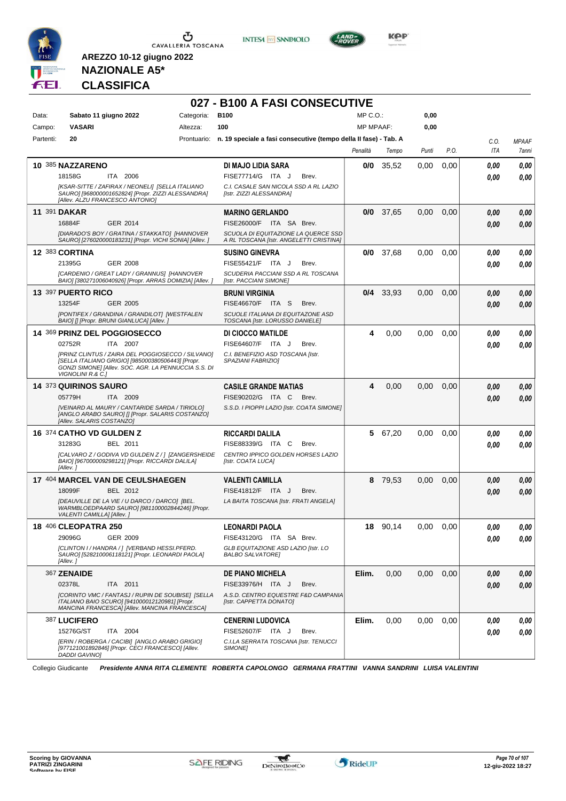



**027 - B100 A FASI CONSECUTIVE**



**Kep** 

## **NAZIONALE A5\* CLASSIFICA**

**AREZZO 10-12 giugno 2022**

| Data:     | Sabato 11 giugno 2022                                                                                                                                                               | Categoria: | <b>B100</b>                                                                    | MP C.O.:         |             | 0,00  |      |            |              |
|-----------|-------------------------------------------------------------------------------------------------------------------------------------------------------------------------------------|------------|--------------------------------------------------------------------------------|------------------|-------------|-------|------|------------|--------------|
| Campo:    | <b>VASARI</b>                                                                                                                                                                       | Altezza:   | 100                                                                            | <b>MP MPAAF:</b> |             | 0,00  |      |            |              |
| Partenti: | 20                                                                                                                                                                                  |            | Prontuario: n. 19 speciale a fasi consecutive (tempo della II fase) - Tab. A   |                  |             |       |      | C.O.       | <b>MPAAF</b> |
|           |                                                                                                                                                                                     |            |                                                                                | Penalità         | Tempo       | Punti | P.O. | ITA        | 7anni        |
|           | 10 385 NAZZARENO                                                                                                                                                                    |            | DI MAJO LIDIA SARA                                                             | 0/0              | 35,52       | 0,00  | 0,00 | 0.00       | 0.00         |
|           | 18158G<br>ITA 2006                                                                                                                                                                  |            | FISE77714/G ITA J<br>Brev.                                                     |                  |             |       |      | 0.00       | 0,00         |
|           | [KSAR-SITTE / ZAFIRAX / NEONELI] [SELLA ITALIANO<br>SAURO] [968000001652824] [Propr. ZIZZI ALESSANDRA]<br>[Allev. ALZU FRANCESCO ANTONIO]                                           |            | C.I. CASALE SAN NICOLA SSD A RL LAZIO<br>[Istr. ZIZZI ALESSANDRA]              |                  |             |       |      |            |              |
|           | 11 391 DAKAR                                                                                                                                                                        |            | <b>MARINO GERLANDO</b>                                                         |                  | $0/0$ 37,65 | 0,00  | 0,00 | 0.00       | 0,00         |
|           | 16884F<br>GER 2014                                                                                                                                                                  |            | FISE26000/F ITA SA Brev.                                                       |                  |             |       |      | 0.00       | 0,00         |
|           | [DIARADO'S BOY / GRATINA / STAKKATO] [HANNOVER<br>SAURO] [276020000183231] [Propr. VICHI SONIA] [Allev. ]                                                                           |            | SCUOLA DI EQUITAZIONE LA QUERCE SSD<br>A RL TOSCANA [Istr. ANGELETTI CRISTINA] |                  |             |       |      |            |              |
|           | <b>12 383 CORTINA</b>                                                                                                                                                               |            | <b>SUSINO GINEVRA</b>                                                          | 0/0              | 37,68       | 0,00  | 0,00 | 0.00       | 0,00         |
|           | 21395G<br><b>GER 2008</b>                                                                                                                                                           |            | FISE55421/F ITA J<br>Brev.                                                     |                  |             |       |      | 0.00       | 0.00         |
|           | [CARDENIO / GREAT LADY / GRANNUS] [HANNOVER<br>BAIO] [380271006040926] [Propr. ARRAS DOMIZIA] [Allev. ]                                                                             |            | SCUDERIA PACCIANI SSD A RL TOSCANA<br>[Istr. PACCIANI SIMONE]                  |                  |             |       |      |            |              |
|           | 13 397 PUERTO RICO                                                                                                                                                                  |            | <b>BRUNI VIRGINIA</b>                                                          |                  | $0/4$ 33,93 | 0,00  | 0,00 | 0.00       | 0,00         |
|           | 13254F<br><b>GER 2005</b>                                                                                                                                                           |            | FISE46670/F ITA S<br>Brev.                                                     |                  |             |       |      | 0.00       | 0,00         |
|           | [PONTIFEX / GRANDINA / GRANDILOT] [WESTFALEN<br>BAIO] [] [Propr. BRUNI GIANLUCA] [Allev. ]                                                                                          |            | SCUOLE ITALIANA DI EQUITAZONE ASD<br>TOSCANA [Istr. LORUSSO DANIELE]           |                  |             |       |      |            |              |
|           | 14 369 PRINZ DEL POGGIOSECCO                                                                                                                                                        |            | DI CIOCCO MATILDE                                                              | 4                | 0,00        | 0,00  | 0.00 | 0.00       | 0,00         |
|           | 02752R<br>ITA 2007                                                                                                                                                                  |            | FISE64607/F ITA J<br>Brev.                                                     |                  |             |       |      | 0.00       | 0.00         |
|           | [PRINZ CLINTUS / ZAIRA DEL POGGIOSECCO / SILVANO]<br>[SELLA ITALIANO GRIGIO] [985000380506443] [Propr.<br>GONZI SIMONE] [Allev. SOC. AGR. LA PENNUCCIA S.S. DI<br>VIGNOLINI R.& C.1 |            | C.I. BENEFIZIO ASD TOSCANA [Istr.<br>SPAZIANI FABRIZIOI                        |                  |             |       |      |            |              |
|           | 14 373 QUIRINOS SAURO                                                                                                                                                               |            | <b>CASILE GRANDE MATIAS</b>                                                    | 4                | 0,00        | 0,00  | 0,00 | 0,00       | 0,00         |
|           | 05779H<br>ITA 2009                                                                                                                                                                  |            | FISE90202/G ITA C<br>Brev.                                                     |                  |             |       |      | 0.00       | 0,00         |
|           | [VEINARD AL MAURY / CANTARIDE SARDA / TIRIOLO]<br>[ANGLO ARABO SAURO] [] [Propr. SALARIS COSTANZO]<br>[Allev. SALARIS COSTANZO]                                                     |            | S.S.D. I PIOPPI LAZIO [Istr. COATA SIMONE]                                     |                  |             |       |      |            |              |
|           | 16 374 CATHO VD GULDEN Z                                                                                                                                                            |            | <b>RICCARDI DALILA</b>                                                         | 5                | 67,20       | 0,00  | 0,00 | 0.00       | 0,00         |
|           | 31283G<br>BEL 2011                                                                                                                                                                  |            | FISE88339/G ITA C<br>Brev.                                                     |                  |             |       |      | 0.00       | 0.00         |
|           | [CALVARO Z / GODIVA VD GULDEN Z / ] [ZANGERSHEIDE<br>BAIO] [967000009298121] [Propr. RICCARDI DALILA]<br>[Allev.]                                                                   |            | CENTRO IPPICO GOLDEN HORSES LAZIO<br>[Istr. COATA LUCA]                        |                  |             |       |      |            |              |
|           | 17 404 MARCEL VAN DE CEULSHAEGEN                                                                                                                                                    |            | <b>VALENTI CAMILLA</b>                                                         | 8                | 79,53       | 0,00  | 0,00 | 0,00       | 0,00         |
|           | 18099F<br>BEL 2012                                                                                                                                                                  |            | FISE41812/F ITA J<br>Brev.                                                     |                  |             |       |      | 0.00       | 0,00         |
|           | [DEAUVILLE DE LA VIE / U DARCO / DARCO] [BEL.<br>WARMBLOEDPAARD SAURO] [981100002844246] [Propr.<br>VALENTI CAMILLA] [Allev.]                                                       |            | LA BAITA TOSCANA [Istr. FRATI ANGELA]                                          |                  |             |       |      |            |              |
|           | <b>18 406 CLEOPATRA 250</b>                                                                                                                                                         |            | <b>LEONARDI PAOLA</b>                                                          |                  | 18 90,14    | 0,00  | 0,00 | 0.00       | 0,00         |
|           | 29096G GER 2009                                                                                                                                                                     |            | FISE43120/G ITA SA Brev.                                                       |                  |             |       |      | $\it 0,00$ | $0,\!00$     |
|           | [CLINTON I / HANDRA / ] [VERBAND HESSI.PFERD.<br>SAURO] [528210006118121] [Propr. LEONARDI PAOLA]<br>[Allev.]                                                                       |            | GLB EQUITAZIONE ASD LAZIO [Istr. LO<br><b>BALBO SALVATORE</b>                  |                  |             |       |      |            |              |
|           | 367 ZENAIDE                                                                                                                                                                         |            | <b>DE PIANO MICHELA</b>                                                        | Elim.            | 0,00        | 0,00  | 0,00 | 0.00       | 0,00         |
|           | 02378L<br>ITA 2011                                                                                                                                                                  |            | FISE33976/H ITA J<br>Brev.                                                     |                  |             |       |      | 0.00       | 0,00         |
|           | [CORINTO VMC / FANTASJ / RUPIN DE SOUBISE] [SELLA<br>ITALIANO BAIO SCURO] [941000012120981] [Propr.<br>MANCINA FRANCESCA] [Allev. MANCINA FRANCESCA]                                |            | A.S.D. CENTRO EQUESTRE F&D CAMPANIA<br>[Istr. CAPPETTA DONATO]                 |                  |             |       |      |            |              |
|           | 387 LUCIFERO                                                                                                                                                                        |            | <b>CENERINI LUDOVICA</b>                                                       | Elim.            | 0,00        | 0,00  | 0,00 | 0.00       | 0,00         |
|           | 15276G/ST<br>ITA 2004                                                                                                                                                               |            | FISE52607/F ITA J<br>Brev.                                                     |                  |             |       |      | 0.00       | 0,00         |
|           | [ERIN / ROBERGA / CACIBI] [ANGLO ARABO GRIGIO]<br>[977121001892846] [Propr. CECI FRANCESCO] [Allev.<br><b>DADDI GAVINO]</b>                                                         |            | C.I.LA SERRATA TOSCANA [Istr. TENUCCI<br>SIMONE]                               |                  |             |       |      |            |              |

Collegio Giudicante *Presidente ANNA RITA CLEMENTE ROBERTA CAPOLONGO GERMANA FRATTINI VANNA SANDRINI LUISA VALENTINI*

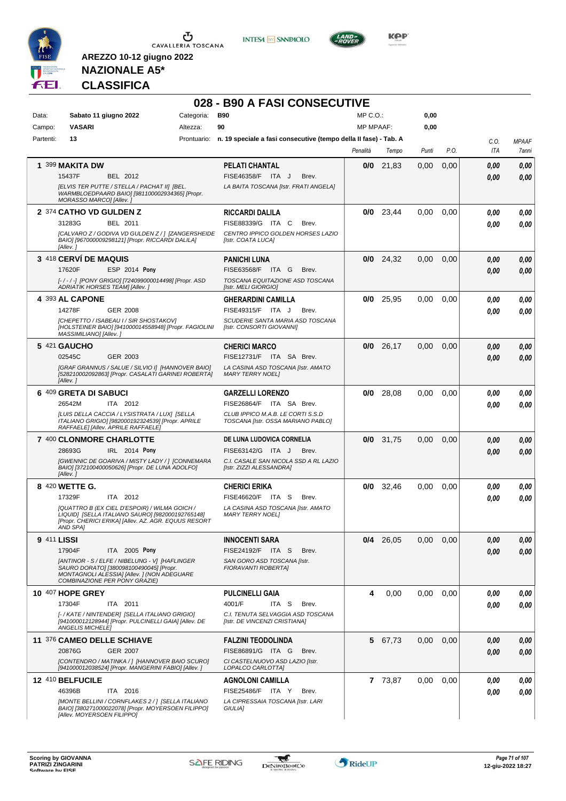

**INTESA M** SANPAOLO



**KOP** 

## **NAZIONALE A5\* CLASSIFICA**

|             |                                                                                                                                                                           |            | 028 - B90 A FASI CONSECUTIVE                                                 |                  |             |       |      |      |              |
|-------------|---------------------------------------------------------------------------------------------------------------------------------------------------------------------------|------------|------------------------------------------------------------------------------|------------------|-------------|-------|------|------|--------------|
| Data:       | Sabato 11 giugno 2022                                                                                                                                                     | Categoria: | <b>B90</b>                                                                   | $MP C. O.$ :     |             | 0,00  |      |      |              |
| Campo:      | <b>VASARI</b>                                                                                                                                                             | Altezza:   | 90                                                                           | <b>MP MPAAF:</b> |             | 0,00  |      |      |              |
| Partenti:   | 13                                                                                                                                                                        |            | Prontuario: n. 19 speciale a fasi consecutive (tempo della II fase) - Tab. A |                  |             |       |      | C.O. | <b>MPAAF</b> |
|             |                                                                                                                                                                           |            |                                                                              | Penalità         | Tempo       | Punti | P.O. | ITA  | 7anni        |
|             | 1 399 MAKITA DW                                                                                                                                                           |            | <b>PELATI CHANTAL</b>                                                        |                  | $0/0$ 21,83 | 0,00  | 0,00 | 0,00 | 0,00         |
|             | 15437F<br>BEL 2012                                                                                                                                                        |            | FISE46358/F ITA J<br>Brev.                                                   |                  |             |       |      | 0.00 | 0,00         |
|             | [ELVIS TER PUTTE / STELLA / PACHAT II] [BEL.<br>WARMBLOEDPAARD BAIO] [981100002934365] [Propr.<br>MORASSO MARCO] [Allev.]                                                 |            | LA BAITA TOSCANA [Istr. FRATI ANGELA]                                        |                  |             |       |      |      |              |
|             | 2 374 CATHO VD GULDEN Z                                                                                                                                                   |            | <b>RICCARDI DALILA</b>                                                       |                  | $0/0$ 23,44 | 0,00  | 0.00 | 0.00 | 0.00         |
|             | 31283G<br><b>BEL 2011</b>                                                                                                                                                 |            | FISE88339/G ITA C<br>Brev.                                                   |                  |             |       |      | 0.00 | 0.00         |
|             | [CALVARO Z / GODIVA VD GULDEN Z / ] [ZANGERSHEIDE<br>BAIO] [967000009298121] [Propr. RICCARDI DALILA]<br>[Allev.]                                                         |            | CENTRO IPPICO GOLDEN HORSES LAZIO<br>[Istr. COATA LUCA]                      |                  |             |       |      |      |              |
|             | 3 418 CERVÍ DE MAQUIS                                                                                                                                                     |            | <b>PANICHI LUNA</b>                                                          |                  | $0/0$ 24,32 | 0,00  | 0,00 | 0,00 | 0,00         |
|             | ESP 2014 Pony<br>17620F                                                                                                                                                   |            | FISE63568/F ITA G<br>Brev.                                                   |                  |             |       |      | 0.00 | 0.00         |
|             | [-/-/-] [PONY GRIGIO] [724099000014498] [Propr. ASD<br>ADRIATIK HORSES TEAM] [Allev.]                                                                                     |            | TOSCANA EQUITAZIONE ASD TOSCANA<br>[Istr. MELI GIORGIO]                      |                  |             |       |      |      |              |
|             | 4 393 AL CAPONE                                                                                                                                                           |            | <b>GHERARDINI CAMILLA</b>                                                    |                  | $0/0$ 25,95 | 0.00  | 0,00 | 0,00 | 0.00         |
|             | 14278F<br>GER 2008                                                                                                                                                        |            | FISE49315/F ITA J<br>Brev.                                                   |                  |             |       |      | 0.00 | 0.00         |
|             | [CHEPETTO / ISABEAU I / SIR SHOSTAKOV]<br>[HOLSTEINER BAIO] [941000014558948] [Propr. FAGIOLINI<br>MASSIMILIANO] [Allev.]                                                 |            | SCUDERIE SANTA MARIA ASD TOSCANA<br>[Istr. CONSORTI GIOVANNI]                |                  |             |       |      |      |              |
|             | 5 421 GAUCHO                                                                                                                                                              |            | <b>CHERICI MARCO</b>                                                         |                  | $0/0$ 26,17 | 0,00  | 0,00 | 0,00 | 0,00         |
|             | 02545C<br>GER 2003                                                                                                                                                        |            | FISE12731/F ITA SA Brev.                                                     |                  |             |       |      | 0.00 | 0.00         |
|             | [GRAF GRANNUS / SALUE / SILVIO I] [HANNOVER BAIO]<br>[528210002092863] [Propr. CASALATI GARINEI ROBERTA]<br>[Allev.]                                                      |            | LA CASINA ASD TOSCANA [Istr. AMATO<br><b>MARY TERRY NOEL1</b>                |                  |             |       |      |      |              |
|             | 6 409 GRETA DI SABUCI                                                                                                                                                     |            | <b>GARZELLI LORENZO</b>                                                      | 0/0              | 28,08       | 0,00  | 0,00 | 0.00 | 0,00         |
|             | 26542M<br>ITA 2012                                                                                                                                                        |            | FISE26864/F ITA SA Brev.                                                     |                  |             |       |      | 0.00 | 0.00         |
|             | [LUIS DELLA CACCIA / LYSISTRATA / LUX] [SELLA<br>ITALIANO GRIGIO] [982000192324539] [Propr. APRILE<br>RAFFAELE] [Allev. APRILE RAFFAELE]                                  |            | CLUB IPPICO M.A.B. LE CORTI S.S.D<br>TOSCANA [Istr. OSSA MARIANO PABLO]      |                  |             |       |      |      |              |
|             | 7 400 CLONMORE CHARLOTTE                                                                                                                                                  |            | DE LUNA LUDOVICA CORNELIA                                                    |                  | $0/0$ 31,75 | 0,00  | 0.00 | 0,00 | 0,00         |
|             | 28693G<br>IRL 2014 Pony                                                                                                                                                   |            | FISE63142/G ITA J<br>Brev.                                                   |                  |             |       |      | 0.00 | 0.00         |
|             | [GWENNIC DE GOARIVA / MISTY LADY / ] [CONNEMARA<br>BAIO] [372100400050626] [Propr. DE LUNA ADOLFO]<br>[Allev.]                                                            |            | C.I. CASALE SAN NICOLA SSD A RL LAZIO<br>[Istr. ZIZZI ALESSANDRA]            |                  |             |       |      |      |              |
|             | 8 420 WETTE G.                                                                                                                                                            |            | <b>CHERICI ERIKA</b>                                                         |                  | $0/0$ 32,46 | 0.00  | 0,00 | 0,00 | 0,00         |
|             | ITA 2012<br>17329F                                                                                                                                                        |            | FISE46620/F ITA S<br>Brev.                                                   |                  |             |       |      | 0,00 | 0.00         |
|             | [QUATTRO B (EX CIEL D'ESPOIR) / WILMA GOICH /<br>LIQUID] [SELLA ITALIANO SAURO] [982000192765148]<br>[Propr. CHERICI ERIKA] [Allev. AZ. AGR. EQUUS RESORT<br>AND SPAI     |            | LA CASINA ASD TOSCANA [Istr. AMATO<br><b>MARY TERRY NOEL1</b>                |                  |             |       |      |      |              |
| 9 411 LISSI |                                                                                                                                                                           |            | <b>INNOCENTI SARA</b>                                                        |                  | $0/4$ 26,05 | 0,00  | 0,00 | 0,00 | 0,00         |
|             | 17904F<br>ITA 2005 Pony                                                                                                                                                   |            | FISE24192/F ITA S<br>Brev.                                                   |                  |             |       |      | 0.00 | 0,00         |
|             | [ANTINOR - S / ELFE / NIBELUNG - V] [HAFLINGER<br>SAURO DORATO] [380098100490045] [Propr.<br>MONTAGNOLI ALESSIA] [Allev. ] (NON ADEGUARE<br>COMBINAZIONE PER PONY GRAZIE) |            | SAN GORO ASD TOSCANA [Istr.<br>FIORAVANTI ROBERTA]                           |                  |             |       |      |      |              |
|             | <b>10 407 HOPE GREY</b>                                                                                                                                                   |            | <b>PULCINELLI GAIA</b>                                                       | 4                | 0,00        | 0,00  | 0,00 | 0,00 | 0,00         |
|             | 17304F<br>ITA 2011                                                                                                                                                        |            | 4001/F<br>ITA S<br>Brev.                                                     |                  |             |       |      | 0,00 | 0,00         |
|             | [- / KATE / NINTENDER] [SELLA ITALIANO GRIGIO]<br>[941000012128944] [Propr. PULCINELLI GAIA] [Allev. DE<br><b>ANGELIS MICHELE]</b>                                        |            | C.I. TENUTA SELVAGGIA ASD TOSCANA<br>[Istr. DE VINCENZI CRISTIANA]           |                  |             |       |      |      |              |
|             | 11 376 CAMEO DELLE SCHIAVE                                                                                                                                                |            | <b>FALZINI TEODOLINDA</b>                                                    |                  | 5 67,73     | 0,00  | 0,00 | 0,00 | 0,00         |
|             | <b>GER 2007</b><br>20876G                                                                                                                                                 |            | FISE86891/G ITA G<br>Brev.                                                   |                  |             |       |      | 0,00 | 0,00         |
|             | [CONTENDRO / MATINKA / ] [HANNOVER BAIO SCURO]<br>[941000012038524] [Propr. MANGERINI FABIO] [Allev. ]                                                                    |            | CI CASTELNUOVO ASD LAZIO [Istr.<br>LOPALCO CARLOTTA]                         |                  |             |       |      |      |              |
|             | 12 410 BELFUCILE                                                                                                                                                          |            | <b>AGNOLONI CAMILLA</b>                                                      |                  | 7 73,87     | 0,00  | 0,00 | 0,00 | 0,00         |
|             | 46396B<br>ITA 2016                                                                                                                                                        |            | FISE25486/F ITA Y<br>Brev.                                                   |                  |             |       |      | 0,00 | 0,00         |
|             | [MONTE BELLINI / CORNFLAKES 2 / ] [SELLA ITALIANO<br>BAIO] [380271000022078] [Propr. MOYERSOEN FILIPPO]<br>[Allev. MOYERSOEN FILIPPO]                                     |            | LA CIPRESSAIA TOSCANA [Istr. LARI<br>GIULIA]                                 |                  |             |       |      |      |              |

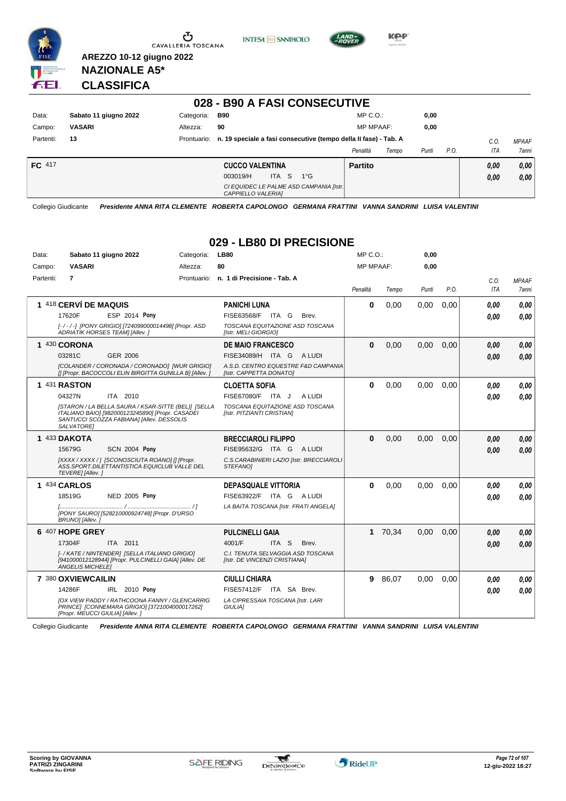

Ⴠ CAVALLERIA TOSCANA





**Kep** 

**NAZIONALE A5\* CLASSIFICA**

**AREZZO 10-12 giugno 2022**

#### **028 - B90 A FASI CONSECUTIVE**

| Data:     | Sabato 11 giugno 2022 | Categoria:  | <b>B90</b>                                                       | $MP C. O.$ :      | 0,00          |      |              |
|-----------|-----------------------|-------------|------------------------------------------------------------------|-------------------|---------------|------|--------------|
| Campo:    | <b>VASARI</b>         | Altezza:    | 90                                                               | <b>MP MPAAF:</b>  | 0,00          |      |              |
| Partenti: | 13                    | Prontuario: | n. 19 speciale a fasi consecutive (tempo della II fase) - Tab. A |                   |               | C.0  | <b>MPAAF</b> |
|           |                       |             |                                                                  | Penalità<br>Tempo | P.O.<br>Punti | ITA  | 7anni        |
| FC 417    |                       |             | <b>CUCCO VALENTINA</b>                                           | <b>Partito</b>    |               | 0.00 | 0,00         |
|           |                       |             | ITA S<br>$1^{\circ}G$<br>003019/H                                |                   |               | 0,00 | 0,00         |
|           |                       |             | CI EQUIDEC LE PALME ASD CAMPANIA [Istr.]<br>CAPPIELLO VALERIAI   |                   |               |      |              |

Collegio Giudicante *Presidente ANNA RITA CLEMENTE ROBERTA CAPOLONGO GERMANA FRATTINI VANNA SANDRINI LUISA VALENTINI*

#### **029 - LB80 DI PRECISIONE**

| Data:                 | Sabato 11 giugno 2022                                                                                                                                              | Categoria:             | <b>LB80</b>                                                        | MP C. O.         |         | 0,00  |      |            |              |
|-----------------------|--------------------------------------------------------------------------------------------------------------------------------------------------------------------|------------------------|--------------------------------------------------------------------|------------------|---------|-------|------|------------|--------------|
| Campo:                | <b>VASARI</b>                                                                                                                                                      | Altezza:               | 80                                                                 | <b>MP MPAAF:</b> |         | 0,00  |      |            |              |
| Partenti:             | $\overline{7}$                                                                                                                                                     |                        | Prontuario: n. 1 di Precisione - Tab. A                            |                  |         |       |      | C.O.       | <b>MPAAF</b> |
|                       |                                                                                                                                                                    |                        |                                                                    | Penalità         | Tempo   | Punti | P.O. | <b>ITA</b> | <b>7anni</b> |
| 1 418 CERVÍ DE MAQUIS |                                                                                                                                                                    | <b>PANICHI LUNA</b>    | $\mathbf 0$                                                        | 0.00             | 0,00    | 0.00  | 0.00 | 0.00       |              |
|                       | <b>ESP 2014 Pony</b><br>17620F                                                                                                                                     |                        | FISE63568/F ITA G<br>Brev.                                         |                  |         |       |      | 0,00       | 0,00         |
|                       | [-/-/-] [PONY GRIGIO] [724099000014498] [Propr. ASD<br>ADRIATIK HORSES TEAM] [Allev. ]                                                                             |                        | TOSCANA EQUITAZIONE ASD TOSCANA<br>[Istr. MELI GIORGIO]            |                  |         |       |      |            |              |
|                       | 1 430 CORONA                                                                                                                                                       |                        | <b>DE MAIO FRANCESCO</b>                                           | $\bf{0}$         | 0,00    | 0,00  | 0,00 | 0,00       | 0.00         |
|                       | 03281C<br>GER 2006                                                                                                                                                 |                        | FISE34089/H ITA G<br>A LUDI                                        |                  |         |       |      | 0.00       | 0,00         |
|                       | [COLANDER / CORONADA / CORONADO] [WUR GRIGIO]<br>[] [Propr. BACOCCOLI ELIN BIRGITTA GUNILLA B] [Allev. ]                                                           |                        | A.S.D. CENTRO EQUESTRE F&D CAMPANIA<br>[Istr. CAPPETTA DONATO]     |                  |         |       |      |            |              |
|                       | 1 431 RASTON                                                                                                                                                       |                        | <b>CLOETTA SOFIA</b>                                               | $\Omega$         | 0,00    | 0,00  | 0,00 | 0,00       | 0,00         |
|                       | 04327N<br>ITA 2010                                                                                                                                                 |                        | FISE67080/F ITA J<br>A LUDI                                        |                  |         |       |      | 0.00       | 0.00         |
|                       | [STARON / LA BELLA SAURA / KSAR-SITTE (BEL)] [SELLA<br>ITALIANO BAIO] [982000123245890] [Propr. CASADEI<br>SANTUCCI SCOZZA FABIANA] [Allev. DESSOLIS<br>SALVATORE1 |                        | TOSCANA EQUITAZIONE ASD TOSCANA<br>[Istr. PITZIANTI CRISTIAN]      |                  |         |       |      |            |              |
|                       | 1 433 DAKOTA                                                                                                                                                       |                        | <b>BRECCIAROLI FILIPPO</b>                                         | $\bf{0}$         | 0,00    | 0.00  | 0.00 | 0.00       | 0,00         |
|                       | 15679G<br><b>SCN 2004 Pony</b>                                                                                                                                     |                        | FISE95632/G ITA G ALUDI                                            |                  |         |       |      | 0.00       | 0,00         |
|                       | [XXXX / XXXX / ] [SCONOSCIUTA ROANO] [] [Propr.<br>ASS.SPORT.DILETTANTISTICA EQUICLUB VALLE DEL<br>TEVERE] [Allev.]                                                |                        | C.S.CARABINIERI LAZIO [Istr. BRECCIAROLI<br>STEFANOI               |                  |         |       |      |            |              |
|                       | 1 434 CARLOS                                                                                                                                                       |                        | <b>DEPASQUALE VITTORIA</b>                                         | $\bf{0}$         | 0.00    | 0.00  | 0.00 | 0,00       | 0,00         |
|                       | 18519G<br>NED 2005 Pony                                                                                                                                            |                        | FISE63922/F ITA G ALUDI                                            |                  |         |       |      | 0.00       | 0.00         |
|                       | [PONY SAURO] [528210000924748] [Propr. D'URSO<br>BRUNO] [Allev.]                                                                                                   |                        | LA BAITA TOSCANA [Istr. FRATI ANGELA]                              |                  |         |       |      |            |              |
| 6 407 HOPE GREY       |                                                                                                                                                                    | <b>PULCINELLI GAIA</b> |                                                                    | 1 70,34          | 0,00    | 0,00  | 0,00 | 0,00       |              |
|                       | 17304F<br>ITA 2011                                                                                                                                                 |                        | 4001/F<br>ITA <sub>S</sub><br>Brev.                                |                  |         |       |      | 0.00       | 0,00         |
|                       | [- / KATE / NINTENDER] [SELLA ITALIANO GRIGIO]<br>[941000012128944] [Propr. PULCINELLI GAIA] [Allev. DE<br><b>ANGELIS MICHELE!</b>                                 |                        | C.I. TENUTA SELVAGGIA ASD TOSCANA<br>[Istr. DE VINCENZI CRISTIANA] |                  |         |       |      |            |              |
|                       | 7 380 OXVIEWCAILIN                                                                                                                                                 |                        | <b>CIULLI CHIARA</b>                                               |                  | 9 86,07 | 0.00  | 0.00 | 0.00       | 0,00         |
|                       | 14286F<br>IRL 2010 Pony                                                                                                                                            |                        | <b>FISE57412/F</b><br>ITA SA Brev.                                 |                  |         |       |      | 0.00       | 0.00         |
|                       | <b>JOX VIEW PADDY / RATHCOONA FANNY / GLENCARRIG</b><br>PRINCE] [CONNEMARA GRIGIO] [3721004000017262]<br>[Propr. MEUCCI GIULIA] [Allev.]                           |                        | LA CIPRESSAIA TOSCANA [Istr. LARI<br><b>GIULIAI</b>                |                  |         |       |      |            |              |

Collegio Giudicante *Presidente ANNA RITA CLEMENTE ROBERTA CAPOLONGO GERMANA FRATTINI VANNA SANDRINI LUISA VALENTINI*

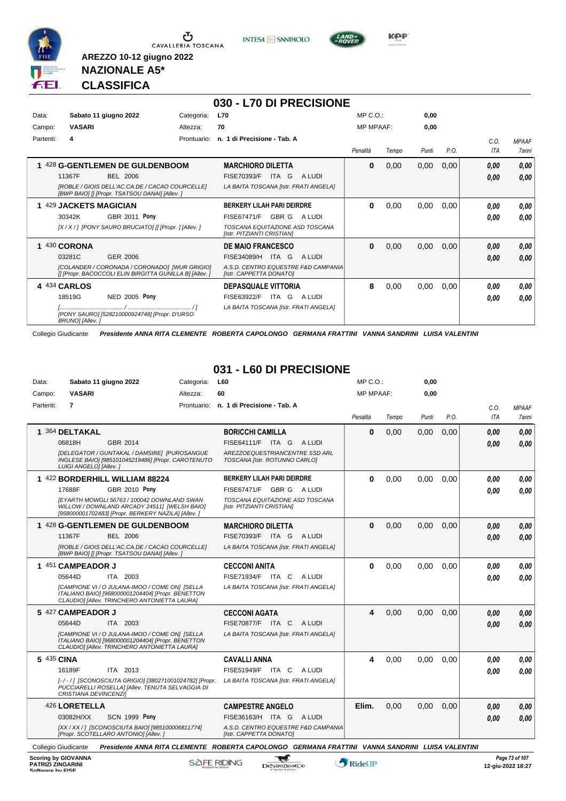

**INTESA** M SANPAOLO



**Kep** 

### **NAZIONALE A5\* CLASSIFICA**

**AREZZO 10-12 giugno 2022**

|           |                        |                                                                                                         |             | 030 - L70 DI PRECISIONE                                        |                  |       |       |      |      |              |
|-----------|------------------------|---------------------------------------------------------------------------------------------------------|-------------|----------------------------------------------------------------|------------------|-------|-------|------|------|--------------|
| Data:     |                        | Sabato 11 giugno 2022                                                                                   | Categoria:  | <b>L70</b>                                                     | $MP C. O.$ :     |       | 0,00  |      |      |              |
| Campo:    | <b>VASARI</b>          |                                                                                                         | Altezza:    | 70                                                             | <b>MP MPAAF:</b> |       | 0,00  |      |      |              |
| Partenti: | 4                      |                                                                                                         | Prontuario: | n. 1 di Precisione - Tab. A                                    |                  |       |       |      | C.0. | <b>MPAAF</b> |
|           |                        |                                                                                                         |             |                                                                | Penalità         | Tempo | Punti | P.O. | ITA  | 7anni        |
|           |                        | 428 G-GENTLEMEN DE GULDENBOOM                                                                           |             | <b>MARCHIORO DILETTA</b>                                       | $\bf{0}$         | 0,00  | 0,00  | 0,00 | 0.00 | 0,00         |
|           | 11367F                 | <b>BEL 2006</b>                                                                                         |             | FISE70393/F<br>ITA G<br>A LUDI                                 |                  |       |       |      | 0,00 | 0.00         |
|           |                        | [ROBLE / GIOIS DELL'AC.CA.DE / CACAO COURCELLE]<br>[BWP BAIO] [] [Propr. TSATSOU DANAI] [Allev. ]       |             | LA BAITA TOSCANA [Istr. FRATI ANGELA]                          |                  |       |       |      |      |              |
|           | 429 JACKETS MAGICIAN   |                                                                                                         |             | <b>BERKERY LILAH PARI DEIRDRE</b>                              | 0                | 0,00  | 0,00  | 0.00 | 0.00 | 0,00         |
|           | 30342K                 | <b>GBR 2011 Pony</b>                                                                                    |             | GBR G<br>FISE67471/F<br>A LUDI                                 |                  |       |       |      | 0.00 | 0.00         |
|           |                        | [X / X / ] [PONY SAURO BRUCIATO] [] [Propr. ] [Allev. ]                                                 |             | TOSCANA EQUITAZIONE ASD TOSCANA<br>[Istr. PITZIANTI CRISTIAN]  |                  |       |       |      |      |              |
| 1.        | 430 CORONA             |                                                                                                         |             | <b>DE MAIO FRANCESCO</b>                                       | $\bf{0}$         | 0,00  | 0,00  | 0,00 | 0.00 | 0,00         |
|           | 03281C                 | GER 2006                                                                                                |             | FISE34089/H<br>ITA G<br>A LUDI                                 |                  |       |       |      | 0.00 | 0,00         |
|           |                        | [COLANDER / CORONADA / CORONADO] [WUR GRIGIO]<br>[] [Propr. BACOCCOLI ELIN BIRGITTA GUNILLA B] [Allev.] |             | A.S.D. CENTRO EQUESTRE F&D CAMPANIA<br>[Istr. CAPPETTA DONATO] |                  |       |       |      |      |              |
|           | 4 434 CARLOS           |                                                                                                         |             | <b>DEPASQUALE VITTORIA</b>                                     | 8                | 0,00  | 0,00  | 0,00 | 0.00 | 0.00         |
|           | 18519G                 | NED 2005 Pony                                                                                           |             | FISE63922/F<br>ITA<br>G<br>A LUDI                              |                  |       |       |      | 0.00 | 0.00         |
|           | <b>BRUNO1</b> [Allev.] | [PONY SAURO] [528210000924748] [Propr. D'URSO                                                           |             | LA BAITA TOSCANA [Istr. FRATI ANGELA]                          |                  |       |       |      |      |              |

Collegio Giudicante *Presidente ANNA RITA CLEMENTE ROBERTA CAPOLONGO GERMANA FRATTINI VANNA SANDRINI LUISA VALENTINI*

### **031 - L60 DI PRECISIONE**

| Data:                                        | Sabato 11 giugno 2022                                                                                                                               | Categoria:                                                                                      | <b>L60</b>              |                                                                 |        | $MP C. O.$ :     |       | 0,00  |      |            |                                     |
|----------------------------------------------|-----------------------------------------------------------------------------------------------------------------------------------------------------|-------------------------------------------------------------------------------------------------|-------------------------|-----------------------------------------------------------------|--------|------------------|-------|-------|------|------------|-------------------------------------|
| Campo:                                       | <b>VASARI</b>                                                                                                                                       | Altezza:                                                                                        | 60                      |                                                                 |        | <b>MP MPAAF:</b> |       | 0.00  |      |            |                                     |
| Partenti:                                    | $\overline{7}$                                                                                                                                      | Prontuario:                                                                                     |                         | n. 1 di Precisione - Tab. A                                     |        |                  |       |       |      | C.O.       | <b>MPAAF</b>                        |
|                                              |                                                                                                                                                     |                                                                                                 |                         |                                                                 |        | Penalità         | Tempo | Punti | P.O. | <b>ITA</b> | 7anni                               |
|                                              | 1 364 DELTAKAL                                                                                                                                      |                                                                                                 | <b>BORICCHI CAMILLA</b> |                                                                 |        | $\bf{0}$         | 0.00  | 0,00  | 0,00 | 0.00       | 0.00                                |
|                                              | 06818H<br>GBR 2014                                                                                                                                  |                                                                                                 |                         | FISE64111/F ITA G ALUDI                                         |        |                  |       |       |      | 0.00       | 0,00                                |
|                                              | [DELEGATOR / GUNTAKAL / DAMSIRE] [PUROSANGUE<br>INGLESE BAIO] [985101045219486] [Propr. CAROTENUTO<br>LUIGI ANGELO] [Allev.]                        |                                                                                                 |                         | AREZZOEQUESTRIANCENTRE SSD ARL<br>TOSCANA [Istr. ROTUNNO CARLO] |        |                  |       |       |      |            |                                     |
|                                              | 1 422 BORDERHILL WILLIAM 88224                                                                                                                      |                                                                                                 |                         | BERKERY LILAH PARI DEIRDRE                                      |        | 0                | 0,00  | 0.00  | 0,00 | 0.00       | 0.00                                |
|                                              | <b>GBR 2010 Pony</b><br>17688F                                                                                                                      |                                                                                                 |                         | FISE67471/F GBR G A LUDI                                        |        |                  |       |       |      | 0.00       | 0.00                                |
|                                              | [EYARTH MOWGLI 56763 / 100042 DOWNLAND SWAN<br>WILLOW / DOWNLAND ARCADY 24511] [WELSH BAIO]<br>[958000001702483] [Propr. BERKERY NAZILA] [Allev. ]  |                                                                                                 |                         | TOSCANA EQUITAZIONE ASD TOSCANA<br>[Istr. PITZIANTI CRISTIAN]   |        |                  |       |       |      |            |                                     |
|                                              | 1 428 G-GENTLEMEN DE GULDENBOOM                                                                                                                     |                                                                                                 |                         | <b>MARCHIORO DILETTA</b>                                        |        | $\Omega$         | 0,00  | 0,00  | 0,00 | 0.00       | 0.00                                |
|                                              | 11367F<br><b>BEL 2006</b>                                                                                                                           |                                                                                                 |                         | FISE70393/F ITA G                                               | A LUDI |                  |       |       |      | 0.00       | 0.00                                |
|                                              | [ROBLE / GIOIS DELL'AC.CA.DE / CACAO COURCELLE]<br>[BWP BAIO] [] [Propr. TSATSOU DANAI] [Allev. ]                                                   |                                                                                                 |                         | LA BAITA TOSCANA [Istr. FRATI ANGELA]                           |        |                  |       |       |      |            |                                     |
|                                              | 1 451 CAMPEADOR J                                                                                                                                   |                                                                                                 | <b>CECCONI ANITA</b>    |                                                                 |        | $\Omega$         | 0.00  | 0.00  | 0.00 | 0.00       | 0.00                                |
|                                              | 05644D<br>ITA 2003                                                                                                                                  |                                                                                                 |                         | FISE71934/F ITA C                                               | A LUDI |                  |       |       |      | 0.00       | 0.00                                |
|                                              | [CAMPIONE VI / O JULANA-IMOO / COME ON] [SELLA<br>ITALIANO BAIO] [968000001204404] [Propr. BENETTON<br>CLAUDIO] [Allev. TRINCHERO ANTONIETTA LAURA] |                                                                                                 |                         | LA BAITA TOSCANA [Istr. FRATI ANGELA]                           |        |                  |       |       |      |            |                                     |
|                                              | 5 427 CAMPEADOR J                                                                                                                                   |                                                                                                 | <b>CECCONI AGATA</b>    |                                                                 |        | 4                | 0.00  | 0.00  | 0.00 | 0.00       | 0.00                                |
|                                              | 05644D<br>ITA 2003                                                                                                                                  |                                                                                                 |                         | FISE70877/F ITA C                                               | A LUDI |                  |       |       |      | 0.00       | 0,00                                |
|                                              | [CAMPIONE VI / O JULANA-IMOO / COME ON] [SELLA<br>ITALIANO BAIO] [968000001204404] [Propr. BENETTON<br>CLAUDIO] [Allev. TRINCHERO ANTONIETTA LAURA] |                                                                                                 |                         | LA BAITA TOSCANA [Istr. FRATI ANGELA]                           |        |                  |       |       |      |            |                                     |
|                                              | 5 435 CINA                                                                                                                                          |                                                                                                 | <b>CAVALLI ANNA</b>     |                                                                 |        | 4                | 0,00  | 0,00  | 0,00 | 0.00       | 0,00                                |
|                                              | 16189F<br>ITA 2013                                                                                                                                  |                                                                                                 |                         | <b>FISE51949/F ITA C</b>                                        | A LUDI |                  |       |       |      | 0.00       | 0.00                                |
|                                              | [-/-/] [SCONOSCIUTA GRIGIO] [380271001024782] [Propr.<br>PUCCIARELLI ROSELLA] [Allev. TENUTA SELVAGGIA DI<br>CRISTIANA DEVINCENZI]                  |                                                                                                 |                         | LA BAITA TOSCANA [Istr. FRATI ANGELA]                           |        |                  |       |       |      |            |                                     |
|                                              | 426 LORETELLA                                                                                                                                       |                                                                                                 |                         | <b>CAMPESTRE ANGELO</b>                                         |        | Elim.            | 0.00  | 0.00  | 0.00 | 0.00       | 0.00                                |
|                                              | 03082H/XX<br><b>SCN 1999 Pony</b>                                                                                                                   |                                                                                                 |                         | FISE36163/H ITA G                                               | A LUDI |                  |       |       |      | 0.00       | 0.00                                |
|                                              | [XX / XX / ] [SCONOSCIUTA BAIO] [985100006811774]<br>[Propr. SCOTELLARO ANTONIO] [Allev.]                                                           |                                                                                                 |                         | A.S.D. CENTRO EQUESTRE F&D CAMPANIA<br>[Istr. CAPPETTA DONATO]  |        |                  |       |       |      |            |                                     |
|                                              | Collegio Giudicante                                                                                                                                 | Presidente ANNA RITA CLEMENTE ROBERTA CAPOLONGO GERMANA FRATTINI VANNA SANDRINI LUISA VALENTINI |                         |                                                                 |        |                  |       |       |      |            |                                     |
| <b>PATRIZI ZINGARINI</b><br>Coffware by EICE | <b>Scoring by GIOVANNA</b>                                                                                                                          | <b>SAFE RIDING</b>                                                                              |                         | DeNiroBootCo                                                    |        | RideUP           |       |       |      |            | Page 73 of 107<br>12-giu-2022 18:27 |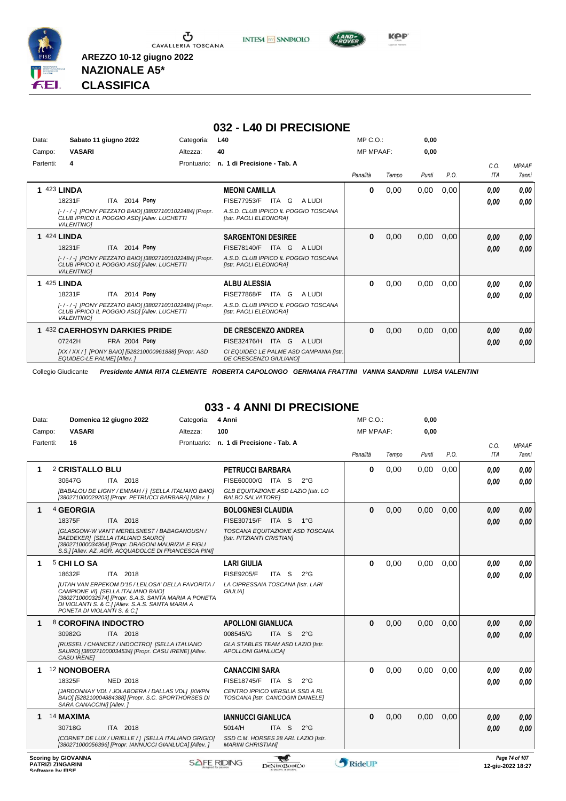





**NAZIONALE A5\* CLASSIFICA**

### **032 - L40 DI PRECISIONE**

| Data:     | Sabato 11 giugno 2022                                                                                                     | Categoria:  | L40                                                                | MP C. O.         |       | 0,00  |      |            |              |
|-----------|---------------------------------------------------------------------------------------------------------------------------|-------------|--------------------------------------------------------------------|------------------|-------|-------|------|------------|--------------|
| Campo:    | <b>VASARI</b>                                                                                                             | Altezza:    | 40                                                                 | <b>MP MPAAF:</b> |       | 0,00  |      |            |              |
| Partenti: | 4                                                                                                                         | Prontuario: | n. 1 di Precisione - Tab. A                                        |                  |       |       |      | C.0.       | <b>MPAAF</b> |
|           |                                                                                                                           |             |                                                                    | Penalità         | Tempo | Punti | P.O. | <b>ITA</b> | 7anni        |
|           | 1 423 LINDA                                                                                                               |             | <b>MEONI CAMILLA</b>                                               | 0                | 0,00  | 0,00  | 0,00 | 0,00       | 0,00         |
|           | ITA 2014 Pony<br>18231F                                                                                                   |             | FISE77953/F<br>ITA G<br>A LUDI                                     |                  |       |       |      | 0,00       | 0,00         |
|           | [-/-/-] [PONY PEZZATO BAIO] [380271001022484] [Propr.<br>CLUB IPPICO IL POGGIO ASDI JAIlev. LUCHETTI<br><b>VALENTINOI</b> |             | A.S.D. CLUB IPPICO IL POGGIO TOSCANA<br>[Istr. PAOLI ELEONORA]     |                  |       |       |      |            |              |
|           | <b>1 424 LINDA</b>                                                                                                        |             | <b>SARGENTONI DESIREE</b>                                          | $\bf{0}$         | 0,00  | 0,00  | 0,00 | 0,00       | 0,00         |
|           | <b>ITA 2014 Pony</b><br>18231F                                                                                            |             | FISE78140/F<br>A LUDI<br>ITA<br>G                                  |                  |       |       |      | 0,00       | 0.00         |
|           | [-/-/-] [PONY PEZZATO BAIO] [380271001022484] [Propr.<br>CLUB IPPICO IL POGGIO ASDI [Allev. LUCHETTI<br><b>VALENTINO1</b> |             | A.S.D. CLUB IPPICO IL POGGIO TOSCANA<br>[Istr. PAOLI ELEONORA]     |                  |       |       |      |            |              |
|           | <b>1 425 LINDA</b>                                                                                                        |             | <b>ALBU ALESSIA</b>                                                | $\bf{0}$         | 0,00  | 0,00  | 0,00 | 0.00       | 0,00         |
|           | ITA 2014 Pony<br>18231F                                                                                                   |             | <b>FISE77868/F</b><br>ITA<br>G<br>A LUDI                           |                  |       |       |      | 0,00       | 0.00         |
|           | [-/-/-] [PONY PEZZATO BAIO] [380271001022484] [Propr.<br>CLUB IPPICO IL POGGIO ASDI [Allev. LUCHETTI<br><b>VALENTINO1</b> |             | A.S.D. CLUB IPPICO IL POGGIO TOSCANA<br>[Istr. PAOLI ELEONORA]     |                  |       |       |      |            |              |
|           | 1 432 CAERHOSYN DARKIES PRIDE                                                                                             |             | <b>DE CRESCENZO ANDREA</b>                                         | $\bf{0}$         | 0,00  | 0,00  | 0,00 | 0,00       | 0,00         |
|           | FRA 2004 Pony<br>07242H                                                                                                   |             | ITA G<br>FISE32476/H<br>A LUDI                                     |                  |       |       |      | 0,00       | 0,00         |
|           | [XX / XX / ] [PONY BAIO] [528210000961888] [Propr. ASD<br>EQUIDEC-LE PALME] [Allev.]                                      |             | CI EQUIDEC LE PALME ASD CAMPANIA [Istr.]<br>DE CRESCENZO GIULIANO] |                  |       |       |      |            |              |

Collegio Giudicante *Presidente ANNA RITA CLEMENTE ROBERTA CAPOLONGO GERMANA FRATTINI VANNA SANDRINI LUISA VALENTINI*

### **033 - 4 ANNI DI PRECISIONE**

| Data:                           | Domenica 12 giugno 2022                                                                                                                                                                                                                                                    | Categoria: | 4 Anni                                                                                                                    |               | MP C.O.:         |       | 0,00  |      |              |                                |
|---------------------------------|----------------------------------------------------------------------------------------------------------------------------------------------------------------------------------------------------------------------------------------------------------------------------|------------|---------------------------------------------------------------------------------------------------------------------------|---------------|------------------|-------|-------|------|--------------|--------------------------------|
| Campo:                          | <b>VASARI</b>                                                                                                                                                                                                                                                              | Altezza:   | 100                                                                                                                       |               | <b>MP MPAAF:</b> |       | 0,00  |      |              |                                |
| Partenti:                       | 16                                                                                                                                                                                                                                                                         |            | Prontuario: n. 1 di Precisione - Tab. A                                                                                   |               | Penalità         | Tempo | Punti | P.O. | C.O.<br>ITA  | <b>MPAAF</b><br>7anni          |
| 1                               | 2 CRISTALLO BLU<br>30647G<br>ITA 2018<br>[BABALOU DE LIGNY / EMMAH / ] [SELLA ITALIANO BAIO]<br>[380271000029203] [Propr. PETRUCCI BARBARA] [Allev. ]                                                                                                                      |            | <b>PETRUCCI BARBARA</b><br>FISE60000/G ITA S<br>GLB EQUITAZIONE ASD LAZIO [Istr. LO<br><b>BALBO SALVATOREI</b>            | $2^{\circ}$ G | $\bf{0}$         | 0.00  | 0,00  | 0.00 | 0.00<br>0.00 | 0.00<br>0.00                   |
| 1                               | <sup>4</sup> GEORGIA<br>18375F<br>ITA 2018<br>IGLASGOW-W VAN'T MERELSNEST / BABAGANOUSH /<br><b>BAEDEKERI [SELLA ITALIANO SAURO]</b><br>[380271000034364] [Propr. DRAGONI MAURIZIA E FIGLI<br>S.S.] [Allev. AZ. AGR. ACQUADOLCE DI FRANCESCA PINI]                         |            | <b>BOLOGNESI CLAUDIA</b><br>FISE30715/F<br>ITA S<br>TOSCANA EQUITAZIONE ASD TOSCANA<br>[Istr. PITZIANTI CRISTIAN]         | $1^{\circ}G$  | $\bf{0}$         | 0,00  | 0.00  | 0,00 | 0.00<br>0.00 | 0,00<br>0.00                   |
| 1                               | 5 CHI LO SA<br>18632F<br>ITA 2018<br>[UTAH VAN ERPEKOM D'15 / LEILOSA' DELLA FAVORITA /<br>CAMPIONE VII [SELLA ITALIANO BAIO]<br>[380271000032574] [Propr. S.A.S. SANTA MARIA A PONETA<br>DI VIOLANTI S. & C.] [Allev. S.A.S. SANTA MARIA A<br>PONETA DI VIOLANTI S. & C.] |            | <b>LARI GIULIA</b><br><b>FISE9205/F</b><br>ITA S<br>LA CIPRESSAIA TOSCANA [Istr. LARI<br><b>GIULIA1</b>                   | $2^{\circ}$ G | $\bf{0}$         | 0,00  | 0,00  | 0.00 | 0.00<br>0.00 | 0.00<br>0.00                   |
| 1                               | 8 COROFINA INDOCTRO<br>30982G<br>ITA 2018<br>[RUSSEL / CHANCEZ / INDOCTRO] [SELLA ITALIANO<br>SAURO] [380271000034534] [Propr. CASU IRENE] [Allev.<br><b>CASU IRENEI</b>                                                                                                   |            | <b>APOLLONI GIANLUCA</b><br>008545/G<br>ITA S<br>GLA STABLES TEAM ASD LAZIO [Istr.<br><b>APOLLONI GIANLUCAI</b>           | $2^{\circ}$ G | $\bf{0}$         | 0,00  | 0.00  | 0.00 | 0.00<br>0.00 | 0,00<br>0.00                   |
| 1                               | 12 NONOBOERA<br>18325F<br><b>NED 2018</b><br>[JARDONNAY VDL / JOLABOERA / DALLAS VDL] [KWPN<br>BAIO] [528210004884388] [Propr. S.C. SPORTHORSES DI<br>SARA CANACCINI] [Allev.]                                                                                             |            | <b>CANACCINI SARA</b><br>FISE18745/F ITA S<br>CENTRO IPPICO VERSILIA SSD A RL<br>TOSCANA [Istr. CANCOGNI DANIELE]         | $2^{\circ}$ G | $\bf{0}$         | 0,00  | 0,00  | 0,00 | 0.00<br>0.00 | 0.00<br>0.00                   |
| 1<br><b>Scoring by GIOVANNA</b> | 14 MAXIMA<br>30718G<br>ITA 2018<br>[CORNET DE LUX / URIELLE / 1 [SELLA ITALIANO GRIGIO]<br>[380271000056396] [Propr. IANNUCCI GIANLUCA] [Allev.]                                                                                                                           |            | <b>IANNUCCI GIANLUCA</b><br>5014/H<br>ITA <sub>S</sub><br>SSD C.M. HORSES 28 ARL LAZIO [Istr.<br><b>MARINI CHRISTIANI</b> | $2^{\circ}$ G | $\bf{0}$         | 0,00  | 0,00  | 0,00 | 0.00<br>0.00 | 0,00<br>0.00<br>Page 74 of 107 |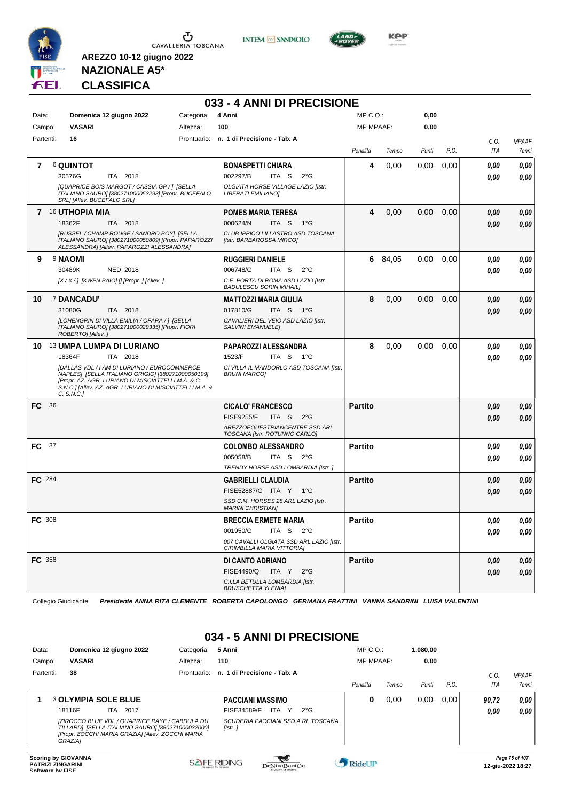

**INTESA M** SANPAOLO



**Kep** 

# **NAZIONALE A5\* CLASSIFICA**

**AREZZO 10-12 giugno 2022**

|           |                                                                                                                                                                                                                                        |            | 033 - 4 ANNI DI PRECISIONE                                             |                  |         |       |      |            |              |
|-----------|----------------------------------------------------------------------------------------------------------------------------------------------------------------------------------------------------------------------------------------|------------|------------------------------------------------------------------------|------------------|---------|-------|------|------------|--------------|
| Data:     | Domenica 12 giugno 2022                                                                                                                                                                                                                | Categoria: | 4 Anni                                                                 | $MP C. O.$ :     |         | 0,00  |      |            |              |
| Campo:    | <b>VASARI</b>                                                                                                                                                                                                                          | Altezza:   | 100                                                                    | <b>MP MPAAF:</b> |         | 0,00  |      |            |              |
| Partenti: | 16                                                                                                                                                                                                                                     |            | Prontuario: n. 1 di Precisione - Tab. A                                |                  |         |       |      | C.O.       | <b>MPAAF</b> |
|           |                                                                                                                                                                                                                                        |            |                                                                        | Penalità         | Tempo   | Punti | P.O. | ITA        | 7anni        |
| 7         | <b>6 QUINTOT</b>                                                                                                                                                                                                                       |            | <b>BONASPETTI CHIARA</b>                                               | 4                | 0,00    | 0,00  | 0,00 | 0,00       | 0,00         |
|           | 30576G<br>ITA 2018                                                                                                                                                                                                                     |            | 002297/B<br>ITA S<br>$2^{\circ}G$                                      |                  |         |       |      | 0.00       | 0,00         |
|           | [QUAPRICE BOIS MARGOT / CASSIA GP / ] [SELLA<br>ITALIANO SAURO] [380271000053293] [Propr. BUCEFALO<br>SRL] [Allev. BUCEFALO SRL]                                                                                                       |            | OLGIATA HORSE VILLAGE LAZIO [Istr.<br>LIBERATI EMILIANO]               |                  |         |       |      |            |              |
|           | 7 16 UTHOPIA MIA                                                                                                                                                                                                                       |            | <b>POMES MARIA TERESA</b>                                              | 4                | 0,00    | 0,00  | 0,00 | 0,00       | 0,00         |
|           | 18362F<br>ITA 2018                                                                                                                                                                                                                     |            | 000624/N<br>ITA S 1°G                                                  |                  |         |       |      | 0,00       | 0,00         |
|           | [RUSSEL / CHAMP ROUGE / SANDRO BOY] [SELLA<br>ITALIANO SAURO] [380271000050809] [Propr. PAPAROZZI<br>ALESSANDRA] [Allev. PAPAROZZI ALESSANDRA]                                                                                         |            | CLUB IPPICO LILLASTRO ASD TOSCANA<br>[Istr. BARBAROSSA MIRCO]          |                  |         |       |      |            |              |
| 9         | 9 NAOMI                                                                                                                                                                                                                                |            | <b>RUGGIERI DANIELE</b>                                                |                  | 6 84,05 | 0,00  | 0,00 | 0,00       | 0.00         |
|           | 30489K<br>NED 2018                                                                                                                                                                                                                     |            | 006748/G<br>ITA S<br>$2^{\circ}$ G                                     |                  |         |       |      | 0,00       | 0.00         |
|           | $[X/X$ / ] [KWPN BAIO] [] [Propr. ] [Allev. ]                                                                                                                                                                                          |            | C.E. PORTA DI ROMA ASD LAZIO [Istr.<br><b>BADULESCU SORIN MIHAIL]</b>  |                  |         |       |      |            |              |
| 10        | 7 DANCADU'                                                                                                                                                                                                                             |            | <b>MATTOZZI MARIA GIULIA</b>                                           | 8                | 0,00    | 0,00  | 0,00 | 0,00       | 0,00         |
|           | 31080G<br>ITA 2018                                                                                                                                                                                                                     |            | 017810/G<br>ITA S 1°G                                                  |                  |         |       |      | 0,00       | 0,00         |
|           | [LOHENGRIN DI VILLA EMILIA / OFARA / ] [SELLA<br>ITALIANO SAURO] [380271000029335] [Propr. FIORI<br>ROBERTO] [Allev.]                                                                                                                  |            | CAVALIERI DEL VEIO ASD LAZIO [Istr.<br><b>SALVINI EMANUELE]</b>        |                  |         |       |      |            |              |
|           | 10 13 UMPA LUMPA DI LURIANO                                                                                                                                                                                                            |            | PAPAROZZI ALESSANDRA                                                   | 8                | 0,00    | 0,00  | 0,00 | 0,00       | 0,00         |
|           | ITA 2018<br>18364F                                                                                                                                                                                                                     |            | 1523/F<br>ITA S<br>1°G                                                 |                  |         |       |      | 0,00       | 0.00         |
|           | <b>IDALLAS VDL / I AM DI LURIANO / EUROCOMMERCE</b><br>NAPLES] [SELLA ITALIANO GRIGIO] [380271000050199]<br>[Propr. AZ. AGR. LURIANO DI MISCIATTELLI M.A. & C.<br>S.N.C.] [Allev. AZ. AGR. LURIANO DI MISCIATTELLI M.A. &<br>C. S.N.C. |            | CI VILLA IL MANDORLO ASD TOSCANA [Istr.<br><b>BRUNI MARCOI</b>         |                  |         |       |      |            |              |
| FC.       | - 36                                                                                                                                                                                                                                   |            | <b>CICALO' FRANCESCO</b>                                               | <b>Partito</b>   |         |       |      | 0,00       | 0,00         |
|           |                                                                                                                                                                                                                                        |            | <b>FISE9255/F</b><br>ITA S<br>$2^{\circ}$ G                            |                  |         |       |      | 0,00       | 0.00         |
|           |                                                                                                                                                                                                                                        |            | AREZZOEQUESTRIANCENTRE SSD ARL<br>TOSCANA [Istr. ROTUNNO CARLO]        |                  |         |       |      |            |              |
| FC 37     |                                                                                                                                                                                                                                        |            | <b>COLOMBO ALESSANDRO</b>                                              | <b>Partito</b>   |         |       |      | 0,00       | 0,00         |
|           |                                                                                                                                                                                                                                        |            | 005058/B<br>ITA S<br>$2^{\circ}G$                                      |                  |         |       |      | 0,00       | 0,00         |
|           |                                                                                                                                                                                                                                        |            | TRENDY HORSE ASD LOMBARDIA [Istr.]                                     |                  |         |       |      |            |              |
| FC 284    |                                                                                                                                                                                                                                        |            | <b>GABRIELLI CLAUDIA</b>                                               | <b>Partito</b>   |         |       |      | 0,00       | 0,00         |
|           |                                                                                                                                                                                                                                        |            | FISE52887/G ITA Y 1°G                                                  |                  |         |       |      | 0,00       | 0.00         |
|           |                                                                                                                                                                                                                                        |            | SSD C.M. HORSES 28 ARL LAZIO [Istr.<br><b>MARINI CHRISTIAN]</b>        |                  |         |       |      |            |              |
| FC 308    |                                                                                                                                                                                                                                        |            | <b>BRECCIA ERMETE MARIA</b>                                            | Partito          |         |       |      | $\it 0,00$ | 0,00         |
|           |                                                                                                                                                                                                                                        |            | 001950/G<br>ITA S $2^{\circ}G$                                         |                  |         |       |      | 0,00       | 0,00         |
|           |                                                                                                                                                                                                                                        |            | 007 CAVALLI OLGIATA SSD ARL LAZIO [Istr.<br>CIRIMBILLA MARIA VITTORIA] |                  |         |       |      |            |              |
| FC 358    |                                                                                                                                                                                                                                        |            | DI CANTO ADRIANO                                                       | <b>Partito</b>   |         |       |      | 0,00       | 0,00         |
|           |                                                                                                                                                                                                                                        |            | <b>FISE4490/Q</b><br>ITA Y<br>$2^{\circ}$ G                            |                  |         |       |      | 0,00       | 0,00         |
|           |                                                                                                                                                                                                                                        |            | C.I.LA BETULLA LOMBARDIA [Istr.<br><b>BRUSCHETTA YLENIA]</b>           |                  |         |       |      |            |              |

Collegio Giudicante *Presidente ANNA RITA CLEMENTE ROBERTA CAPOLONGO GERMANA FRATTINI VANNA SANDRINI LUISA VALENTINI*

### **034 - 5 ANNI DI PRECISIONE**

| Data:<br>Campo: | Domenica 12 giugno 2022<br><b>VASARI</b>                                                                                                                                                                                    | Categoria:<br>Altezza: | 5 Anni<br>110                                                                                                              | $MP C. O.$ :<br><b>MP MPAAF:</b> |       | 1.080.00<br>0,00 |      |                       |                              |
|-----------------|-----------------------------------------------------------------------------------------------------------------------------------------------------------------------------------------------------------------------------|------------------------|----------------------------------------------------------------------------------------------------------------------------|----------------------------------|-------|------------------|------|-----------------------|------------------------------|
| Partenti:       | 38                                                                                                                                                                                                                          | Prontuario:            | n. 1 di Precisione - Tab. A                                                                                                | Penalità                         | Tempo | Punti            | P.O. | $C_{0}$<br><b>ITA</b> | <b>MPAAF</b><br><b>7anni</b> |
|                 | <b>3 OLYMPIA SOLE BLUE</b><br>18116F<br>2017<br>ITA.<br>IZIROCCO BLUE VDL / QUAPRICE RAYE / CABDULA DU<br>TILLARD] [SELLA ITALIANO SAURO] [380271000032000]<br>[Propr. ZOCCHI MARIA GRAZIA] [Allev. ZOCCHI MARIA<br>GRAZIA] |                        | <b>PACCIANI MASSIMO</b><br><b>ITA</b><br>FISE34589/F<br>Y<br>$2^{\circ}G$<br>SCUDERIA PACCIANI SSD A RL TOSCANA<br>[Istr.] | 0                                | 0,00  | 0.00             | 0.00 | 90,72<br>0.00         | 0.00<br>0.00                 |
|                 | <b>Scoring by GIOVANNA</b>                                                                                                                                                                                                  |                        | <b>All Control</b>                                                                                                         |                                  |       |                  |      |                       | Page 75 of 107               |

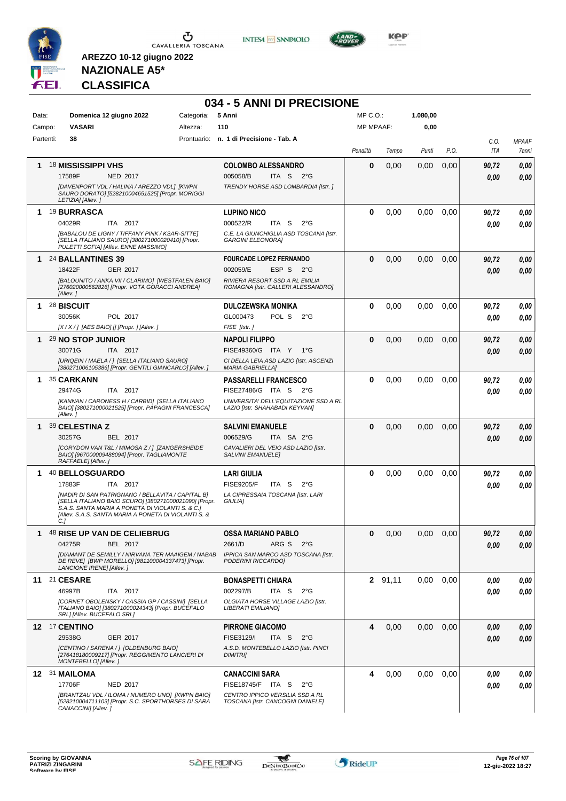



**034 - 5 ANNI DI PRECISIONE**



**Kep** 

# **NAZIONALE A5\* CLASSIFICA**

| Data:<br>Campo: |                | Domenica 12 giugno 2022<br><b>VASARI</b>                                                                                                                                                                                                                                   | Categoria:<br>Altezza: | 5 Anni<br>110                                                                                                                               | MP C.O.:<br><b>MP MPAAF:</b> |         | 1.080,00<br>0,00 |      |               |                        |
|-----------------|----------------|----------------------------------------------------------------------------------------------------------------------------------------------------------------------------------------------------------------------------------------------------------------------------|------------------------|---------------------------------------------------------------------------------------------------------------------------------------------|------------------------------|---------|------------------|------|---------------|------------------------|
| Partenti:       |                | 38                                                                                                                                                                                                                                                                         |                        | Prontuario: n. 1 di Precisione - Tab. A                                                                                                     |                              |         |                  |      | C.O.          | <b>MPAAF</b>           |
|                 |                |                                                                                                                                                                                                                                                                            |                        |                                                                                                                                             | Penalità                     | Tempo   | Punti            | P.O. | <b>ITA</b>    | 7anni                  |
| 1               |                | 18 <b>MISSISSIPPI VHS</b><br>17589F<br><b>NED 2017</b><br>[DAVENPORT VDL / HALINA / AREZZO VDL] [KWPN<br>SAURO DORATO] [528210004651525] [Propr. MORIGGI<br>LETIZIA] [Allev.]                                                                                              |                        | <b>COLOMBO ALESSANDRO</b><br>005058/B<br>ITA S<br>$2^{\circ}G$<br>TRENDY HORSE ASD LOMBARDIA [Istr.]                                        | 0                            | 0,00    | 0,00             | 0,00 | 90,72<br>0.00 | 0,00<br>0.00           |
| 1.              |                | <b>19 BURRASCA</b><br>04029R<br>ITA 2017<br>[BABALOU DE LIGNY / TIFFANY PINK / KSAR-SITTE]<br>[SELLA ITALIANO SAURO] [380271000020410] [Propr.<br>PULETTI SOFIA] [Allev. ENNE MASSIMO]                                                                                     |                        | <b>LUPINO NICO</b><br>000522/R<br>ITA S<br>$2^{\circ}$ G<br>C.E. LA GIUNCHIGLIA ASD TOSCANA [Istr.<br><b>GARGINI ELEONORA]</b>              | 0                            | 0,00    | 0,00             | 0,00 | 90,72<br>0.00 | 0,00<br>0,00           |
| 1               |                | 24 BALLANTINES 39<br>18422F<br>GER 2017<br>[BALOUNITO / ANKA VII / CLARIMO] [WESTFALEN BAIO]<br>[276020000562826] [Propr. VOTA GORACCI ANDREA]<br>[Allev.]                                                                                                                 |                        | <b>FOURCADE LOPEZ FERNANDO</b><br>002059/E<br>ESP S<br>$2^{\circ}G$<br>RIVIERA RESORT SSD A RL EMILIA<br>ROMAGNA [Istr. CALLERI ALESSANDRO] | $\bf{0}$                     | 0,00    | 0,00             | 0,00 | 90,72<br>0.00 | 0,00<br>0,00           |
| 1.              |                | 28 BISCUIT<br>30056K<br>POL 2017<br>[X / X / ] [AES BAIO] [] [Propr. ] [Allev. ]                                                                                                                                                                                           |                        | <b>DULCZEWSKA MONIKA</b><br>GL000473<br>POL S<br>$2^{\circ}$ G<br>FISE [Istr.]                                                              | 0                            | 0,00    | 0.00             | 0,00 | 90,72<br>0.00 | 0,00<br>0,00           |
| 1               |                | 29 NO STOP JUNIOR<br>30071G<br>ITA 2017<br>[URIQEIN / MAELA / ] [SELLA ITALIANO SAURO]<br>[380271006105386] [Propr. GENTILI GIANCARLO] [Allev.]                                                                                                                            |                        | <b>NAPOLI FILIPPO</b><br>FISE49360/G ITA Y 1°G<br>CI DELLA LEIA ASD LAZIO [Istr. ASCENZI<br><b>MARIA GABRIELLA]</b>                         | $\bf{0}$                     | 0,00    | 0,00             | 0,00 | 90,72<br>0.00 | 0,00<br>0,00           |
| 1.              |                | 35 CARKANN<br>29474G<br>ITA 2017<br>[KANNAN / CARONESS H / CARBID] [SELLA ITALIANO<br>BAIO] [380271000021525] [Propr. PAPAGNI FRANCESCA]<br>[Allev.]                                                                                                                       |                        | <b>PASSARELLI FRANCESCO</b><br>FISE27486/G ITA S 2°G<br>UNIVERSITA' DELL'EQUITAZIONE SSD A RL<br>LAZIO [Istr. SHAHABADI KEYVAN]             | 0                            | 0,00    | 0,00             | 0,00 | 90,72<br>0.00 | 0,00<br>0.00           |
| 1               |                | 39 CELESTINA Z<br>30257G<br><b>BEL 2017</b><br>[CORYDON VAN T&L / MIMOSA Z / ] [ZANGERSHEIDE<br>BAIO] [967000009488094] [Propr. TAGLIAMONTE<br>RAFFAELE] [Allev.]                                                                                                          |                        | <b>SALVINI EMANUELE</b><br>006529/G<br>ITA SA 2°G<br>CAVALIERI DEL VEIO ASD LAZIO [Istr.<br><b>SALVINI EMANUELE]</b>                        | 0                            | 0,00    | 0,00             | 0,00 | 90,72<br>0.00 | 0,00<br>0,00           |
| 1               | C <sub>1</sub> | 40 BELLOSGUARDO<br>17883F<br>ITA 2017<br>[NADIR DI SAN PATRIGNANO / BELLAVITA / CAPITAL B]<br>[SELLA ITALIANO BAIO SCURO] [380271000021090] [Propr.<br>S.A.S. SANTA MARIA A PONETA DI VIOLANTI S. & C.]<br><b>IAlley, S.A.S. SANTA MARIA A PONETA DI VIOLANTI S. &amp;</b> |                        | LARI GIULIA<br><b>FISE9205/F</b><br>ITA <sub>S</sub><br>$2^{\circ}$ G<br>LA CIPRESSAIA TOSCANA [Istr. LARI<br><b>GIULIAI</b>                | $\bf{0}$                     | 0,00    | 0,00             | 0.00 | 90,72<br>0.00 | 0,00<br>0.00           |
| 1               |                | <sup>48</sup> RISE UP VAN DE CELIEBRUG<br>04275R<br>BEL 2017<br>[DIAMANT DE SEMILLY / NIRVANA TER MAAIGEM / NABAB<br>DE REVE  [BWP MORELLO] [981100004337473] [Propr.<br>LANCIONE IRENE] [Allev. ]                                                                         |                        | <b>OSSA MARIANO PABLO</b><br>2661/D<br>ARG S<br>$2^{\circ}$ G<br>IPPICA SAN MARCO ASD TOSCANA [Istr.<br>PODERINI RICCARDO]                  | $\bf{0}$                     | 0,00    | 0,00             | 0,00 | 90,72<br>0.00 | $\pmb{0,\!00}$<br>0,00 |
|                 |                | 11 21 CESARE<br>46997B<br>ITA 2017<br>[CORNET OBOLENSKY / CASSIA GP / CASSINI] [SELLA<br>ITALIANO BAIO] [380271000024343] [Propr. BUCEFALO<br>SRL] [Allev. BUCEFALO SRL]                                                                                                   |                        | <b>BONASPETTI CHIARA</b><br>002297/B<br>ITA S<br>$2^{\circ}G$<br>OLGIATA HORSE VILLAGE LAZIO [Istr.<br>LIBERATI EMILIANO]                   |                              | 2 91,11 | 0,00             | 0.00 | 0.00<br>0.00  | 0,00<br>0,00           |
|                 |                | 12 <sup>17</sup> CENTINO<br>29538G<br>GER 2017<br>[CENTINO / SARENA / ] [OLDENBURG BAIO]<br>[276418180009217] [Propr. REGGIMENTO LANCIERI DI<br>MONTEBELLO] [Allev.]                                                                                                       |                        | <b>PIRRONE GIACOMO</b><br>FISE3129/I<br>ITA <sub>S</sub><br>$2^{\circ}$ G<br>A.S.D. MONTEBELLO LAZIO [Istr. PINCI<br><b>DIMITRII</b>        | 4                            | 0,00    | 0.00             | 0,00 | 0,00<br>0.00  | 0,00<br>0,00           |
|                 |                | 12 31 MAILOMA<br>17706F<br><b>NED 2017</b><br>[BRANTZAU VDL / ILOMA / NUMERO UNO] [KWPN BAIO]<br>[528210004711103] [Propr. S.C. SPORTHORSES DI SARA<br>CANACCINI] [Allev.]                                                                                                 |                        | <b>CANACCINI SARA</b><br>FISE18745/F ITA S<br>$2^{\circ}$ G<br>CENTRO IPPICO VERSILIA SSD A RL<br>TOSCANA [Istr. CANCOGNI DANIELE]          | 4                            | 0,00    | 0,00             | 0.00 | 0,00<br>0,00  | 0,00<br>0,00           |

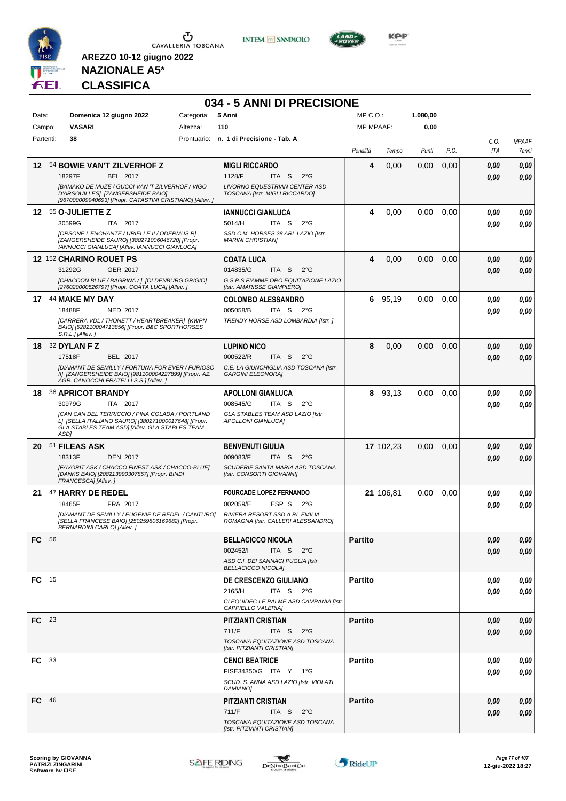

**INTESA** M SANPAOLO

**034 - 5 ANNI DI PRECISIONE**



**Kep** 

# **NAZIONALE A5\* CLASSIFICA**

| Data:        | Domenica 12 giugno 2022                                                                                                                                                                                            | Categoria: | 5 Anni                                                                                                                                       | $MP C. O.$ :     |           | 1.080,00 |      |              |                       |
|--------------|--------------------------------------------------------------------------------------------------------------------------------------------------------------------------------------------------------------------|------------|----------------------------------------------------------------------------------------------------------------------------------------------|------------------|-----------|----------|------|--------------|-----------------------|
| Campo:       | <b>VASARI</b>                                                                                                                                                                                                      | Altezza:   | 110                                                                                                                                          | <b>MP MPAAF:</b> |           | 0,00     |      |              |                       |
| Partenti:    | 38                                                                                                                                                                                                                 |            | Prontuario: n. 1 di Precisione - Tab. A                                                                                                      | Penalità         | Tempo     | Punti    | P.O. | C.O.<br>ITA  | <b>MPAAF</b><br>7anni |
| 12           | 54 BOWIE VAN'T ZILVERHOF Z<br>18297F<br>BEL 2017<br>[BAMAKO DE MUZE / GUCCI VAN 'T ZILVERHOF / VIGO<br>D'ARSOUILLES] [ZANGERSHEIDE BAIO]<br>[967000009940693] [Propr. CATASTINI CRISTIANO] [Allev.]                |            | <b>MIGLI RICCARDO</b><br>1128/F<br>ITA S<br>$2^{\circ}G$<br>LIVORNO EQUESTRIAN CENTER ASD<br>TOSCANA [Istr. MIGLI RICCARDO]                  | 4                | 0,00      | 0,00     | 0,00 | 0.00<br>0.00 | 0.00<br>0.00          |
|              | 12 55 O-JULIETTE Z<br>30599G<br>ITA 2017<br>[ORSONE L'ENCHANTE / URIELLE II / ODERMUS R]<br>[ZANGERSHEIDE SAURO] [380271006046720] [Propr.<br>IANNUCCI GIANLUCA] [Allev. IANNUCCI GIANLUCA]                        |            | <b>IANNUCCI GIANLUCA</b><br>5014/H<br>ITA S<br>$2^{\circ}$ G<br>SSD C.M. HORSES 28 ARL LAZIO [Istr.<br><b>MARINI CHRISTIANI</b>              | 4                | 0,00      | 0,00     | 0,00 | 0.00<br>0.00 | 0,00<br>0,00          |
|              | 12 152 CHARINO ROUET PS<br>31292G<br><b>GER 2017</b><br>[CHACOON BLUE / BAGRINA / ] [OLDENBURG GRIGIO]<br>[276020000526797] [Propr. COATA LUCA] [Allev.]                                                           |            | <b>COATA LUCA</b><br>014835/G<br>ITA <sub>S</sub><br>$2^{\circ}$ G<br>G.S.P.S.FIAMME ORO EQUITAZIONE LAZIO<br>[Istr. AMARISSE GIAMPIERO]     | 4                | 0,00      | 0.00     | 0,00 | 0.00<br>0.00 | 0,00<br>0.00          |
|              | 17 44 MAKE MY DAY<br>18488F<br><b>NED 2017</b><br>[CARRERA VDL / THONETT / HEARTBREAKER] [KWPN<br>BAIO] [528210004713856] [Propr. B&C SPORTHORSES<br>$S.R.L.JIAllev.$ ]                                            |            | <b>COLOMBO ALESSANDRO</b><br>005058/B<br>ITA S 2°G<br>TRENDY HORSE ASD LOMBARDIA [Istr.]                                                     |                  | 6 95,19   | 0,00     | 0,00 | 0.00<br>0.00 | 0.00<br>0.00          |
|              | <b>18 32 DYLAN F Z</b><br>BEL 2017<br>17518F<br>[DIAMANT DE SEMILLY / FORTUNA FOR EVER / FURIOSO<br>II] [ZANGERSHEIDE BAIO] [981100004227899] [Propr. AZ.<br>AGR. CANOCCHI FRATELLI S.S.] [Allev.]                 |            | <b>LUPINO NICO</b><br>000522/R<br>ITA S<br>$2^{\circ}$ G<br>C.E. LA GIUNCHIGLIA ASD TOSCANA [Istr.<br><b>GARGINI ELEONORAI</b>               | 8                | 0,00      | 0,00     | 0,00 | 0.00<br>0.00 | 0,00<br>0.00          |
| 18           | <b>38 APRICOT BRANDY</b><br>30979G<br>ITA 2017<br>ICAN CAN DEL TERRICCIO / PINA COLADA / PORTLAND<br>LI ISELLA ITALIANO SAURO] [380271000017648] [Propr.<br>GLA STABLES TEAM ASD] [Allev. GLA STABLES TEAM<br>ASD1 |            | <b>APOLLONI GIANLUCA</b><br>008545/G<br>ITA S<br>$2^{\circ}$ G<br>GLA STABLES TEAM ASD LAZIO [Istr.<br><b>APOLLONI GIANLUCAI</b>             | 8                | 93,13     | 0,00     | 0,00 | 0.00<br>0.00 | 0,00<br>0.00          |
|              | 20 51 FILEAS ASK<br><b>DEN 2017</b><br>18313F<br>[FAVORIT ASK / CHACCO FINEST ASK / CHACCO-BLUE]<br>[DANKS BAIO] [208213990307857] [Propr. BINDI<br>FRANCESCA] [Allev.]                                            |            | <b>BENVENUTI GIULIA</b><br>009083/F<br>ITA S<br>$2^{\circ}G$<br>SCUDERIE SANTA MARIA ASD TOSCANA<br>[Istr. CONSORTI GIOVANNI]                |                  | 17 102,23 | 0,00     | 0,00 | 0,00<br>0.00 | 0,00<br>0.00          |
| 21           | 47 HARRY DE REDEL<br>18465F<br>FRA 2017<br>[DIAMANT DE SEMILLY / EUGENIE DE REDEL / CANTURO]<br>[SELLA FRANCESE BAIO] [250259806169682] [Propr.<br><b>BERNARDINI CARLO] [Allev.]</b>                               |            | <b>FOURCADE LOPEZ FERNANDO</b><br>ESP S<br>002059/E<br>$2^{\circ}$ G<br>RIVIERA RESORT SSD A RL EMILIA<br>ROMAGNA [Istr. CALLERI ALESSANDRO] |                  | 21 106,81 | 0.00     | 0,00 | 0.00<br>0.00 | 0,00<br>0.00          |
| <b>FC</b> 56 |                                                                                                                                                                                                                    |            | <b>BELLACICCO NICOLA</b><br>002452/<br>ITA S 2°G<br>ASD C.I. DEI SANNACI PUGLIA [Istr.<br><b>BELLACICCO NICOLA]</b>                          | Partito          |           |          |      | 0,00<br>0.00 | 0,00<br>0.00          |
| $FC$ 15      |                                                                                                                                                                                                                    |            | <b>DE CRESCENZO GIULIANO</b><br>ITA S $2^{\circ}G$<br>2165/H<br>CI EQUIDEC LE PALME ASD CAMPANIA [Istr.<br>CAPPIELLO VALERIA]                | <b>Partito</b>   |           |          |      | 0.00<br>0.00 | 0,00<br>0.00          |
| FC 23        |                                                                                                                                                                                                                    |            | <b>PITZIANTI CRISTIAN</b><br>711/F<br>ITA S $2^{\circ}G$<br>TOSCANA EQUITAZIONE ASD TOSCANA<br>[Istr. PITZIANTI CRISTIAN]                    | <b>Partito</b>   |           |          |      | 0,00<br>0.00 | 0,00<br>0,00          |
| FC 33        |                                                                                                                                                                                                                    |            | <b>CENCI BEATRICE</b><br>FISE34350/G ITA Y 1°G<br>SCUD. S. ANNA ASD LAZIO [Istr. VIOLATI<br>DAMIANO]                                         | <b>Partito</b>   |           |          |      | 0.00<br>0.00 | 0,00<br>0,00          |
| FC 46        |                                                                                                                                                                                                                    |            | PITZIANTI CRISTIAN<br>711/F<br>ITA S $2^{\circ}G$<br>TOSCANA EQUITAZIONE ASD TOSCANA<br>[Istr. PITZIANTI CRISTIAN]                           | <b>Partito</b>   |           |          |      | 0.00<br>0.00 | 0,00<br>0,00          |

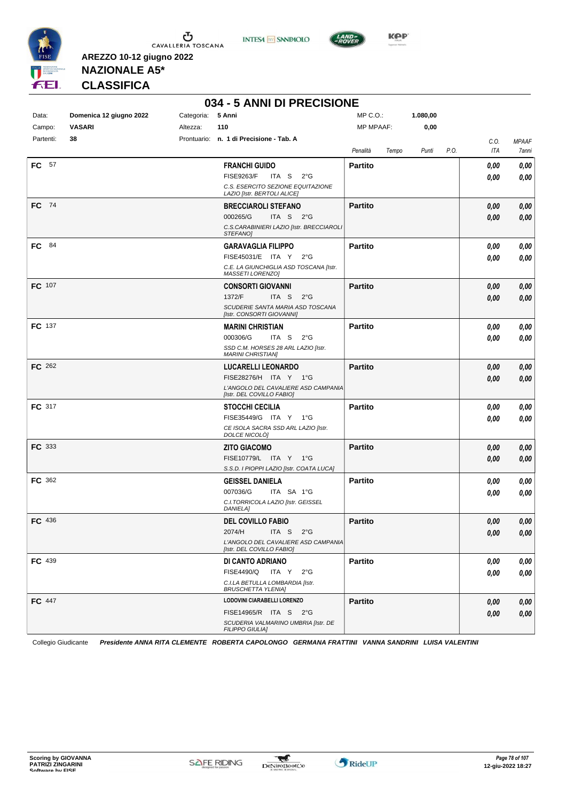





**Kep** 

**NAZIONALE A5\* CLASSIFICA**

**AREZZO 10-12 giugno 2022**

| 034 - 5 ANNI DI PRECISIONE |  |  |  |
|----------------------------|--|--|--|
|----------------------------|--|--|--|

| Data:               | Domenica 12 giugno 2022<br><b>VASARI</b> | 5 Anni<br>Categoria:<br>Altezza:<br>110                          | $MP C. O.$ :<br><b>MP MPAAF:</b> | 1.080,00<br>0,00 |             |                |
|---------------------|------------------------------------------|------------------------------------------------------------------|----------------------------------|------------------|-------------|----------------|
| Campo:<br>Partenti: | 38                                       | Prontuario: n. 1 di Precisione - Tab. A                          |                                  |                  | C.O.        | <b>MPAAF</b>   |
|                     |                                          |                                                                  | Penalità                         | Tempo<br>Punti   | ITA<br>P.O. | 7anni          |
| <b>FC</b> 57        |                                          | <b>FRANCHI GUIDO</b>                                             | Partito                          |                  | 0,00        | 0,00           |
|                     |                                          | <b>FISE9263/F</b><br>ITA S                                       | $2^{\circ}$ G                    |                  | 0,00        | 0,00           |
|                     |                                          | C.S. ESERCITO SEZIONE EQUITAZIONE<br>LAZIO [Istr. BERTOLI ALICE] |                                  |                  |             |                |
| FC 74               |                                          | <b>BRECCIAROLI STEFANO</b>                                       | <b>Partito</b>                   |                  | 0,00        | 0,00           |
|                     |                                          | 000265/G<br>ITA S $2^{\circ}G$                                   |                                  |                  | 0,00        | 0,00           |
|                     |                                          | C.S.CARABINIERI LAZIO [Istr. BRECCIAROLI<br><b>STEFANOI</b>      |                                  |                  |             |                |
| 84<br>FC.           |                                          | <b>GARAVAGLIA FILIPPO</b>                                        | <b>Partito</b>                   |                  | 0,00        | 0,00           |
|                     |                                          | FISE45031/E ITA Y                                                | $2^{\circ}$ G                    |                  | 0,00        | 0,00           |
|                     |                                          | C.E. LA GIUNCHIGLIA ASD TOSCANA [Istr.<br>MASSETI LORENZOJ       |                                  |                  |             |                |
| FC 107              |                                          | <b>CONSORTI GIOVANNI</b>                                         | <b>Partito</b>                   |                  | 0,00        | 0,00           |
|                     |                                          | 1372/F<br>ITA S                                                  | $2^{\circ}G$                     |                  | 0,00        | 0,00           |
|                     |                                          | SCUDERIE SANTA MARIA ASD TOSCANA<br>[Istr. CONSORTI GIOVANNI]    |                                  |                  |             |                |
| <b>FC</b> 137       |                                          | <b>MARINI CHRISTIAN</b>                                          | <b>Partito</b>                   |                  | 0,00        | 0,00           |
|                     |                                          | 000306/G<br>ITA S $2^{\circ}G$                                   |                                  |                  | 0.00        | 0,00           |
|                     |                                          | SSD C.M. HORSES 28 ARL LAZIO [Istr.<br><b>MARINI CHRISTIANI</b>  |                                  |                  |             |                |
| FC 262              |                                          | <b>LUCARELLI LEONARDO</b>                                        | <b>Partito</b>                   |                  | 0,00        | 0,00           |
|                     |                                          | FISE28276/H ITA Y 1°G                                            |                                  |                  | 0.00        | 0,00           |
|                     |                                          | L'ANGOLO DEL CAVALIERE ASD CAMPANIA<br>[Istr. DEL COVILLO FABIO] |                                  |                  |             |                |
| FC 317              |                                          | <b>STOCCHI CECILIA</b>                                           | <b>Partito</b>                   |                  | 0,00        | 0,00           |
|                     |                                          | FISE35449/G ITA Y 1°G                                            |                                  |                  | 0.00        | 0,00           |
|                     |                                          | CE ISOLA SACRA SSD ARL LAZIO [Istr.<br>DOLCE NICOLÒ]             |                                  |                  |             |                |
| <b>FC</b> 333       |                                          | <b>ZITO GIACOMO</b>                                              | <b>Partito</b>                   |                  | 0,00        | 0,00           |
|                     |                                          | FISE10779/L ITA Y 1°G                                            |                                  |                  | 0,00        | 0,00           |
|                     |                                          | S.S.D. I PIOPPI LAZIO [Istr. COATA LUCA]                         |                                  |                  |             |                |
| FC 362              |                                          | <b>GEISSEL DANIELA</b><br>007036/G<br>ITA SA 1°G                 | <b>Partito</b>                   |                  | 0,00        | 0,00           |
|                     |                                          | C.I.TORRICOLA LAZIO [Istr. GEISSEL                               |                                  |                  | 0.00        | 0,00           |
|                     |                                          | <b>DANIELA1</b>                                                  |                                  |                  |             |                |
| FC 436              |                                          | <b>DEL COVILLO FABIO</b>                                         | <b>Partito</b>                   |                  | 0,00        | 0,00           |
|                     |                                          | 2074/H ITA S                                                     | $2^{\circ}G$                     |                  | 0,00        | $\pmb{0,\!00}$ |
|                     |                                          | L'ANGOLO DEL CAVALIERE ASD CAMPANIA<br>[Istr. DEL COVILLO FABIO] |                                  |                  |             |                |
| FC 439              |                                          | DI CANTO ADRIANO                                                 | <b>Partito</b>                   |                  | 0,00        | 0,00           |
|                     |                                          | FISE4490/Q ITA Y 2°G                                             |                                  |                  | 0,00        | 0,00           |
|                     |                                          | C.I.LA BETULLA LOMBARDIA [Istr.<br><b>BRUSCHETTA YLENIA]</b>     |                                  |                  |             |                |
| <b>FC</b> 447       |                                          | LODOVINI CIARABELLI LORENZO                                      | <b>Partito</b>                   |                  | 0,00        | 0,00           |
|                     |                                          | FISE14965/R ITA S 2°G                                            |                                  |                  | 0,00        | 0,00           |
|                     |                                          | SCUDERIA VALMARINO UMBRIA [Istr. DE<br><b>FILIPPO GIULIA]</b>    |                                  |                  |             |                |
|                     |                                          |                                                                  |                                  |                  |             |                |

Collegio Giudicante *Presidente ANNA RITA CLEMENTE ROBERTA CAPOLONGO GERMANA FRATTINI VANNA SANDRINI LUISA VALENTINI*

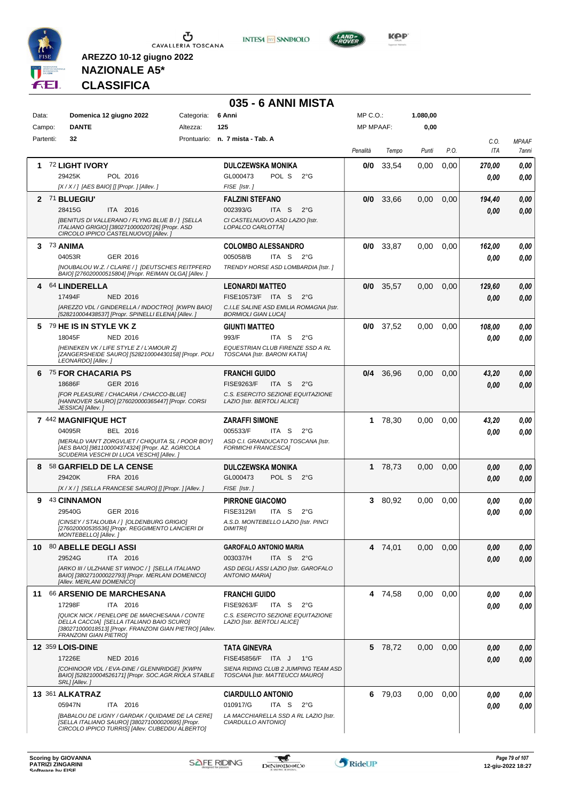





**KOP** 

**NAZIONALE A5\* CLASSIFICA**

|            |                                                                                                                                                                                      |            | 035 - 6 ANNI MISTA                                                      |                  |             |          |      |        |              |
|------------|--------------------------------------------------------------------------------------------------------------------------------------------------------------------------------------|------------|-------------------------------------------------------------------------|------------------|-------------|----------|------|--------|--------------|
| Data:      | Domenica 12 giugno 2022                                                                                                                                                              | Categoria: | 6 Anni                                                                  | $MP C. O.$ :     |             | 1.080,00 |      |        |              |
| Campo:     | <b>DANTE</b>                                                                                                                                                                         | Altezza:   | 125                                                                     | <b>MP MPAAF:</b> |             | 0,00     |      |        |              |
| Partenti:  | 32                                                                                                                                                                                   |            | Prontuario: n. 7 mista - Tab. A                                         |                  |             |          |      | C.O.   | <b>MPAAF</b> |
|            |                                                                                                                                                                                      |            |                                                                         | Penalità         | Tempo       | Punti    | P.O. | ITA    | 7anni        |
| 1          | <b>72 LIGHT IVORY</b>                                                                                                                                                                |            | <b>DULCZEWSKA MONIKA</b>                                                | 0/0              | 33,54       | 0.00     | 0,00 | 270,00 | 0,00         |
|            | 29425K<br>POL 2016                                                                                                                                                                   |            | POL S<br>GL000473<br>$2^{\circ}$ G                                      |                  |             |          |      | 0.00   | 0.00         |
|            | $[X/X/$ ] [AES BAIO] [] [Propr. ] [Allev. ]                                                                                                                                          |            | FISE [Istr.]                                                            |                  |             |          |      |        |              |
|            | 2 71 BLUEGIU'                                                                                                                                                                        |            | <b>FALZINI STEFANO</b>                                                  | 0/0              | 33,66       | 0,00     | 0,00 | 194,40 | 0,00         |
|            | 28415G<br>ITA 2016                                                                                                                                                                   |            | 002393/G<br>ITA S<br>$2^{\circ}$ G                                      |                  |             |          |      | 0,00   | 0.00         |
|            | [BENITUS DI VALLERANO / FLYNG BLUE B / ] [SELLA<br>ITALIANO GRIGIO] [380271000020726] [Propr. ASD<br>CIRCOLO IPPICO CASTELNUOVO] [Allev.]                                            |            | CI CASTELNUOVO ASD LAZIO [Istr.<br>LOPALCO CARLOTTA]                    |                  |             |          |      |        |              |
| 3 73 ANIMA |                                                                                                                                                                                      |            | <b>COLOMBO ALESSANDRO</b>                                               |                  | $0/0$ 33,87 | 0,00     | 0,00 | 162,00 | 0.00         |
|            | 04053R<br>GER 2016                                                                                                                                                                   |            | 005058/B<br>ITA S<br>2°G                                                |                  |             |          |      | 0.00   | 0.00         |
|            | [NOUBALOU W.Z. / CLAIRE / ] [DEUTSCHES REITPFERD<br>BAIO] [276020000515804] [Propr. REIMAN OLGA] [Allev. ]                                                                           |            | TRENDY HORSE ASD LOMBARDIA [Istr.]                                      |                  |             |          |      |        |              |
|            | 4 64 LINDERELLA                                                                                                                                                                      |            | <b>LEONARDI MATTEO</b>                                                  |                  | $0/0$ 35,57 | 0,00     | 0,00 | 129,60 | 0.00         |
|            | 17494F<br><b>NED 2016</b>                                                                                                                                                            |            | FISE10573/F ITA S<br>$2^{\circ}G$                                       |                  |             |          |      | 0,00   | 0.00         |
|            | [AREZZO VDL / GINDERELLA / INDOCTRO] [KWPN BAIO]<br>[528210004438537] [Propr. SPINELLI ELENA] [Allev.]                                                                               |            | C.I.LE SALINE ASD EMILIA ROMAGNA [Istr.<br><b>BORMIOLI GIAN LUCA]</b>   |                  |             |          |      |        |              |
|            | 5 79 HE IS IN STYLE VK Z                                                                                                                                                             |            | <b>GIUNTI MATTEO</b>                                                    |                  | $0/0$ 37,52 | 0,00     | 0,00 | 108,00 | 0.00         |
|            | 18045F<br>NED 2016                                                                                                                                                                   |            | 993/F<br>ITA S<br>$2^{\circ}G$                                          |                  |             |          |      | 0.00   | 0.00         |
|            | [HEINEKEN VK / LIFE STYLE Z / L'AMOUR Z]<br>[ZANGERSHEIDE SAURO] [528210004430158] [Propr. POLI<br>LEONARDO] [Allev.]                                                                |            | EQUESTRIAN CLUB FIRENZE SSD A RL<br>TOSCANA [Istr. BARONI KATIA]        |                  |             |          |      |        |              |
|            | <sup>75</sup> FOR CHACARIA PS                                                                                                                                                        |            | <b>FRANCHI GUIDO</b>                                                    |                  | 0/4 36.96   | 0,00     | 0,00 | 43,20  | 0,00         |
|            | 18686F<br>GER 2016                                                                                                                                                                   |            | <b>FISE9263/F</b><br>ITA <sub>S</sub><br>$2^{\circ}G$                   |                  |             |          |      | 0,00   | 0.00         |
|            | [FOR PLEASURE / CHACARIA / CHACCO-BLUE]<br>[HANNOVER SAURO] [276020000365447] [Propr. CORSI<br>JESSICA] [Allev.]                                                                     |            | C.S. ESERCITO SEZIONE EQUITAZIONE<br>LAZIO [Istr. BERTOLI ALICE]        |                  |             |          |      |        |              |
|            | 7 442 MAGNIFIQUE HCT                                                                                                                                                                 |            | <b>ZARAFFI SIMONE</b>                                                   |                  | 1 78,30     | 0,00     | 0,00 | 43,20  | 0,00         |
|            | 04095R<br>BEL 2016                                                                                                                                                                   |            | 005533/F<br>ITA S<br>$2^{\circ}G$                                       |                  |             |          |      | 0.00   | 0.00         |
|            | [MERALD VAN'T ZORGVLIET / CHIQUITA SL / POOR BOY]<br>[AES BAIO] [981100004374324] [Propr. AZ. AGRICOLA<br>SCUDERIA VESCHI DI LUCA VESCHI] [Allev.]                                   |            | ASD C.I. GRANDUCATO TOSCANA [Istr.<br><b>FORMICHI FRANCESCA]</b>        |                  |             |          |      |        |              |
| 8          | 58 GARFIELD DE LA CENSE                                                                                                                                                              |            | <b>DULCZEWSKA MONIKA</b>                                                |                  | 1 78,73     | 0,00     | 0,00 | 0,00   | 0,00         |
|            | 29420K<br>FRA 2016                                                                                                                                                                   |            | GL000473<br>POL S<br>$2^{\circ}G$                                       |                  |             |          |      | 0.00   | 0,00         |
|            | [X / X / ] [SELLA FRANCESE SAURO] [] [Propr. ] [Allev. ]                                                                                                                             |            | FISE [Istr.]                                                            |                  |             |          |      |        |              |
| 9          | 43 CINNAMON                                                                                                                                                                          |            | <b>PIRRONE GIACOMO</b>                                                  | 3.               | 80,92       | 0,00     | 0,00 | 0,00   | 0,00         |
|            | 29540G<br>GER 2016                                                                                                                                                                   |            | FISE3129/I<br>ITA S<br>$2^{\circ}$ G                                    |                  |             |          |      | 0,00   | 0.00         |
|            | [CINSEY / STALOUBA / ] [OLDENBURG GRIGIO]<br>[276020000535536] [Propr. REGGIMENTO LANCIERI DI<br>MONTEBELLO] [Allev.]                                                                |            | A.S.D. MONTEBELLO LAZIO [Istr. PINCI<br><b>DIMITRI</b>                  |                  |             |          |      |        |              |
|            | 10 80 ABELLE DEGLI ASSI                                                                                                                                                              |            | <b>GAROFALO ANTONIO MARIA</b>                                           |                  | 4 74,01     | 0.00     | 0,00 | 0,00   | 0,00         |
|            | 29524G<br>ITA 2016                                                                                                                                                                   |            | 003037/H<br>ITA S<br>2°G                                                |                  |             |          |      | 0,00   | 0,00         |
|            | [ARKO III / ULZHANE ST WINOC / ] [SELLA ITALIANO<br>BAIO] [380271000022793] [Propr. MERLANI DOMENICO]<br>[Allev. MERLANI DOMENICO]                                                   |            | ASD DEGLI ASSI LAZIO [Istr. GAROFALO<br><b>ANTONIO MARIAI</b>           |                  |             |          |      |        |              |
|            | 11 66 ARSENIO DE MARCHESANA                                                                                                                                                          |            | <b>FRANCHI GUIDO</b>                                                    |                  | 4 74,58     | 0,00     | 0,00 | 0,00   | 0,00         |
|            | 17298F<br>ITA 2016                                                                                                                                                                   |            | <b>FISE9263/F</b><br>$2^{\circ}$ G<br>ITA S                             |                  |             |          |      | 0.00   | 0.00         |
|            | [QUICK NICK / PENELOPE DE MARCHESANA / CONTE<br>DELLA CACCIA] [SELLA ITALIANO BAIO SCURO]<br>[380271000018513] [Propr. FRANZONI GIAN PIETRO] [Allev.<br><b>FRANZONI GIAN PIETROI</b> |            | C.S. ESERCITO SEZIONE EQUITAZIONE<br>LAZIO [Istr. BERTOLI ALICE]        |                  |             |          |      |        |              |
|            | <b>12 359 LOIS-DINE</b>                                                                                                                                                              |            | <b>TATA GINEVRA</b>                                                     |                  | 5 78,72     | 0.00     | 0,00 | 0,00   | 0,00         |
|            | 17226E<br><b>NED 2016</b>                                                                                                                                                            |            | FISE45856/F ITA J<br>1°G                                                |                  |             |          |      | 0,00   | 0,00         |
|            | [COHINOOR VDL / EVA-DINE / GLENNRIDGE] [KWPN<br>BAIO] [528210004526171] [Propr. SOC.AGR.RIOLA STABLE<br>SRL] [Allev.]                                                                |            | SIENA RIDING CLUB 2 JUMPING TEAM ASD<br>TOSCANA [Istr. MATTEUCCI MAURO] |                  |             |          |      |        |              |
|            | 13 361 ALKATRAZ                                                                                                                                                                      |            | <b>CIARDULLO ANTONIO</b>                                                | 6                | 79,03       | 0,00     | 0,00 | 0,00   | 0,00         |
|            | 05947N<br>ITA 2016                                                                                                                                                                   |            | 010917/G<br>ITA S<br>$2^{\circ}$ G                                      |                  |             |          |      | 0.00   | 0.00         |
|            | [BABALOU DE LIGNY / GARDAK / QUIDAME DE LA CERE]                                                                                                                                     |            | LA MACCHIARELLA SSD A RL LAZIO [Istr.                                   |                  |             |          |      |        |              |

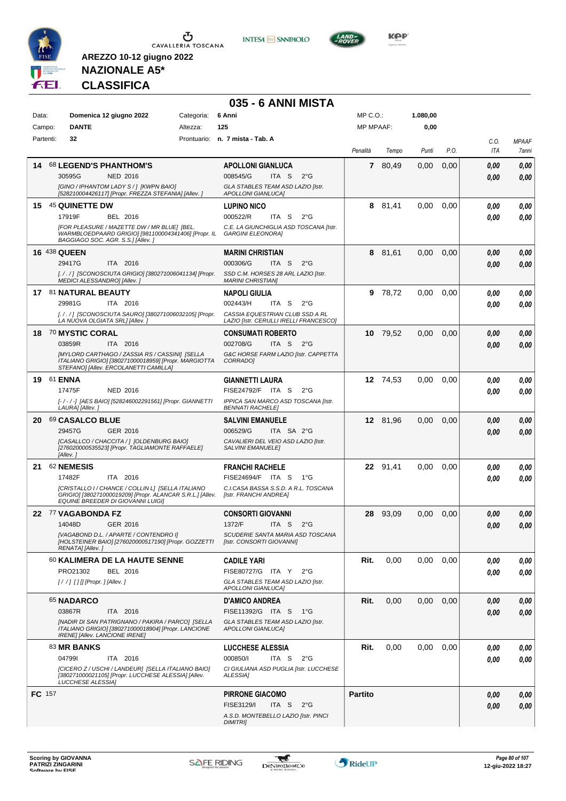

**INTESA M** SANPAOLO



**AREZZO 10-12 giugno 2022 NAZIONALE A5\* CLASSIFICA**

# **035 - 6 ANNI MISTA**

| Data:         |                | Domenica 12 giugno 2022<br><b>DANTE</b>                                                                                                           | Categoria: | 6 Anni<br>125                                                             |            |               | $MP C. O.$ :     |          | 1.080,00 |      |             |                       |
|---------------|----------------|---------------------------------------------------------------------------------------------------------------------------------------------------|------------|---------------------------------------------------------------------------|------------|---------------|------------------|----------|----------|------|-------------|-----------------------|
|               | Campo:         |                                                                                                                                                   | Altezza:   |                                                                           |            |               | <b>MP MPAAF:</b> |          | 0,00     |      |             |                       |
|               | Partenti:      | 32                                                                                                                                                |            | Prontuario: n. 7 mista - Tab. A                                           |            |               | Penalità         | Tempo    | Punti    | P.O. | C.O.<br>ITA | <b>MPAAF</b><br>7anni |
| 14            |                | 68 LEGEND'S PHANTHOM'S                                                                                                                            |            | <b>APOLLONI GIANLUCA</b>                                                  |            |               | 7                | 80,49    | 0,00     | 0,00 | 0.00        | 0,00                  |
|               |                | 30595G<br><b>NED 2016</b>                                                                                                                         |            | 008545/G                                                                  | ITA S      | $2^{\circ}G$  |                  |          |          |      | 0.00        | 0,00                  |
|               |                | [GINO / IPHANTOM LADY S / ] [KWPN BAIO]<br>[528210004426117] [Propr. FREZZA STEFANIA] [Allev.]                                                    |            | GLA STABLES TEAM ASD LAZIO [Istr.<br><b>APOLLONI GIANLUCAI</b>            |            |               |                  |          |          |      |             |                       |
| 15            |                |                                                                                                                                                   |            |                                                                           |            |               |                  |          |          |      |             |                       |
|               |                | 45 QUINETTE DW<br>17919F<br>BEL 2016                                                                                                              |            | <b>LUPINO NICO</b><br>000522/R                                            | ITA S      | $2^{\circ}$ G |                  | 8 81,41  | 0,00     | 0,00 | 0.00        | 0,00                  |
|               |                | [FOR PLEASURE / MAZETTE DW / MR BLUE] [BEL.                                                                                                       |            | C.E. LA GIUNCHIGLIA ASD TOSCANA [Istr.                                    |            |               |                  |          |          |      | 0.00        | 0,00                  |
|               |                | WARMBLOEDPAARD GRIGIO] [981100004341406] [Propr. IL<br>BAGGIAGO SOC. AGR. S.S.] [Allev.]                                                          |            | <b>GARGINI ELEONORA]</b>                                                  |            |               |                  |          |          |      |             |                       |
|               |                | <b>16 438 QUEEN</b>                                                                                                                               |            | <b>MARINI CHRISTIAN</b>                                                   |            |               | 8                | 81,61    | 0,00     | 0,00 | 0.00        | 0,00                  |
|               |                | 29417G<br>ITA 2016                                                                                                                                |            | 000306/G                                                                  | ITA S      | $2^{\circ}$ G |                  |          |          |      | 0.00        | 0,00                  |
|               |                | [././] [SCONOSCIUTA GRIGIO] [380271006041134] [Propr.<br>MEDICI ALESSANDRO] [Allev.]                                                              |            | SSD C.M. HORSES 28 ARL LAZIO [Istr.<br><b>MARINI CHRISTIANI</b>           |            |               |                  |          |          |      |             |                       |
|               |                | 17 81 NATURAL BEAUTY                                                                                                                              |            | <b>NAPOLI GIULIA</b>                                                      |            |               |                  | 9 78,72  | 0,00     | 0,00 | 0.00        | 0,00                  |
|               |                | 29981G<br>ITA 2016                                                                                                                                |            | 002443/H                                                                  | ITA S      | $2^{\circ}$ G |                  |          |          |      | 0.00        | 0.00                  |
|               |                | [././] [SCONOSCIUTA SAURO] [380271006032105] [Propr.<br>LA NUOVA OLGIATA SRL] [Allev.]                                                            |            | CASSIA EQUESTRIAN CLUB SSD A RL<br>LAZIO [Istr. CERULLI IRELLI FRANCESCO] |            |               |                  |          |          |      |             |                       |
|               |                | 18 70 MYSTIC CORAL                                                                                                                                |            | <b>CONSUMATI ROBERTO</b>                                                  |            |               |                  | 10 79,52 | 0,00     | 0,00 | 0.00        | 0,00                  |
|               |                | 03859R<br>ITA 2016                                                                                                                                |            | 002708/G                                                                  | ITA S      | $2^{\circ}G$  |                  |          |          |      | 0.00        | 0,00                  |
|               |                | <b>IMYLORD CARTHAGO / ZASSIA RS / CASSINI] [SELLA</b>                                                                                             |            | G&C HORSE FARM LAZIO [Istr. CAPPETTA                                      |            |               |                  |          |          |      |             |                       |
|               |                | ITALIANO GRIGIO] [380271000018959] [Propr. MARGIOTTA<br>STEFANO] [Allev. ERCOLANETTI CAMILLA]                                                     |            | CORRADO]                                                                  |            |               |                  |          |          |      |             |                       |
| 19            | 61 <b>ENNA</b> |                                                                                                                                                   |            | <b>GIANNETTI LAURA</b>                                                    |            |               |                  | 12 74.53 | 0,00     | 0,00 | 0.00        | 0,00                  |
|               |                | 17475F<br><b>NED 2016</b>                                                                                                                         |            | FISE24792/F ITA S                                                         |            | $2^{\circ}$ G |                  |          |          |      | 0.00        | 0,00                  |
|               |                | [-/-/-] [AES BAIO] [528246002291561] [Propr. GIANNETTI<br>LAURA] [Allev.]                                                                         |            | IPPICA SAN MARCO ASD TOSCANA [Istr.<br><b>BENNATI RACHELE]</b>            |            |               |                  |          |          |      |             |                       |
| 20            |                | 69 CASALCO BLUE                                                                                                                                   |            | <b>SALVINI EMANUELE</b>                                                   |            |               |                  | 12 81,96 | 0,00     | 0,00 | 0.00        | 0,00                  |
|               |                | 29457G<br>GER 2016                                                                                                                                |            | 006529/G                                                                  | ITA SA 2°G |               |                  |          |          |      | 0.00        | 0.00                  |
|               |                | [CASALLCO / CHACCITA / ] [OLDENBURG BAIO]<br>[276020000535523] [Propr. TAGLIAMONTE RAFFAELE]                                                      |            | CAVALIERI DEL VEIO ASD LAZIO [Istr.<br><b>SALVINI EMANUELEI</b>           |            |               |                  |          |          |      |             |                       |
|               |                | [Allev.]                                                                                                                                          |            |                                                                           |            |               |                  |          |          |      |             |                       |
| 21            |                | 62 NEMESIS                                                                                                                                        |            | <b>FRANCHI RACHELE</b>                                                    |            |               |                  | 22 91,41 | 0,00     | 0,00 | 0.00        | 0,00                  |
|               |                | 17482F<br>ITA 2016                                                                                                                                |            | FISE24694/F ITA S                                                         |            | 1°G           |                  |          |          |      | 0.00        | 0.00                  |
|               |                | [CRISTALLO I / CHANCE / COLLIN L] [SELLA ITALIANO<br>GRIGIO] [380271000019209] [Propr. ALANCAR S.R.L.] [Allev.                                    |            | C.I.CASA BASSA S.S.D. A R.L. TOSCANA<br>[Istr. FRANCHI ANDREA]            |            |               |                  |          |          |      |             |                       |
|               |                | EQUINE BREEDER DI GIOVANNI LUIGI]                                                                                                                 |            |                                                                           |            |               |                  |          |          |      |             |                       |
|               |                | 22 77 VAGABONDA FZ                                                                                                                                |            | <b>CONSORTI GIOVANNI</b>                                                  |            |               | 28               | 93,09    | 0,00     | 0,00 | 0.00        | 0,00                  |
|               |                | 14048D<br>GER 2016<br>[VAGABOND D.L. / APARTE / CONTENDRO I]                                                                                      |            | 1372/F<br><i>SCUDERIE SANTA MARIA ASD TOSCANA</i>                         | ITA S      | $2^{\circ}$ G |                  |          |          |      | 0.00        | 0,00                  |
|               |                | [HOLSTEINER BAIO] [276020000517190] [Propr. GOZZETTI<br>RENATA] [Allev.]                                                                          |            | [Istr. CONSORTI GIOVANNI]                                                 |            |               |                  |          |          |      |             |                       |
|               |                | 60 KALIMERA DE LA HAUTE SENNE                                                                                                                     |            | <b>CADILE YARI</b>                                                        |            |               | Rit.             | 0,00     | 0,00     | 0,00 | 0.00        | 0,00                  |
|               |                | PRO21302<br>BEL 2016                                                                                                                              |            | FISE80727/G ITA Y 2°G                                                     |            |               |                  |          |          |      | 0.00        | 0,00                  |
|               |                |                                                                                                                                                   |            | GLA STABLES TEAM ASD LAZIO [Istr.<br>APOLLONI GIANLUCAJ                   |            |               |                  |          |          |      |             |                       |
|               |                | 65 NADARCO                                                                                                                                        |            | <b>D'AMICO ANDREA</b>                                                     |            |               | Rit.             | 0,00     | 0,00     | 0,00 | 0.00        | 0,00                  |
|               |                | 03867R<br>ITA 2016                                                                                                                                |            | FISE11392/G ITA S 1°G                                                     |            |               |                  |          |          |      | 0.00        | 0,00                  |
|               |                | [NADIR DI SAN PATRIGNANO / PAKIRA / PARCO] [SELLA<br>ITALIANO GRIGIO] [380271000018904] [Propr. LANCIONE<br><b>IRENE] [Allev. LANCIONE IRENE]</b> |            | GLA STABLES TEAM ASD LAZIO [Istr.<br><b>APOLLONI GIANLUCAI</b>            |            |               |                  |          |          |      |             |                       |
|               |                | 83 MR BANKS                                                                                                                                       |            | <b>LUCCHESE ALESSIA</b>                                                   |            |               | Rit.             | 0,00     | 0.00     | 0,00 | 0,00        | 0,00                  |
|               |                | 047991<br>ITA 2016                                                                                                                                |            | 000850/I                                                                  | ITA S      | $2^{\circ}G$  |                  |          |          |      | 0.00        | 0,00                  |
|               |                | [CICERO Z / USCHI / LANDEUR] [SELLA ITALIANO BAIO]<br>[380271000021105] [Propr. LUCCHESE ALESSIA] [Allev.<br><b>LUCCHESE ALESSIA]</b>             |            | CI GIULIANA ASD PUGLIA [Istr. LUCCHESE<br>ALESSIA]                        |            |               |                  |          |          |      |             |                       |
| <b>FC</b> 157 |                |                                                                                                                                                   |            | <b>PIRRONE GIACOMO</b>                                                    |            |               | <b>Partito</b>   |          |          |      | 0.00        | 0,00                  |
|               |                |                                                                                                                                                   |            | FISE3129/I                                                                | ITA S      | $2^{\circ}$ G |                  |          |          |      | 0.00        | 0,00                  |
|               |                |                                                                                                                                                   |            | A.S.D. MONTEBELLO LAZIO [Istr. PINCI<br><b>DIMITRII</b>                   |            |               |                  |          |          |      |             |                       |

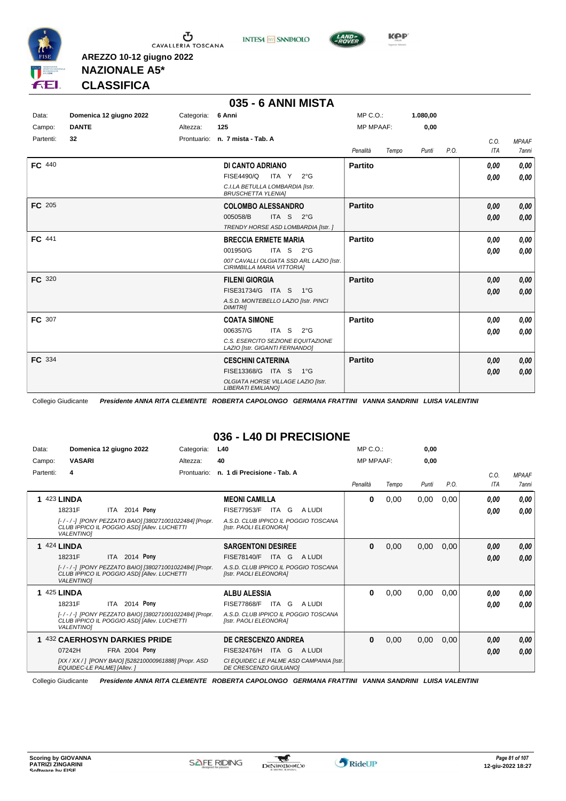

Ⴠ CAVALLERIA TOSCANA





**AREZZO 10-12 giugno 2022 NAZIONALE A5\* CLASSIFICA**

### **035 - 6 ANNI MISTA**

| Data:         | Domenica 12 giugno 2022 | Categoria:  | 6 Anni                                                                 | $MP C. O.$ :     |       | 1.080,00 |      |      |              |
|---------------|-------------------------|-------------|------------------------------------------------------------------------|------------------|-------|----------|------|------|--------------|
| Campo:        | <b>DANTE</b>            | Altezza:    | 125                                                                    | <b>MP MPAAF:</b> |       | 0,00     |      |      |              |
| Partenti:     | 32                      | Prontuario: | n. 7 mista - Tab. A                                                    |                  |       |          |      | C.0. | <b>MPAAF</b> |
|               |                         |             |                                                                        | Penalità         | Tempo | Punti    | P.O. | ITA  | 7anni        |
| <b>FC</b> 440 |                         |             | DI CANTO ADRIANO                                                       | <b>Partito</b>   |       |          |      | 0.00 | 0,00         |
|               |                         |             | FISE4490/Q<br>ITA Y<br>$2^{\circ}$ G                                   |                  |       |          |      | 0.00 | 0,00         |
|               |                         |             | C.I.LA BETULLA LOMBARDIA [Istr.<br><b>BRUSCHETTA YLENIA1</b>           |                  |       |          |      |      |              |
| <b>FC</b> 205 |                         |             | <b>COLOMBO ALESSANDRO</b>                                              | <b>Partito</b>   |       |          |      | 0.00 | 0,00         |
|               |                         |             | ITA S<br>005058/B<br>$2^{\circ}G$                                      |                  |       |          |      | 0.00 | 0,00         |
|               |                         |             | TRENDY HORSE ASD LOMBARDIA [Istr.]                                     |                  |       |          |      |      |              |
| FC 441        |                         |             | <b>BRECCIA ERMETE MARIA</b>                                            | Partito          |       |          |      | 0.00 | 0,00         |
|               |                         |             | ITA S $2^{\circ}$ G<br>001950/G                                        |                  |       |          |      | 0.00 | 0,00         |
|               |                         |             | 007 CAVALLI OLGIATA SSD ARL LAZIO [Istr.<br>CIRIMBILLA MARIA VITTORIA] |                  |       |          |      |      |              |
| FC 320        |                         |             | <b>FILENI GIORGIA</b>                                                  | <b>Partito</b>   |       |          |      | 0.00 | 0,00         |
|               |                         |             | FISE31734/G ITA S 1°G                                                  |                  |       |          |      | 0,00 | 0,00         |
|               |                         |             | A.S.D. MONTEBELLO LAZIO [Istr. PINCI<br><b>DIMITRII</b>                |                  |       |          |      |      |              |
| FC 307        |                         |             | <b>COATA SIMONE</b>                                                    | <b>Partito</b>   |       |          |      | 0.00 | 0,00         |
|               |                         |             | 006357/G<br>ITA S<br>$2^{\circ}G$                                      |                  |       |          |      | 0.00 | 0,00         |
|               |                         |             | C.S. ESERCITO SEZIONE EQUITAZIONE<br>LAZIO [Istr. GIGANTI FERNANDO]    |                  |       |          |      |      |              |
| FC 334        |                         |             | <b>CESCHINI CATERINA</b>                                               | <b>Partito</b>   |       |          |      | 0,00 | 0,00         |
|               |                         |             | FISE13368/G ITA S<br>$1^{\circ}G$                                      |                  |       |          |      | 0.00 | 0,00         |
|               |                         |             | OLGIATA HORSE VILLAGE LAZIO [Istr.<br><b>LIBERATI EMILIANOI</b>        |                  |       |          |      |      |              |

Collegio Giudicante *Presidente ANNA RITA CLEMENTE ROBERTA CAPOLONGO GERMANA FRATTINI VANNA SANDRINI LUISA VALENTINI*

### **036 - L40 DI PRECISIONE**

| Data:     | Domenica 12 giugno 2022                                                                                                   | Categoria:  | L40                                                               | $MP C. O.$ :     |       | 0.00  |      |            |              |
|-----------|---------------------------------------------------------------------------------------------------------------------------|-------------|-------------------------------------------------------------------|------------------|-------|-------|------|------------|--------------|
| Campo:    | <b>VASARI</b>                                                                                                             | Altezza:    | 40                                                                | <b>MP MPAAF:</b> |       | 0,00  |      |            |              |
| Partenti: | 4                                                                                                                         | Prontuario: | n. 1 di Precisione - Tab. A                                       |                  |       |       |      | C.O.       | <b>MPAAF</b> |
|           |                                                                                                                           |             |                                                                   | Penalità         | Tempo | Punti | P.O. | <b>ITA</b> | <b>7anni</b> |
| 1         | 423 LINDA                                                                                                                 |             | <b>MEONI CAMILLA</b>                                              | $\bf{0}$         | 0,00  | 0,00  | 0,00 | 0.00       | 0,00         |
|           | ITA 2014 Pony<br>18231F                                                                                                   |             | <b>FISE77953/F</b><br>ITA G<br>A LUDI                             |                  |       |       |      | 0.00       | 0,00         |
|           | [-/-/-] [PONY PEZZATO BAIO] [380271001022484] [Propr.<br>CLUB IPPICO IL POGGIO ASDI [Allev. LUCHETTI<br><b>VALENTINOI</b> |             | A.S.D. CLUB IPPICO IL POGGIO TOSCANA<br>[Istr. PAOLI ELEONORA]    |                  |       |       |      |            |              |
| 1.        | 424 <b>LINDA</b>                                                                                                          |             | <b>SARGENTONI DESIREE</b>                                         | $\bf{0}$         | 0,00  | 0,00  | 0,00 | 0,00       | 0,00         |
|           | <b>ITA</b> 2014 Pony<br>18231F                                                                                            |             | <b>FISE78140/F</b><br>ITA G<br>A LUDI                             |                  |       |       |      | 0.00       | 0,00         |
|           | [-/-/-] [PONY PEZZATO BAIO] [380271001022484] [Propr.<br>CLUB IPPICO IL POGGIO ASDI [Allev. LUCHETTI<br><b>VALENTINOI</b> |             | A.S.D. CLUB IPPICO IL POGGIO TOSCANA<br>[Istr. PAOLI ELEONORA]    |                  |       |       |      |            |              |
|           | <b>1 425 LINDA</b>                                                                                                        |             | <b>ALBU ALESSIA</b>                                               | 0                | 0,00  | 0,00  | 0,00 | 0.00       | 0,00         |
|           | ITA 2014 Pony<br>18231F                                                                                                   |             | <b>FISE77868/F</b><br>ITA G<br>A LUDI                             |                  |       |       |      | 0.00       | 0,00         |
|           | [-/-/-] [PONY PEZZATO BAIO] [380271001022484] [Propr.<br>CLUB IPPICO IL POGGIO ASDI [Allev. LUCHETTI<br><b>VALENTINO1</b> |             | A.S.D. CLUB IPPICO IL POGGIO TOSCANA<br>[Istr. PAOLI ELEONORA]    |                  |       |       |      |            |              |
|           | 1 432 CAERHOSYN DARKIES PRIDE                                                                                             |             | <b>DE CRESCENZO ANDREA</b>                                        | $\bf{0}$         | 0,00  | 0,00  | 0,00 | 0,00       | 0,00         |
|           | <b>FRA 2004 Pony</b><br>07242H                                                                                            |             | <b>FISE32476/H</b><br>ITA G<br>A LUDI                             |                  |       |       |      | 0.00       | 0,00         |
|           | [XX / XX / ] [PONY BAIO] [528210000961888] [Propr. ASD<br>EQUIDEC-LE PALME] [Allev.]                                      |             | CI EQUIDEC LE PALME ASD CAMPANIA [Istr.<br>DE CRESCENZO GIULIANO] |                  |       |       |      |            |              |

Collegio Giudicante *Presidente ANNA RITA CLEMENTE ROBERTA CAPOLONGO GERMANA FRATTINI VANNA SANDRINI LUISA VALENTINI*

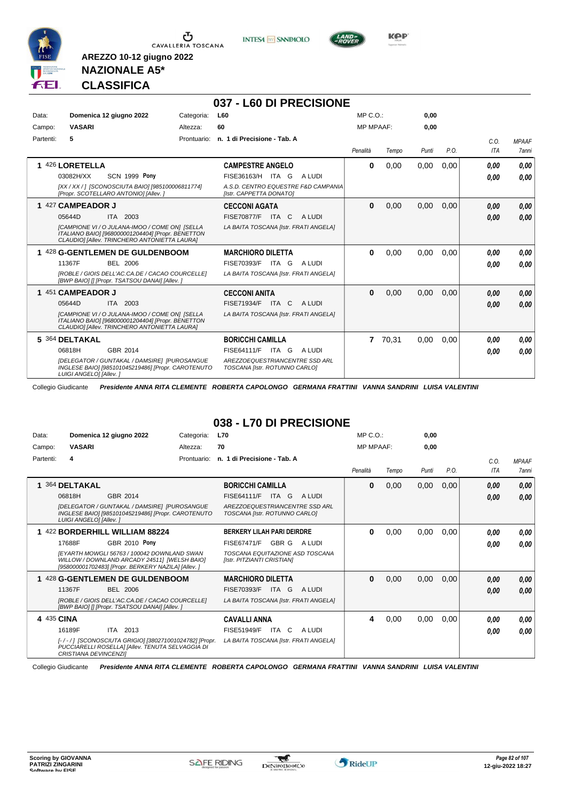





**NAZIONALE A5\* CLASSIFICA**

**AREZZO 10-12 giugno 2022**

### **037 - L60 DI PRECISIONE**

| Data:     | Domenica 12 giugno 2022                                                                                                                                    | Categoria:  | <b>L60</b>                                                      | MP C. O.         |       | 0,00  |      |            |              |
|-----------|------------------------------------------------------------------------------------------------------------------------------------------------------------|-------------|-----------------------------------------------------------------|------------------|-------|-------|------|------------|--------------|
| Campo:    | <b>VASARI</b>                                                                                                                                              | Altezza:    | 60                                                              | <b>MP MPAAF:</b> |       | 0,00  |      |            |              |
| Partenti: | 5                                                                                                                                                          | Prontuario: | n. 1 di Precisione - Tab. A                                     |                  |       |       |      | C.0.       | <b>MPAAF</b> |
|           |                                                                                                                                                            |             |                                                                 | Penalità         | Tempo | Punti | P.O. | <b>ITA</b> | <b>7anni</b> |
|           | 1 426 LORETELLA                                                                                                                                            |             | <b>CAMPESTRE ANGELO</b>                                         | $\bf{0}$         | 0,00  | 0,00  | 0,00 | 0.00       | 0,00         |
|           | <b>SCN 1999 Pony</b><br>03082H/XX                                                                                                                          |             | FISE36163/H ITA G<br>A LUDI                                     |                  |       |       |      | 0.00       | 0,00         |
|           | [XX / XX / ] [SCONOSCIUTA BAIO] [985100006811774]<br>[Propr. SCOTELLARO ANTONIO] [Allev.]                                                                  |             | A.S.D. CENTRO EQUESTRE F&D CAMPANIA<br>[Istr. CAPPETTA DONATO]  |                  |       |       |      |            |              |
|           | 1 427 CAMPEADOR J                                                                                                                                          |             | <b>CECCONI AGATA</b>                                            | $\bf{0}$         | 0,00  | 0,00  | 0,00 | 0.00       | 0,00         |
|           | 05644D<br>ITA 2003                                                                                                                                         |             | <b>FISE70877/F ITA C</b><br>A LUDI                              |                  |       |       |      | 0,00       | 0,00         |
|           | <b>ICAMPIONE VI / O JULANA-IMOO / COME ONI ISELLA</b><br>ITALIANO BAIO] [968000001204404] [Propr. BENETTON<br>CLAUDIO] [Allev. TRINCHERO ANTONIETTA LAURA] |             | LA BAITA TOSCANA [Istr. FRATI ANGELA]                           |                  |       |       |      |            |              |
|           | 1 428 G-GENTLEMEN DE GULDENBOOM                                                                                                                            |             | <b>MARCHIORO DILETTA</b>                                        | $\bf{0}$         | 0,00  | 0,00  | 0,00 | 0,00       | 0,00         |
|           | 11367F<br>BEL 2006                                                                                                                                         |             | FISE70393/F<br>A LUDI<br>ITA G                                  |                  |       |       |      | 0.00       | 0.00         |
|           | [ROBLE / GIOIS DELL'AC.CA.DE / CACAO COURCELLE]<br>[BWP BAIO] [] [Propr. TSATSOU DANAI] [Allev.]                                                           |             | LA BAITA TOSCANA [Istr. FRATI ANGELA]                           |                  |       |       |      |            |              |
|           | 1 451 CAMPEADOR J                                                                                                                                          |             | <b>CECCONI ANITA</b>                                            | $\bf{0}$         | 0,00  | 0,00  | 0,00 | 0.00       | 0,00         |
|           | ITA 2003<br>05644D                                                                                                                                         |             | FISE71934/F<br>ITA C<br>A LUDI                                  |                  |       |       |      | 0.00       | 0,00         |
|           | [CAMPIONE VI / O JULANA-IMOO / COME ON] [SELLA<br>ITALIANO BAIO] [968000001204404] [Propr. BENETTON<br>CLAUDIO] [Allev. TRINCHERO ANTONIETTA LAURA]        |             | LA BAITA TOSCANA [Istr. FRATI ANGELA]                           |                  |       |       |      |            |              |
|           | 5 364 DELTAKAL                                                                                                                                             |             | <b>BORICCHI CAMILLA</b>                                         | $\overline{7}$   | 70.31 | 0.00  | 0,00 | 0,00       | 0,00         |
|           | 06818H<br>GBR 2014                                                                                                                                         |             | <b>FISE64111/F</b><br>ITA G<br>A LUDI                           |                  |       |       |      | 0,00       | 0.00         |
|           | [DELEGATOR / GUNTAKAL / DAMSIRE] [PUROSANGUE<br>INGLESE BAIO] [985101045219486] [Propr. CAROTENUTO<br>LUIGI ANGELO] [Allev. ]                              |             | AREZZOEQUESTRIANCENTRE SSD ARL<br>TOSCANA [Istr. ROTUNNO CARLO] |                  |       |       |      |            |              |

Collegio Giudicante *Presidente ANNA RITA CLEMENTE ROBERTA CAPOLONGO GERMANA FRATTINI VANNA SANDRINI LUISA VALENTINI*

### **038 - L70 DI PRECISIONE**

| Data:      | Domenica 12 giugno 2022                                                                                                                            | Categoria:  | <b>L70</b>                                                      | MP C. O.         |       | 0,00  |      |             |                       |
|------------|----------------------------------------------------------------------------------------------------------------------------------------------------|-------------|-----------------------------------------------------------------|------------------|-------|-------|------|-------------|-----------------------|
| Campo:     | <b>VASARI</b>                                                                                                                                      | Altezza:    | 70                                                              | <b>MP MPAAF:</b> |       | 0,00  |      |             |                       |
| Partenti:  | 4                                                                                                                                                  | Prontuario: | n. 1 di Precisione - Tab. A                                     | Penalità         | Tempo | Punti | P.O. | C.0.<br>ITA | <b>MPAAF</b><br>7anni |
|            | 364 DELTAKAL                                                                                                                                       |             | <b>BORICCHI CAMILLA</b>                                         | 0                | 0,00  | 0,00  | 0,00 | 0,00        | 0,00                  |
|            | 06818H<br>GBR 2014                                                                                                                                 |             | FISE64111/F<br>ITA G<br>A LUDI                                  |                  |       |       |      | 0,00        | 0,00                  |
|            | [DELEGATOR / GUNTAKAL / DAMSIRE] [PUROSANGUE<br>INGLESE BAIO] [985101045219486] [Propr. CAROTENUTO<br>LUIGI ANGELO] [Allev. ]                      |             | AREZZOEQUESTRIANCENTRE SSD ARL<br>TOSCANA [Istr. ROTUNNO CARLO] |                  |       |       |      |             |                       |
|            | 1 422 BORDERHILL WILLIAM 88224                                                                                                                     |             | <b>BERKERY LILAH PARI DEIRDRE</b>                               | 0                | 0,00  | 0,00  | 0,00 | 0,00        | 0,00                  |
|            | GBR 2010 Pony<br>17688F                                                                                                                            |             | FISE67471/F<br>GBR G<br>A LUDI                                  |                  |       |       |      | 0,00        | 0.00                  |
|            | IEYARTH MOWGLI 56763 / 100042 DOWNLAND SWAN<br>WILLOW / DOWNLAND ARCADY 24511] [WELSH BAIO]<br>[958000001702483] [Propr. BERKERY NAZILA] [Allev. ] |             | TOSCANA EQUITAZIONE ASD TOSCANA<br>[Istr. PITZIANTI CRISTIAN]   |                  |       |       |      |             |                       |
|            | 1 428 G-GENTLEMEN DE GULDENBOOM                                                                                                                    |             | <b>MARCHIORO DILETTA</b>                                        | $\bf{0}$         | 0,00  | 0,00  | 0,00 | 0,00        | 0,00                  |
|            | 11367F<br><b>BEL 2006</b>                                                                                                                          |             | FISE70393/F<br><b>ITA</b><br>A LUDI<br>G                        |                  |       |       |      | 0,00        | 0,00                  |
|            | [ROBLE / GIOIS DELL'AC.CA.DE / CACAO COURCELLE]<br>[BWP BAIO] [] [Propr. TSATSOU DANAI] [Allev. ]                                                  |             | LA BAITA TOSCANA [Istr. FRATI ANGELA]                           |                  |       |       |      |             |                       |
| 4 435 CINA |                                                                                                                                                    |             | <b>CAVALLI ANNA</b>                                             | 4                | 0,00  | 0,00  | 0,00 | 0.00        | 0.00                  |
|            | 16189F<br><b>ITA</b><br>2013                                                                                                                       |             | <b>FISE51949/F</b><br><b>ITA</b><br>C<br>A LUDI                 |                  |       |       |      | 0,00        | 0.00                  |
|            | [-/-/] [SCONOSCIUTA GRIGIO] [380271001024782] [Propr.<br>PUCCIARELLI ROSELLA] [Allev. TENUTA SELVAGGIA DI<br><b>CRISTIANA DEVINCENZII</b>          |             | LA BAITA TOSCANA [Istr. FRATI ANGELA]                           |                  |       |       |      |             |                       |

Collegio Giudicante *Presidente ANNA RITA CLEMENTE ROBERTA CAPOLONGO GERMANA FRATTINI VANNA SANDRINI LUISA VALENTINI*

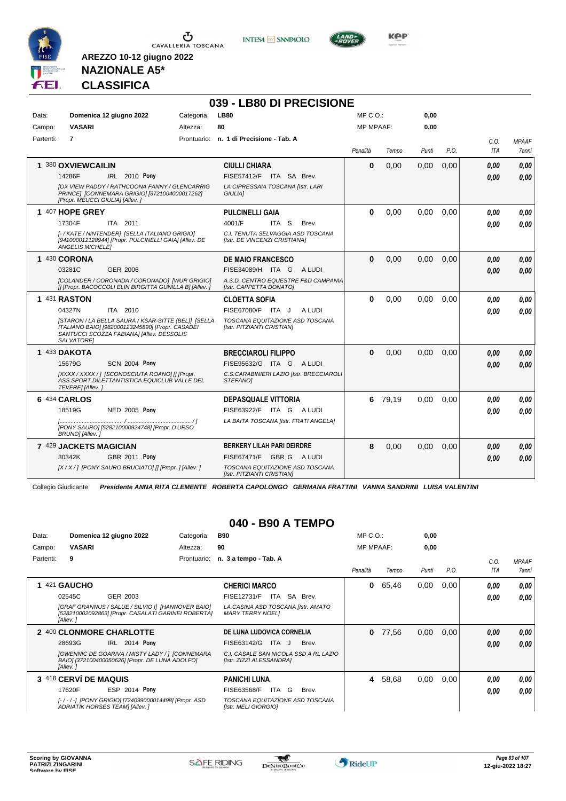

**INTESA** M SANPAOLO



**KPP** 

### **NAZIONALE A5\* CLASSIFICA**

**AREZZO 10-12 giugno 2022**

|           |                                                                                                                                                                                                          |            | 039 - LB80 DI PRECISIONE                                                                                                       |                  |         |       |      |                    |                              |
|-----------|----------------------------------------------------------------------------------------------------------------------------------------------------------------------------------------------------------|------------|--------------------------------------------------------------------------------------------------------------------------------|------------------|---------|-------|------|--------------------|------------------------------|
| Data:     | Domenica 12 giugno 2022                                                                                                                                                                                  | Categoria: | <b>LB80</b>                                                                                                                    | $MP C. O.$ :     |         | 0,00  |      |                    |                              |
| Campo:    | <b>VASARI</b>                                                                                                                                                                                            | Altezza:   | 80                                                                                                                             | <b>MP MPAAF:</b> |         | 0,00  |      |                    |                              |
| Partenti: | $\overline{7}$                                                                                                                                                                                           |            | Prontuario: n. 1 di Precisione - Tab. A                                                                                        | Penalità         | Tempo   | Punti | P.O. | C.O.<br><b>ITA</b> | <b>MPAAF</b><br><b>7anni</b> |
|           | 1 380 OXVIEWCAILIN<br>14286F<br>IRL 2010 Pony<br><b>JOX VIEW PADDY / RATHCOONA FANNY / GLENCARRIG</b><br>PRINCE] [CONNEMARA GRIGIO] [3721004000017262]<br>[Propr. MEUCCI GIULIA] [Allev.]                |            | <b>CIULLI CHIARA</b><br>FISE57412/F ITA SA Brev.<br>LA CIPRESSAIA TOSCANA [Istr. LARI<br><b>GIULIAI</b>                        | 0                | 0.00    | 0.00  | 0.00 | 0.00<br>0.00       | 0.00<br>0,00                 |
|           | 1 407 HOPE GREY<br>17304F<br>ITA 2011<br>[-/KATE/NINTENDER] [SELLA ITALIANO GRIGIO]<br>[941000012128944] [Propr. PULCINELLI GAIA] [Allev. DE<br><b>ANGELIS MICHELE!</b>                                  |            | <b>PULCINELLI GAIA</b><br>4001/F<br>ITA S<br>Brev.<br>C.I. TENUTA SELVAGGIA ASD TOSCANA<br>[Istr. DE VINCENZI CRISTIANA]       | $\bf{0}$         | 0,00    | 0.00  | 0.00 | 0.00<br>0.00       | 0.00<br>0.00                 |
|           | 1 430 CORONA<br>03281C<br><b>GER 2006</b><br>[COLANDER / CORONADA / CORONADO] [WUR GRIGIO]<br>[] [Propr. BACOCCOLI ELIN BIRGITTA GUNILLA B] [Allev.]                                                     |            | <b>DE MAIO FRANCESCO</b><br>FISE34089/H ITA G<br>A LUDI<br>A.S.D. CENTRO EQUESTRE F&D CAMPANIA<br>[Istr. CAPPETTA DONATO]      | 0                | 0,00    | 0.00  | 0.00 | 0.00<br>0.00       | 0.00<br>0.00                 |
|           | 1 431 RASTON<br>04327N<br>ITA 2010<br>[STARON / LA BELLA SAURA / KSAR-SITTE (BEL)] [SELLA<br>ITALIANO BAIO] [982000123245890] [Propr. CASADEI<br>SANTUCCI SCOZZA FABIANA] [Allev. DESSOLIS<br>SALVATORE1 |            | <b>CLOETTA SOFIA</b><br>FISE67080/F ITA J<br>A LUDI<br>TOSCANA EQUITAZIONE ASD TOSCANA<br>[Istr. PITZIANTI CRISTIAN]           | 0                | 0,00    | 0,00  | 0,00 | 0.00<br>0.00       | 0.00<br>0.00                 |
|           | 1 433 DAKOTA<br><b>SCN 2004 Pony</b><br>15679G<br>[XXXX / XXXX / ] [SCONOSCIUTA ROANO] [] [Propr.<br>ASS. SPORT. DILETTANTISTICA EQUICLUB VALLE DEL<br>TEVERE] [Allev.]                                  |            | <b>BRECCIAROLI FILIPPO</b><br>FISE95632/G ITA G ALUDI<br>C.S.CARABINIERI LAZIO [Istr. BRECCIAROLI<br>STEFANOI                  | $\mathbf{0}$     | 0.00    | 0.00  | 0.00 | 0.00<br>0.00       | 0.00<br>0.00                 |
|           | 6 434 CARLOS<br><b>NED 2005 Pony</b><br>18519G<br>[PONY SAURO] [528210000924748] [Propr. D'URSO<br>BRUNO] [Allev. ]                                                                                      |            | <b>DEPASQUALE VITTORIA</b><br>FISE63922/F ITA G ALUDI<br>LA BAITA TOSCANA [Istr. FRATI ANGELA]                                 |                  | 6 79,19 | 0.00  | 0.00 | 0.00<br>0.00       | 0.00<br>0.00                 |
|           | 7 429 JACKETS MAGICIAN<br>30342K<br><b>GBR 2011 Pony</b><br>[X / X / ] [PONY SAURO BRUCIATO] [] [Propr. ] [Allev. ]                                                                                      |            | <b>BERKERY LILAH PARI DEIRDRE</b><br>FISE67471/F GBR G A LUDI<br>TOSCANA EQUITAZIONE ASD TOSCANA<br>[Istr. PITZIANTI CRISTIAN] | 8                | 0,00    | 0.00  | 0,00 | 0.00<br>0.00       | 0.00<br>0.00                 |

Collegio Giudicante *Presidente ANNA RITA CLEMENTE ROBERTA CAPOLONGO GERMANA FRATTINI VANNA SANDRINI LUISA VALENTINI*

### **040 - B90 A TEMPO**

| Data:     | Domenica 12 giugno 2022                                                                                              | Categoria:  | <b>B90</b>                                                        | $MP C. O.$ :     |       | 0,00  |      |      |                     |
|-----------|----------------------------------------------------------------------------------------------------------------------|-------------|-------------------------------------------------------------------|------------------|-------|-------|------|------|---------------------|
| Campo:    | <b>VASARI</b>                                                                                                        | Altezza:    | 90                                                                | <b>MP MPAAF:</b> |       | 0,00  |      |      |                     |
| Partenti: | 9                                                                                                                    | Prontuario: | n. 3 a tempo - Tab. A                                             |                  |       |       |      | C.0. | <b>MPAAF</b>        |
|           |                                                                                                                      |             |                                                                   | Penalità         | Tempo | Punti | P.O. | ITA  | <i><b>7anni</b></i> |
|           | 421 GAUCHO                                                                                                           |             | <b>CHERICI MARCO</b>                                              | 0                | 65,46 | 0,00  | 0,00 | 0,00 | 0.00                |
|           | GER 2003<br>02545C                                                                                                   |             | SA<br>FISE12731/F<br>ITA I<br>Brev.                               |                  |       |       |      | 0,00 | 0.00                |
|           | [GRAF GRANNUS / SALUE / SILVIO I] [HANNOVER BAIO]<br>[528210002092863] [Propr. CASALATI GARINEI ROBERTA]<br>[Allev.] |             | LA CASINA ASD TOSCANA [Istr. AMATO<br><b>MARY TERRY NOELI</b>     |                  |       |       |      |      |                     |
|           | 2 400 CLONMORE CHARLOTTE                                                                                             |             | DE LUNA LUDOVICA CORNELIA                                         | 0                | 77.56 | 0,00  | 0,00 | 0,00 | 0,00                |
|           | IRL 2014 Pony<br>28693G                                                                                              |             | FISE63142/G<br>ITA J<br>Brev.                                     |                  |       |       |      | 0,00 | 0.00                |
|           | [GWENNIC DE GOARIVA / MISTY LADY / ] [CONNEMARA<br>BAIO] [372100400050626] [Propr. DE LUNA ADOLFO]<br>[Allev.]       |             | C.I. CASALE SAN NICOLA SSD A RL LAZIO<br>[Istr. ZIZZI ALESSANDRA] |                  |       |       |      |      |                     |
|           | 3 418 CERVÍ DE MAQUIS                                                                                                |             | <b>PANICHI LUNA</b>                                               | 4                | 58,68 | 0,00  | 0,00 | 0,00 | 0.00                |
|           | ESP 2014 Pony<br>17620F                                                                                              |             | ITA<br>G<br>FISE63568/F<br>Brev.                                  |                  |       |       |      | 0,00 | 0.00                |
|           | [-/-/-] [PONY GRIGIO] [724099000014498] [Propr. ASD<br>ADRIATIK HORSES TEAM] [Allev.]                                |             | TOSCANA EQUITAZIONE ASD TOSCANA<br>[Istr. MELI GIORGIO]           |                  |       |       |      |      |                     |

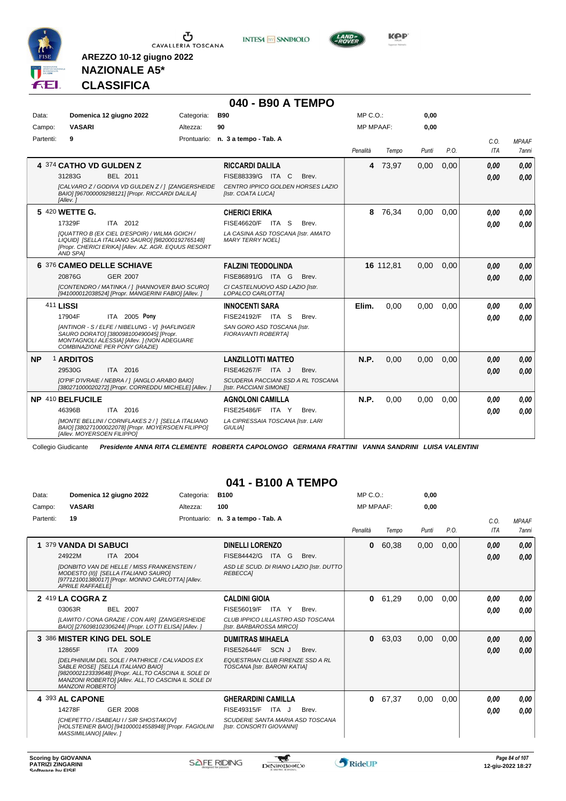





**NAZIONALE A5\* CLASSIFICA**

**AREZZO 10-12 giugno 2022**

### **040 - B90 A TEMPO**

| Data:     | Domenica 12 giugno 2022                                                                                                                                                   | Categoria: | <b>B90</b>                                                    | $MP C. O.$ :     |           | 0.00  |      |      |              |
|-----------|---------------------------------------------------------------------------------------------------------------------------------------------------------------------------|------------|---------------------------------------------------------------|------------------|-----------|-------|------|------|--------------|
| Campo:    | <b>VASARI</b>                                                                                                                                                             | Altezza:   | 90                                                            | <b>MP MPAAF:</b> |           | 0,00  |      |      |              |
| Partenti: | 9                                                                                                                                                                         |            | Prontuario: n. 3 a tempo - Tab. A                             |                  |           |       |      | C.O. | <b>MPAAF</b> |
|           |                                                                                                                                                                           |            |                                                               | Penalità         | Tempo     | Punti | P.O. | ITA  | 7anni        |
|           | 4 374 CATHO VD GULDEN Z                                                                                                                                                   |            | <b>RICCARDI DALILA</b>                                        | 4                | 73,97     | 0,00  | 0,00 | 0.00 | 0.00         |
|           | 31283G<br>BEL 2011                                                                                                                                                        |            | FISE88339/G ITA C<br>Brev.                                    |                  |           |       |      | 0,00 | 0,00         |
|           | [CALVARO Z / GODIVA VD GULDEN Z / 1 [ZANGERSHEIDE<br>BAIO] [967000009298121] [Propr. RICCARDI DALILA]<br>[Allev.]                                                         |            | CENTRO IPPICO GOLDEN HORSES LAZIO<br>[Istr. COATA LUCA]       |                  |           |       |      |      |              |
|           | 5 420 WETTE G.                                                                                                                                                            |            | <b>CHERICI ERIKA</b>                                          | 8                | 76,34     | 0.00  | 0.00 | 0,00 | 0.00         |
|           | ITA 2012<br>17329F                                                                                                                                                        |            | FISE46620/F ITA S<br>Brev.                                    |                  |           |       |      | 0.00 | 0.00         |
|           | [QUATTRO B (EX CIEL D'ESPOIR) / WILMA GOICH /<br>LIQUIDI [SELLA ITALIANO SAURO] [982000192765148]<br>[Propr. CHERICI ERIKA] [Allev. AZ. AGR. EQUUS RESORT<br>AND SPAI     |            | LA CASINA ASD TOSCANA [Istr. AMATO<br><b>MARY TERRY NOELI</b> |                  |           |       |      |      |              |
|           | 6 376 CAMEO DELLE SCHIAVE                                                                                                                                                 |            | <b>FALZINI TEODOLINDA</b>                                     |                  | 16 112,81 | 0.00  | 0.00 | 0,00 | 0,00         |
|           | <b>GER 2007</b><br>20876G                                                                                                                                                 |            | FISE86891/G ITA G<br>Brev.                                    |                  |           |       |      | 0,00 | 0,00         |
|           | [CONTENDRO / MATINKA / ] [HANNOVER BAIO SCURO]<br>[941000012038524] [Propr. MANGERINI FABIO] [Allev. ]                                                                    |            | CI CASTELNUOVO ASD LAZIO [Istr.<br>LOPALCO CARLOTTA]          |                  |           |       |      |      |              |
|           | 411 LISSI                                                                                                                                                                 |            | <b>INNOCENTI SARA</b>                                         | Elim.            | 0.00      | 0.00  | 0.00 | 0.00 | 0.00         |
|           | ITA 2005 Pony<br>17904F                                                                                                                                                   |            | FISE24192/F ITA S<br>Brev.                                    |                  |           |       |      | 0.00 | 0.00         |
|           | [ANTINOR - S / ELFE / NIBELUNG - V] [HAFLINGER<br>SAURO DORATO] [380098100490045] [Propr.<br>MONTAGNOLI ALESSIA] [Allev. ] (NON ADEGUARE<br>COMBINAZIONE PER PONY GRAZIE) |            | SAN GORO ASD TOSCANA [Istr.<br><b>FIORAVANTI ROBERTAI</b>     |                  |           |       |      |      |              |
| <b>NP</b> | 1 ARDITOS                                                                                                                                                                 |            | <b>LANZILLOTTI MATTEO</b>                                     | N.P.             | 0,00      | 0,00  | 0.00 | 0.00 | 0,00         |
|           | ITA 2016<br>29530G                                                                                                                                                        |            | FISE46267/F ITA J<br>Brev.                                    |                  |           |       |      | 0.00 | 0,00         |
|           | [O'PIF D'IVRAIE / NEBRA / ] [ANGLO ARABO BAIO]<br>[380271000020272] [Propr. CORREDDU MICHELE] [Allev. ]                                                                   |            | SCUDERIA PACCIANI SSD A RL TOSCANA<br>[Istr. PACCIANI SIMONE] |                  |           |       |      |      |              |
|           | NP 410 BELFUCILE                                                                                                                                                          |            | <b>AGNOLONI CAMILLA</b>                                       | N.P.             | 0,00      | 0,00  | 0,00 | 0,00 | 0.00         |
|           | 46396B<br>ITA 2016                                                                                                                                                        |            | FISE25486/F ITA Y<br>Brev.                                    |                  |           |       |      | 0,00 | 0.00         |
|           | [MONTE BELLINI / CORNFLAKES 2 / 1 [SELLA ITALIANO<br>BAIO] [380271000022078] [Propr. MOYERSOEN FILIPPO]<br>[Allev. MOYERSOEN FILIPPO]                                     |            | LA CIPRESSAIA TOSCANA [Istr. LARI<br><b>GIULIA1</b>           |                  |           |       |      |      |              |

Collegio Giudicante *Presidente ANNA RITA CLEMENTE ROBERTA CAPOLONGO GERMANA FRATTINI VANNA SANDRINI LUISA VALENTINI*

### **041 - B100 A TEMPO**

| Data:<br>Campo: | Domenica 12 giugno 2022<br><b>VASARI</b>                                                                                                                                                                                                                                                 | Categoria:<br>Altezza: | <b>B100</b><br>100                                                                                                                  | MP C. O.<br><b>MP MPAAF:</b> |       | 0,00<br>0,00 |      |              |                       |
|-----------------|------------------------------------------------------------------------------------------------------------------------------------------------------------------------------------------------------------------------------------------------------------------------------------------|------------------------|-------------------------------------------------------------------------------------------------------------------------------------|------------------------------|-------|--------------|------|--------------|-----------------------|
| Partenti:       | 19                                                                                                                                                                                                                                                                                       | Prontuario:            | n. 3 a tempo - Tab. A                                                                                                               | Penalità                     | Tempo | Punti        | P.O. | C.O.<br>ITA  | <b>MPAAF</b><br>7anni |
| 1               | 379 VANDA DI SABUCI<br>24922M<br>ITA 2004<br><b>IDONBITO VAN DE HELLE / MISS FRANKENSTEIN /</b><br>MODESTO (II)] [SELLA ITALIANO SAURO]<br>[977121001380017] [Propr. MONNO CARLOTTA] [Allev.<br><b>APRILE RAFFAELEI</b>                                                                  |                        | <b>DINELLI LORENZO</b><br>FISE84442/G ITA G<br>Brev.<br>ASD LE SCUD. DI RIANO LAZIO [Istr. DUTTO<br>REBECCA1                        | $\bf{0}$                     | 60,38 | 0,00         | 0,00 | 0,00<br>0.00 | 0,00<br>0,00          |
|                 | $2\;419$ LA COGRA Z<br>03063R<br><b>BEL 2007</b><br>[LAWITO / CONA GRAZIE / CON AIR] [ZANGERSHEIDE<br>BAIO] [276098102306244] [Propr. LOTTI ELISA] [Allev.]                                                                                                                              |                        | <b>CALDINI GIOIA</b><br>FISE56019/F ITA Y<br>Brev.<br>CLUB IPPICO LILLASTRO ASD TOSCANA<br>[Istr. BARBAROSSA MIRCO]                 | 0                            | 61,29 | 0.00         | 0,00 | 0.00<br>0.00 | 0,00<br>0,00          |
|                 | 3 386 MISTER KING DEL SOLE<br>12865F<br>ITA 2009<br><b>IDELPHINIUM DEL SOLE / PATHRICE / CALVADOS EX</b><br>SABLE ROSE] [SELLA ITALIANO BAIO]<br>[9820002123339648] [Propr. ALL, TO CASCINA IL SOLE DI<br>MANZONI ROBERTO] [Allev. ALL, TO CASCINA IL SOLE DI<br><b>MANZONI ROBERTOI</b> |                        | <b>DUMITRAS MIHAELA</b><br>SCN J<br><b>FISE52644/F</b><br>Brev.<br>EQUESTRIAN CLUB FIRENZE SSD A RL<br>TOSCANA [Istr. BARONI KATIA] | $\bf{0}$                     | 63,03 | 0,00         | 0,00 | 0,00<br>0,00 | 0,00<br>0.00          |
|                 | 4 393 AL CAPONE<br>14278F<br><b>GER 2008</b><br>[CHEPETTO / ISABEAU I / SIR SHOSTAKOV]<br>[HOLSTEINER BAIO] [941000014558948] [Propr. FAGIOLINI<br>MASSIMILIANO] [Allev.]                                                                                                                |                        | <b>GHERARDINI CAMILLA</b><br>FISE49315/F<br>ITA J<br>Brev.<br>SCUDERIE SANTA MARIA ASD TOSCANA<br>[Istr. CONSORTI GIOVANNI]         | $\mathbf{0}$                 | 67,37 | 0.00         | 0,00 | 0.00<br>0.00 | 0,00<br>0.00          |

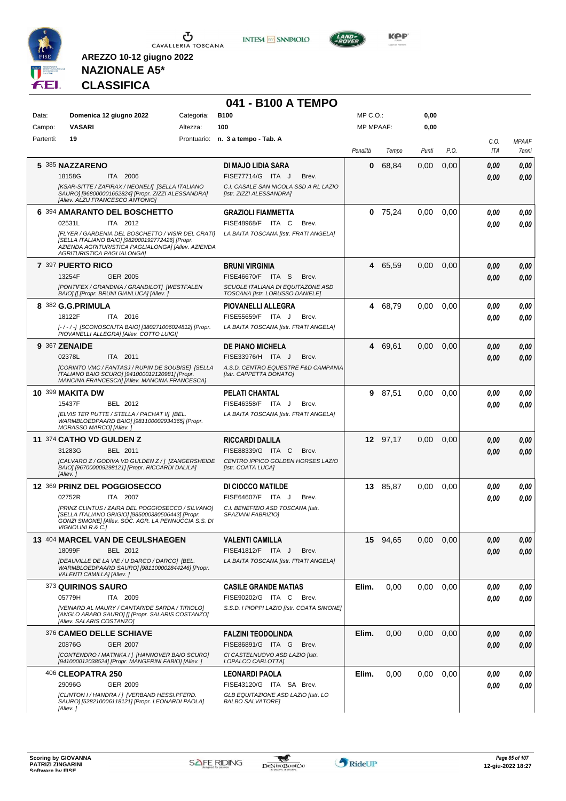

**INTESA M** SANPAOLO



**KOP** 

# **NAZIONALE A5\* CLASSIFICA**

|           |                            |                                                                                                                                                                |            | 041 - B100 A TEMPO                                                   |                  |           |       |      |              |                       |
|-----------|----------------------------|----------------------------------------------------------------------------------------------------------------------------------------------------------------|------------|----------------------------------------------------------------------|------------------|-----------|-------|------|--------------|-----------------------|
| Data:     |                            | Domenica 12 giugno 2022                                                                                                                                        | Categoria: | <b>B100</b>                                                          | MP C.O.:         |           | 0,00  |      |              |                       |
| Campo:    | <b>VASARI</b>              |                                                                                                                                                                | Altezza:   | 100                                                                  | <b>MP MPAAF:</b> |           | 0,00  |      |              |                       |
| Partenti: | 19                         |                                                                                                                                                                |            | Prontuario: n. 3 a tempo - Tab. A                                    | Penalità         | Tempo     | Punti | P.O. | C.O.<br>ITA  | <b>MPAAF</b><br>7anni |
|           | 5 385 NAZZARENO            |                                                                                                                                                                |            | DI MAJO LIDIA SARA                                                   | 0                | 68,84     | 0,00  | 0,00 | 0,00         | 0,00                  |
|           | 18158G                     | ITA 2006                                                                                                                                                       |            | FISE77714/G ITA J<br>Brev.                                           |                  |           |       |      | 0,00         | 0,00                  |
|           |                            | [KSAR-SITTE / ZAFIRAX / NEONELI] [SELLA ITALIANO<br>SAURO] [968000001652824] [Propr. ZIZZI ALESSANDRA]<br>[Allev. ALZU FRANCESCO ANTONIO]                      |            | C.I. CASALE SAN NICOLA SSD A RL LAZIO<br>[Istr. ZIZZI ALESSANDRA]    |                  |           |       |      |              |                       |
|           | 02531L                     | 6 394 AMARANTO DEL BOSCHETTO<br>ITA 2012                                                                                                                       |            | <b>GRAZIOLI FIAMMETTA</b><br><b>FISE48968/F</b><br>ITA C<br>Brev.    |                  | $0$ 75,24 | 0,00  | 0,00 | 0,00<br>0.00 | 0,00<br>0.00          |
|           | AGRITURISTICA PAGLIALONGA] | [FLYER / GARDENIA DEL BOSCHETTO / VISIR DEL CRATI]<br>[SELLA ITALIANO BAIO] [982000192772426] [Propr.<br>AZIENDA AGRITURISTICA PAGLIALONGA] [Allev. AZIENDA    |            | LA BAITA TOSCANA [Istr. FRATI ANGELA]                                |                  |           |       |      |              |                       |
|           | 7 397 PUERTO RICO          |                                                                                                                                                                |            | <b>BRUNI VIRGINIA</b>                                                |                  | 4 65,59   | 0.00  | 0,00 | 0,00         | 0,00                  |
|           | 13254F                     | <b>GER 2005</b>                                                                                                                                                |            | <b>FISE46670/F ITA S</b><br>Brev.                                    |                  |           |       |      | 0,00         | 0,00                  |
|           |                            | [PONTIFEX / GRANDINA / GRANDILOT] [WESTFALEN<br>BAIO] [] [Propr. BRUNI GIANLUCA] [Allev. ]                                                                     |            | SCUOLE ITALIANA DI EQUITAZONE ASD<br>TOSCANA [Istr. LORUSSO DANIELE] |                  |           |       |      |              |                       |
|           | 8 382 G.G.PRIMULA          |                                                                                                                                                                |            | <b>PIOVANELLI ALLEGRA</b>                                            |                  | 4 68,79   | 0.00  | 0,00 | 0,00         | 0,00                  |
|           | 18122F                     | ITA 2016                                                                                                                                                       |            | FISE55659/F ITA J<br>Brev.                                           |                  |           |       |      | 0,00         | 0.00                  |
|           |                            | [-/-/-] [SCONOSCIUTA BAIO] [380271006024812] [Propr.<br>PIOVANELLI ALLEGRA] [Allev. COTTO LUIGI]                                                               |            | LA BAITA TOSCANA [Istr. FRATI ANGELA]                                |                  |           |       |      |              |                       |
|           | 9 367 ZENAIDE              |                                                                                                                                                                |            | <b>DE PIANO MICHELA</b>                                              |                  | 4 69,61   | 0,00  | 0,00 | 0,00         | 0,00                  |
|           | 02378L                     | ITA 2011                                                                                                                                                       |            | FISE33976/H ITA J<br>Brev.                                           |                  |           |       |      | 0,00         | 0.00                  |
|           |                            | [CORINTO VMC / FANTASJ / RUPIN DE SOUBISE] [SELLA<br>ITALIANO BAIO SCURO] [941000012120981] [Propr.<br>MANCINA FRANCESCA] [Allev. MANCINA FRANCESCA]           |            | A.S.D. CENTRO EQUESTRE F&D CAMPANIA<br>[Istr. CAPPETTA DONATO]       |                  |           |       |      |              |                       |
|           | <b>10 399 MAKITA DW</b>    |                                                                                                                                                                |            | <b>PELATI CHANTAL</b>                                                | 9                | 87,51     | 0,00  | 0,00 | 0,00         | 0,00                  |
|           | 15437F                     | BEL 2012                                                                                                                                                       |            | FISE46358/F ITA J<br>Brev.                                           |                  |           |       |      | 0.00         | 0.00                  |
|           | MORASSO MARCO] [Allev.]    | [ELVIS TER PUTTE / STELLA / PACHAT II] [BEL.<br>WARMBLOEDPAARD BAIO] [981100002934365] [Propr.                                                                 |            | LA BAITA TOSCANA [Istr. FRATI ANGELA]                                |                  |           |       |      |              |                       |
|           | 11 374 CATHO VD GULDEN Z   |                                                                                                                                                                |            | <b>RICCARDI DALILA</b>                                               |                  | 12 97,17  | 0,00  | 0,00 | 0,00         | 0,00                  |
|           | 31283G                     | BEL 2011                                                                                                                                                       |            | FISE88339/G ITA C<br>Brev.                                           |                  |           |       |      | 0,00         | 0.00                  |
|           | [Allev.]                   | [CALVARO Z / GODIVA VD GULDEN Z / ] [ZANGERSHEIDE<br>BAIO] [967000009298121] [Propr. RICCARDI DALILA]                                                          |            | CENTRO IPPICO GOLDEN HORSES LAZIO<br>[Istr. COATA LUCA]              |                  |           |       |      |              |                       |
|           |                            | 12 369 PRINZ DEL POGGIOSECCO                                                                                                                                   |            | <b>DI CIOCCO MATILDE</b>                                             |                  | 13 85,87  | 0.00  | 0,00 | 0.00         | 0,00                  |
|           | 02752R                     | ITA 2007                                                                                                                                                       |            | FISE64607/F ITA J<br>Brev.                                           |                  |           |       |      | 0,00         | 0.00                  |
|           | VIGNOLINI R.& C.]          | [PRINZ CLINTUS / ZAIRA DEL POGGIOSECCO / SILVANO]<br>[SELLA ITALIANO GRIGIO] [985000380506443] [Propr.<br>GONZI SIMONE] [Allev. SOC. AGR. LA PENNUCCIA S.S. DI |            | C.I. BENEFIZIO ASD TOSCANA [Istr.<br>SPAZIANI FABRIZIO]              |                  |           |       |      |              |                       |
|           |                            | 13 404 MARCEL VAN DE CEULSHAEGEN                                                                                                                               |            | <b>VALENTI CAMILLA</b>                                               |                  | 15 94,65  | 0,00  | 0,00 | 0,00         | 0,00                  |
|           | 18099F                     | BEL 2012                                                                                                                                                       |            | FISE41812/F ITA J<br>Brev.                                           |                  |           |       |      | 0,00         | 0,00                  |
|           | VALENTI CAMILLA] [Allev. ] | [DEAUVILLE DE LA VIE / U DARCO / DARCO] [BEL.<br>WARMBLOEDPAARD SAURO] [981100002844246] [Propr.                                                               |            | LA BAITA TOSCANA [Istr. FRATI ANGELA]                                |                  |           |       |      |              |                       |
|           | 373 QUIRINOS SAURO         |                                                                                                                                                                |            | <b>CASILE GRANDE MATIAS</b>                                          | Elim.            | 0,00      | 0,00  | 0,00 | 0,00         | 0,00                  |
|           | 05779H                     | ITA 2009                                                                                                                                                       |            | FISE90202/G ITA C<br>Brev.                                           |                  |           |       |      | 0,00         | 0.00                  |
|           | [Allev. SALARIS COSTANZO]  | [VEINARD AL MAURY / CANTARIDE SARDA / TIRIOLO]<br>[ANGLO ARABO SAURO] [] [Propr. SALARIS COSTANZO]                                                             |            | S.S.D. I PIOPPI LAZIO [Istr. COATA SIMONE]                           |                  |           |       |      |              |                       |
|           | 376 CAMEO DELLE SCHIAVE    |                                                                                                                                                                |            | <b>FALZINI TEODOLINDA</b>                                            | Elim.            | 0,00      | 0,00  | 0,00 | 0,00         | 0,00                  |
|           | 20876G                     | <b>GER 2007</b>                                                                                                                                                |            | FISE86891/G ITA G<br>Brev.                                           |                  |           |       |      | 0,00         | 0,00                  |
|           |                            | [CONTENDRO / MATINKA / ] [HANNOVER BAIO SCURO]<br>[941000012038524] [Propr. MANGERINI FABIO] [Allev.]                                                          |            | CI CASTELNUOVO ASD LAZIO [Istr.<br>LOPALCO CARLOTTA]                 |                  |           |       |      |              |                       |
|           | 406 CLEOPATRA 250          |                                                                                                                                                                |            | <b>LEONARDI PAOLA</b>                                                | Elim.            | 0,00      | 0.00  | 0,00 | 0,00         | 0,00                  |
|           | 29096G                     | GER 2009                                                                                                                                                       |            | FISE43120/G ITA SA Brev.                                             |                  |           |       |      | 0,00         | 0,00                  |
|           | [Allev.]                   | [CLINTON I / HANDRA / ] [VERBAND HESSI.PFERD.<br>SAURO] [528210006118121] [Propr. LEONARDI PAOLA]                                                              |            | GLB EQUITAZIONE ASD LAZIO [Istr. LO<br><b>BALBO SALVATORE]</b>       |                  |           |       |      |              |                       |

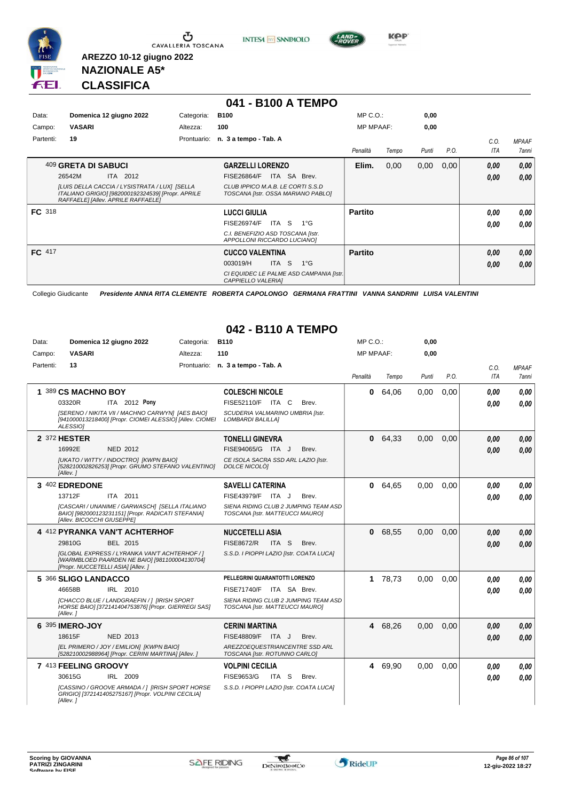

**INTESA** M SANPAOLO



**Kep** 

# **NAZIONALE A5\* CLASSIFICA**

**AREZZO 10-12 giugno 2022**

|               |                                                                                                                                          |             | 041 - B100 A TEMPO                                                      |                  |       |       |      |      |              |
|---------------|------------------------------------------------------------------------------------------------------------------------------------------|-------------|-------------------------------------------------------------------------|------------------|-------|-------|------|------|--------------|
| Data:         | Domenica 12 giugno 2022                                                                                                                  | Categoria:  | <b>B100</b>                                                             | $MP C. O.$ :     |       | 0,00  |      |      |              |
| Campo:        | <b>VASARI</b>                                                                                                                            | Altezza:    | 100                                                                     | <b>MP MPAAF:</b> |       | 0,00  |      |      |              |
| Partenti:     | 19                                                                                                                                       | Prontuario: | n. 3 a tempo - Tab. A                                                   |                  |       |       |      | C.O. | <b>MPAAF</b> |
|               |                                                                                                                                          |             |                                                                         | Penalità         | Tempo | Punti | P.O. | ITA  | <b>7anni</b> |
|               | 409 GRETA DI SABUCI                                                                                                                      |             | <b>GARZELLI LORENZO</b>                                                 | Elim.            | 0,00  | 0,00  | 0,00 | 0,00 | 0,00         |
|               | ITA 2012<br>26542M                                                                                                                       |             | ITA SA Brev.<br><b>FISE26864/F</b>                                      |                  |       |       |      | 0,00 | 0,00         |
|               | ILUIS DELLA CACCIA / LYSISTRATA / LUXI [SELLA<br>ITALIANO GRIGIOI [982000192324539] [Propr. APRILE<br>RAFFAELE] [Allev. APRILE RAFFAELE] |             | CLUB IPPICO M.A.B. LE CORTI S.S.D<br>TOSCANA [Istr. OSSA MARIANO PABLO] |                  |       |       |      |      |              |
| <b>FC</b> 318 |                                                                                                                                          |             | <b>LUCCI GIULIA</b>                                                     | <b>Partito</b>   |       |       |      | 0.00 | 0,00         |
|               |                                                                                                                                          |             | ITA S<br><b>FISE26974/F</b><br>$1^{\circ}$ G                            |                  |       |       |      | 0.00 | 0.00         |
|               |                                                                                                                                          |             | C.I. BENEFIZIO ASD TOSCANA [Istr.<br>APPOLLONI RICCARDO LUCIANO]        |                  |       |       |      |      |              |
| FC 417        |                                                                                                                                          |             | <b>CUCCO VALENTINA</b>                                                  | <b>Partito</b>   |       |       |      | 0,00 | 0,00         |
|               |                                                                                                                                          |             | <b>ITA</b><br>S<br>$1^{\circ}$ G<br>003019/H                            |                  |       |       |      | 0,00 | 0,00         |
|               |                                                                                                                                          |             | CI EQUIDEC LE PALME ASD CAMPANIA [Istr.<br>CAPPIELLO VALERIAI           |                  |       |       |      |      |              |

Collegio Giudicante *Presidente ANNA RITA CLEMENTE ROBERTA CAPOLONGO GERMANA FRATTINI VANNA SANDRINI LUISA VALENTINI*

### **042 - B110 A TEMPO**

| Data:     | Domenica 12 giugno 2022                                                                                                             | Categoria: | <b>B110</b>                                                             | MP C. O.         |         | 0,00  |      |      |              |
|-----------|-------------------------------------------------------------------------------------------------------------------------------------|------------|-------------------------------------------------------------------------|------------------|---------|-------|------|------|--------------|
| Campo:    | <b>VASARI</b>                                                                                                                       | Altezza:   | 110                                                                     | <b>MP MPAAF:</b> |         | 0,00  |      |      |              |
| Partenti: | 13                                                                                                                                  |            | Prontuario: n. 3 a tempo - Tab. A                                       |                  |         |       |      | C.O. | <b>MPAAF</b> |
|           |                                                                                                                                     |            |                                                                         | Penalità         | Tempo   | Punti | P.O. | ITA  | 7anni        |
|           | 1 389 CS MACHNO BOY                                                                                                                 |            | <b>COLESCHI NICOLE</b>                                                  | $\mathbf{0}$     | 64.06   | 0.00  | 0.00 | 0.00 | 0.00         |
|           | ITA 2012 Pony<br>03320R                                                                                                             |            | FISE52110/F ITA C<br>Brev.                                              |                  |         |       |      | 0.00 | 0.00         |
|           | [SERENO / NIKITA VII / MACHNO CARWYN] [AES BAIO]<br>[941000013218400] [Propr. CIOMEI ALESSIO] [Allev. CIOMEI<br>ALESSIO1            |            | SCUDERIA VALMARINO UMBRIA [Istr.<br>LOMBARDI BALILLA]                   |                  |         |       |      |      |              |
|           | 2 372 HESTER                                                                                                                        |            | <b>TONELLI GINEVRA</b>                                                  | $\mathbf{0}$     | 64.33   | 0.00  | 0.00 | 0.00 | 0,00         |
|           | 16992E<br><b>NED 2012</b>                                                                                                           |            | FISE94065/G ITA J<br>Brev.                                              |                  |         |       |      | 0.00 | 0.00         |
|           | [UKATO / WITTY / INDOCTRO] [KWPN BAIO]<br>[528210002826253] [Propr. GRUMO STEFANO VALENTINO]<br>[Allev.]                            |            | CE ISOLA SACRA SSD ARL LAZIO [Istr.<br>DOLCE NICOLOI                    |                  |         |       |      |      |              |
|           | 3 402 EDREDONE                                                                                                                      |            | <b>SAVELLI CATERINA</b>                                                 |                  | 0 64,65 | 0.00  | 0.00 | 0.00 | 0.00         |
|           | 13712F<br>ITA 2011                                                                                                                  |            | FISE43979/F ITA J<br>Brev.                                              |                  |         |       |      | 0.00 | 0.00         |
|           | [CASCARI / UNANIME / GARWASCH] [SELLA ITALIANO<br>BAIO] [982000123231151] [Propr. RADICATI STEFANIA]<br>[Allev. BICOCCHI GIUSEPPE]  |            | SIENA RIDING CLUB 2 JUMPING TEAM ASD<br>TOSCANA [Istr. MATTEUCCI MAURO] |                  |         |       |      |      |              |
|           | 4 412 PYRANKA VAN'T ACHTERHOF                                                                                                       |            | <b>NUCCETELLI ASIA</b>                                                  | $\mathbf{0}$     | 68,55   | 0.00  | 0.00 | 0.00 | 0.00         |
|           | 29810G<br>BEL 2015                                                                                                                  |            | <b>FISE8672/R</b><br>ITA S<br>Brev.                                     |                  |         |       |      | 0.00 | 0.00         |
|           | [GLOBAL EXPRESS / LYRANKA VAN'T ACHTERHOF / ]<br>[WARMBLOED PAARDEN NE BAIO] [981100004130704]<br>[Propr. NUCCETELLI ASIA] [Allev.] |            | S.S.D. I PIOPPI LAZIO [Istr. COATA LUCA]                                |                  |         |       |      |      |              |
|           | 5 366 SLIGO LANDACCO                                                                                                                |            | PELLEGRINI QUARANTOTTI LORENZO                                          |                  | 1 78,73 | 0.00  | 0.00 | 0.00 | 0.00         |
|           | 46658B<br>IRL 2010                                                                                                                  |            | FISE71740/F ITA SA Brev.                                                |                  |         |       |      | 0.00 | 0.00         |
|           | [CHACCO BLUE / LANDGRAEFIN / 1 [IRISH SPORT<br>HORSE BAIO] [372141404753876] [Propr. GIERREGI SAS]<br>[Allev.]                      |            | SIENA RIDING CLUB 2 JUMPING TEAM ASD<br>TOSCANA [Istr. MATTEUCCI MAURO] |                  |         |       |      |      |              |
|           | 6 395 IMERO-JOY                                                                                                                     |            | <b>CERINI MARTINA</b>                                                   | 4                | 68,26   | 0,00  | 0.00 | 0,00 | 0,00         |
|           | NED 2013<br>18615F                                                                                                                  |            | FISE48809/F ITA J<br>Brev.                                              |                  |         |       |      | 0,00 | 0.00         |
|           | [EL PRIMERO / JOY / EMILION] [KWPN BAIO]<br>[528210002988964] [Propr. CERINI MARTINA] [Allev. ]                                     |            | AREZZOEQUESTRIANCENTRE SSD ARL<br>TOSCANA [Istr. ROTUNNO CARLO]         |                  |         |       |      |      |              |
|           | 7 413 FEELING GROOVY                                                                                                                |            | <b>VOLPINI CECILIA</b>                                                  |                  | 4 69,90 | 0,00  | 0.00 | 0,00 | 0,00         |
|           | 30615G<br>IRL 2009                                                                                                                  |            | FISE9653/G<br>ITA S<br>Brev.                                            |                  |         |       |      | 0.00 | 0.00         |
|           | [CASSINO / GROOVE ARMADA / ] [IRISH SPORT HORSE<br>GRIGIO] [372141405275167] [Propr. VOLPINI CECILIA]<br>[Allev. ]                  |            | S.S.D. I PIOPPI LAZIO [Istr. COATA LUCA]                                |                  |         |       |      |      |              |

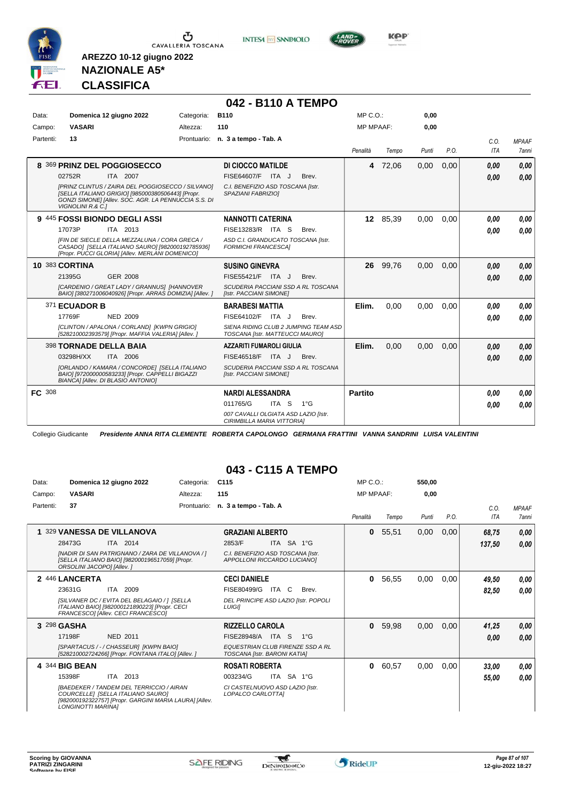

**INTESA** M SANPAOLO



**NAZIONALE A5\* CLASSIFICA**

**AREZZO 10-12 giugno 2022**

|               |                                                                                                                                                                                     |            | 042 - B110 A TEMPO                                                      |                  |          |       |      |             |                              |
|---------------|-------------------------------------------------------------------------------------------------------------------------------------------------------------------------------------|------------|-------------------------------------------------------------------------|------------------|----------|-------|------|-------------|------------------------------|
| Data:         | Domenica 12 giugno 2022                                                                                                                                                             | Categoria: | <b>B110</b>                                                             | $MP C. O.$ :     |          | 0.00  |      |             |                              |
| Campo:        | <b>VASARI</b>                                                                                                                                                                       | Altezza:   | 110                                                                     | <b>MP MPAAF:</b> |          | 0.00  |      |             |                              |
| Partenti:     | 13                                                                                                                                                                                  |            | Prontuario: n. 3 a tempo - Tab. A                                       | Penalità         | Tempo    | Punti | P.O. | C.0.<br>ITA | <b>MPAAF</b><br><b>7anni</b> |
|               | 8 369 PRINZ DEL POGGIOSECCO                                                                                                                                                         |            | DI CIOCCO MATILDE                                                       |                  | 4 72,06  | 0,00  | 0,00 | 0,00        | 0,00                         |
|               | 02752R<br>ITA 2007                                                                                                                                                                  |            | FISE64607/F ITA J<br>Brev.                                              |                  |          |       |      | 0,00        | 0.00                         |
|               | [PRINZ CLINTUS / ZAIRA DEL POGGIOSECCO / SILVANO]<br>[SELLA ITALIANO GRIGIO] [985000380506443] [Propr.<br>GONZI SIMONE] [Allev. SOC. AGR. LA PENNUCCIA S.S. DI<br>VIGNOLINI R.& C.1 |            | C.I. BENEFIZIO ASD TOSCANA [Istr.<br>SPAZIANI FABRIZIOI                 |                  |          |       |      |             |                              |
|               | 9 445 FOSSI BIONDO DEGLI ASSI                                                                                                                                                       |            | <b>NANNOTTI CATERINA</b>                                                |                  | 12 85,39 | 0.00  | 0,00 | 0.00        | 0,00                         |
|               | 17073P<br>ITA 2013                                                                                                                                                                  |            | FISE13283/R ITA S<br>Brev.                                              |                  |          |       |      | 0,00        | 0.00                         |
|               | IFIN DE SIECLE DELLA MEZZALUNA / CORA GRECA /<br>CASADO] [SELLA ITALIANO SAURO] [982000192785936]<br>[Propr. PUCCI GLORIA] [Allev. MERLANI DOMENICO]                                |            | ASD C.I. GRANDUCATO TOSCANA [Istr.<br><b>FORMICHI FRANCESCAI</b>        |                  |          |       |      |             |                              |
|               | <b>10 383 CORTINA</b>                                                                                                                                                               |            | <b>SUSINO GINEVRA</b>                                                   | 26               | 99,76    | 0,00  | 0,00 | 0.00        | 0.00                         |
|               | 21395G<br><b>GER 2008</b>                                                                                                                                                           |            | FISE55421/F ITA J<br>Brev.                                              |                  |          |       |      | 0.00        | 0.00                         |
|               | [CARDENIO / GREAT LADY / GRANNUS] [HANNOVER<br>BAIO] [380271006040926] [Propr. ARRAS DOMIZIA] [Allev. ]                                                                             |            | SCUDERIA PACCIANI SSD A RL TOSCANA<br>[Istr. PACCIANI SIMONE]           |                  |          |       |      |             |                              |
|               | 371 ECUADOR B                                                                                                                                                                       |            | <b>BARABESI MATTIA</b>                                                  | Elim.            | 0.00     | 0.00  | 0.00 | 0.00        | 0.00                         |
|               | NED 2009<br>17769F                                                                                                                                                                  |            | FISE64102/F ITA J<br>Brev.                                              |                  |          |       |      | 0.00        | 0.00                         |
|               | [CLINTON / APALONA / CORLAND] [KWPN GRIGIO]<br>[528210002393579] [Propr. MAFFIA VALERIA] [Allev.]                                                                                   |            | SIENA RIDING CLUB 2 JUMPING TEAM ASD<br>TOSCANA [Istr. MATTEUCCI MAURO] |                  |          |       |      |             |                              |
|               | <b>398 TORNADE DELLA BAIA</b>                                                                                                                                                       |            | <b>AZZARITI FUMAROLI GIULIA</b>                                         | Elim.            | 0.00     | 0.00  | 0.00 | 0.00        | 0.00                         |
|               | ITA 2006<br>03298H/XX                                                                                                                                                               |            | FISE46518/F ITA J<br>Brev.                                              |                  |          |       |      | 0,00        | 0.00                         |
|               | [ORLANDO / KAMARA / CONCORDE] [SELLA ITALIANO<br>BAIO] [972000000583233] [Propr. CAPPELLI BIGAZZI<br>BIANCA] [Allev. DI BLASIO ANTONIO]                                             |            | SCUDERIA PACCIANI SSD A RL TOSCANA<br>[Istr. PACCIANI SIMONE]           |                  |          |       |      |             |                              |
| <b>FC</b> 308 |                                                                                                                                                                                     |            | <b>NARDI ALESSANDRA</b>                                                 | <b>Partito</b>   |          |       |      | 0.00        | 0.00                         |
|               |                                                                                                                                                                                     |            | 011765/G<br>ITA S<br>$1^{\circ}G$                                       |                  |          |       |      | 0,00        | 0.00                         |
|               |                                                                                                                                                                                     |            | 007 CAVALLI OLGIATA ASD LAZIO [Istr.<br>CIRIMBILLA MARIA VITTORIA]      |                  |          |       |      |             |                              |

Collegio Giudicante *Presidente ANNA RITA CLEMENTE ROBERTA CAPOLONGO GERMANA FRATTINI VANNA SANDRINI LUISA VALENTINI*

### **043 - C115 A TEMPO**

| Data:     | Domenica 12 giugno 2022                                                                                                                                              |                 | Categoria:  | C <sub>115</sub>                                                 |       |              | MP C. O.         |       | 550.00 |      |             |                              |
|-----------|----------------------------------------------------------------------------------------------------------------------------------------------------------------------|-----------------|-------------|------------------------------------------------------------------|-------|--------------|------------------|-------|--------|------|-------------|------------------------------|
| Campo:    | <b>VASARI</b>                                                                                                                                                        |                 | Altezza:    | 115                                                              |       |              | <b>MP MPAAF:</b> |       | 0,00   |      |             |                              |
| Partenti: | 37                                                                                                                                                                   |                 | Prontuario: | n. 3 a tempo - Tab. A                                            |       |              | Penalità         | Tempo | Punti  | P.O. | C.O.<br>ITA | <b>MPAAF</b><br><b>7anni</b> |
|           |                                                                                                                                                                      |                 |             |                                                                  |       |              |                  |       |        |      |             |                              |
|           | 329 VANESSA DE VILLANOVA                                                                                                                                             |                 |             | <b>GRAZIANI ALBERTO</b>                                          |       |              | $\mathbf{0}$     | 55,51 | 0,00   | 0,00 | 68,75       | 0,00                         |
|           | 28473G                                                                                                                                                               | ITA 2014        |             | 2853/F                                                           |       | ITA SA 1°G   |                  |       |        |      | 137,50      | 0.00                         |
|           | [NADIR DI SAN PATRIGNANO / ZARA DE VILLANOVA / ]<br>[SELLA ITALIANO BAIO] [982000196517059] [Propr.<br>ORSOLINI JACOPO] [Allev. ]                                    |                 |             | C.I. BENEFIZIO ASD TOSCANA [Istr.<br>APPOLLONI RICCARDO LUCIANO] |       |              |                  |       |        |      |             |                              |
|           | 2 446 LANCERTA                                                                                                                                                       |                 |             | <b>CECI DANIELE</b>                                              |       |              | 0                | 56,55 | 0,00   | 0,00 | 49,50       | 0.00                         |
|           | 23631G                                                                                                                                                               | <b>ITA 2009</b> |             | FISE80499/G                                                      | ITA C | Brev.        |                  |       |        |      | 82,50       | 0.00                         |
|           | [SILVANER DC / EVITA DEL BELAGAIO / ] [SELLA<br>ITALIANO BAIO] [982000121890223] [Propr. CECI<br>FRANCESCOI [Allev. CECI FRANCESCO]                                  |                 |             | DEL PRINCIPE ASD LAZIO [Istr. POPOLI<br><b>LUIGII</b>            |       |              |                  |       |        |      |             |                              |
|           | 3 298 GASHA                                                                                                                                                          |                 |             | <b>RIZZELLO CAROLA</b>                                           |       |              | $\bf{0}$         | 59,98 | 0,00   | 0,00 | 41,25       | 0,00                         |
|           | 17198F                                                                                                                                                               | NED 2011        |             | FISE28948/A                                                      | ITA S | $1^{\circ}G$ |                  |       |        |      | 0.00        | 0.00                         |
|           | [SPARTACUS / - / CHASSEUR] [KWPN BAIO]<br>[528210002724266] [Propr. FONTANA ITALO] [Allev. ]                                                                         |                 |             | EQUESTRIAN CLUB FIRENZE SSD A RL<br>TOSCANA [Istr. BARONI KATIA] |       |              |                  |       |        |      |             |                              |
|           | 4 344 BIG BEAN                                                                                                                                                       |                 |             | <b>ROSATI ROBERTA</b>                                            |       |              | 0                | 60,57 | 0,00   | 0,00 | 33,00       | 0.00                         |
|           | 15398F                                                                                                                                                               | ITA 2013        |             | 003234/G                                                         |       | ITA SA 1°G   |                  |       |        |      | 55,00       | 0.00                         |
|           | <b>IBAEDEKER / TANDEM DEL TERRICCIO / AIRAN</b><br>COURCELLEI [SELLA ITALIANO SAURO]<br>[982000192322757] [Propr. GARGINI MARIA LAURA] [Allev.<br>LONGINOTTI MARINAI |                 |             | CI CASTELNUOVO ASD LAZIO [Istr.<br>LOPALCO CARLOTTA]             |       |              |                  |       |        |      |             |                              |

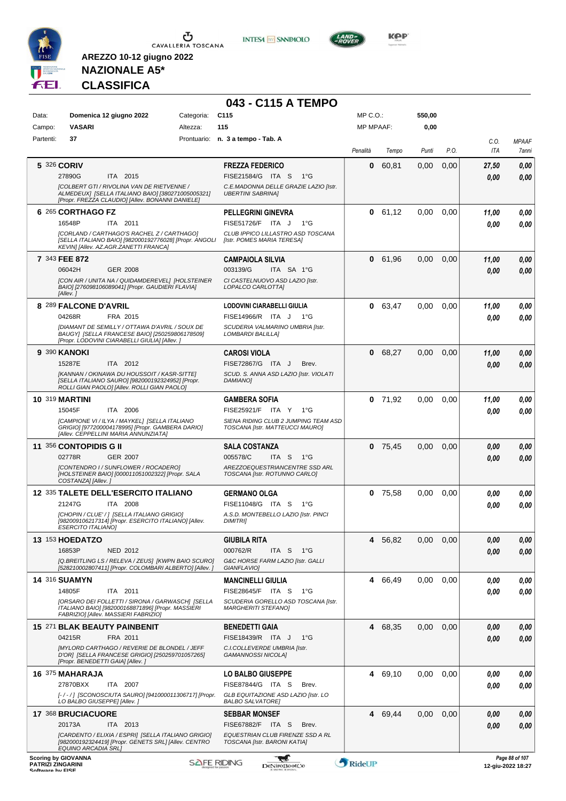

**INTESA** M SANPAOLO

**043 - C115 A TEMPO**



**KOP** 

# **NAZIONALE A5\* CLASSIFICA**

| Data:                                        | Domenica 12 giugno 2022                                                                                                                                    | Categoria: | C115                                                                    | $MP C. O.$ :     |           | 550,00        |      |             |                                     |
|----------------------------------------------|------------------------------------------------------------------------------------------------------------------------------------------------------------|------------|-------------------------------------------------------------------------|------------------|-----------|---------------|------|-------------|-------------------------------------|
| Campo:                                       | <b>VASARI</b>                                                                                                                                              | Altezza:   | 115                                                                     | <b>MP MPAAF:</b> |           | 0,00          |      |             |                                     |
| Partenti:                                    | 37                                                                                                                                                         |            | Prontuario: n. 3 a tempo - Tab. A                                       | Penalità         | Tempo     | Punti         | P.O. | C.O.<br>ITA | <b>MPAAF</b><br>7anni               |
|                                              | 5 326 CORIV                                                                                                                                                |            | <b>FREZZA FEDERICO</b>                                                  | 0                | 60,81     | 0,00          | 0,00 | 27,50       | 0,00                                |
|                                              | 27890G<br>ITA 2015                                                                                                                                         |            | FISE21584/G ITA S<br>$1^{\circ}G$                                       |                  |           |               |      | 0,00        | 0.00                                |
|                                              | <b>[COLBERT GTI / RIVOLINA VAN DE RIETVENNE /</b><br>ALMEDEUX] [SELLA ITALIANO BAIO] [380271005005321]<br>[Propr. FREZZA CLAUDIO] [Allev. BONANNI DANIELE] |            | C.E.MADONNA DELLE GRAZIE LAZIO [Istr.<br><b>UBERTINI SABRINA]</b>       |                  |           |               |      |             |                                     |
|                                              | 6 265 CORTHAGO FZ                                                                                                                                          |            | <b>PELLEGRINI GINEVRA</b>                                               |                  | 0 61,12   | 0,00          | 0,00 | 11,00       | 0,00                                |
|                                              | 16548P<br>ITA 2011                                                                                                                                         |            | FISE51726/F ITA J<br>$1^{\circ}G$                                       |                  |           |               |      | 0.00        | 0.00                                |
|                                              | ICORLAND / CARTHAGO'S RACHEL Z / CARTHAGO]<br>[SELLA ITALIANO BAIO] [982000192776028] [Propr. ANGOLI<br>KEVIN] [Allev. AZ.AGR.ZANETTI FRANCA]              |            | CLUB IPPICO LILLASTRO ASD TOSCANA<br>[Istr. POMES MARIA TERESA]         |                  |           |               |      |             |                                     |
|                                              | 7 343 FEE 872                                                                                                                                              |            | <b>CAMPAIOLA SILVIA</b>                                                 | 0                | 61,96     | 0,00          | 0,00 | 11,00       | 0,00                                |
|                                              | 06042H<br><b>GER 2008</b>                                                                                                                                  |            | 003139/G<br>ITA SA 1°G                                                  |                  |           |               |      | 0.00        | 0,00                                |
|                                              | [CON AIR / UNITA NA / QUIDAMDEREVEL] [HOLSTEINER<br>BAIO] [276098106089041] [Propr. GAUDIERI FLAVIA]<br>[Allev.]                                           |            | CI CASTELNUOVO ASD LAZIO [Istr.<br>LOPALCO CARLOTTA]                    |                  |           |               |      |             |                                     |
|                                              | 8 289 FALCONE D'AVRIL                                                                                                                                      |            | <b>LODOVINI CIARABELLI GIULIA</b>                                       | 0                | 63,47     | 0,00          | 0,00 | 11,00       | 0,00                                |
|                                              | FRA 2015<br>04268R                                                                                                                                         |            | FISE14966/R ITA J<br>1°G                                                |                  |           |               |      | 0.00        | 0,00                                |
|                                              | [DIAMANT DE SEMILLY / OTTAWA D'AVRIL / SOUX DE<br>BAUGY] [SELLA FRANCESE BAIO] [250259806178509]<br>[Propr. LODOVINI CIARABELLI GIULIA] [Allev.]           |            | SCUDERIA VALMARINO UMBRIA [Istr.<br><b>LOMBARDI BALILLAI</b>            |                  |           |               |      |             |                                     |
|                                              | 9 390 KANOKI                                                                                                                                               |            | <b>CAROSI VIOLA</b>                                                     | 0                | 68,27     | 0,00          | 0,00 | 11,00       | 0,00                                |
|                                              | 15287E<br>ITA 2012                                                                                                                                         |            | FISE72867/G ITA J<br>Brev.                                              |                  |           |               |      | 0.00        | 0.00                                |
|                                              | [KANNAN / OKINAWA DU HOUSSOIT / KASR-SITTE]<br>[SELLA ITALIANO SAURO] [982000192324952] [Propr.<br>ROLLI GIAN PAOLO] [Allev. ROLLI GIAN PAOLO]             |            | SCUD. S. ANNA ASD LAZIO [Istr. VIOLATI<br><b>DAMIANO1</b>               |                  |           |               |      |             |                                     |
|                                              | <b>10 319 MARTINI</b>                                                                                                                                      |            | <b>GAMBERA SOFIA</b>                                                    |                  | $0$ 71,92 | 0,00          | 0,00 | 11,00       | 0,00                                |
|                                              | 15045F<br>ITA 2006                                                                                                                                         |            | FISE25921/F ITA Y 1°G                                                   |                  |           |               |      | 0,00        | 0.00                                |
|                                              | [CAMPIONE VI / ILYA / MAYKEL] [SELLA ITALIANO<br>GRIGIO] [977200004178995] [Propr. GAMBERA DARIO]<br>[Allev. CEPPELLINI MARIA ANNUNZIATA]                  |            | SIENA RIDING CLUB 2 JUMPING TEAM ASD<br>TOSCANA [Istr. MATTEUCCI MAURO] |                  |           |               |      |             |                                     |
|                                              | 11 356 CONTOPIDIS G II                                                                                                                                     |            | <b>SALA COSTANZA</b>                                                    |                  | $0$ 75,45 | 0,00          | 0,00 | 0,00        | 0,00                                |
|                                              | <b>GER 2007</b><br>02778R                                                                                                                                  |            | 005578/C<br>ITA S<br>1°G                                                |                  |           |               |      | 0.00        | 0,00                                |
|                                              | [CONTENDRO I / SUNFLOWER / ROCADERO]<br>[HOLSTEINER BAIO] [000011051002322] [Propr. SALA<br>COSTANZA] [Allev.]                                             |            | AREZZOEQUESTRIANCENTRE SSD ARL<br>TOSCANA [Istr. ROTUNNO CARLO]         |                  |           |               |      |             |                                     |
|                                              | 12 335 TALETE DELL'ESERCITO ITALIANO                                                                                                                       |            | <b>GERMANO OLGA</b>                                                     |                  | $0$ 75,58 | 0,00          | 0,00 | 0,00        | 0,00                                |
|                                              | 21247G<br>ITA 2008                                                                                                                                         |            | FISE11048/G ITA S<br>1°G                                                |                  |           |               |      | 0.00        | 0.00                                |
|                                              | [CHOPIN / CLUE' / ] [SELLA ITALIANO GRIGIO]<br>[982009106217314] [Propr. ESERCITO ITALIANO] [Allev.<br><b>ESERCITO ITALIANOI</b>                           |            | A.S.D. MONTEBELLO LAZIO [Istr. PINCI<br><b>DIMITRII</b>                 |                  |           |               |      |             |                                     |
|                                              | <b>13 153 HOEDATZO</b>                                                                                                                                     |            | <b>GIUBILA RITA</b>                                                     | 4                | 56,82     | $0,00$ $0,00$ |      | 0,00        | 0,00                                |
|                                              | 16853P<br>NED 2012                                                                                                                                         |            | 000762/R<br>ITA S<br>1°G                                                |                  |           |               |      | 0,00        | 0,00                                |
|                                              | [Q.BREITLING LS / RELEVA / ZEUS] [KWPN BAIO SCURO]<br>[528210002807411] [Propr. COLOMBARI ALBERTO] [Allev. ]                                               |            | G&C HORSE FARM LAZIO [Istr. GALLI<br>GIANFLAVIO]                        |                  |           |               |      |             |                                     |
|                                              | <b>14 316 SUAMYN</b>                                                                                                                                       |            | <b>MANCINELLI GIULIA</b>                                                |                  | 4 66,49   | 0,00          | 0,00 | 0,00        | 0,00                                |
|                                              | 14805F<br>ITA 2011                                                                                                                                         |            | FISE28645/F ITA S<br>1°G                                                |                  |           |               |      | 0,00        | 0.00                                |
|                                              | [ORSARO DEI FOLLETTI / SIRONA / GARWASCH] [SELLA<br>ITALIANO BAIO] [982000168871896] [Propr. MASSIERI<br>FABRIZIO] [Allev. MASSIERI FABRIZIO]              |            | SCUDERIA GORELLO ASD TOSCANA [Istr.<br><b>MARGHERITI STEFANOI</b>       |                  |           |               |      |             |                                     |
|                                              | 15 271 BLAK BEAUTY PAINBENIT                                                                                                                               |            | <b>BENEDETTI GAIA</b>                                                   |                  | 4 68,35   | 0,00          | 0,00 | 0,00        | 0,00                                |
|                                              | FRA 2011<br>04215R                                                                                                                                         |            | FISE18439/R ITA J<br>$1^{\circ}G$                                       |                  |           |               |      | 0,00        | 0,00                                |
|                                              | <b>IMYLORD CARTHAGO / REVERIE DE BLONDEL / JEFF</b><br>D'ORJ [SELLA FRANCESE GRIGIO] [250259701057265]<br>[Propr. BENEDETTI GAIA] [Allev.]                 |            | C.I.COLLEVERDE UMBRIA [Istr.<br><b>GAMANNOSSI NICOLA]</b>               |                  |           |               |      |             |                                     |
|                                              | 16 375 MAHARAJA                                                                                                                                            |            | LO BALBO GIUSEPPE                                                       |                  | 4 69,10   | 0.00          | 0,00 | 0,00        | 0,00                                |
|                                              | 27870BXX<br>ITA 2007                                                                                                                                       |            | FISE87844/G ITA S<br>Brev.                                              |                  |           |               |      | 0,00        | 0.00                                |
|                                              | [-/-/] [SCONOSCIUTA SAURO] [941000011306717] [Propr.<br>LO BALBO GIUSEPPE] [Allev.]                                                                        |            | GLB EQUITAZIONE ASD LAZIO [Istr. LO<br><b>BALBO SALVATORE]</b>          |                  |           |               |      |             |                                     |
|                                              | 17 368 BRUCIACUORE                                                                                                                                         |            | <b>SEBBAR MONSEF</b>                                                    |                  | 4 69,44   | 0,00          | 0,00 | 0,00        | 0,00                                |
|                                              | 20173A<br>ITA 2013                                                                                                                                         |            | FISE67882/F ITA S<br>Brev.                                              |                  |           |               |      | 0,00        | 0,00                                |
|                                              | [CARDENTO / ELIXIA / ESPRI] [SELLA ITALIANO GRIGIO]<br>[982000192324419] [Propr. GENETS SRL] [Allev. CENTRO<br>EQUINO ARCADIA SRL]                         |            | EQUESTRIAN CLUB FIRENZE SSD A RL<br>TOSCANA [Istr. BARONI KATIA]        |                  |           |               |      |             |                                     |
| <b>PATRIZI ZINGARINI</b><br>Coffware by EICE | <b>Scoring by GIOVANNA</b>                                                                                                                                 |            | <b>SAFE RIDING</b><br><b>DeNiroBootCo</b>                               | RideUP           |           |               |      |             | Page 88 of 107<br>12-giu-2022 18:27 |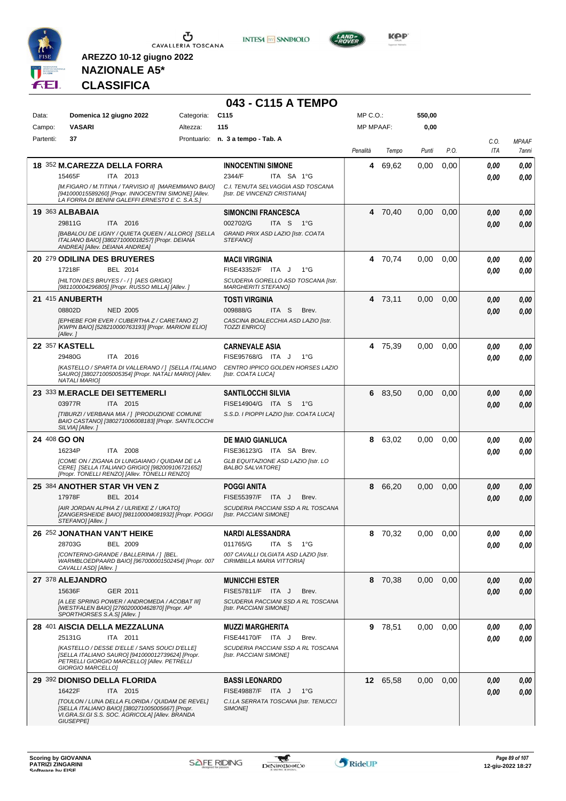

**INTESA M** SANPAOLO

**043 - C115 A TEMPO**



**KOP** 

# **NAZIONALE A5\* CLASSIFICA**

| Data:        | Domenica 12 giugno 2022                                                                                                                                               | Categoria: | C <sub>115</sub>                                                     | MP C.O.:         |          | 550,00 |      |      |              |
|--------------|-----------------------------------------------------------------------------------------------------------------------------------------------------------------------|------------|----------------------------------------------------------------------|------------------|----------|--------|------|------|--------------|
| Campo:       | <b>VASARI</b>                                                                                                                                                         | Altezza:   | 115                                                                  | <b>MP MPAAF:</b> |          | 0,00   |      |      |              |
| Partenti:    | 37                                                                                                                                                                    |            | Prontuario: n. 3 a tempo - Tab. A                                    |                  |          |        |      | C.O. | <b>MPAAF</b> |
|              |                                                                                                                                                                       |            |                                                                      | Penalità         | Tempo    | Punti  | P.O. | ITA  | 7anni        |
|              | 18 352 M.CAREZZA DELLA FORRA                                                                                                                                          |            | <b>INNOCENTINI SIMONE</b>                                            | 4                | 69.62    | 0.00   | 0,00 | 0,00 | 0,00         |
|              | 15465F<br>ITA 2013                                                                                                                                                    |            | 2344/F<br>ITA SA 1°G                                                 |                  |          |        |      | 0,00 | 0,00         |
|              | [M.FIGARO / M.TITINA / TARVISIO II] [MAREMMANO BAIO]<br>[941000015589260] [Propr. INNOCENTINI SIMONE] [Allev.<br>LA FORRA DI BENINI GALEFFI ERNESTO E C. S.A.S.]      |            | C.I. TENUTA SELVAGGIA ASD TOSCANA<br>[Istr. DE VINCENZI CRISTIANA]   |                  |          |        |      |      |              |
|              | 19 363 ALBABAIA                                                                                                                                                       |            | <b>SIMONCINI FRANCESCA</b>                                           |                  | 4 70,40  | 0,00   | 0,00 | 0,00 | 0,00         |
|              | 29811G<br>ITA 2016                                                                                                                                                    |            | 002702/G<br>ITA S<br>− 1°G                                           |                  |          |        |      | 0.00 | 0,00         |
|              | [BABALOU DE LIGNY / QUIETA QUEEN / ALLORO] [SELLA<br>ITALIANO BAIO] [380271000018257] [Propr. DEIANA<br>ANDREA] [Allev. DEIANA ANDREA]                                |            | GRAND PRIX ASD LAZIO [Istr. COATA<br>STEFANO]                        |                  |          |        |      |      |              |
|              | 20 <sup>279</sup> ODILINA DES BRUYERES                                                                                                                                |            | <b>MACII VIRGINIA</b>                                                |                  | 4 70,74  | 0,00   | 0,00 | 0.00 | 0,00         |
|              | 17218F<br>BEL 2014                                                                                                                                                    |            | FISE43352/F ITA J<br>1°G                                             |                  |          |        |      | 0,00 | 0,00         |
|              | [HILTON DES BRUYES / - / ] [AES GRIGIO]<br>[981100004296805] [Propr. RUSSO MILLA] [Allev.]                                                                            |            | SCUDERIA GORELLO ASD TOSCANA [Istr.<br><b>MARGHERITI STEFANO]</b>    |                  |          |        |      |      |              |
|              | 21 415 ANUBERTH                                                                                                                                                       |            | <b>TOSTI VIRGINIA</b>                                                |                  | 4 73,11  | 0,00   | 0,00 | 0,00 | 0,00         |
|              | 08802D<br><b>NED 2005</b>                                                                                                                                             |            | 009888/G<br>ITA <sub>S</sub><br>Brev.                                |                  |          |        |      | 0.00 | 0,00         |
|              | [EPHEBE FOR EVER / CUBERTHA Z / CARETANO Z]<br>[KWPN BAIO] [528210000763193] [Propr. MARIONI ELIO]<br>[Allev.]                                                        |            | CASCINA BOALECCHIA ASD LAZIO [Istr.<br><b>TOZZI ENRICOI</b>          |                  |          |        |      |      |              |
|              | <b>22 357 KASTELL</b>                                                                                                                                                 |            | <b>CARNEVALE ASIA</b>                                                |                  | 4 75,39  | 0,00   | 0,00 | 0.00 | 0,00         |
|              | 29480G<br>ITA 2016                                                                                                                                                    |            | FISE95768/G ITA J<br>1°G                                             |                  |          |        |      | 0.00 | 0.00         |
|              | [KASTELLO / SPARTA DI VALLERANO / ] [SELLA ITALIANO<br>SAURO] [380271005005354] [Propr. NATALI MARIO] [Allev.<br><b>NATALI MARIO]</b>                                 |            | CENTRO IPPICO GOLDEN HORSES LAZIO<br>[Istr. COATA LUCA]              |                  |          |        |      |      |              |
|              | 23 333 M.ERACLE DEI SETTEMERLI                                                                                                                                        |            | <b>SANTILOCCHI SILVIA</b>                                            |                  | 6 83,50  | 0,00   | 0,00 | 0,00 | 0,00         |
|              | 03977R<br>ITA 2015                                                                                                                                                    |            | FISE14904/G ITA S<br>1°G                                             |                  |          |        |      | 0,00 | 0,00         |
|              | [TIBURZI / VERBANA MIA / ] [PRODUZIONE COMUNE<br>BAIO CASTANO] [380271006008183] [Propr. SANTILOCCHI<br>SILVIA] [Allev.]                                              |            | S.S.D. I PIOPPI LAZIO [Istr. COATA LUCA]                             |                  |          |        |      |      |              |
| 24 408 GO ON |                                                                                                                                                                       |            | <b>DE MAIO GIANLUCA</b>                                              | 8.               | 63,02    | 0,00   | 0.00 | 0,00 | 0,00         |
|              | 16234P<br>2008<br>ITA                                                                                                                                                 |            | FISE36123/G ITA SA Brev.                                             |                  |          |        |      | 0.00 | 0.00         |
|              | [COME ON / ZIGANA DI LUNGAIANO / QUIDAM DE LA<br>CERE] [SELLA ITALIANO GRIGIO] [982009106721652]<br>[Propr. TONELLI RENZO] [Allev. TONELLI RENZO]                     |            | GLB EQUITAZIONE ASD LAZIO [Istr. LO<br><b>BALBO SALVATORE]</b>       |                  |          |        |      |      |              |
|              | 25 384 ANOTHER STAR VH VEN Z                                                                                                                                          |            | <b>POGGI ANITA</b>                                                   | 8                | 66,20    | 0,00   | 0,00 | 0,00 | 0,00         |
|              | 17978F<br>BEL 2014                                                                                                                                                    |            | FISE55397/F ITA J<br>Brev.                                           |                  |          |        |      | 0,00 | 0.00         |
|              | [AIR JORDAN ALPHA Z / ULRIEKE Z / UKATO]<br>[ZANGERSHEIDE BAIO] [981100004081932] [Propr. POGGI<br>STEFANO] [Allev. j                                                 |            | SCUDERIA PACCIANI SSD A RL TOSCANA<br>[Istr. PACCIANI SIMONE]        |                  |          |        |      |      |              |
|              | 26 252 JONATHAN VAN'T HEIKE                                                                                                                                           |            | <b>NARDI ALESSANDRA</b>                                              | 8.               | 70,32    | 0,00   | 0.00 | 0,00 | 0,00         |
|              | 28703G<br><b>BEL 2009</b>                                                                                                                                             |            | ITA S<br>011765/G<br>1°G                                             |                  |          |        |      | 0,00 | 0,00         |
|              | [CONTERNO-GRANDE / BALLERINA / ] [BEL.<br>WARMBLOEDPAARD BAIO] [967000001502454] [Propr. 007<br>CAVALLI ASD] [Allev.]                                                 |            | 007 CAVALLI OLGIATA ASD LAZIO [Istr.<br>CIRIMBILLA MARIA VITTORIA]   |                  |          |        |      |      |              |
|              | 27 378 ALEJANDRO                                                                                                                                                      |            | <b>MUNICCHI ESTER</b>                                                |                  | 8 70,38  | 0.00   | 0,00 | 0,00 | 0,00         |
|              | 15636F<br>GER 2011                                                                                                                                                    |            | FISE57811/F ITA J<br>Brev.                                           |                  |          |        |      | 0,00 | 0,00         |
|              | [A LEE SPRING POWER / ANDROMEDA / ACOBAT III]<br>[WESTFALEN BAIO] [276020000462870] [Propr. AP<br>SPORTHORSES S.A.S] [Allev.]                                         |            | SCUDERIA PACCIANI SSD A RL TOSCANA<br><b>Ilstr. PACCIANI SIMONET</b> |                  |          |        |      |      |              |
|              | 28 401 AISCIA DELLA MEZZALUNA                                                                                                                                         |            | <b>MUZZI MARGHERITA</b>                                              |                  | 9 78,51  | 0.00   | 0,00 | 0,00 | 0,00         |
|              | 25131G<br>ITA 2011                                                                                                                                                    |            | FISE44170/F ITA J<br>Brev.                                           |                  |          |        |      | 0,00 | 0,00         |
|              | [KASTELLO / DESSE D'ELLE / SANS SOUCI D'ELLE]<br>[SELLA ITALIANO SAURO] [941000012739624] [Propr.<br>PETRELLI GIORGIO MARCELLO] [Allev. PETRELLI<br>GIORGIO MARCELLO] |            | SCUDERIA PACCIANI SSD A RL TOSCANA<br>[Istr. PACCIANI SIMONE]        |                  |          |        |      |      |              |
|              | 29 392 DIONISO DELLA FLORIDA                                                                                                                                          |            | <b>BASSI LEONARDO</b>                                                |                  | 12 65,58 | 0,00   | 0,00 | 0,00 | 0,00         |
|              | 16422F<br>ITA 2015                                                                                                                                                    |            | FISE49887/F ITA J<br>1°G                                             |                  |          |        |      | 0.00 | 0.00         |
|              | [TOULON / LUNA DELLA FLORIDA / QUIDAM DE REVEL]<br>[SELLA ITALIANO BAIO] [380271005005667] [Propr.<br>VI.GRA.SI.GI S.S. SOC. AGRICOLA] [Allev. BRANDA<br>GIUSEPPE]    |            | C.I.LA SERRATA TOSCANA [Istr. TENUCCI<br>SIMONE]                     |                  |          |        |      |      |              |

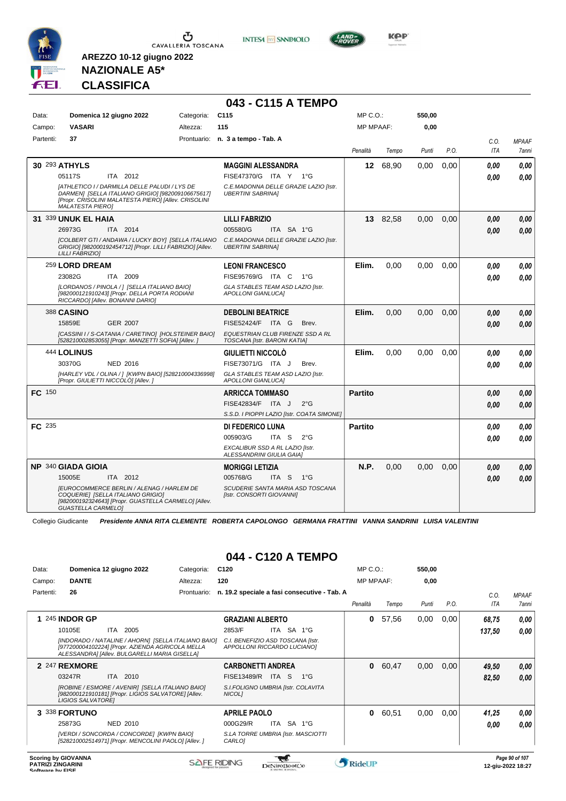

**INTESA** M SANPAOLO



**Kep** 

### **NAZIONALE A5\* CLASSIFICA**

**AREZZO 10-12 giugno 2022**

|               |                                                                                                                                                                                       |            | 043 - C115 A TEMPO                                                |                  |          |        |      |                    |                       |
|---------------|---------------------------------------------------------------------------------------------------------------------------------------------------------------------------------------|------------|-------------------------------------------------------------------|------------------|----------|--------|------|--------------------|-----------------------|
| Data:         | Domenica 12 giugno 2022                                                                                                                                                               | Categoria: | C <sub>115</sub>                                                  | MP C.O.:         |          | 550,00 |      |                    |                       |
| Campo:        | <b>VASARI</b>                                                                                                                                                                         | Altezza:   | 115                                                               | <b>MP MPAAF:</b> |          | 0,00   |      |                    |                       |
| Partenti:     | 37                                                                                                                                                                                    |            | Prontuario: n. 3 a tempo - Tab. A                                 | Penalità         | Tempo    | Punti  | P.O. | C.O.<br><b>ITA</b> | <b>MPAAF</b><br>7anni |
|               | <b>30 293 ATHYLS</b>                                                                                                                                                                  |            | <b>MAGGINI ALESSANDRA</b>                                         | 12               | 68.90    | 0.00   | 0.00 | 0.00               | 0.00                  |
|               | ITA 2012<br>05117S                                                                                                                                                                    |            | FISE47370/G ITA Y 1°G                                             |                  |          |        |      | 0.00               | 0.00                  |
|               | [ATHLETICO I / DARMILLA DELLE PALUDI / LYS DE<br>DARMEN] [SELLA ITALIANO GRIGIO] [982009106675617]<br>[Propr. CRISOLINI MALATESTA PIERO] [Allev. CRISOLINI<br><b>MALATESTA PIERO]</b> |            | C.E.MADONNA DELLE GRAZIE LAZIO [Istr.<br><b>UBERTINI SABRINAI</b> |                  |          |        |      |                    |                       |
|               | 31 339 UNUK EL HAIA                                                                                                                                                                   |            | <b>LILLI FABRIZIO</b>                                             |                  | 13 82,58 | 0,00   | 0.00 | 0.00               | 0.00                  |
|               | 26973G<br>ITA 2014                                                                                                                                                                    |            | 005580/G<br>ITA SA 1°G                                            |                  |          |        |      | 0.00               | 0.00                  |
|               | [COLBERT GTI / ANDAWA / LUCKY BOY] [SELLA ITALIANO<br>GRIGIO] [982000192454712] [Propr. LILLI FABRIZIO] [Allev.<br><b>LILLI FABRIZIOI</b>                                             |            | C.E.MADONNA DELLE GRAZIE LAZIO [Istr.<br><b>UBERTINI SABRINA]</b> |                  |          |        |      |                    |                       |
|               | 259 LORD DREAM                                                                                                                                                                        |            | <b>LEONI FRANCESCO</b>                                            | Elim.            | 0.00     | 0,00   | 0.00 | 0.00               | 0.00                  |
|               | 23082G<br>ITA 2009                                                                                                                                                                    |            | FISE95769/G ITA C<br>$1^{\circ}G$                                 |                  |          |        |      | 0.00               | 0.00                  |
|               | [LORDANOS / PINOLA / ] [SELLA ITALIANO BAIO]<br>[982000121910243] [Propr. DELLA PORTA RODIANI<br>RICCARDO] [Allev. BONANNI DARIO]                                                     |            | GLA STABLES TEAM ASD LAZIO [Istr.<br><b>APOLLONI GIANLUCAI</b>    |                  |          |        |      |                    |                       |
|               | <b>388 CASINO</b>                                                                                                                                                                     |            | <b>DEBOLINI BEATRICE</b>                                          | Elim.            | 0.00     | 0.00   | 0.00 | 0.00               | 0.00                  |
|               | 15859E<br><b>GER 2007</b>                                                                                                                                                             |            | FISE52424/F ITA G<br>Brev.                                        |                  |          |        |      | 0.00               | 0.00                  |
|               | [CASSINI I / S-CATANIA / CARETINO] [HOLSTEINER BAIO]<br>[528210002853055] [Propr. MANZETTI SOFIA] [Allev. ]                                                                           |            | EQUESTRIAN CLUB FIRENZE SSD A RL<br>TOSCANA [Istr. BARONI KATIA]  |                  |          |        |      |                    |                       |
|               | <b>444 LOLINUS</b>                                                                                                                                                                    |            | <b>GIULIETTI NICCOLO</b>                                          | Elim.            | 0,00     | 0,00   | 0,00 | 0.00               | 0,00                  |
|               | 30370G<br><b>NED 2016</b>                                                                                                                                                             |            | FISE73071/G ITA J<br>Brev.                                        |                  |          |        |      | 0.00               | 0.00                  |
|               | [HARLEY VDL / OLINA / ] [KWPN BAIO] [528210004336998]<br>[Propr. GIULIETTI NICCOLÒ] [Allev. ]                                                                                         |            | GLA STABLES TEAM ASD LAZIO [Istr.<br><b>APOLLONI GIANLUCAI</b>    |                  |          |        |      |                    |                       |
| <b>FC</b> 150 |                                                                                                                                                                                       |            | <b>ARRICCA TOMMASO</b>                                            | <b>Partito</b>   |          |        |      | 0.00               | 0,00                  |
|               |                                                                                                                                                                                       |            | FISE42834/F ITA J<br>$2^{\circ}$ G                                |                  |          |        |      | 0.00               | 0.00                  |
|               |                                                                                                                                                                                       |            | S.S.D. I PIOPPI LAZIO [Istr. COATA SIMONE]                        |                  |          |        |      |                    |                       |
| FC 235        |                                                                                                                                                                                       |            | DI FEDERICO LUNA                                                  | <b>Partito</b>   |          |        |      | 0.00               | 0,00                  |
|               |                                                                                                                                                                                       |            | 005903/G<br>ITA S<br>$2^{\circ}$ G                                |                  |          |        |      | 0.00               | 0.00                  |
|               |                                                                                                                                                                                       |            | EXCALIBUR SSD A RL LAZIO [Istr.<br>ALESSANDRINI GIULIA GAIA]      |                  |          |        |      |                    |                       |
|               | NP 340 GIADA GIOIA                                                                                                                                                                    |            | <b>MORIGGI LETIZIA</b>                                            | N.P.             | 0,00     | 0,00   | 0,00 | 0,00               | 0.00                  |
|               | 15005E<br>ITA 2012                                                                                                                                                                    |            | 005768/G<br>ITA S<br>$1^{\circ}G$                                 |                  |          |        |      | 0.00               | 0.00                  |
|               | <b>IEUROCOMMERCE BERLIN / ALENAG / HARLEM DE</b><br>COQUERIE] [SELLA ITALIANO GRIGIO]<br>[982000192324643] [Propr. GUASTELLA CARMELO] [Allev.<br><b>GUASTELLA CARMELO]</b>            |            | SCUDERIE SANTA MARIA ASD TOSCANA<br>[Istr. CONSORTI GIOVANNI]     |                  |          |        |      |                    |                       |

Collegio Giudicante *Presidente ANNA RITA CLEMENTE ROBERTA CAPOLONGO GERMANA FRATTINI VANNA SANDRINI LUISA VALENTINI*

# **044 - C120 A TEMPO**

| Data:<br>Campo: | Domenica 12 giugno 2022<br><b>DANTE</b>                                                                                                                                                              | Categoria:<br>Altezza: | C <sub>120</sub><br>120                                                                                                     | MP C. O.<br><b>MP MPAAF:</b> |       | 550,00<br>0,00 |      |                 |                                     |
|-----------------|------------------------------------------------------------------------------------------------------------------------------------------------------------------------------------------------------|------------------------|-----------------------------------------------------------------------------------------------------------------------------|------------------------------|-------|----------------|------|-----------------|-------------------------------------|
| Partenti:       | 26                                                                                                                                                                                                   | Prontuario:            | n. 19.2 speciale a fasi consecutive - Tab. A                                                                                | Penalità                     | Tempo | Punti          | P.O. | C.0.<br>ITA     | <b>MPAAF</b><br><i><b>7anni</b></i> |
|                 | 1 245 INDOR GP<br>10105E<br>2005<br>ITA.<br>[INDORADO / NATALINE / AHORN] [SELLA ITALIANO BAIO]<br>[977200004102224] [Propr. AZIENDA AGRICOLA MELLA<br>ALESSANDRA] [Allev. BULGARELLI MARIA GISELLA] |                        | <b>GRAZIANI ALBERTO</b><br>SA<br>2853/F<br>ITA I<br>1°G<br>C.I. BENEFIZIO ASD TOSCANA [Istr.<br>APPOLLONI RICCARDO LUCIANO] | 0                            | 57,56 | 0,00           | 0,00 | 68,75<br>137,50 | 0.00<br>0.00                        |
|                 | 2 247 REXMORE<br>ITA<br>2010<br>03247R<br>[ROBINE / ESMORE / AVENIR] [SELLA ITALIANO BAIO]<br>[982000121910181] [Propr. LIGIOS SALVATORE] [Allev.<br>LIGIOS SALVATOREI                               |                        | <b>CARBONETTI ANDREA</b><br>FISE13489/R<br>ITA S<br>$1^{\circ}$ G<br>S.I.FOLIGNO UMBRIA [Istr. COLAVITA<br>NICOL1           | 0                            | 60,47 | 0,00           | 0,00 | 49,50<br>82,50  | 0,00<br>0.00                        |
|                 | 3 338 FORTUNO<br>25873G<br>NED 2010<br>[VERDI / SONCORDA / CONCORDE] [KWPN BAIO]<br>[528210002514971] [Propr. MENCOLINI PAOLO] [Allev. ]                                                             |                        | <b>APRILE PAOLO</b><br>ITA SA 1°G<br>000G29/R<br>S.LA TORRE UMBRIA [Istr. MASCIOTTI<br>CARLO1                               | 0                            | 60,51 | 0,00           | 0,00 | 41,25<br>0,00   | 0,00<br>0.00                        |

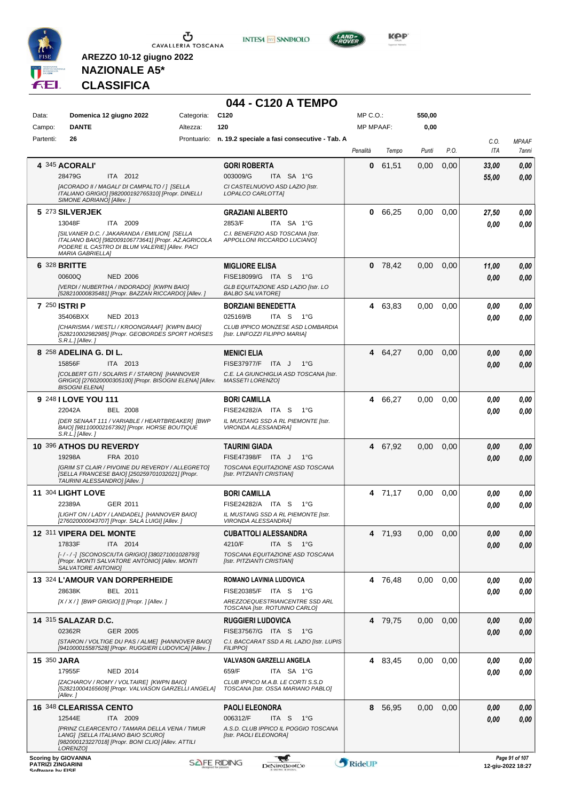





**KOP** 

# **NAZIONALE A5\* CLASSIFICA**

**AREZZO 10-12 giugno 2022**

# **044 - C120 A TEMPO**

| Data:                                        | Domenica 12 giugno 2022                                                                                                                               | Categoria: | C <sub>120</sub>                                                        | MP C.O.:         |         | 550,00 |      |                |                                     |
|----------------------------------------------|-------------------------------------------------------------------------------------------------------------------------------------------------------|------------|-------------------------------------------------------------------------|------------------|---------|--------|------|----------------|-------------------------------------|
| Campo:                                       | <b>DANTE</b>                                                                                                                                          | Altezza:   | 120                                                                     | <b>MP MPAAF:</b> |         | 0,00   |      |                |                                     |
| Partenti:                                    | 26                                                                                                                                                    |            | Prontuario: n. 19.2 speciale a fasi consecutive - Tab. A                | Penalità         | Tempo   | Punti  | P.O. | C.O.<br>ITA    | <b>MPAAF</b><br>7anni               |
|                                              | 4 345 ACORALI'<br>ITA 2012<br>28479G                                                                                                                  |            | <b>GORI ROBERTA</b><br>003009/G<br>ITA SA 1°G                           | 0                | 61,51   | 0,00   | 0,00 | 33,00<br>55,00 | 0,00<br>0,00                        |
|                                              | [ACORADO II / MAGALI' DI CAMPALTO / ] [SELLA<br>ITALIANO GRIGIO] [982000192765310] [Propr. DINELLI<br>SIMONE ADRIANO] [Allev.]                        |            | CI CASTELNUOVO ASD LAZIO [Istr.<br>LOPALCO CARLOTTA]                    |                  |         |        |      |                |                                     |
|                                              | 5 273 SILVERJEK                                                                                                                                       |            | <b>GRAZIANI ALBERTO</b>                                                 | 0                | 66,25   | 0.00   | 0,00 | 27,50          | 0,00                                |
|                                              | 13048F<br>ITA 2009<br>[SILVANER D.C. / JAKARANDA / EMILION] [SELLA                                                                                    |            | 2853/F<br>ITA SA 1°G<br>C.I. BENEFIZIO ASD TOSCANA [Istr.               |                  |         |        |      | 0.00           | 0.00                                |
|                                              | ITALIANO BAIO] [982009106773641] [Propr. AZ.AGRICOLA<br>PODERE IL CASTRO DI BLUM VALERIE] [Allev. PACI<br><b>MARIA GABRIELLA]</b>                     |            | APPOLLONI RICCARDO LUCIANO]                                             |                  |         |        |      |                |                                     |
|                                              | <b>6 328 BRITTE</b>                                                                                                                                   |            | <b>MIGLIORE ELISA</b>                                                   | 0                | 78,42   | 0,00   | 0,00 | 11,00          | 0,00                                |
|                                              | <b>NED 2006</b><br>00600Q                                                                                                                             |            | FISE18099/G ITA S<br>1°G                                                |                  |         |        |      | 0,00           | 0,00                                |
|                                              | [VERDI / NUBERTHA / INDORADO] [KWPN BAIO]<br>[528210000835481] [Propr. BAZZAN RICCARDO] [Allev.]                                                      |            | GLB EQUITAZIONE ASD LAZIO [Istr. LO<br><b>BALBO SALVATORE]</b>          |                  |         |        |      |                |                                     |
|                                              | 7 250 ISTRI P                                                                                                                                         |            | <b>BORZIANI BENEDETTA</b>                                               | 4                | 63,83   | 0,00   | 0,00 | 0.00           | 0,00                                |
|                                              | NED 2013<br>35406BXX                                                                                                                                  |            | 025169/B<br>ITA <sub>S</sub><br>1°G                                     |                  |         |        |      | 0.00           | 0,00                                |
|                                              | [CHARISMA / WESTLI / KROONGRAAF] [KWPN BAIO]<br>[528210002982985] [Propr. GEOBORDES SPORT HORSES<br>S.R.L.] [Allev.]                                  |            | CLUB IPPICO MONZESE ASD LOMBARDIA<br>[Istr. LINFOZZI FILIPPO MARIA]     |                  |         |        |      |                |                                     |
|                                              | 8 258 ADELINA G. DI L.                                                                                                                                |            | <b>MENICI ELIA</b>                                                      | 4                | 64,27   | 0,00   | 0,00 | 0.00           | 0,00                                |
|                                              | 15856F<br>ITA 2013                                                                                                                                    |            | FISE37977/F ITA J<br>$1^{\circ}G$                                       |                  |         |        |      | 0,00           | 0,00                                |
|                                              | [COLBERT GTI / SOLARIS F / STARON] [HANNOVER<br>GRIGIO] [276020000305100] [Propr. BISOGNI ELENA] [Allev.<br><b>BISOGNI ELENA]</b>                     |            | C.E. LA GIUNCHIGLIA ASD TOSCANA [Istr.<br>MASSETI LORENZO]              |                  |         |        |      |                |                                     |
|                                              | 9 248 I LOVE YOU 111                                                                                                                                  |            | <b>BORI CAMILLA</b>                                                     | 4                | 66,27   | 0,00   | 0,00 | 0,00           | 0,00                                |
|                                              | <b>BEL 2008</b><br>22042A                                                                                                                             |            | FISE24282/A ITA S<br>1°G                                                |                  |         |        |      | 0.00           | 0,00                                |
|                                              | [DER SENAAT 111 / VARIABLE / HEARTBREAKER] [BWP<br>BAIO] [981100002167392] [Propr. HORSE BOUTIQUE<br>S.R.L.J[Allev.]                                  |            | IL MUSTANG SSD A RL PIEMONTE [Istr.<br>VIRONDA ALESSANDRA]              |                  |         |        |      |                |                                     |
|                                              | 10 396 ATHOS DU REVERDY                                                                                                                               |            | <b>TAURINI GIADA</b>                                                    | 4                | 67,92   | 0,00   | 0,00 | 0,00           | 0,00                                |
|                                              | 19298A<br>FRA 2010                                                                                                                                    |            | FISE47398/F ITA J<br>$1^{\circ}G$                                       |                  |         |        |      | 0,00           | 0.00                                |
|                                              | [GRIM ST CLAIR / PIVOINE DU REVERDY / ALLEGRETO]<br>[SELLA FRANCESE BAIO] [250259701032021] [Propr.<br>TAURINI ALESSANDRO] [Allev.]                   |            | TOSCANA EQUITAZIONE ASD TOSCANA<br>[Istr. PITZIANTI CRISTIAN]           |                  |         |        |      |                |                                     |
|                                              | <b>11 304 LIGHT LOVE</b>                                                                                                                              |            | <b>BORI CAMILLA</b>                                                     |                  | 4 71,17 | 0,00   | 0.00 | 0.00           | 0,00                                |
|                                              | 22389A<br>GER 2011                                                                                                                                    |            | FISE24282/A ITA S<br>1°G                                                |                  |         |        |      | 0,00           | 0,00                                |
|                                              | [LIGHT ON / LADY / LANDADEL] [HANNOVER BAIO]<br>[276020000043707] [Propr. SALA LUIGI] [Allev. ]                                                       |            | IL MUSTANG SSD A RL PIEMONTE [Istr.<br><b>VIRONDA ALESSANDRA1</b>       |                  |         |        |      |                |                                     |
|                                              | 12 311 VIPERA DEL MONTE                                                                                                                               |            | <b>CUBATTOLI ALESSANDRA</b>                                             |                  | 4 71,93 | 0.00   | 0.00 | 0.00           | 0.00                                |
|                                              | 17833F<br>ITA 2014                                                                                                                                    |            | 4210/F<br>ITA S<br>1°G                                                  |                  |         |        |      | 0,00           | 0,00                                |
|                                              | [-/-/-] [SCONOSCIUTA GRIGIO] [380271001028793]<br>[Propr. MONTI SALVATORE ANTONIO] [Allev. MONTI<br>SALVATORE ANTONIO]                                |            | TOSCANA EQUITAZIONE ASD TOSCANA<br>[Istr. PITZIANTI CRISTIAN]           |                  |         |        |      |                |                                     |
|                                              | 13 324 L'AMOUR VAN DORPERHEIDE                                                                                                                        |            | ROMANO LAVINIA LUDOVICA                                                 |                  | 4 76,48 | 0,00   | 0,00 | 0.00           | 0,00                                |
|                                              | BEL 2011<br>28638K                                                                                                                                    |            | FISE20385/F ITA S<br>− 1°G                                              |                  |         |        |      | 0.00           | 0,00                                |
|                                              | $[X/X/$ ] [BWP GRIGIO] [] [Propr. ] [Allev. ]                                                                                                         |            | AREZZOEQUESTRIANCENTRE SSD ARL<br>TOSCANA [Istr. ROTUNNO CARLO]         |                  |         |        |      |                |                                     |
|                                              | <b>14 315 SALAZAR D.C.</b>                                                                                                                            |            | <b>RUGGIERI LUDOVICA</b>                                                |                  | 4 79.75 | 0,00   | 0,00 | 0.00           | 0,00                                |
|                                              | 02362R<br>GER 2005                                                                                                                                    |            | FISE37567/G ITA S<br>1°G                                                |                  |         |        |      | 0,00           | 0,00                                |
|                                              | [STARON / VOLTIGE DU PAS / ALME] [HANNOVER BAIO]<br>[941000015587528] [Propr. RUGGIERI LUDOVICA] [Allev. ]                                            |            | C.I. BACCARAT SSD A RL LAZIO [Istr. LUPIS<br><b>FILIPPO]</b>            |                  |         |        |      |                |                                     |
| <b>15 350 JARA</b>                           |                                                                                                                                                       |            | <b>VALVASON GARZELLI ANGELA</b>                                         |                  | 4 83,45 | 0,00   | 0,00 | 0,00           | 0,00                                |
|                                              | 17955F<br><b>NED 2014</b>                                                                                                                             |            | 659/F<br>ITA SA 1°G                                                     |                  |         |        |      | 0,00           | 0,00                                |
|                                              | [ZACHAROV / ROMY / VOLTAIRE] [KWPN BAIO]<br>[528210004165609] [Propr. VALVASON GARZELLI ANGELA]<br>[Allev.]                                           |            | CLUB IPPICO M.A.B. LE CORTI S.S.D<br>TOSCANA [Istr. OSSA MARIANO PABLO] |                  |         |        |      |                |                                     |
|                                              | 16 348 CLEARISSA CENTO                                                                                                                                |            | <b>PAOLI ELEONORA</b>                                                   | 8                | 56,95   | 0,00   | 0,00 | 0,00           | 0,00                                |
|                                              | 12544E<br>ITA 2009                                                                                                                                    |            | 006312/F<br>ITA S<br>1°G                                                |                  |         |        |      | 0,00           | 0,00                                |
|                                              | [PRINZ CLEARCENTO / TAMARA DELLA VENA / TIMUR<br>LANG] [SELLA ITALIANO BAIO SCURO]<br>[982000123227018] [Propr. BONI CLIO] [Allev. ATTILI<br>LORENZO1 |            | A.S.D. CLUB IPPICO IL POGGIO TOSCANA<br>[Istr. PAOLI ELEONORA]          |                  |         |        |      |                |                                     |
| <b>PATRIZI ZINGARINI</b><br>Coffware by EICE | <b>Scoring by GIOVANNA</b>                                                                                                                            |            | <b>SAFE RIDING</b><br>DeNiroBootCo                                      | RideUP           |         |        |      |                | Page 91 of 107<br>12-giu-2022 18:27 |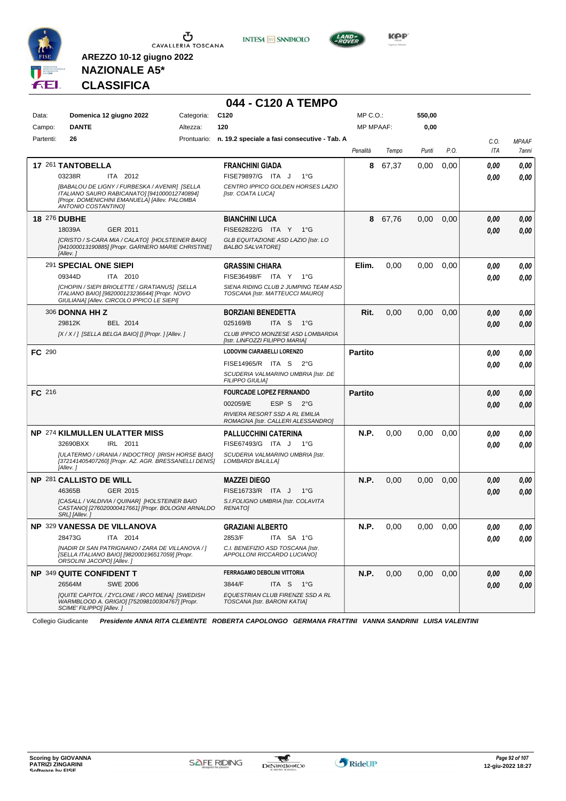

**INTESA** M SANPAOLO



**Kep** 

**NAZIONALE A5\* CLASSIFICA**

**AREZZO 10-12 giugno 2022**

### **044 - C120 A TEMPO**

| Data:     | Domenica 12 giugno 2022                                                                                                                                               | Categoria: | C <sub>120</sub>                                                        | MP C.O.:         |       | 550,00 |      |            |              |
|-----------|-----------------------------------------------------------------------------------------------------------------------------------------------------------------------|------------|-------------------------------------------------------------------------|------------------|-------|--------|------|------------|--------------|
| Campo:    | <b>DANTE</b>                                                                                                                                                          | Altezza:   | 120                                                                     | <b>MP MPAAF:</b> |       | 0,00   |      |            |              |
| Partenti: | 26                                                                                                                                                                    |            | Prontuario: n. 19.2 speciale a fasi consecutive - Tab. A                |                  |       |        |      | C.O.       | <b>MPAAF</b> |
|           |                                                                                                                                                                       |            |                                                                         | Penalità         | Tempo | Punti  | P.O. | <b>ITA</b> | 7anni        |
|           | 17 261 TANTOBELLA                                                                                                                                                     |            | <b>FRANCHINI GIADA</b>                                                  | 8                | 67.37 | 0,00   | 0,00 | 0,00       | 0,00         |
|           | 03238R<br>ITA 2012                                                                                                                                                    |            | FISE79897/G ITA J<br>$1^{\circ}G$                                       |                  |       |        |      | 0,00       | 0,00         |
|           | [BABALOU DE LIGNY / FURBESKA / AVENIR] [SELLA<br>ITALIANO SAURO RABICANATO] [941000012740894]<br>[Propr. DOMENICHINI EMANUELA] [Allev. PALOMBA<br>ANTONIO COSTANTINO] |            | CENTRO IPPICO GOLDEN HORSES LAZIO<br>[Istr. COATA LUCA]                 |                  |       |        |      |            |              |
|           | 18 276 DUBHE                                                                                                                                                          |            | <b>BIANCHINI LUCA</b>                                                   | 8                | 67,76 | 0,00   | 0,00 | 0,00       | 0,00         |
|           | 18039A<br>GER 2011                                                                                                                                                    |            | FISE62822/G ITA Y 1°G                                                   |                  |       |        |      | 0.00       | 0,00         |
|           | [CRISTO / S-CARA MIA / CALATO] [HOLSTEINER BAIO]<br>[941000013190885] [Propr. GARNERO MARIE CHRISTINE]<br>[Allev.]                                                    |            | GLB EQUITAZIONE ASD LAZIO [Istr. LO<br><b>BALBO SALVATORE]</b>          |                  |       |        |      |            |              |
|           | 291 SPECIAL ONE SIEPI                                                                                                                                                 |            | <b>GRASSINI CHIARA</b>                                                  | Elim.            | 0,00  | 0,00   | 0.00 | 0,00       | 0,00         |
|           | 09344D<br>ITA 2010                                                                                                                                                    |            | FISE36498/F ITA Y<br>$1^{\circ}G$                                       |                  |       |        |      | 0,00       | 0,00         |
|           | [CHOPIN / SIEPI BRIOLETTE / GRATIANUS] [SELLA<br>ITALIANO BAIO] [982000123236644] [Propr. NOVO<br>GIULIANA] [Allev. CIRCOLO IPPICO LE SIEPI]                          |            | SIENA RIDING CLUB 2 JUMPING TEAM ASD<br>TOSCANA [Istr. MATTEUCCI MAURO] |                  |       |        |      |            |              |
|           | 306 <b>DONNA HH Z</b>                                                                                                                                                 |            | <b>BORZIANI BENEDETTA</b>                                               | Rit.             | 0,00  | 0,00   | 0,00 | 0.00       | 0,00         |
|           | 29812K<br>BEL 2014                                                                                                                                                    |            | 025169/B<br>ITA S<br>1°G                                                |                  |       |        |      | 0.00       | 0,00         |
|           | [X / X / ] [SELLA BELGA BAIO] [] [Propr. ] [Allev. ]                                                                                                                  |            | CLUB IPPICO MONZESE ASD LOMBARDIA<br>[Istr. LINFOZZI FILIPPO MARIA]     |                  |       |        |      |            |              |
| FC 290    |                                                                                                                                                                       |            | LODOVINI CIARABELLI LORENZO                                             | <b>Partito</b>   |       |        |      | 0.00       | 0,00         |
|           |                                                                                                                                                                       |            | FISE14965/R ITA S 2°G                                                   |                  |       |        |      | 0.00       | 0,00         |
|           |                                                                                                                                                                       |            | SCUDERIA VALMARINO UMBRIA [Istr. DE<br><b>FILIPPO GIULIA]</b>           |                  |       |        |      |            |              |
| FC 216    |                                                                                                                                                                       |            | <b>FOURCADE LOPEZ FERNANDO</b>                                          | <b>Partito</b>   |       |        |      | 0.00       | 0,00         |
|           |                                                                                                                                                                       |            | 002059/E<br>ESP S<br>$2^{\circ}$ G                                      |                  |       |        |      | 0.00       | 0,00         |
|           |                                                                                                                                                                       |            | RIVIERA RESORT SSD A RL EMILIA<br>ROMAGNA [Istr. CALLERI ALESSANDRO]    |                  |       |        |      |            |              |
|           | NP 274 KILMULLEN ULATTER MISS                                                                                                                                         |            | <b>PALLUCCHINI CATERINA</b>                                             | N.P.             | 0,00  | 0,00   | 0,00 | 0.00       | 0,00         |
|           | 32690BXX<br>IRL 2011                                                                                                                                                  |            | FISE67493/G ITA J<br>$1^{\circ}G$                                       |                  |       |        |      | 0.00       | 0,00         |
|           | [ULATERMO / URANIA / INDOCTRO] [IRISH HORSE BAIO]<br>[372141405407260] [Propr. AZ. AGR. BRESSANELLI DENIS]<br>[Allev.]                                                |            | SCUDERIA VALMARINO UMBRIA [Istr.<br>LOMBARDI BALILLA]                   |                  |       |        |      |            |              |
|           | <b>NP 281 CALLISTO DE WILL</b>                                                                                                                                        |            | <b>MAZZEI DIEGO</b>                                                     | N.P.             | 0,00  | 0,00   | 0,00 | 0,00       | 0,00         |
|           | GER 2015<br>46365B                                                                                                                                                    |            | FISE16733/R ITA J<br>$1^{\circ}G$                                       |                  |       |        |      | 0,00       | 0,00         |
|           | [CASALL / VALDIVIA / QUINAR] [HOLSTEINER BAIO<br>CASTANO] [276020000417661] [Propr. BOLOGNI ARNALDO<br>SRL] [Allev.]                                                  |            | S.I.FOLIGNO UMBRIA [Istr. COLAVITA<br><b>RENATO]</b>                    |                  |       |        |      |            |              |
|           | <b>NP 329 VANESSA DE VILLANOVA</b>                                                                                                                                    |            | <b>GRAZIANI ALBERTO</b>                                                 | N.P.             | 0,00  | 0,00   | 0.00 | 0.00       | 0,00         |
|           | 28473G ITA 2014                                                                                                                                                       |            | 2853/F<br>ITA SA 1°G                                                    |                  |       |        |      | 0,00       | 0,00         |
|           | [NADIR DI SAN PATRIGNANO / ZARA DE VILLANOVA / ]<br>[SELLA ITALIANO BAIO] [982000196517059] [Propr.<br>ORSOLINI JACOPO] [Allev.]                                      |            | C.I. BENEFIZIO ASD TOSCANA [Istr.<br>APPOLLONI RICCARDO LUCIANO]        |                  |       |        |      |            |              |
|           | <b>NP 349 QUITE CONFIDENT T</b>                                                                                                                                       |            | FERRAGAMO DEBOLINI VITTORIA                                             | N.P.             | 0,00  | 0,00   | 0,00 | 0,00       | 0,00         |
|           | 26564M<br><b>SWE 2006</b>                                                                                                                                             |            | 3844/F<br>ITA S $1^{\circ}$ G                                           |                  |       |        |      | 0,00       | 0,00         |
|           | [QUITE CAPITOL / ZYCLONE / IRCO MENA] [SWEDISH<br>WARMBLOOD A. GRIGIO] [752098100304767] [Propr.<br>SCIME' FILIPPO] [Allev.]                                          |            | EQUESTRIAN CLUB FIRENZE SSD A RL<br>TOSCANA [Istr. BARONI KATIA]        |                  |       |        |      |            |              |

Collegio Giudicante *Presidente ANNA RITA CLEMENTE ROBERTA CAPOLONGO GERMANA FRATTINI VANNA SANDRINI LUISA VALENTINI*

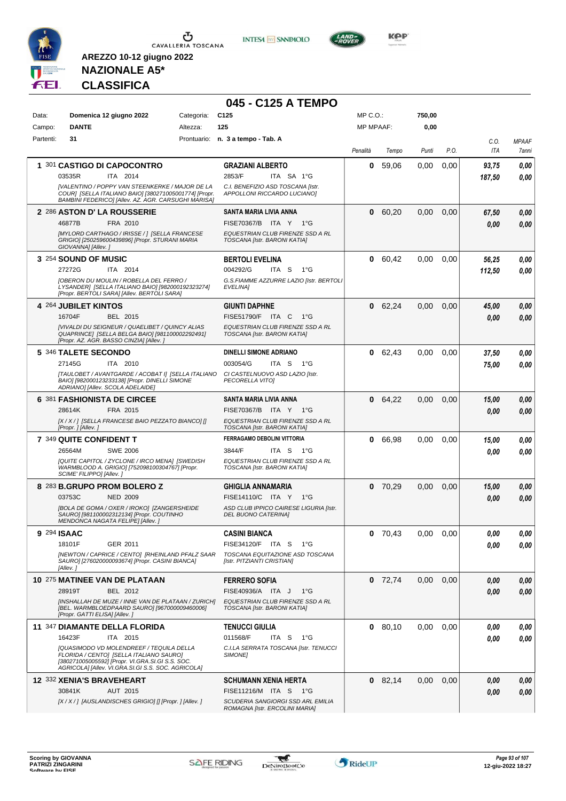

**INTESA M** SANPAOLO



**KOP** 

# **NAZIONALE A5\* CLASSIFICA**

|             |                                                                                                                                                                                               |            | 045 - C125 A TEMPO                                                  |                  |           |        |      |        |              |
|-------------|-----------------------------------------------------------------------------------------------------------------------------------------------------------------------------------------------|------------|---------------------------------------------------------------------|------------------|-----------|--------|------|--------|--------------|
| Data:       | Domenica 12 giugno 2022                                                                                                                                                                       | Categoria: | C <sub>125</sub>                                                    | $MP C. O.$ :     |           | 750,00 |      |        |              |
| Campo:      | <b>DANTE</b>                                                                                                                                                                                  | Altezza:   | 125                                                                 | <b>MP MPAAF:</b> |           | 0,00   |      |        |              |
| Partenti:   | 31                                                                                                                                                                                            |            | Prontuario: n. 3 a tempo - Tab. A                                   |                  |           |        |      | C.O.   | <b>MPAAF</b> |
|             |                                                                                                                                                                                               |            |                                                                     | Penalità         | Tempo     | Punti  | P.O. | ITA    | 7anni        |
|             | 1 301 CASTIGO DI CAPOCONTRO                                                                                                                                                                   |            | <b>GRAZIANI ALBERTO</b>                                             | 0                | 59,06     | 0,00   | 0,00 | 93,75  | 0,00         |
|             | 03535R<br>ITA 2014                                                                                                                                                                            |            | 2853/F<br>ITA SA 1°G                                                |                  |           |        |      | 187,50 | 0,00         |
|             | [VALENTINO / POPPY VAN STEENKERKE / MAJOR DE LA<br>COUR] [SELLA ITALIANO BAIO] [380271005001774] [Propr.<br>BAMBINI FEDERICO] [Allev. AZ. AGR. CARSUGHI MARISA]                               |            | C.I. BENEFIZIO ASD TOSCANA [Istr.<br>APPOLLONI RICCARDO LUCIANO]    |                  |           |        |      |        |              |
|             | 2 286 ASTON D' LA ROUSSERIE                                                                                                                                                                   |            | <b>SANTA MARIA LIVIA ANNA</b>                                       | 0                | 60,20     | 0,00   | 0,00 | 67,50  | 0,00         |
|             | 46877B<br>FRA 2010                                                                                                                                                                            |            | FISE70367/B<br>ITA Y 1°G                                            |                  |           |        |      | 0.00   | 0,00         |
|             | [MYLORD CARTHAGO / IRISSE / 1 [SELLA FRANCESE<br>GRIGIO] [250259600439896] [Propr. STURANI MARIA<br>GIOVANNA] [Allev.]                                                                        |            | EQUESTRIAN CLUB FIRENZE SSD A RL<br>TOSCANA [Istr. BARONI KATIA]    |                  |           |        |      |        |              |
|             | 3 254 SOUND OF MUSIC                                                                                                                                                                          |            | <b>BERTOLI EVELINA</b>                                              | 0                | 60,42     | 0,00   | 0.00 | 56,25  | 0,00         |
|             | 27272G<br>ITA 2014                                                                                                                                                                            |            | 004292/G<br>ITA S<br>1°G                                            |                  |           |        |      | 112,50 | 0,00         |
|             | [OBERON DU MOULIN / ROBELLA DEL FERRO /<br>LYSANDER] [SELLA ITALIANO BAIO] [982000192323274]<br>[Propr. BERTOLI SARA] [Allev. BERTOLI SARA]                                                   |            | G.S.FIAMME AZZURRE LAZIO [Istr. BERTOLI<br>EVELINA]                 |                  |           |        |      |        |              |
|             | 4 264 JUBILET KINTOS                                                                                                                                                                          |            | <b>GIUNTI DAPHNE</b>                                                |                  | 0 62,24   | 0,00   | 0,00 | 45,00  | 0,00         |
|             | BEL 2015<br>16704F                                                                                                                                                                            |            | FISE51790/F ITA C<br>1°G                                            |                  |           |        |      | 0.00   | 0,00         |
|             | [VIVALDI DU SEIGNEUR / QUAELIBET / QUINCY ALIAS<br>QUAPRINCE1 [SELLA BELGA BAIO] [981100002292491]<br>[Propr. AZ. AGR. BASSO CINZIA] [Allev. ]                                                |            | EQUESTRIAN CLUB FIRENZE SSD A RL<br>TOSCANA [Istr. BARONI KATIA]    |                  |           |        |      |        |              |
|             | 5 346 TALETE SECONDO                                                                                                                                                                          |            | <b>DINELLI SIMONE ADRIANO</b>                                       |                  | 0 62,43   | 0.00   | 0,00 | 37,50  | 0,00         |
|             | 27145G<br>ITA 2010                                                                                                                                                                            |            | 003054/G<br>ITA S<br>1°G                                            |                  |           |        |      | 75,00  | 0.00         |
|             | [TAULOBET / AVANTGARDE / ACOBAT I] [SELLA ITALIANO<br>BAIO] [982000123233138] [Propr. DINELLI SIMONE<br>ADRIANO] [Allev. SCOLA ADELAIDE]                                                      |            | CI CASTELNUOVO ASD LAZIO [Istr.<br>PECORELLA VITOJ                  |                  |           |        |      |        |              |
|             | 6 381 FASHIONISTA DE CIRCEE                                                                                                                                                                   |            | SANTA MARIA LIVIA ANNA                                              | $\mathbf{0}$     | 64,22     | 0,00   | 0,00 | 15,00  | 0,00         |
|             | 28614K<br>FRA 2015                                                                                                                                                                            |            | FISE70367/B ITA Y 1°G                                               |                  |           |        |      | 0.00   | 0,00         |
|             | [X / X / ] [SELLA FRANCESE BAIO PEZZATO BIANCO] []<br>[Propr. ] [Allev. ]                                                                                                                     |            | EQUESTRIAN CLUB FIRENZE SSD A RL<br>TOSCANA [Istr. BARONI KATIA]    |                  |           |        |      |        |              |
|             | 7 349 QUITE CONFIDENT T                                                                                                                                                                       |            | FERRAGAMO DEBOLINI VITTORIA                                         | 0                | 66,98     | 0,00   | 0,00 | 15,00  | 0,00         |
|             | 26564M<br><b>SWE 2006</b>                                                                                                                                                                     |            | 3844/F<br>ITA S<br>1°G                                              |                  |           |        |      | 0.00   | 0.00         |
|             | [QUITE CAPITOL / ZYCLONE / IRCO MENA] [SWEDISH<br>WARMBLOOD A. GRIGIO] [752098100304767] [Propr.<br>SCIME' FILIPPO] [Allev.]                                                                  |            | EQUESTRIAN CLUB FIRENZE SSD A RL<br>TOSCANA [Istr. BARONI KATIA]    |                  |           |        |      |        |              |
|             | 8 283 B.GRUPO PROM BOLERO Z                                                                                                                                                                   |            | <b>GHIGLIA ANNAMARIA</b>                                            |                  | $0$ 70,29 | 0,00   | 0,00 | 15,00  | 0,00         |
|             | 03753C<br><b>NED 2009</b>                                                                                                                                                                     |            | FISE14110/C ITA Y<br>− 1°G                                          |                  |           |        |      | 0.00   | 0,00         |
|             | [BOLA DE GOMA / OXER / IROKO] [ZANGERSHEIDE<br>SAURO] [981100002312134] [Propr. COUTINHO<br>MENDONCA NAGATA FELIPE] [Allev. ]                                                                 |            | ASD CLUB IPPICO CAIRESE LIGURIA [Istr.<br>DEL BUONO CATERINA]       |                  |           |        |      |        |              |
| 9 294 ISAAC |                                                                                                                                                                                               |            | <b>CASINI BIANCA</b>                                                |                  | $0$ 70,43 | 0,00   | 0,00 | 0,00   | 0,00         |
|             | 18101F<br>GER 2011                                                                                                                                                                            |            | FISE34120/F ITA S<br>− 1°G                                          |                  |           |        |      | 0.00   | 0,00         |
|             | [NEWTON / CAPRICE / CENTO] [RHEINLAND PFALZ SAAR<br>SAURO] [276020000093674] [Propr. CASINI BIANCA]<br>[Allev.]                                                                               |            | TOSCANA EQUITAZIONE ASD TOSCANA<br>[Istr. PITZIANTI CRISTIAN]       |                  |           |        |      |        |              |
|             | 10 275 MATINEE VAN DE PLATAAN                                                                                                                                                                 |            | <b>FERRERO SOFIA</b>                                                |                  | $0$ 72,74 | 0,00   | 0,00 | 0,00   | 0,00         |
|             | BEL 2012<br>28919T                                                                                                                                                                            |            | FISE40936/A ITA J<br>1°G                                            |                  |           |        |      | 0,00   | 0,00         |
|             | [INSHALLAH DE MUZE / INNE VAN DE PLATAAN / ZURICH]<br>[BEL. WARMBLOEDPAARD SAURO] [967000009460006]<br>[Propr. GATTI ELISA] [Allev.]                                                          |            | EQUESTRIAN CLUB FIRENZE SSD A RL<br>TOSCANA [Istr. BARONI KATIA]    |                  |           |        |      |        |              |
|             | 11 347 DIAMANTE DELLA FLORIDA                                                                                                                                                                 |            | <b>TENUCCI GIULIA</b>                                               |                  | 0 80,10   | 0,00   | 0.00 | 0,00   | 0,00         |
|             | 16423F<br>ITA 2015                                                                                                                                                                            |            | 011568/F<br>ITA S<br>1°G                                            |                  |           |        |      | 0.00   | 0,00         |
|             | [QUASIMODO VD MOLENDREEF / TEQUILA DELLA<br>FLORIDA / CENTOJ [SELLA ITALIANO SAURO]<br>[380271005005592] [Propr. VI.GRA.SI.GI S.S. SOC.<br>AGRICOLA] [Allev. VI.GRA.SI.GI S.S. SOC. AGRICOLA] |            | C.I.LA SERRATA TOSCANA [Istr. TENUCCI<br><b>SIMONE1</b>             |                  |           |        |      |        |              |
|             | 12 332 XENIA'S BRAVEHEART                                                                                                                                                                     |            | <b>SCHUMANN XENIA HERTA</b>                                         |                  | $0$ 82,14 | 0,00   | 0,00 | 0,00   | 0,00         |
|             | 30841K<br>AUT 2015                                                                                                                                                                            |            | FISE11216/M ITA S 1°G                                               |                  |           |        |      | 0,00   | 0,00         |
|             | [X / X / ] [AUSLANDISCHES GRIGIO] [] [Propr. ] [Allev. ]                                                                                                                                      |            | SCUDERIA SANGIORGI SSD ARL EMILIA<br>ROMAGNA [Istr. ERCOLINI MARIA] |                  |           |        |      |        |              |

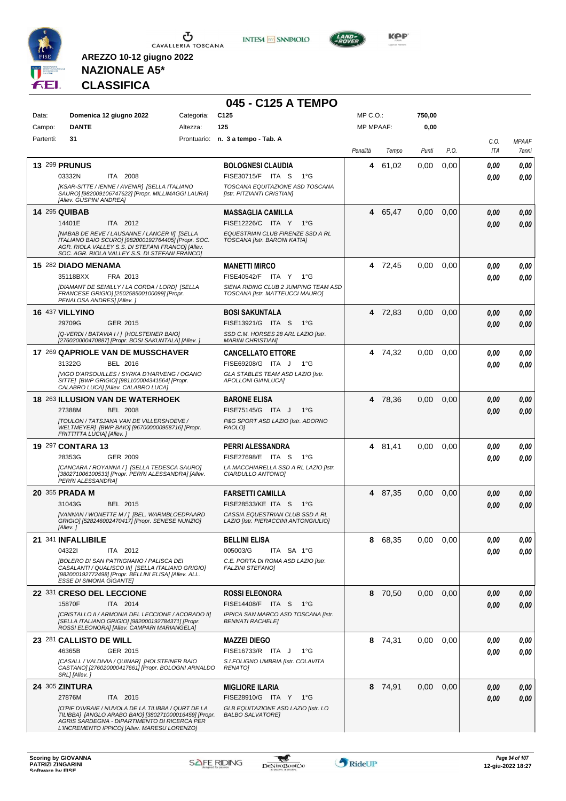

**INTESA M** SANPAOLO

**045 - C125 A TEMPO**



**KOP** 

# **NAZIONALE A5\* CLASSIFICA**

| Data:                | Domenica 12 giugno 2022                                                                                                                                                                                                                                      | Categoria: | C <sub>125</sub>                                                                                                                | MP C. O.         |         | 750,00 |      |              |                       |
|----------------------|--------------------------------------------------------------------------------------------------------------------------------------------------------------------------------------------------------------------------------------------------------------|------------|---------------------------------------------------------------------------------------------------------------------------------|------------------|---------|--------|------|--------------|-----------------------|
| Campo:               | <b>DANTE</b>                                                                                                                                                                                                                                                 | Altezza:   | 125                                                                                                                             | <b>MP MPAAF:</b> |         | 0,00   |      |              |                       |
| Partenti:            | 31                                                                                                                                                                                                                                                           |            | Prontuario: n. 3 a tempo - Tab. A                                                                                               | Penalità         | Tempo   | Punti  | P.O. | C.O.<br>ITA  | <b>MPAAF</b><br>7anni |
|                      | <b>13 299 PRUNUS</b><br>03332N<br>ITA 2008<br>[KSAR-SITTE / IENNE / AVENIR] [SELLA ITALIANO<br>SAURO] [982009106747622] [Propr. MILLIMAGGI LAURA]                                                                                                            |            | <b>BOLOGNESI CLAUDIA</b><br>FISE30715/F ITA S<br>$1^{\circ}G$<br>TOSCANA EQUITAZIONE ASD TOSCANA<br>[Istr. PITZIANTI CRISTIAN]  | 4                | 61,02   | 0,00   | 0,00 | 0.00<br>0.00 | 0.00<br>0.00          |
| <b>14 295 QUIBAB</b> | [Allev. GUSPINI ANDREA]<br>14401E<br>ITA 2012<br>[NABAB DE REVE / LAUSANNE / LANCER II] [SELLA<br>ITALIANO BAIO SCURO] [982000192764405] [Propr. SOC.<br>AGR. RIOLA VALLEY S.S. DI STEFANI FRANCO] [Allev.<br>SOC. AGR. RIOLA VALLEY S.S. DI STEFANI FRANCO] |            | <b>MASSAGLIA CAMILLA</b><br>FISE12226/C ITA Y<br>1°G<br>EQUESTRIAN CLUB FIRENZE SSD A RL<br>TOSCANA [Istr. BARONI KATIA]        | 4                | 65,47   | 0,00   | 0,00 | 0,00<br>0.00 | 0,00<br>0,00          |
|                      | 15 282 DIADO MENAMA<br>35118BXX<br>FRA 2013<br><b>IDIAMANT DE SEMILLY / LA CORDA / LORDI [SELLA</b><br>FRANCESE GRIGIO] [250258500100099] [Propr.<br>PENALOSA ANDRES] [Allev.]                                                                               |            | <b>MANETTI MIRCO</b><br>FISE40542/F ITA Y 1°G<br>SIENA RIDING CLUB 2 JUMPING TEAM ASD<br>TOSCANA [Istr. MATTEUCCI MAURO]        |                  | 4 72,45 | 0,00   | 0,00 | 0,00<br>0.00 | 0,00<br>0.00          |
|                      | 16 437 VILLYINO<br>29709G<br>GER 2015<br>[Q-VERDI / BATAVIA I / ] [HOLSTEINER BAIO]<br>[276020000470887] [Propr. BOSI SAKUNTALA] [Allev.]                                                                                                                    |            | <b>BOSI SAKUNTALA</b><br>FISE13921/G ITA S<br>$1^{\circ}G$<br>SSD C.M. HORSES 28 ARL LAZIO [Istr.<br><b>MARINI CHRISTIANI</b>   |                  | 4 72.83 | 0,00   | 0,00 | 0,00<br>0,00 | 0,00<br>0.00          |
|                      | 17 269 QAPRIOLE VAN DE MUSSCHAVER<br>31322G<br>BEL 2016<br>[VIGO D'ARSOUILLES / SYRKA D'HARVENG / OGANO<br>SITTE] [BWP GRIGIO] [981100004341564] [Propr.<br>CALABRO LUCA] [Allev. CALABRO LUCA]                                                              |            | <b>CANCELLATO ETTORE</b><br>FISE69208/G ITA J<br>1°G<br>GLA STABLES TEAM ASD LAZIO [Istr.<br><b>APOLLONI GIANLUCAI</b>          |                  | 4 74,32 | 0.00   | 0.00 | 0,00<br>0,00 | 0,00<br>0.00          |
|                      | 18 263 ILLUSION VAN DE WATERHOEK<br>27388M<br><b>BEL 2008</b><br><b>[TOULON / TATSJANA VAN DE VILLERSHOEVE /</b><br>WELTMEYER] [BWP BAIO] [967000000958716] [Propr.<br>FRITTITTA LUCIA] [Allev.]                                                             |            | <b>BARONE ELISA</b><br>FISE75145/G ITA J<br>$1^{\circ}G$<br>P&G SPORT ASD LAZIO [Istr. ADORNO<br>PAOLO]                         |                  | 4 78,36 | 0.00   | 0,00 | 0,00<br>0.00 | 0.00<br>0,00          |
|                      | 19 297 CONTARA 13<br>28353G<br>GER 2009<br>[CANCARA / ROYANNA / ] [SELLA TEDESCA SAURO]<br>[380271006100533] [Propr. PERRI ALESSANDRA] [Allev.<br>PERRI ALESSANDRA]                                                                                          |            | PERRI ALESSANDRA<br>FISE27698/E ITA S<br>1°G<br>LA MACCHIARELLA SSD A RL LAZIO [Istr.<br>CIARDULLO ANTONIOI                     | 4                | 81,41   | 0.00   | 0,00 | 0.00<br>0.00 | 0,00<br>0.00          |
|                      | 20 355 PRADA M<br>31043G<br>BEL 2015<br>[VANNAN / WONETTE M / ] [BEL. WARMBLOEDPAARD<br>GRIGIO] [528246002470417] [Propr. SENESE NUNZIO]<br>[Allev.]                                                                                                         |            | <b>FARSETTI CAMILLA</b><br>FISE28533/KE ITA S<br>1°G<br>CASSIA EQUESTRIAN CLUB SSD A RL<br>LAZIO [Istr. PIERACCINI ANTONGIULIO] |                  | 4 87,35 | 0,00   | 0,00 | 0,00<br>0.00 | 0,00<br>0.00          |
|                      | 21 341 INFALLIBILE<br>043221<br>ITA 2012<br><b>[BOLERO DI SAN PATRIGNANO / PALISCA DEI</b><br>CASALANTI / QUALISCO III] [SELLA ITALIANO GRIGIO]<br>[982000192772498] [Propr. BELLINI ELISA] [Allev. ALL.<br><b>ESSE DI SIMONA GIGANTE]</b>                   |            | <b>BELLINI ELISA</b><br>005003/G<br>ITA SA 1°G<br>C.E. PORTA DI ROMA ASD LAZIO [Istr.<br><b>FALZINI STEFANO]</b>                | 8                | 68,35   | 0,00   | 0,00 | 0,00<br>0.00 | 0,00<br>0,00          |
|                      | 22 331 CRESO DEL LECCIONE<br>15870F<br>ITA 2014<br>[CRISTALLO II / ARMONIA DEL LECCIONE / ACORADO II]<br>[SELLA ITALIANO GRIGIO] [982000192784371] [Propr.                                                                                                   |            | <b>ROSSI ELEONORA</b><br>FISE14408/F ITA S<br>− 1°G<br>IPPICA SAN MARCO ASD TOSCANA [Istr.<br><b>BENNATI RACHELE]</b>           |                  | 8 70.50 | 0.00   | 0.00 | 0,00<br>0.00 | 0,00<br>0.00          |
|                      | ROSSI ELEONORA] [Allev. CAMPARI MARIANGELA]<br>23 281 CALLISTO DE WILL<br>46365B<br>GER 2015<br>[CASALL / VALDIVIA / QUINAR] [HOLSTEINER BAIO<br>CASTANO] [276020000417661] [Propr. BOLOGNI ARNALDO<br>SRL] [Allev.]                                         |            | <b>MAZZEI DIEGO</b><br>FISE16733/R ITA J<br>1°G<br>S.I.FOLIGNO UMBRIA [Istr. COLAVITA<br><b>RENATO]</b>                         |                  | 8 74,31 | 0.00   | 0.00 | 0.00<br>0.00 | 0,00<br>0,00          |
|                      | <b>24 305 ZINTURA</b><br>27876M<br>ITA 2015<br>[O'PIF D'IVRAIE / NUVOLA DE LA TILIBBA / QURT DE LA<br>TILIBBA] [ANGLO ARABO BAIO] [380271000016459] [Propr.<br>AGRIS SARDEGNA - DIPARTIMENTO DI RICERCA PER<br>L'INCREMENTO IPPICO] [Allev. MARESU LORENZO]  |            | <b>MIGLIORE ILARIA</b><br>FISE28910/G ITA Y 1°G<br>GLB EQUITAZIONE ASD LAZIO [Istr. LO<br><b>BALBO SALVATORE]</b>               |                  | 8 74,91 | 0,00   | 0,00 | 0,00<br>0,00 | 0,00<br>0,00          |

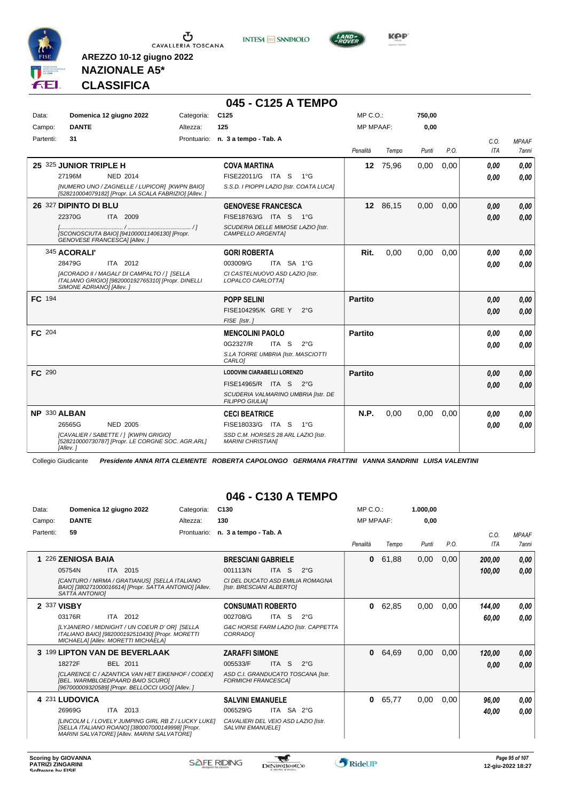

**INTESA** M SANPAOLO



**Kep** 

### **NAZIONALE A5\* CLASSIFICA**

**AREZZO 10-12 giugno 2022**

|           |                                                                                                                                |            | 045 - C125 A TEMPO                                              |                  |          |        |      |      |              |
|-----------|--------------------------------------------------------------------------------------------------------------------------------|------------|-----------------------------------------------------------------|------------------|----------|--------|------|------|--------------|
| Data:     | Domenica 12 giugno 2022                                                                                                        | Categoria: | C <sub>125</sub>                                                | $MP C. O.$ :     |          | 750,00 |      |      |              |
| Campo:    | <b>DANTE</b>                                                                                                                   | Altezza:   | 125                                                             | <b>MP MPAAF:</b> |          | 0,00   |      |      |              |
| Partenti: | 31                                                                                                                             |            | Prontuario: n. 3 a tempo - Tab. A                               |                  |          |        |      | C.0. | <b>MPAAF</b> |
|           |                                                                                                                                |            |                                                                 | Penalità         | Tempo    | Punti  | P.O. | ITA  | 7anni        |
|           | 25 325 JUNIOR TRIPLE H                                                                                                         |            | <b>COVA MARTINA</b>                                             |                  | 12 75,96 | 0,00   | 0,00 | 0.00 | 0.00         |
|           | 27196M<br><b>NED 2014</b>                                                                                                      |            | FISE22011/G ITA S<br>$1^{\circ}G$                               |                  |          |        |      | 0.00 | 0.00         |
|           | [NUMERO UNO / ZAGNELLE / LUPICOR] [KWPN BAIO]<br>[528210004079182] [Propr. LA SCALA FABRIZIO] [Allev. ]                        |            | S.S.D. I PIOPPI LAZIO [Istr. COATA LUCA]                        |                  |          |        |      |      |              |
|           | 26 327 DIPINTO DI BLU                                                                                                          |            | <b>GENOVESE FRANCESCA</b>                                       |                  | 12 86,15 | 0,00   | 0,00 | 0.00 | 0,00         |
|           | 22370G<br>ITA 2009                                                                                                             |            | FISE18763/G ITA S 1°G                                           |                  |          |        |      | 0.00 | 0,00         |
|           | [SCONOSCIUTA BAIO] [941000011406130] [Propr.<br>GENOVESE FRANCESCAI [Allev.]                                                   |            | SCUDERIA DELLE MIMOSE LAZIO [Istr.<br>CAMPELLO ARGENTAI         |                  |          |        |      |      |              |
|           | 345 ACORALI'                                                                                                                   |            | <b>GORI ROBERTA</b>                                             | Rit.             | 0,00     | 0,00   | 0.00 | 0.00 | 0.00         |
|           | 28479G<br>ITA 2012                                                                                                             |            | 003009/G<br>ITA SA 1°G                                          |                  |          |        |      | 0.00 | 0.00         |
|           | [ACORADO II / MAGALI' DI CAMPALTO / ] [SELLA<br>ITALIANO GRIGIOI [982000192765310] [Propr. DINELLI<br>SIMONE ADRIANO] [Allev.] |            | CI CASTELNUOVO ASD LAZIO [Istr.<br>LOPALCO CARLOTTA]            |                  |          |        |      |      |              |
| FC 194    |                                                                                                                                |            | <b>POPP SELINI</b>                                              | <b>Partito</b>   |          |        |      | 0.00 | 0,00         |
|           |                                                                                                                                |            | FISE104295/K GRE Y<br>$2^{\circ}G$                              |                  |          |        |      | 0.00 | 0.00         |
|           |                                                                                                                                |            | FISE [Istr.]                                                    |                  |          |        |      |      |              |
| FC 204    |                                                                                                                                |            | <b>MENCOLINI PAOLO</b>                                          | Partito          |          |        |      | 0.00 | 0.00         |
|           |                                                                                                                                |            | 0G2327/R<br>ITA S<br>$2^{\circ}G$                               |                  |          |        |      | 0.00 | 0.00         |
|           |                                                                                                                                |            | S.LA TORRE UMBRIA [Istr. MASCIOTTI<br>CARLO]                    |                  |          |        |      |      |              |
| FC 290    |                                                                                                                                |            | <b>LODOVINI CIARABELLI LORENZO</b>                              | <b>Partito</b>   |          |        |      | 0,00 | 0,00         |
|           |                                                                                                                                |            | FISE14965/R ITA S 2°G                                           |                  |          |        |      | 0.00 | 0.00         |
|           |                                                                                                                                |            | SCUDERIA VALMARINO UMBRIA [Istr. DE<br><b>FILIPPO GIULIAI</b>   |                  |          |        |      |      |              |
|           | NP 330 ALBAN                                                                                                                   |            | <b>CECI BEATRICE</b>                                            | N.P.             | 0,00     | 0,00   | 0,00 | 0.00 | 0.00         |
|           | 26565G<br>NED 2005                                                                                                             |            | FISE18033/G ITA S<br>1°G                                        |                  |          |        |      | 0.00 | 0,00         |
|           | [CAVALIER / SABETTE / ] [KWPN GRIGIO]<br>[528210000730787] [Propr. LE CORGNE SOC. AGR.ARL]<br>[Allev.]                         |            | SSD C.M. HORSES 28 ARL LAZIO [Istr.<br><b>MARINI CHRISTIANI</b> |                  |          |        |      |      |              |

Collegio Giudicante *Presidente ANNA RITA CLEMENTE ROBERTA CAPOLONGO GERMANA FRATTINI VANNA SANDRINI LUISA VALENTINI*

### **046 - C130 A TEMPO**

| 130<br><b>MP MPAAF:</b><br><b>DANTE</b><br>0.00<br>Campo:<br>Altezza:<br>59<br>Partenti:<br>n. 3 a tempo - Tab. A<br>Prontuario:<br>C.O.<br><b>MPAAF</b><br>P.O.<br>Penalità<br>Punti<br>ITA<br>Tempo<br>7anni<br>61,88<br>0,00<br>0,00<br>226 ZENIOSA BAIA<br>$\bf{0}$<br>0.00<br><b>BRESCIANI GABRIELE</b><br>200,00<br>2015<br>05754N<br>001113/N<br><b>ITA</b><br>-S<br>$2^{\circ}$ G<br>ITA<br>0.00<br>100,00<br>[CANTURO / NIRMA / GRATIANUS] [SELLA ITALIANO<br>CLDEL DUCATO ASD EMILIA ROMAGNA<br>BAIO] [380271000016614] [Propr. SATTA ANTONIO] [Allev.<br>[Istr. BRESCIANI ALBERTO]<br>SATTA ANTONIOI<br>2 337 VISBY<br>62,85<br>0,00<br>$\bf{0}$<br>0,00<br><b>CONSUMATI ROBERTO</b><br>144,00<br>0,00<br>ITA 2012<br>03176R<br>002708/G<br><b>ITA</b><br>- S<br>$2^{\circ}$ G<br>60,00<br>[LYJANERO / MIDNIGHT / UN COEUR D' OR] [SELLA<br>G&C HORSE FARM LAZIO [Istr. CAPPETTA<br>ITALIANO BAIO] [982000192510430] [Propr. MORETTI<br>CORRADO]<br>MICHAELA] [Allev. MORETTI MICHAELA]<br>3 199 LIPTON VAN DE BEVERLAAK<br><b>ZARAFFI SIMONE</b><br>64,69<br>0,00<br>120,00<br>$\mathbf{0}$<br>0,00<br>18272F<br>BEL 2011<br>005533/F<br>ITA S<br>$2^{\circ}$ G<br>0,00<br>0.00<br>ASD C.I. GRANDUCATO TOSCANA [Istr.<br>[CLARENCE C / AZANTICA VAN HET EIKENHOF / CODEX]<br><b>IBEL. WARMBLOEDPAARD BAIO SCUROI</b><br><b>FORMICHI FRANCESCAI</b><br>[967000009320589] [Propr. BELLOCCI UGO] [Allev. ]<br>4 231 LUDOVICA<br>$\bf{0}$<br>65,77<br>0,00<br>0,00<br><b>SALVINI EMANUELE</b><br>96,00<br>26969G<br>ITA 2013<br>006529/G<br>ITA SA 2°G<br>0.00<br>40,00<br><b>ILINCOLM L / LOVELY JUMPING GIRL RB Z / LUCKY LUKEI</b><br>CAVALIERI DEL VEIO ASD LAZIO [Istr.<br>[SELLA ITALIANO ROANO] [380007000149998] [Propr.<br><b>SALVINI EMANUELEI</b><br>MARINI SALVATORE] [Allev. MARINI SALVATORE] | Data: | Domenica 12 giugno 2022 | Categoria: | C <sub>130</sub> |  | MP C. O. | 1.000,00 |  |      |
|---------------------------------------------------------------------------------------------------------------------------------------------------------------------------------------------------------------------------------------------------------------------------------------------------------------------------------------------------------------------------------------------------------------------------------------------------------------------------------------------------------------------------------------------------------------------------------------------------------------------------------------------------------------------------------------------------------------------------------------------------------------------------------------------------------------------------------------------------------------------------------------------------------------------------------------------------------------------------------------------------------------------------------------------------------------------------------------------------------------------------------------------------------------------------------------------------------------------------------------------------------------------------------------------------------------------------------------------------------------------------------------------------------------------------------------------------------------------------------------------------------------------------------------------------------------------------------------------------------------------------------------------------------------------------------------------------------------------------------------------------------------------------------------------------------------------|-------|-------------------------|------------|------------------|--|----------|----------|--|------|
|                                                                                                                                                                                                                                                                                                                                                                                                                                                                                                                                                                                                                                                                                                                                                                                                                                                                                                                                                                                                                                                                                                                                                                                                                                                                                                                                                                                                                                                                                                                                                                                                                                                                                                                                                                                                                     |       |                         |            |                  |  |          |          |  |      |
|                                                                                                                                                                                                                                                                                                                                                                                                                                                                                                                                                                                                                                                                                                                                                                                                                                                                                                                                                                                                                                                                                                                                                                                                                                                                                                                                                                                                                                                                                                                                                                                                                                                                                                                                                                                                                     |       |                         |            |                  |  |          |          |  |      |
|                                                                                                                                                                                                                                                                                                                                                                                                                                                                                                                                                                                                                                                                                                                                                                                                                                                                                                                                                                                                                                                                                                                                                                                                                                                                                                                                                                                                                                                                                                                                                                                                                                                                                                                                                                                                                     |       |                         |            |                  |  |          |          |  |      |
|                                                                                                                                                                                                                                                                                                                                                                                                                                                                                                                                                                                                                                                                                                                                                                                                                                                                                                                                                                                                                                                                                                                                                                                                                                                                                                                                                                                                                                                                                                                                                                                                                                                                                                                                                                                                                     |       |                         |            |                  |  |          |          |  |      |
|                                                                                                                                                                                                                                                                                                                                                                                                                                                                                                                                                                                                                                                                                                                                                                                                                                                                                                                                                                                                                                                                                                                                                                                                                                                                                                                                                                                                                                                                                                                                                                                                                                                                                                                                                                                                                     |       |                         |            |                  |  |          |          |  |      |
|                                                                                                                                                                                                                                                                                                                                                                                                                                                                                                                                                                                                                                                                                                                                                                                                                                                                                                                                                                                                                                                                                                                                                                                                                                                                                                                                                                                                                                                                                                                                                                                                                                                                                                                                                                                                                     |       |                         |            |                  |  |          |          |  |      |
|                                                                                                                                                                                                                                                                                                                                                                                                                                                                                                                                                                                                                                                                                                                                                                                                                                                                                                                                                                                                                                                                                                                                                                                                                                                                                                                                                                                                                                                                                                                                                                                                                                                                                                                                                                                                                     |       |                         |            |                  |  |          |          |  |      |
|                                                                                                                                                                                                                                                                                                                                                                                                                                                                                                                                                                                                                                                                                                                                                                                                                                                                                                                                                                                                                                                                                                                                                                                                                                                                                                                                                                                                                                                                                                                                                                                                                                                                                                                                                                                                                     |       |                         |            |                  |  |          |          |  | 0.00 |
|                                                                                                                                                                                                                                                                                                                                                                                                                                                                                                                                                                                                                                                                                                                                                                                                                                                                                                                                                                                                                                                                                                                                                                                                                                                                                                                                                                                                                                                                                                                                                                                                                                                                                                                                                                                                                     |       |                         |            |                  |  |          |          |  |      |
|                                                                                                                                                                                                                                                                                                                                                                                                                                                                                                                                                                                                                                                                                                                                                                                                                                                                                                                                                                                                                                                                                                                                                                                                                                                                                                                                                                                                                                                                                                                                                                                                                                                                                                                                                                                                                     |       |                         |            |                  |  |          |          |  | 0.00 |
|                                                                                                                                                                                                                                                                                                                                                                                                                                                                                                                                                                                                                                                                                                                                                                                                                                                                                                                                                                                                                                                                                                                                                                                                                                                                                                                                                                                                                                                                                                                                                                                                                                                                                                                                                                                                                     |       |                         |            |                  |  |          |          |  |      |
|                                                                                                                                                                                                                                                                                                                                                                                                                                                                                                                                                                                                                                                                                                                                                                                                                                                                                                                                                                                                                                                                                                                                                                                                                                                                                                                                                                                                                                                                                                                                                                                                                                                                                                                                                                                                                     |       |                         |            |                  |  |          |          |  |      |
|                                                                                                                                                                                                                                                                                                                                                                                                                                                                                                                                                                                                                                                                                                                                                                                                                                                                                                                                                                                                                                                                                                                                                                                                                                                                                                                                                                                                                                                                                                                                                                                                                                                                                                                                                                                                                     |       |                         |            |                  |  |          |          |  | 0.00 |
|                                                                                                                                                                                                                                                                                                                                                                                                                                                                                                                                                                                                                                                                                                                                                                                                                                                                                                                                                                                                                                                                                                                                                                                                                                                                                                                                                                                                                                                                                                                                                                                                                                                                                                                                                                                                                     |       |                         |            |                  |  |          |          |  |      |
|                                                                                                                                                                                                                                                                                                                                                                                                                                                                                                                                                                                                                                                                                                                                                                                                                                                                                                                                                                                                                                                                                                                                                                                                                                                                                                                                                                                                                                                                                                                                                                                                                                                                                                                                                                                                                     |       |                         |            |                  |  |          |          |  |      |

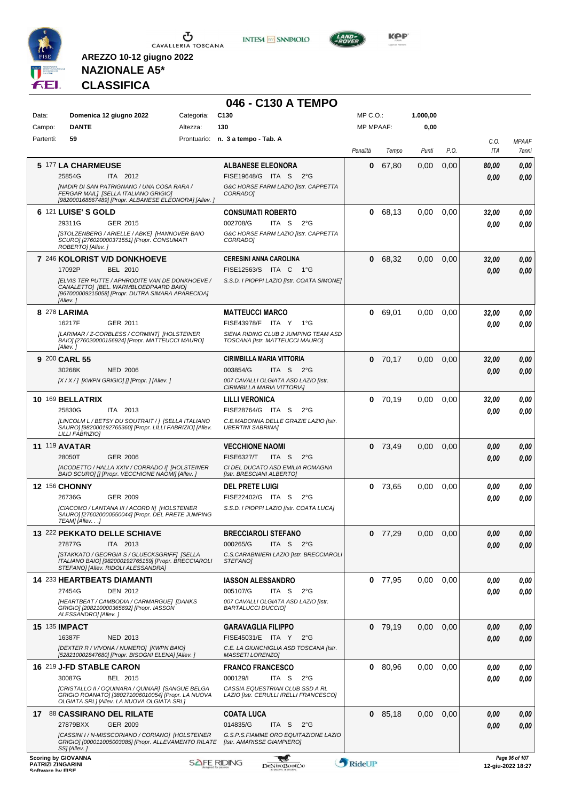

**INTESA** M SANPAOLO



**KOP** 

# **NAZIONALE A5\* CLASSIFICA**

|                                              |                                                                                                                                                                  |                    | 046 - C130 A TEMPO                                                             |                  |           |          |      |             |                                     |
|----------------------------------------------|------------------------------------------------------------------------------------------------------------------------------------------------------------------|--------------------|--------------------------------------------------------------------------------|------------------|-----------|----------|------|-------------|-------------------------------------|
| Data:                                        | Domenica 12 giugno 2022                                                                                                                                          | Categoria:         | C <sub>130</sub>                                                               | $MP C. O.$ :     |           | 1.000,00 |      |             |                                     |
| Campo:                                       | <b>DANTE</b>                                                                                                                                                     | Altezza:           | 130                                                                            | <b>MP MPAAF:</b> |           | 0,00     |      |             |                                     |
| Partenti:                                    | 59                                                                                                                                                               |                    | Prontuario: n. 3 a tempo - Tab. A                                              | Penalità         | Tempo     | Punti    | P.O. | C.O.<br>ITA | <b>MPAAF</b><br>7anni               |
|                                              | 5 177 LA CHARMEUSE                                                                                                                                               |                    | <b>ALBANESE ELEONORA</b>                                                       | 0                | 67,80     | 0,00     | 0,00 | 80.00       | 0,00                                |
|                                              | 25854G<br>ITA 2012                                                                                                                                               |                    | FISE19648/G ITA S<br>2°G                                                       |                  |           |          |      | 0.00        | 0.00                                |
|                                              | [NADIR DI SAN PATRIGNANO / UNA COSA RARA /<br>FERGAR MAIL1 [SELLA ITALIANO GRIGIO]<br>[982000168867489] [Propr. ALBANESE ELEONORA] [Allev. ]                     |                    | G&C HORSE FARM LAZIO [Istr. CAPPETTA<br>CORRADO]                               |                  |           |          |      |             |                                     |
|                                              | 6 121 LUISE'S GOLD<br>29311G<br>GER 2015                                                                                                                         |                    | <b>CONSUMATI ROBERTO</b><br>002708/G<br>ITA S<br>$2^{\circ}$ G                 | $\mathbf 0$      | 68,13     | 0,00     | 0,00 | 32,00       | 0,00                                |
|                                              | [STOLZENBERG / ARIELLE / ABKE] [HANNOVER BAIO<br>SCURO] [276020000371551] [Propr. CONSUMATI<br>ROBERTO] [Allev.]                                                 |                    | G&C HORSE FARM LAZIO [Istr. CAPPETTA<br>CORRADOI                               |                  |           |          |      | 0.00        | 0.00                                |
|                                              | 7 246 KOLORIST V/D DONKHOEVE                                                                                                                                     |                    | <b>CERESINI ANNA CAROLINA</b>                                                  |                  | 0 68,32   | 0,00     | 0,00 | 32,00       | 0,00                                |
|                                              | 17092P<br>BEL 2010                                                                                                                                               |                    | FISE12563/S ITA C<br>− 1°G                                                     |                  |           |          |      | 0.00        | 0.00                                |
|                                              | <b>JELVIS TER PUTTE / APHRODITE VAN DE DONKHOEVE /</b><br>CANALETTO] [BEL. WARMBLOEDPAARD BAIO]<br>[967000009215058] [Propr. DUTRA SIMARA APARECIDA]<br>[Allev.] |                    | S.S.D. I PIOPPI LAZIO [Istr. COATA SIMONE]                                     |                  |           |          |      |             |                                     |
|                                              | 8 278 LARIMA                                                                                                                                                     |                    | <b>MATTEUCCI MARCO</b>                                                         | 0                | 69,01     | 0,00     | 0,00 | 32,00       | 0,00                                |
|                                              | 16217F<br>GER 2011<br>[LARIMAR / Z-CORBLESS / CORMINT] [HOLSTEINER                                                                                               |                    | FISE43978/F ITA Y<br>$1^{\circ}G$<br>SIENA RIDING CLUB 2 JUMPING TEAM ASD      |                  |           |          |      | 0.00        | 0.00                                |
|                                              | BAIO] [276020000156924] [Propr. MATTEUCCI MAURO]<br>[Allev.]                                                                                                     |                    | TOSCANA [Istr. MATTEUCCI MAURO]                                                |                  |           |          |      |             |                                     |
|                                              | 9 200 CARL 55                                                                                                                                                    |                    | <b>CIRIMBILLA MARIA VITTORIA</b>                                               |                  | $0$ 70,17 | 0,00     | 0,00 | 32,00       | 0,00                                |
|                                              | 30268K<br><b>NED 2006</b>                                                                                                                                        |                    | 003854/G<br>ITA S<br>2°G                                                       |                  |           |          |      | 0.00        | 0.00                                |
|                                              | [X / X / ] [KWPN GRIGIO] [] [Propr. ] [Allev. ]                                                                                                                  |                    | 007 CAVALLI OLGIATA ASD LAZIO [Istr.<br>CIRIMBILLA MARIA VITTORIA]             |                  |           |          |      |             |                                     |
|                                              | 10 169 BELLATRIX                                                                                                                                                 |                    | <b>LILLI VERONICA</b>                                                          |                  | $0$ 70,19 | 0,00     | 0,00 | 32,00       | 0,00                                |
|                                              | 25830G<br>ITA 2013                                                                                                                                               |                    | FISE28764/G ITA S<br>$2^{\circ}G$                                              |                  |           |          |      | 0.00        | 0.00                                |
|                                              | [LINCOLM L / BETSY DU SOUTRAIT / ] [SELLA ITALIANO<br>SAURO] [982000192765360] [Propr. LILLI FABRIZIO] [Allev.<br>LILLI FABRIZIO]                                |                    | C.E.MADONNA DELLE GRAZIE LAZIO [Istr.<br><b>UBERTINI SABRINA]</b>              |                  |           |          |      |             |                                     |
|                                              | <b>11 119 AVATAR</b>                                                                                                                                             |                    | <b>VECCHIONE NAOMI</b>                                                         |                  | $0$ 73,49 | 0,00     | 0,00 | 0.00        | 0,00                                |
|                                              | 28050T<br><b>GER 2006</b>                                                                                                                                        |                    | <b>FISE6327/T</b><br>ITA S<br>$2^{\circ}$ G                                    |                  |           |          |      | 0.00        | 0.00                                |
|                                              | [ACODETTO / HALLA XXIV / CORRADO I] [HOLSTEINER<br>BAIO SCUROI [] [Propr. VECCHIONE NAOMI] [Allev. ]                                                             |                    | CI DEL DUCATO ASD EMILIA ROMAGNA<br>[Istr. BRESCIANI ALBERTO]                  |                  |           |          |      |             |                                     |
|                                              | <b>12 156 CHONNY</b>                                                                                                                                             |                    | <b>DEL PRETE LUIGI</b>                                                         |                  | $0$ 73.65 | 0,00     | 0,00 | 0.00        | 0,00                                |
|                                              | 26736G<br>GER 2009<br>[CIACOMO / LANTANA III / ACORD II] [HOLSTEINER                                                                                             |                    | FISE22402/G ITA S<br>$2^{\circ}$ G<br>S.S.D. I PIOPPI LAZIO [Istr. COATA LUCA] |                  |           |          |      | 0,00        | 0.00                                |
|                                              | SAURO] [276020000550044] [Propr. DEL PRETE JUMPING<br>TEAM] [Allev]                                                                                              |                    |                                                                                |                  |           |          |      |             |                                     |
|                                              | 13 222 PEKKATO DELLE SCHIAVE                                                                                                                                     |                    | <b>BRECCIAROLI STEFANO</b>                                                     |                  | $0$ 77,29 | 0.00     | 0,00 | 0,00        | 0,00                                |
|                                              | 27877G<br>ITA 2013                                                                                                                                               |                    | 000265/G<br>ITA <sub>S</sub><br>2°G                                            |                  |           |          |      | 0.00        | 0,00                                |
|                                              | [STAKKATO / GEORGIA S / GLUECKSGRIFF] [SELLA<br>ITALIANO BAIO] [982000192765159] [Propr. BRECCIAROLI<br>STEFANO] [Allev. RIDOLI ALESSANDRA]                      |                    | C.S.CARABINIERI LAZIO [Istr. BRECCIAROLI<br>STEFANO]                           |                  |           |          |      |             |                                     |
|                                              | 14 233 HEARTBEATS DIAMANTI                                                                                                                                       |                    | <b>IASSON ALESSANDRO</b>                                                       |                  | $0$ 77,95 | 0,00     | 0,00 | 0.00        | 0,00                                |
|                                              | 27454G<br><b>DEN 2012</b><br>[HEARTBEAT / CAMBODIA / CARMARGUE] [DANKS                                                                                           |                    | 005107/G<br>ITA S<br>$2^{\circ}$ G<br>007 CAVALLI OLGIATA ASD LAZIO [Istr.     |                  |           |          |      | 0.00        | 0,00                                |
|                                              | GRIGIO] [208210000365692] [Propr. IASSON<br>ALESSANDRO] [Allev.]                                                                                                 |                    | <b>BARTALUCCI DUCCIO]</b>                                                      |                  |           |          |      |             |                                     |
|                                              | <b>15 135 IMPACT</b>                                                                                                                                             |                    | <b>GARAVAGLIA FILIPPO</b>                                                      |                  | $0$ 79,19 | 0,00     | 0,00 | 0,00        | 0,00                                |
|                                              | 16387F<br>NED 2013                                                                                                                                               |                    | FISE45031/E ITA Y<br>$2^{\circ}$ G                                             |                  |           |          |      | 0,00        | 0,00                                |
|                                              | [DEXTER R / VIVONA / NUMERO] [KWPN BAIO]<br>[528210002847680] [Propr. BISOGNI ELENA] [Allev. ]                                                                   |                    | C.E. LA GIUNCHIGLIA ASD TOSCANA [Istr.<br><b>MASSETI LORENZO]</b>              |                  |           |          |      |             |                                     |
|                                              | 16 219 J-FD STABLE CARON                                                                                                                                         |                    | <b>FRANCO FRANCESCO</b>                                                        |                  | 0 80,96   | 0,00     | 0,00 | 0,00        | 0,00                                |
|                                              | 30087G<br>BEL 2015<br>[CRISTALLO II / OQUINARA / QUINAR] [SANGUE BELGA                                                                                           |                    | 000129/I<br>ITA S<br>$2^{\circ}$ G<br>CASSIA EQUESTRIAN CLUB SSD A RL          |                  |           |          |      | 0.00        | 0.00                                |
|                                              | GRIGIO ROANATO] [380271006010054] [Propr. LA NUOVA<br>OLGIATA SRL] [Allev. LA NUOVA OLGIATA SRL]                                                                 |                    | LAZIO [Istr. CERULLI IRELLI FRANCESCO]                                         |                  |           |          |      |             |                                     |
|                                              | 17 88 CASSIRANO DEL RILATE                                                                                                                                       |                    | <b>COATA LUCA</b>                                                              |                  | 0 85,18   | 0,00     | 0,00 | 0,00        | 0,00                                |
|                                              | 27879BXX<br>GER 2009<br>[CASSINI I / N-MISSCORIANO / CORIANO] [HOLSTEINER                                                                                        |                    | 014835/G<br>ITA S<br>2°G<br>G.S.P.S.FIAMME ORO EQUITAZIONE LAZIO               |                  |           |          |      | 0.00        | 0.00                                |
|                                              | GRIGIO] [000011005003085] [Propr. ALLEVAMENTO RILATE [Istr. AMARISSE GIAMPIERO]<br>SS] [Allev.]                                                                  |                    |                                                                                |                  |           |          |      |             |                                     |
| <b>PATRIZI ZINGARINI</b><br>Coffware by EICE | <b>Scoring by GIOVANNA</b>                                                                                                                                       | <b>SAFE RIDING</b> | W<br><b>DeNiroBootCo</b>                                                       | RideUP           |           |          |      |             | Page 96 of 107<br>12-giu-2022 18:27 |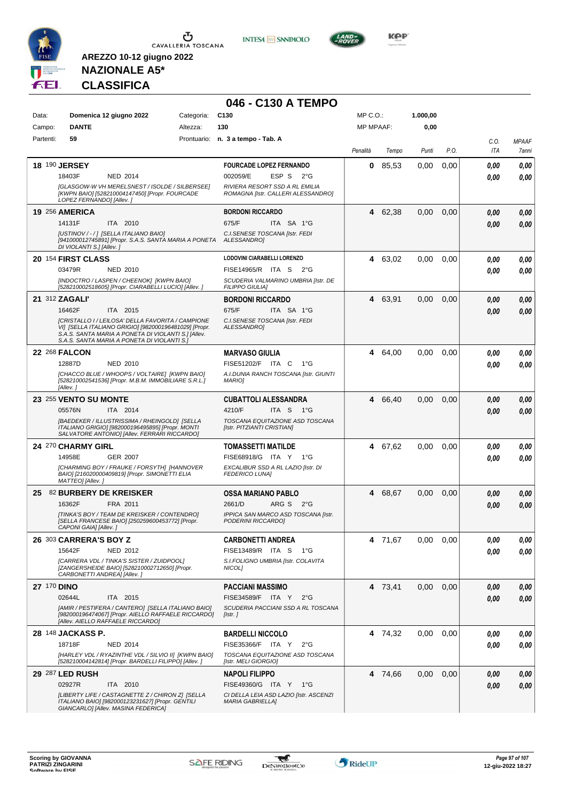



**046 - C130 A TEMPO**



**KOP** 

# **NAZIONALE A5\* CLASSIFICA**

| Data:              | Domenica 12 giugno 2022                                                                                                                           | Categoria: | C <sub>130</sub>                                                  | MP C.O.:         |         | 1.000,00 |      |              |              |
|--------------------|---------------------------------------------------------------------------------------------------------------------------------------------------|------------|-------------------------------------------------------------------|------------------|---------|----------|------|--------------|--------------|
| Campo:             | <b>DANTE</b>                                                                                                                                      | Altezza:   | 130                                                               | <b>MP MPAAF:</b> |         | 0,00     |      |              |              |
| Partenti:          | 59                                                                                                                                                |            | Prontuario: n. 3 a tempo - Tab. A                                 |                  |         |          |      | C.O.         | <b>MPAAF</b> |
|                    |                                                                                                                                                   |            |                                                                   | Penalità         | Tempo   | Punti    | P.O. | <b>ITA</b>   | 7anni        |
|                    | <b>18 190 JERSEY</b>                                                                                                                              |            | <b>FOURCADE LOPEZ FERNANDO</b>                                    | 0                | 85.53   | 0.00     | 0,00 |              |              |
|                    | 18403F<br><b>NED 2014</b>                                                                                                                         |            | ESP S 2°G<br>002059/E                                             |                  |         |          |      | 0,00<br>0.00 | 0,00<br>0,00 |
|                    | [GLASGOW-W VH MERELSNEST / ISOLDE / SILBERSEE]                                                                                                    |            | RIVIERA RESORT SSD A RL EMILIA                                    |                  |         |          |      |              |              |
|                    | [KWPN BAIO] [528210004147450] [Propr. FOURCADE<br>LOPEZ FERNANDO] [Allev.]                                                                        |            | ROMAGNA [Istr. CALLERI ALESSANDRO]                                |                  |         |          |      |              |              |
|                    | <b>19 256 AMERICA</b>                                                                                                                             |            | <b>BORDONI RICCARDO</b>                                           | 4                | 62,38   | 0,00     | 0,00 | 0.00         | 0,00         |
|                    | 14131F<br>ITA 2010                                                                                                                                |            | 675/F<br>ITA SA 1°G                                               |                  |         |          |      | 0.00         | 0,00         |
|                    | [USTINOV / - / ] [SELLA ITALIANO BAIO]<br>[941000012745891] [Propr. S.A.S. SANTA MARIA A PONETA ALESSANDRO]<br>DI VIOLANTI S.] [Allev.]           |            | C.I.SENESE TOSCANA [Istr. FEDI                                    |                  |         |          |      |              |              |
|                    | 20 154 FIRST CLASS                                                                                                                                |            | LODOVINI CIARABELLI LORENZO                                       |                  | 4 63,02 | 0,00     | 0,00 | 0,00         | 0,00         |
|                    | 03479R<br><b>NED 2010</b>                                                                                                                         |            | FISE14965/R ITA S<br>2°G                                          |                  |         |          |      | 0.00         | 0,00         |
|                    | [INDOCTRO / LASPEN / CHEENOK] [KWPN BAIO]<br>[528210002518605] [Propr. CIARABELLI LUCIO] [Allev. ]                                                |            | SCUDERIA VALMARINO UMBRIA [Istr. DE<br><b>FILIPPO GIULIA]</b>     |                  |         |          |      |              |              |
|                    | 21 312 ZAGALI'                                                                                                                                    |            | <b>BORDONI RICCARDO</b>                                           |                  | 4 63,91 | 0,00     | 0,00 | 0,00         | 0,00         |
|                    | 16462F<br>ITA 2015                                                                                                                                |            | 675/F<br>ITA SA 1°G                                               |                  |         |          |      | 0.00         | 0.00         |
|                    | [CRISTALLO I / LEILOSA' DELLA FAVORITA / CAMPIONE<br>VI] [SELLA ITALIANO GRIGIO] [982000196481029] [Propr.                                        |            | C.I. SENESE TOSCANA [Istr. FEDI<br>ALESSANDRO1                    |                  |         |          |      |              |              |
|                    | S.A.S. SANTA MARIA A PONETA DI VIOLANTI S.] [Allev.<br>S.A.S. SANTA MARIA A PONETA DI VIOLANTI S.]                                                |            |                                                                   |                  |         |          |      |              |              |
|                    | <b>22 268 FALCON</b>                                                                                                                              |            | <b>MARVASO GIULIA</b>                                             | 4                | 64,00   | 0,00     | 0,00 | 0,00         | 0,00         |
|                    | 12887D<br><b>NED 2010</b>                                                                                                                         |            | FISE51202/F ITA C<br>$1^{\circ}$ G                                |                  |         |          |      | 0.00         | 0,00         |
|                    | [CHACCO BLUE / WHOOPS / VOLTAIRE] [KWPN BAIO]<br>[528210002541536] [Propr. M.B.M. IMMOBILIARE S.R.L.]<br>[Allev.]                                 |            | A.I.DUNIA RANCH TOSCANA [Istr. GIUNTI<br><b>MARIOI</b>            |                  |         |          |      |              |              |
|                    | 23 255 VENTO SU MONTE                                                                                                                             |            | <b>CUBATTOLI ALESSANDRA</b>                                       | 4                | 66,40   | 0,00     | 0,00 | 0,00         | 0,00         |
|                    | 05576N<br>ITA 2014                                                                                                                                |            | 4210/F<br>ITA S 1°G                                               |                  |         |          |      | 0.00         | 0,00         |
|                    | [BAEDEKER / ILLUSTRISSIMA / RHEINGOLD] [SELLA<br>ITALIANO GRIGIO] [982000196495895] [Propr. MONTI<br>SALVATORE ANTONIO] [Allev. FERRARI RICCARDO] |            | TOSCANA EQUITAZIONE ASD TOSCANA<br>[Istr. PITZIANTI CRISTIAN]     |                  |         |          |      |              |              |
|                    | 24 270 CHARMY GIRL                                                                                                                                |            | <b>TOMASSETTI MATILDE</b>                                         |                  | 4 67,62 | 0,00     | 0,00 | 0.00         | 0,00         |
|                    | <b>GER 2007</b><br>14958E                                                                                                                         |            | FISE68918/G ITA Y 1°G                                             |                  |         |          |      | 0.00         | 0,00         |
|                    | [CHARMING BOY / FRAUKE / FORSYTH] [HANNOVER<br>BAIO] [216020000409819] [Propr. SIMONETTI ELIA<br>MATTEO] [Allev.]                                 |            | EXCALIBUR SSD A RL LAZIO [Istr. DI<br><b>FEDERICO LUNA]</b>       |                  |         |          |      |              |              |
|                    | 25 82 BURBERY DE KREISKER                                                                                                                         |            | OSSA MARIANO PABLO                                                |                  | 4 68,67 | 0,00     | 0,00 | 0,00         | 0,00         |
|                    | 16362F<br>FRA 2011                                                                                                                                |            | 2661/D<br>ARG S 2°G                                               |                  |         |          |      | 0.00         | 0.00         |
|                    | ITINKA'S BOY / TEAM DE KREISKER / CONTENDROI<br>[SELLA FRANCESE BAIO] [250259600453772] [Propr.<br>CAPONI GAIA] [Allev. ]                         |            | IPPICA SAN MARCO ASD TOSCANA [Istr.<br>PODERINI RICCARDO]         |                  |         |          |      |              |              |
|                    | 26 303 CARRERA'S BOY Z                                                                                                                            |            | <b>CARBONETTI ANDREA</b>                                          |                  | 4 71,67 | 0,00     | 0,00 | 0,00         | 0,00         |
|                    | 15642F<br><b>NED 2012</b>                                                                                                                         |            | FISE13489/R ITA S<br>1°G                                          |                  |         |          |      | 0.00         | 0,00         |
|                    | [CARRERA VDL / TINKA'S SISTER / ZUIDPOOL]<br>[ZANGERSHEIDE BAIO] [528210002712650] [Propr.<br>CARBONETTI ANDREA] [Allev.]                         |            | S.I.FOLIGNO UMBRIA [Istr. COLAVITA<br>NICOL <sub>1</sub>          |                  |         |          |      |              |              |
| <b>27 170 DINO</b> |                                                                                                                                                   |            | <b>PACCIANI MASSIMO</b>                                           |                  | 4 73,41 | 0,00     | 0,00 | 0,00         | 0,00         |
|                    | 02644L<br>ITA 2015                                                                                                                                |            | FISE34589/F ITA Y<br>$2^{\circ}G$                                 |                  |         |          |      | 0,00         | 0,00         |
|                    | [AMIR / PESTIFERA / CANTERO] [SELLA ITALIANO BAIO]<br>[982000196474067] [Propr. AIELLO RAFFAELE RICCARDO]<br>[Allev. AIELLO RAFFAELE RICCARDO]    |            | SCUDERIA PACCIANI SSD A RL TOSCANA<br>[Istr.]                     |                  |         |          |      |              |              |
|                    | 28 148 JACKASS P.                                                                                                                                 |            | <b>BARDELLI NICCOLO</b>                                           |                  | 4 74,32 | 0,00     | 0.00 | 0,00         | 0,00         |
|                    | 18718F<br><b>NED 2014</b>                                                                                                                         |            | FISE35366/F ITA Y<br>$2^{\circ}G$                                 |                  |         |          |      | 0.00         | 0,00         |
|                    | [HARLEY VDL / RYAZINTHE VDL / SILVIO II] [KWPN BAIO]<br>[528210004142814] [Propr. BARDELLI FILIPPO] [Allev. ]                                     |            | TOSCANA EQUITAZIONE ASD TOSCANA<br>[Istr. MELI GIORGIO]           |                  |         |          |      |              |              |
|                    | 29 287 LED RUSH                                                                                                                                   |            | <b>NAPOLI FILIPPO</b>                                             |                  | 4 74,66 | 0,00     | 0,00 | 0,00         | 0,00         |
|                    | 02927R<br>ITA 2010                                                                                                                                |            | FISE49360/G ITA Y 1°G                                             |                  |         |          |      | 0.00         | 0,00         |
|                    | [LIBERTY LIFE / CASTAGNETTE Z / CHIRON Z] [SELLA<br>ITALIANO BAIO] [982000123231627] [Propr. GENTILI<br>GIANCARLO] [Allev. MASINA FEDERICA]       |            | CI DELLA LEIA ASD LAZIO [Istr. ASCENZI<br><b>MARIA GABRIELLA]</b> |                  |         |          |      |              |              |

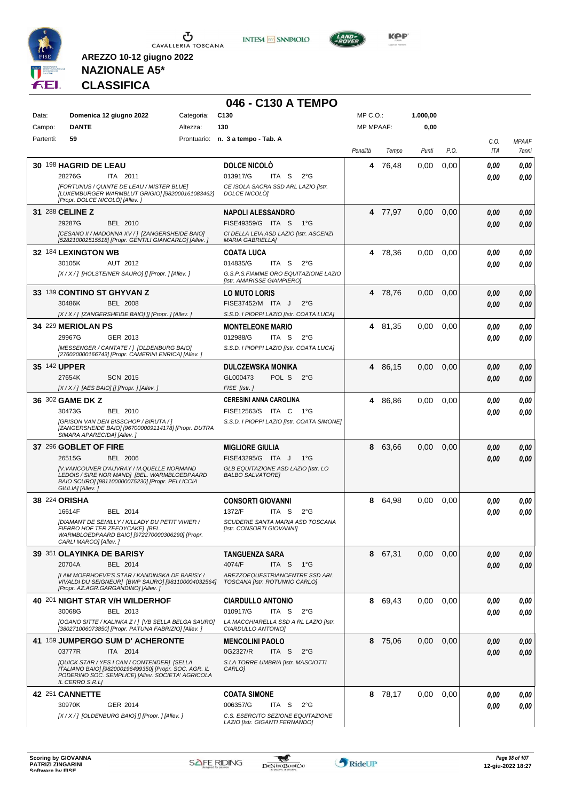

CAVALLERIA TOSCANA

**INTES4 M SANPAOLO** 

**046 - C130 A TEMPO**



**NAZIONALE A5\* CLASSIFICA**

**AREZZO 10-12 giugno 2022**

#### Data: **Domenica 12 giugno 2022** Categoria: C130 Prontuario: **n. 3 a tempo - Tab. A** Campo: **DANTE** Partenti: **59** Altezza: **130** MP C.O.: MP MPAAF: **1.000,00 0,00** *Penalità Tempo Punti P.O. C.O. ITA MPAAF* **30** 198 **HAGRID DE LEAU** ITA 2011 **DOLCE NICOLÒ** *[FORTUNUS / QUINTE DE LEAU / MISTER BLUE] [LUXEMBURGER WARMBLUT GRIGIO] [982000161083462] [Propr. DOLCE NICOLÒ] [Allev. ] CE ISOLA SACRA SSD ARL LAZIO [Istr. DOLCE NICOLÒ]* ITA S 2°G **4** 76,48 0,00 0,00 *0,00 0,00* 28276G 013917/G *0,00* **31** 288 **CELINE Z** BEL 2010 **NAPOLI ALESSANDRO** *[CESANO II / MADONNA XV / ] [ZANGERSHEIDE BAIO] [528210002515518] [Propr. GENTILI GIANCARLO] [Allev. ] CI DELLA LEIA ASD LAZIO [Istr. ASCENZI MARIA GABRIELLA]* FISE49359/G ITA S 1°G **4** 77,97 0,00 0,00 *0,00 0,00* 29287G BEL 2010 FISE49359/G ITA S 1°G *0,00 0,00* **32** 184 **LEXINGTON WB** AUT 2012 **COATA LUCA** *[X / X / ] [HOLSTEINER SAURO] [] [Propr. ] [Allev. ] G.S.P.S.FIAMME ORO EQUITAZIONE LAZIO [Istr. AMARISSE GIAMPIERO]* ITA S 2°G **4** 78,36 0,00 0,00 *0,00 0,00* 30105K AUT 2012 014835/G ITA S 2°G <mark> 0,00 0,00</mark> **33** 139 **CONTINO ST GHYVAN Z** BEL 2008 **LO MUTO LORIS** *[X / X / ] [ZANGERSHEIDE BAIO] [] [Propr. ] [Allev. ] S.S.D. I PIOPPI LAZIO [Istr. COATA LUCA]* 30486K BEL 2008 FISE37452/M ITA J 2°G **0,00 0,00 4** 78,76 0,00 0,00 *0,00 0,00* **34** 229 **MERIOLAN PS** GER 2013 **MONTELEONE MARIO** *[MESSENGER / CANTATE / ] [OLDENBURG BAIO] [276020000166743] [Propr. CAMERINI ENRICA] [Allev. ] S.S.D. I PIOPPI LAZIO [Istr. COATA LUCA]* ITA S 2°G **4** 81,35 0,00 0,00 *0,00 0,00* 29967G 012988/G *0,00* **35** 142 **UPPER** SCN 2015 **DULCZEWSKA MONIKA** *[X / X / ] [AES BAIO] [] [Propr. ] [Allev. ] FISE [Istr. ]* POL S 2°G **4** 86,15 0,00 0,00 *0,00 0,00* 27654K GL000473 *0,00* **36** 302 **GAME DK Z** BEL 2010 **CERESINI ANNA CAROLINA** *[GRISON VAN DEN BISSCHOP / BIRUTA / ] [ZANGERSHEIDE BAIO] [967000009114178] [Propr. DUTRA SIMARA APARECIDA] [Allev. ] S.S.D. I PIOPPI LAZIO [Istr. COATA SIMONE]* ITA C 1°G 30473G FISE12563/S *0,00* **4** 86,86 0,00 0,00 *0,00 0,00* **37** 296 **GOBLET OF FIRE** BEL 2006 **MIGLIORE GIULIA** *[V.VANCOUVER D'AUVRAY / M.QUELLE NORMAND LEDOIS / SIRE NOR MAND] [BEL. WARMBLOEDPAARD BAIO SCURO] [981100000075230] [Propr. PELLICCIA GIULIA] [Allev. ] GLB EQUITAZIONE ASD LAZIO [Istr. LO BALBO SALVATORE]*  $FISF43295/G$  ITA I 1°G **8** 63,66 0,00 0,00 *0,00 0,00* 26515G BEL 2006 FISE43295/G ITA J 1°G *0,00 0,00* **38** 224 **ORISHA** BEL 2014 **CONSORTI GIOVANNI** *[DIAMANT DE SEMILLY / KILLADY DU PETIT VIVIER / FIERRO HOF TER ZEEDYCAKE] [BEL. WARMBLOEDPAARD BAIO] [972270000306290] [Propr. CARLI MARCO] [Allev. ] SCUDERIE SANTA MARIA ASD TOSCANA [Istr. CONSORTI GIOVANNI]* ITA S 2°G **8** 64,98 0,00 0,00 *0,00 0,00* 16614F BEL 2014 1372/F ITA S 2°G <mark>0 ,00 0,00</mark> **39** 351 **OLAYINKA DE BARISY** BEL 2014 **TANGUENZA SARA** *[I AM MOERHOEVE'S STAR / KANDINSKA DE BARISY / VIVALDI DU SEIGNEUR] [BWP SAURO] [981100004032564] [Propr. AZ.AGR.GARGANDINO] [Allev. ] AREZZOEQUESTRIANCENTRE SSD ARL TOSCANA [Istr. ROTUNNO CARLO]* ITA S 1°G **8** 67,31 0,00 0,00 *0,00 0,00* 20704A 4074/F *0,00* **40** 201 **NIGHT STAR V/H WILDERHOF** BEL 2013 **CIARDULLO ANTONIO** *[OGANO SITTE / KALINKA Z / ] [VB SELLA BELGA SAURO] [380271006073850] [Propr. PATUNA FABRIZIO] [Allev. ] LA MACCHIARELLA SSD A RL LAZIO [Istr. CIARDULLO ANTONIO]* ITA S 2°G **8** 69,43 0,00 0,00 *0,00 0,00* 30068G BEL 2013 010917/G ITA S 2°G **0,00 0,00 41** 159 **JUMPERGO SUM D' ACHERONTE** ITA 2014 **MENCOLINI PAOLO** *[QUICK STAR / YES I CAN / CONTENDER] [SELLA ITALIANO BAIO] [982000196499350] [Propr. SOC. AGR. IL PODERINO SOC. SEMPLICE] [Allev. SOCIETA' AGRICOLA IL CERRO S.R.L] S.LA TORRE UMBRIA [Istr. MASCIOTTI CARLO]* ITA S 2°G **8** 75,06 0,00 0,00 *0,00 0,00* 03777R 0G2327/R *0,00* **42** 251 **CANNETTE** GER 2014 **COATA SIMONE** *[X / X / ] [OLDENBURG BAIO] [] [Propr. ] [Allev. ] C.S. ESERCITO SEZIONE EQUITAZIONE LAZIO [Istr. GIGANTI FERNANDO]* ITA S 2°G **8** 78,17 0,00 0,00 *0,00 0,00* 30970K GER\_2014 006357/G ITA S 2°G **0,00 0,00**



-gaf

*7anni*

*0,00*

*0,00*

*0,00*

*0,00*

*0,00*

*0,00*

*0,00*

*0,00*

*0,00*

*0,00*

*0,00*

*0,00*

*0,00*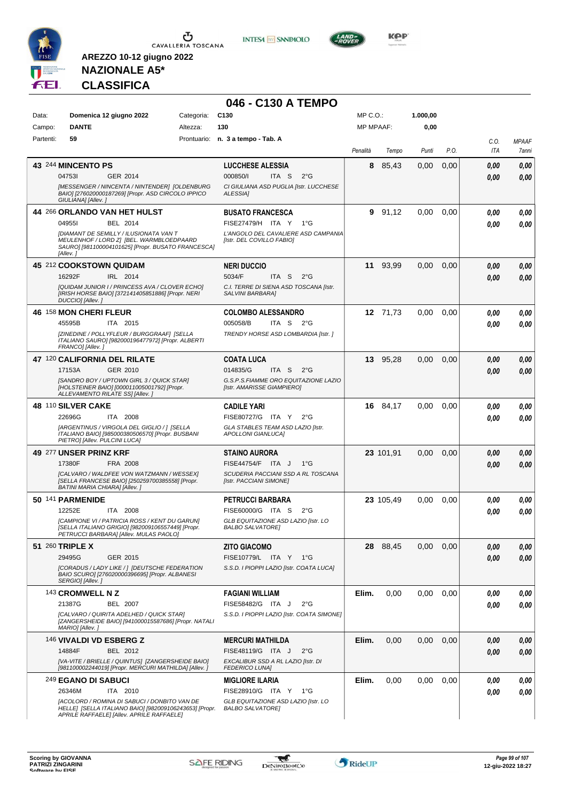





**NAZIONALE A5\* CLASSIFICA**

**AREZZO 10-12 giugno 2022**

### **046 - C130 A TEMPO**

| Data: |           | Domenica 12 giugno 2022                                                                                                                                     | Categoria: | C <sub>130</sub>                                                   | MP C.O.:         |           | 1.000,00 |      |      |              |
|-------|-----------|-------------------------------------------------------------------------------------------------------------------------------------------------------------|------------|--------------------------------------------------------------------|------------------|-----------|----------|------|------|--------------|
|       | Campo:    | <b>DANTE</b>                                                                                                                                                | Altezza:   | 130                                                                | <b>MP MPAAF:</b> |           | 0,00     |      |      |              |
|       | Partenti: | 59                                                                                                                                                          |            | Prontuario: n. 3 a tempo - Tab. A                                  |                  |           |          |      | C.O. | <b>MPAAF</b> |
|       |           |                                                                                                                                                             |            |                                                                    | Penalità         | Tempo     | Punti    | P.O. | ITA  | 7anni        |
|       |           | 43 244 MINCENTO PS                                                                                                                                          |            | <b>LUCCHESE ALESSIA</b>                                            | 8                | 85,43     | 0,00     | 0,00 | 0.00 | 0,00         |
|       |           | 047531<br>GER 2014                                                                                                                                          |            | 000850/l<br>ITA S<br>$2^{\circ}$ G                                 |                  |           |          |      |      |              |
|       |           | [MESSENGER / NINCENTA / NINTENDER] [OLDENBURG                                                                                                               |            | CI GIULIANA ASD PUGLIA [Istr. LUCCHESE                             |                  |           |          |      | 0.00 | 0,00         |
|       |           | BAIO] [276020000187269] [Propr. ASD CIRCOLO IPPICO<br>GIULIANA] [Allev.]                                                                                    |            | ALESSIA]                                                           |                  |           |          |      |      |              |
|       |           | 44 266 ORLANDO VAN HET HULST                                                                                                                                |            | <b>BUSATO FRANCESCA</b>                                            | 9                | 91,12     | 0,00     | 0,00 | 0.00 | 0,00         |
|       |           | 049551<br>BEL 2014                                                                                                                                          |            | FISE27479/H ITA Y<br>$1^{\circ}G$                                  |                  |           |          |      | 0.00 | 0,00         |
|       |           | <b>[DIAMANT DE SEMILLY / ILUSIONATA VAN T</b><br>MEULENHOF / LORD Z] [BEL. WARMBLOEDPAARD<br>SAURO] [981100004101625] [Propr. BUSATO FRANCESCA]<br>[Allev.] |            | L'ANGOLO DEL CAVALIERE ASD CAMPANIA<br>[Istr. DEL COVILLO FABIO]   |                  |           |          |      |      |              |
|       |           | 45 212 COOKSTOWN QUIDAM                                                                                                                                     |            | <b>NERI DUCCIO</b>                                                 |                  | 11 93,99  | 0,00     | 0,00 | 0.00 | 0,00         |
|       |           | 16292F<br>IRL 2014                                                                                                                                          |            | 5034/F<br>ITA S<br>$2^{\circ}$ G                                   |                  |           |          |      | 0.00 | 0,00         |
|       |           | [QUIDAM JUNIOR I / PRINCESS AVA / CLOVER ECHO]<br>[IRISH HORSE BAIO] [372141405851886] [Propr. NERI<br>DUCCIO] [Allev.]                                     |            | C.I. TERRE DI SIENA ASD TOSCANA [Istr.<br>SALVINI BARBARA]         |                  |           |          |      |      |              |
|       |           | 46 158 MON CHERI FLEUR                                                                                                                                      |            | <b>COLOMBO ALESSANDRO</b>                                          |                  | 12 71,73  | 0,00     | 0,00 | 0.00 | 0,00         |
|       |           | 45595B<br>ITA 2015                                                                                                                                          |            | 005058/B<br>ITA S<br>2°G                                           |                  |           |          |      | 0.00 | 0.00         |
|       |           | [ZINEDINE / POLLYFLEUR / BURGGRAAF] [SELLA<br>ITALIANO SAURO] [982000196477972] [Propr. ALBERTI<br>FRANCO] [Allev.]                                         |            | TRENDY HORSE ASD LOMBARDIA [Istr. ]                                |                  |           |          |      |      |              |
|       |           | 47 120 CALIFORNIA DEL RILATE                                                                                                                                |            | <b>COATA LUCA</b>                                                  |                  | 13 95,28  | 0,00     | 0,00 | 0.00 | 0,00         |
|       |           | GER 2010<br>17153A                                                                                                                                          |            | 014835/G<br>ITA S<br>$2^{\circ}$ G                                 |                  |           |          |      | 0.00 | 0,00         |
|       |           | [SANDRO BOY / UPTOWN GIRL 3 / QUICK STAR]<br>[HOLSTEINER BAIO] [000011005001792] [Propr.<br>ALLEVAMENTO RILATE SSI [Allev.]                                 |            | G.S.P.S.FIAMME ORO EQUITAZIONE LAZIO<br>[Istr. AMARISSE GIAMPIERO] |                  |           |          |      |      |              |
|       |           | 48 110 SILVER CAKE                                                                                                                                          |            | <b>CADILE YARI</b>                                                 |                  | 16 84,17  | 0,00     | 0,00 | 0.00 | 0,00         |
|       |           | 22696G<br>ITA 2008                                                                                                                                          |            | FISE80727/G ITA Y<br>$2^{\circ}$ G                                 |                  |           |          |      | 0.00 | 0,00         |
|       |           | [ARGENTINUS / VIRGOLA DEL GIGLIO / ] [SELLA<br>ITALIANO BAIO] [985000380506570] [Propr. BUSBANI<br>PIETRO] [Allev. PULCINI LUCA]                            |            | GLA STABLES TEAM ASD LAZIO [Istr.<br>APOLLONI GIANLUCA]            |                  |           |          |      |      |              |
|       |           | 49 277 UNSER PRINZ KRF                                                                                                                                      |            | <b>STAINO AURORA</b>                                               |                  | 23 101,91 | 0,00     | 0,00 | 0,00 | 0,00         |
|       |           | 17380F<br>FRA 2008                                                                                                                                          |            | <b>FISE44754/F</b><br>ITA J<br>$1^{\circ}$ G                       |                  |           |          |      | 0,00 | 0,00         |
|       |           | [CALVARO / WALDFEE VON WATZMANN / WESSEX]                                                                                                                   |            | SCUDERIA PACCIANI SSD A RL TOSCANA                                 |                  |           |          |      |      |              |
|       |           | [SELLA FRANCESE BAIO] [250259700385558] [Propr.<br><b>BATINI MARIA CHIARA] [Allev.]</b>                                                                     |            | [Istr. PACCIANI SIMONE]                                            |                  |           |          |      |      |              |
|       |           | 50 141 PARMENIDE                                                                                                                                            |            | PETRUCCI BARBARA                                                   |                  | 23 105,49 | 0,00     | 0,00 | 0,00 | 0,00         |
|       |           | 12252E<br>ITA 2008                                                                                                                                          |            | FISE60000/G ITA S<br>$2^{\circ}G$                                  |                  |           |          |      | 0.00 | 0,00         |
|       |           | [CAMPIONE VI / PATRICIA ROSS / KENT DU GARUN]<br>[SELLA ITALIANO GRIGIO] [982009106557449] [Propr.<br>PETRUCCI BARBARA] [Allev. MULAS PAOLO]                |            | GLB EQUITAZIONE ASD LAZIO [Istr. LO<br><b>BALBO SALVATORE]</b>     |                  |           |          |      |      |              |
|       |           | 51 260 TRIPLE X                                                                                                                                             |            | <b>ZITO GIACOMO</b>                                                |                  | 28 88,45  | 0,00     | 0,00 | 0,00 | 0,00         |
|       |           | 29495G<br>GER 2015                                                                                                                                          |            | FISE10779/L ITA Y 1°G                                              |                  |           |          |      | 0,00 | 0,00         |
|       |           | [CORADUS / LADY LIKE / ] [DEUTSCHE FEDERATION<br>BAIO SCURO] [276020000396695] [Propr. ALBANESI<br>SERGIO] [Allev.]                                         |            | S.S.D. I PIOPPI LAZIO [Istr. COATA LUCA]                           |                  |           |          |      |      |              |
|       |           | 143 CROMWELL N Z                                                                                                                                            |            | <b>FAGIANI WILLIAM</b>                                             | Elim.            | 0,00      | 0,00     | 0,00 | 0,00 | 0,00         |
|       |           | 21387G<br>BEL 2007                                                                                                                                          |            | FISE58482/G ITA J<br>$2^{\circ}G$                                  |                  |           |          |      | 0.00 | 0,00         |
|       |           | [CALVARO / QUIRITA ADELHED / QUICK STAR]<br>[ZANGERSHEIDE BAIO] [941000015587686] [Propr. NATALI<br>MARIO] [Allev.]                                         |            | S.S.D. I PIOPPI LAZIO [Istr. COATA SIMONE]                         |                  |           |          |      |      |              |
|       |           | 146 VIVALDI VD ESBERG Z                                                                                                                                     |            | <b>MERCURI MATHILDA</b>                                            | Elim.            | 0,00      | 0,00     | 0,00 | 0,00 | 0,00         |
|       |           | BEL 2012<br>14884F                                                                                                                                          |            | FISE48119/G ITA J<br>$2^{\circ}$ G                                 |                  |           |          |      | 0,00 | 0,00         |
|       |           | [VA-VITE / BRIELLE / QUINTUS] [ZANGERSHEIDE BAIO]<br>[981100002244019] [Propr. MERCURI MATHILDA] [Allev. ]                                                  |            | EXCALIBUR SSD A RL LAZIO [Istr. DI<br><b>FEDERICO LUNA]</b>        |                  |           |          |      |      |              |
|       |           | <sup>249</sup> EGANO DI SABUCI                                                                                                                              |            | <b>MIGLIORE ILARIA</b>                                             | Elim.            | 0,00      | 0,00     | 0,00 | 0,00 | 0,00         |
|       |           | 26346M<br>ITA 2010                                                                                                                                          |            | FISE28910/G ITA Y 1°G                                              |                  |           |          |      | 0,00 | 0,00         |
|       |           | [ACOLORD / ROMINA DI SABUCI / DONBITO VAN DE<br>HELLE] [SELLA ITALIANO BAIO] [982009106243653] [Propr.<br>APRILE RAFFAELE] [Allev. APRILE RAFFAELE]         |            | GLB EQUITAZIONE ASD LAZIO [Istr. LO<br><b>BALBO SALVATORE]</b>     |                  |           |          |      |      |              |

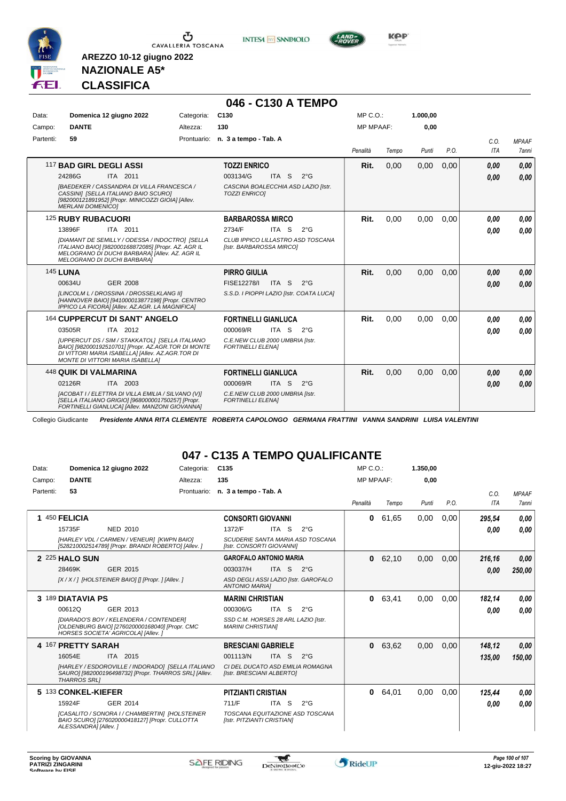

**INTESA** M SANPAOLO



**Kep** 

### **NAZIONALE A5\* CLASSIFICA**

**AREZZO 10-12 giugno 2022**

|           |                                                                                                                                                                                                       |            | 046 - C130 A TEMPO                                            |                  |       |          |      |                    |                       |
|-----------|-------------------------------------------------------------------------------------------------------------------------------------------------------------------------------------------------------|------------|---------------------------------------------------------------|------------------|-------|----------|------|--------------------|-----------------------|
| Data:     | Domenica 12 giugno 2022                                                                                                                                                                               | Categoria: | C <sub>130</sub>                                              | $MP C. O.$ :     |       | 1.000.00 |      |                    |                       |
| Campo:    | <b>DANTE</b>                                                                                                                                                                                          | Altezza:   | 130                                                           | <b>MP MPAAF:</b> |       | 0,00     |      |                    |                       |
| Partenti: | 59                                                                                                                                                                                                    |            | Prontuario: n. 3 a tempo - Tab. A                             | Penalità         | Tempo | Punti    | P.O. | C.O.<br><b>ITA</b> | <b>MPAAF</b><br>7anni |
|           | 117 BAD GIRL DEGLI ASSI                                                                                                                                                                               |            | <b>TOZZI ENRICO</b>                                           | Rit.             | 0.00  | 0,00     | 0.00 | 0.00               | 0.00                  |
|           | 24286G<br>ITA 2011                                                                                                                                                                                    |            | 003134/G<br>ITA S<br>$2^{\circ}$ G                            |                  |       |          |      | 0.00               | 0.00                  |
|           | <b>IBAEDEKER / CASSANDRA DI VILLA FRANCESCA /</b><br>CASSINI] [SELLA ITALIANO BAIO SCURO]<br>[982000121891952] [Propr. MINICOZZI GIOIA] [Allev.<br><b>MERLANI DOMENICO1</b>                           |            | CASCINA BOALECCHIA ASD LAZIO [Istr.<br><b>TOZZI ENRICOI</b>   |                  |       |          |      |                    |                       |
|           | 125 RUBY RUBACUORI                                                                                                                                                                                    |            | <b>BARBAROSSA MIRCO</b>                                       | Rit.             | 0.00  | 0.00     | 0.00 | 0.00               | 0,00                  |
|           | 13896F<br>ITA 2011                                                                                                                                                                                    |            | 2734/F<br>ITA S<br>$2^{\circ}G$                               |                  |       |          |      | 0.00               | 0.00                  |
|           | [DIAMANT DE SEMILLY / ODESSA / INDOCTRO] [SELLA<br>ITALIANO BAIO] [982000168872085] [Propr. AZ. AGR IL<br>MELOGRANO DI DUCHI BARBARA] [Allev. AZ. AGR IL<br>MELOGRANO DI DUCHI BARBARA]               |            | CLUB IPPICO LILLASTRO ASD TOSCANA<br>[Istr. BARBAROSSA MIRCO] |                  |       |          |      |                    |                       |
|           | <b>145 LUNA</b>                                                                                                                                                                                       |            | <b>PIRRO GIULIA</b>                                           | Rit.             | 0.00  | 0.00     | 0.00 | 0.00               | 0.00                  |
|           | 00634U<br><b>GER 2008</b>                                                                                                                                                                             |            | FISE12278/I<br>ITA S<br>$2^{\circ}$ G                         |                  |       |          |      | 0.00               | 0.00                  |
|           | [LINCOLM L / DROSSINA / DROSSELKLANG II]<br>[HANNOVER BAIO] [941000013877198] [Propr. CENTRO<br>IPPICO LA FICORA] [Allev. AZ.AGR. LA MAGNIFICA]                                                       |            | S.S.D. I PIOPPI LAZIO [Istr. COATA LUCA]                      |                  |       |          |      |                    |                       |
|           | 164 CUPPERCUT DI SANT' ANGELO                                                                                                                                                                         |            | <b>FORTINELLI GIANLUCA</b>                                    | Rit.             | 0,00  | 0,00     | 0,00 | 0,00               | 0,00                  |
|           | ITA 2012<br>03505R                                                                                                                                                                                    |            | 000069/R<br>ITA S<br>$2^{\circ}G$                             |                  |       |          |      | 0.00               | 0.00                  |
|           | [UPPERCUT DS / SIM / STAKKATOL] [SELLA ITALIANO<br>BAIO] [982000192510701] [Propr. AZ.AGR.TOR DI MONTE<br>DI VITTORI MARIA ISABELLAI [Allev. AZ.AGR.TOR DI<br><b>MONTE DI VITTORI MARIA ISABELLAI</b> |            | C.E.NEW CLUB 2000 UMBRIA [Istr.<br><b>FORTINELLI ELENAI</b>   |                  |       |          |      |                    |                       |
|           | 448 QUIK DI VALMARINA                                                                                                                                                                                 |            | <b>FORTINELLI GIANLUCA</b>                                    | Rit.             | 0,00  | 0,00     | 0,00 | 0.00               | 0,00                  |
|           | 02126R<br>ITA 2003                                                                                                                                                                                    |            | 000069/R<br>$2^{\circ}$ G<br>ITA S                            |                  |       |          |      | 0.00               | 0.00                  |
|           | [ACOBAT I / ELETTRA DI VILLA EMILIA / SILVANO (V)]<br>[SELLA ITALIANO GRIGIO] [968000001750257] [Propr.<br>FORTINELLI GIANLUCA] [Allev. MANZONI GIOVANNA]                                             |            | C.E.NEW CLUB 2000 UMBRIA [Istr.<br><b>FORTINELLI ELENAI</b>   |                  |       |          |      |                    |                       |

Collegio Giudicante *Presidente ANNA RITA CLEMENTE ROBERTA CAPOLONGO GERMANA FRATTINI VANNA SANDRINI LUISA VALENTINI*

### **047 - C135 A TEMPO QUALIFICANTE**

| Data:     | Domenica 12 giugno 2022                                                                                                                  | Categoria:  | C <sub>135</sub>                                                |       |               | $MP C. O.$ :     |       | 1.350,00 |      |            |              |
|-----------|------------------------------------------------------------------------------------------------------------------------------------------|-------------|-----------------------------------------------------------------|-------|---------------|------------------|-------|----------|------|------------|--------------|
| Campo:    | <b>DANTE</b>                                                                                                                             | Altezza:    | 135                                                             |       |               | <b>MP MPAAF:</b> |       | 0.00     |      |            |              |
| Partenti: | 53                                                                                                                                       | Prontuario: | n. 3 a tempo - Tab. A                                           |       |               |                  |       |          |      | C.0.       | <b>MPAAF</b> |
|           |                                                                                                                                          |             |                                                                 |       |               | Penalità         | Tempo | Punti    | P.O. | <b>ITA</b> | <b>7anni</b> |
| 1.        | 450 FELICIA                                                                                                                              |             | <b>CONSORTI GIOVANNI</b>                                        |       |               | 0                | 61,65 | 0,00     | 0,00 | 295.54     | 0,00         |
|           | NED 2010<br>15735F                                                                                                                       |             | 1372/F                                                          | ITA S | $2^{\circ}G$  |                  |       |          |      | 0.00       | 0.00         |
|           | [HARLEY VDL / CARMEN / VENEUR] [KWPN BAIO]<br>[528210002514789] [Propr. BRANDI ROBERTO] [Allev.]                                         |             | SCUDERIE SANTA MARIA ASD TOSCANA<br>[Istr. CONSORTI GIOVANNI]   |       |               |                  |       |          |      |            |              |
|           | <b>2 225 HALO SUN</b>                                                                                                                    |             | <b>GAROFALO ANTONIO MARIA</b>                                   |       |               | $\bf{0}$         | 62,10 | 0,00     | 0,00 | 216,16     | 0,00         |
|           | 28469K<br>GER 2015                                                                                                                       |             | 003037/H                                                        | ITA S | $2^{\circ}$ G |                  |       |          |      | 0.00       | 250,00       |
|           | [X / X / ] [HOLSTEINER BAIO] [] [Propr. ] [Allev. ]                                                                                      |             | ASD DEGLI ASSI LAZIO [Istr. GAROFALO<br><b>ANTONIO MARIAI</b>   |       |               |                  |       |          |      |            |              |
|           | 3 189 DIATAVIA PS                                                                                                                        |             | <b>MARINI CHRISTIAN</b>                                         |       |               | $\mathbf{0}$     | 63,41 | 0.00     | 0.00 | 182.14     | 0,00         |
|           | 00612Q<br>GER 2013                                                                                                                       |             | 000306/G                                                        | ITA S | $2^{\circ}G$  |                  |       |          |      | 0,00       | 0.00         |
|           | [DIARADO'S BOY / KELENDERA / CONTENDER]<br>[OLDENBURG BAIO] [276020000168040] [Propr. CMC<br>HORSES SOCIETA' AGRICOLA] [Allev. ]         |             | SSD C.M. HORSES 28 ARL LAZIO [Istr.<br><b>MARINI CHRISTIANI</b> |       |               |                  |       |          |      |            |              |
|           | 4 167 PRETTY SARAH                                                                                                                       |             | <b>BRESCIANI GABRIELE</b>                                       |       |               | $\mathbf{0}$     | 63,62 | 0.00     | 0.00 | 148,12     | 0.00         |
|           | 16054E<br>ITA 2015                                                                                                                       |             | 001113/N                                                        | ITA S | $2^{\circ}G$  |                  |       |          |      | 135,00     | 150,00       |
|           | <b>IHARLEY / ESDOROVILLE / INDORADOI ISELLA ITALIANO</b><br>SAURO] [982000196498732] [Propr. THARROS SRL] [Allev.<br><b>THARROS SRL1</b> |             | CI DEL DUCATO ASD EMILIA ROMAGNA<br>[Istr. BRESCIANI ALBERTO]   |       |               |                  |       |          |      |            |              |
|           | 5 133 CONKEL-KIEFER                                                                                                                      |             | <b>PITZIANTI CRISTIAN</b>                                       |       |               | $\bf{0}$         | 64,01 | 0.00     | 0.00 | 125,44     | 0,00         |
|           | 15924F<br>GER 2014                                                                                                                       |             | 711/F                                                           | ITA S | $2^{\circ}$ G |                  |       |          |      | 0,00       | 0.00         |
|           | [CASALITO / SONORA I / CHAMBERTIN] [HOLSTEINER<br>BAIO SCURO] [276020000418127] [Propr. CULLOTTA<br>ALESSANDRA] [Allev.]                 |             | TOSCANA EQUITAZIONE ASD TOSCANA<br>[Istr. PITZIANTI CRISTIAN]   |       |               |                  |       |          |      |            |              |

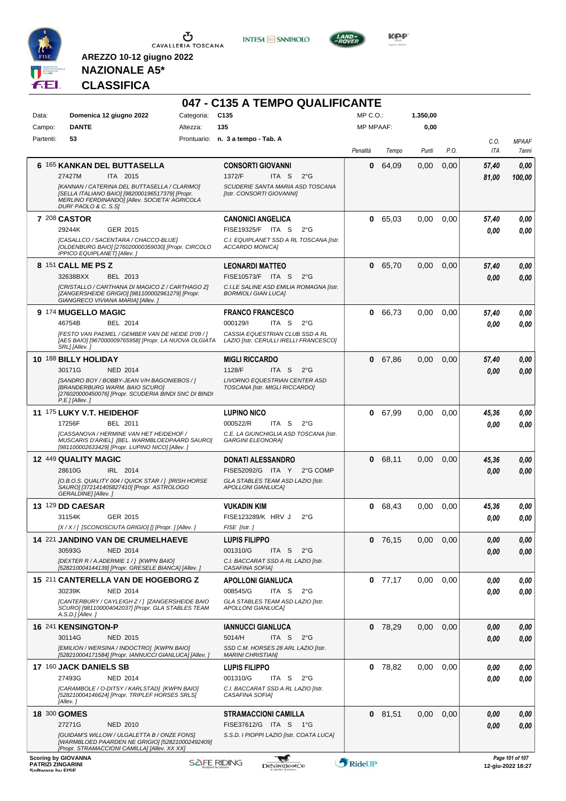

**INTESA** M SANPAOLO



KOP<sup>®</sup>

# **NAZIONALE A5\* CLASSIFICA**

|                                              |                                                                                                                                                                                                                                |                    | 047 - C135 A TEMPO QUALIFICANTE                                                                                                            |                  |           |          |      |                |                                      |
|----------------------------------------------|--------------------------------------------------------------------------------------------------------------------------------------------------------------------------------------------------------------------------------|--------------------|--------------------------------------------------------------------------------------------------------------------------------------------|------------------|-----------|----------|------|----------------|--------------------------------------|
| Data:                                        | Domenica 12 giugno 2022                                                                                                                                                                                                        | Categoria:         | C135                                                                                                                                       | $MP C. O.$ :     |           | 1.350,00 |      |                |                                      |
| Campo:                                       | <b>DANTE</b>                                                                                                                                                                                                                   | Altezza:           | 135                                                                                                                                        | <b>MP MPAAF:</b> |           | 0,00     |      |                |                                      |
| Partenti:                                    | 53                                                                                                                                                                                                                             |                    | Prontuario: n. 3 a tempo - Tab. A                                                                                                          | Penalità         | Tempo     | Punti    | P.O. | C.O.<br>ITA    | <b>MPAAF</b><br>7anni                |
|                                              | 6 165 KANKAN DEL BUTTASELLA<br>ITA 2015<br>27427M<br>[KANNAN / CATERINA DEL BUTTASELLA / CLARIMO]<br>[SELLA ITALIANO BAIO] [982000196517379] [Propr.<br>MERLINO FERDINANDO] [Allev. SOCIETA' AGRICOLA<br>DURI' PAOLO & C. S.S] |                    | <b>CONSORTI GIOVANNI</b><br>1372/F<br>ITA <sub>S</sub><br>$2^{\circ}$ G<br>SCUDERIE SANTA MARIA ASD TOSCANA<br>[Istr. CONSORTI GIOVANNI]   | 0                | 64,09     | 0,00     | 0,00 | 57,40<br>81,00 | 0,00<br>100,00                       |
|                                              | <b>7 208 CASTOR</b><br>29244K<br>GER 2015<br>[CASALLCO / SACENTARA / CHACCO-BLUE]<br>[OLDENBURG BAIO] [276020000359030] [Propr. CIRCOLO<br><b>IPPICO EQUIPLANET] [Allev. ]</b>                                                 |                    | <b>CANONICI ANGELICA</b><br>FISE19325/F ITA S<br>$2^{\circ}$ G<br>C.I. EQUIPLANET SSD A RL TOSCANA [Istr.<br>ACCARDO MONICA]               | 0                | 65,03     | 0,00     | 0,00 | 57,40<br>0.00  | 0,00<br>0.00                         |
|                                              | 8 151 CALL ME PS Z<br>32638BXX<br>BEL 2013<br>[CRISTALLO / CARTHANA DI MAGICO Z / CARTHAGO Z]<br>[ZANGERSHEIDE GRIGIO] [981100002961279] [Propr.<br>GIANGRECO VIVIANA MARIA] [Allev. ]                                         |                    | <b>LEONARDI MATTEO</b><br>FISE10573/F ITA S<br>$2^{\circ}$ G<br>C.I.LE SALINE ASD EMILIA ROMAGNA [Istr.<br><b>BORMIOLI GIAN LUCA]</b>      | 0                | 65,70     | 0,00     | 0,00 | 57,40<br>0.00  | 0,00<br>0.00                         |
|                                              | 9 174 MUGELLO MAGIC<br>46754B<br>BEL 2014<br>[FESTO VAN PAEMEL / GEMBER VAN DE HEIDE D'09 / ]<br>[AES BAIO] [967000009765958] [Propr. LA NUOVA OLGIATA<br>SRL] [Allev.]                                                        |                    | <b>FRANCO FRANCESCO</b><br>000129/l<br>ITA S<br>$2^{\circ}G$<br>CASSIA EQUESTRIAN CLUB SSD A RL<br>LAZIO [Istr. CERULLI IRELLI FRANCESCO]  | 0                | 66,73     | 0,00     | 0,00 | 57,40<br>0.00  | 0,00<br>0,00                         |
|                                              | 10 188 BILLY HOLIDAY<br>30171G<br><b>NED 2014</b><br>[SANDRO BOY / BOBBY-JEAN V/H BAGONIEBOS / ]<br>[BRANDERBURG WARM. BAIO SCURO]<br>[276020000450076] [Propr. SCUDERIA BINDI SNC DI BINDI<br>P.E.] [Allev.]                  |                    | <b>MIGLI RICCARDO</b><br>1128/F<br>ITA S<br>$2^{\circ}$ G<br>LIVORNO EQUESTRIAN CENTER ASD<br>TOSCANA [Istr. MIGLI RICCARDO]               | 0                | 67,86     | 0,00     | 0,00 | 57,40<br>0.00  | 0,00<br>0,00                         |
|                                              | 11 175 LUKY V.T. HEIDEHOF<br>17256F<br>BEL 2011<br><b>[CASSANOVA / HERMINE VAN HET HEIDEHOF /</b><br>MUSCARIS D'ARIEL] [BEL. WARMBLOEDPAARD SAURO]<br>[981100002633429] [Propr. LUPINO NICO] [Allev. ]                         |                    | <b>LUPINO NICO</b><br>000522/R<br>ITA S<br>$2^{\circ}G$<br>C.E. LA GIUNCHIGLIA ASD TOSCANA [Istr.<br><b>GARGINI ELEONORA]</b>              | 0                | 67,99     | 0,00     | 0.00 | 45,36<br>0.00  | 0,00<br>0.00                         |
|                                              | <b>12 449 QUALITY MAGIC</b><br>28610G<br>IRL 2014<br>[O.B.O.S. QUALITY 004 / QUICK STAR / ] [IRISH HORSE<br>SAURO] [372141405827410] [Propr. ASTROLOGO<br>GERALDINE] [Allev.]                                                  |                    | <b>DONATI ALESSANDRO</b><br>FISE52092/G ITA Y<br>2°G COMP<br>GLA STABLES TEAM ASD LAZIO [Istr.<br><b>APOLLONI GIANLUCAI</b>                | 0                | 68,11     | 0,00     | 0,00 | 45,36<br>0.00  | 0,00<br>0.00                         |
|                                              | <b>13 129 DD CAESAR</b><br>GER 2015<br>31154K<br>[X / X / ] [SCONOSCIUTA GRIGIO] [] [Propr. ] [Allev. ]                                                                                                                        |                    | <b>VUKADIN KIM</b><br>FISE123289/K HRV J<br>$2^{\circ}$ G<br>FISE [Istr.]                                                                  | 0                | 68,43     | 0.00     | 0,00 | 45,36<br>0.00  | 0,00<br>0,00                         |
|                                              | 14 221 JANDINO VAN DE CRUMELHAEVE<br>30593G<br><b>NED 2014</b><br>[DEXTER R / A.ADERMIE 1 / ] [KWPN BAIO]<br>[528210004144139] [Propr. GRESELE BIANCA] [Allev. ]                                                               |                    | <b>LUPIS FILIPPO</b><br>001310/G<br>ITA S<br>$2^{\circ}$ G<br>C.I. BACCARAT SSD A RL LAZIO [Istr.<br>CASAFINA SOFIA]                       |                  | $0$ 76,15 | 0,00     | 0,00 | 0.00<br>0.00   | 0,00<br>0,00                         |
|                                              | 15 211 CANTERELLA VAN DE HOGEBORG Z<br>30239K<br><b>NED 2014</b><br>[CANTERBURY / CAYLEIGH Z / ] [ZANGERSHEIDE BAIO<br>SCURO] [981100004042037] [Propr. GLA STABLES TEAM<br>A.S.D.] [Allev.]                                   |                    | <b>APOLLONI GIANLUCA</b><br>008545/G<br>$2^{\circ}$ G<br>ITA S<br>GLA STABLES TEAM ASD LAZIO [Istr.<br><b>APOLLONI GIANLUCAI</b>           |                  | $0$ 77,17 | 0,00     | 0,00 | 0.00<br>0.00   | 0,00<br>0,00                         |
|                                              | 16 241 KENSINGTON-P<br>30114G<br><b>NED 2015</b><br>[EMILION / WERSINA / INDOCTRO] [KWPN BAIO]<br>[528210004171584] [Propr. IANNUCCI GIANLUCA] [Allev.]                                                                        |                    | <b>IANNUCCI GIANLUCA</b><br>5014/H<br>ITA <sub>S</sub><br>$2^{\circ}$ G<br>SSD C.M. HORSES 28 ARL LAZIO [Istr.<br><b>MARINI CHRISTIANI</b> | 0                | 78,29     | 0,00     | 0,00 | 0,00<br>0.00   | 0,00<br>0,00                         |
|                                              | 17 160 JACK DANIELS SB<br>27493G<br><b>NED 2014</b><br>[CARAMBOLE / O-DITSY / KARLSTAD] [KWPN BAIO]<br>[528210004146624] [Propr. TRIPLEF HORSES SRLS]<br>[Allev.]                                                              |                    | <b>LUPIS FILIPPO</b><br>001310/G<br>ITA S<br>$2^{\circ}$ G<br>C.I. BACCARAT SSD A RL LAZIO [Istr.<br>CASAFINA SOFIA]                       |                  | $0$ 78,82 | 0,00     | 0,00 | 0,00<br>0,00   | 0,00<br>0,00                         |
|                                              | 18 300 GOMES<br>27271G<br><b>NED 2010</b><br><b>[GUIDAM'S WILLOW / ULGALETTA B / ONZE FONS]</b><br>[WARMBLOED PAARDEN NE GRIGIO] [528210002492409]<br>[Propr. STRAMACCIONI CAMILLA] [Allev. XX XX]                             |                    | <b>STRAMACCIONI CAMILLA</b><br>FISE37612/G ITA S<br>1°G<br>S.S.D. I PIOPPI LAZIO [Istr. COATA LUCA]                                        |                  | 0 81,51   | 0.00     | 0,00 | 0,00<br>0.00   | 0,00<br>0.00                         |
| <b>PATRIZI ZINGARINI</b><br>Coffware by EICE | <b>Scoring by GIOVANNA</b>                                                                                                                                                                                                     | <b>SAFE RIDING</b> | DeNiroBootCo                                                                                                                               | RideUP           |           |          |      |                | Page 101 of 107<br>12-giu-2022 18:27 |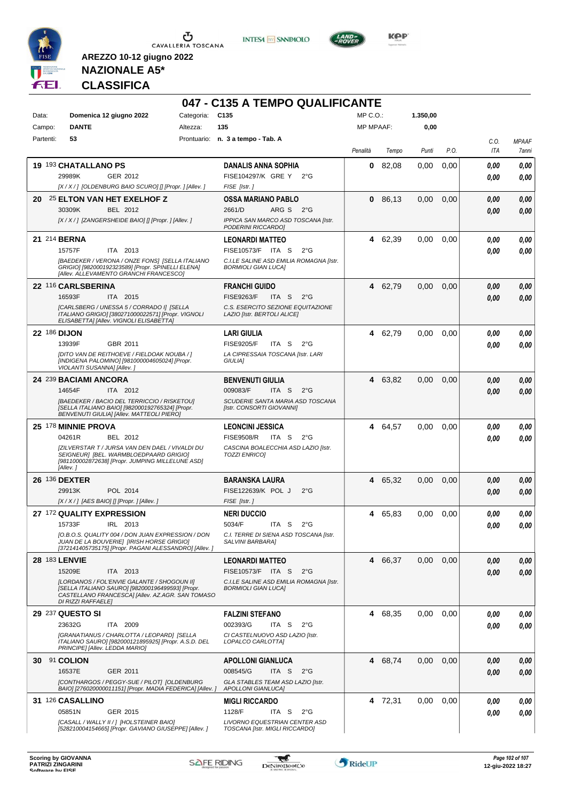

**INTESA M** SANPAOLO



**KOP** 

**NAZIONALE A5\* CLASSIFICA**

|           |                                                                                                                                             |                 | 047 - C135 A TEMPO QUALIFICANTE                                       |                  |         |          |      |      |              |
|-----------|---------------------------------------------------------------------------------------------------------------------------------------------|-----------------|-----------------------------------------------------------------------|------------------|---------|----------|------|------|--------------|
| Data:     | Domenica 12 giugno 2022                                                                                                                     | Categoria: C135 |                                                                       | $MP C. O.$ :     |         | 1.350,00 |      |      |              |
| Campo:    | <b>DANTE</b>                                                                                                                                | Altezza:        | 135                                                                   | <b>MP MPAAF:</b> |         | 0,00     |      |      |              |
| Partenti: | 53                                                                                                                                          |                 | Prontuario: n. 3 a tempo - Tab. A                                     |                  |         |          |      | C.O. | <b>MPAAF</b> |
|           |                                                                                                                                             |                 |                                                                       | Penalità         | Tempo   | Punti    | P.O. | ITA  | 7anni        |
|           | 19 193 CHATALLANO PS                                                                                                                        |                 | <b>DANALIS ANNA SOPHIA</b>                                            | 0                | 82.08   | 0,00     | 0,00 | 0.00 | 0,00         |
|           | 29989K<br>GER 2012                                                                                                                          |                 | FISE104297/K GRE Y<br>$2^{\circ}$ G                                   |                  |         |          |      | 0.00 | 0.00         |
|           | [X / X / ] [OLDENBURG BAIO SCURO] [] [Propr. ] [Allev. ]                                                                                    |                 | FISE [Istr.]                                                          |                  |         |          |      |      |              |
| 20        | 25 ELTON VAN HET EXELHOF Z                                                                                                                  |                 | OSSA MARIANO PABLO                                                    | 0                | 86,13   | 0.00     | 0,00 | 0,00 | 0,00         |
|           | 30309K<br>BEL 2012                                                                                                                          |                 | ARG S 2°G<br>2661/D                                                   |                  |         |          |      | 0.00 | 0.00         |
|           | [X / X / ] [ZANGERSHEIDE BAIO] [] [Propr. ] [Allev.]                                                                                        |                 | IPPICA SAN MARCO ASD TOSCANA [Istr.<br>PODERINI RICCARDO]             |                  |         |          |      |      |              |
|           | 21 214 BERNA                                                                                                                                |                 | <b>LEONARDI MATTEO</b>                                                |                  | 4 62,39 | 0,00     | 0,00 | 0.00 | 0,00         |
|           | 15757F<br>ITA 2013                                                                                                                          |                 | FISE10573/F ITA S<br>$2^{\circ}$ G                                    |                  |         |          |      | 0.00 | 0.00         |
|           | [BAEDEKER / VERONA / ONZE FONS] [SELLA ITALIANO<br>GRIGIO] [982000192323589] [Propr. SPINELLI ELENA]                                        |                 | C.I.LE SALINE ASD EMILIA ROMAGNA [Istr.<br><b>BORMIOLI GIAN LUCAI</b> |                  |         |          |      |      |              |
|           | [Allev. ALLEVAMENTO GRANCHI FRANCESCO]                                                                                                      |                 |                                                                       |                  |         |          |      |      |              |
|           | 22 116 CARLSBERINA                                                                                                                          |                 | <b>FRANCHI GUIDO</b>                                                  |                  | 4 62,79 | 0,00     | 0,00 | 0,00 | 0,00         |
|           | ITA 2015<br>16593F                                                                                                                          |                 | <b>FISE9263/F</b><br>ITA <sub>S</sub><br>$2^{\circ}$ G                |                  |         |          |      | 0.00 | 0.00         |
|           | [CARLSBERG / UNESSA 5 / CORRADO I] [SELLA<br>ITALIANO GRIGIO] [380271000022571] [Propr. VIGNOLI                                             |                 | C.S. ESERCITO SEZIONE EQUITAZIONE                                     |                  |         |          |      |      |              |
|           | ELISABETTA] [Allev. VIGNOLI ELISABETTA]                                                                                                     |                 | LAZIO [Istr. BERTOLI ALICE]                                           |                  |         |          |      |      |              |
|           | <b>22 186 DIJON</b>                                                                                                                         |                 | <b>LARI GIULIA</b>                                                    |                  | 4 62,79 | 0,00     | 0,00 | 0.00 | 0,00         |
|           | 13939F<br>GBR 2011                                                                                                                          |                 | <b>FISE9205/F</b><br>ITA S<br>$2^{\circ}$ G                           |                  |         |          |      | 0.00 | 0.00         |
|           | [DITO VAN DE REITHOEVE / FIELDOAK NOUBA / ]<br>[INDIGENA PALOMINO] [981000004605024] [Propr.                                                |                 | LA CIPRESSAIA TOSCANA [Istr. LARI<br><b>GIULIAI</b>                   |                  |         |          |      |      |              |
|           | VIOLANTI SUSANNA] [Allev.]                                                                                                                  |                 |                                                                       |                  |         |          |      |      |              |
|           | 24 239 BACIAMI ANCORA                                                                                                                       |                 | <b>BENVENUTI GIULIA</b>                                               |                  | 4 63,82 | 0,00     | 0,00 | 0.00 | 0,00         |
|           | 14654F<br>ITA 2012                                                                                                                          |                 | 009083/F<br>ITA S<br>$2^{\circ}$ G                                    |                  |         |          |      | 0.00 | 0.00         |
|           | [BAEDEKER / BACIO DEL TERRICCIO / RISKETOU]<br>[SELLA ITALIANO BAIO] [982000192765324] [Propr.<br>BENVENUTI GIULIA] [Allev. MATTEOLI PIERO] |                 | SCUDERIE SANTA MARIA ASD TOSCANA<br>[Istr. CONSORTI GIOVANNI]         |                  |         |          |      |      |              |
|           | 25 178 MINNIE PROVA                                                                                                                         |                 | <b>LEONCINI JESSICA</b>                                               |                  | 4 64,57 | 0,00     | 0,00 | 0,00 | 0,00         |
|           | 04261R<br>BEL 2012                                                                                                                          |                 | <b>FISE9508/R</b><br>ITA S<br>$2^{\circ}$ G                           |                  |         |          |      | 0.00 | 0.00         |
|           | [ZILVERSTAR T / JURSA VAN DEN DAEL / VIVALDI DU                                                                                             |                 | CASCINA BOALECCHIA ASD LAZIO [Istr.                                   |                  |         |          |      |      |              |
|           | SEIGNEUR] [BEL. WARMBLOEDPAARD GRIGIO]<br>[981100002872638] [Propr. JUMPING MILLELUNE ASD]                                                  |                 | <b>TOZZI ENRICOI</b>                                                  |                  |         |          |      |      |              |
|           | [Allev.]                                                                                                                                    |                 |                                                                       |                  |         |          |      |      |              |
|           | 26 136 DEXTER                                                                                                                               |                 | <b>BARANSKA LAURA</b>                                                 |                  | 4 65,32 | 0,00     | 0,00 | 0,00 | 0,00         |
|           | 29913K<br>POL 2014<br>[X / X / ] [AES BAIO] [] [Propr. ] [Allev. ]                                                                          |                 | FISE122639/K POL J<br>$2^{\circ}$ G<br>FISE [Istr.]                   |                  |         |          |      | 0,00 | 0.00         |
|           | 27 172 QUALITY EXPRESSION                                                                                                                   |                 | <b>NERI DUCCIO</b>                                                    | 4                | 65,83   | 0,00     | 0.00 | 0.00 | 0.00         |
|           | 15733F<br>IRL 2013                                                                                                                          |                 | 5034/F<br>ITA S<br>$2^{\circ}$ G                                      |                  |         |          |      |      |              |
|           | [O.B.O.S. QUALITY 004 / DON JUAN EXPRESSION / DON                                                                                           |                 | C.I. TERRE DI SIENA ASD TOSCANA [Istr.                                |                  |         |          |      | 0,00 | 0,00         |
|           | JUAN DE LA BOUVERIE] [IRISH HORSE GRIGIO]<br>[372141405735175] [Propr. PAGANI ALESSANDRO] [Allev.]                                          |                 | SALVINI BARBARA]                                                      |                  |         |          |      |      |              |
|           | <b>28 183 LENVIE</b>                                                                                                                        |                 | <b>LEONARDI MATTEO</b>                                                |                  | 4 66,37 | 0,00     | 0,00 | 0,00 | 0,00         |
|           | 15209E<br>ITA 2013                                                                                                                          |                 | FISE10573/F ITA S<br>$2^{\circ}$ G                                    |                  |         |          |      | 0,00 | 0,00         |
|           | [LORDANOS / FOL'ENVIE GALANTE / SHOGOUN II]<br>[SELLA ITALIANO SAURO] [982000196499593] [Propr.                                             |                 | C.I.LE SALINE ASD EMILIA ROMAGNA [Istr.<br><b>BORMIOLI GIAN LUCA]</b> |                  |         |          |      |      |              |
|           | CASTELLANO FRANCESCA] [Allev. AZ.AGR. SAN TOMASO<br>DI RIZZI RAFFAELE]                                                                      |                 |                                                                       |                  |         |          |      |      |              |
|           | 29 237 QUESTO SI                                                                                                                            |                 | <b>FALZINI STEFANO</b>                                                |                  | 4 68,35 | 0,00     | 0.00 | 0.00 | 0,00         |
|           | 23632G<br>ITA 2009                                                                                                                          |                 | 002393/G<br>ITA S<br>$2^{\circ}$ G                                    |                  |         |          |      | 0.00 | 0,00         |
|           | [GRANATIANUS / CHARLOTTA / LEOPARD] [SELLA                                                                                                  |                 | CI CASTELNUOVO ASD LAZIO [Istr.                                       |                  |         |          |      |      |              |
|           | ITALIANO SAURO] [982000121895925] [Propr. A.S.D. DEL<br>PRINCIPE] [Allev. LEDDA MARIO]                                                      |                 | LOPALCO CARLOTTA]                                                     |                  |         |          |      |      |              |
|           | 30 91 COLION                                                                                                                                |                 | <b>APOLLONI GIANLUCA</b>                                              |                  | 4 68,74 | 0,00     | 0,00 | 0,00 | 0,00         |
|           | 16537E<br>GER 2011                                                                                                                          |                 | 008545/G<br>ITA S<br>$2^{\circ}$ G                                    |                  |         |          |      | 0.00 | 0,00         |
|           | [CONTHARGOS / PEGGY-SUE / PILOT] [OLDENBURG                                                                                                 |                 | GLA STABLES TEAM ASD LAZIO [Istr.<br>APOLLONI GIANLUCA]               |                  |         |          |      |      |              |
|           | BAIO] [276020000011151] [Propr. MADIA FEDERICA] [Allev. ]<br>31 126 CASALLINO                                                               |                 |                                                                       |                  |         |          |      |      |              |
|           | 05851N<br>GER 2015                                                                                                                          |                 | <b>MIGLI RICCARDO</b><br>1128/F<br>ITA S<br>$2^{\circ}$ G             |                  | 4 72,31 | 0.00     | 0.00 | 0,00 | 0,00         |
|           | [CASALL / WALLY II / ] [HOLSTEINER BAIO]                                                                                                    |                 | LIVORNO EQUESTRIAN CENTER ASD                                         |                  |         |          |      | 0.00 | 0,00         |
|           | [528210004154665] [Propr. GAVIANO GIUSEPPE] [Allev.]                                                                                        |                 | TOSCANA [Istr. MIGLI RICCARDO]                                        |                  |         |          |      |      |              |

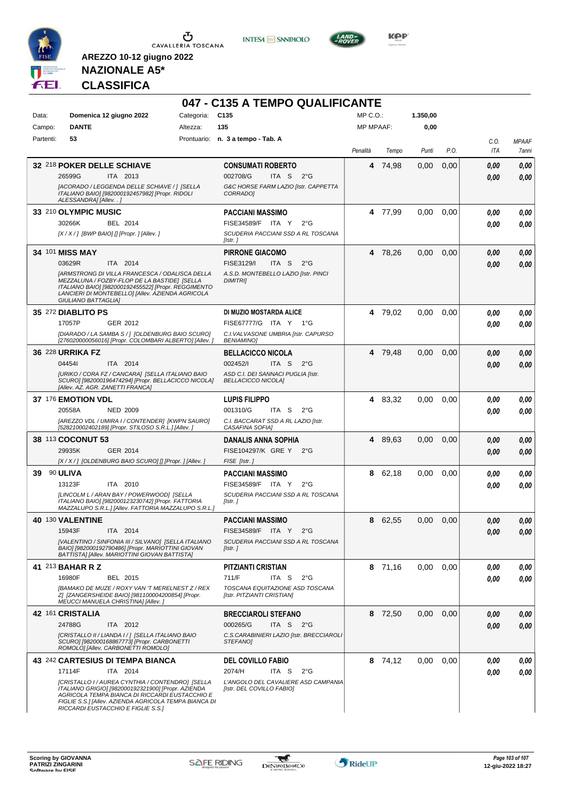

**INTESA M** SANPAOLO



**KOP** 

# **NAZIONALE A5\* CLASSIFICA**

|           |                                                                                                                                                                                                                                                         |                 | 047 - C135 A TEMPO QUALIFICANTE                                  |                  |         |          |      |             |                       |
|-----------|---------------------------------------------------------------------------------------------------------------------------------------------------------------------------------------------------------------------------------------------------------|-----------------|------------------------------------------------------------------|------------------|---------|----------|------|-------------|-----------------------|
| Data:     | Domenica 12 giugno 2022                                                                                                                                                                                                                                 | Categoria: C135 |                                                                  | $MP C. O.$ :     |         | 1.350,00 |      |             |                       |
| Campo:    | <b>DANTE</b>                                                                                                                                                                                                                                            | Altezza:        | 135                                                              | <b>MP MPAAF:</b> |         | 0,00     |      |             |                       |
| Partenti: | 53                                                                                                                                                                                                                                                      |                 | Prontuario: n. 3 a tempo - Tab. A                                | Penalità         | Tempo   | Punti    | P.O. | C.O.<br>ITA | <b>MPAAF</b><br>7anni |
|           | 32 218 POKER DELLE SCHIAVE                                                                                                                                                                                                                              |                 | <b>CONSUMATI ROBERTO</b>                                         | 4                | 74,98   | 0,00     | 0,00 | 0.00        | 0,00                  |
|           | 26599G<br>ITA 2013                                                                                                                                                                                                                                      |                 | 002708/G<br>ITA S<br>$2^{\circ}G$                                |                  |         |          |      | 0.00        | 0,00                  |
|           | [ACORADO / LEGGENDA DELLE SCHIAVE / ] [SELLA<br>ITALIANO BAIO] [982000192457982] [Propr. RIDOLI<br>ALESSANDRA] [Allev. . ]                                                                                                                              |                 | G&C HORSE FARM LAZIO [Istr. CAPPETTA<br>CORRADO]                 |                  |         |          |      |             |                       |
|           | 33 210 OLYMPIC MUSIC                                                                                                                                                                                                                                    |                 | <b>PACCIANI MASSIMO</b>                                          | 4                | 77,99   | 0,00     | 0,00 | 0.00        | 0,00                  |
|           | 30266K<br>BEL 2014                                                                                                                                                                                                                                      |                 | FISE34589/F ITA Y<br>$2^{\circ}G$                                |                  |         |          |      | 0.00        | 0,00                  |
|           | $[X/X/$ ] [BWP BAIO] [] [Propr. ] [Allev. ]                                                                                                                                                                                                             |                 | SCUDERIA PACCIANI SSD A RL TOSCANA<br>[Istr.]                    |                  |         |          |      |             |                       |
|           | 34 101 MISS MAY                                                                                                                                                                                                                                         |                 | <b>PIRRONE GIACOMO</b>                                           |                  | 4 78,26 | 0,00     | 0,00 | 0.00        | 0,00                  |
|           | 03629R<br>ITA 2014                                                                                                                                                                                                                                      |                 | FISE3129/I<br>ITA S<br>$2^{\circ}$ G                             |                  |         |          |      | 0.00        | 0,00                  |
|           | <b>JARMSTRONG DI VILLA FRANCESCA / ODALISCA DELLA</b><br>MEZZALUNA / FOZBY-FLOP DE LA BASTIDE] [SELLA<br>ITALIANO BAIO] [982000192455522] [Propr. REGGIMENTO<br>LANCIERI DI MONTEBELLO] [Allev. AZIENDA AGRICOLA<br>GIULIANO BATTAGLIA]                 |                 | A.S.D. MONTEBELLO LAZIO [Istr. PINCI<br><b>DIMITRII</b>          |                  |         |          |      |             |                       |
|           | 35 272 DIABLITO PS                                                                                                                                                                                                                                      |                 | DI MUZIO MOSTARDA ALICE                                          |                  | 4 79.02 | 0,00     | 0,00 | 0,00        | 0,00                  |
|           | 17057P<br>GER 2012                                                                                                                                                                                                                                      |                 | FISE67777/G ITA Y 1°G                                            |                  |         |          |      | 0.00        | 0,00                  |
|           | [DIARADO / LA SAMBA S / ] [OLDENBURG BAIO SCURO]<br>[276020000056016] [Propr. COLOMBARI ALBERTO] [Allev. ]                                                                                                                                              |                 | C.I. VALVASONE UMBRIA [Istr. CAPURSO<br><b>BENIAMINO1</b>        |                  |         |          |      |             |                       |
|           | 36 228 URRIKA FZ                                                                                                                                                                                                                                        |                 | <b>BELLACICCO NICOLA</b>                                         | 4                | 79.48   | 0,00     | 0,00 | 0.00        | 0,00                  |
|           | 044541<br>ITA 2014                                                                                                                                                                                                                                      |                 | 002452/I<br>ITA <sub>S</sub><br>$2^{\circ}$ G                    |                  |         |          |      | 0.00        | 0.00                  |
|           | [URIKO / CORA FZ / CANCARA] [SELLA ITALIANO BAIO<br>SCURO] [982000196474294] [Propr. BELLACICCO NICOLA]<br>[Allev. AZ. AGR. ZANETTI FRANCA]                                                                                                             |                 | ASD C.I. DEI SANNACI PUGLIA [Istr.<br><b>BELLACICCO NICOLA]</b>  |                  |         |          |      |             |                       |
|           | 37 176 EMOTION VDL                                                                                                                                                                                                                                      |                 | <b>LUPIS FILIPPO</b>                                             |                  | 4 83,32 | 0,00     | 0.00 | 0.00        | 0,00                  |
|           | <b>NED 2009</b><br>20558A                                                                                                                                                                                                                               |                 | 001310/G<br>ITA S<br>$2^{\circ}$ G                               |                  |         |          |      | 0.00        | 0.00                  |
|           | [AREZZO VDL / UMIRA I / CONTENDER] [KWPN SAURO]<br>[528210002402189] [Propr. STILOSO S.R.L.] [Allev.]                                                                                                                                                   |                 | C.I. BACCARAT SSD A RL LAZIO [Istr.<br>CASAFINA SOFIA]           |                  |         |          |      |             |                       |
|           | 38 113 COCONUT 53                                                                                                                                                                                                                                       |                 | DANALIS ANNA SOPHIA                                              | 4                | 89.63   | 0,00     | 0,00 | 0.00        | 0,00                  |
|           | 29935K<br>GER 2014                                                                                                                                                                                                                                      |                 | FISE104297/K GRE Y<br>$2^{\circ}G$                               |                  |         |          |      | 0.00        | 0,00                  |
|           | [X / X / ] [OLDENBURG BAIO SCURO] [] [Propr. ] [Allev. ]                                                                                                                                                                                                |                 | FISE [Istr.]                                                     |                  |         |          |      |             |                       |
| 39        | 90 ULIVA                                                                                                                                                                                                                                                |                 | <b>PACCIANI MASSIMO</b>                                          | 8                | 62,18   | 0,00     | 0,00 | 0.00        | 0,00                  |
|           | 13123F<br>ITA 2010                                                                                                                                                                                                                                      |                 | FISE34589/F ITA Y<br>$2^{\circ}G$                                |                  |         |          |      | 0.00        | 0.00                  |
|           | [LINCOLM L / ARAN BAY / POWERWOOD] [SELLA<br>ITALIANO BAIO] [982000123230742] [Propr. FATTORIA<br>MAZZALUPO S.R.L.] [Allev. FATTORIA MAZZALUPO S.R.L.]                                                                                                  |                 | SCUDERIA PACCIANI SSD A RL TOSCANA<br>[Istr.]                    |                  |         |          |      |             |                       |
|           | 40 130 VALENTINE                                                                                                                                                                                                                                        |                 | PACCIANI MASSIMO                                                 | 8                | 62,55   | 0.00     | 0.00 | 0.00        | 0.00                  |
|           | ITA 2014<br>15943F                                                                                                                                                                                                                                      |                 | FISE34589/F ITA Y<br>$2^{\circ}G$                                |                  |         |          |      | 0,00        | 0,00                  |
|           | [VALENTINO / SINFONIA III / SILVANO] [SELLA ITALIANO<br>BAIO] [982000192790486] [Propr. MARIOTTINI GIOVAN<br>BATTISTA] [Allev. MARIOTTINI GIOVAN BATTISTA]                                                                                              |                 | SCUDERIA PACCIANI SSD A RL TOSCANA<br>[Istr.]                    |                  |         |          |      |             |                       |
|           | 41 213 BAHAR R Z                                                                                                                                                                                                                                        |                 | PITZIANTI CRISTIAN                                               |                  | 8 71,16 | 0.00     | 0.00 | 0.00        | 0,00                  |
|           | 16980F<br>BEL 2015                                                                                                                                                                                                                                      |                 | 711/F<br>ITA S<br>$2^{\circ}G$                                   |                  |         |          |      | 0.00        | 0.00                  |
|           | [BAMAKO DE MUZE / ROXY VAN 'T MERELNEST Z / REX<br>Z] [ZANGERSHEIDE BAIO] [981100004200854] [Propr.<br>MEUCCI MANUELA CHRISTINA] [Allev.]                                                                                                               |                 | TOSCANA EQUITAZIONE ASD TOSCANA<br>[Istr. PITZIANTI CRISTIAN]    |                  |         |          |      |             |                       |
|           | 42 161 CRISTALIA                                                                                                                                                                                                                                        |                 | <b>BRECCIAROLI STEFANO</b>                                       |                  | 8 72,50 | 0,00     | 0,00 | 0.00        | 0,00                  |
|           | 24788G<br>ITA 2012                                                                                                                                                                                                                                      |                 | 000265/G<br>ITA S $2^{\circ}G$                                   |                  |         |          |      | 0.00        | 0,00                  |
|           | [CRISTALLO II / LIANDA I / ] [SELLA ITALIANO BAIO<br>SCURO] [982000168867773] [Propr. CARBONETTI<br>ROMOLO] [Allev. CARBONETTI ROMOLO]                                                                                                                  |                 | C.S.CARABINIERI LAZIO [Istr. BRECCIAROLI<br>STEFANOI             |                  |         |          |      |             |                       |
|           | 43 242 CARTESIUS DI TEMPA BIANCA                                                                                                                                                                                                                        |                 | <b>DEL COVILLO FABIO</b>                                         |                  | 8 74,12 | 0,00     | 0,00 | 0,00        | 0,00                  |
|           | 17114F<br>ITA 2014                                                                                                                                                                                                                                      |                 | 2074/H<br>ITA S<br>$2^{\circ}$ G                                 |                  |         |          |      | 0.00        | 0,00                  |
|           | [CRISTALLO I / AUREA CYNTHIA / CONTENDRO] [SELLA<br>ITALIANO GRIGIO] [982000192321900] [Propr. AZIENDA<br>AGRICOLA TEMPA BIANCA DI RICCARDI EUSTACCHIO E<br>FIGLIE S.S.] [Allev. AZIENDA AGRICOLA TEMPA BIANCA DI<br>RICCARDI EUSTACCHIO E FIGLIE S.S.] |                 | L'ANGOLO DEL CAVALIERE ASD CAMPANIA<br>[Istr. DEL COVILLO FABIO] |                  |         |          |      |             |                       |

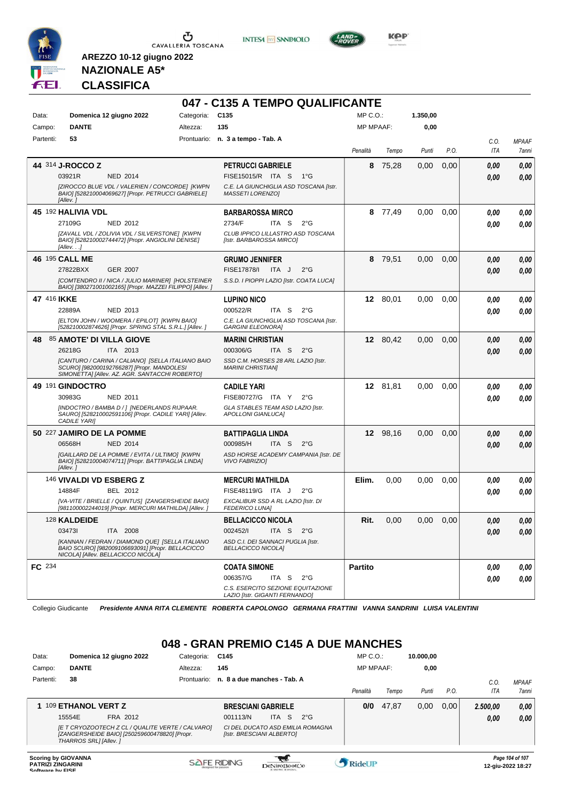

**INTESA** M SANPAOLO



**Kep** 

### **NAZIONALE A5\* CLASSIFICA**

**AREZZO 10-12 giugno 2022**

|             |                                    |                                                                                                                                                   | 047 - C135 A TEMPO QUALIFICANTE                                     |                  |          |          |      |      |              |
|-------------|------------------------------------|---------------------------------------------------------------------------------------------------------------------------------------------------|---------------------------------------------------------------------|------------------|----------|----------|------|------|--------------|
| Data:       | Domenica 12 giugno 2022            | Categoria:                                                                                                                                        | C <sub>135</sub>                                                    | $MP C. O.$ :     |          | 1.350,00 |      |      |              |
| Campo:      | <b>DANTE</b>                       | Altezza:                                                                                                                                          | 135                                                                 | <b>MP MPAAF:</b> |          | 0,00     |      |      |              |
| Partenti:   | 53                                 |                                                                                                                                                   | Prontuario: n. 3 a tempo - Tab. A                                   |                  |          |          |      | C.O. | <b>MPAAF</b> |
|             |                                    |                                                                                                                                                   |                                                                     | Penalità         | Tempo    | Punti    | P.O. | ITA  | 7anni        |
|             | 44 314 J-ROCCO Z                   |                                                                                                                                                   | <b>PETRUCCI GABRIELE</b>                                            | 8                | 75,28    | 0,00     | 0,00 | 0,00 | 0,00         |
|             | 03921R                             | <b>NED 2014</b>                                                                                                                                   | FISE15015/R ITA S<br>$1^{\circ}$ G                                  |                  |          |          |      | 0.00 | 0,00         |
|             | [Allev.]                           | [ZIROCCO BLUE VDL / VALERIEN / CONCORDE] [KWPN<br>BAIO] [528210004069627] [Propr. PETRUCCI GABRIELE]                                              | C.E. LA GIUNCHIGLIA ASD TOSCANA [Istr.<br>MASSETI LORENZOI          |                  |          |          |      |      |              |
|             | 45 192 HALIVIA VDL                 |                                                                                                                                                   | <b>BARBAROSSA MIRCO</b>                                             | 8                | 77,49    | 0,00     | 0,00 | 0.00 | 0,00         |
|             | 27109G                             | <b>NED 2012</b>                                                                                                                                   | 2734/F<br>ITA S<br>$2^{\circ}$ G                                    |                  |          |          |      | 0.00 | 0,00         |
|             | [Allev.]                           | [ZAVALL VDL / ZOLIVIA VDL / SILVERSTONE] [KWPN<br>BAIO] [528210002744472] [Propr. ANGIOLINI DENISE]                                               | CLUB IPPICO LILLASTRO ASD TOSCANA<br>[Istr. BARBAROSSA MIRCO]       |                  |          |          |      |      |              |
|             | 46 195 CALL ME                     |                                                                                                                                                   | <b>GRUMO JENNIFER</b>                                               | 8                | 79,51    | 0,00     | 0,00 | 0.00 | 0,00         |
|             | 27822BXX                           | GER 2007                                                                                                                                          | FISE17878/I<br>ITA J<br>$2^{\circ}$ G                               |                  |          |          |      | 0,00 | 0,00         |
|             |                                    | [COMTENDRO II / NICA / JULIO MARINER] [HOLSTEINER<br>BAIO] [380271001002165] [Propr. MAZZEI FILIPPO] [Allev. ]                                    | S.S.D. I PIOPPI LAZIO [Istr. COATA LUCA]                            |                  |          |          |      |      |              |
| 47 416 IKKE |                                    |                                                                                                                                                   | <b>LUPINO NICO</b>                                                  |                  | 12 80,01 | 0,00     | 0,00 | 0,00 | 0,00         |
|             | 22889A                             | NED 2013                                                                                                                                          | 000522/R<br>ITA S<br>$2^{\circ}G$                                   |                  |          |          |      | 0.00 | 0,00         |
|             |                                    | [ELTON JOHN / WOOMERA / EPILOT] [KWPN BAIO]<br>[528210002874626] [Propr. SPRING STAL S.R.L.] [Allev.]                                             | C.E. LA GIUNCHIGLIA ASD TOSCANA [Istr.<br><b>GARGINI ELEONORA]</b>  |                  |          |          |      |      |              |
| 48.         | 85 AMOTE' DI VILLA GIOVE           |                                                                                                                                                   | <b>MARINI CHRISTIAN</b>                                             |                  | 12 80,42 | 0,00     | 0,00 | 0.00 | 0,00         |
|             | 26218G                             | ITA 2013                                                                                                                                          | 000306/G<br>ITA <sub>S</sub><br>$2^{\circ}$ G                       |                  |          |          |      | 0.00 | 0,00         |
|             |                                    | [CANTURO / CARINA / CALIANO] [SELLA ITALIANO BAIO<br>SCURO] [982000192766287] [Propr. MANDOLESI<br>SIMONETTA] [Allev. AZ. AGR. SANTACCHI ROBERTO] | SSD C.M. HORSES 28 ARL LAZIO [Istr.<br><b>MARINI CHRISTIANI</b>     |                  |          |          |      |      |              |
|             | 49 191 GINDOCTRO                   |                                                                                                                                                   | <b>CADILE YARI</b>                                                  |                  | 12 81,81 | 0,00     | 0,00 | 0.00 | 0,00         |
|             | 30983G                             | NED 2011                                                                                                                                          | FISE80727/G ITA Y<br>$2^{\circ}$ G                                  |                  |          |          |      | 0.00 | 0,00         |
|             | <b>CADILE YARI</b>                 | [INDOCTRO / BAMBA D / ] [NEDERLANDS RIJPAAR.<br>SAURO] [528210002591106] [Propr. CADILE YARI] [Allev.                                             | GLA STABLES TEAM ASD LAZIO [Istr.<br>APOLLONI GIANLUCA]             |                  |          |          |      |      |              |
|             | 50 227 JAMIRO DE LA POMME          |                                                                                                                                                   | <b>BATTIPAGLIA LINDA</b>                                            |                  | 12 98,16 | 0,00     | 0,00 | 0,00 | 0,00         |
|             | 06568H                             | <b>NED 2014</b>                                                                                                                                   | 000985/H<br>ITA S<br>$2^{\circ}$ G                                  |                  |          |          |      | 0.00 | 0,00         |
|             | [Allev.]                           | [GAILLARD DE LA POMME / EVITA / ULTIMO] [KWPN<br>BAIO] [528210004074711] [Propr. BATTIPAGLIA LINDA]                                               | ASD HORSE ACADEMY CAMPANIA [Istr. DE<br><b>VIVO FABRIZIO]</b>       |                  |          |          |      |      |              |
|             | 146 VIVALDI VD ESBERG Z            |                                                                                                                                                   | <b>MERCURI MATHILDA</b>                                             | Elim.            | 0,00     | 0,00     | 0,00 | 0,00 | 0,00         |
|             | 14884F                             | BEL 2012                                                                                                                                          | FISE48119/G ITA J<br>$2^{\circ}$ G                                  |                  |          |          |      | 0.00 | 0.00         |
|             |                                    | [VA-VITE / BRIELLE / QUINTUS] [ZANGERSHEIDE BAIO]<br>[981100002244019] [Propr. MERCURI MATHILDA] [Allev.]                                         | EXCALIBUR SSD A RL LAZIO [Istr. DI<br><b>FEDERICO LUNA]</b>         |                  |          |          |      |      |              |
|             | 128 KALDEIDE                       |                                                                                                                                                   | <b>BELLACICCO NICOLA</b>                                            | Rit.             | 0.00     | 0,00     | 0.00 | 0.00 | 0.00         |
|             | 034731                             | ITA 2008                                                                                                                                          | 002452/I<br>ITA S<br>$2^{\circ}$ G                                  |                  |          |          |      | 0,00 | 0,00         |
|             | NICOLA] [Allev. BELLACICCO NICOLA] | [KANNAN / FEDRAN / DIAMOND QUE] [SELLA ITALIANO<br>BAIO SCURO] [982009106693091] [Propr. BELLACICCO                                               | ASD C.I. DEI SANNACI PUGLIA [Istr.<br><b>BELLACICCO NICOLA]</b>     |                  |          |          |      |      |              |
| FC 234      |                                    |                                                                                                                                                   | <b>COATA SIMONE</b>                                                 | <b>Partito</b>   |          |          |      | 0,00 | 0,00         |
|             |                                    |                                                                                                                                                   | 006357/G<br>ITA S<br>$2^{\circ}$ G                                  |                  |          |          |      | 0,00 | 0,00         |
|             |                                    |                                                                                                                                                   | C.S. ESERCITO SEZIONE EQUITAZIONE<br>LAZIO [Istr. GIGANTI FERNANDO] |                  |          |          |      |      |              |

Collegio Giudicante *Presidente ANNA RITA CLEMENTE ROBERTA CAPOLONGO GERMANA FRATTINI VANNA SANDRINI LUISA VALENTINI*

### **048 - GRAN PREMIO C145 A DUE MANCHES**

| Data:                    | Domenica 12 giugno 2022                                                                                                    | Categoria:  | C145                        |              |                                  | $MP C. O.$ :     |       | 10.000.00 |       |          |                                      |
|--------------------------|----------------------------------------------------------------------------------------------------------------------------|-------------|-----------------------------|--------------|----------------------------------|------------------|-------|-----------|-------|----------|--------------------------------------|
| Campo:                   | <b>DANTE</b>                                                                                                               | Altezza:    | 145                         |              |                                  | <b>MP MPAAF:</b> |       | 0,00      |       |          |                                      |
| Partenti:                | 38                                                                                                                         | Prontuario: | n. 8 a due manches - Tab. A |              |                                  |                  |       |           |       | C.0      | <b>MPAAF</b>                         |
|                          |                                                                                                                            |             |                             |              |                                  | Penalità         | Tempo | Punti     | P.O.  | ITA      | 7anni                                |
|                          | 109 ETHANOL VERT Z                                                                                                         |             | <b>BRESCIANI GABRIELE</b>   |              |                                  | 0/0              | 47.87 | 0,00      | 0.001 | 2.500,00 | 0,00                                 |
|                          | FRA 2012<br>15554E                                                                                                         |             | 001113/N                    | ITA S        | $2^{\circ}G$                     |                  |       |           |       | 0,00     | 0.00                                 |
|                          | IE T CRYOZOOTECH Z CL / QUALITE VERTE / CALVARO]<br>[ZANGERSHEIDE BAIO] [250259600478820] [Propr.<br>THARROS SRL1 [Allev.] |             | [Istr. BRESCIANI ALBERTO]   |              | CI DEL DUCATO ASD EMILIA ROMAGNA |                  |       |           |       |          |                                      |
| <b>PATRIZI ZINGARINI</b> | <b>Scoring by GIOVANNA</b>                                                                                                 |             | <b>SAFE RIDING</b>          | DeNiroBootCo |                                  | <b>Ridel JP</b>  |       |           |       |          | Page 104 of 107<br>12-aiu-2022 18:27 |

**SOFTWARE DESCRIPTION CONSUMING PROPORT DESCRIPTION CONSUMING PROPORT PROPORT PROPORT PROPORT PROPORT PROPORT PROPORT PROPORT PROPORT PROPORT PROPORT PROPORT PROPORT PROPORT PROPORT PROPORT PROPORT PROPORT PROPORT PROPORT**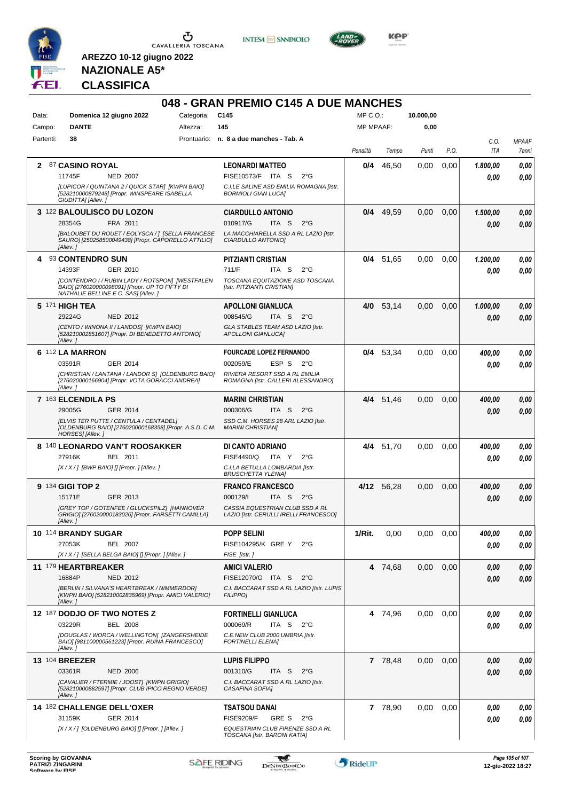

**INTESA M** SANPAOLO



**KOP** 

# **NAZIONALE A5\* CLASSIFICA**

| Data:     | Domenica 12 giugno 2022                                                                                                                   | Categoria: | C145                                                                            | $MP C. O.$ :     |             | 10.000,00 |      |             |                       |
|-----------|-------------------------------------------------------------------------------------------------------------------------------------------|------------|---------------------------------------------------------------------------------|------------------|-------------|-----------|------|-------------|-----------------------|
| Campo:    | <b>DANTE</b>                                                                                                                              | Altezza:   | 145                                                                             | <b>MP MPAAF:</b> |             | 0,00      |      |             |                       |
| Partenti: | 38                                                                                                                                        |            | Prontuario: n. 8 a due manches - Tab. A                                         | Penalità         | Tempo       | Punti     | P.O. | C.O.<br>ITA | <b>MPAAF</b><br>7anni |
|           | 2 87 CASINO ROYAL                                                                                                                         |            | <b>LEONARDI MATTEO</b>                                                          | 0/4              | 46,50       | 0.00      | 0,00 | 1.800,00    | 0,00                  |
|           | 11745F<br><b>NED 2007</b><br>[LUPICOR / QUINTANA 2 / QUICK STAR] [KWPN BAIO]                                                              |            | FISE10573/F ITA S<br>$2^{\circ}$ G<br>C.I.LE SALINE ASD EMILIA ROMAGNA [Istr.   |                  |             |           |      | 0.00        | 0.00                  |
|           | [528210000879248] [Propr. WINSPEARE ISABELLA<br>GIUDITTA] [Allev.]                                                                        |            | <b>BORMIOLI GIAN LUCAI</b>                                                      |                  |             |           |      |             |                       |
|           | 3 122 BALOULISCO DU LOZON                                                                                                                 |            | <b>CIARDULLO ANTONIO</b>                                                        |                  | $0/4$ 49,59 | 0,00      | 0,00 | 1.500,00    | 0,00                  |
|           | 28354G<br>FRA 2011                                                                                                                        |            | 010917/G<br>ITA S<br>$2^{\circ}$ G                                              |                  |             |           |      | 0.00        | 0.00                  |
|           | [BALOUBET DU ROUET / EOLYSCA / ] [SELLA FRANCESE<br>SAURO] [250258500049438] [Propr. CAPORELLO ATTILIO]<br>[Allev.]                       |            | LA MACCHIARELLA SSD A RL LAZIO [Istr.<br>CIARDULLO ANTONIO]                     |                  |             |           |      |             |                       |
| 4         | 93 CONTENDRO SUN                                                                                                                          |            | <b>PITZIANTI CRISTIAN</b>                                                       |                  | $0/4$ 51,65 | 0,00      | 0,00 | 1.200,00    | 0,00                  |
|           | 14393F<br>GER 2010                                                                                                                        |            | 711/F<br>ITA S<br>$2^{\circ}$ G                                                 |                  |             |           |      | 0.00        | 0.00                  |
|           | [CONTENDRO I / RUBIN LADY / ROTSPON] [WESTFALEN<br>BAIO] [276020000098091] [Propr. UP TO FIFTY DI<br>NATHALIE BELLINE E C. SAS] [Allev. ] |            | TOSCANA EQUITAZIONE ASD TOSCANA<br>[Istr. PITZIANTI CRISTIAN]                   |                  |             |           |      |             |                       |
|           | 5 171 HIGH TEA                                                                                                                            |            | <b>APOLLONI GIANLUCA</b>                                                        | 4/0              | 53,14       | 0,00      | 0,00 | 1.000,00    | 0,00                  |
|           | <b>NED 2012</b><br>29224G                                                                                                                 |            | 008545/G<br>ITA <sub>S</sub><br>$2^{\circ}$ G                                   |                  |             |           |      | 0.00        | 0.00                  |
|           | [CENTO / WINONA II / LANDOS] [KWPN BAIO]<br>[528210002851607] [Propr. DI BENEDETTO ANTONIO]<br>[Allev.]                                   |            | GLA STABLES TEAM ASD LAZIO [Istr.<br><b>APOLLONI GIANLUCAI</b>                  |                  |             |           |      |             |                       |
|           | 6 112 LA MARRON                                                                                                                           |            | <b>FOURCADE LOPEZ FERNANDO</b>                                                  |                  | 0/4 53,34   | 0,00      | 0,00 | 400,00      | 0,00                  |
|           | GER 2014<br>03591R                                                                                                                        |            | 002059/E<br>ESP <sub>S</sub><br>$2^{\circ}G$                                    |                  |             |           |      | 0.00        | 0.00                  |
|           | [CHRISTIAN / LANTANA / LANDOR S] [OLDENBURG BAIO]<br>[276020000166904] [Propr. VOTA GORACCI ANDREA]<br>[Allev.]                           |            | RIVIERA RESORT SSD A RL EMILIA<br>ROMAGNA [Istr. CALLERI ALESSANDRO]            |                  |             |           |      |             |                       |
|           | 7 163 ELCENDILA PS                                                                                                                        |            | <b>MARINI CHRISTIAN</b>                                                         |                  | 4/4 51,46   | 0.00      | 0,00 | 400,00      | 0,00                  |
|           | 29005G<br>GER 2014                                                                                                                        |            | 000306/G<br>ITA S<br>$2^{\circ}G$                                               |                  |             |           |      | 0.00        | 0.00                  |
|           | [ELVIS TER PUTTE / CENTULA / CENTADEL]<br>[OLDENBURG BAIO] [276020000168358] [Propr. A.S.D. C.M.<br>HORSES] [Allev.]                      |            | SSD C.M. HORSES 28 ARL LAZIO [Istr.<br><b>MARINI CHRISTIANI</b>                 |                  |             |           |      |             |                       |
|           | 8 140 LEONARDO VAN'T ROOSAKKER                                                                                                            |            | DI CANTO ADRIANO                                                                |                  | 4/4 51,70   | 0,00      | 0,00 | 400,00      | 0,00                  |
|           | BEL 2011<br>27916K                                                                                                                        |            | FISE4490/Q<br>ITA Y<br>$2^{\circ}G$                                             |                  |             |           |      | 0.00        | 0.00                  |
|           | $[X/X/$ ] [BWP BAIO] [] [Propr. ] [Allev. ]                                                                                               |            | C.I.LA BETULLA LOMBARDIA [Istr.<br><b>BRUSCHETTA YLENIA1</b>                    |                  |             |           |      |             |                       |
|           | 9 134 GIGI TOP 2                                                                                                                          |            | <b>FRANCO FRANCESCO</b>                                                         |                  | 4/12 56.28  | 0,00      | 0,00 | 400,00      | 0,00                  |
|           | 15171E<br>GER 2013                                                                                                                        |            | 000129/I<br>ITA <sub>S</sub><br>$2^{\circ}G$<br>CASSIA EQUESTRIAN CLUB SSD A RL |                  |             |           |      | 0.00        | 0.00                  |
|           | [GREY TOP / GOTENFEE / GLUCKSPILZ] [HANNOVER<br>GRIGIO] [276020000183026] [Propr. FARSETTI CAMILLA]<br>[Allev.]                           |            | LAZIO [Istr. CERULLI IRELLI FRANCESCO]                                          |                  |             |           |      |             |                       |
|           | 10 114 BRANDY SUGAR                                                                                                                       |            | <b>POPP SELINI</b>                                                              | 1/Rit.           | 0,00        | 0,00      | 0,00 | 400,00      | 0,00                  |
|           | 27053K<br><b>BEL 2007</b><br>[X / X / ] [SELLA BELGA BAIO] [] [Propr. ] [Allev. ]                                                         |            | FISE104295/K GRE Y<br>$2^{\circ}G$<br>FISE [Istr.]                              |                  |             |           |      | 0.00        | 0,00                  |
|           | 11 179 HEARTBREAKER                                                                                                                       |            | <b>AMICI VALERIO</b>                                                            |                  | 4 74,68     | 0,00      | 0,00 | 0,00        | 0,00                  |
|           | 16884P<br><b>NED 2012</b>                                                                                                                 |            | FISE12070/G ITA S<br>$2^{\circ}$ G                                              |                  |             |           |      | 0,00        | 0,00                  |
|           | [BERLIN / SILVANA'S HEARTBREAK / NIMMERDOR]<br>[KWPN BAIO] [528210002835969] [Propr. AMICI VALERIO]<br>[Allev.]                           |            | C.I. BACCARAT SSD A RL LAZIO [Istr. LUPIS<br><b>FILIPPO1</b>                    |                  |             |           |      |             |                       |
|           | 12 187 DODJO OF TWO NOTES Z                                                                                                               |            | <b>FORTINELLI GIANLUCA</b>                                                      |                  | 4 74,96     | 0,00      | 0,00 | 0,00        | 0,00                  |
|           | 03229R<br><b>BEL 2008</b>                                                                                                                 |            | 000069/R<br>ITA S $2^{\circ}G$                                                  |                  |             |           |      | 0.00        | 0.00                  |
|           | [DOUGLAS / WORCA / WELLINGTON] [ZANGERSHEIDE<br>BAIO] [981100000561223] [Propr. RUINA FRANCESCO]<br>[Allev.]                              |            | C.E.NEW CLUB 2000 UMBRIA [Istr.<br><b>FORTINELLI ELENA]</b>                     |                  |             |           |      |             |                       |
|           | <b>13 104 BREEZER</b>                                                                                                                     |            | <b>LUPIS FILIPPO</b>                                                            |                  | 7 78,48     | 0,00      | 0,00 | 0,00        | 0,00                  |
|           | 03361R<br><b>NED 2006</b>                                                                                                                 |            | 001310/G<br>ITA S<br>$2^{\circ}G$                                               |                  |             |           |      | 0,00        | 0,00                  |
|           | [CAVALIER / FTERMIE / JOOST] [KWPN GRIGIO]<br>[528210000882597] [Propr. CLUB IPICO REGNO VERDE]<br>[Allev.]                               |            | C.I. BACCARAT SSD A RL LAZIO [Istr.<br>CASAFINA SOFIA]                          |                  |             |           |      |             |                       |
|           | 14 182 CHALLENGE DELL'OXER                                                                                                                |            | <b>TSATSOU DANAI</b>                                                            |                  | 7 78,90     | 0,00      | 0,00 | 0,00        | 0,00                  |
|           | 31159K<br>GER 2014                                                                                                                        |            | <b>FISE9209/F</b><br>GRE S<br>$2^{\circ}$ G                                     |                  |             |           |      | 0.00        | 0,00                  |
|           | [X / X / ] [OLDENBURG BAIO] [] [Propr. ] [Allev. ]                                                                                        |            | EQUESTRIAN CLUB FIRENZE SSD A RL<br>TOSCANA [Istr. BARONI KATIA]                |                  |             |           |      |             |                       |

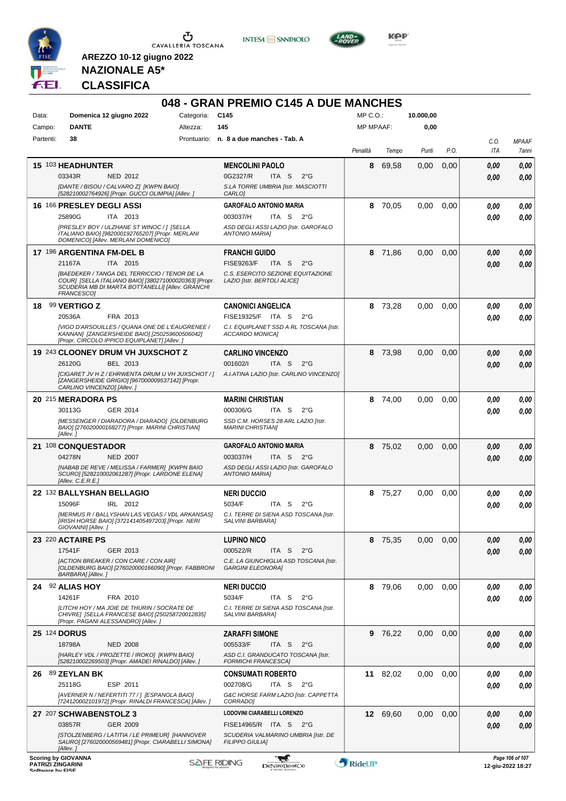

**INTESA** M SANPAOLO



KOP<sup>®</sup>

# **NAZIONALE A5\* CLASSIFICA**

| Data:               | Domenica 12 giugno 2022                                                                                                                                                  | Categoria: | C145                                                               | MP C.O.:         |          | 10.000,00 |      |                 |                       |
|---------------------|--------------------------------------------------------------------------------------------------------------------------------------------------------------------------|------------|--------------------------------------------------------------------|------------------|----------|-----------|------|-----------------|-----------------------|
| Campo:              | <b>DANTE</b>                                                                                                                                                             | Altezza:   | 145                                                                | <b>MP MPAAF:</b> |          | 0,00      |      |                 |                       |
| Partenti:           | 38                                                                                                                                                                       |            | Prontuario: n. 8 a due manches - Tab. A                            | Penalità         | Tempo    | Punti     | P.O. | C.O.<br>ITA     | <b>MPAAF</b><br>7anni |
|                     | 15 103 HEADHUNTER                                                                                                                                                        |            | <b>MENCOLINI PAOLO</b>                                             | 8                | 69.58    | 0,00      | 0,00 | 0,00            | 0,00                  |
|                     | 03343R<br><b>NED 2012</b>                                                                                                                                                |            | 0G2327/R<br>ITA S<br>$2^{\circ}$ G                                 |                  |          |           |      | 0.00            | 0,00                  |
|                     | [DANTE / BISOU / CALVARO Z] [KWPN BAIO]<br>[528210002764926] [Propr. GUCCI OLIMPIA] [Allev. ]                                                                            |            | S.LA TORRE UMBRIA [Istr. MASCIOTTI<br><b>CARLO</b>                 |                  |          |           |      |                 |                       |
|                     | 16 166 PRESLEY DEGLI ASSI                                                                                                                                                |            | <b>GAROFALO ANTONIO MARIA</b>                                      | 8                | 70,05    | 0,00      | 0,00 | 0,00            |                       |
|                     | 25890G<br>ITA 2013                                                                                                                                                       |            | 003037/H<br>ITA S<br>$2^{\circ}$ G                                 |                  |          |           |      | 0.00            |                       |
|                     | [PRESLEY BOY / ULZHANE ST WINOC / ] [SELLA<br>ITALIANO BAIO] [982000192765207] [Propr. MERLANI<br>DOMENICO] [Allev. MERLANI DOMENICO]                                    |            | ASD DEGLI ASSI LAZIO [Istr. GAROFALO<br><b>ANTONIO MARIA]</b>      |                  |          |           |      |                 |                       |
|                     | 17 196 ARGENTINA FM-DEL B                                                                                                                                                |            | <b>FRANCHI GUIDO</b>                                               |                  | 8 71,86  | 0,00      | 0,00 | 0,00            |                       |
|                     | ITA 2015<br>21167A                                                                                                                                                       |            | <b>FISE9263/F</b><br>ITA S<br>$2^{\circ}G$                         |                  |          |           |      | 0.00            |                       |
|                     | [BAEDEKER / TANGA DEL TERRICCIO / TENOR DE LA<br>COUR] [SELLA ITALIANO BAIO] [380271000020363] [Propr.<br>SCUDERIA MB DI MARTA BOTTANELLI] [Allev. GRANCHI<br>FRANCESCO] |            | C.S. ESERCITO SEZIONE EQUITAZIONE<br>LAZIO [Istr. BERTOLI ALICE]   |                  |          |           |      |                 |                       |
| 18.                 | 99 VERTIGO Z                                                                                                                                                             |            | <b>CANONICI ANGELICA</b>                                           | 8                | 73,28    | 0,00      | 0,00 | 0.00            |                       |
|                     | 20536A<br>FRA 2013                                                                                                                                                       |            | FISE19325/F ITA S<br>$2^{\circ}$ G                                 |                  |          |           |      | 0.00            |                       |
|                     | [VIGO D'ARSOUILLES / QUANA ONE DE L'EAUGRENEE /<br>KANNAN] [ZANGERSHEIDE BAIO] [250259600506042]<br>[Propr. CIRCOLO IPPICO EQUIPLANET] [Allev. ]                         |            | C.I. EQUIPLANET SSD A RL TOSCANA [Istr.<br>ACCARDO MONICA]         |                  |          |           |      |                 |                       |
|                     | 19 243 CLOONEY DRUM VH JUXSCHOT Z                                                                                                                                        |            | <b>CARLINO VINCENZO</b>                                            | 8                | 73,98    | 0,00      | 0,00 | 0.00            |                       |
|                     | 26120G<br>BEL 2013                                                                                                                                                       |            | 001602/I<br>ITA S<br>$2^{\circ}G$                                  |                  |          |           |      | 0.00            |                       |
|                     | [CIGARET JV H Z / EHRWENTA DRUM U VH JUXSCHOT / ]<br>[ZANGERSHEIDE GRIGIO] [967000009537142] [Propr.<br>CARLINO VINCENZO] [Allev.]                                       |            | A.I.ATINA LAZIO [Istr. CARLINO VINCENZO]                           |                  |          |           |      |                 |                       |
|                     | 20 215 MERADORA PS                                                                                                                                                       |            | <b>MARINI CHRISTIAN</b>                                            |                  | 8 74,00  | 0,00      | 0,00 | 0,00            |                       |
|                     | GER 2014<br>30113G                                                                                                                                                       |            | 000306/G<br>ITA S<br>$2^{\circ}$ G                                 |                  |          |           |      | 0.00            |                       |
|                     | [MESSENGER / DIARADORA / DIARADO] [OLDENBURG<br>BAIO] [276020000168277] [Propr. MARINI CHRISTIAN]<br>[Allev.]                                                            |            | SSD C.M. HORSES 28 ARL LAZIO [Istr.<br><b>MARINI CHRISTIANI</b>    |                  |          |           |      |                 |                       |
|                     | 21 108 CONQUESTADOR                                                                                                                                                      |            | <b>GAROFALO ANTONIO MARIA</b>                                      |                  | 8 75,02  | 0,00      | 0,00 | 0,00            |                       |
|                     | 04278N<br><b>NED 2007</b>                                                                                                                                                |            | 003037/H<br>ITA S<br>2°G                                           |                  |          |           |      | 0.00            |                       |
|                     | [NABAB DE REVE / MELISSA / FARMER] [KWPN BAIO<br>SCURO] [528210002061287] [Propr. LARDONE ELENA]<br>[Allev. C.E.R.E.]                                                    |            | ASD DEGLI ASSI LAZIO [Istr. GAROFALO<br><b>ANTONIO MARIAI</b>      |                  |          |           |      |                 |                       |
|                     | 22 132 BALLYSHAN BELLAGIO                                                                                                                                                |            | <b>NERI DUCCIO</b>                                                 |                  | 8 75,27  | 0.00      | 0,00 | 0,00            |                       |
|                     | 15096F<br>IRL 2012                                                                                                                                                       |            | 5034/F<br>ITA <sub>S</sub><br>$2^{\circ}$ G                        |                  |          |           |      | 0.00            |                       |
|                     | [MERMUS R / BALLYSHAN LAS VEGAS / VDL ARKANSAS]<br>[IRISH HORSE BAIO] [372141405497203] [Propr. NERI<br>GIOVANNI] [Allev.]                                               |            | C.I. TERRE DI SIENA ASD TOSCANA [Istr.<br>SALVINI BARBARA]         |                  |          |           |      |                 |                       |
|                     | 23 220 ACTAIRE PS                                                                                                                                                        |            | <b>LUPINO NICO</b>                                                 |                  | 8 75,35  | 0.00      | 0,00 | 0.00            |                       |
|                     | 17541F<br>GER 2013                                                                                                                                                       |            | 000522/R<br>ITA S<br>$2^{\circ}$ G                                 |                  |          |           |      | 0.00            |                       |
|                     | [ACTION BREAKER / CON CARE / CON AIR]<br>[OLDENBURG BAIO] [276020000166090] [Propr. FABBRONI<br>BARBARA] [Allev.]                                                        |            | C.E. LA GIUNCHIGLIA ASD TOSCANA [Istr.<br><b>GARGINI ELEONORA]</b> |                  |          |           |      |                 |                       |
|                     | 24 92 ALIAS HOY                                                                                                                                                          |            | <b>NERI DUCCIO</b>                                                 | 8                | 79.06    | 0,00      | 0,00 | 0.00            |                       |
|                     | 14261F<br>FRA 2010                                                                                                                                                       |            | 5034/F<br>ITA S<br>$2^{\circ}$ G                                   |                  |          |           |      | 0.00            |                       |
|                     | [LITCHI HOY / MA JOIE DE THURIN / SOCRATE DE<br>CHIVRE] [SELLA FRANCESE BAIO] [250258720012835]                                                                          |            | C.I. TERRE DI SIENA ASD TOSCANA [Istr.<br>SALVINI BARBARA]         |                  |          |           |      |                 |                       |
| <b>25 124 DORUS</b> | [Propr. PAGANI ALESSANDRO] [Allev.]                                                                                                                                      |            | <b>ZARAFFI SIMONE</b>                                              |                  | 9 76,22  | 0,00      | 0,00 | 0,00            |                       |
|                     | 18798A<br><b>NED 2008</b>                                                                                                                                                |            | 005533/F<br>ITA S<br>$2^{\circ}$ G                                 |                  |          |           |      | 0.00            |                       |
|                     | [HARLEY VDL / PROZETTE / IROKO] [KWPN BAIO]<br>[528210002269503] [Propr. AMADEI RINALDO] [Allev. ]                                                                       |            | ASD C.I. GRANDUCATO TOSCANA [Istr.<br><b>FORMICHI FRANCESCA]</b>   |                  |          |           |      |                 |                       |
|                     | 26 89 ZEYLAN BK                                                                                                                                                          |            | <b>CONSUMATI ROBERTO</b>                                           |                  | 11 82,02 | 0,00      | 0,00 | 0.00            |                       |
|                     | 25118G<br>ESP 2011                                                                                                                                                       |            | 002708/G<br>ITA S<br>2°G                                           |                  |          |           |      | 0.00            |                       |
|                     | [AVERNER N / NEFERTITI 77 / ] [ESPANOLA BAIO]<br>[724120002101972] [Propr. RINALDI FRANCESCA] [Allev.]                                                                   |            | G&C HORSE FARM LAZIO [Istr. CAPPETTA<br>CORRADO]                   |                  |          |           |      |                 |                       |
|                     | 27 207 SCHWABENSTOLZ 3                                                                                                                                                   |            | LODOVINI CIARABELLI LORENZO                                        |                  | 12 69,60 | 0,00      | 0,00 | 0,00            |                       |
|                     | 03857R<br>GER 2009                                                                                                                                                       |            | FISE14965/R ITA S 2°G                                              |                  |          |           |      | 0.00            |                       |
|                     | [STOLZENBERG / LATITIA / LE PRIMEUR] [HANNOVER<br>SAURO] [276020000569481] [Propr. CIARABELLI SIMONA]<br>[Allev.]                                                        |            | SCUDERIA VALMARINO UMBRIA [Istr. DE<br><b>FILIPPO GIULIA]</b>      |                  |          |           |      |                 |                       |
|                     | <b>Scoring by GIOVANNA</b>                                                                                                                                               |            |                                                                    |                  |          |           |      | Page 106 of 107 |                       |